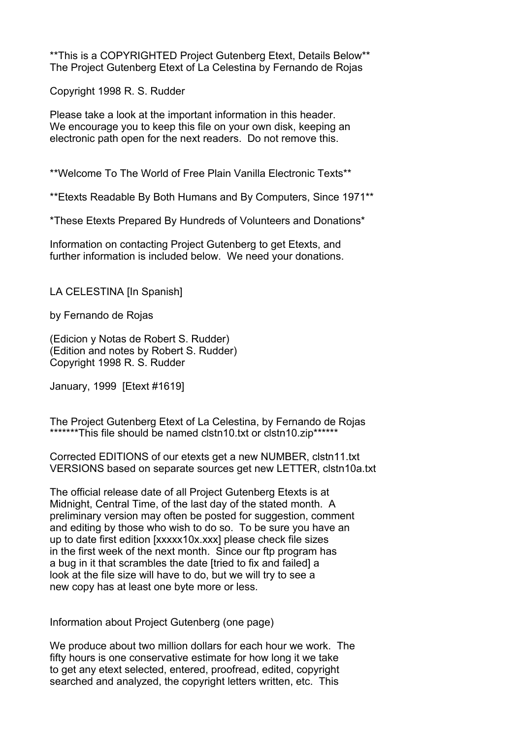\*\*This is a COPYRIGHTED Project Gutenberg Etext, Details Below\*\* The Project Gutenberg Etext of La Celestina by Fernando de Rojas

Copyright 1998 R. S. Rudder

Please take a look at the important information in this header. We encourage you to keep this file on your own disk, keeping an electronic path open for the next readers. Do not remove this.

\*\*Welcome To The World of Free Plain Vanilla Electronic Texts\*\*

\*\*Etexts Readable By Both Humans and By Computers, Since 1971\*\*

\*These Etexts Prepared By Hundreds of Volunteers and Donations\*

Information on contacting Project Gutenberg to get Etexts, and further information is included below. We need your donations.

LA CELESTINA [In Spanish]

by Fernando de Rojas

(Edicion y Notas de Robert S. Rudder) (Edition and notes by Robert S. Rudder) Copyright 1998 R. S. Rudder

January, 1999 [Etext #1619]

The Project Gutenberg Etext of La Celestina, by Fernando de Rojas \*\*\*\*\*\*\*This file should be named clstn10.txt or clstn10.zip\*\*\*\*\*\*

Corrected EDITIONS of our etexts get a new NUMBER, clstn11.txt VERSIONS based on separate sources get new LETTER, clstn10a.txt

The official release date of all Project Gutenberg Etexts is at Midnight, Central Time, of the last day of the stated month. A preliminary version may often be posted for suggestion, comment and editing by those who wish to do so. To be sure you have an up to date first edition [xxxxx10x.xxx] please check file sizes in the first week of the next month. Since our ftp program has a bug in it that scrambles the date [tried to fix and failed] a look at the file size will have to do, but we will try to see a new copy has at least one byte more or less.

Information about Project Gutenberg (one page)

We produce about two million dollars for each hour we work. The fifty hours is one conservative estimate for how long it we take to get any etext selected, entered, proofread, edited, copyright searched and analyzed, the copyright letters written, etc. This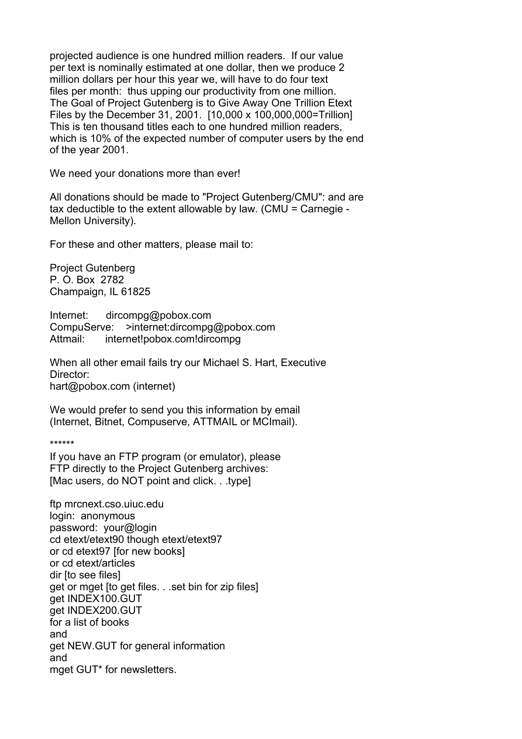projected audience is one hundred million readers. If our value per text is nominally estimated at one dollar, then we produce 2 million dollars per hour this year we, will have to do four text files per month: thus upping our productivity from one million. The Goal of Project Gutenberg is to Give Away One Trillion Etext Files by the December 31, 2001. [10,000 x 100,000,000=Trillion] This is ten thousand titles each to one hundred million readers, which is 10% of the expected number of computer users by the end of the year 2001.

We need your donations more than ever!

All donations should be made to "Project Gutenberg/CMU": and are tax deductible to the extent allowable by law. (CMU = Carnegie - Mellon University).

For these and other matters, please mail to:

Project Gutenberg P. O. Box 2782 Champaign, IL 61825

Internet: dircompg@pobox.com CompuServe: >internet:dircompg@pobox.com Attmail: internet!pobox.com!dircompg

When all other email fails try our Michael S. Hart, Executive Director: hart@pobox.com (internet)

We would prefer to send you this information by email (Internet, Bitnet, Compuserve, ATTMAIL or MCImail).

\*\*\*\*\*\*

If you have an FTP program (or emulator), please FTP directly to the Project Gutenberg archives: [Mac users, do NOT point and click. . .type]

ftp mrcnext.cso.uiuc.edu login: anonymous password: your@login cd etext/etext90 though etext/etext97 or cd etext97 [for new books] or cd etext/articles dir [to see files] get or mget [to get files. . .set bin for zip files] get INDEX100.GUT get INDEX200.GUT for a list of books and get NEW.GUT for general information and mget GUT\* for newsletters.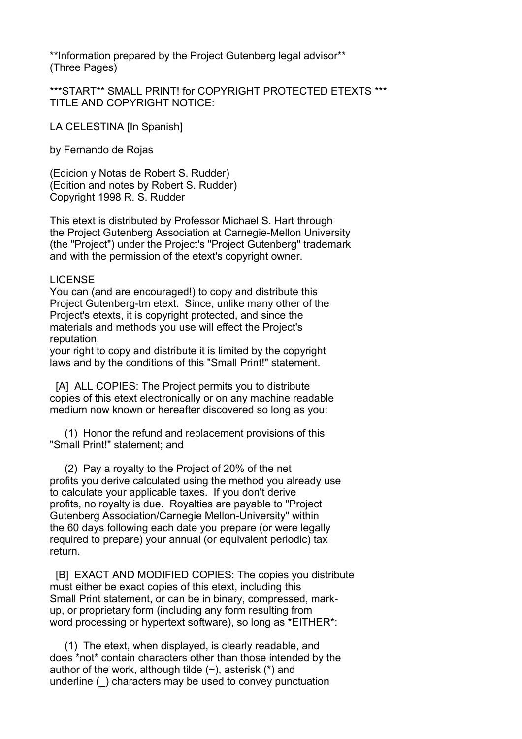\*\*Information prepared by the Project Gutenberg legal advisor\*\* (Three Pages)

\*\*\*START\*\* SMALL PRINT! for COPYRIGHT PROTECTED ETEXTS \*\*\* TITLE AND COPYRIGHT NOTICE:

LA CELESTINA [In Spanish]

by Fernando de Rojas

(Edicion y Notas de Robert S. Rudder) (Edition and notes by Robert S. Rudder) Copyright 1998 R. S. Rudder

This etext is distributed by Professor Michael S. Hart through the Project Gutenberg Association at Carnegie-Mellon University (the "Project") under the Project's "Project Gutenberg" trademark and with the permission of the etext's copyright owner.

## LICENSE

You can (and are encouraged!) to copy and distribute this Project Gutenberg-tm etext. Since, unlike many other of the Project's etexts, it is copyright protected, and since the materials and methods you use will effect the Project's reputation,

your right to copy and distribute it is limited by the copyright laws and by the conditions of this "Small Print!" statement.

[A] ALL COPIES: The Project permits you to distribute copies of this etext electronically or on any machine readable medium now known or hereafter discovered so long as you:

 (1) Honor the refund and replacement provisions of this "Small Print!" statement; and

 (2) Pay a royalty to the Project of 20% of the net profits you derive calculated using the method you already use to calculate your applicable taxes. If you don't derive profits, no royalty is due. Royalties are payable to "Project Gutenberg Association/Carnegie Mellon-University" within the 60 days following each date you prepare (or were legally required to prepare) your annual (or equivalent periodic) tax return.

[B] EXACT AND MODIFIED COPIES: The copies you distribute must either be exact copies of this etext, including this Small Print statement, or can be in binary, compressed, markup, or proprietary form (including any form resulting from word processing or hypertext software), so long as \*EITHER\*:

 (1) The etext, when displayed, is clearly readable, and does \*not\* contain characters other than those intended by the author of the work, although tilde  $(\sim)$ , asterisk  $(*)$  and underline (\_) characters may be used to convey punctuation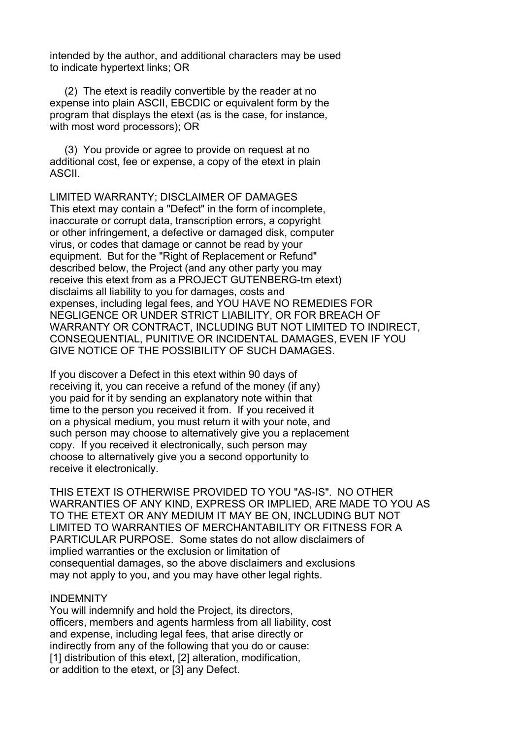intended by the author, and additional characters may be used to indicate hypertext links; OR

 (2) The etext is readily convertible by the reader at no expense into plain ASCII, EBCDIC or equivalent form by the program that displays the etext (as is the case, for instance, with most word processors); OR

 (3) You provide or agree to provide on request at no additional cost, fee or expense, a copy of the etext in plain ASCII.

LIMITED WARRANTY; DISCLAIMER OF DAMAGES This etext may contain a "Defect" in the form of incomplete, inaccurate or corrupt data, transcription errors, a copyright or other infringement, a defective or damaged disk, computer virus, or codes that damage or cannot be read by your equipment. But for the "Right of Replacement or Refund" described below, the Project (and any other party you may receive this etext from as a PROJECT GUTENBERG-tm etext) disclaims all liability to you for damages, costs and expenses, including legal fees, and YOU HAVE NO REMEDIES FOR NEGLIGENCE OR UNDER STRICT LIABILITY, OR FOR BREACH OF WARRANTY OR CONTRACT, INCLUDING BUT NOT LIMITED TO INDIRECT, CONSEQUENTIAL, PUNITIVE OR INCIDENTAL DAMAGES, EVEN IF YOU GIVE NOTICE OF THE POSSIBILITY OF SUCH DAMAGES.

If you discover a Defect in this etext within 90 days of receiving it, you can receive a refund of the money (if any) you paid for it by sending an explanatory note within that time to the person you received it from. If you received it on a physical medium, you must return it with your note, and such person may choose to alternatively give you a replacement copy. If you received it electronically, such person may choose to alternatively give you a second opportunity to receive it electronically.

THIS ETEXT IS OTHERWISE PROVIDED TO YOU "AS-IS". NO OTHER WARRANTIES OF ANY KIND, EXPRESS OR IMPLIED, ARE MADE TO YOU AS TO THE ETEXT OR ANY MEDIUM IT MAY BE ON, INCLUDING BUT NOT LIMITED TO WARRANTIES OF MERCHANTABILITY OR FITNESS FOR A PARTICULAR PURPOSE. Some states do not allow disclaimers of implied warranties or the exclusion or limitation of consequential damages, so the above disclaimers and exclusions may not apply to you, and you may have other legal rights.

#### INDEMNITY

You will indemnify and hold the Project, its directors, officers, members and agents harmless from all liability, cost and expense, including legal fees, that arise directly or indirectly from any of the following that you do or cause: [1] distribution of this etext, [2] alteration, modification, or addition to the etext, or [3] any Defect.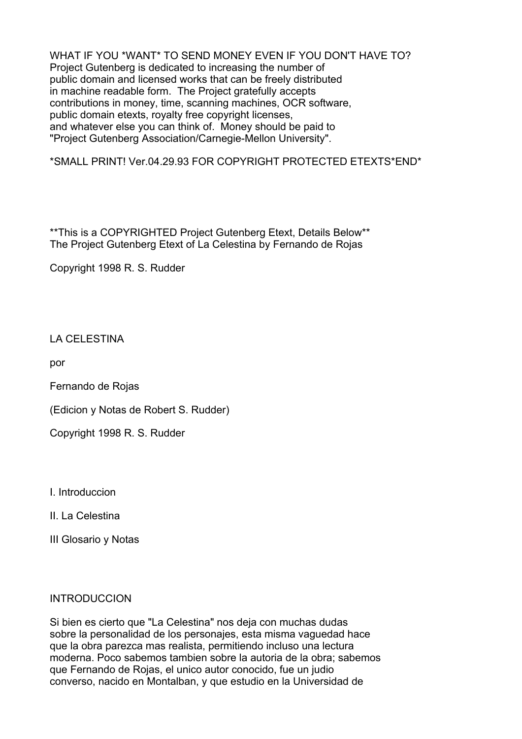WHAT IF YOU \*WANT\* TO SEND MONEY EVEN IF YOU DON'T HAVE TO? Project Gutenberg is dedicated to increasing the number of public domain and licensed works that can be freely distributed in machine readable form. The Project gratefully accepts contributions in money, time, scanning machines, OCR software, public domain etexts, royalty free copyright licenses, and whatever else you can think of. Money should be paid to "Project Gutenberg Association/Carnegie-Mellon University".

\*SMALL PRINT! Ver.04.29.93 FOR COPYRIGHT PROTECTED ETEXTS\*END\*

\*\*This is a COPYRIGHTED Project Gutenberg Etext, Details Below\*\* The Project Gutenberg Etext of La Celestina by Fernando de Rojas

Copyright 1998 R. S. Rudder

LA CELESTINA

por

Fernando de Rojas

(Edicion y Notas de Robert S. Rudder)

Copyright 1998 R. S. Rudder

I. Introduccion

II. La Celestina

III Glosario y Notas

#### **INTRODUCCION**

Si bien es cierto que "La Celestina" nos deja con muchas dudas sobre la personalidad de los personajes, esta misma vaguedad hace que la obra parezca mas realista, permitiendo incluso una lectura moderna. Poco sabemos tambien sobre la autoria de la obra; sabemos que Fernando de Rojas, el unico autor conocido, fue un judio converso, nacido en Montalban, y que estudio en la Universidad de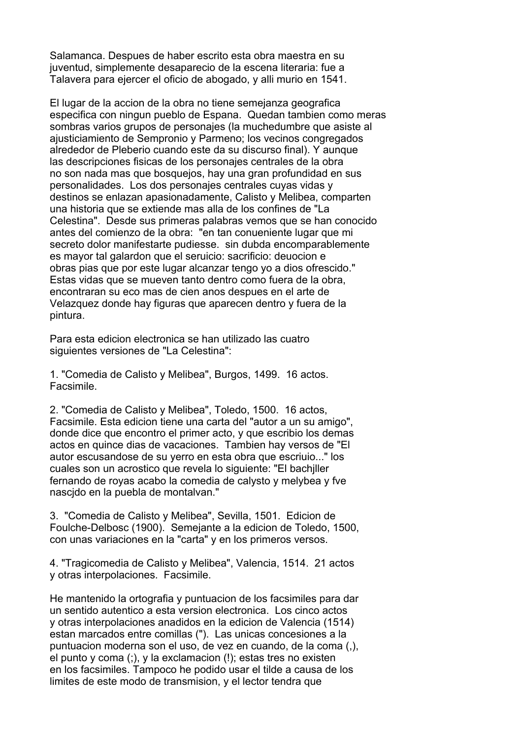Salamanca. Despues de haber escrito esta obra maestra en su juventud, simplemente desaparecio de la escena literaria: fue a Talavera para ejercer el oficio de abogado, y alli murio en 1541.

El lugar de la accion de la obra no tiene semejanza geografica especifica con ningun pueblo de Espana. Quedan tambien como meras sombras varios grupos de personajes (la muchedumbre que asiste al ajusticiamiento de Sempronio y Parmeno; los vecinos congregados alrededor de Pleberio cuando este da su discurso final). Y aunque las descripciones fisicas de los personajes centrales de la obra no son nada mas que bosquejos, hay una gran profundidad en sus personalidades. Los dos personajes centrales cuyas vidas y destinos se enlazan apasionadamente, Calisto y Melibea, comparten una historia que se extiende mas alla de los confines de "La Celestina". Desde sus primeras palabras vemos que se han conocido antes del comienzo de la obra: "en tan conueniente lugar que mi secreto dolor manifestarte pudiesse. sin dubda encomparablemente es mayor tal galardon que el seruicio: sacrificio: deuocion e obras pias que por este lugar alcanzar tengo yo a dios ofrescido." Estas vidas que se mueven tanto dentro como fuera de la obra, encontraran su eco mas de cien anos despues en el arte de Velazquez donde hay figuras que aparecen dentro y fuera de la pintura.

Para esta edicion electronica se han utilizado las cuatro siguientes versiones de "La Celestina":

1. "Comedia de Calisto y Melibea", Burgos, 1499. 16 actos. Facsimile.

2. "Comedia de Calisto y Melibea", Toledo, 1500. 16 actos, Facsimile. Esta edicion tiene una carta del "autor a un su amigo", donde dice que encontro el primer acto, y que escribio los demas actos en quince dias de vacaciones. Tambien hay versos de "El autor escusandose de su yerro en esta obra que escriuio..." los cuales son un acrostico que revela lo siguiente: "El bachjller fernando de royas acabo la comedia de calysto y melybea y fve nascjdo en la puebla de montalvan."

3. "Comedia de Calisto y Melibea", Sevilla, 1501. Edicion de Foulche-Delbosc (1900). Semejante a la edicion de Toledo, 1500, con unas variaciones en la "carta" y en los primeros versos.

4. "Tragicomedia de Calisto y Melibea", Valencia, 1514. 21 actos y otras interpolaciones. Facsimile.

He mantenido la ortografia y puntuacion de los facsimiles para dar un sentido autentico a esta version electronica. Los cinco actos y otras interpolaciones anadidos en la edicion de Valencia (1514) estan marcados entre comillas ("). Las unicas concesiones a la puntuacion moderna son el uso, de vez en cuando, de la coma (,), el punto y coma (;), y la exclamacion (!); estas tres no existen en los facsimiles. Tampoco he podido usar el tilde a causa de los limites de este modo de transmision, y el lector tendra que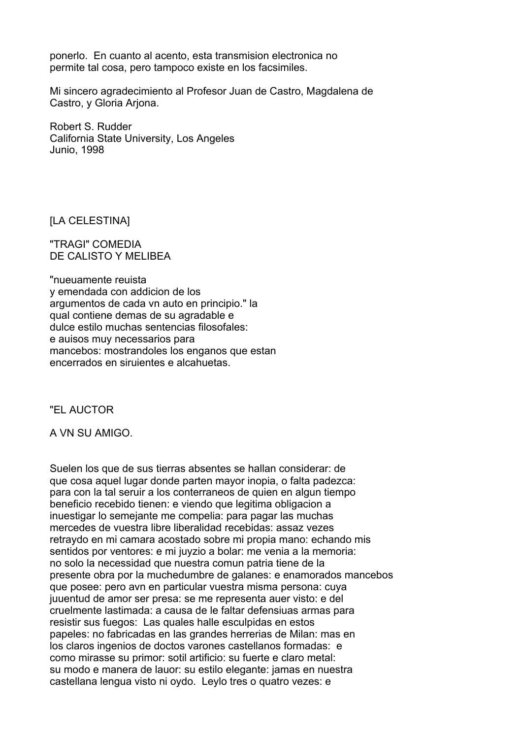ponerlo. En cuanto al acento, esta transmision electronica no permite tal cosa, pero tampoco existe en los facsimiles.

Mi sincero agradecimiento al Profesor Juan de Castro, Magdalena de Castro, y Gloria Arjona.

Robert S. Rudder California State University, Los Angeles Junio, 1998

[LA CELESTINA]

"TRAGI" COMEDIA DE CALISTO Y MELIBEA

"nueuamente reuista y emendada con addicion de los argumentos de cada vn auto en principio." la qual contiene demas de su agradable e dulce estilo muchas sentencias filosofales: e auisos muy necessarios para mancebos: mostrandoles los enganos que estan encerrados en siruientes e alcahuetas.

"EL AUCTOR

A VN SU AMIGO.

Suelen los que de sus tierras absentes se hallan considerar: de que cosa aquel lugar donde parten mayor inopia, o falta padezca: para con la tal seruir a los conterraneos de quien en algun tiempo beneficio recebido tienen: e viendo que legitima obligacion a inuestigar lo semejante me compelia: para pagar las muchas mercedes de vuestra libre liberalidad recebidas: assaz vezes retraydo en mi camara acostado sobre mi propia mano: echando mis sentidos por ventores: e mi juyzio a bolar: me venia a la memoria: no solo la necessidad que nuestra comun patria tiene de la presente obra por la muchedumbre de galanes: e enamorados mancebos que posee: pero avn en particular vuestra misma persona: cuya juuentud de amor ser presa: se me representa auer visto: e del cruelmente lastimada: a causa de le faltar defensiuas armas para resistir sus fuegos: Las quales halle esculpidas en estos papeles: no fabricadas en las grandes herrerias de Milan: mas en los claros ingenios de doctos varones castellanos formadas: e como mirasse su primor: sotil artificio: su fuerte e claro metal: su modo e manera de lauor: su estilo elegante: jamas en nuestra castellana lengua visto ni oydo. Leylo tres o quatro vezes: e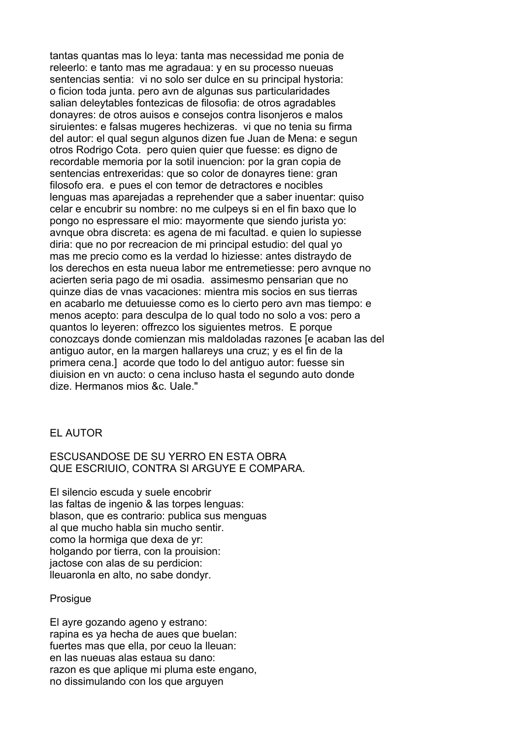tantas quantas mas lo leya: tanta mas necessidad me ponia de releerlo: e tanto mas me agradaua: y en su processo nueuas sentencias sentia: vi no solo ser dulce en su principal hystoria: o ficion toda junta. pero avn de algunas sus particularidades salian deleytables fontezicas de filosofia: de otros agradables donayres: de otros auisos e consejos contra lisonjeros e malos siruientes: e falsas mugeres hechizeras. vi que no tenia su firma del autor: el qual segun algunos dizen fue Juan de Mena: e segun otros Rodrigo Cota. pero quien quier que fuesse: es digno de recordable memoria por la sotil inuencion: por la gran copia de sentencias entrexeridas: que so color de donayres tiene: gran filosofo era. e pues el con temor de detractores e nocibles lenguas mas aparejadas a reprehender que a saber inuentar: quiso celar e encubrir su nombre: no me culpeys si en el fin baxo que lo pongo no espressare el mio: mayormente que siendo jurista yo: avnque obra discreta: es agena de mi facultad. e quien lo supiesse diria: que no por recreacion de mi principal estudio: del qual yo mas me precio como es la verdad lo hiziesse: antes distraydo de los derechos en esta nueua labor me entremetiesse: pero avnque no acierten seria pago de mi osadia. assimesmo pensarian que no quinze dias de vnas vacaciones: mientra mis socios en sus tierras en acabarlo me detuuiesse como es lo cierto pero avn mas tiempo: e menos acepto: para desculpa de lo qual todo no solo a vos: pero a quantos lo leyeren: offrezco los siguientes metros. E porque conozcays donde comienzan mis maldoladas razones [e acaban las del antiguo autor, en la margen hallareys una cruz; y es el fin de la primera cena.] acorde que todo lo del antiguo autor: fuesse sin diuision en vn aucto: o cena incluso hasta el segundo auto donde dize. Hermanos mios &c. Uale."

## EL AUTOR

### ESCUSANDOSE DE SU YERRO EN ESTA OBRA QUE ESCRIUIO, CONTRA Sl ARGUYE E COMPARA.

El silencio escuda y suele encobrir las faltas de ingenio & las torpes lenguas: blason, que es contrario: publica sus menguas al que mucho habla sin mucho sentir. como la hormiga que dexa de yr: holgando por tierra, con la prouision: jactose con alas de su perdicion: lleuaronla en alto, no sabe dondyr.

#### Prosigue

El ayre gozando ageno y estrano: rapina es ya hecha de aues que buelan: fuertes mas que ella, por ceuo la lleuan: en las nueuas alas estaua su dano: razon es que aplique mi pluma este engano, no dissimulando con los que arguyen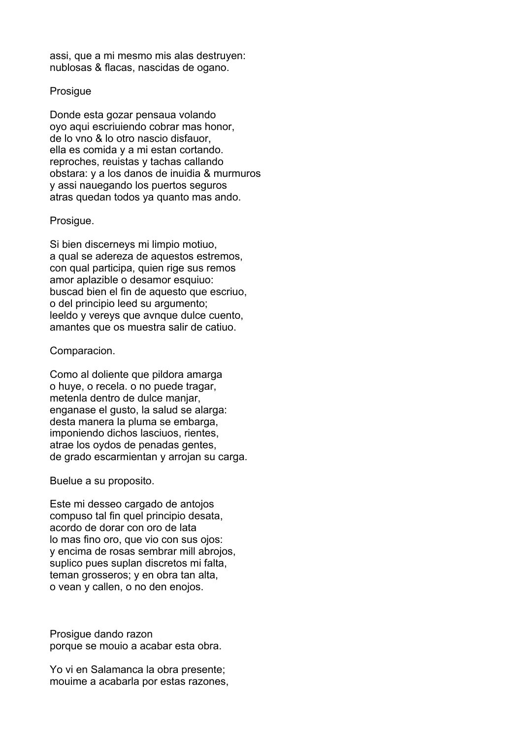assi, que a mi mesmo mis alas destruyen: nublosas & flacas, nascidas de ogano.

### Prosigue

Donde esta gozar pensaua volando oyo aqui escriuiendo cobrar mas honor, de lo vno & lo otro nascio disfauor, ella es comida y a mi estan cortando. reproches, reuistas y tachas callando obstara: y a los danos de inuidia & murmuros y assi nauegando los puertos seguros atras quedan todos ya quanto mas ando.

### Prosigue.

Si bien discerneys mi limpio motiuo, a qual se adereza de aquestos estremos, con qual participa, quien rige sus remos amor aplazible o desamor esquiuo: buscad bien el fin de aquesto que escriuo, o del principio leed su argumento; leeldo y vereys que avnque dulce cuento, amantes que os muestra salir de catiuo.

## Comparacion.

Como al doliente que pildora amarga o huye, o recela. o no puede tragar, metenla dentro de dulce manjar, enganase el gusto, la salud se alarga: desta manera la pluma se embarga, imponiendo dichos lasciuos, rientes, atrae los oydos de penadas gentes, de grado escarmientan y arrojan su carga.

Buelue a su proposito.

Este mi desseo cargado de antojos compuso tal fin quel principio desata, acordo de dorar con oro de lata lo mas fino oro, que vio con sus ojos: y encima de rosas sembrar mill abrojos, suplico pues suplan discretos mi falta, teman grosseros; y en obra tan alta, o vean y callen, o no den enojos.

Prosigue dando razon porque se mouio a acabar esta obra.

Yo vi en Salamanca la obra presente; mouime a acabarla por estas razones,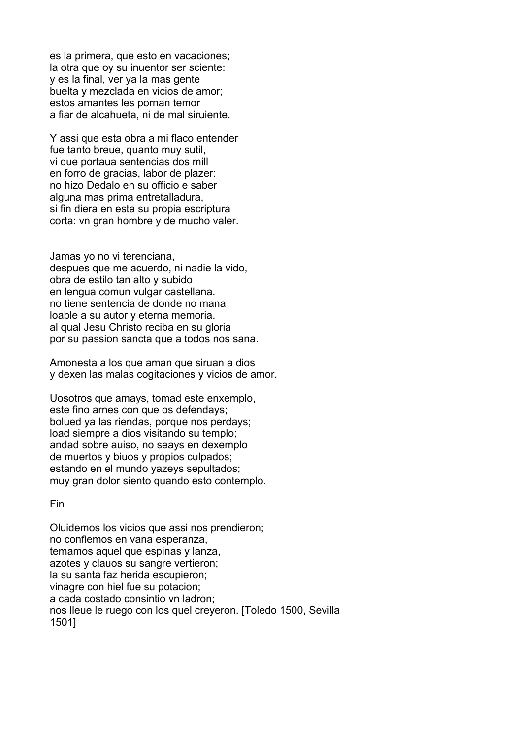es la primera, que esto en vacaciones; la otra que oy su inuentor ser sciente: y es la final, ver ya la mas gente buelta y mezclada en vicios de amor; estos amantes les pornan temor a fiar de alcahueta, ni de mal siruiente.

Y assi que esta obra a mi flaco entender fue tanto breue, quanto muy sutil, vi que portaua sentencias dos mill en forro de gracias, labor de plazer: no hizo Dedalo en su officio e saber alguna mas prima entretalladura, si fin diera en esta su propia escriptura corta: vn gran hombre y de mucho valer.

Jamas yo no vi terenciana, despues que me acuerdo, ni nadie la vido, obra de estilo tan alto y subido en lengua comun vulgar castellana. no tiene sentencia de donde no mana loable a su autor y eterna memoria. al qual Jesu Christo reciba en su gloria por su passion sancta que a todos nos sana.

Amonesta a los que aman que siruan a dios y dexen las malas cogitaciones y vicios de amor.

Uosotros que amays, tomad este enxemplo, este fino arnes con que os defendays; bolued ya las riendas, porque nos perdays; load siempre a dios visitando su templo; andad sobre auiso, no seays en dexemplo de muertos y biuos y propios culpados; estando en el mundo yazeys sepultados; muy gran dolor siento quando esto contemplo.

#### Fin

Oluidemos los vicios que assi nos prendieron; no confiemos en vana esperanza, temamos aquel que espinas y lanza, azotes y clauos su sangre vertieron; la su santa faz herida escupieron; vinagre con hiel fue su potacion; a cada costado consintio vn ladron; nos lleue le ruego con los quel creyeron. [Toledo 1500, Sevilla 1501]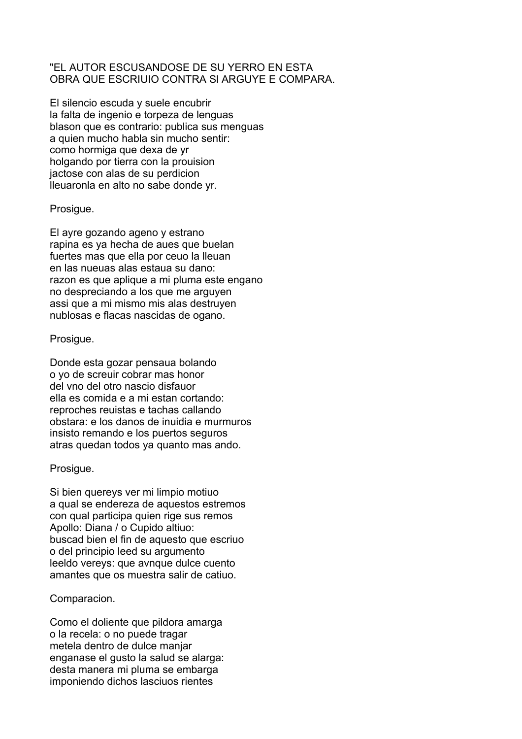## "EL AUTOR ESCUSANDOSE DE SU YERRO EN ESTA OBRA QUE ESCRIUIO CONTRA Sl ARGUYE E COMPARA.

El silencio escuda y suele encubrir la falta de ingenio e torpeza de lenguas blason que es contrario: publica sus menguas a quien mucho habla sin mucho sentir: como hormiga que dexa de yr holgando por tierra con la prouision jactose con alas de su perdicion lleuaronla en alto no sabe donde yr.

## Prosigue.

El ayre gozando ageno y estrano rapina es ya hecha de aues que buelan fuertes mas que ella por ceuo la lleuan en las nueuas alas estaua su dano: razon es que aplique a mi pluma este engano no despreciando a los que me arguyen assi que a mi mismo mis alas destruyen nublosas e flacas nascidas de ogano.

# Prosigue.

Donde esta gozar pensaua bolando o yo de screuir cobrar mas honor del vno del otro nascio disfauor ella es comida e a mi estan cortando: reproches reuistas e tachas callando obstara: e los danos de inuidia e murmuros insisto remando e los puertos seguros atras quedan todos ya quanto mas ando.

# Prosigue.

Si bien quereys ver mi limpio motiuo a qual se endereza de aquestos estremos con qual participa quien rige sus remos Apollo: Diana / o Cupido altiuo: buscad bien el fin de aquesto que escriuo o del principio leed su argumento leeldo vereys: que avnque dulce cuento amantes que os muestra salir de catiuo.

# Comparacion.

Como el doliente que pildora amarga o la recela: o no puede tragar metela dentro de dulce manjar enganase el gusto la salud se alarga: desta manera mi pluma se embarga imponiendo dichos lasciuos rientes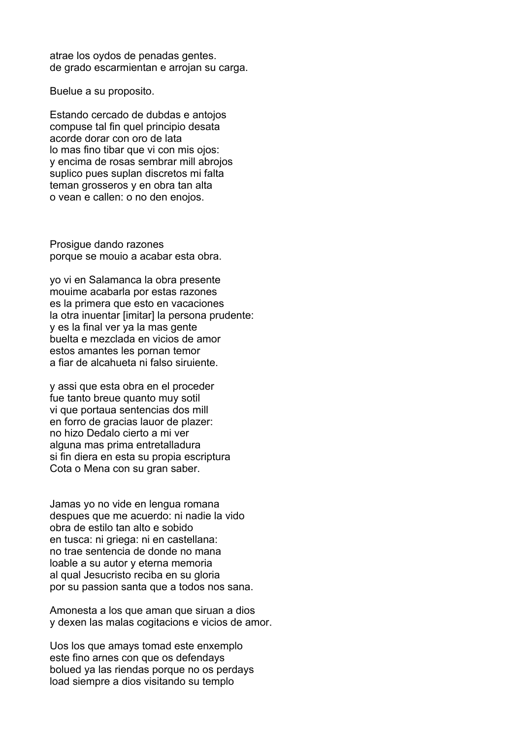atrae los oydos de penadas gentes. de grado escarmientan e arrojan su carga.

Buelue a su proposito.

Estando cercado de dubdas e antojos compuse tal fin quel principio desata acorde dorar con oro de lata lo mas fino tibar que vi con mis ojos: y encima de rosas sembrar mill abrojos suplico pues suplan discretos mi falta teman grosseros y en obra tan alta o vean e callen: o no den enojos.

Prosigue dando razones porque se mouio a acabar esta obra.

yo vi en Salamanca la obra presente mouime acabarla por estas razones es la primera que esto en vacaciones la otra inuentar [imitar] la persona prudente: y es la final ver ya la mas gente buelta e mezclada en vicios de amor estos amantes les pornan temor a fiar de alcahueta ni falso siruiente.

y assi que esta obra en el proceder fue tanto breue quanto muy sotil vi que portaua sentencias dos mill en forro de gracias lauor de plazer: no hizo Dedalo cierto a mi ver alguna mas prima entretalladura si fin diera en esta su propia escriptura Cota o Mena con su gran saber.

Jamas yo no vide en lengua romana despues que me acuerdo: ni nadie la vido obra de estilo tan alto e sobido en tusca: ni griega: ni en castellana: no trae sentencia de donde no mana loable a su autor y eterna memoria al qual Jesucristo reciba en su gloria por su passion santa que a todos nos sana.

Amonesta a los que aman que siruan a dios y dexen las malas cogitacions e vicios de amor.

Uos los que amays tomad este enxemplo este fino arnes con que os defendays bolued ya las riendas porque no os perdays load siempre a dios visitando su templo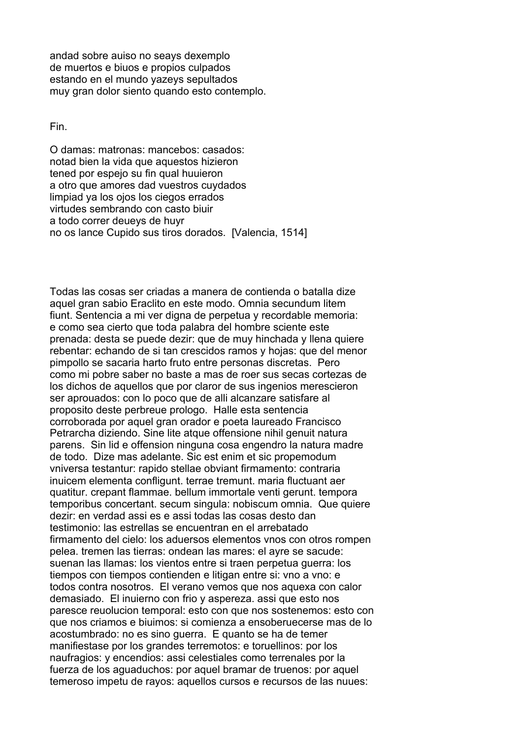andad sobre auiso no seays dexemplo de muertos e biuos e propios culpados estando en el mundo yazeys sepultados muy gran dolor siento quando esto contemplo.

Fin.

O damas: matronas: mancebos: casados: notad bien la vida que aquestos hizieron tened por espejo su fin qual huuieron a otro que amores dad vuestros cuydados limpiad ya los ojos los ciegos errados virtudes sembrando con casto biuir a todo correr deueys de huyr no os lance Cupido sus tiros dorados. [Valencia, 1514]

Todas las cosas ser criadas a manera de contienda o batalla dize aquel gran sabio Eraclito en este modo. Omnia secundum litem fiunt. Sentencia a mi ver digna de perpetua y recordable memoria: e como sea cierto que toda palabra del hombre sciente este prenada: desta se puede dezir: que de muy hinchada y llena quiere rebentar: echando de si tan crescidos ramos y hojas: que del menor pimpollo se sacaria harto fruto entre personas discretas. Pero como mi pobre saber no baste a mas de roer sus secas cortezas de los dichos de aquellos que por claror de sus ingenios merescieron ser aprouados: con lo poco que de alli alcanzare satisfare al proposito deste perbreue prologo. Halle esta sentencia corroborada por aquel gran orador e poeta laureado Francisco Petrarcha diziendo. Sine lite atque offensione nihil genuit natura parens. Sin lid e offension ninguna cosa engendro la natura madre de todo. Dize mas adelante. Sic est enim et sic propemodum vniversa testantur: rapido stellae obviant firmamento: contraria inuicem elementa confligunt. terrae tremunt. maria fluctuant aer quatitur. crepant flammae. bellum immortale venti gerunt. tempora temporibus concertant. secum singula: nobiscum omnia. Que quiere dezir: en verdad assi es e assi todas las cosas desto dan testimonio: las estrellas se encuentran en el arrebatado firmamento del cielo: los aduersos elementos vnos con otros rompen pelea. tremen las tierras: ondean las mares: el ayre se sacude: suenan las llamas: los vientos entre si traen perpetua guerra: los tiempos con tiempos contienden e litigan entre si: vno a vno: e todos contra nosotros. El verano vemos que nos aquexa con calor demasiado. El inuierno con frio y aspereza. assi que esto nos paresce reuolucion temporal: esto con que nos sostenemos: esto con que nos criamos e biuimos: si comienza a ensoberuecerse mas de lo acostumbrado: no es sino guerra. E quanto se ha de temer manifiestase por los grandes terremotos: e toruellinos: por los naufragios: y encendios: assi celestiales como terrenales por la fuerza de los aguaduchos: por aquel bramar de truenos: por aquel temeroso impetu de rayos: aquellos cursos e recursos de las nuues: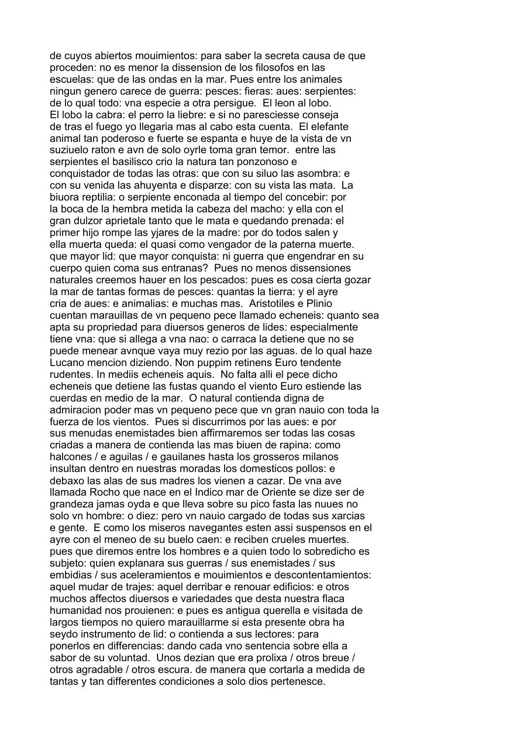de cuyos abiertos mouimientos: para saber la secreta causa de que proceden: no es menor la dissension de los filosofos en las escuelas: que de las ondas en la mar. Pues entre los animales ningun genero carece de guerra: pesces: fieras: aues: serpientes: de lo qual todo: vna especie a otra persigue. El leon al lobo. El lobo la cabra: el perro la liebre: e si no paresciesse conseja de tras el fuego yo llegaria mas al cabo esta cuenta. El elefante animal tan poderoso e fuerte se espanta e huye de la vista de vn suziuelo raton e avn de solo oyrle toma gran temor. entre las serpientes el basilisco crio la natura tan ponzonoso e conquistador de todas las otras: que con su siluo las asombra: e con su venida las ahuyenta e disparze: con su vista las mata. La biuora reptilia: o serpiente enconada al tiempo del concebir: por la boca de la hembra metida la cabeza del macho: y ella con el gran dulzor aprietale tanto que le mata e quedando prenada: el primer hijo rompe las yjares de la madre: por do todos salen y ella muerta queda: el quasi como vengador de la paterna muerte. que mayor lid: que mayor conquista: ni guerra que engendrar en su cuerpo quien coma sus entranas? Pues no menos dissensiones naturales creemos hauer en los pescados: pues es cosa cierta gozar la mar de tantas formas de pesces: quantas la tierra: y el ayre cria de aues: e animalias: e muchas mas. Aristotiles e Plinio cuentan marauillas de vn pequeno pece llamado echeneis: quanto sea apta su propriedad para diuersos generos de lides: especialmente tiene vna: que si allega a vna nao: o carraca la detiene que no se puede menear avnque vaya muy rezio por las aguas. de lo qual haze Lucano mencion diziendo. Non puppim retinens Euro tendente rudentes. In mediis echeneis aquis. No falta alli el pece dicho echeneis que detiene las fustas quando el viento Euro estiende las cuerdas en medio de la mar. O natural contienda digna de admiracion poder mas vn pequeno pece que vn gran nauio con toda la fuerza de los vientos. Pues si discurrimos por las aues: e por sus menudas enemistades bien affirmaremos ser todas las cosas criadas a manera de contienda las mas biuen de rapina: como halcones / e aguilas / e gauilanes hasta los grosseros milanos insultan dentro en nuestras moradas los domesticos pollos: e debaxo las alas de sus madres los vienen a cazar. De vna ave llamada Rocho que nace en el Indico mar de Oriente se dize ser de grandeza jamas oyda e que lleva sobre su pico fasta las nuues no solo vn hombre: o diez: pero vn nauio cargado de todas sus xarcias e gente. E como los miseros navegantes esten assi suspensos en el ayre con el meneo de su buelo caen: e reciben crueles muertes. pues que diremos entre los hombres e a quien todo lo sobredicho es subjeto: quien explanara sus guerras / sus enemistades / sus embidias / sus aceleramientos e mouimientos e descontentamientos: aquel mudar de trajes: aquel derribar e renouar edificios: e otros muchos affectos diuersos e variedades que desta nuestra flaca humanidad nos prouienen: e pues es antigua querella e visitada de largos tiempos no quiero marauillarme si esta presente obra ha seydo instrumento de lid: o contienda a sus lectores: para ponerlos en differencias: dando cada vno sentencia sobre ella a sabor de su voluntad. Unos dezian que era prolixa / otros breue / otros agradable / otros escura. de manera que cortarla a medida de tantas y tan differentes condiciones a solo dios pertenesce.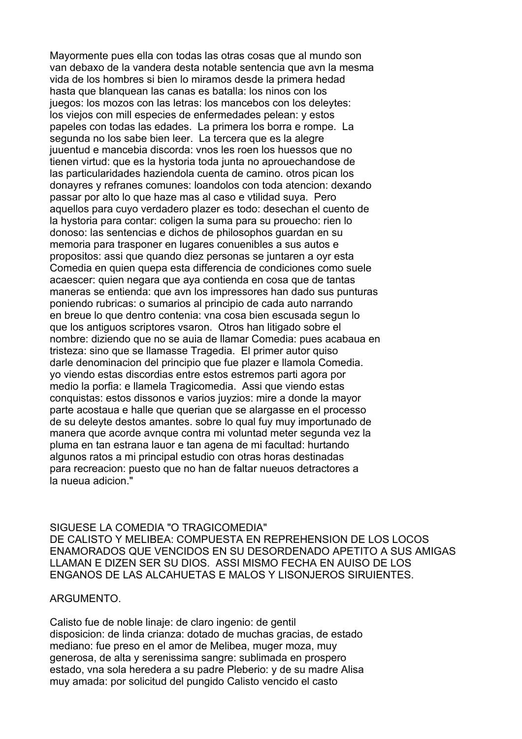Mayormente pues ella con todas las otras cosas que al mundo son van debaxo de la vandera desta notable sentencia que avn la mesma vida de los hombres si bien lo miramos desde la primera hedad hasta que blanquean las canas es batalla: los ninos con los juegos: los mozos con las letras: los mancebos con los deleytes: los viejos con mill especies de enfermedades pelean: y estos papeles con todas las edades. La primera los borra e rompe. La segunda no los sabe bien leer. La tercera que es la alegre juuentud e mancebia discorda: vnos les roen los huessos que no tienen virtud: que es la hystoria toda junta no aprouechandose de las particularidades haziendola cuenta de camino. otros pican los donayres y refranes comunes: loandolos con toda atencion: dexando passar por alto lo que haze mas al caso e vtilidad suya. Pero aquellos para cuyo verdadero plazer es todo: desechan el cuento de la hystoria para contar: coligen la suma para su prouecho: rien lo donoso: las sentencias e dichos de philosophos guardan en su memoria para trasponer en lugares conuenibles a sus autos e propositos: assi que quando diez personas se juntaren a oyr esta Comedia en quien quepa esta differencia de condiciones como suele acaescer: quien negara que aya contienda en cosa que de tantas maneras se entienda: que avn los impressores han dado sus punturas poniendo rubricas: o sumarios al principio de cada auto narrando en breue lo que dentro contenia: vna cosa bien escusada segun lo que los antiguos scriptores vsaron. Otros han litigado sobre el nombre: diziendo que no se auia de llamar Comedia: pues acabaua en tristeza: sino que se llamasse Tragedia. El primer autor quiso darle denominacion del principio que fue plazer e llamola Comedia. yo viendo estas discordias entre estos estremos parti agora por medio la porfia: e llamela Tragicomedia. Assi que viendo estas conquistas: estos dissonos e varios juyzios: mire a donde la mayor parte acostaua e halle que querian que se alargasse en el processo de su deleyte destos amantes. sobre lo qual fuy muy importunado de manera que acorde avnque contra mi voluntad meter segunda vez la pluma en tan estrana lauor e tan agena de mi facultad: hurtando algunos ratos a mi principal estudio con otras horas destinadas para recreacion: puesto que no han de faltar nueuos detractores a la nueua adicion."

SIGUESE LA COMEDIA "O TRAGICOMEDIA" DE CALISTO Y MELIBEA: COMPUESTA EN REPREHENSION DE LOS LOCOS ENAMORADOS QUE VENCIDOS EN SU DESORDENADO APETITO A SUS AMIGAS LLAMAN E DIZEN SER SU DIOS. ASSI MISMO FECHA EN AUISO DE LOS ENGANOS DE LAS ALCAHUETAS E MALOS Y LISONJEROS SIRUIENTES.

#### ARGUMENTO.

Calisto fue de noble linaje: de claro ingenio: de gentil disposicion: de linda crianza: dotado de muchas gracias, de estado mediano: fue preso en el amor de Melibea, muger moza, muy generosa, de alta y serenissima sangre: sublimada en prospero estado, vna sola heredera a su padre Pleberio: y de su madre Alisa muy amada: por solicitud del pungido Calisto vencido el casto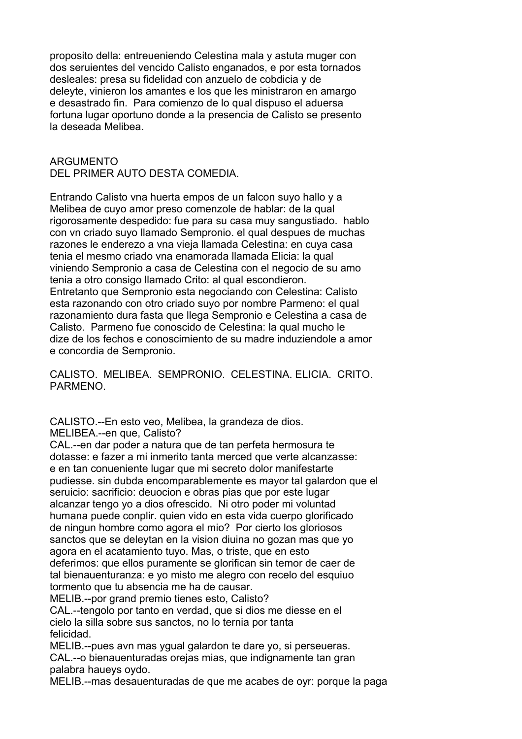proposito della: entreueniendo Celestina mala y astuta muger con dos seruientes del vencido Calisto enganados, e por esta tornados desleales: presa su fidelidad con anzuelo de cobdicia y de deleyte, vinieron los amantes e los que les ministraron en amargo e desastrado fin. Para comienzo de lo qual dispuso el aduersa fortuna lugar oportuno donde a la presencia de Calisto se presento la deseada Melibea.

# ARGUMENTO DEL PRIMER AUTO DESTA COMEDIA.

Entrando Calisto vna huerta empos de un falcon suyo hallo y a Melibea de cuyo amor preso comenzole de hablar: de la qual rigorosamente despedido: fue para su casa muy sangustiado. hablo con vn criado suyo llamado Sempronio. el qual despues de muchas razones le enderezo a vna vieja llamada Celestina: en cuya casa tenia el mesmo criado vna enamorada llamada Elicia: la qual viniendo Sempronio a casa de Celestina con el negocio de su amo tenia a otro consigo llamado Crito: al qual escondieron. Entretanto que Sempronio esta negociando con Celestina: Calisto esta razonando con otro criado suyo por nombre Parmeno: el qual razonamiento dura fasta que llega Sempronio e Celestina a casa de Calisto. Parmeno fue conoscido de Celestina: la qual mucho le dize de los fechos e conoscimiento de su madre induziendole a amor e concordia de Sempronio.

CALISTO. MELIBEA. SEMPRONIO. CELESTINA. ELICIA. CRITO. PARMENO.

#### CALISTO.--En esto veo, Melibea, la grandeza de dios. MELIBEA.--en que, Calisto?

CAL.--en dar poder a natura que de tan perfeta hermosura te dotasse: e fazer a mi inmerito tanta merced que verte alcanzasse: e en tan conueniente lugar que mi secreto dolor manifestarte pudiesse. sin dubda encomparablemente es mayor tal galardon que el seruicio: sacrificio: deuocion e obras pias que por este lugar alcanzar tengo yo a dios ofrescido. Ni otro poder mi voluntad humana puede conplir. quien vido en esta vida cuerpo glorificado de ningun hombre como agora el mio? Por cierto los gloriosos sanctos que se deleytan en la vision diuina no gozan mas que yo agora en el acatamiento tuyo. Mas, o triste, que en esto deferimos: que ellos puramente se glorifican sin temor de caer de tal bienauenturanza: e yo misto me alegro con recelo del esquiuo tormento que tu absencia me ha de causar.

MELIB.--por grand premio tienes esto, Calisto?

CAL.--tengolo por tanto en verdad, que si dios me diesse en el cielo la silla sobre sus sanctos, no lo ternia por tanta felicidad.

MELIB.--pues avn mas ygual galardon te dare yo, si perseueras. CAL.--o bienauenturadas orejas mias, que indignamente tan gran palabra haueys oydo.

MELIB.--mas desauenturadas de que me acabes de oyr: porque la paga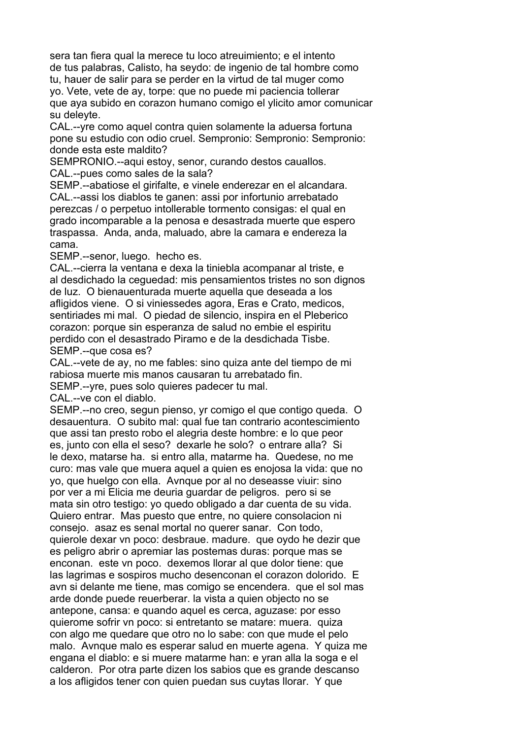sera tan fiera qual la merece tu loco atreuimiento; e el intento de tus palabras, Calisto, ha seydo: de ingenio de tal hombre como tu, hauer de salir para se perder en la virtud de tal muger como yo. Vete, vete de ay, torpe: que no puede mi paciencia tollerar que aya subido en corazon humano comigo el ylicito amor comunicar su deleyte.

CAL.--yre como aquel contra quien solamente la aduersa fortuna pone su estudio con odio cruel. Sempronio: Sempronio: Sempronio: donde esta este maldito?

SEMPRONIO.--aqui estoy, senor, curando destos cauallos. CAL.--pues como sales de la sala?

SEMP.--abatiose el girifalte, e vinele enderezar en el alcandara. CAL.--assi los diablos te ganen: assi por infortunio arrebatado perezcas / o perpetuo intollerable tormento consigas: el qual en grado incomparable a la penosa e desastrada muerte que espero traspassa. Anda, anda, maluado, abre la camara e endereza la cama.

SEMP.--senor, luego. hecho es.

CAL.--cierra la ventana e dexa la tiniebla acompanar al triste, e al desdichado la ceguedad: mis pensamientos tristes no son dignos de luz. O bienauenturada muerte aquella que deseada a los afligidos viene. O si viniessedes agora, Eras e Crato, medicos, sentiriades mi mal. O piedad de silencio, inspira en el Pleberico corazon: porque sin esperanza de salud no embie el espiritu perdido con el desastrado Piramo e de la desdichada Tisbe. SEMP.--que cosa es?

CAL.--vete de ay, no me fables: sino quiza ante del tiempo de mi rabiosa muerte mis manos causaran tu arrebatado fin. SEMP.--yre, pues solo quieres padecer tu mal.

CAL.--ve con el diablo.

SEMP.--no creo, segun pienso, yr comigo el que contigo queda. O desauentura. O subito mal: qual fue tan contrario acontescimiento que assi tan presto robo el alegria deste hombre: e lo que peor es, junto con ella el seso? dexarle he solo? o entrare alla? Si le dexo, matarse ha. si entro alla, matarme ha. Quedese, no me curo: mas vale que muera aquel a quien es enojosa la vida: que no yo, que huelgo con ella. Avnque por al no deseasse viuir: sino por ver a mi Elicia me deuria guardar de peligros. pero si se mata sin otro testigo: yo quedo obligado a dar cuenta de su vida. Quiero entrar. Mas puesto que entre, no quiere consolacion ni consejo. asaz es senal mortal no querer sanar. Con todo, quierole dexar vn poco: desbraue. madure. que oydo he dezir que es peligro abrir o apremiar las postemas duras: porque mas se enconan. este vn poco. dexemos llorar al que dolor tiene: que las lagrimas e sospiros mucho desenconan el corazon dolorido. E avn si delante me tiene, mas comigo se encendera. que el sol mas arde donde puede reuerberar. la vista a quien objecto no se antepone, cansa: e quando aquel es cerca, aguzase: por esso quierome sofrir vn poco: si entretanto se matare: muera. quiza con algo me quedare que otro no lo sabe: con que mude el pelo malo. Avnque malo es esperar salud en muerte agena. Y quiza me engana el diablo: e si muere matarme han: e yran alla la soga e el calderon. Por otra parte dizen los sabios que es grande descanso a los afligidos tener con quien puedan sus cuytas llorar. Y que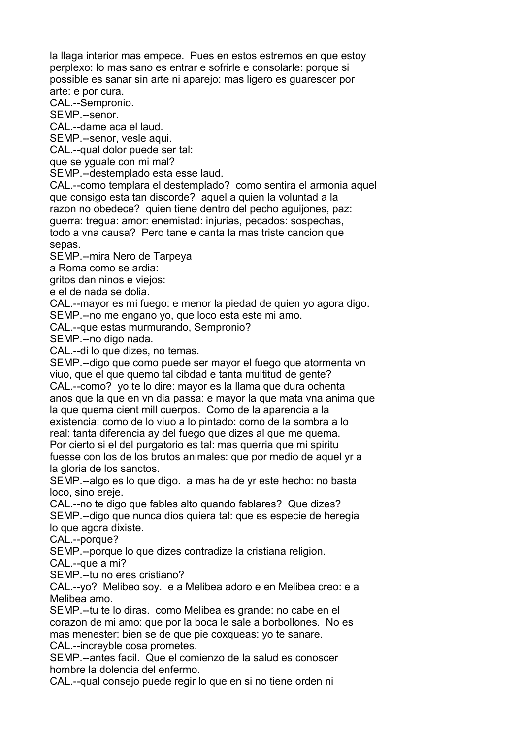la llaga interior mas empece. Pues en estos estremos en que estoy perplexo: lo mas sano es entrar e sofrirle e consolarle: porque si possible es sanar sin arte ni aparejo: mas ligero es guarescer por arte: e por cura.

CAL.--Sempronio.

SEMP.--senor.

CAL.--dame aca el laud.

SEMP.--senor, vesle aqui.

CAL.--qual dolor puede ser tal:

que se vquale con mi mal?

SEMP.--destemplado esta esse laud.

CAL.--como templara el destemplado? como sentira el armonia aquel que consigo esta tan discorde? aquel a quien la voluntad a la razon no obedece? quien tiene dentro del pecho aguijones, paz: guerra: tregua: amor: enemistad: injurias, pecados: sospechas, todo a vna causa? Pero tane e canta la mas triste cancion que sepas.

SEMP.--mira Nero de Tarpeya

a Roma como se ardia:

gritos dan ninos e viejos:

e el de nada se dolia.

CAL.--mayor es mi fuego: e menor la piedad de quien yo agora digo.

SEMP.--no me engano yo, que loco esta este mi amo.

CAL.--que estas murmurando, Sempronio?

SEMP.--no digo nada.

CAL.--di lo que dizes, no temas.

SEMP.--digo que como puede ser mayor el fuego que atormenta vn viuo, que el que quemo tal cibdad e tanta multitud de gente? CAL.--como? yo te lo dire: mayor es la llama que dura ochenta anos que la que en vn dia passa: e mayor la que mata vna anima que la que quema cient mill cuerpos. Como de la aparencia a la existencia: como de lo viuo a lo pintado: como de la sombra a lo real: tanta diferencia ay del fuego que dizes al que me quema. Por cierto si el del purgatorio es tal: mas querria que mi spiritu

fuesse con los de los brutos animales: que por medio de aquel yr a la gloria de los sanctos.

SEMP.--algo es lo que digo. a mas ha de yr este hecho: no basta loco, sino ereje.

CAL.--no te digo que fables alto quando fablares? Que dizes? SEMP.--digo que nunca dios quiera tal: que es especie de heregia lo que agora dixiste.

CAL.--porque?

SEMP.--porque lo que dizes contradize la cristiana religion.

CAL.--que a mi?

SEMP.--tu no eres cristiano?

CAL.--yo? Melibeo soy. e a Melibea adoro e en Melibea creo: e a Melibea amo.

SEMP.--tu te lo diras. como Melibea es grande: no cabe en el corazon de mi amo: que por la boca le sale a borbollones. No es mas menester: bien se de que pie coxqueas: yo te sanare.

CAL.--increyble cosa prometes.

SEMP.--antes facil. Que el comienzo de la salud es conoscer hombre la dolencia del enfermo.

CAL.--qual consejo puede regir lo que en si no tiene orden ni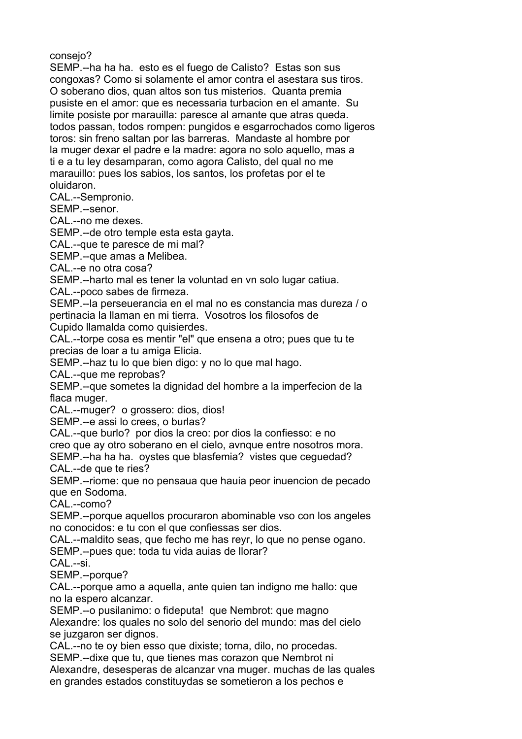consejo?

SEMP.--ha ha ha. esto es el fuego de Calisto? Estas son sus congoxas? Como si solamente el amor contra el asestara sus tiros. O soberano dios, quan altos son tus misterios. Quanta premia pusiste en el amor: que es necessaria turbacion en el amante. Su limite posiste por marauilla: paresce al amante que atras queda. todos passan, todos rompen: pungidos e esgarrochados como ligeros toros: sin freno saltan por las barreras. Mandaste al hombre por la muger dexar el padre e la madre: agora no solo aquello, mas a ti e a tu ley desamparan, como agora Calisto, del qual no me marauillo: pues los sabios, los santos, los profetas por el te oluidaron.

CAL.--Sempronio.

SEMP.--senor.

CAL.--no me dexes.

SEMP.--de otro temple esta esta gayta.

CAL.--que te paresce de mi mal?

SEMP.--que amas a Melibea.

CAL.--e no otra cosa?

SEMP.--harto mal es tener la voluntad en vn solo lugar catiua.

CAL.--poco sabes de firmeza.

SEMP.--la perseuerancia en el mal no es constancia mas dureza / o pertinacia la llaman en mi tierra. Vosotros los filosofos de

Cupido llamalda como quisierdes.

CAL.--torpe cosa es mentir "el" que ensena a otro; pues que tu te precias de loar a tu amiga Elicia.

SEMP.--haz tu lo que bien digo: y no lo que mal hago.

CAL.--que me reprobas?

SEMP.--que sometes la dignidad del hombre a la imperfecion de la flaca muger.

CAL.--muger? o grossero: dios, dios!

SEMP.--e assi lo crees, o burlas?

CAL.--que burlo? por dios la creo: por dios la confiesso: e no creo que ay otro soberano en el cielo, avnque entre nosotros mora. SEMP.--ha ha ha. oystes que blasfemia? vistes que ceguedad? CAL.--de que te ries?

SEMP.--riome: que no pensaua que hauia peor inuencion de pecado que en Sodoma.

CAL.--como?

SEMP.--porque aquellos procuraron abominable vso con los angeles no conocidos: e tu con el que confiessas ser dios.

CAL.--maldito seas, que fecho me has reyr, lo que no pense ogano. SEMP.--pues que: toda tu vida auias de llorar?

CAL.--si.

SEMP.--porque?

CAL.--porque amo a aquella, ante quien tan indigno me hallo: que no la espero alcanzar.

SEMP.--o pusilanimo: o fideputa! que Nembrot: que magno Alexandre: los quales no solo del senorio del mundo: mas del cielo se juzgaron ser dignos.

CAL.--no te oy bien esso que dixiste; torna, dilo, no procedas. SEMP.--dixe que tu, que tienes mas corazon que Nembrot ni Alexandre, desesperas de alcanzar vna muger. muchas de las quales en grandes estados constituydas se sometieron a los pechos e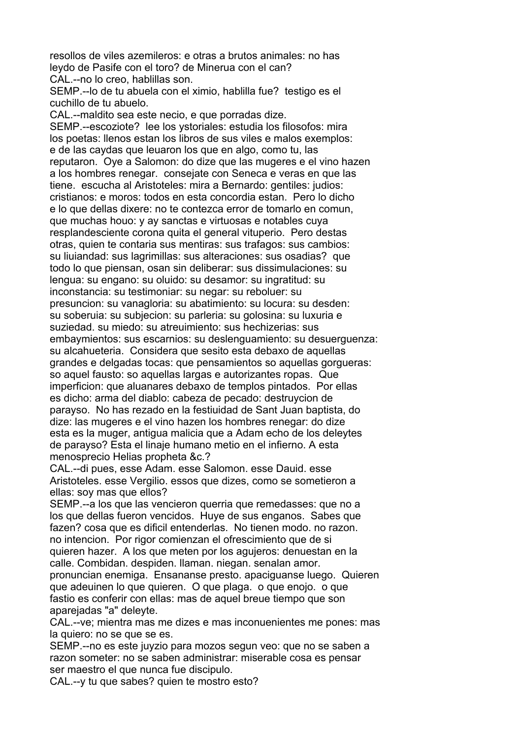resollos de viles azemileros: e otras a brutos animales: no has leydo de Pasife con el toro? de Minerua con el can? CAL.--no lo creo, hablillas son.

SEMP.--lo de tu abuela con el ximio, hablilla fue? testigo es el cuchillo de tu abuelo.

CAL.--maldito sea este necio, e que porradas dize. SEMP.--escoziote? lee los ystoriales: estudia los filosofos: mira los poetas: llenos estan los libros de sus viles e malos exemplos: e de las caydas que leuaron los que en algo, como tu, las reputaron. Oye a Salomon: do dize que las mugeres e el vino hazen a los hombres renegar. consejate con Seneca e veras en que las tiene. escucha al Aristoteles: mira a Bernardo: gentiles: judios: cristianos: e moros: todos en esta concordia estan. Pero lo dicho e lo que dellas dixere: no te contezca error de tomarlo en comun, que muchas houo: y ay sanctas e virtuosas e notables cuya resplandesciente corona quita el general vituperio. Pero destas otras, quien te contaria sus mentiras: sus trafagos: sus cambios: su liuiandad: sus lagrimillas: sus alteraciones: sus osadias? que todo lo que piensan, osan sin deliberar: sus dissimulaciones: su lengua: su engano: su oluido: su desamor: su ingratitud: su inconstancia: su testimoniar: su negar: su reboluer: su

presuncion: su vanagloria: su abatimiento: su locura: su desden: su soberuia: su subjecion: su parleria: su golosina: su luxuria e suziedad. su miedo: su atreuimiento: sus hechizerias: sus embaymientos: sus escarnios: su deslenguamiento: su desuerguenza: su alcahueteria. Considera que sesito esta debaxo de aquellas grandes e delgadas tocas: que pensamientos so aquellas gorgueras: so aquel fausto: so aquellas largas e autorizantes ropas. Que imperficion: que aluanares debaxo de templos pintados. Por ellas es dicho: arma del diablo: cabeza de pecado: destruycion de parayso. No has rezado en la festiuidad de Sant Juan baptista, do dize: las mugeres e el vino hazen los hombres renegar: do dize esta es la muger, antigua malicia que a Adam echo de los deleytes de parayso? Esta el linaje humano metio en el infierno. A esta menosprecio Helias propheta &c.?

CAL.--di pues, esse Adam. esse Salomon. esse Dauid. esse Aristoteles. esse Vergilio. essos que dizes, como se sometieron a ellas: soy mas que ellos?

SEMP.--a los que las vencieron querria que remedasses: que no a los que dellas fueron vencidos. Huye de sus enganos. Sabes que fazen? cosa que es dificil entenderlas. No tienen modo. no razon. no intencion. Por rigor comienzan el ofrescimiento que de si quieren hazer. A los que meten por los agujeros: denuestan en la calle. Combidan. despiden. llaman. niegan. senalan amor. pronuncian enemiga. Ensananse presto. apaciguanse luego. Quieren que adeuinen lo que quieren. O que plaga. o que enojo. o que fastio es conferir con ellas: mas de aquel breue tiempo que son aparejadas "a" deleyte.

CAL.--ve; mientra mas me dizes e mas inconuenientes me pones: mas la quiero: no se que se es.

SEMP.--no es este juyzio para mozos segun veo: que no se saben a razon someter: no se saben administrar: miserable cosa es pensar ser maestro el que nunca fue discipulo.

CAL.--y tu que sabes? quien te mostro esto?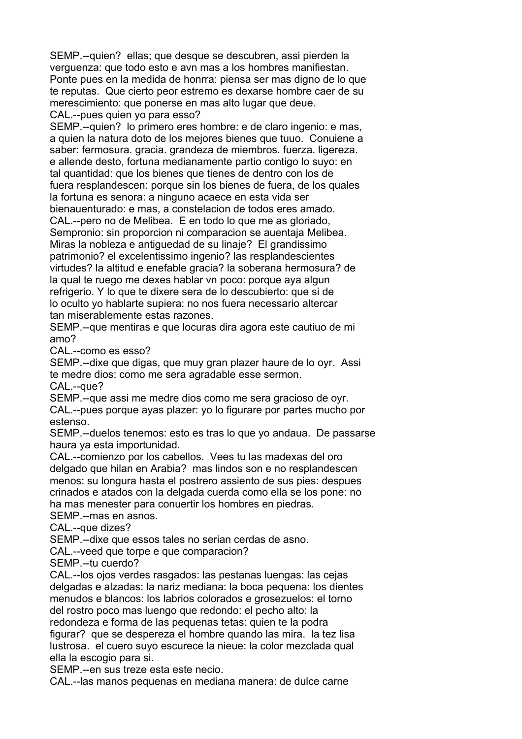SEMP.--quien? ellas; que desque se descubren, assi pierden la verguenza: que todo esto e avn mas a los hombres manifiestan. Ponte pues en la medida de honrra: piensa ser mas digno de lo que te reputas. Que cierto peor estremo es dexarse hombre caer de su merescimiento: que ponerse en mas alto lugar que deue. CAL.--pues quien yo para esso?

SEMP.--quien? lo primero eres hombre: e de claro ingenio: e mas, a quien la natura doto de los mejores bienes que tuuo. Conuiene a saber: fermosura. gracia. grandeza de miembros. fuerza. ligereza. e allende desto, fortuna medianamente partio contigo lo suyo: en tal quantidad: que los bienes que tienes de dentro con los de fuera resplandescen: porque sin los bienes de fuera, de los quales la fortuna es senora: a ninguno acaece en esta vida ser bienauenturado: e mas, a constelacion de todos eres amado. CAL.--pero no de Melibea. E en todo lo que me as gloriado, Sempronio: sin proporcion ni comparacion se auentaja Melibea. Miras la nobleza e antiguedad de su linaje? El grandissimo patrimonio? el excelentissimo ingenio? las resplandescientes virtudes? la altitud e enefable gracia? la soberana hermosura? de la qual te ruego me dexes hablar vn poco: porque aya algun refrigerio. Y lo que te dixere sera de lo descubierto: que si de lo oculto yo hablarte supiera: no nos fuera necessario altercar tan miserablemente estas razones.

SEMP.--que mentiras e que locuras dira agora este cautiuo de mi amo?

CAL.--como es esso?

SEMP.--dixe que digas, que muy gran plazer haure de lo oyr. Assi te medre dios: como me sera agradable esse sermon. CAL.--que?

SEMP.--que assi me medre dios como me sera gracioso de oyr. CAL.--pues porque ayas plazer: yo lo figurare por partes mucho por estenso.

SEMP.--duelos tenemos: esto es tras lo que yo andaua. De passarse haura ya esta importunidad.

CAL.--comienzo por los cabellos. Vees tu las madexas del oro delgado que hilan en Arabia? mas lindos son e no resplandescen menos: su longura hasta el postrero assiento de sus pies: despues crinados e atados con la delgada cuerda como ella se los pone: no ha mas menester para conuertir los hombres en piedras. SEMP.--mas en asnos.

CAL.--que dizes?

SEMP.--dixe que essos tales no serian cerdas de asno.

CAL.--veed que torpe e que comparacion?

SEMP.--tu cuerdo?

CAL.--los ojos verdes rasgados: las pestanas luengas: las cejas delgadas e alzadas: la nariz mediana: la boca pequena: los dientes menudos e blancos: los labrios colorados e grosezuelos: el torno del rostro poco mas luengo que redondo: el pecho alto: la redondeza e forma de las pequenas tetas: quien te la podra figurar? que se despereza el hombre quando las mira. la tez lisa lustrosa. el cuero suyo escurece la nieue: la color mezclada qual ella la escogio para si.

SEMP.--en sus treze esta este necio.

CAL.--las manos pequenas en mediana manera: de dulce carne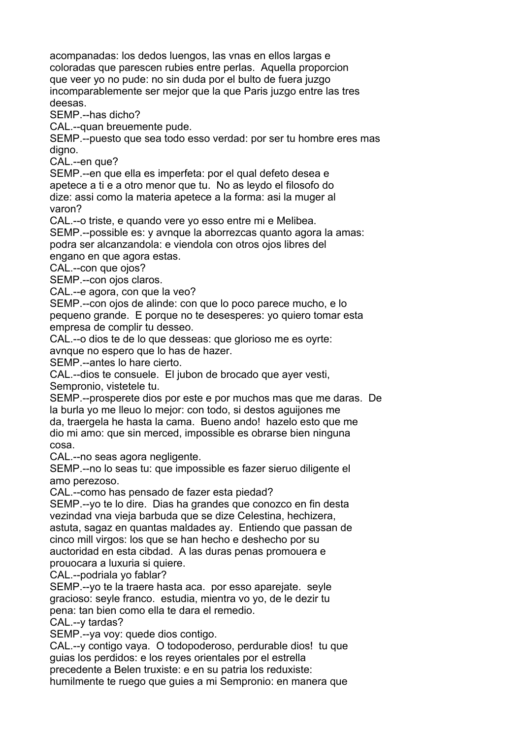acompanadas: los dedos luengos, las vnas en ellos largas e coloradas que parescen rubies entre perlas. Aquella proporcion que veer yo no pude: no sin duda por el bulto de fuera juzgo incomparablemente ser mejor que la que Paris juzgo entre las tres deesas.

SEMP.--has dicho?

CAL.--quan breuemente pude.

SEMP.--puesto que sea todo esso verdad: por ser tu hombre eres mas digno.

CAL.--en que?

SEMP.--en que ella es imperfeta: por el qual defeto desea e apetece a ti e a otro menor que tu. No as leydo el filosofo do dize: assi como la materia apetece a la forma: asi la muger al varon?

CAL.--o triste, e quando vere yo esso entre mi e Melibea. SEMP.--possible es: y avnque la aborrezcas quanto agora la amas: podra ser alcanzandola: e viendola con otros ojos libres del engano en que agora estas.

CAL.--con que ojos?

SEMP.--con ojos claros.

CAL.--e agora, con que la veo?

SEMP.--con ojos de alinde: con que lo poco parece mucho, e lo pequeno grande. E porque no te desesperes: yo quiero tomar esta empresa de complir tu desseo.

CAL.--o dios te de lo que desseas: que glorioso me es oyrte:

avnque no espero que lo has de hazer.

SEMP.--antes lo hare cierto.

CAL.--dios te consuele. El jubon de brocado que ayer vesti, Sempronio, vistetele tu.

SEMP.--prosperete dios por este e por muchos mas que me daras. De la burla yo me lleuo lo mejor: con todo, si destos aguijones me da, traergela he hasta la cama. Bueno ando! hazelo esto que me dio mi amo: que sin merced, impossible es obrarse bien ninguna cosa.

CAL.--no seas agora negligente.

SEMP.--no lo seas tu: que impossible es fazer sieruo diligente el amo perezoso.

CAL.--como has pensado de fazer esta piedad?

SEMP.--yo te lo dire. Dias ha grandes que conozco en fin desta vezindad vna vieja barbuda que se dize Celestina, hechizera, astuta, sagaz en quantas maldades ay. Entiendo que passan de cinco mill virgos: los que se han hecho e deshecho por su auctoridad en esta cibdad. A las duras penas promouera e prouocara a luxuria si quiere.

CAL.--podriala yo fablar?

SEMP.--yo te la traere hasta aca. por esso aparejate. seyle gracioso: seyle franco. estudia, mientra vo yo, de le dezir tu pena: tan bien como ella te dara el remedio.

CAL.--y tardas?

SEMP.--ya voy: quede dios contigo.

CAL.--y contigo vaya. O todopoderoso, perdurable dios! tu que guias los perdidos: e los reyes orientales por el estrella precedente a Belen truxiste: e en su patria los reduxiste:

humilmente te ruego que guies a mi Sempronio: en manera que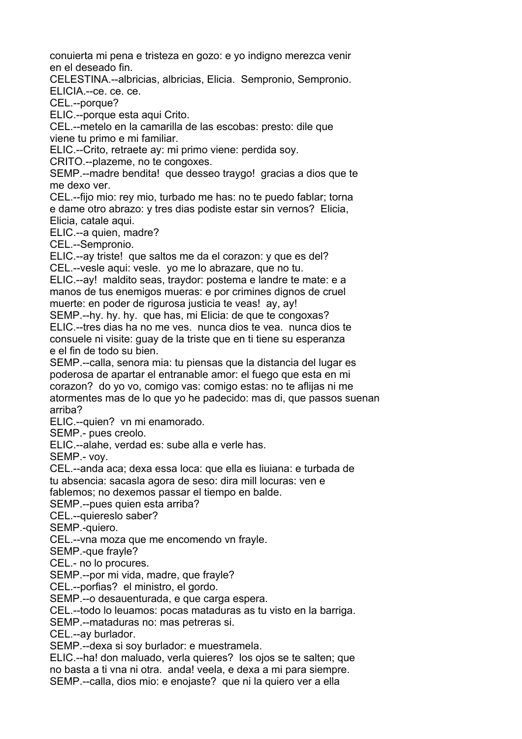conuierta mi pena e tristeza en gozo: e yo indigno merezca venir en el deseado fin.

CELESTINA.--albricias, albricias, Elicia. Sempronio, Sempronio. ELICIA.--ce. ce. ce.

CEL.--porque?

ELIC.--porque esta aqui Crito.

CEL.--metelo en la camarilla de las escobas: presto: dile que viene tu primo e mi familiar.

ELIC.--Crito, retraete ay: mi primo viene: perdida soy.

CRITO.--plazeme, no te congoxes.

SEMP.--madre bendita! que desseo traygo! gracias a dios que te me dexo ver.

CEL.--fijo mio: rey mio, turbado me has: no te puedo fablar; torna e dame otro abrazo: y tres dias podiste estar sin vernos? Elicia, Elicia, catale aqui.

ELIC.--a quien, madre?

CEL.--Sempronio.

ELIC.--ay triste! que saltos me da el corazon: y que es del? CEL.--vesle aqui: vesle. yo me lo abrazare, que no tu.

ELIC.--ay! maldito seas, traydor: postema e landre te mate: e a manos de tus enemigos mueras: e por crimines dignos de cruel muerte: en poder de rigurosa justicia te veas! ay, ay!

SEMP.--hy. hy. hy. que has, mi Elicia: de que te congoxas? ELIC.--tres dias ha no me ves. nunca dios te vea. nunca dios te consuele ni visite: guay de la triste que en ti tiene su esperanza e el fin de todo su bien.

SEMP.--calla, senora mia: tu piensas que la distancia del lugar es poderosa de apartar el entranable amor: el fuego que esta en mi corazon? do yo vo, comigo vas: comigo estas: no te aflijas ni me atormentes mas de lo que yo he padecido: mas di, que passos suenan arriba?

ELIC.--quien? vn mi enamorado.

SEMP.- pues creolo.

ELIC.--alahe, verdad es: sube alla e verle has.

SEMP.- voy.

CEL.--anda aca; dexa essa loca: que ella es liuiana: e turbada de tu absencia: sacasla agora de seso: dira mill locuras: ven e

fablemos; no dexemos passar el tiempo en balde.

SEMP.--pues quien esta arriba?

CEL.--quiereslo saber?

SEMP.-quiero.

CEL.--vna moza que me encomendo vn frayle.

SEMP.-que frayle?

CEL.- no lo procures.

SEMP.--por mi vida, madre, que frayle?

CEL.--porfias? el ministro, el gordo.

SEMP.--o desauenturada, e que carga espera.

CEL.--todo lo leuamos: pocas mataduras as tu visto en la barriga.

SEMP.--mataduras no: mas petreras si.

CEL.--ay burlador.

SEMP.--dexa si soy burlador: e muestramela.

ELIC.--ha! don maluado, verla quieres? los ojos se te salten; que no basta a ti vna ni otra. anda! veela, e dexa a mi para siempre.

SEMP.--calla, dios mio: e enojaste? que ni la quiero ver a ella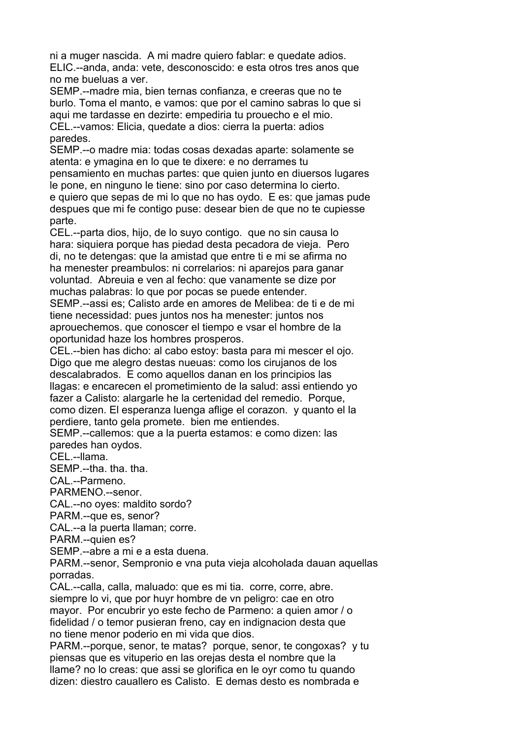ni a muger nascida. A mi madre quiero fablar: e quedate adios. ELIC.--anda, anda: vete, desconoscido: e esta otros tres anos que no me bueluas a ver.

SEMP.--madre mia, bien ternas confianza, e creeras que no te burlo. Toma el manto, e vamos: que por el camino sabras lo que si aqui me tardasse en dezirte: empediria tu prouecho e el mio. CEL.--vamos: Elicia, quedate a dios: cierra la puerta: adios paredes.

SEMP.--o madre mia: todas cosas dexadas aparte: solamente se atenta: e ymagina en lo que te dixere: e no derrames tu pensamiento en muchas partes: que quien junto en diuersos lugares le pone, en ninguno le tiene: sino por caso determina lo cierto. e quiero que sepas de mi lo que no has oydo. E es: que jamas pude despues que mi fe contigo puse: desear bien de que no te cupiesse parte.

CEL.--parta dios, hijo, de lo suyo contigo. que no sin causa lo hara: siquiera porque has piedad desta pecadora de vieja. Pero di, no te detengas: que la amistad que entre ti e mi se afirma no ha menester preambulos: ni correlarios: ni aparejos para ganar voluntad. Abreuia e ven al fecho: que vanamente se dize por muchas palabras: lo que por pocas se puede entender.

SEMP.--assi es; Calisto arde en amores de Melibea: de ti e de mi tiene necessidad: pues juntos nos ha menester: juntos nos aprouechemos. que conoscer el tiempo e vsar el hombre de la oportunidad haze los hombres prosperos.

CEL.--bien has dicho: al cabo estoy: basta para mi mescer el ojo. Digo que me alegro destas nueuas: como los cirujanos de los descalabrados. E como aquellos danan en los principios las llagas: e encarecen el prometimiento de la salud: assi entiendo yo fazer a Calisto: alargarle he la certenidad del remedio. Porque, como dizen. El esperanza luenga aflige el corazon. y quanto el la perdiere, tanto gela promete. bien me entiendes.

SEMP.--callemos: que a la puerta estamos: e como dizen: las paredes han oydos.

CEL.--llama.

SEMP.--tha. tha. tha.

CAL.--Parmeno.

PARMENO.--senor.

CAL.--no oyes: maldito sordo?

PARM.--que es, senor?

CAL.--a la puerta llaman; corre.

PARM.--quien es?

SEMP.--abre a mi e a esta duena.

PARM.--senor, Sempronio e vna puta vieja alcoholada dauan aquellas porradas.

CAL.--calla, calla, maluado: que es mi tia. corre, corre, abre. siempre lo vi, que por huyr hombre de vn peligro: cae en otro mayor. Por encubrir yo este fecho de Parmeno: a quien amor / o fidelidad / o temor pusieran freno, cay en indignacion desta que no tiene menor poderio en mi vida que dios.

PARM.--porque, senor, te matas? porque, senor, te congoxas? y tu piensas que es vituperio en las orejas desta el nombre que la llame? no lo creas: que assi se glorifica en le oyr como tu quando dizen: diestro cauallero es Calisto. E demas desto es nombrada e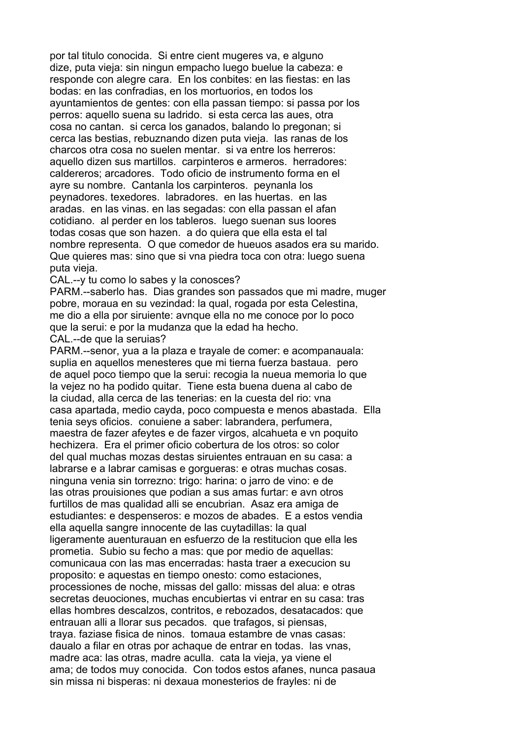por tal titulo conocida. Si entre cient mugeres va, e alguno dize, puta vieja: sin ningun empacho luego buelue la cabeza: e responde con alegre cara. En los conbites: en las fiestas: en las bodas: en las confradias, en los mortuorios, en todos los ayuntamientos de gentes: con ella passan tiempo: si passa por los perros: aquello suena su ladrido. si esta cerca las aues, otra cosa no cantan. si cerca los ganados, balando lo pregonan; si cerca las bestias, rebuznando dizen puta vieja. las ranas de los charcos otra cosa no suelen mentar. si va entre los herreros: aquello dizen sus martillos. carpinteros e armeros. herradores: caldereros; arcadores. Todo oficio de instrumento forma en el ayre su nombre. Cantanla los carpinteros. peynanla los peynadores. texedores. labradores. en las huertas. en las aradas. en las vinas. en las segadas: con ella passan el afan cotidiano. al perder en los tableros. luego suenan sus loores todas cosas que son hazen. a do quiera que ella esta el tal nombre representa. O que comedor de hueuos asados era su marido. Que quieres mas: sino que si vna piedra toca con otra: luego suena puta vieja.

CAL.--y tu como lo sabes y la conosces?

PARM.--saberlo has. Dias grandes son passados que mi madre, muger pobre, moraua en su vezindad: la qual, rogada por esta Celestina, me dio a ella por siruiente: avnque ella no me conoce por lo poco que la serui: e por la mudanza que la edad ha hecho.

CAL.--de que la seruias?

PARM.--senor, yua a la plaza e trayale de comer: e acompanauala: suplia en aquellos menesteres que mi tierna fuerza bastaua. pero de aquel poco tiempo que la serui: recogia la nueua memoria lo que la vejez no ha podido quitar. Tiene esta buena duena al cabo de la ciudad, alla cerca de las tenerias: en la cuesta del rio: vna casa apartada, medio cayda, poco compuesta e menos abastada. Ella tenia seys oficios. conuiene a saber: labrandera, perfumera, maestra de fazer afeytes e de fazer virgos, alcahueta e vn poquito hechizera. Era el primer oficio cobertura de los otros: so color del qual muchas mozas destas siruientes entrauan en su casa: a labrarse e a labrar camisas e gorgueras: e otras muchas cosas. ninguna venia sin torrezno: trigo: harina: o jarro de vino: e de las otras prouisiones que podian a sus amas furtar: e avn otros furtillos de mas qualidad alli se encubrian. Asaz era amiga de estudiantes: e despenseros: e mozos de abades. E a estos vendia ella aquella sangre innocente de las cuytadillas: la qual ligeramente auenturauan en esfuerzo de la restitucion que ella les prometia. Subio su fecho a mas: que por medio de aquellas: comunicaua con las mas encerradas: hasta traer a execucion su proposito: e aquestas en tiempo onesto: como estaciones, processiones de noche, missas del gallo: missas del alua: e otras secretas deuociones, muchas encubiertas vi entrar en su casa: tras ellas hombres descalzos, contritos, e rebozados, desatacados: que entrauan alli a llorar sus pecados. que trafagos, si piensas, traya. faziase fisica de ninos. tomaua estambre de vnas casas: daualo a filar en otras por achaque de entrar en todas. las vnas, madre aca: las otras, madre aculla. cata la vieja, ya viene el ama; de todos muy conocida. Con todos estos afanes, nunca pasaua sin missa ni bisperas: ni dexaua monesterios de frayles: ni de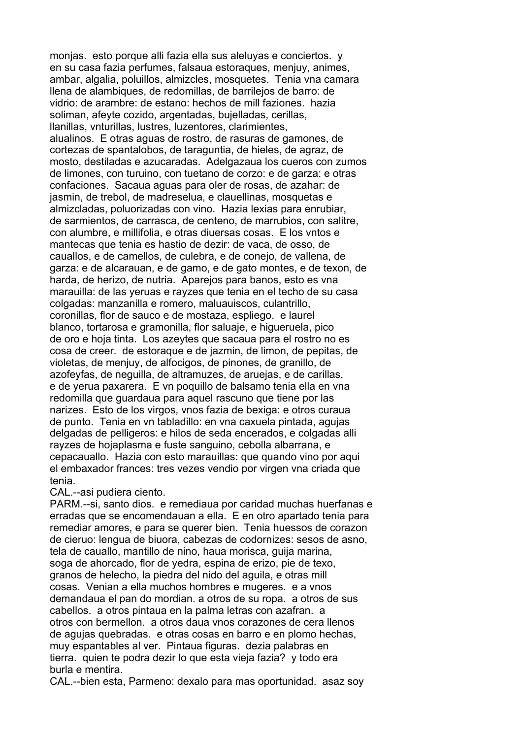monjas. esto porque alli fazia ella sus aleluyas e conciertos. y en su casa fazia perfumes, falsaua estoraques, menjuy, animes, ambar, algalia, poluillos, almizcles, mosquetes. Tenia vna camara llena de alambiques, de redomillas, de barrilejos de barro: de vidrio: de arambre: de estano: hechos de mill faziones. hazia soliman, afeyte cozido, argentadas, bujelladas, cerillas, llanillas, vnturillas, lustres, luzentores, clarimientes, alualinos. E otras aguas de rostro, de rasuras de gamones, de cortezas de spantalobos, de taraguntia, de hieles, de agraz, de mosto, destiladas e azucaradas. Adelgazaua los cueros con zumos de limones, con turuino, con tuetano de corzo: e de garza: e otras confaciones. Sacaua aguas para oler de rosas, de azahar: de jasmin, de trebol, de madreselua, e clauellinas, mosquetas e almizcladas, poluorizadas con vino. Hazia lexias para enrubiar, de sarmientos, de carrasca, de centeno, de marrubios, con salitre, con alumbre, e millifolia, e otras diuersas cosas. E los vntos e mantecas que tenia es hastio de dezir: de vaca, de osso, de cauallos, e de camellos, de culebra, e de conejo, de vallena, de garza: e de alcarauan, e de gamo, e de gato montes, e de texon, de harda, de herizo, de nutria. Aparejos para banos, esto es vna marauilla: de las yeruas e rayzes que tenia en el techo de su casa colgadas: manzanilla e romero, maluauiscos, culantrillo, coronillas, flor de sauco e de mostaza, espliego. e laurel blanco, tortarosa e gramonilla, flor saluaje, e higueruela, pico de oro e hoja tinta. Los azeytes que sacaua para el rostro no es cosa de creer. de estoraque e de jazmin, de limon, de pepitas, de violetas, de menjuy, de alfocigos, de pinones, de granillo, de azofeyfas, de neguilla, de altramuzes, de aruejas, e de carillas, e de yerua paxarera. E vn poquillo de balsamo tenia ella en vna redomilla que guardaua para aquel rascuno que tiene por las narizes. Esto de los virgos, vnos fazia de bexiga: e otros curaua de punto. Tenia en vn tabladillo: en vna caxuela pintada, agujas delgadas de pelligeros: e hilos de seda encerados, e colgadas alli rayzes de hojaplasma e fuste sanguino, cebolla albarrana, e cepacauallo. Hazia con esto marauillas: que quando vino por aqui el embaxador frances: tres vezes vendio por virgen vna criada que tenia.

CAL.--asi pudiera ciento.

PARM.--si, santo dios. e remediaua por caridad muchas huerfanas e erradas que se encomendauan a ella. E en otro apartado tenia para remediar amores, e para se querer bien. Tenia huessos de corazon de cieruo: lengua de biuora, cabezas de codornizes: sesos de asno, tela de cauallo, mantillo de nino, haua morisca, guija marina, soga de ahorcado, flor de yedra, espina de erizo, pie de texo, granos de helecho, la piedra del nido del aguila, e otras mill cosas. Venian a ella muchos hombres e mugeres. e a vnos demandaua el pan do mordian. a otros de su ropa. a otros de sus cabellos. a otros pintaua en la palma letras con azafran. a otros con bermellon. a otros daua vnos corazones de cera llenos de agujas quebradas. e otras cosas en barro e en plomo hechas, muy espantables al ver. Pintaua figuras. dezia palabras en tierra. quien te podra dezir lo que esta vieja fazia? y todo era burla e mentira.

CAL.--bien esta, Parmeno: dexalo para mas oportunidad. asaz soy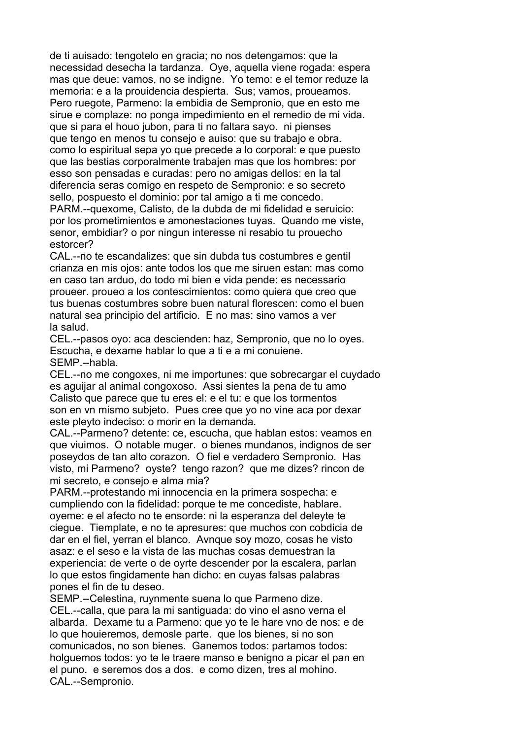de ti auisado: tengotelo en gracia; no nos detengamos: que la necessidad desecha la tardanza. Oye, aquella viene rogada: espera mas que deue: vamos, no se indigne. Yo temo: e el temor reduze la memoria: e a la prouidencia despierta. Sus; vamos, proueamos. Pero ruegote, Parmeno: la embidia de Sempronio, que en esto me sirue e complaze: no ponga impedimiento en el remedio de mi vida. que si para el houo jubon, para ti no faltara sayo. ni pienses que tengo en menos tu consejo e auiso: que su trabajo e obra. como lo espiritual sepa yo que precede a lo corporal: e que puesto que las bestias corporalmente trabajen mas que los hombres: por esso son pensadas e curadas: pero no amigas dellos: en la tal diferencia seras comigo en respeto de Sempronio: e so secreto sello, pospuesto el dominio: por tal amigo a ti me concedo. PARM.--quexome, Calisto, de la dubda de mi fidelidad e seruicio: por los prometimientos e amonestaciones tuyas. Quando me viste, senor, embidiar? o por ningun interesse ni resabio tu prouecho estorcer?

CAL.--no te escandalizes: que sin dubda tus costumbres e gentil crianza en mis ojos: ante todos los que me siruen estan: mas como en caso tan arduo, do todo mi bien e vida pende: es necessario proueer. proueo a los contescimientos: como quiera que creo que tus buenas costumbres sobre buen natural florescen: como el buen natural sea principio del artificio. E no mas: sino vamos a ver la salud.

CEL.--pasos oyo: aca descienden: haz, Sempronio, que no lo oyes. Escucha, e dexame hablar lo que a ti e a mi conuiene. SEMP.--habla.

CEL.--no me congoxes, ni me importunes: que sobrecargar el cuydado es aguijar al animal congoxoso. Assi sientes la pena de tu amo Calisto que parece que tu eres el: e el tu: e que los tormentos son en vn mismo subjeto. Pues cree que yo no vine aca por dexar este pleyto indeciso: o morir en la demanda.

CAL.--Parmeno? detente: ce, escucha, que hablan estos: veamos en que viuimos. O notable muger. o bienes mundanos, indignos de ser poseydos de tan alto corazon. O fiel e verdadero Sempronio. Has visto, mi Parmeno? oyste? tengo razon? que me dizes? rincon de mi secreto, e consejo e alma mia?

PARM.--protestando mi innocencia en la primera sospecha: e cumpliendo con la fidelidad: porque te me concediste, hablare. oyeme: e el afecto no te ensorde: ni la esperanza del deleyte te ciegue. Tiemplate, e no te apresures: que muchos con cobdicia de dar en el fiel, yerran el blanco. Avnque soy mozo, cosas he visto asaz: e el seso e la vista de las muchas cosas demuestran la experiencia: de verte o de oyrte descender por la escalera, parlan lo que estos fingidamente han dicho: en cuyas falsas palabras pones el fin de tu deseo.

SEMP.--Celestina, ruynmente suena lo que Parmeno dize. CEL.--calla, que para la mi santiguada: do vino el asno verna el albarda. Dexame tu a Parmeno: que yo te le hare vno de nos: e de lo que houieremos, demosle parte. que los bienes, si no son comunicados, no son bienes. Ganemos todos: partamos todos: holguemos todos: yo te le traere manso e benigno a picar el pan en el puno. e seremos dos a dos. e como dizen, tres al mohino. CAL.--Sempronio.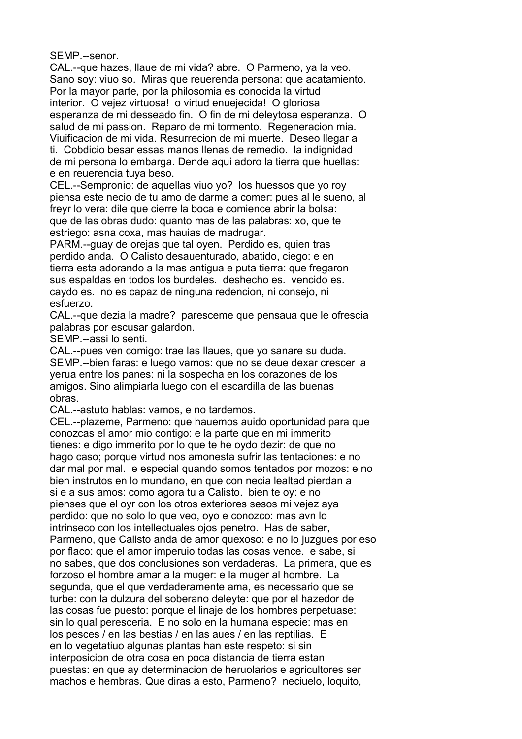SEMP.--senor.

CAL.--que hazes, llaue de mi vida? abre. O Parmeno, ya la veo. Sano soy: viuo so. Miras que reuerenda persona: que acatamiento. Por la mayor parte, por la philosomia es conocida la virtud interior. O vejez virtuosa! o virtud enuejecida! O gloriosa esperanza de mi desseado fin. O fin de mi deleytosa esperanza. O salud de mi passion. Reparo de mi tormento. Regeneracion mia. Viuificacion de mi vida. Resurrecion de mi muerte. Deseo llegar a ti. Cobdicio besar essas manos llenas de remedio. la indignidad de mi persona lo embarga. Dende aqui adoro la tierra que huellas: e en reuerencia tuya beso.

CEL.--Sempronio: de aquellas viuo yo? los huessos que yo roy piensa este necio de tu amo de darme a comer: pues al le sueno, al freyr lo vera: dile que cierre la boca e comience abrir la bolsa: que de las obras dudo: quanto mas de las palabras: xo, que te estriego: asna coxa, mas hauias de madrugar.

PARM.--guay de orejas que tal oyen. Perdido es, quien tras perdido anda. O Calisto desauenturado, abatido, ciego: e en tierra esta adorando a la mas antigua e puta tierra: que fregaron sus espaldas en todos los burdeles. deshecho es. vencido es. caydo es. no es capaz de ninguna redencion, ni consejo, ni esfuerzo.

CAL.--que dezia la madre? paresceme que pensaua que le ofrescia palabras por escusar galardon.

SEMP.--assi lo senti.

CAL.--pues ven comigo: trae las llaues, que yo sanare su duda. SEMP.--bien faras: e luego vamos: que no se deue dexar crescer la yerua entre los panes: ni la sospecha en los corazones de los amigos. Sino alimpiarla luego con el escardilla de las buenas obras.

CAL.--astuto hablas: vamos, e no tardemos.

CEL.--plazeme, Parmeno: que hauemos auido oportunidad para que conozcas el amor mio contigo: e la parte que en mi immerito tienes: e digo immerito por lo que te he oydo dezir: de que no hago caso; porque virtud nos amonesta sufrir las tentaciones: e no dar mal por mal. e especial quando somos tentados por mozos: e no bien instrutos en lo mundano, en que con necia lealtad pierdan a si e a sus amos: como agora tu a Calisto. bien te oy: e no pienses que el oyr con los otros exteriores sesos mi vejez aya perdido: que no solo lo que veo, oyo e conozco: mas avn lo intrinseco con los intellectuales ojos penetro. Has de saber, Parmeno, que Calisto anda de amor quexoso: e no lo juzgues por eso por flaco: que el amor imperuio todas las cosas vence. e sabe, si no sabes, que dos conclusiones son verdaderas. La primera, que es forzoso el hombre amar a la muger: e la muger al hombre. La segunda, que el que verdaderamente ama, es necessario que se turbe: con la dulzura del soberano deleyte: que por el hazedor de las cosas fue puesto: porque el linaje de los hombres perpetuase: sin lo qual peresceria. E no solo en la humana especie: mas en los pesces / en las bestias / en las aues / en las reptilias. E en lo vegetatiuo algunas plantas han este respeto: si sin interposicion de otra cosa en poca distancia de tierra estan puestas: en que ay determinacion de heruolarios e agricultores ser machos e hembras. Que diras a esto, Parmeno? neciuelo, loquito,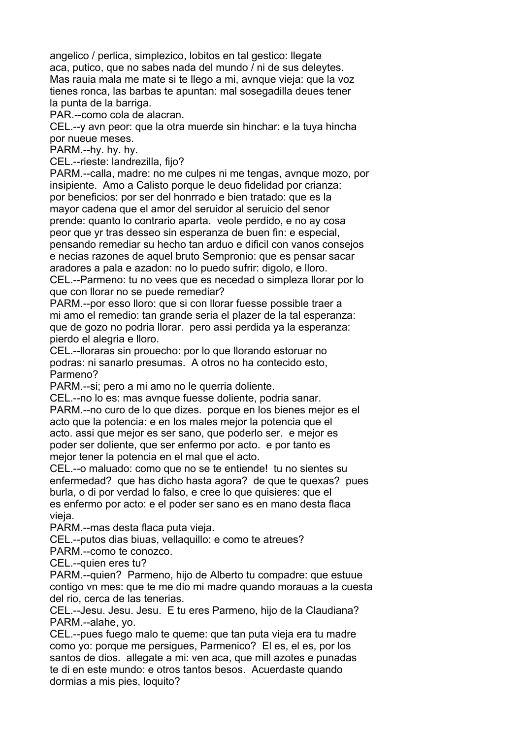angelico / perlica, simplezico, lobitos en tal gestico: llegate aca, putico, que no sabes nada del mundo / ni de sus deleytes. Mas rauia mala me mate si te llego a mi, avnque vieja: que la voz tienes ronca, las barbas te apuntan: mal sosegadilla deues tener la punta de la barriga.

PAR.--como cola de alacran.

CEL.--y avn peor: que la otra muerde sin hinchar: e la tuya hincha por nueue meses.

PARM.--hy. hy. hy.

CEL.--rieste: landrezilla, fijo?

PARM.--calla, madre: no me culpes ni me tengas, avnque mozo, por insipiente. Amo a Calisto porque le deuo fidelidad por crianza: por beneficios: por ser del honrrado e bien tratado: que es la mayor cadena que el amor del seruidor al seruicio del senor prende: quanto lo contrario aparta. veole perdido, e no ay cosa peor que yr tras desseo sin esperanza de buen fin: e especial, pensando remediar su hecho tan arduo e dificil con vanos consejos e necias razones de aquel bruto Sempronio: que es pensar sacar aradores a pala e azadon: no lo puedo sufrir: digolo, e lloro. CEL.--Parmeno: tu no vees que es necedad o simpleza llorar por lo que con llorar no se puede remediar?

PARM.--por esso lloro: que si con llorar fuesse possible traer a mi amo el remedio: tan grande seria el plazer de la tal esperanza: que de gozo no podria llorar. pero assi perdida ya la esperanza: pierdo el alegria e lloro.

CEL.--lloraras sin prouecho: por lo que llorando estoruar no podras: ni sanarlo presumas. A otros no ha contecido esto, Parmeno?

PARM.--si; pero a mi amo no le querria doliente.

CEL.--no lo es: mas avnque fuesse doliente, podria sanar.

PARM.--no curo de lo que dizes. porque en los bienes mejor es el acto que la potencia: e en los males mejor la potencia que el acto. assi que mejor es ser sano, que poderlo ser. e mejor es poder ser doliente, que ser enfermo por acto. e por tanto es mejor tener la potencia en el mal que el acto.

CEL.--o maluado: como que no se te entiende! tu no sientes su enfermedad? que has dicho hasta agora? de que te quexas? pues burla, o di por verdad lo falso, e cree lo que quisieres: que el es enfermo por acto: e el poder ser sano es en mano desta flaca vieja.

PARM.--mas desta flaca puta vieja.

CEL.--putos dias biuas, vellaquillo: e como te atreues?

PARM.--como te conozco.

CEL.--quien eres tu?

PARM.--quien? Parmeno, hijo de Alberto tu compadre: que estuue contigo vn mes: que te me dio mi madre quando morauas a la cuesta del rio, cerca de las tenerias.

CEL.--Jesu. Jesu. Jesu. E tu eres Parmeno, hijo de la Claudiana? PARM.--alahe, yo.

CEL.--pues fuego malo te queme: que tan puta vieja era tu madre como yo: porque me persigues, Parmenico? El es, el es, por los santos de dios. allegate a mi: ven aca, que mill azotes e punadas te di en este mundo: e otros tantos besos. Acuerdaste quando dormias a mis pies, loquito?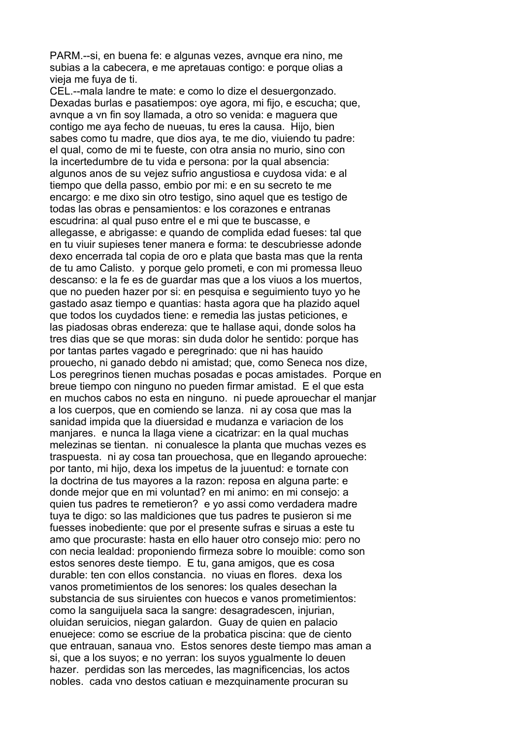PARM.--si, en buena fe: e algunas vezes, avnque era nino, me subias a la cabecera, e me apretauas contigo: e porque olias a vieja me fuya de ti.

CEL.--mala landre te mate: e como lo dize el desuergonzado. Dexadas burlas e pasatiempos: oye agora, mi fijo, e escucha; que, avnque a vn fin soy llamada, a otro so venida: e maguera que contigo me aya fecho de nueuas, tu eres la causa. Hijo, bien sabes como tu madre, que dios aya, te me dio, viuiendo tu padre: el qual, como de mi te fueste, con otra ansia no murio, sino con la incertedumbre de tu vida e persona: por la qual absencia: algunos anos de su vejez sufrio angustiosa e cuydosa vida: e al tiempo que della passo, embio por mi: e en su secreto te me encargo: e me dixo sin otro testigo, sino aquel que es testigo de todas las obras e pensamientos: e los corazones e entranas escudrina: al qual puso entre el e mi que te buscasse, e allegasse, e abrigasse: e quando de complida edad fueses: tal que en tu viuir supieses tener manera e forma: te descubriesse adonde dexo encerrada tal copia de oro e plata que basta mas que la renta de tu amo Calisto. y porque gelo prometi, e con mi promessa lleuo descanso: e la fe es de guardar mas que a los viuos a los muertos, que no pueden hazer por si: en pesquisa e seguimiento tuyo yo he gastado asaz tiempo e quantias: hasta agora que ha plazido aquel que todos los cuydados tiene: e remedia las justas peticiones, e las piadosas obras endereza: que te hallase aqui, donde solos ha tres dias que se que moras: sin duda dolor he sentido: porque has por tantas partes vagado e peregrinado: que ni has hauido prouecho, ni ganado debdo ni amistad; que, como Seneca nos dize, Los peregrinos tienen muchas posadas e pocas amistades. Porque en breue tiempo con ninguno no pueden firmar amistad. E el que esta en muchos cabos no esta en ninguno. ni puede aprouechar el manjar a los cuerpos, que en comiendo se lanza. ni ay cosa que mas la sanidad impida que la diuersidad e mudanza e variacion de los manjares. e nunca la llaga viene a cicatrizar: en la qual muchas melezinas se tientan. ni conualesce la planta que muchas vezes es traspuesta. ni ay cosa tan prouechosa, que en llegando aproueche: por tanto, mi hijo, dexa los impetus de la juuentud: e tornate con la doctrina de tus mayores a la razon: reposa en alguna parte: e donde mejor que en mi voluntad? en mi animo: en mi consejo: a quien tus padres te remetieron? e yo assi como verdadera madre tuya te digo: so las maldiciones que tus padres te pusieron si me fuesses inobediente: que por el presente sufras e siruas a este tu amo que procuraste: hasta en ello hauer otro consejo mio: pero no con necia lealdad: proponiendo firmeza sobre lo mouible: como son estos senores deste tiempo. E tu, gana amigos, que es cosa durable: ten con ellos constancia. no viuas en flores. dexa los vanos prometimientos de los senores: los quales desechan la substancia de sus siruientes con huecos e vanos prometimientos: como la sanguijuela saca la sangre: desagradescen, injurian, oluidan seruicios, niegan galardon. Guay de quien en palacio enuejece: como se escriue de la probatica piscina: que de ciento que entrauan, sanaua vno. Estos senores deste tiempo mas aman a si, que a los suyos; e no yerran: los suyos ygualmente lo deuen hazer. perdidas son las mercedes, las magnificencias, los actos nobles. cada vno destos catiuan e mezquinamente procuran su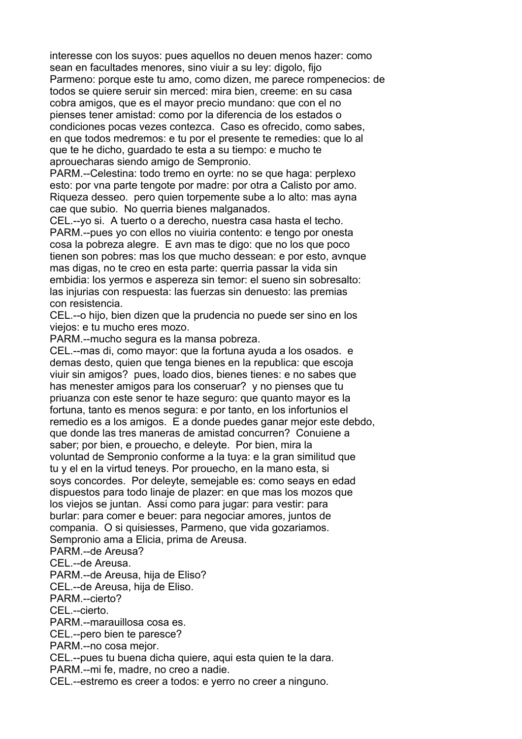interesse con los suyos: pues aquellos no deuen menos hazer: como sean en facultades menores, sino viuir a su ley: digolo, fijo Parmeno: porque este tu amo, como dizen, me parece rompenecios: de todos se quiere seruir sin merced: mira bien, creeme: en su casa cobra amigos, que es el mayor precio mundano: que con el no pienses tener amistad: como por la diferencia de los estados o condiciones pocas vezes contezca. Caso es ofrecido, como sabes, en que todos medremos: e tu por el presente te remedies: que lo al que te he dicho, guardado te esta a su tiempo: e mucho te aprouecharas siendo amigo de Sempronio.

PARM.--Celestina: todo tremo en oyrte: no se que haga: perplexo esto: por vna parte tengote por madre: por otra a Calisto por amo. Riqueza desseo. pero quien torpemente sube a lo alto: mas ayna cae que subio. No querria bienes malganados.

CEL.--yo si. A tuerto o a derecho, nuestra casa hasta el techo. PARM.--pues yo con ellos no viuiria contento: e tengo por onesta cosa la pobreza alegre. E avn mas te digo: que no los que poco tienen son pobres: mas los que mucho dessean: e por esto, avnque mas digas, no te creo en esta parte: querria passar la vida sin embidia: los yermos e aspereza sin temor: el sueno sin sobresalto: las injurias con respuesta: las fuerzas sin denuesto: las premias con resistencia.

CEL.--o hijo, bien dizen que la prudencia no puede ser sino en los viejos: e tu mucho eres mozo.

PARM.--mucho segura es la mansa pobreza.

CEL.--mas di, como mayor: que la fortuna ayuda a los osados. e demas desto, quien que tenga bienes en la republica: que escoja viuir sin amigos? pues, loado dios, bienes tienes: e no sabes que has menester amigos para los conseruar? y no pienses que tu priuanza con este senor te haze seguro: que quanto mayor es la fortuna, tanto es menos segura: e por tanto, en los infortunios el remedio es a los amigos. E a donde puedes ganar mejor este debdo, que donde las tres maneras de amistad concurren? Conuiene a saber; por bien, e prouecho, e deleyte. Por bien, mira la voluntad de Sempronio conforme a la tuya: e la gran similitud que tu y el en la virtud teneys. Por prouecho, en la mano esta, si soys concordes. Por deleyte, semejable es: como seays en edad dispuestos para todo linaje de plazer: en que mas los mozos que los viejos se juntan. Assi como para jugar: para vestir: para burlar: para comer e beuer: para negociar amores, juntos de compania. O si quisiesses, Parmeno, que vida gozariamos. Sempronio ama a Elicia, prima de Areusa. PARM.--de Areusa? CEL.--de Areusa. PARM.--de Areusa, hija de Eliso? CEL.--de Areusa, hija de Eliso. PARM.--cierto? CEL.--cierto. PARM.--marauillosa cosa es. CEL.--pero bien te paresce? PARM.--no cosa mejor. CEL.--pues tu buena dicha quiere, aqui esta quien te la dara. PARM.--mi fe, madre, no creo a nadie. CEL.--estremo es creer a todos: e yerro no creer a ninguno.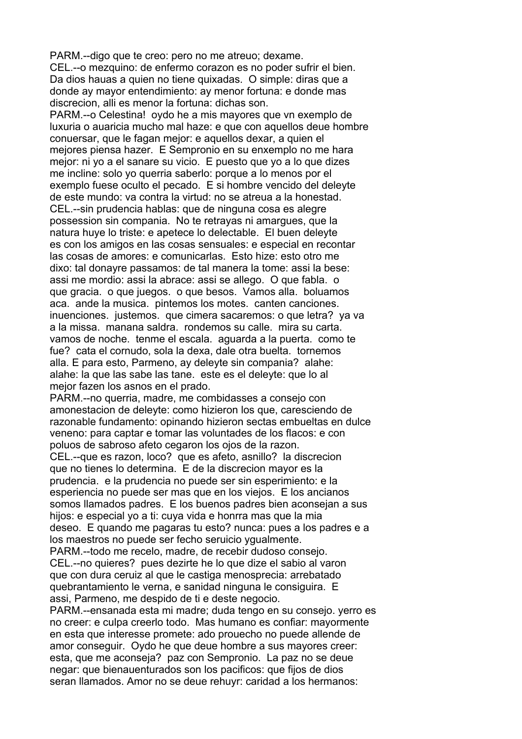PARM.--digo que te creo: pero no me atreuo; dexame. CEL.--o mezquino: de enfermo corazon es no poder sufrir el bien. Da dios hauas a quien no tiene quixadas. O simple: diras que a donde ay mayor entendimiento: ay menor fortuna: e donde mas discrecion, alli es menor la fortuna: dichas son.

PARM.--o Celestina! oydo he a mis mayores que vn exemplo de luxuria o auaricia mucho mal haze: e que con aquellos deue hombre conuersar, que le fagan mejor: e aquellos dexar, a quien el mejores piensa hazer. E Sempronio en su enxemplo no me hara mejor: ni yo a el sanare su vicio. E puesto que yo a lo que dizes me incline: solo yo querria saberlo: porque a lo menos por el exemplo fuese oculto el pecado. E si hombre vencido del deleyte de este mundo: va contra la virtud: no se atreua a la honestad. CEL.--sin prudencia hablas: que de ninguna cosa es alegre possession sin compania. No te retrayas ni amargues, que la natura huye lo triste: e apetece lo delectable. El buen deleyte es con los amigos en las cosas sensuales: e especial en recontar las cosas de amores: e comunicarlas. Esto hize: esto otro me dixo: tal donayre passamos: de tal manera la tome: assi la bese: assi me mordio: assi la abrace: assi se allego. O que fabla. o que gracia. o que juegos. o que besos. Vamos alla. boluamos aca. ande la musica. pintemos los motes. canten canciones. inuenciones. justemos. que cimera sacaremos: o que letra? ya va a la missa. manana saldra. rondemos su calle. mira su carta. vamos de noche. tenme el escala. aguarda a la puerta. como te fue? cata el cornudo, sola la dexa, dale otra buelta. tornemos alla. E para esto, Parmeno, ay deleyte sin compania? alahe: alahe: la que las sabe las tane. este es el deleyte: que lo al mejor fazen los asnos en el prado.

PARM.--no querria, madre, me combidasses a consejo con amonestacion de deleyte: como hizieron los que, caresciendo de razonable fundamento: opinando hizieron sectas embueltas en dulce veneno: para captar e tomar las voluntades de los flacos: e con poluos de sabroso afeto cegaron los ojos de la razon. CEL.--que es razon, loco? que es afeto, asnillo? la discrecion que no tienes lo determina. E de la discrecion mayor es la prudencia. e la prudencia no puede ser sin esperimiento: e la esperiencia no puede ser mas que en los viejos. E los ancianos somos llamados padres. E los buenos padres bien aconsejan a sus hijos: e especial yo a ti: cuya vida e honrra mas que la mia deseo. E quando me pagaras tu esto? nunca: pues a los padres e a los maestros no puede ser fecho seruicio ygualmente. PARM.--todo me recelo, madre, de recebir dudoso consejo.

CEL.--no quieres? pues dezirte he lo que dize el sabio al varon que con dura ceruiz al que le castiga menosprecia: arrebatado quebrantamiento le verna, e sanidad ninguna le consiguira. E assi, Parmeno, me despido de ti e deste negocio.

PARM.--ensanada esta mi madre; duda tengo en su consejo. yerro es no creer: e culpa creerlo todo. Mas humano es confiar: mayormente en esta que interesse promete: ado prouecho no puede allende de amor conseguir. Oydo he que deue hombre a sus mayores creer: esta, que me aconseja? paz con Sempronio. La paz no se deue negar: que bienauenturados son los pacificos: que fijos de dios seran llamados. Amor no se deue rehuyr: caridad a los hermanos: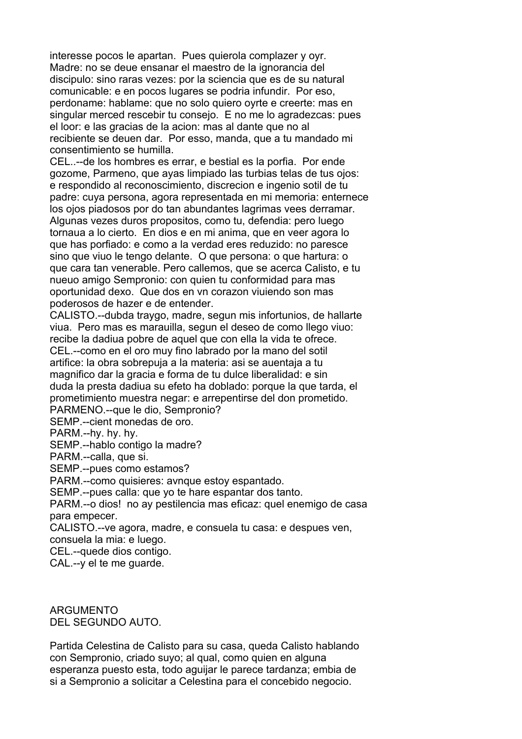interesse pocos le apartan. Pues quierola complazer y oyr. Madre: no se deue ensanar el maestro de la ignorancia del discipulo: sino raras vezes: por la sciencia que es de su natural comunicable: e en pocos lugares se podria infundir. Por eso, perdoname: hablame: que no solo quiero oyrte e creerte: mas en singular merced rescebir tu consejo. E no me lo agradezcas: pues el loor: e las gracias de la acion: mas al dante que no al recibiente se deuen dar. Por esso, manda, que a tu mandado mi consentimiento se humilla.

CEL..--de los hombres es errar, e bestial es la porfia. Por ende gozome, Parmeno, que ayas limpiado las turbias telas de tus ojos: e respondido al reconoscimiento, discrecion e ingenio sotil de tu padre: cuya persona, agora representada en mi memoria: enternece los ojos piadosos por do tan abundantes lagrimas vees derramar. Algunas vezes duros propositos, como tu, defendia: pero luego tornaua a lo cierto. En dios e en mi anima, que en veer agora lo que has porfiado: e como a la verdad eres reduzido: no paresce sino que viuo le tengo delante. O que persona: o que hartura: o que cara tan venerable. Pero callemos, que se acerca Calisto, e tu nueuo amigo Sempronio: con quien tu conformidad para mas oportunidad dexo. Que dos en vn corazon viuiendo son mas poderosos de hazer e de entender.

CALISTO.--dubda traygo, madre, segun mis infortunios, de hallarte viua. Pero mas es marauilla, segun el deseo de como llego viuo: recibe la dadiua pobre de aquel que con ella la vida te ofrece. CEL.--como en el oro muy fino labrado por la mano del sotil artifice: la obra sobrepuja a la materia: asi se auentaja a tu magnifico dar la gracia e forma de tu dulce liberalidad: e sin duda la presta dadiua su efeto ha doblado: porque la que tarda, el prometimiento muestra negar: e arrepentirse del don prometido. PARMENO.--que le dio, Sempronio?

SEMP.--cient monedas de oro.

PARM.--hy. hy. hy.

SEMP.--hablo contigo la madre?

PARM.--calla, que si.

SEMP.--pues como estamos?

PARM.--como quisieres: avnque estoy espantado.

SEMP.--pues calla: que yo te hare espantar dos tanto.

PARM.--o dios! no ay pestilencia mas eficaz: quel enemigo de casa para empecer.

CALISTO.--ve agora, madre, e consuela tu casa: e despues ven,

consuela la mia: e luego.

CEL.--quede dios contigo.

CAL.--y el te me guarde.

ARGUMENTO DEL SEGUNDO AUTO.

Partida Celestina de Calisto para su casa, queda Calisto hablando con Sempronio, criado suyo; al qual, como quien en alguna esperanza puesto esta, todo aguijar le parece tardanza; embia de si a Sempronio a solicitar a Celestina para el concebido negocio.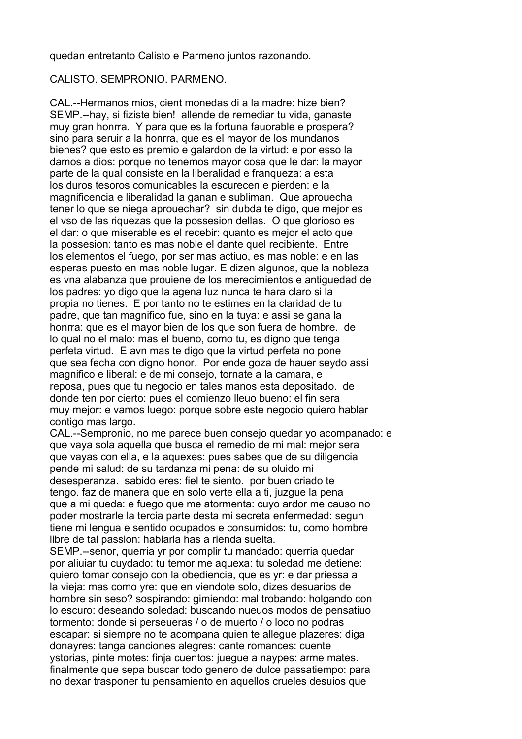quedan entretanto Calisto e Parmeno juntos razonando.

#### CALISTO. SEMPRONIO. PARMENO.

CAL.--Hermanos mios, cient monedas di a la madre: hize bien? SEMP.--hay, si fiziste bien! allende de remediar tu vida, ganaste muy gran honrra. Y para que es la fortuna fauorable e prospera? sino para seruir a la honrra, que es el mayor de los mundanos bienes? que esto es premio e galardon de la virtud: e por esso la damos a dios: porque no tenemos mayor cosa que le dar: la mayor parte de la qual consiste en la liberalidad e franqueza: a esta los duros tesoros comunicables la escurecen e pierden: e la magnificencia e liberalidad la ganan e subliman. Que aprouecha tener lo que se niega aprouechar? sin dubda te digo, que mejor es el vso de las riquezas que la possesion dellas. O que glorioso es el dar: o que miserable es el recebir: quanto es mejor el acto que la possesion: tanto es mas noble el dante quel recibiente. Entre los elementos el fuego, por ser mas actiuo, es mas noble: e en las esperas puesto en mas noble lugar. E dizen algunos, que la nobleza es vna alabanza que prouiene de los merecimientos e antiguedad de los padres: yo digo que la agena luz nunca te hara claro si la propia no tienes. E por tanto no te estimes en la claridad de tu padre, que tan magnifico fue, sino en la tuya: e assi se gana la honrra: que es el mayor bien de los que son fuera de hombre. de lo qual no el malo: mas el bueno, como tu, es digno que tenga perfeta virtud. E avn mas te digo que la virtud perfeta no pone que sea fecha con digno honor. Por ende goza de hauer seydo assi magnifico e liberal: e de mi consejo, tornate a la camara, e reposa, pues que tu negocio en tales manos esta depositado. de donde ten por cierto: pues el comienzo lleuo bueno: el fin sera muy mejor: e vamos luego: porque sobre este negocio quiero hablar contigo mas largo.

CAL.--Sempronio, no me parece buen consejo quedar yo acompanado: e que vaya sola aquella que busca el remedio de mi mal: mejor sera que vayas con ella, e la aquexes: pues sabes que de su diligencia pende mi salud: de su tardanza mi pena: de su oluido mi desesperanza. sabido eres: fiel te siento. por buen criado te tengo. faz de manera que en solo verte ella a ti, juzgue la pena que a mi queda: e fuego que me atormenta: cuyo ardor me causo no poder mostrarle la tercia parte desta mi secreta enfermedad: segun tiene mi lengua e sentido ocupados e consumidos: tu, como hombre libre de tal passion: hablarla has a rienda suelta.

SEMP.--senor, querria yr por complir tu mandado: querria quedar por aliuiar tu cuydado: tu temor me aquexa: tu soledad me detiene: quiero tomar consejo con la obediencia, que es yr: e dar priessa a la vieja: mas como yre: que en viendote solo, dizes desuarios de hombre sin seso? sospirando: gimiendo: mal trobando: holgando con lo escuro: deseando soledad: buscando nueuos modos de pensatiuo tormento: donde si perseueras / o de muerto / o loco no podras escapar: si siempre no te acompana quien te allegue plazeres: diga donayres: tanga canciones alegres: cante romances: cuente ystorias, pinte motes: finja cuentos: juegue a naypes: arme mates. finalmente que sepa buscar todo genero de dulce passatiempo: para no dexar trasponer tu pensamiento en aquellos crueles desuios que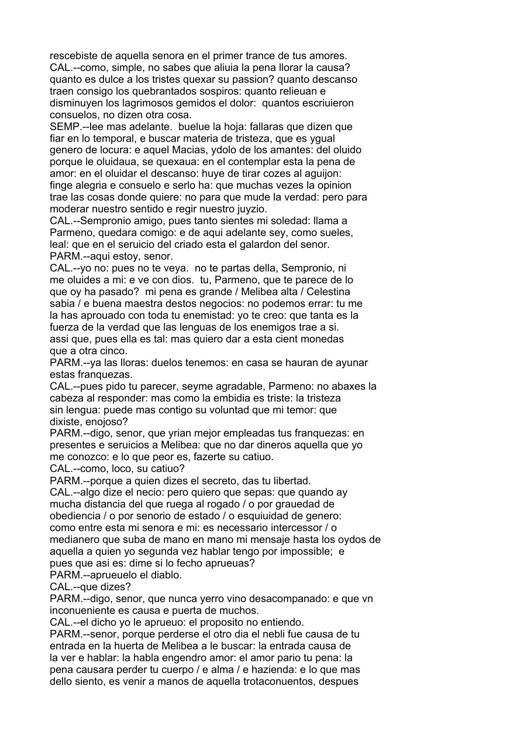rescebiste de aquella senora en el primer trance de tus amores. CAL.--como, simple, no sabes que aliuia la pena llorar la causa? quanto es dulce a los tristes quexar su passion? quanto descanso traen consigo los quebrantados sospiros: quanto relieuan e disminuyen los lagrimosos gemidos el dolor: quantos escriuieron consuelos, no dizen otra cosa.

SEMP.--lee mas adelante. buelue la hoja: fallaras que dizen que fiar en lo temporal, e buscar materia de tristeza, que es ygual genero de locura: e aquel Macias, ydolo de los amantes: del oluido porque le oluidaua, se quexaua: en el contemplar esta la pena de amor: en el oluidar el descanso: huye de tirar cozes al aguijon: finge alegria e consuelo e serlo ha: que muchas vezes la opinion trae las cosas donde quiere: no para que mude la verdad: pero para moderar nuestro sentido e regir nuestro juyzio.

CAL.--Sempronio amigo, pues tanto sientes mi soledad: llama a Parmeno, quedara comigo: e de aqui adelante sey, como sueles, leal: que en el seruicio del criado esta el galardon del senor. PARM.--aqui estoy, senor.

CAL.--yo no: pues no te veya. no te partas della, Sempronio, ni me oluides a mi: e ve con dios. tu, Parmeno, que te parece de lo que oy ha pasado? mi pena es grande / Melibea alta / Celestina sabia / e buena maestra destos negocios: no podemos errar: tu me la has aprouado con toda tu enemistad: yo te creo: que tanta es la fuerza de la verdad que las lenguas de los enemigos trae a si. assi que, pues ella es tal: mas quiero dar a esta cient monedas que a otra cinco.

PARM.--ya las lloras: duelos tenemos: en casa se hauran de ayunar estas franquezas.

CAL.--pues pido tu parecer, seyme agradable, Parmeno: no abaxes la cabeza al responder: mas como la embidia es triste: la tristeza sin lengua: puede mas contigo su voluntad que mi temor: que dixiste, enojoso?

PARM.--digo, senor, que yrian mejor empleadas tus franquezas: en presentes e seruicios a Melibea: que no dar dineros aquella que yo me conozco: e lo que peor es, fazerte su catiuo.

CAL.--como, loco, su catiuo?

PARM.--porque a quien dizes el secreto, das tu libertad.

CAL.--algo dize el necio: pero quiero que sepas: que quando ay mucha distancia del que ruega al rogado / o por grauedad de obediencia / o por senorio de estado / o esquiuidad de genero: como entre esta mi senora e mi: es necessario intercessor / o medianero que suba de mano en mano mi mensaje hasta los oydos de aquella a quien yo segunda vez hablar tengo por impossible; e pues que asi es: dime si lo fecho aprueuas?

PARM.--aprueuelo el diablo.

CAL.--que dizes?

PARM.--digo, senor, que nunca yerro vino desacompanado: e que vn inconueniente es causa e puerta de muchos.

CAL.--el dicho yo le aprueuo: el proposito no entiendo.

PARM.--senor, porque perderse el otro dia el nebli fue causa de tu entrada en la huerta de Melibea a le buscar: la entrada causa de la ver e hablar: la habla engendro amor: el amor pario tu pena: la pena causara perder tu cuerpo / e alma / e hazienda: e lo que mas dello siento, es venir a manos de aquella trotaconuentos, despues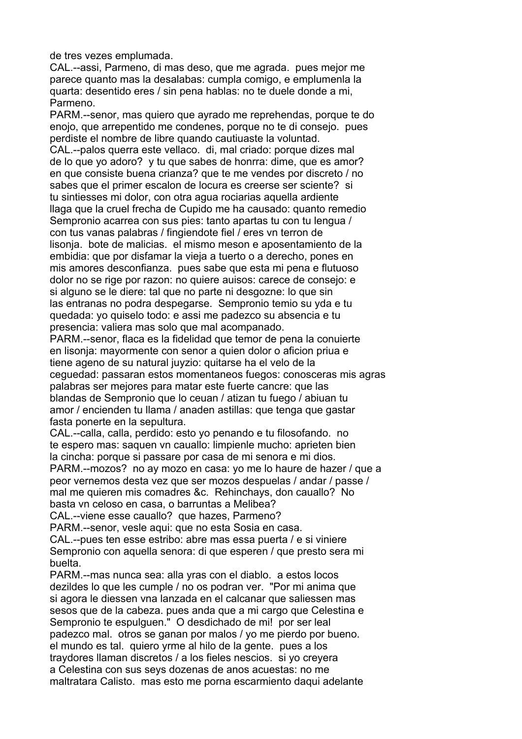de tres vezes emplumada.

CAL.--assi, Parmeno, di mas deso, que me agrada. pues mejor me parece quanto mas la desalabas: cumpla comigo, e emplumenla la quarta: desentido eres / sin pena hablas: no te duele donde a mi, Parmeno.

PARM.--senor, mas quiero que ayrado me reprehendas, porque te do enojo, que arrepentido me condenes, porque no te di consejo. pues perdiste el nombre de libre quando cautiuaste la voluntad. CAL.--palos querra este vellaco. di, mal criado: porque dizes mal de lo que yo adoro? y tu que sabes de honrra: dime, que es amor? en que consiste buena crianza? que te me vendes por discreto / no sabes que el primer escalon de locura es creerse ser sciente? si tu sintiesses mi dolor, con otra agua rociarias aquella ardiente llaga que la cruel frecha de Cupido me ha causado: quanto remedio Sempronio acarrea con sus pies: tanto apartas tu con tu lengua / con tus vanas palabras / fingiendote fiel / eres vn terron de lisonja. bote de malicias. el mismo meson e aposentamiento de la embidia: que por disfamar la vieja a tuerto o a derecho, pones en mis amores desconfianza. pues sabe que esta mi pena e flutuoso dolor no se rige por razon: no quiere auisos: carece de consejo: e si alguno se le diere: tal que no parte ni desgozne: lo que sin las entranas no podra despegarse. Sempronio temio su yda e tu quedada: yo quiselo todo: e assi me padezco su absencia e tu presencia: valiera mas solo que mal acompanado.

PARM.--senor, flaca es la fidelidad que temor de pena la conuierte en lisonja: mayormente con senor a quien dolor o aficion priua e tiene ageno de su natural juyzio: quitarse ha el velo de la ceguedad: passaran estos momentaneos fuegos: conosceras mis agras palabras ser mejores para matar este fuerte cancre: que las blandas de Sempronio que lo ceuan / atizan tu fuego / abiuan tu amor / encienden tu llama / anaden astillas: que tenga que gastar fasta ponerte en la sepultura.

CAL.--calla, calla, perdido: esto yo penando e tu filosofando. no te espero mas: saquen vn cauallo: limpienle mucho: aprieten bien la cincha: porque si passare por casa de mi senora e mi dios. PARM.--mozos? no ay mozo en casa: yo me lo haure de hazer / que a peor vernemos desta vez que ser mozos despuelas / andar / passe / mal me quieren mis comadres &c. Rehinchays, don cauallo? No basta vn celoso en casa, o barruntas a Melibea?

CAL.--viene esse cauallo? que hazes, Parmeno?

PARM.--senor, vesle aqui: que no esta Sosia en casa.

CAL.--pues ten esse estribo: abre mas essa puerta / e si viniere Sempronio con aquella senora: di que esperen / que presto sera mi buelta.

PARM.--mas nunca sea: alla yras con el diablo. a estos locos dezildes lo que les cumple / no os podran ver. "Por mi anima que si agora le diessen vna lanzada en el calcanar que saliessen mas sesos que de la cabeza. pues anda que a mi cargo que Celestina e Sempronio te espulguen." O desdichado de mi! por ser leal padezco mal. otros se ganan por malos / yo me pierdo por bueno. el mundo es tal. quiero yrme al hilo de la gente. pues a los traydores llaman discretos / a los fieles nescios. si yo creyera a Celestina con sus seys dozenas de anos acuestas: no me maltratara Calisto. mas esto me porna escarmiento daqui adelante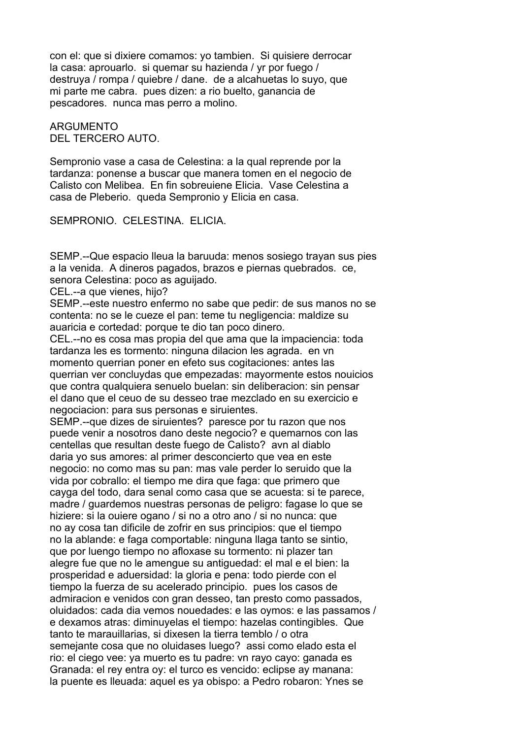con el: que si dixiere comamos: yo tambien. Si quisiere derrocar la casa: aprouarlo. si quemar su hazienda / yr por fuego / destruya / rompa / quiebre / dane. de a alcahuetas lo suyo, que mi parte me cabra. pues dizen: a rio buelto, ganancia de pescadores. nunca mas perro a molino.

ARGUMENTO DEL TERCERO AUTO.

Sempronio vase a casa de Celestina: a la qual reprende por la tardanza: ponense a buscar que manera tomen en el negocio de Calisto con Melibea. En fin sobreuiene Elicia. Vase Celestina a casa de Pleberio. queda Sempronio y Elicia en casa.

SEMPRONIO. CELESTINA. ELICIA.

SEMP.--Que espacio lleua la baruuda: menos sosiego trayan sus pies a la venida. A dineros pagados, brazos e piernas quebrados. ce, senora Celestina: poco as aguijado.

CEL.--a que vienes, hijo?

SEMP.--este nuestro enfermo no sabe que pedir: de sus manos no se contenta: no se le cueze el pan: teme tu negligencia: maldize su auaricia e cortedad: porque te dio tan poco dinero.

CEL.--no es cosa mas propia del que ama que la impaciencia: toda tardanza les es tormento: ninguna dilacion les agrada. en vn momento querrian poner en efeto sus cogitaciones: antes las querrian ver concluydas que empezadas: mayormente estos nouicios que contra qualquiera senuelo buelan: sin deliberacion: sin pensar el dano que el ceuo de su desseo trae mezclado en su exercicio e negociacion: para sus personas e siruientes.

SEMP.--que dizes de siruientes? paresce por tu razon que nos puede venir a nosotros dano deste negocio? e quemarnos con las centellas que resultan deste fuego de Calisto? avn al diablo daria yo sus amores: al primer desconcierto que vea en este negocio: no como mas su pan: mas vale perder lo seruido que la vida por cobrallo: el tiempo me dira que faga: que primero que cayga del todo, dara senal como casa que se acuesta: si te parece, madre / guardemos nuestras personas de peligro: fagase lo que se hiziere: si la ouiere ogano / si no a otro ano / si no nunca: que no ay cosa tan dificile de zofrir en sus principios: que el tiempo no la ablande: e faga comportable: ninguna llaga tanto se sintio, que por luengo tiempo no afloxase su tormento: ni plazer tan alegre fue que no le amengue su antiguedad: el mal e el bien: la prosperidad e aduersidad: la gloria e pena: todo pierde con el tiempo la fuerza de su acelerado principio. pues los casos de admiracion e venidos con gran desseo, tan presto como passados, oluidados: cada dia vemos nouedades: e las oymos: e las passamos / e dexamos atras: diminuyelas el tiempo: hazelas contingibles. Que tanto te marauillarias, si dixesen la tierra temblo / o otra semejante cosa que no oluidases luego? assi como elado esta el rio: el ciego vee: ya muerto es tu padre: vn rayo cayo: ganada es Granada: el rey entra oy: el turco es vencido: eclipse ay manana: la puente es lleuada: aquel es ya obispo: a Pedro robaron: Ynes se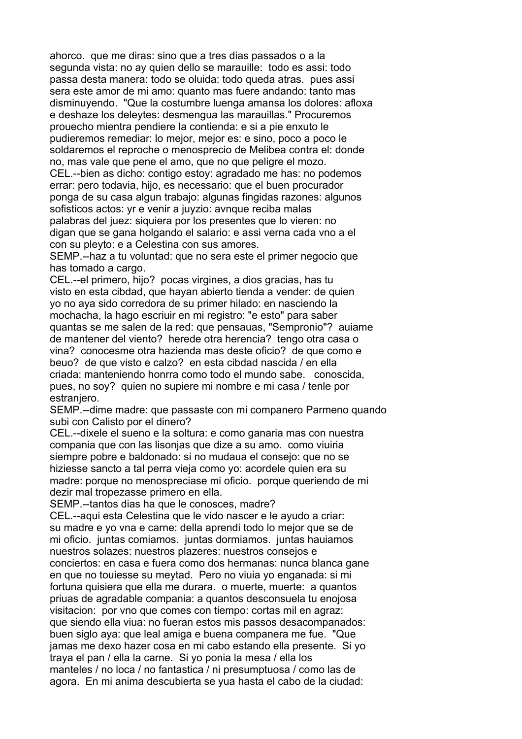ahorco. que me diras: sino que a tres dias passados o a la segunda vista: no ay quien dello se marauille: todo es assi: todo passa desta manera: todo se oluida: todo queda atras. pues assi sera este amor de mi amo: quanto mas fuere andando: tanto mas disminuyendo. "Que la costumbre luenga amansa los dolores: afloxa e deshaze los deleytes: desmengua las marauillas." Procuremos prouecho mientra pendiere la contienda: e si a pie enxuto le pudieremos remediar: lo mejor, mejor es: e sino, poco a poco le soldaremos el reproche o menosprecio de Melibea contra el: donde no, mas vale que pene el amo, que no que peligre el mozo. CEL.--bien as dicho: contigo estoy: agradado me has: no podemos errar: pero todavia, hijo, es necessario: que el buen procurador ponga de su casa algun trabajo: algunas fingidas razones: algunos sofisticos actos: yr e venir a juyzio: avnque reciba malas palabras del juez: siquiera por los presentes que lo vieren: no digan que se gana holgando el salario: e assi verna cada vno a el con su pleyto: e a Celestina con sus amores.

SEMP.--haz a tu voluntad: que no sera este el primer negocio que has tomado a cargo.

CEL.--el primero, hijo? pocas virgines, a dios gracias, has tu visto en esta cibdad, que hayan abierto tienda a vender: de quien yo no aya sido corredora de su primer hilado: en nasciendo la mochacha, la hago escriuir en mi registro: "e esto" para saber quantas se me salen de la red: que pensauas, "Sempronio"? auiame de mantener del viento? herede otra herencia? tengo otra casa o vina? conocesme otra hazienda mas deste oficio? de que como e beuo? de que visto e calzo? en esta cibdad nascida / en ella criada: manteniendo honrra como todo el mundo sabe. conoscida, pues, no soy? quien no supiere mi nombre e mi casa / tenle por estraniero.

SEMP.--dime madre: que passaste con mi companero Parmeno quando subi con Calisto por el dinero?

CEL.--dixele el sueno e la soltura: e como ganaria mas con nuestra compania que con las lisonjas que dize a su amo. como viuiria siempre pobre e baldonado: si no mudaua el consejo: que no se hiziesse sancto a tal perra vieja como yo: acordele quien era su madre: porque no menospreciase mi oficio. porque queriendo de mi dezir mal tropezasse primero en ella.

SEMP.--tantos dias ha que le conosces, madre?

CEL.--aqui esta Celestina que le vido nascer e le ayudo a criar: su madre e yo vna e carne: della aprendi todo lo mejor que se de mi oficio. juntas comiamos. juntas dormiamos. juntas hauiamos nuestros solazes: nuestros plazeres: nuestros consejos e conciertos: en casa e fuera como dos hermanas: nunca blanca gane en que no touiesse su meytad. Pero no viuia yo enganada: si mi fortuna quisiera que ella me durara. o muerte, muerte: a quantos priuas de agradable compania: a quantos desconsuela tu enojosa visitacion: por vno que comes con tiempo: cortas mil en agraz: que siendo ella viua: no fueran estos mis passos desacompanados: buen siglo aya: que leal amiga e buena companera me fue. "Que jamas me dexo hazer cosa en mi cabo estando ella presente. Si yo traya el pan / ella la carne. Si yo ponia la mesa / ella los manteles / no loca / no fantastica / ni presumptuosa / como las de agora. En mi anima descubierta se yua hasta el cabo de la ciudad: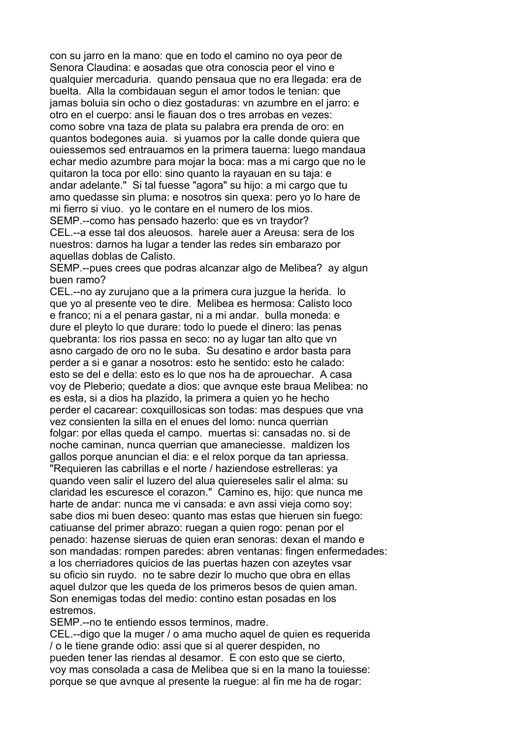con su jarro en la mano: que en todo el camino no oya peor de Senora Claudina: e aosadas que otra conoscia peor el vino e qualquier mercaduria. quando pensaua que no era llegada: era de buelta. Alla la combidauan segun el amor todos le tenian: que jamas boluia sin ocho o diez gostaduras: vn azumbre en el jarro: e otro en el cuerpo: ansi le fiauan dos o tres arrobas en vezes: como sobre vna taza de plata su palabra era prenda de oro: en quantos bodegones auia. si yuamos por la calle donde quiera que ouiessemos sed entrauamos en la primera tauerna: luego mandaua echar medio azumbre para mojar la boca: mas a mi cargo que no le quitaron la toca por ello: sino quanto la rayauan en su taja: e andar adelante." Si tal fuesse "agora" su hijo: a mi cargo que tu amo quedasse sin pluma: e nosotros sin quexa: pero yo lo hare de mi fierro si viuo. yo le contare en el numero de los mios. SEMP.--como has pensado hazerlo: que es vn traydor?

CEL.--a esse tal dos aleuosos. harele auer a Areusa: sera de los nuestros: darnos ha lugar a tender las redes sin embarazo por aquellas doblas de Calisto.

SEMP.--pues crees que podras alcanzar algo de Melibea? ay algun buen ramo?

CEL.--no ay zurujano que a la primera cura juzgue la herida. lo que yo al presente veo te dire. Melibea es hermosa: Calisto loco e franco; ni a el penara gastar, ni a mi andar. bulla moneda: e dure el pleyto lo que durare: todo lo puede el dinero: las penas quebranta: los rios passa en seco: no ay lugar tan alto que vn asno cargado de oro no le suba. Su desatino e ardor basta para perder a si e ganar a nosotros: esto he sentido: esto he calado: esto se del e della: esto es lo que nos ha de aprouechar. A casa voy de Pleberio; quedate a dios: que avnque este braua Melibea: no es esta, si a dios ha plazido, la primera a quien yo he hecho perder el cacarear: coxquillosicas son todas: mas despues que vna vez consienten la silla en el enues del lomo: nunca querrian folgar: por ellas queda el campo. muertas si: cansadas no. si de noche caminan, nunca querrian que amaneciesse. maldizen los gallos porque anuncian el dia: e el relox porque da tan apriessa. "Requieren las cabrillas e el norte / haziendose estrelleras: ya quando veen salir el luzero del alua quiereseles salir el alma: su claridad les escuresce el corazon." Camino es, hijo: que nunca me harte de andar: nunca me vi cansada: e avn assi vieja como sov: sabe dios mi buen deseo: quanto mas estas que hieruen sin fuego: catiuanse del primer abrazo: ruegan a quien rogo: penan por el penado: hazense sieruas de quien eran senoras: dexan el mando e son mandadas: rompen paredes: abren ventanas: fingen enfermedades: a los cherriadores quicios de las puertas hazen con azeytes vsar su oficio sin ruydo. no te sabre dezir lo mucho que obra en ellas aquel dulzor que les queda de los primeros besos de quien aman. Son enemigas todas del medio: contino estan posadas en los estremos.

SEMP.--no te entiendo essos terminos, madre.

CEL.--digo que la muger / o ama mucho aquel de quien es requerida / o le tiene grande odio: assi que si al querer despiden, no pueden tener las riendas al desamor. E con esto que se cierto, voy mas consolada a casa de Melibea que si en la mano la touiesse: porque se que avnque al presente la ruegue: al fin me ha de rogar: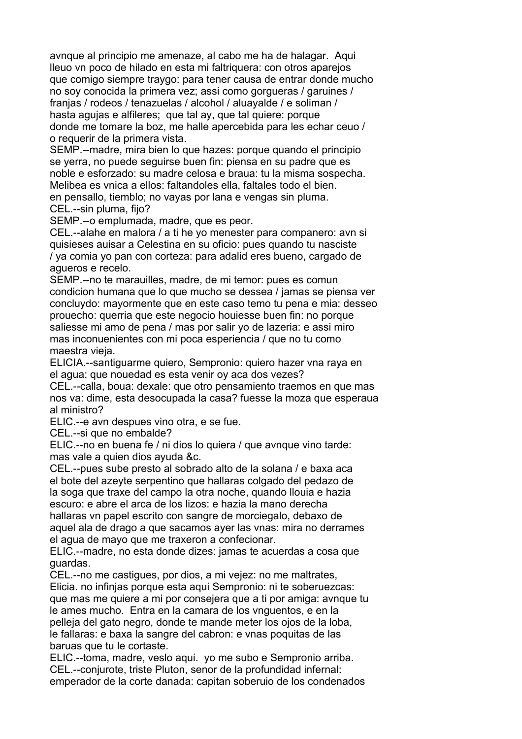avnque al principio me amenaze, al cabo me ha de halagar. Aqui lleuo vn poco de hilado en esta mi faltriquera: con otros aparejos que comigo siempre traygo: para tener causa de entrar donde mucho no soy conocida la primera vez; assi como gorgueras / garuines / franjas / rodeos / tenazuelas / alcohol / aluayalde / e soliman / hasta agujas e alfileres; que tal ay, que tal quiere: porque donde me tomare la boz, me halle apercebida para les echar ceuo / o requerir de la primera vista.

SEMP.--madre, mira bien lo que hazes: porque quando el principio se yerra, no puede seguirse buen fin: piensa en su padre que es noble e esforzado: su madre celosa e braua: tu la misma sospecha. Melibea es vnica a ellos: faltandoles ella, faltales todo el bien. en pensallo, tiemblo; no vayas por lana e vengas sin pluma.

CEL.--sin pluma, fijo?

SEMP.--o emplumada, madre, que es peor.

CEL.--alahe en malora / a ti he yo menester para companero: avn si quisieses auisar a Celestina en su oficio: pues quando tu nasciste / ya comia yo pan con corteza: para adalid eres bueno, cargado de agueros e recelo.

SEMP.--no te marauilles, madre, de mi temor: pues es comun condicion humana que lo que mucho se dessea / jamas se piensa ver concluydo: mayormente que en este caso temo tu pena e mia: desseo prouecho: querria que este negocio houiesse buen fin: no porque saliesse mi amo de pena / mas por salir yo de lazeria: e assi miro mas inconuenientes con mi poca esperiencia / que no tu como maestra vieja.

ELICIA.--santiguarme quiero, Sempronio: quiero hazer vna raya en el agua: que nouedad es esta venir oy aca dos vezes?

CEL.--calla, boua: dexale: que otro pensamiento traemos en que mas nos va: dime, esta desocupada la casa? fuesse la moza que esperaua al ministro?

ELIC.--e avn despues vino otra, e se fue.

CEL.--si que no embalde?

ELIC.--no en buena fe / ni dios lo quiera / que avnque vino tarde: mas vale a quien dios ayuda &c.

CEL.--pues sube presto al sobrado alto de la solana / e baxa aca el bote del azeyte serpentino que hallaras colgado del pedazo de la soga que traxe del campo la otra noche, quando llouia e hazia escuro: e abre el arca de los lizos: e hazia la mano derecha hallaras vn papel escrito con sangre de morciegalo, debaxo de aquel ala de drago a que sacamos ayer las vnas: mira no derrames el agua de mayo que me traxeron a confecionar.

ELIC.--madre, no esta donde dizes: jamas te acuerdas a cosa que guardas.

CEL.--no me castigues, por dios, a mi vejez: no me maltrates, Elicia. no infinjas porque esta aqui Sempronio: ni te soberuezcas: que mas me quiere a mi por consejera que a ti por amiga: avnque tu le ames mucho. Entra en la camara de los vnguentos, e en la pelleja del gato negro, donde te mande meter los ojos de la loba, le fallaras: e baxa la sangre del cabron: e vnas poquitas de las baruas que tu le cortaste.

ELIC.--toma, madre, veslo aqui. yo me subo e Sempronio arriba. CEL.--conjurote, triste Pluton, senor de la profundidad infernal: emperador de la corte danada: capitan soberuio de los condenados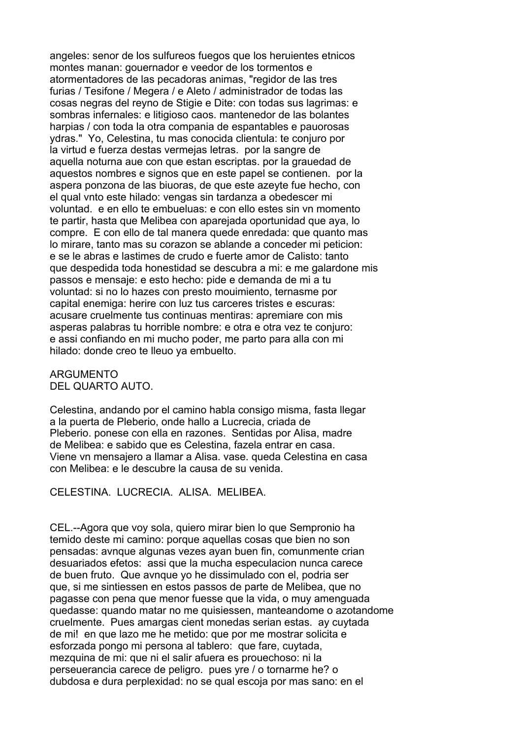angeles: senor de los sulfureos fuegos que los heruientes etnicos montes manan: gouernador e veedor de los tormentos e atormentadores de las pecadoras animas, "regidor de las tres furias / Tesifone / Megera / e Aleto / administrador de todas las cosas negras del reyno de Stigie e Dite: con todas sus lagrimas: e sombras infernales: e litigioso caos. mantenedor de las bolantes harpias / con toda la otra compania de espantables e pauorosas ydras." Yo, Celestina, tu mas conocida clientula: te conjuro por la virtud e fuerza destas vermejas letras. por la sangre de aquella noturna aue con que estan escriptas. por la grauedad de aquestos nombres e signos que en este papel se contienen. por la aspera ponzona de las biuoras, de que este azeyte fue hecho, con el qual vnto este hilado: vengas sin tardanza a obedescer mi voluntad. e en ello te embueluas: e con ello estes sin vn momento te partir, hasta que Melibea con aparejada oportunidad que aya, lo compre. E con ello de tal manera quede enredada: que quanto mas lo mirare, tanto mas su corazon se ablande a conceder mi peticion: e se le abras e lastimes de crudo e fuerte amor de Calisto: tanto que despedida toda honestidad se descubra a mi: e me galardone mis passos e mensaje: e esto hecho: pide e demanda de mi a tu voluntad: si no lo hazes con presto mouimiento, ternasme por capital enemiga: herire con luz tus carceres tristes e escuras: acusare cruelmente tus continuas mentiras: apremiare con mis asperas palabras tu horrible nombre: e otra e otra vez te conjuro: e assi confiando en mi mucho poder, me parto para alla con mi hilado: donde creo te lleuo ya embuelto.

## ARGUMENTO DEL QUARTO AUTO.

Celestina, andando por el camino habla consigo misma, fasta llegar a la puerta de Pleberio, onde hallo a Lucrecia, criada de Pleberio. ponese con ella en razones. Sentidas por Alisa, madre de Melibea: e sabido que es Celestina, fazela entrar en casa. Viene vn mensajero a llamar a Alisa. vase. queda Celestina en casa con Melibea: e le descubre la causa de su venida.

## CELESTINA. LUCRECIA. ALISA. MELIBEA.

CEL.--Agora que voy sola, quiero mirar bien lo que Sempronio ha temido deste mi camino: porque aquellas cosas que bien no son pensadas: avnque algunas vezes ayan buen fin, comunmente crian desuariados efetos: assi que la mucha especulacion nunca carece de buen fruto. Que avnque yo he dissimulado con el, podria ser que, si me sintiessen en estos passos de parte de Melibea, que no pagasse con pena que menor fuesse que la vida, o muy amenguada quedasse: quando matar no me quisiessen, manteandome o azotandome cruelmente. Pues amargas cient monedas serian estas. ay cuytada de mi! en que lazo me he metido: que por me mostrar solicita e esforzada pongo mi persona al tablero: que fare, cuytada, mezquina de mi: que ni el salir afuera es prouechoso: ni la perseuerancia carece de peligro. pues yre / o tornarme he? o dubdosa e dura perplexidad: no se qual escoja por mas sano: en el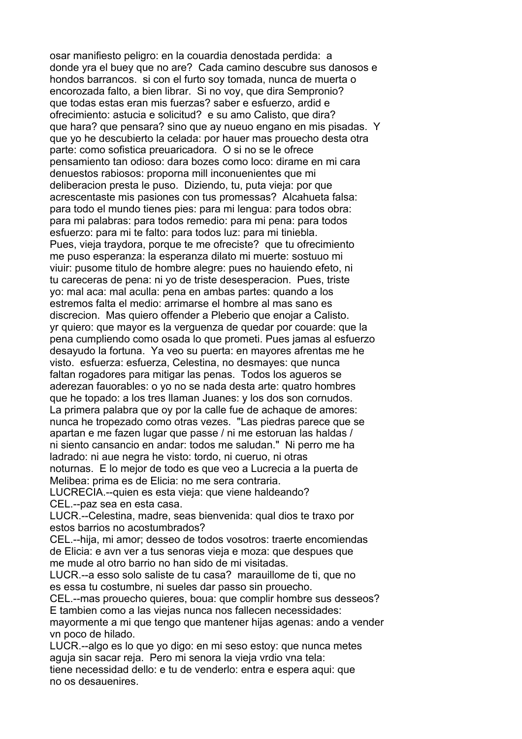osar manifiesto peligro: en la couardia denostada perdida: a donde yra el buey que no are? Cada camino descubre sus danosos e hondos barrancos. si con el furto soy tomada, nunca de muerta o encorozada falto, a bien librar. Si no voy, que dira Sempronio? que todas estas eran mis fuerzas? saber e esfuerzo, ardid e ofrecimiento: astucia e solicitud? e su amo Calisto, que dira? que hara? que pensara? sino que ay nueuo engano en mis pisadas. Y que yo he descubierto la celada: por hauer mas prouecho desta otra parte: como sofistica preuaricadora. O si no se le ofrece pensamiento tan odioso: dara bozes como loco: dirame en mi cara denuestos rabiosos: proporna mill inconuenientes que mi deliberacion presta le puso. Diziendo, tu, puta vieja: por que acrescentaste mis pasiones con tus promessas? Alcahueta falsa: para todo el mundo tienes pies: para mi lengua: para todos obra: para mi palabras: para todos remedio: para mi pena: para todos esfuerzo: para mi te falto: para todos luz: para mi tiniebla. Pues, vieja traydora, porque te me ofreciste? que tu ofrecimiento me puso esperanza: la esperanza dilato mi muerte: sostuuo mi viuir: pusome titulo de hombre alegre: pues no hauiendo efeto, ni tu careceras de pena: ni yo de triste desesperacion. Pues, triste yo: mal aca: mal aculla: pena en ambas partes: quando a los estremos falta el medio: arrimarse el hombre al mas sano es discrecion. Mas quiero offender a Pleberio que enojar a Calisto. yr quiero: que mayor es la verguenza de quedar por couarde: que la pena cumpliendo como osada lo que prometi. Pues jamas al esfuerzo desayudo la fortuna. Ya veo su puerta: en mayores afrentas me he visto. esfuerza: esfuerza, Celestina, no desmayes: que nunca faltan rogadores para mitigar las penas. Todos los agueros se aderezan fauorables: o yo no se nada desta arte: quatro hombres que he topado: a los tres llaman Juanes: y los dos son cornudos. La primera palabra que oy por la calle fue de achaque de amores: nunca he tropezado como otras vezes. "Las piedras parece que se apartan e me fazen lugar que passe / ni me estoruan las haldas / ni siento cansancio en andar: todos me saludan." Ni perro me ha ladrado: ni aue negra he visto: tordo, ni cueruo, ni otras noturnas. E lo mejor de todo es que veo a Lucrecia a la puerta de Melibea: prima es de Elicia: no me sera contraria.

LUCRECIA.--quien es esta vieja: que viene haldeando? CEL.--paz sea en esta casa.

LUCR.--Celestina, madre, seas bienvenida: qual dios te traxo por estos barrios no acostumbrados?

CEL.--hija, mi amor; desseo de todos vosotros: traerte encomiendas de Elicia: e avn ver a tus senoras vieja e moza: que despues que me mude al otro barrio no han sido de mi visitadas.

LUCR.--a esso solo saliste de tu casa? marauillome de ti, que no es essa tu costumbre, ni sueles dar passo sin prouecho.

CEL.--mas prouecho quieres, boua: que complir hombre sus desseos? E tambien como a las viejas nunca nos fallecen necessidades: mayormente a mi que tengo que mantener hijas agenas: ando a vender

vn poco de hilado.

LUCR.--algo es lo que yo digo: en mi seso estoy: que nunca metes aguja sin sacar reja. Pero mi senora la vieja vrdio vna tela: tiene necessidad dello: e tu de venderlo: entra e espera aqui: que no os desauenires.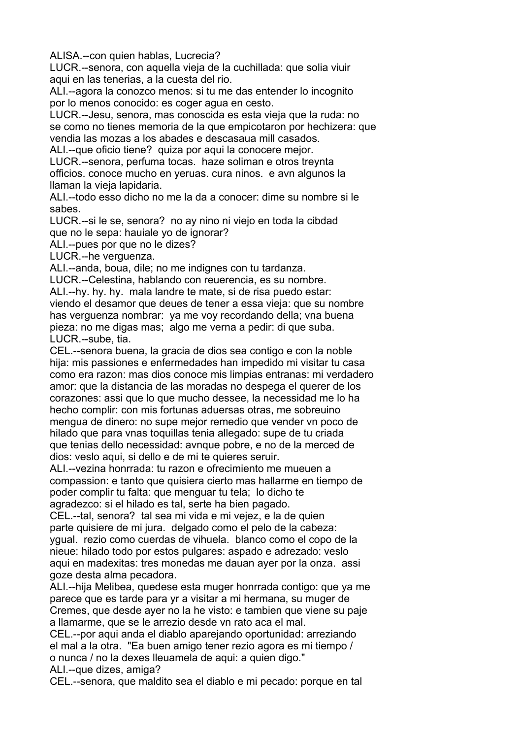ALISA.--con quien hablas, Lucrecia?

LUCR.--senora, con aquella vieja de la cuchillada: que solia viuir aqui en las tenerias, a la cuesta del rio.

ALI.--agora la conozco menos: si tu me das entender lo incognito por lo menos conocido: es coger agua en cesto.

LUCR.--Jesu, senora, mas conoscida es esta vieja que la ruda: no se como no tienes memoria de la que empicotaron por hechizera: que vendia las mozas a los abades e descasaua mill casados.

ALI.--que oficio tiene? quiza por aqui la conocere mejor. LUCR.--senora, perfuma tocas. haze soliman e otros treynta officios. conoce mucho en yeruas. cura ninos. e avn algunos la llaman la vieja lapidaria.

ALI.--todo esso dicho no me la da a conocer: dime su nombre si le sabes.

LUCR.--si le se, senora? no ay nino ni viejo en toda la cibdad que no le sepa: hauiale yo de ignorar?

ALI.--pues por que no le dizes?

LUCR.--he verguenza.

ALI.--anda, boua, dile; no me indignes con tu tardanza.

LUCR.--Celestina, hablando con reuerencia, es su nombre.

ALI.--hy. hy. hy. mala landre te mate, si de risa puedo estar: viendo el desamor que deues de tener a essa vieja: que su nombre has verguenza nombrar: ya me voy recordando della; vna buena pieza: no me digas mas; algo me verna a pedir: di que suba. LUCR.--sube, tia.

CEL.--senora buena, la gracia de dios sea contigo e con la noble hija: mis passiones e enfermedades han impedido mi visitar tu casa como era razon: mas dios conoce mis limpias entranas: mi verdadero amor: que la distancia de las moradas no despega el querer de los corazones: assi que lo que mucho dessee, la necessidad me lo ha hecho complir: con mis fortunas aduersas otras, me sobreuino mengua de dinero: no supe mejor remedio que vender vn poco de hilado que para vnas toquillas tenia allegado: supe de tu criada que tenias dello necessidad: avnque pobre, e no de la merced de dios: veslo aqui, si dello e de mi te quieres seruir.

ALI.--vezina honrrada: tu razon e ofrecimiento me mueuen a compassion: e tanto que quisiera cierto mas hallarme en tiempo de poder complir tu falta: que menguar tu tela; lo dicho te agradezco: si el hilado es tal, serte ha bien pagado.

CEL.--tal, senora? tal sea mi vida e mi vejez, e la de quien parte quisiere de mi jura. delgado como el pelo de la cabeza: ygual. rezio como cuerdas de vihuela. blanco como el copo de la nieue: hilado todo por estos pulgares: aspado e adrezado: veslo aqui en madexitas: tres monedas me dauan ayer por la onza. assi goze desta alma pecadora.

ALI.--hija Melibea, quedese esta muger honrrada contigo: que ya me parece que es tarde para yr a visitar a mi hermana, su muger de Cremes, que desde ayer no la he visto: e tambien que viene su paje a llamarme, que se le arrezio desde vn rato aca el mal.

CEL.--por aqui anda el diablo aparejando oportunidad: arreziando el mal a la otra. "Ea buen amigo tener rezio agora es mi tiempo / o nunca / no la dexes lleuamela de aqui: a quien digo." ALI.--que dizes, amiga?

CEL.--senora, que maldito sea el diablo e mi pecado: porque en tal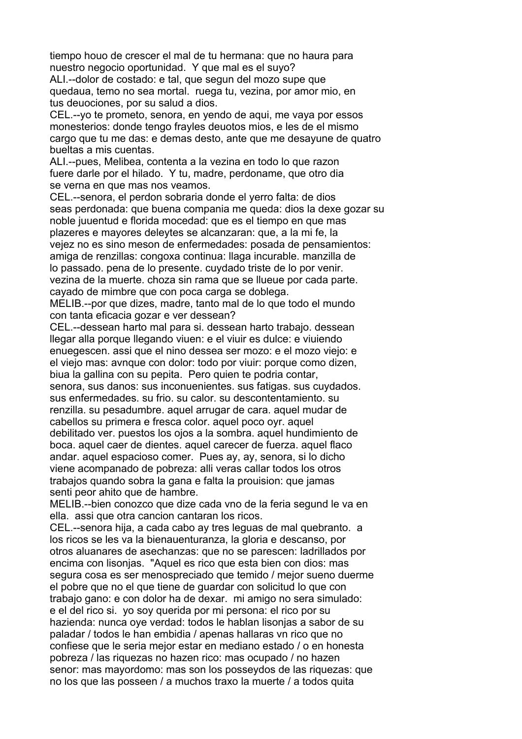tiempo houo de crescer el mal de tu hermana: que no haura para nuestro negocio oportunidad. Y que mal es el suyo?

ALI.--dolor de costado: e tal, que segun del mozo supe que quedaua, temo no sea mortal. ruega tu, vezina, por amor mio, en tus deuociones, por su salud a dios.

CEL.--yo te prometo, senora, en yendo de aqui, me vaya por essos monesterios: donde tengo frayles deuotos mios, e les de el mismo cargo que tu me das: e demas desto, ante que me desayune de quatro bueltas a mis cuentas.

ALI.--pues, Melibea, contenta a la vezina en todo lo que razon fuere darle por el hilado. Y tu, madre, perdoname, que otro dia se verna en que mas nos veamos.

CEL.--senora, el perdon sobraria donde el yerro falta: de dios seas perdonada: que buena compania me queda: dios la dexe gozar su noble juuentud e florida mocedad: que es el tiempo en que mas plazeres e mayores deleytes se alcanzaran: que, a la mi fe, la vejez no es sino meson de enfermedades: posada de pensamientos: amiga de renzillas: congoxa continua: llaga incurable. manzilla de lo passado. pena de lo presente. cuydado triste de lo por venir. vezina de la muerte. choza sin rama que se llueue por cada parte. cayado de mimbre que con poca carga se doblega.

MELIB.--por que dizes, madre, tanto mal de lo que todo el mundo con tanta eficacia gozar e ver dessean?

CEL.--dessean harto mal para si. dessean harto trabajo. dessean llegar alla porque llegando viuen: e el viuir es dulce: e viuiendo enuegescen. assi que el nino dessea ser mozo: e el mozo viejo: e el viejo mas: avnque con dolor: todo por viuir: porque como dizen, biua la gallina con su pepita. Pero quien te podria contar, senora, sus danos: sus inconuenientes. sus fatigas. sus cuydados. sus enfermedades. su frio. su calor. su descontentamiento. su renzilla. su pesadumbre. aquel arrugar de cara. aquel mudar de cabellos su primera e fresca color. aquel poco oyr. aquel debilitado ver. puestos los ojos a la sombra. aquel hundimiento de boca. aquel caer de dientes. aquel carecer de fuerza. aquel flaco andar. aquel espacioso comer. Pues ay, ay, senora, si lo dicho viene acompanado de pobreza: alli veras callar todos los otros trabajos quando sobra la gana e falta la prouision: que jamas senti peor ahito que de hambre.

MELIB.--bien conozco que dize cada vno de la feria segund le va en ella. assi que otra cancion cantaran los ricos.

CEL.--senora hija, a cada cabo ay tres leguas de mal quebranto. a los ricos se les va la bienauenturanza, la gloria e descanso, por otros aluanares de asechanzas: que no se parescen: ladrillados por encima con lisonjas. "Aquel es rico que esta bien con dios: mas segura cosa es ser menospreciado que temido / mejor sueno duerme el pobre que no el que tiene de guardar con solicitud lo que con trabajo gano: e con dolor ha de dexar. mi amigo no sera simulado: e el del rico si. yo soy querida por mi persona: el rico por su hazienda: nunca oye verdad: todos le hablan lisonjas a sabor de su paladar / todos le han embidia / apenas hallaras vn rico que no confiese que le seria mejor estar en mediano estado / o en honesta pobreza / las riquezas no hazen rico: mas ocupado / no hazen senor: mas mayordomo: mas son los posseydos de las riquezas: que no los que las posseen / a muchos traxo la muerte / a todos quita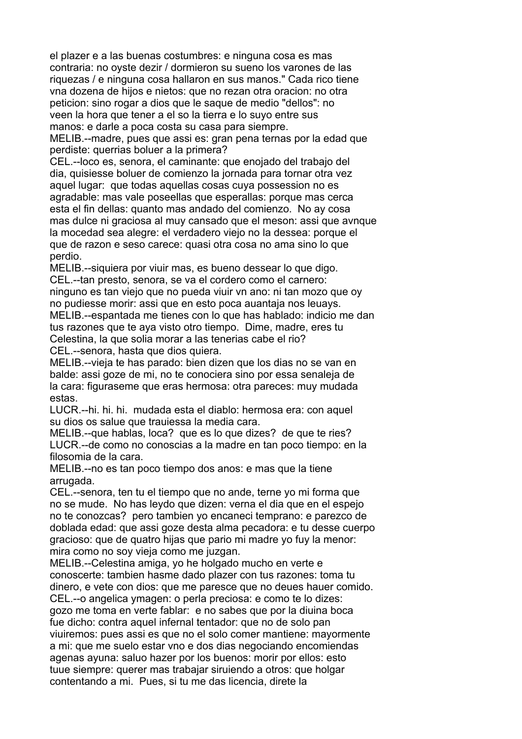el plazer e a las buenas costumbres: e ninguna cosa es mas contraria: no oyste dezir / dormieron su sueno los varones de las riquezas / e ninguna cosa hallaron en sus manos." Cada rico tiene vna dozena de hijos e nietos: que no rezan otra oracion: no otra peticion: sino rogar a dios que le saque de medio "dellos": no veen la hora que tener a el so la tierra e lo suyo entre sus manos: e darle a poca costa su casa para siempre.

MELIB.--madre, pues que assi es: gran pena ternas por la edad que perdiste: querrias boluer a la primera?

CEL.--loco es, senora, el caminante: que enojado del trabajo del dia, quisiesse boluer de comienzo la jornada para tornar otra vez aquel lugar: que todas aquellas cosas cuya possession no es agradable: mas vale poseellas que esperallas: porque mas cerca esta el fin dellas: quanto mas andado del comienzo. No ay cosa mas dulce ni graciosa al muy cansado que el meson: assi que avnque la mocedad sea alegre: el verdadero viejo no la dessea: porque el que de razon e seso carece: quasi otra cosa no ama sino lo que perdio.

MELIB.--siquiera por viuir mas, es bueno dessear lo que digo. CEL.--tan presto, senora, se va el cordero como el carnero:

ninguno es tan viejo que no pueda viuir vn ano: ni tan mozo que oy no pudiesse morir: assi que en esto poca auantaja nos leuays. MELIB.--espantada me tienes con lo que has hablado: indicio me dan tus razones que te aya visto otro tiempo. Dime, madre, eres tu Celestina, la que solia morar a las tenerias cabe el rio? CEL.--senora, hasta que dios quiera.

MELIB.--vieja te has parado: bien dizen que los dias no se van en balde: assi goze de mi, no te conociera sino por essa senaleja de la cara: figuraseme que eras hermosa: otra pareces: muy mudada estas.

LUCR.--hi. hi. hi. mudada esta el diablo: hermosa era: con aquel su dios os salue que trauiessa la media cara.

MELIB.--que hablas, loca? que es lo que dizes? de que te ries? LUCR.--de como no conoscias a la madre en tan poco tiempo: en la filosomia de la cara.

MELIB.--no es tan poco tiempo dos anos: e mas que la tiene arrugada.

CEL.--senora, ten tu el tiempo que no ande, terne yo mi forma que no se mude. No has leydo que dizen: verna el dia que en el espejo no te conozcas? pero tambien yo encaneci temprano: e parezco de doblada edad: que assi goze desta alma pecadora: e tu desse cuerpo gracioso: que de quatro hijas que pario mi madre yo fuy la menor: mira como no soy vieja como me juzgan.

MELIB.--Celestina amiga, yo he holgado mucho en verte e conoscerte: tambien hasme dado plazer con tus razones: toma tu dinero, e vete con dios: que me paresce que no deues hauer comido. CEL.--o angelica ymagen: o perla preciosa: e como te lo dizes: gozo me toma en verte fablar: e no sabes que por la diuina boca fue dicho: contra aquel infernal tentador: que no de solo pan viuiremos: pues assi es que no el solo comer mantiene: mayormente

a mi: que me suelo estar vno e dos dias negociando encomiendas agenas ayuna: saluo hazer por los buenos: morir por ellos: esto tuue siempre: querer mas trabajar siruiendo a otros: que holgar contentando a mi. Pues, si tu me das licencia, direte la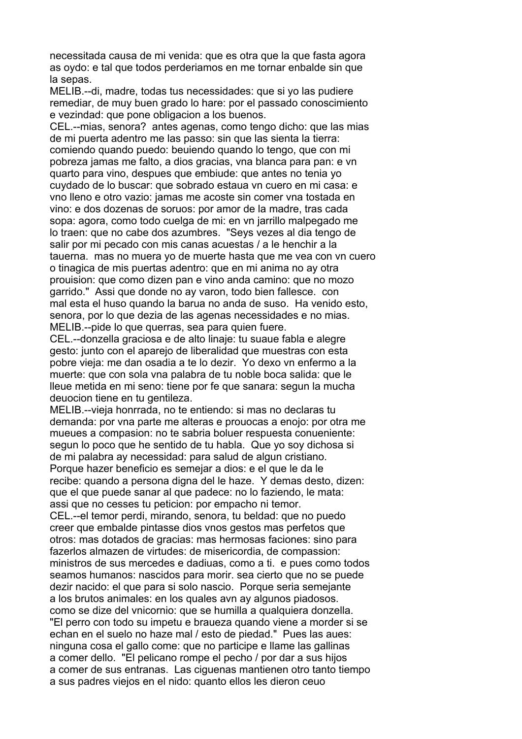necessitada causa de mi venida: que es otra que la que fasta agora as oydo: e tal que todos perderiamos en me tornar enbalde sin que la sepas.

MELIB.--di, madre, todas tus necessidades: que si yo las pudiere remediar, de muy buen grado lo hare: por el passado conoscimiento e vezindad: que pone obligacion a los buenos.

CEL.--mias, senora? antes agenas, como tengo dicho: que las mias de mi puerta adentro me las passo: sin que las sienta la tierra: comiendo quando puedo: beuiendo quando lo tengo, que con mi pobreza jamas me falto, a dios gracias, vna blanca para pan: e vn quarto para vino, despues que embiude: que antes no tenia yo cuydado de lo buscar: que sobrado estaua vn cuero en mi casa: e vno lleno e otro vazio: jamas me acoste sin comer vna tostada en vino: e dos dozenas de soruos: por amor de la madre, tras cada sopa: agora, como todo cuelga de mi: en vn jarrillo malpegado me lo traen: que no cabe dos azumbres. "Seys vezes al dia tengo de salir por mi pecado con mis canas acuestas / a le henchir a la tauerna. mas no muera yo de muerte hasta que me vea con vn cuero o tinagica de mis puertas adentro: que en mi anima no ay otra prouision: que como dizen pan e vino anda camino: que no mozo garrido." Assi que donde no ay varon, todo bien fallesce. con mal esta el huso quando la barua no anda de suso. Ha venido esto, senora, por lo que dezia de las agenas necessidades e no mias. MELIB.--pide lo que querras, sea para quien fuere.

CEL.--donzella graciosa e de alto linaje: tu suaue fabla e alegre gesto: junto con el aparejo de liberalidad que muestras con esta pobre vieja: me dan osadia a te lo dezir. Yo dexo vn enfermo a la muerte: que con sola vna palabra de tu noble boca salida: que le lleue metida en mi seno: tiene por fe que sanara: segun la mucha deuocion tiene en tu gentileza.

MELIB.--vieja honrrada, no te entiendo: si mas no declaras tu demanda: por vna parte me alteras e prouocas a enojo: por otra me mueues a compasion: no te sabria boluer respuesta conueniente: segun lo poco que he sentido de tu habla. Que yo soy dichosa si de mi palabra ay necessidad: para salud de algun cristiano. Porque hazer beneficio es semejar a dios: e el que le da le recibe: quando a persona digna del le haze. Y demas desto, dizen: que el que puede sanar al que padece: no lo faziendo, le mata: assi que no cesses tu peticion: por empacho ni temor.

CEL.--el temor perdi, mirando, senora, tu beldad: que no puedo creer que embalde pintasse dios vnos gestos mas perfetos que otros: mas dotados de gracias: mas hermosas faciones: sino para fazerlos almazen de virtudes: de misericordia, de compassion: ministros de sus mercedes e dadiuas, como a ti. e pues como todos seamos humanos: nascidos para morir. sea cierto que no se puede dezir nacido: el que para si solo nascio. Porque seria semejante a los brutos animales: en los quales avn ay algunos piadosos. como se dize del vnicornio: que se humilla a qualquiera donzella. "El perro con todo su impetu e braueza quando viene a morder si se echan en el suelo no haze mal / esto de piedad." Pues las aues: ninguna cosa el gallo come: que no participe e llame las gallinas a comer dello. "El pelicano rompe el pecho / por dar a sus hijos a comer de sus entranas. Las ciguenas mantienen otro tanto tiempo a sus padres viejos en el nido: quanto ellos les dieron ceuo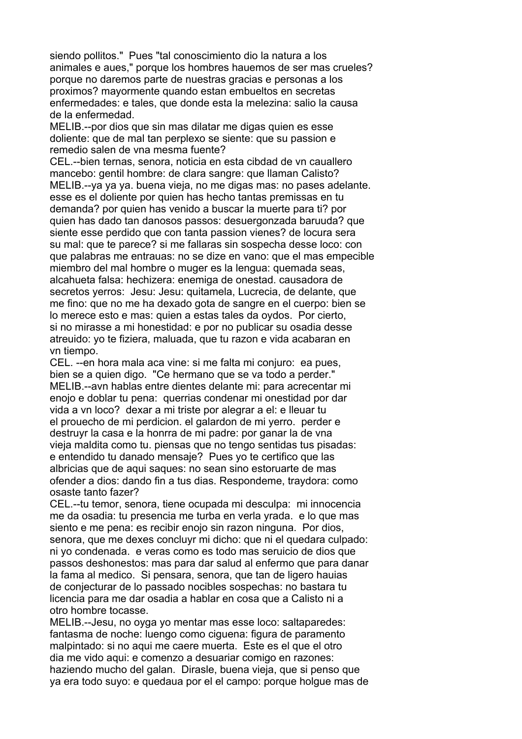siendo pollitos." Pues "tal conoscimiento dio la natura a los animales e aues," porque los hombres hauemos de ser mas crueles? porque no daremos parte de nuestras gracias e personas a los proximos? mayormente quando estan embueltos en secretas enfermedades: e tales, que donde esta la melezina: salio la causa de la enfermedad.

MELIB.--por dios que sin mas dilatar me digas quien es esse doliente: que de mal tan perplexo se siente: que su passion e remedio salen de vna mesma fuente?

CEL.--bien ternas, senora, noticia en esta cibdad de vn cauallero mancebo: gentil hombre: de clara sangre: que llaman Calisto? MELIB.--ya ya ya. buena vieja, no me digas mas: no pases adelante. esse es el doliente por quien has hecho tantas premissas en tu demanda? por quien has venido a buscar la muerte para ti? por quien has dado tan danosos passos: desuergonzada baruuda? que siente esse perdido que con tanta passion vienes? de locura sera su mal: que te parece? si me fallaras sin sospecha desse loco: con que palabras me entrauas: no se dize en vano: que el mas empecible miembro del mal hombre o muger es la lengua: quemada seas, alcahueta falsa: hechizera: enemiga de onestad. causadora de secretos yerros: Jesu: Jesu: quitamela, Lucrecia, de delante, que me fino: que no me ha dexado gota de sangre en el cuerpo: bien se lo merece esto e mas: quien a estas tales da oydos. Por cierto, si no mirasse a mi honestidad: e por no publicar su osadia desse atreuido: yo te fiziera, maluada, que tu razon e vida acabaran en vn tiempo.

CEL. --en hora mala aca vine: si me falta mi conjuro: ea pues, bien se a quien digo. "Ce hermano que se va todo a perder." MELIB.--avn hablas entre dientes delante mi: para acrecentar mi enojo e doblar tu pena: querrias condenar mi onestidad por dar vida a vn loco? dexar a mi triste por alegrar a el: e lleuar tu el prouecho de mi perdicion. el galardon de mi yerro. perder e destruyr la casa e la honrra de mi padre: por ganar la de vna vieja maldita como tu. piensas que no tengo sentidas tus pisadas: e entendido tu danado mensaje? Pues yo te certifico que las albricias que de aqui saques: no sean sino estoruarte de mas ofender a dios: dando fin a tus dias. Respondeme, traydora: como osaste tanto fazer?

CEL.--tu temor, senora, tiene ocupada mi desculpa: mi innocencia me da osadia: tu presencia me turba en verla yrada. e lo que mas siento e me pena: es recibir enojo sin razon ninguna. Por dios, senora, que me dexes concluyr mi dicho: que ni el quedara culpado: ni yo condenada. e veras como es todo mas seruicio de dios que passos deshonestos: mas para dar salud al enfermo que para danar la fama al medico. Si pensara, senora, que tan de ligero hauias de conjecturar de lo passado nocibles sospechas: no bastara tu licencia para me dar osadia a hablar en cosa que a Calisto ni a otro hombre tocasse.

MELIB.--Jesu, no oyga yo mentar mas esse loco: saltaparedes: fantasma de noche: luengo como ciguena: figura de paramento malpintado: si no aqui me caere muerta. Este es el que el otro dia me vido aqui: e comenzo a desuariar comigo en razones: haziendo mucho del galan. Dirasle, buena vieja, que si penso que ya era todo suyo: e quedaua por el el campo: porque holgue mas de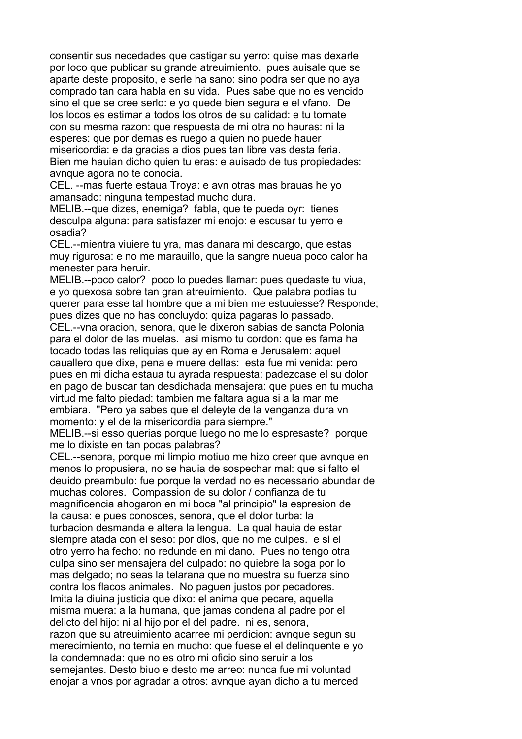consentir sus necedades que castigar su yerro: quise mas dexarle por loco que publicar su grande atreuimiento. pues auisale que se aparte deste proposito, e serle ha sano: sino podra ser que no aya comprado tan cara habla en su vida. Pues sabe que no es vencido sino el que se cree serlo: e yo quede bien segura e el vfano. De los locos es estimar a todos los otros de su calidad: e tu tornate con su mesma razon: que respuesta de mi otra no hauras: ni la esperes: que por demas es ruego a quien no puede hauer misericordia: e da gracias a dios pues tan libre vas desta feria. Bien me hauian dicho quien tu eras: e auisado de tus propiedades: avnque agora no te conocia.

CEL. --mas fuerte estaua Troya: e avn otras mas brauas he yo amansado: ninguna tempestad mucho dura.

MELIB.--que dizes, enemiga? fabla, que te pueda oyr: tienes desculpa alguna: para satisfazer mi enojo: e escusar tu yerro e osadia?

CEL.--mientra viuiere tu yra, mas danara mi descargo, que estas muy rigurosa: e no me marauillo, que la sangre nueua poco calor ha menester para heruir.

MELIB.--poco calor? poco lo puedes llamar: pues quedaste tu viua, e yo quexosa sobre tan gran atreuimiento. Que palabra podias tu querer para esse tal hombre que a mi bien me estuuiesse? Responde; pues dizes que no has concluydo: quiza pagaras lo passado.

CEL.--vna oracion, senora, que le dixeron sabias de sancta Polonia para el dolor de las muelas. asi mismo tu cordon: que es fama ha tocado todas las reliquias que ay en Roma e Jerusalem: aquel cauallero que dixe, pena e muere dellas: esta fue mi venida: pero pues en mi dicha estaua tu ayrada respuesta: padezcase el su dolor en pago de buscar tan desdichada mensajera: que pues en tu mucha virtud me falto piedad: tambien me faltara agua si a la mar me embiara. "Pero ya sabes que el deleyte de la venganza dura vn momento: y el de la misericordia para siempre."

MELIB.--si esso querias porque luego no me lo espresaste? porque me lo dixiste en tan pocas palabras?

CEL.--senora, porque mi limpio motiuo me hizo creer que avnque en menos lo propusiera, no se hauia de sospechar mal: que si falto el deuido preambulo: fue porque la verdad no es necessario abundar de muchas colores. Compassion de su dolor / confianza de tu magnificencia ahogaron en mi boca "al principio" la espresion de la causa: e pues conosces, senora, que el dolor turba: la turbacion desmanda e altera la lengua. La qual hauia de estar siempre atada con el seso: por dios, que no me culpes. e si el otro yerro ha fecho: no redunde en mi dano. Pues no tengo otra culpa sino ser mensajera del culpado: no quiebre la soga por lo mas delgado; no seas la telarana que no muestra su fuerza sino contra los flacos animales. No paguen justos por pecadores. Imita la diuina justicia que dixo: el anima que pecare, aquella misma muera: a la humana, que jamas condena al padre por el delicto del hijo: ni al hijo por el del padre. ni es, senora, razon que su atreuimiento acarree mi perdicion: avnque segun su merecimiento, no ternia en mucho: que fuese el el delinquente e yo la condemnada: que no es otro mi oficio sino seruir a los semejantes. Desto biuo e desto me arreo: nunca fue mi voluntad enojar a vnos por agradar a otros: avnque ayan dicho a tu merced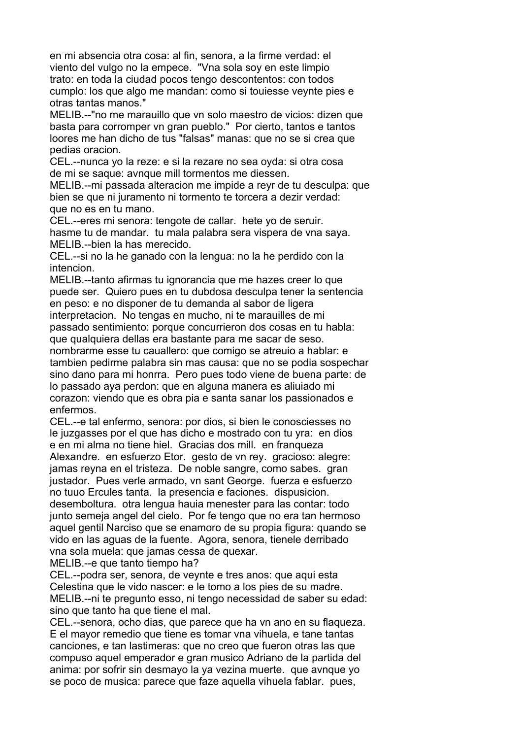en mi absencia otra cosa: al fin, senora, a la firme verdad: el viento del vulgo no la empece. "Vna sola soy en este limpio trato: en toda la ciudad pocos tengo descontentos: con todos cumplo: los que algo me mandan: como si touiesse veynte pies e otras tantas manos."

MELIB.--"no me marauillo que vn solo maestro de vicios: dizen que basta para corromper vn gran pueblo." Por cierto, tantos e tantos loores me han dicho de tus "falsas" manas: que no se si crea que pedias oracion.

CEL.--nunca yo la reze: e si la rezare no sea oyda: si otra cosa de mi se saque: avnque mill tormentos me diessen.

MELIB.--mi passada alteracion me impide a reyr de tu desculpa: que bien se que ni juramento ni tormento te torcera a dezir verdad: que no es en tu mano.

CEL.--eres mi senora: tengote de callar. hete yo de seruir. hasme tu de mandar. tu mala palabra sera vispera de vna saya. MELIB.--bien la has merecido.

CEL.--si no la he ganado con la lengua: no la he perdido con la intencion.

MELIB.--tanto afirmas tu ignorancia que me hazes creer lo que puede ser. Quiero pues en tu dubdosa desculpa tener la sentencia en peso: e no disponer de tu demanda al sabor de ligera interpretacion. No tengas en mucho, ni te marauilles de mi passado sentimiento: porque concurrieron dos cosas en tu habla: que qualquiera dellas era bastante para me sacar de seso.

nombrarme esse tu cauallero: que comigo se atreuio a hablar: e tambien pedirme palabra sin mas causa: que no se podia sospechar sino dano para mi honrra. Pero pues todo viene de buena parte: de lo passado aya perdon: que en alguna manera es aliuiado mi corazon: viendo que es obra pia e santa sanar los passionados e enfermos.

CEL.--e tal enfermo, senora: por dios, si bien le conosciesses no le juzgasses por el que has dicho e mostrado con tu yra: en dios e en mi alma no tiene hiel. Gracias dos mill. en franqueza Alexandre. en esfuerzo Etor. gesto de vn rey. gracioso: alegre: jamas reyna en el tristeza. De noble sangre, como sabes. gran justador. Pues verle armado, vn sant George. fuerza e esfuerzo no tuuo Ercules tanta. la presencia e faciones. dispusicion. desemboltura. otra lengua hauia menester para las contar: todo junto semeja angel del cielo. Por fe tengo que no era tan hermoso aquel gentil Narciso que se enamoro de su propia figura: quando se vido en las aguas de la fuente. Agora, senora, tienele derribado vna sola muela: que jamas cessa de quexar.

MELIB.--e que tanto tiempo ha?

CEL.--podra ser, senora, de veynte e tres anos: que aqui esta Celestina que le vido nascer: e le tomo a los pies de su madre. MELIB.--ni te pregunto esso, ni tengo necessidad de saber su edad: sino que tanto ha que tiene el mal.

CEL.--senora, ocho dias, que parece que ha vn ano en su flaqueza. E el mayor remedio que tiene es tomar vna vihuela, e tane tantas canciones, e tan lastimeras: que no creo que fueron otras las que compuso aquel emperador e gran musico Adriano de la partida del anima: por sofrir sin desmayo la ya vezina muerte. que avnque yo se poco de musica: parece que faze aquella vihuela fablar. pues,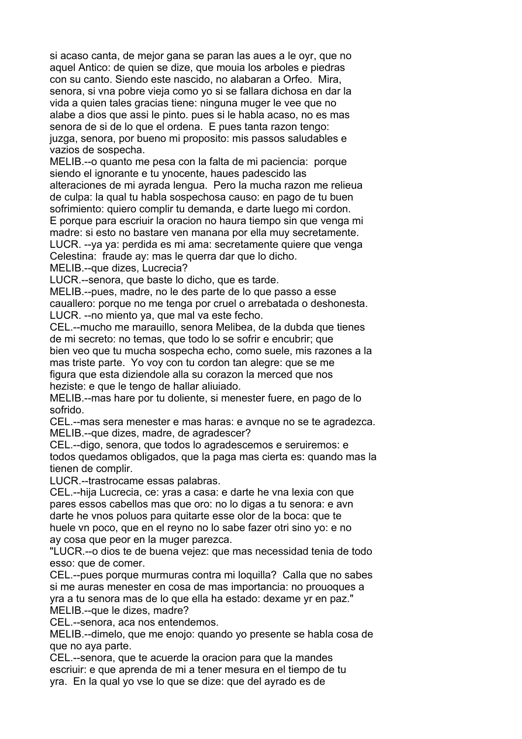si acaso canta, de mejor gana se paran las aues a le oyr, que no aquel Antico: de quien se dize, que mouia los arboles e piedras con su canto. Siendo este nascido, no alabaran a Orfeo. Mira, senora, si vna pobre vieja como yo si se fallara dichosa en dar la vida a quien tales gracias tiene: ninguna muger le vee que no alabe a dios que assi le pinto. pues si le habla acaso, no es mas senora de si de lo que el ordena. E pues tanta razon tengo: juzga, senora, por bueno mi proposito: mis passos saludables e vazios de sospecha.

MELIB.--o quanto me pesa con la falta de mi paciencia: porque siendo el ignorante e tu ynocente, haues padescido las alteraciones de mi ayrada lengua. Pero la mucha razon me relieua de culpa: la qual tu habla sospechosa causo: en pago de tu buen sofrimiento: quiero complir tu demanda, e darte luego mi cordon. E porque para escriuir la oracion no haura tiempo sin que venga mi madre: si esto no bastare ven manana por ella muy secretamente. LUCR. --ya ya: perdida es mi ama: secretamente quiere que venga

Celestina: fraude ay: mas le querra dar que lo dicho.

MELIB.--que dizes, Lucrecia?

LUCR.--senora, que baste lo dicho, que es tarde.

MELIB.--pues, madre, no le des parte de lo que passo a esse cauallero: porque no me tenga por cruel o arrebatada o deshonesta. LUCR. --no miento ya, que mal va este fecho.

CEL.--mucho me marauillo, senora Melibea, de la dubda que tienes de mi secreto: no temas, que todo lo se sofrir e encubrir; que bien veo que tu mucha sospecha echo, como suele, mis razones a la mas triste parte. Yo voy con tu cordon tan alegre: que se me figura que esta diziendole alla su corazon la merced que nos heziste: e que le tengo de hallar aliuiado.

MELIB.--mas hare por tu doliente, si menester fuere, en pago de lo sofrido.

CEL.--mas sera menester e mas haras: e avnque no se te agradezca. MELIB.--que dizes, madre, de agradescer?

CEL.--digo, senora, que todos lo agradescemos e seruiremos: e todos quedamos obligados, que la paga mas cierta es: quando mas la tienen de complir.

LUCR.--trastrocame essas palabras.

CEL.--hija Lucrecia, ce: yras a casa: e darte he vna lexia con que pares essos cabellos mas que oro: no lo digas a tu senora: e avn darte he vnos poluos para quitarte esse olor de la boca: que te huele vn poco, que en el reyno no lo sabe fazer otri sino yo: e no ay cosa que peor en la muger parezca.

"LUCR.--o dios te de buena vejez: que mas necessidad tenia de todo esso: que de comer.

CEL.--pues porque murmuras contra mi loquilla? Calla que no sabes si me auras menester en cosa de mas importancia: no prouoques a yra a tu senora mas de lo que ella ha estado: dexame yr en paz." MELIB.--que le dizes, madre?

CEL.--senora, aca nos entendemos.

MELIB.--dimelo, que me enojo: quando yo presente se habla cosa de que no aya parte.

CEL.--senora, que te acuerde la oracion para que la mandes escriuir: e que aprenda de mi a tener mesura en el tiempo de tu yra. En la qual yo vse lo que se dize: que del ayrado es de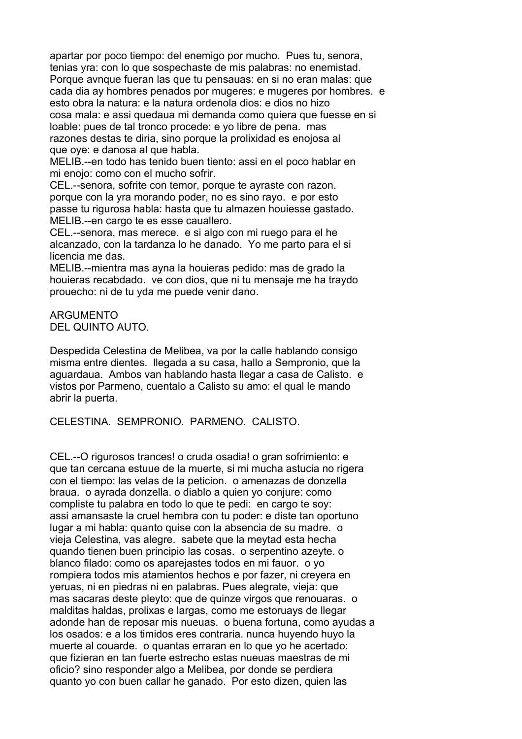apartar por poco tiempo: del enemigo por mucho. Pues tu, senora, tenias yra: con lo que sospechaste de mis palabras: no enemistad. Porque avnque fueran las que tu pensauas: en si no eran malas: que cada dia ay hombres penados por mugeres: e mugeres por hombres. e esto obra la natura: e la natura ordenola dios: e dios no hizo cosa mala: e assi quedaua mi demanda como quiera que fuesse en si loable: pues de tal tronco procede: e yo libre de pena. mas razones destas te diria, sino porque la prolixidad es enojosa al que oye: e danosa al que habla.

MELIB.--en todo has tenido buen tiento: assi en el poco hablar en mi enojo: como con el mucho sofrir.

CEL.--senora, sofrite con temor, porque te ayraste con razon. porque con la yra morando poder, no es sino rayo. e por esto passe tu rigurosa habla: hasta que tu almazen houiesse gastado. MELIB.--en cargo te es esse cauallero.

CEL.--senora, mas merece. e si algo con mi ruego para el he alcanzado, con la tardanza lo he danado. Yo me parto para el si licencia me das.

MELIB.--mientra mas ayna la houieras pedido: mas de grado la houieras recabdado. ve con dios, que ni tu mensaje me ha traydo prouecho: ni de tu yda me puede venir dano.

ARGUMENTO DEL QUINTO AUTO.

Despedida Celestina de Melibea, va por la calle hablando consigo misma entre dientes. llegada a su casa, hallo a Sempronio, que la aguardaua. Ambos van hablando hasta llegar a casa de Calisto. e vistos por Parmeno, cuentalo a Calisto su amo: el qual le mando abrir la puerta.

CELESTINA. SEMPRONIO. PARMENO. CALISTO.

CEL.--O rigurosos trances! o cruda osadia! o gran sofrimiento: e que tan cercana estuue de la muerte, si mi mucha astucia no rigera con el tiempo: las velas de la peticion. o amenazas de donzella braua. o ayrada donzella. o diablo a quien yo conjure: como compliste tu palabra en todo lo que te pedi: en cargo te soy: assi amansaste la cruel hembra con tu poder: e diste tan oportuno lugar a mi habla: quanto quise con la absencia de su madre. o vieja Celestina, vas alegre. sabete que la meytad esta hecha quando tienen buen principio las cosas. o serpentino azeyte. o blanco filado: como os aparejastes todos en mi fauor. o yo rompiera todos mis atamientos hechos e por fazer, ni creyera en yeruas, ni en piedras ni en palabras. Pues alegrate, vieja: que mas sacaras deste pleyto: que de quinze virgos que renouaras. o malditas haldas, prolixas e largas, como me estoruays de llegar adonde han de reposar mis nueuas. o buena fortuna, como ayudas a los osados: e a los timidos eres contraria. nunca huyendo huyo la muerte al couarde. o quantas erraran en lo que yo he acertado: que fizieran en tan fuerte estrecho estas nueuas maestras de mi oficio? sino responder algo a Melibea, por donde se perdiera quanto yo con buen callar he ganado. Por esto dizen, quien las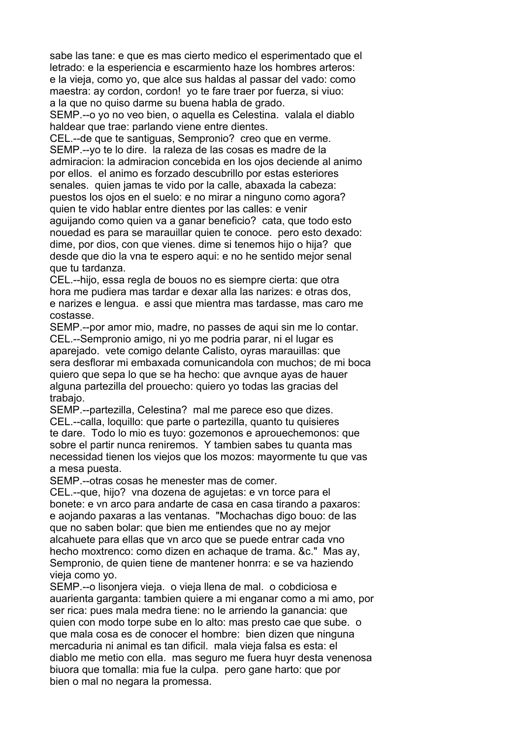sabe las tane: e que es mas cierto medico el esperimentado que el letrado: e la esperiencia e escarmiento haze los hombres arteros: e la vieja, como yo, que alce sus haldas al passar del vado: como maestra: ay cordon, cordon! yo te fare traer por fuerza, si viuo: a la que no quiso darme su buena habla de grado.

SEMP.--o yo no veo bien, o aquella es Celestina. valala el diablo haldear que trae: parlando viene entre dientes.

CEL.--de que te santiguas, Sempronio? creo que en verme. SEMP.--yo te lo dire. la raleza de las cosas es madre de la admiracion: la admiracion concebida en los ojos deciende al animo por ellos. el animo es forzado descubrillo por estas esteriores senales. quien jamas te vido por la calle, abaxada la cabeza: puestos los ojos en el suelo: e no mirar a ninguno como agora? quien te vido hablar entre dientes por las calles: e venir aguijando como quien va a ganar beneficio? cata, que todo esto nouedad es para se marauillar quien te conoce. pero esto dexado: dime, por dios, con que vienes. dime si tenemos hijo o hija? que desde que dio la vna te espero aqui: e no he sentido mejor senal que tu tardanza.

CEL.--hijo, essa regla de bouos no es siempre cierta: que otra hora me pudiera mas tardar e dexar alla las narizes: e otras dos, e narizes e lengua. e assi que mientra mas tardasse, mas caro me costasse.

SEMP.--por amor mio, madre, no passes de aqui sin me lo contar. CEL.--Sempronio amigo, ni yo me podria parar, ni el lugar es aparejado. vete comigo delante Calisto, oyras marauillas: que sera desflorar mi embaxada comunicandola con muchos; de mi boca quiero que sepa lo que se ha hecho: que avnque ayas de hauer alguna partezilla del prouecho: quiero yo todas las gracias del trabajo.

SEMP.--partezilla, Celestina? mal me parece eso que dizes. CEL.--calla, loquillo: que parte o partezilla, quanto tu quisieres te dare. Todo lo mio es tuyo: gozemonos e aprouechemonos: que sobre el partir nunca reniremos. Y tambien sabes tu quanta mas necessidad tienen los viejos que los mozos: mayormente tu que vas a mesa puesta.

SEMP.--otras cosas he menester mas de comer.

CEL.--que, hijo? vna dozena de agujetas: e vn torce para el bonete: e vn arco para andarte de casa en casa tirando a paxaros: e aojando paxaras a las ventanas. "Mochachas digo bouo: de las que no saben bolar: que bien me entiendes que no ay mejor alcahuete para ellas que vn arco que se puede entrar cada vno hecho moxtrenco: como dizen en achaque de trama. &c." Mas ay, Sempronio, de quien tiene de mantener honrra: e se va haziendo vieja como yo.

SEMP.--o lisonjera vieja. o vieja llena de mal. o cobdiciosa e auarienta garganta: tambien quiere a mi enganar como a mi amo, por ser rica: pues mala medra tiene: no le arriendo la ganancia: que quien con modo torpe sube en lo alto: mas presto cae que sube. o que mala cosa es de conocer el hombre: bien dizen que ninguna mercaduria ni animal es tan dificil. mala vieja falsa es esta: el diablo me metio con ella. mas seguro me fuera huyr desta venenosa biuora que tomalla: mia fue la culpa. pero gane harto: que por bien o mal no negara la promessa.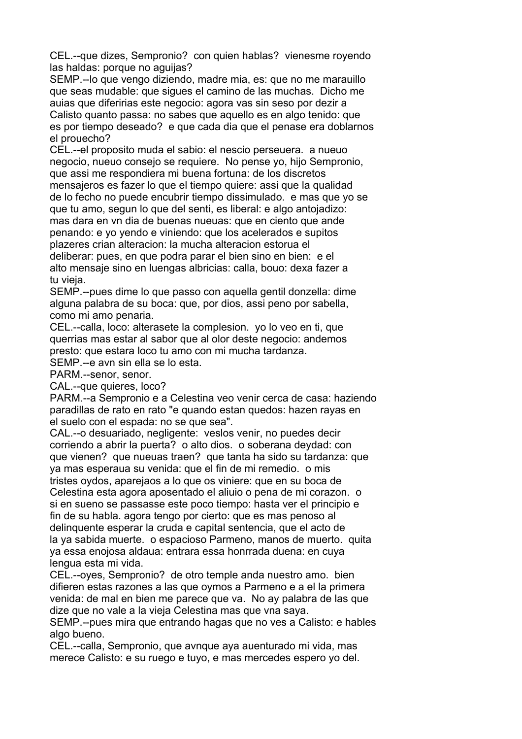CEL.--que dizes, Sempronio? con quien hablas? vienesme royendo las haldas: porque no aguijas?

SEMP.--lo que vengo diziendo, madre mia, es: que no me marauillo que seas mudable: que sigues el camino de las muchas. Dicho me auias que diferirias este negocio: agora vas sin seso por dezir a Calisto quanto passa: no sabes que aquello es en algo tenido: que es por tiempo deseado? e que cada dia que el penase era doblarnos el prouecho?

CEL.--el proposito muda el sabio: el nescio perseuera. a nueuo negocio, nueuo consejo se requiere. No pense yo, hijo Sempronio, que assi me respondiera mi buena fortuna: de los discretos mensajeros es fazer lo que el tiempo quiere: assi que la qualidad de lo fecho no puede encubrir tiempo dissimulado. e mas que yo se que tu amo, segun lo que del senti, es liberal: e algo antojadizo: mas dara en vn dia de buenas nueuas: que en ciento que ande penando: e yo yendo e viniendo: que los acelerados e supitos plazeres crian alteracion: la mucha alteracion estorua el deliberar: pues, en que podra parar el bien sino en bien: e el alto mensaje sino en luengas albricias: calla, bouo: dexa fazer a tu vieja.

SEMP.--pues dime lo que passo con aquella gentil donzella: dime alguna palabra de su boca: que, por dios, assi peno por sabella, como mi amo penaria.

CEL.--calla, loco: alterasete la complesion. yo lo veo en ti, que querrias mas estar al sabor que al olor deste negocio: andemos presto: que estara loco tu amo con mi mucha tardanza.

SEMP.--e avn sin ella se lo esta.

PARM.--senor, senor.

CAL.--que quieres, loco?

PARM.--a Sempronio e a Celestina veo venir cerca de casa: haziendo paradillas de rato en rato "e quando estan quedos: hazen rayas en el suelo con el espada: no se que sea".

CAL.--o desuariado, negligente: veslos venir, no puedes decir corriendo a abrir la puerta? o alto dios. o soberana deydad: con que vienen? que nueuas traen? que tanta ha sido su tardanza: que ya mas esperaua su venida: que el fin de mi remedio. o mis tristes oydos, aparejaos a lo que os viniere: que en su boca de Celestina esta agora aposentado el aliuio o pena de mi corazon. o si en sueno se passasse este poco tiempo: hasta ver el principio e fin de su habla. agora tengo por cierto: que es mas penoso al delinquente esperar la cruda e capital sentencia, que el acto de la ya sabida muerte. o espacioso Parmeno, manos de muerto. quita ya essa enojosa aldaua: entrara essa honrrada duena: en cuya

lengua esta mi vida.

CEL.--oyes, Sempronio? de otro temple anda nuestro amo. bien difieren estas razones a las que oymos a Parmeno e a el la primera venida: de mal en bien me parece que va. No ay palabra de las que dize que no vale a la vieja Celestina mas que vna saya.

SEMP.--pues mira que entrando hagas que no ves a Calisto: e hables algo bueno.

CEL.--calla, Sempronio, que avnque aya auenturado mi vida, mas merece Calisto: e su ruego e tuyo, e mas mercedes espero yo del.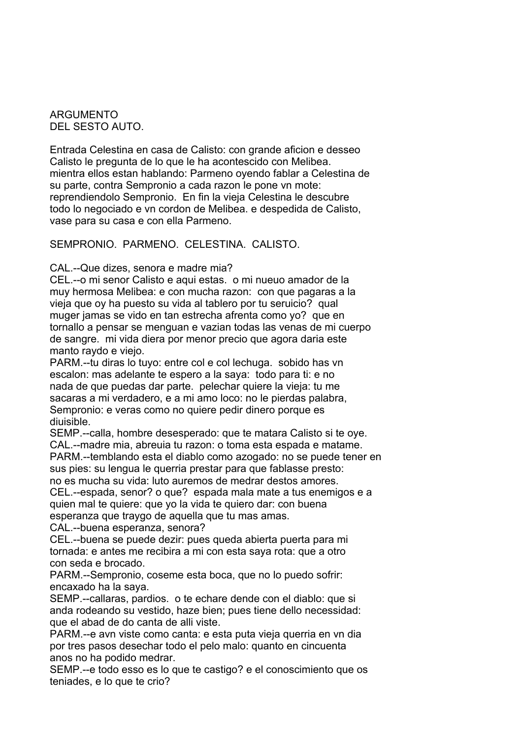ARGUMENTO DEL SESTO AUTO.

Entrada Celestina en casa de Calisto: con grande aficion e desseo Calisto le pregunta de lo que le ha acontescido con Melibea. mientra ellos estan hablando: Parmeno oyendo fablar a Celestina de su parte, contra Sempronio a cada razon le pone vn mote: reprendiendolo Sempronio. En fin la vieja Celestina le descubre todo lo negociado e vn cordon de Melibea. e despedida de Calisto, vase para su casa e con ella Parmeno.

SEMPRONIO. PARMENO. CELESTINA. CALISTO.

CAL.--Que dizes, senora e madre mia?

CEL.--o mi senor Calisto e aqui estas. o mi nueuo amador de la muy hermosa Melibea: e con mucha razon: con que pagaras a la vieja que oy ha puesto su vida al tablero por tu seruicio? qual muger jamas se vido en tan estrecha afrenta como yo? que en tornallo a pensar se menguan e vazian todas las venas de mi cuerpo de sangre. mi vida diera por menor precio que agora daria este manto raydo e viejo.

PARM.--tu diras lo tuyo: entre col e col lechuga. sobido has vn escalon: mas adelante te espero a la saya: todo para ti: e no nada de que puedas dar parte. pelechar quiere la vieja: tu me sacaras a mi verdadero, e a mi amo loco: no le pierdas palabra, Sempronio: e veras como no quiere pedir dinero porque es diuisible.

SEMP.--calla, hombre desesperado: que te matara Calisto si te oye. CAL.--madre mia, abreuia tu razon: o toma esta espada e matame. PARM.--temblando esta el diablo como azogado: no se puede tener en sus pies: su lengua le querria prestar para que fablasse presto: no es mucha su vida: luto auremos de medrar destos amores.

CEL.--espada, senor? o que? espada mala mate a tus enemigos e a quien mal te quiere: que yo la vida te quiero dar: con buena esperanza que traygo de aquella que tu mas amas.

CAL.--buena esperanza, senora?

CEL.--buena se puede dezir: pues queda abierta puerta para mi tornada: e antes me recibira a mi con esta saya rota: que a otro con seda e brocado.

PARM.--Sempronio, coseme esta boca, que no lo puedo sofrir: encaxado ha la saya.

SEMP.--callaras, pardios. o te echare dende con el diablo: que si anda rodeando su vestido, haze bien; pues tiene dello necessidad: que el abad de do canta de alli viste.

PARM.--e avn viste como canta: e esta puta vieja querria en vn dia por tres pasos desechar todo el pelo malo: quanto en cincuenta anos no ha podido medrar.

SEMP.--e todo esso es lo que te castigo? e el conoscimiento que os teniades, e lo que te crio?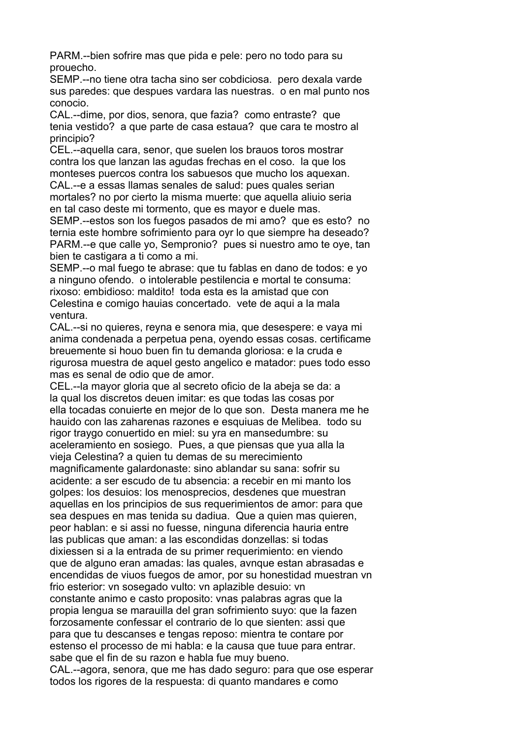PARM.--bien sofrire mas que pida e pele: pero no todo para su prouecho.

SEMP.--no tiene otra tacha sino ser cobdiciosa. pero dexala varde sus paredes: que despues vardara las nuestras. o en mal punto nos conocio.

CAL.--dime, por dios, senora, que fazia? como entraste? que tenia vestido? a que parte de casa estaua? que cara te mostro al principio?

CEL.--aquella cara, senor, que suelen los brauos toros mostrar contra los que lanzan las agudas frechas en el coso. la que los monteses puercos contra los sabuesos que mucho los aquexan.

CAL.--e a essas llamas senales de salud: pues quales serian mortales? no por cierto la misma muerte: que aquella aliuio seria en tal caso deste mi tormento, que es mayor e duele mas.

SEMP.--estos son los fuegos pasados de mi amo? que es esto? no ternia este hombre sofrimiento para oyr lo que siempre ha deseado? PARM.--e que calle yo, Sempronio? pues si nuestro amo te oye, tan bien te castigara a ti como a mi.

SEMP.--o mal fuego te abrase: que tu fablas en dano de todos: e yo a ninguno ofendo. o intolerable pestilencia e mortal te consuma: rixoso: embidioso: maldito! toda esta es la amistad que con Celestina e comigo hauias concertado. vete de aqui a la mala ventura.

CAL.--si no quieres, reyna e senora mia, que desespere: e vaya mi anima condenada a perpetua pena, oyendo essas cosas. certificame breuemente si houo buen fin tu demanda gloriosa: e la cruda e rigurosa muestra de aquel gesto angelico e matador: pues todo esso mas es senal de odio que de amor.

CEL.--la mayor gloria que al secreto oficio de la abeja se da: a la qual los discretos deuen imitar: es que todas las cosas por ella tocadas conuierte en mejor de lo que son. Desta manera me he hauido con las zaharenas razones e esquiuas de Melibea. todo su rigor traygo conuertido en miel: su yra en mansedumbre: su aceleramiento en sosiego. Pues, a que piensas que yua alla la vieja Celestina? a quien tu demas de su merecimiento magnificamente galardonaste: sino ablandar su sana: sofrir su acidente: a ser escudo de tu absencia: a recebir en mi manto los golpes: los desuios: los menosprecios, desdenes que muestran aquellas en los principios de sus requerimientos de amor: para que sea despues en mas tenida su dadiua. Que a quien mas quieren, peor hablan: e si assi no fuesse, ninguna diferencia hauria entre las publicas que aman: a las escondidas donzellas: si todas dixiessen si a la entrada de su primer requerimiento: en viendo que de alguno eran amadas: las quales, avnque estan abrasadas e encendidas de viuos fuegos de amor, por su honestidad muestran vn frio esterior: vn sosegado vulto: vn aplazible desuio: vn constante animo e casto proposito: vnas palabras agras que la propia lengua se marauilla del gran sofrimiento suyo: que la fazen forzosamente confessar el contrario de lo que sienten: assi que para que tu descanses e tengas reposo: mientra te contare por estenso el processo de mi habla: e la causa que tuue para entrar. sabe que el fin de su razon e habla fue muy bueno.

CAL.--agora, senora, que me has dado seguro: para que ose esperar todos los rigores de la respuesta: di quanto mandares e como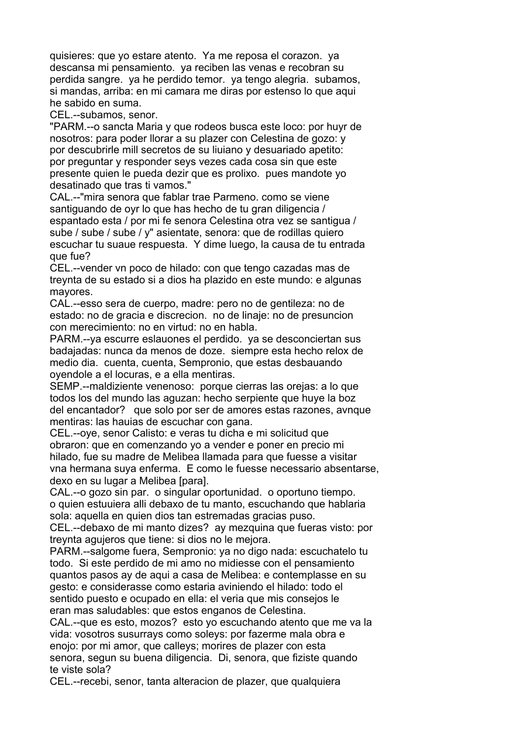quisieres: que yo estare atento. Ya me reposa el corazon. ya descansa mi pensamiento. ya reciben las venas e recobran su perdida sangre. ya he perdido temor. ya tengo alegria. subamos, si mandas, arriba: en mi camara me diras por estenso lo que aqui he sabido en suma.

CEL.--subamos, senor.

"PARM.--o sancta Maria y que rodeos busca este loco: por huyr de nosotros: para poder llorar a su plazer con Celestina de gozo: y por descubrirle mill secretos de su liuiano y desuariado apetito: por preguntar y responder seys vezes cada cosa sin que este presente quien le pueda dezir que es prolixo. pues mandote yo desatinado que tras ti vamos."

CAL.--"mira senora que fablar trae Parmeno. como se viene santiguando de oyr lo que has hecho de tu gran diligencia / espantado esta / por mi fe senora Celestina otra vez se santigua / sube / sube / sube / y" asientate, senora: que de rodillas quiero escuchar tu suaue respuesta. Y dime luego, la causa de tu entrada que fue?

CEL.--vender vn poco de hilado: con que tengo cazadas mas de treynta de su estado si a dios ha plazido en este mundo: e algunas mayores.

CAL.--esso sera de cuerpo, madre: pero no de gentileza: no de estado: no de gracia e discrecion. no de linaje: no de presuncion con merecimiento: no en virtud: no en habla.

PARM.--ya escurre eslauones el perdido. ya se desconciertan sus badajadas: nunca da menos de doze. siempre esta hecho relox de medio dia. cuenta, cuenta, Sempronio, que estas desbauando oyendole a el locuras, e a ella mentiras.

SEMP.--maldiziente venenoso: porque cierras las orejas: a lo que todos los del mundo las aguzan: hecho serpiente que huye la boz del encantador? que solo por ser de amores estas razones, avnque mentiras: las hauias de escuchar con gana.

CEL.--oye, senor Calisto: e veras tu dicha e mi solicitud que obraron: que en comenzando yo a vender e poner en precio mi hilado, fue su madre de Melibea llamada para que fuesse a visitar vna hermana suya enferma. E como le fuesse necessario absentarse, dexo en su lugar a Melibea [para].

CAL.--o gozo sin par. o singular oportunidad. o oportuno tiempo. o quien estuuiera alli debaxo de tu manto, escuchando que hablaria sola: aquella en quien dios tan estremadas gracias puso.

CEL.--debaxo de mi manto dizes? ay mezquina que fueras visto: por treynta agujeros que tiene: si dios no le mejora.

PARM.--salgome fuera, Sempronio: ya no digo nada: escuchatelo tu todo. Si este perdido de mi amo no midiesse con el pensamiento quantos pasos ay de aqui a casa de Melibea: e contemplasse en su gesto: e considerasse como estaria aviniendo el hilado: todo el sentido puesto e ocupado en ella: el veria que mis consejos le eran mas saludables: que estos enganos de Celestina.

CAL.--que es esto, mozos? esto yo escuchando atento que me va la vida: vosotros susurrays como soleys: por fazerme mala obra e enojo: por mi amor, que calleys; morires de plazer con esta senora, segun su buena diligencia. Di, senora, que fiziste quando te viste sola?

CEL.--recebi, senor, tanta alteracion de plazer, que qualquiera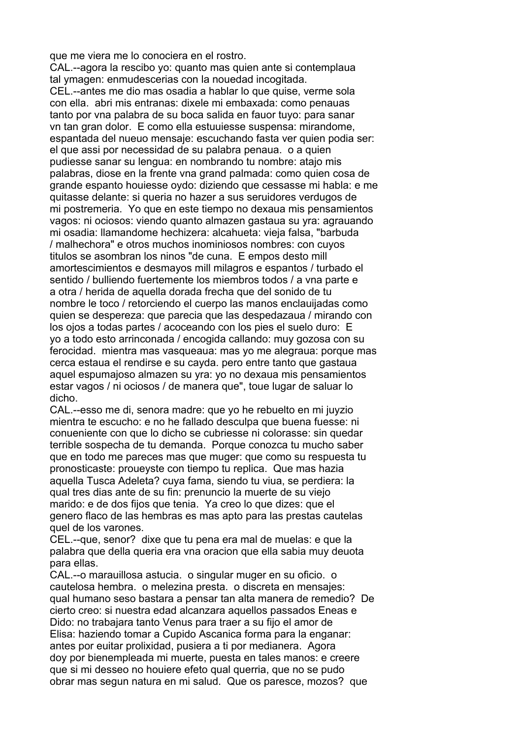que me viera me lo conociera en el rostro.

CAL.--agora la rescibo yo: quanto mas quien ante si contemplaua tal ymagen: enmudescerias con la nouedad incogitada.

CEL.--antes me dio mas osadia a hablar lo que quise, verme sola con ella. abri mis entranas: dixele mi embaxada: como penauas tanto por vna palabra de su boca salida en fauor tuyo: para sanar vn tan gran dolor. E como ella estuuiesse suspensa: mirandome, espantada del nueuo mensaje: escuchando fasta ver quien podia ser: el que assi por necessidad de su palabra penaua. o a quien pudiesse sanar su lengua: en nombrando tu nombre: atajo mis palabras, diose en la frente vna grand palmada: como quien cosa de grande espanto houiesse oydo: diziendo que cessasse mi habla: e me quitasse delante: si queria no hazer a sus seruidores verdugos de mi postremeria. Yo que en este tiempo no dexaua mis pensamientos vagos: ni ociosos: viendo quanto almazen gastaua su yra: agrauando mi osadia: llamandome hechizera: alcahueta: vieja falsa, "barbuda / malhechora" e otros muchos inominiosos nombres: con cuyos titulos se asombran los ninos "de cuna. E empos desto mill amortescimientos e desmayos mill milagros e espantos / turbado el sentido / bulliendo fuertemente los miembros todos / a vna parte e a otra / herida de aquella dorada frecha que del sonido de tu nombre le toco / retorciendo el cuerpo las manos enclauijadas como quien se despereza: que parecia que las despedazaua / mirando con los ojos a todas partes / acoceando con los pies el suelo duro: E yo a todo esto arrinconada / encogida callando: muy gozosa con su ferocidad. mientra mas vasqueaua: mas yo me alegraua: porque mas cerca estaua el rendirse e su cayda. pero entre tanto que gastaua aquel espumajoso almazen su yra: yo no dexaua mis pensamientos estar vagos / ni ociosos / de manera que", toue lugar de saluar lo dicho.

CAL.--esso me di, senora madre: que yo he rebuelto en mi juyzio mientra te escucho: e no he fallado desculpa que buena fuesse: ni conueniente con que lo dicho se cubriesse ni colorasse: sin quedar terrible sospecha de tu demanda. Porque conozca tu mucho saber que en todo me pareces mas que muger: que como su respuesta tu pronosticaste: proueyste con tiempo tu replica. Que mas hazia aquella Tusca Adeleta? cuya fama, siendo tu viua, se perdiera: la qual tres dias ante de su fin: prenuncio la muerte de su viejo marido: e de dos fijos que tenia. Ya creo lo que dizes: que el genero flaco de las hembras es mas apto para las prestas cautelas quel de los varones.

CEL.--que, senor? dixe que tu pena era mal de muelas: e que la palabra que della queria era vna oracion que ella sabia muy deuota para ellas.

CAL.--o marauillosa astucia. o singular muger en su oficio. o cautelosa hembra. o melezina presta. o discreta en mensajes: qual humano seso bastara a pensar tan alta manera de remedio? De cierto creo: si nuestra edad alcanzara aquellos passados Eneas e Dido: no trabajara tanto Venus para traer a su fijo el amor de Elisa: haziendo tomar a Cupido Ascanica forma para la enganar: antes por euitar prolixidad, pusiera a ti por medianera. Agora doy por bienempleada mi muerte, puesta en tales manos: e creere que si mi desseo no houiere efeto qual querria, que no se pudo obrar mas segun natura en mi salud. Que os paresce, mozos? que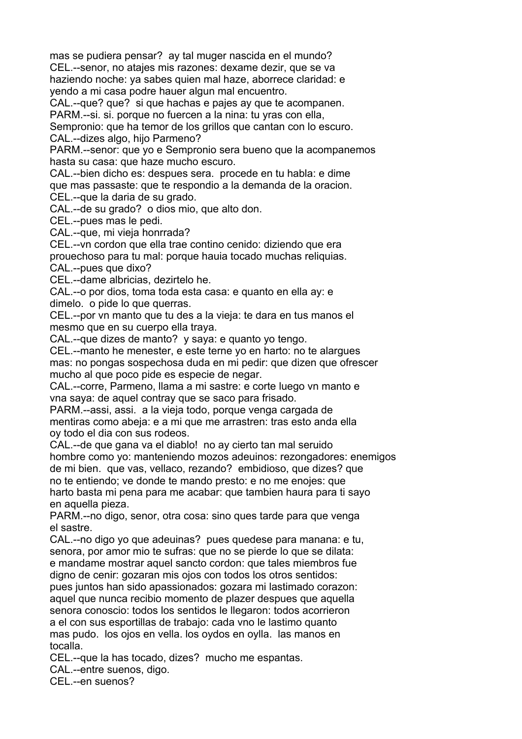mas se pudiera pensar? ay tal muger nascida en el mundo? CEL.--senor, no atajes mis razones: dexame dezir, que se va haziendo noche: ya sabes quien mal haze, aborrece claridad: e yendo a mi casa podre hauer algun mal encuentro.

CAL.--que? que? si que hachas e pajes ay que te acompanen. PARM.--si. si. porque no fuercen a la nina: tu yras con ella,

Sempronio: que ha temor de los grillos que cantan con lo escuro. CAL.--dizes algo, hijo Parmeno?

PARM.--senor: que yo e Sempronio sera bueno que la acompanemos hasta su casa: que haze mucho escuro.

CAL.--bien dicho es: despues sera. procede en tu habla: e dime que mas passaste: que te respondio a la demanda de la oracion.

CEL.--que la daria de su grado.

CAL.--de su grado? o dios mio, que alto don.

CEL.--pues mas le pedi.

CAL.--que, mi vieja honrrada?

CEL.--vn cordon que ella trae contino cenido: diziendo que era

prouechoso para tu mal: porque hauia tocado muchas reliquias.

CAL.--pues que dixo?

CEL.--dame albricias, dezirtelo he.

CAL.--o por dios, toma toda esta casa: e quanto en ella ay: e dimelo. o pide lo que querras.

CEL.--por vn manto que tu des a la vieja: te dara en tus manos el mesmo que en su cuerpo ella traya.

CAL.--que dizes de manto? y saya: e quanto yo tengo.

CEL.--manto he menester, e este terne yo en harto: no te alargues mas: no pongas sospechosa duda en mi pedir: que dizen que ofrescer mucho al que poco pide es especie de negar.

CAL.--corre, Parmeno, llama a mi sastre: e corte luego vn manto e vna saya: de aquel contray que se saco para frisado.

PARM.--assi, assi. a la vieja todo, porque venga cargada de mentiras como abeja: e a mi que me arrastren: tras esto anda ella oy todo el dia con sus rodeos.

CAL.--de que gana va el diablo! no ay cierto tan mal seruido hombre como yo: manteniendo mozos adeuinos: rezongadores: enemigos de mi bien. que vas, vellaco, rezando? embidioso, que dizes? que no te entiendo; ve donde te mando presto: e no me enojes: que harto basta mi pena para me acabar: que tambien haura para ti sayo en aquella pieza.

PARM.--no digo, senor, otra cosa: sino ques tarde para que venga el sastre.

CAL.--no digo yo que adeuinas? pues quedese para manana: e tu, senora, por amor mio te sufras: que no se pierde lo que se dilata: e mandame mostrar aquel sancto cordon: que tales miembros fue digno de cenir: gozaran mis ojos con todos los otros sentidos: pues juntos han sido apassionados: gozara mi lastimado corazon: aquel que nunca recibio momento de plazer despues que aquella senora conoscio: todos los sentidos le llegaron: todos acorrieron

a el con sus esportillas de trabajo: cada vno le lastimo quanto mas pudo. los ojos en vella. los oydos en oylla. las manos en tocalla.

CEL.--que la has tocado, dizes? mucho me espantas.

CAL.--entre suenos, digo.

CEL.--en suenos?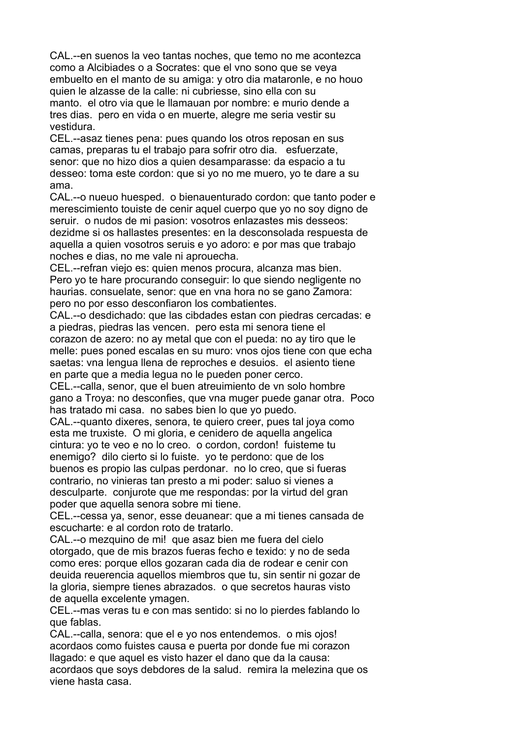CAL.--en suenos la veo tantas noches, que temo no me acontezca como a Alcibiades o a Socrates: que el vno sono que se veya embuelto en el manto de su amiga: y otro dia mataronle, e no houo quien le alzasse de la calle: ni cubriesse, sino ella con su manto. el otro via que le llamauan por nombre: e murio dende a tres dias. pero en vida o en muerte, alegre me seria vestir su vestidura.

CEL.--asaz tienes pena: pues quando los otros reposan en sus camas, preparas tu el trabajo para sofrir otro dia. esfuerzate, senor: que no hizo dios a quien desamparasse: da espacio a tu desseo: toma este cordon: que si yo no me muero, yo te dare a su ama.

CAL.--o nueuo huesped. o bienauenturado cordon: que tanto poder e merescimiento touiste de cenir aquel cuerpo que yo no soy digno de seruir. o nudos de mi pasion: vosotros enlazastes mis desseos: dezidme si os hallastes presentes: en la desconsolada respuesta de aquella a quien vosotros seruis e yo adoro: e por mas que trabajo noches e dias, no me vale ni aprouecha.

CEL.--refran viejo es: quien menos procura, alcanza mas bien. Pero yo te hare procurando conseguir: lo que siendo negligente no haurias. consuelate, senor: que en vna hora no se gano Zamora: pero no por esso desconfiaron los combatientes.

CAL.--o desdichado: que las cibdades estan con piedras cercadas: e a piedras, piedras las vencen. pero esta mi senora tiene el corazon de azero: no ay metal que con el pueda: no ay tiro que le melle: pues poned escalas en su muro: vnos ojos tiene con que echa saetas: vna lengua llena de reproches e desuios. el asiento tiene en parte que a media legua no le pueden poner cerco.

CEL.--calla, senor, que el buen atreuimiento de vn solo hombre gano a Troya: no desconfies, que vna muger puede ganar otra. Poco has tratado mi casa. no sabes bien lo que yo puedo.

CAL.--quanto dixeres, senora, te quiero creer, pues tal joya como esta me truxiste. O mi gloria, e cenidero de aquella angelica cintura: yo te veo e no lo creo. o cordon, cordon! fuisteme tu enemigo? dilo cierto si lo fuiste. yo te perdono: que de los buenos es propio las culpas perdonar. no lo creo, que si fueras contrario, no vinieras tan presto a mi poder: saluo si vienes a desculparte. conjurote que me respondas: por la virtud del gran poder que aquella senora sobre mi tiene.

CEL.--cessa ya, senor, esse deuanear: que a mi tienes cansada de escucharte: e al cordon roto de tratarlo.

CAL.--o mezquino de mi! que asaz bien me fuera del cielo otorgado, que de mis brazos fueras fecho e texido: y no de seda como eres: porque ellos gozaran cada dia de rodear e cenir con deuida reuerencia aquellos miembros que tu, sin sentir ni gozar de la gloria, siempre tienes abrazados. o que secretos hauras visto de aquella excelente ymagen.

CEL.--mas veras tu e con mas sentido: si no lo pierdes fablando lo que fablas.

CAL.--calla, senora: que el e yo nos entendemos. o mis ojos! acordaos como fuistes causa e puerta por donde fue mi corazon llagado: e que aquel es visto hazer el dano que da la causa: acordaos que soys debdores de la salud. remira la melezina que os viene hasta casa.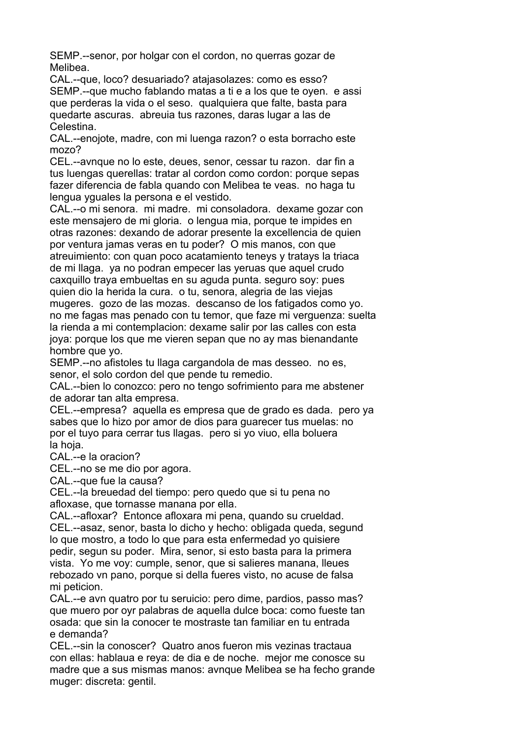SEMP.--senor, por holgar con el cordon, no querras gozar de Melibea.

CAL.--que, loco? desuariado? atajasolazes: como es esso? SEMP.--que mucho fablando matas a ti e a los que te oyen. e assi que perderas la vida o el seso. qualquiera que falte, basta para quedarte ascuras. abreuia tus razones, daras lugar a las de Celestina.

CAL.--enojote, madre, con mi luenga razon? o esta borracho este mozo?

CEL.--avnque no lo este, deues, senor, cessar tu razon. dar fin a tus luengas querellas: tratar al cordon como cordon: porque sepas fazer diferencia de fabla quando con Melibea te veas. no haga tu lengua yguales la persona e el vestido.

CAL.--o mi senora. mi madre. mi consoladora. dexame gozar con este mensajero de mi gloria. o lengua mia, porque te impides en otras razones: dexando de adorar presente la excellencia de quien por ventura jamas veras en tu poder? O mis manos, con que atreuimiento: con quan poco acatamiento teneys y tratays la triaca de mi llaga. ya no podran empecer las yeruas que aquel crudo caxquillo traya embueltas en su aguda punta. seguro soy: pues quien dio la herida la cura. o tu, senora, alegria de las viejas mugeres. gozo de las mozas. descanso de los fatigados como yo. no me fagas mas penado con tu temor, que faze mi verguenza: suelta la rienda a mi contemplacion: dexame salir por las calles con esta joya: porque los que me vieren sepan que no ay mas bienandante hombre que yo.

SEMP.--no afistoles tu llaga cargandola de mas desseo. no es, senor, el solo cordon del que pende tu remedio.

CAL.--bien lo conozco: pero no tengo sofrimiento para me abstener de adorar tan alta empresa.

CEL.--empresa? aquella es empresa que de grado es dada. pero ya sabes que lo hizo por amor de dios para guarecer tus muelas: no por el tuyo para cerrar tus llagas. pero si yo viuo, ella boluera la hoja.

CAL.--e la oracion?

CEL.--no se me dio por agora.

CAL.--que fue la causa?

CEL.--la breuedad del tiempo: pero quedo que si tu pena no afloxase, que tornasse manana por ella.

CAL.--afloxar? Entonce afloxara mi pena, quando su crueldad. CEL.--asaz, senor, basta lo dicho y hecho: obligada queda, segund lo que mostro, a todo lo que para esta enfermedad yo quisiere pedir, segun su poder. Mira, senor, si esto basta para la primera vista. Yo me voy: cumple, senor, que si salieres manana, lleues rebozado vn pano, porque si della fueres visto, no acuse de falsa mi peticion.

CAL.--e avn quatro por tu seruicio: pero dime, pardios, passo mas? que muero por oyr palabras de aquella dulce boca: como fueste tan osada: que sin la conocer te mostraste tan familiar en tu entrada e demanda?

CEL.--sin la conoscer? Quatro anos fueron mis vezinas tractaua con ellas: hablaua e reya: de dia e de noche. mejor me conosce su madre que a sus mismas manos: avnque Melibea se ha fecho grande muger: discreta: gentil.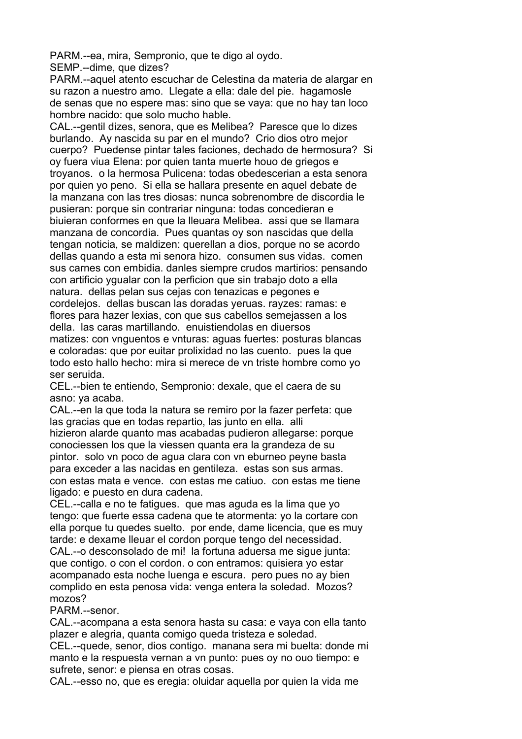PARM.--ea, mira, Sempronio, que te digo al oydo.

SEMP.--dime, que dizes?

PARM.--aquel atento escuchar de Celestina da materia de alargar en su razon a nuestro amo. Llegate a ella: dale del pie. hagamosle de senas que no espere mas: sino que se vaya: que no hay tan loco hombre nacido: que solo mucho hable.

CAL.--gentil dizes, senora, que es Melibea? Paresce que lo dizes burlando. Ay nascida su par en el mundo? Crio dios otro mejor cuerpo? Puedense pintar tales faciones, dechado de hermosura? Si oy fuera viua Elena: por quien tanta muerte houo de griegos e troyanos. o la hermosa Pulicena: todas obedescerian a esta senora por quien yo peno. Si ella se hallara presente en aquel debate de la manzana con las tres diosas: nunca sobrenombre de discordia le pusieran: porque sin contrariar ninguna: todas concedieran e biuieran conformes en que la lleuara Melibea. assi que se llamara manzana de concordia. Pues quantas oy son nascidas que della tengan noticia, se maldizen: querellan a dios, porque no se acordo dellas quando a esta mi senora hizo. consumen sus vidas. comen sus carnes con embidia. danles siempre crudos martirios: pensando con artificio ygualar con la perficion que sin trabajo doto a ella natura. dellas pelan sus cejas con tenazicas e pegones e cordelejos. dellas buscan las doradas yeruas. rayzes: ramas: e flores para hazer lexias, con que sus cabellos semejassen a los della. las caras martillando. enuistiendolas en diuersos matizes: con vnguentos e vnturas: aguas fuertes: posturas blancas e coloradas: que por euitar prolixidad no las cuento. pues la que todo esto hallo hecho: mira si merece de vn triste hombre como yo ser seruida.

CEL.--bien te entiendo, Sempronio: dexale, que el caera de su asno: ya acaba.

CAL.--en la que toda la natura se remiro por la fazer perfeta: que las gracias que en todas repartio, las junto en ella. alli hizieron alarde quanto mas acabadas pudieron allegarse: porque conociessen los que la viessen quanta era la grandeza de su pintor. solo vn poco de agua clara con vn eburneo peyne basta para exceder a las nacidas en gentileza. estas son sus armas. con estas mata e vence. con estas me catiuo. con estas me tiene ligado: e puesto en dura cadena.

CEL.--calla e no te fatigues. que mas aguda es la lima que yo tengo: que fuerte essa cadena que te atormenta: yo la cortare con ella porque tu quedes suelto. por ende, dame licencia, que es muy tarde: e dexame lleuar el cordon porque tengo del necessidad. CAL.--o desconsolado de mi! la fortuna aduersa me sigue junta: que contigo. o con el cordon. o con entramos: quisiera yo estar acompanado esta noche luenga e escura. pero pues no ay bien complido en esta penosa vida: venga entera la soledad. Mozos? mozos?

PARM.--senor.

CAL.--acompana a esta senora hasta su casa: e vaya con ella tanto plazer e alegria, quanta comigo queda tristeza e soledad.

CEL.--quede, senor, dios contigo. manana sera mi buelta: donde mi manto e la respuesta vernan a vn punto: pues oy no ouo tiempo: e sufrete, senor: e piensa en otras cosas.

CAL.--esso no, que es eregia: oluidar aquella por quien la vida me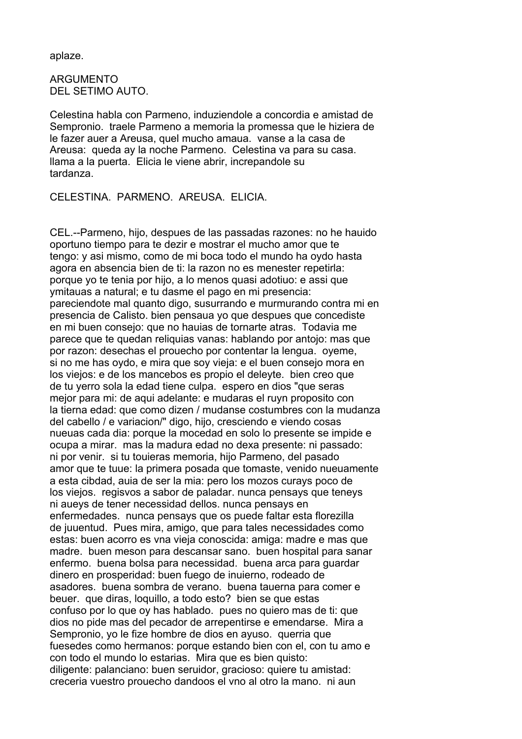aplaze.

ARGUMENTO DEL SETIMO AUTO.

Celestina habla con Parmeno, induziendole a concordia e amistad de Sempronio. traele Parmeno a memoria la promessa que le hiziera de le fazer auer a Areusa, quel mucho amaua. vanse a la casa de Areusa: queda ay la noche Parmeno. Celestina va para su casa. llama a la puerta. Elicia le viene abrir, increpandole su tardanza.

CELESTINA. PARMENO. AREUSA. ELICIA.

CEL.--Parmeno, hijo, despues de las passadas razones: no he hauido oportuno tiempo para te dezir e mostrar el mucho amor que te tengo: y asi mismo, como de mi boca todo el mundo ha oydo hasta agora en absencia bien de ti: la razon no es menester repetirla: porque yo te tenia por hijo, a lo menos quasi adotiuo: e assi que ymitauas a natural; e tu dasme el pago en mi presencia: pareciendote mal quanto digo, susurrando e murmurando contra mi en presencia de Calisto. bien pensaua yo que despues que concediste en mi buen consejo: que no hauias de tornarte atras. Todavia me parece que te quedan reliquias vanas: hablando por antojo: mas que por razon: desechas el prouecho por contentar la lengua. oyeme, si no me has oydo, e mira que soy vieja: e el buen consejo mora en los viejos: e de los mancebos es propio el deleyte. bien creo que de tu yerro sola la edad tiene culpa. espero en dios "que seras mejor para mi: de aqui adelante: e mudaras el ruyn proposito con la tierna edad: que como dizen / mudanse costumbres con la mudanza del cabello / e variacion/" digo, hijo, cresciendo e viendo cosas nueuas cada dia: porque la mocedad en solo lo presente se impide e ocupa a mirar. mas la madura edad no dexa presente: ni passado: ni por venir. si tu touieras memoria, hijo Parmeno, del pasado amor que te tuue: la primera posada que tomaste, venido nueuamente a esta cibdad, auia de ser la mia: pero los mozos curays poco de los viejos. regisvos a sabor de paladar. nunca pensays que teneys ni aueys de tener necessidad dellos. nunca pensays en enfermedades. nunca pensays que os puede faltar esta florezilla de juuentud. Pues mira, amigo, que para tales necessidades como estas: buen acorro es vna vieja conoscida: amiga: madre e mas que madre. buen meson para descansar sano. buen hospital para sanar enfermo. buena bolsa para necessidad. buena arca para guardar dinero en prosperidad: buen fuego de inuierno, rodeado de asadores. buena sombra de verano. buena tauerna para comer e beuer. que diras, loquillo, a todo esto? bien se que estas confuso por lo que oy has hablado. pues no quiero mas de ti: que dios no pide mas del pecador de arrepentirse e emendarse. Mira a Sempronio, yo le fize hombre de dios en ayuso. querria que fuesedes como hermanos: porque estando bien con el, con tu amo e con todo el mundo lo estarias. Mira que es bien quisto: diligente: palanciano: buen seruidor, gracioso: quiere tu amistad: creceria vuestro prouecho dandoos el vno al otro la mano. ni aun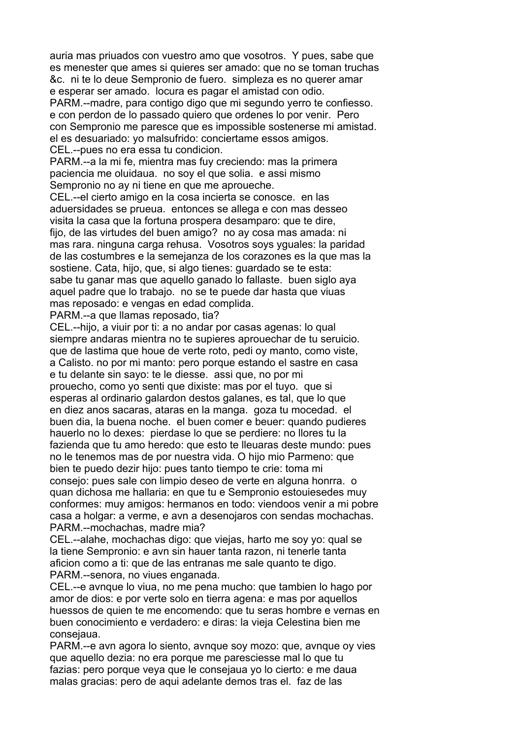auria mas priuados con vuestro amo que vosotros. Y pues, sabe que es menester que ames si quieres ser amado: que no se toman truchas &c. ni te lo deue Sempronio de fuero. simpleza es no querer amar e esperar ser amado. locura es pagar el amistad con odio. PARM.--madre, para contigo digo que mi segundo yerro te confiesso. e con perdon de lo passado quiero que ordenes lo por venir. Pero con Sempronio me paresce que es impossible sostenerse mi amistad. el es desuariado: yo malsufrido: conciertame essos amigos. CEL.--pues no era essa tu condicion.

PARM.--a la mi fe, mientra mas fuy creciendo: mas la primera paciencia me oluidaua. no soy el que solia. e assi mismo Sempronio no ay ni tiene en que me aproueche.

CEL.--el cierto amigo en la cosa incierta se conosce. en las aduersidades se prueua. entonces se allega e con mas desseo visita la casa que la fortuna prospera desamparo: que te dire, fijo, de las virtudes del buen amigo? no ay cosa mas amada: ni mas rara. ninguna carga rehusa. Vosotros soys yguales: la paridad de las costumbres e la semejanza de los corazones es la que mas la sostiene. Cata, hijo, que, si algo tienes: guardado se te esta: sabe tu ganar mas que aquello ganado lo fallaste. buen siglo aya aquel padre que lo trabajo. no se te puede dar hasta que viuas mas reposado: e vengas en edad complida.

PARM.--a que llamas reposado, tia?

CEL.--hijo, a viuir por ti: a no andar por casas agenas: lo qual siempre andaras mientra no te supieres aprouechar de tu seruicio. que de lastima que houe de verte roto, pedi oy manto, como viste, a Calisto. no por mi manto: pero porque estando el sastre en casa e tu delante sin sayo: te le diesse. assi que, no por mi prouecho, como yo senti que dixiste: mas por el tuyo. que si esperas al ordinario galardon destos galanes, es tal, que lo que en diez anos sacaras, ataras en la manga. goza tu mocedad. el buen dia, la buena noche. el buen comer e beuer: quando pudieres hauerlo no lo dexes: pierdase lo que se perdiere: no llores tu la fazienda que tu amo heredo: que esto te lleuaras deste mundo: pues no le tenemos mas de por nuestra vida. O hijo mio Parmeno: que bien te puedo dezir hijo: pues tanto tiempo te crie: toma mi consejo: pues sale con limpio deseo de verte en alguna honrra. o quan dichosa me hallaria: en que tu e Sempronio estouiesedes muy conformes: muy amigos: hermanos en todo: viendoos venir a mi pobre casa a holgar: a verme, e avn a desenojaros con sendas mochachas. PARM.--mochachas, madre mia?

CEL.--alahe, mochachas digo: que viejas, harto me soy yo: qual se la tiene Sempronio: e avn sin hauer tanta razon, ni tenerle tanta aficion como a ti: que de las entranas me sale quanto te digo. PARM.--senora, no viues enganada.

CEL.--e avnque lo viua, no me pena mucho: que tambien lo hago por amor de dios: e por verte solo en tierra agena: e mas por aquellos huessos de quien te me encomendo: que tu seras hombre e vernas en buen conocimiento e verdadero: e diras: la vieja Celestina bien me consejaua.

PARM.--e avn agora lo siento, avnque soy mozo: que, avnque oy vies que aquello dezia: no era porque me paresciesse mal lo que tu fazias: pero porque veya que le consejaua yo lo cierto: e me daua malas gracias: pero de aqui adelante demos tras el. faz de las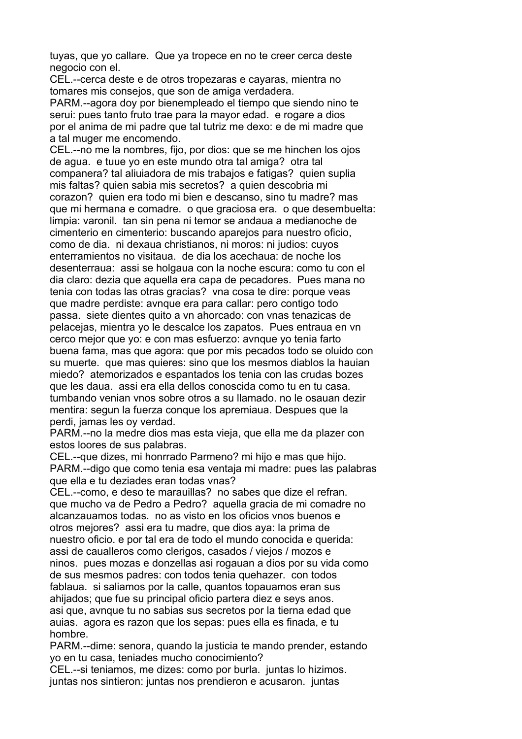tuyas, que yo callare. Que ya tropece en no te creer cerca deste negocio con el.

CEL.--cerca deste e de otros tropezaras e cayaras, mientra no tomares mis consejos, que son de amiga verdadera.

PARM.--agora doy por bienempleado el tiempo que siendo nino te serui: pues tanto fruto trae para la mayor edad. e rogare a dios por el anima de mi padre que tal tutriz me dexo: e de mi madre que a tal muger me encomendo.

CEL.--no me la nombres, fijo, por dios: que se me hinchen los ojos de agua. e tuue yo en este mundo otra tal amiga? otra tal companera? tal aliuiadora de mis trabajos e fatigas? quien suplia mis faltas? quien sabia mis secretos? a quien descobria mi corazon? quien era todo mi bien e descanso, sino tu madre? mas que mi hermana e comadre. o que graciosa era. o que desembuelta: limpia: varonil. tan sin pena ni temor se andaua a medianoche de cimenterio en cimenterio: buscando aparejos para nuestro oficio, como de dia. ni dexaua christianos, ni moros: ni judios: cuyos enterramientos no visitaua. de dia los acechaua: de noche los desenterraua: assi se holgaua con la noche escura: como tu con el dia claro: dezia que aquella era capa de pecadores. Pues mana no tenia con todas las otras gracias? vna cosa te dire: porque veas que madre perdiste: avnque era para callar: pero contigo todo passa. siete dientes quito a vn ahorcado: con vnas tenazicas de pelacejas, mientra yo le descalce los zapatos. Pues entraua en vn cerco mejor que yo: e con mas esfuerzo: avnque yo tenia farto buena fama, mas que agora: que por mis pecados todo se oluido con su muerte. que mas quieres: sino que los mesmos diablos la hauian miedo? atemorizados e espantados los tenia con las crudas bozes que les daua. assi era ella dellos conoscida como tu en tu casa. tumbando venian vnos sobre otros a su llamado. no le osauan dezir mentira: segun la fuerza conque los apremiaua. Despues que la perdi, jamas les oy verdad.

PARM.--no la medre dios mas esta vieja, que ella me da plazer con estos loores de sus palabras.

CEL.--que dizes, mi honrrado Parmeno? mi hijo e mas que hijo. PARM.--digo que como tenia esa ventaja mi madre: pues las palabras que ella e tu deziades eran todas vnas?

CEL.--como, e deso te marauillas? no sabes que dize el refran. que mucho va de Pedro a Pedro? aquella gracia de mi comadre no alcanzauamos todas. no as visto en los oficios vnos buenos e otros mejores? assi era tu madre, que dios aya: la prima de nuestro oficio. e por tal era de todo el mundo conocida e querida: assi de caualleros como clerigos, casados / viejos / mozos e ninos. pues mozas e donzellas asi rogauan a dios por su vida como de sus mesmos padres: con todos tenia quehazer. con todos fablaua. si saliamos por la calle, quantos topauamos eran sus ahijados; que fue su principal oficio partera diez e seys anos. asi que, avnque tu no sabias sus secretos por la tierna edad que auias. agora es razon que los sepas: pues ella es finada, e tu hombre.

PARM.--dime: senora, quando la justicia te mando prender, estando yo en tu casa, teniades mucho conocimiento?

CEL.--si teniamos, me dizes: como por burla. juntas lo hizimos. juntas nos sintieron: juntas nos prendieron e acusaron. juntas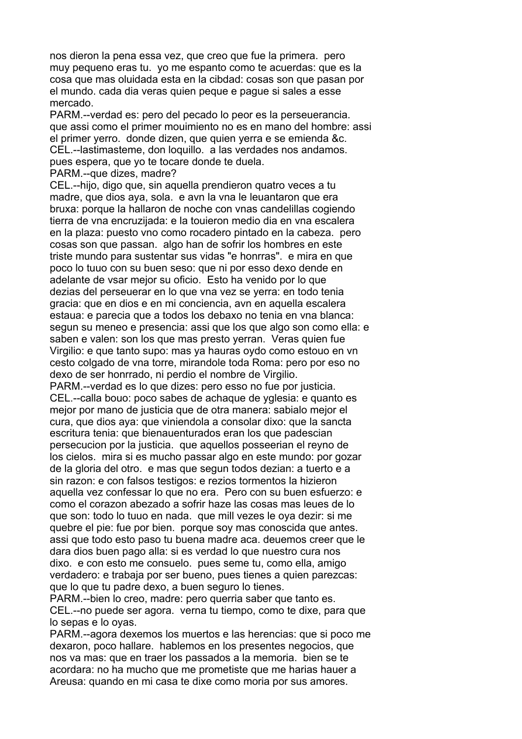nos dieron la pena essa vez, que creo que fue la primera. pero muy pequeno eras tu. yo me espanto como te acuerdas: que es la cosa que mas oluidada esta en la cibdad: cosas son que pasan por el mundo. cada dia veras quien peque e pague si sales a esse mercado.

PARM.--verdad es: pero del pecado lo peor es la perseuerancia. que assi como el primer mouimiento no es en mano del hombre: assi el primer yerro. donde dizen, que quien yerra e se emienda &c. CEL.--lastimasteme, don loquillo. a las verdades nos andamos. pues espera, que yo te tocare donde te duela.

PARM.--que dizes, madre?

CEL.--hijo, digo que, sin aquella prendieron quatro veces a tu madre, que dios aya, sola. e avn la vna le leuantaron que era bruxa: porque la hallaron de noche con vnas candelillas cogiendo tierra de vna encruzijada: e la touieron medio dia en vna escalera en la plaza: puesto vno como rocadero pintado en la cabeza. pero cosas son que passan. algo han de sofrir los hombres en este triste mundo para sustentar sus vidas "e honrras". e mira en que poco lo tuuo con su buen seso: que ni por esso dexo dende en adelante de vsar mejor su oficio. Esto ha venido por lo que dezias del perseuerar en lo que vna vez se yerra: en todo tenia gracia: que en dios e en mi conciencia, avn en aquella escalera estaua: e parecia que a todos los debaxo no tenia en vna blanca: segun su meneo e presencia: assi que los que algo son como ella: e saben e valen: son los que mas presto yerran. Veras quien fue Virgilio: e que tanto supo: mas ya hauras oydo como estouo en vn cesto colgado de vna torre, mirandole toda Roma: pero por eso no dexo de ser honrrado, ni perdio el nombre de Virgilio. PARM.--verdad es lo que dizes: pero esso no fue por justicia. CEL.--calla bouo: poco sabes de achaque de yglesia: e quanto es mejor por mano de justicia que de otra manera: sabialo mejor el cura, que dios aya: que viniendola a consolar dixo: que la sancta escritura tenia: que bienauenturados eran los que padescian persecucion por la justicia. que aquellos posseerian el reyno de los cielos. mira si es mucho passar algo en este mundo: por gozar de la gloria del otro. e mas que segun todos dezian: a tuerto e a sin razon: e con falsos testigos: e rezios tormentos la hizieron aquella vez confessar lo que no era. Pero con su buen esfuerzo: e como el corazon abezado a sofrir haze las cosas mas leues de lo que son: todo lo tuuo en nada. que mill vezes le oya dezir: si me quebre el pie: fue por bien. porque soy mas conoscida que antes. assi que todo esto paso tu buena madre aca. deuemos creer que le dara dios buen pago alla: si es verdad lo que nuestro cura nos dixo. e con esto me consuelo. pues seme tu, como ella, amigo verdadero: e trabaja por ser bueno, pues tienes a quien parezcas: que lo que tu padre dexo, a buen seguro lo tienes.

PARM.--bien lo creo, madre: pero querria saber que tanto es. CEL.--no puede ser agora. verna tu tiempo, como te dixe, para que lo sepas e lo oyas.

PARM.--agora dexemos los muertos e las herencias: que si poco me dexaron, poco hallare. hablemos en los presentes negocios, que nos va mas: que en traer los passados a la memoria. bien se te acordara: no ha mucho que me prometiste que me harias hauer a Areusa: quando en mi casa te dixe como moria por sus amores.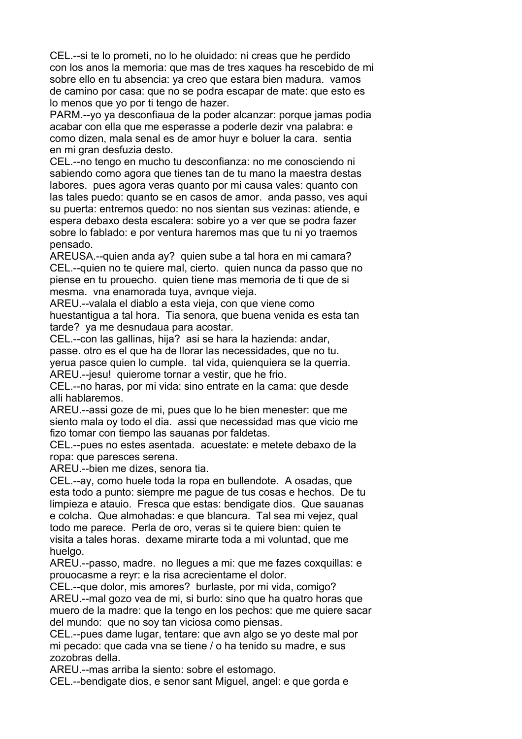CEL.--si te lo prometi, no lo he oluidado: ni creas que he perdido con los anos la memoria: que mas de tres xaques ha rescebido de mi sobre ello en tu absencia: ya creo que estara bien madura. vamos de camino por casa: que no se podra escapar de mate: que esto es lo menos que yo por ti tengo de hazer.

PARM.--yo ya desconfiaua de la poder alcanzar: porque jamas podia acabar con ella que me esperasse a poderle dezir vna palabra: e como dizen, mala senal es de amor huyr e boluer la cara. sentia en mi gran desfuzia desto.

CEL.--no tengo en mucho tu desconfianza: no me conosciendo ni sabiendo como agora que tienes tan de tu mano la maestra destas labores. pues agora veras quanto por mi causa vales: quanto con las tales puedo: quanto se en casos de amor. anda passo, ves aqui su puerta: entremos quedo: no nos sientan sus vezinas: atiende, e espera debaxo desta escalera: sobire yo a ver que se podra fazer sobre lo fablado: e por ventura haremos mas que tu ni yo traemos pensado.

AREUSA.--quien anda ay? quien sube a tal hora en mi camara? CEL.--quien no te quiere mal, cierto. quien nunca da passo que no piense en tu prouecho. quien tiene mas memoria de ti que de si mesma. vna enamorada tuya, avnque vieja.

AREU.--valala el diablo a esta vieja, con que viene como huestantigua a tal hora. Tia senora, que buena venida es esta tan tarde? ya me desnudaua para acostar.

CEL.--con las gallinas, hija? asi se hara la hazienda: andar, passe. otro es el que ha de llorar las necessidades, que no tu. yerua pasce quien lo cumple. tal vida, quienquiera se la querria. AREU.--jesu! quierome tornar a vestir, que he frio.

CEL.--no haras, por mi vida: sino entrate en la cama: que desde alli hablaremos.

AREU.--assi goze de mi, pues que lo he bien menester: que me siento mala oy todo el dia. assi que necessidad mas que vicio me fizo tomar con tiempo las sauanas por faldetas.

CEL.--pues no estes asentada. acuestate: e metete debaxo de la ropa: que paresces serena.

AREU.--bien me dizes, senora tia.

CEL.--ay, como huele toda la ropa en bullendote. A osadas, que esta todo a punto: siempre me pague de tus cosas e hechos. De tu limpieza e atauio. Fresca que estas: bendigate dios. Que sauanas e colcha. Que almohadas: e que blancura. Tal sea mi vejez, qual todo me parece. Perla de oro, veras si te quiere bien: quien te visita a tales horas. dexame mirarte toda a mi voluntad, que me huelgo.

AREU.--passo, madre. no llegues a mi: que me fazes coxquillas: e prouocasme a reyr: e la risa acrecientame el dolor.

CEL.--que dolor, mis amores? burlaste, por mi vida, comigo? AREU.--mal gozo vea de mi, si burlo: sino que ha quatro horas que muero de la madre: que la tengo en los pechos: que me quiere sacar del mundo: que no soy tan viciosa como piensas.

CEL.--pues dame lugar, tentare: que avn algo se yo deste mal por mi pecado: que cada vna se tiene / o ha tenido su madre, e sus zozobras della.

AREU.--mas arriba la siento: sobre el estomago.

CEL.--bendigate dios, e senor sant Miguel, angel: e que gorda e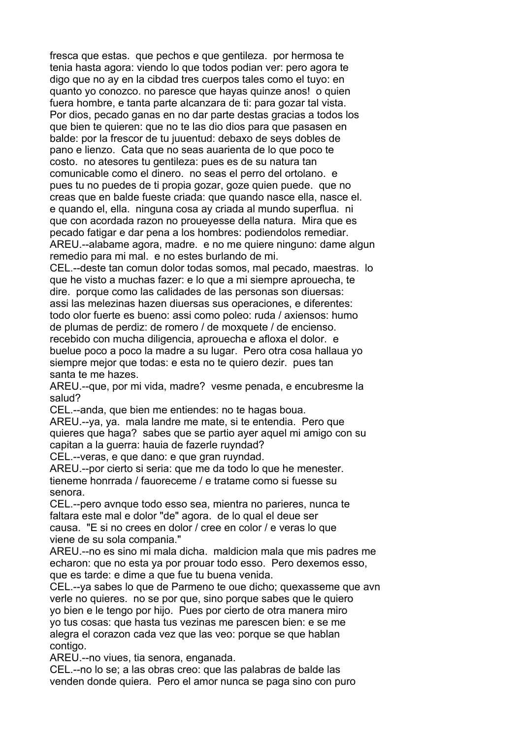fresca que estas. que pechos e que gentileza. por hermosa te tenia hasta agora: viendo lo que todos podian ver: pero agora te digo que no ay en la cibdad tres cuerpos tales como el tuyo: en quanto yo conozco. no paresce que hayas quinze anos! o quien fuera hombre, e tanta parte alcanzara de ti: para gozar tal vista. Por dios, pecado ganas en no dar parte destas gracias a todos los que bien te quieren: que no te las dio dios para que pasasen en balde: por la frescor de tu juuentud: debaxo de seys dobles de pano e lienzo. Cata que no seas auarienta de lo que poco te costo. no atesores tu gentileza: pues es de su natura tan comunicable como el dinero. no seas el perro del ortolano. e pues tu no puedes de ti propia gozar, goze quien puede. que no creas que en balde fueste criada: que quando nasce ella, nasce el. e quando el, ella. ninguna cosa ay criada al mundo superflua. ni que con acordada razon no proueyesse della natura. Mira que es pecado fatigar e dar pena a los hombres: podiendolos remediar. AREU.--alabame agora, madre. e no me quiere ninguno: dame algun remedio para mi mal. e no estes burlando de mi.

CEL.--deste tan comun dolor todas somos, mal pecado, maestras. lo que he visto a muchas fazer: e lo que a mi siempre aprouecha, te dire. porque como las calidades de las personas son diuersas: assi las melezinas hazen diuersas sus operaciones, e diferentes: todo olor fuerte es bueno: assi como poleo: ruda / axiensos: humo de plumas de perdiz: de romero / de moxquete / de encienso. recebido con mucha diligencia, aprouecha e afloxa el dolor. e buelue poco a poco la madre a su lugar. Pero otra cosa hallaua yo siempre mejor que todas: e esta no te quiero dezir. pues tan santa te me hazes.

AREU.--que, por mi vida, madre? vesme penada, e encubresme la salud?

CEL.--anda, que bien me entiendes: no te hagas boua.

AREU.--ya, ya. mala landre me mate, si te entendia. Pero que quieres que haga? sabes que se partio ayer aquel mi amigo con su capitan a la guerra: hauia de fazerle ruyndad?

CEL.--veras, e que dano: e que gran ruyndad.

AREU.--por cierto si seria: que me da todo lo que he menester. tieneme honrrada / fauoreceme / e tratame como si fuesse su senora.

CEL.--pero avnque todo esso sea, mientra no parieres, nunca te faltara este mal e dolor "de" agora. de lo qual el deue ser causa. "E si no crees en dolor / cree en color / e veras lo que viene de su sola compania."

AREU.--no es sino mi mala dicha. maldicion mala que mis padres me echaron: que no esta ya por prouar todo esso. Pero dexemos esso, que es tarde: e dime a que fue tu buena venida.

CEL.--ya sabes lo que de Parmeno te oue dicho; quexasseme que avn verle no quieres. no se por que, sino porque sabes que le quiero yo bien e le tengo por hijo. Pues por cierto de otra manera miro yo tus cosas: que hasta tus vezinas me parescen bien: e se me alegra el corazon cada vez que las veo: porque se que hablan contigo.

AREU.--no viues, tia senora, enganada.

CEL.--no lo se; a las obras creo: que las palabras de balde las venden donde quiera. Pero el amor nunca se paga sino con puro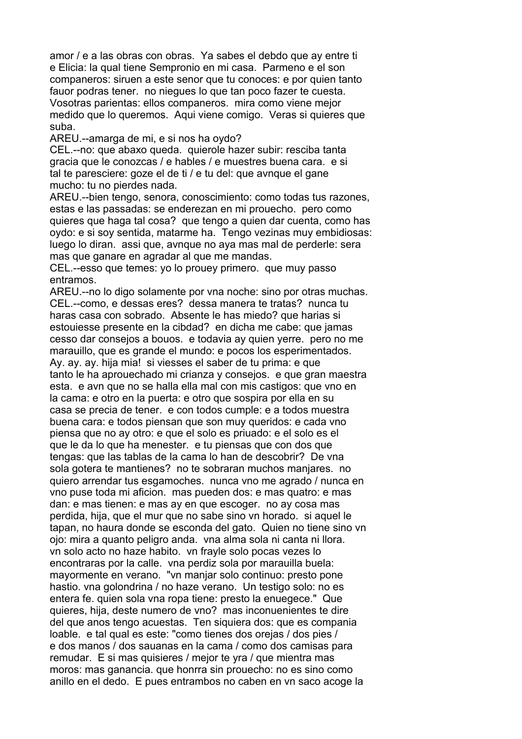amor / e a las obras con obras. Ya sabes el debdo que ay entre ti e Elicia: la qual tiene Sempronio en mi casa. Parmeno e el son companeros: siruen a este senor que tu conoces: e por quien tanto fauor podras tener. no niegues lo que tan poco fazer te cuesta. Vosotras parientas: ellos companeros. mira como viene mejor medido que lo queremos. Aqui viene comigo. Veras si quieres que suba.

AREU.--amarga de mi, e si nos ha oydo?

CEL.--no: que abaxo queda. quierole hazer subir: resciba tanta gracia que le conozcas / e hables / e muestres buena cara. e si tal te paresciere: goze el de ti / e tu del: que avnque el gane mucho: tu no pierdes nada.

AREU.--bien tengo, senora, conoscimiento: como todas tus razones, estas e las passadas: se enderezan en mi prouecho. pero como quieres que haga tal cosa? que tengo a quien dar cuenta, como has oydo: e si soy sentida, matarme ha. Tengo vezinas muy embidiosas: luego lo diran. assi que, avnque no aya mas mal de perderle: sera mas que ganare en agradar al que me mandas.

CEL.--esso que temes: yo lo prouey primero. que muy passo entramos.

AREU.--no lo digo solamente por vna noche: sino por otras muchas. CEL.--como, e dessas eres? dessa manera te tratas? nunca tu haras casa con sobrado. Absente le has miedo? que harias si estouiesse presente en la cibdad? en dicha me cabe: que jamas cesso dar consejos a bouos. e todavia ay quien yerre. pero no me marauillo, que es grande el mundo: e pocos los esperimentados. Ay. ay. ay. hija mia! si viesses el saber de tu prima: e que tanto le ha aprouechado mi crianza y consejos. e que gran maestra esta. e avn que no se halla ella mal con mis castigos: que vno en la cama: e otro en la puerta: e otro que sospira por ella en su casa se precia de tener. e con todos cumple: e a todos muestra buena cara: e todos piensan que son muy queridos: e cada vno piensa que no ay otro: e que el solo es priuado: e el solo es el que le da lo que ha menester. e tu piensas que con dos que tengas: que las tablas de la cama lo han de descobrir? De vna sola gotera te mantienes? no te sobraran muchos manjares. no quiero arrendar tus esgamoches. nunca vno me agrado / nunca en vno puse toda mi aficion. mas pueden dos: e mas quatro: e mas dan: e mas tienen: e mas ay en que escoger. no ay cosa mas perdida, hija, que el mur que no sabe sino vn horado. si aquel le tapan, no haura donde se esconda del gato. Quien no tiene sino vn ojo: mira a quanto peligro anda. vna alma sola ni canta ni llora. vn solo acto no haze habito. vn frayle solo pocas vezes lo encontraras por la calle. vna perdiz sola por marauilla buela: mayormente en verano. "vn manjar solo continuo: presto pone hastio. vna golondrina / no haze verano. Un testigo solo: no es entera fe. quien sola vna ropa tiene: presto la enuegece." Que quieres, hija, deste numero de vno? mas inconuenientes te dire del que anos tengo acuestas. Ten siquiera dos: que es compania loable. e tal qual es este: "como tienes dos orejas / dos pies / e dos manos / dos sauanas en la cama / como dos camisas para remudar. E si mas quisieres / mejor te yra / que mientra mas moros: mas ganancia. que honrra sin prouecho: no es sino como anillo en el dedo. E pues entrambos no caben en vn saco acoge la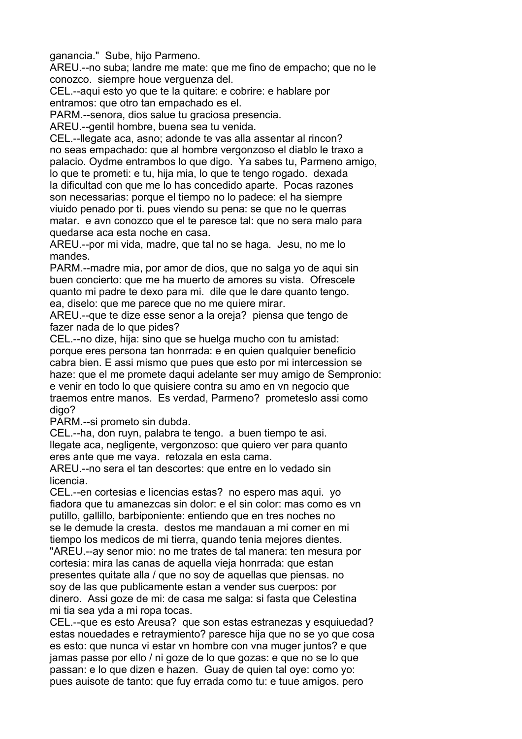ganancia." Sube, hijo Parmeno.

AREU.--no suba; landre me mate: que me fino de empacho; que no le conozco. siempre houe verguenza del.

CEL.--aqui esto yo que te la quitare: e cobrire: e hablare por entramos: que otro tan empachado es el.

PARM.--senora, dios salue tu graciosa presencia.

AREU.--gentil hombre, buena sea tu venida.

CEL.--llegate aca, asno; adonde te vas alla assentar al rincon? no seas empachado: que al hombre vergonzoso el diablo le traxo a palacio. Oydme entrambos lo que digo. Ya sabes tu, Parmeno amigo, lo que te prometi: e tu, hija mia, lo que te tengo rogado. dexada la dificultad con que me lo has concedido aparte. Pocas razones son necessarias: porque el tiempo no lo padece: el ha siempre viuido penado por ti. pues viendo su pena: se que no le querras matar. e avn conozco que el te paresce tal: que no sera malo para quedarse aca esta noche en casa.

AREU.--por mi vida, madre, que tal no se haga. Jesu, no me lo mandes.

PARM.--madre mia, por amor de dios, que no salga yo de aqui sin buen concierto: que me ha muerto de amores su vista. Ofrescele quanto mi padre te dexo para mi. dile que le dare quanto tengo. ea, diselo: que me parece que no me quiere mirar.

AREU.--que te dize esse senor a la oreja? piensa que tengo de fazer nada de lo que pides?

CEL.--no dize, hija: sino que se huelga mucho con tu amistad: porque eres persona tan honrrada: e en quien qualquier beneficio cabra bien. E assi mismo que pues que esto por mi intercession se haze: que el me promete daqui adelante ser muy amigo de Sempronio: e venir en todo lo que quisiere contra su amo en vn negocio que traemos entre manos. Es verdad, Parmeno? prometeslo assi como digo?

PARM.--si prometo sin dubda.

CEL.--ha, don ruyn, palabra te tengo. a buen tiempo te asi. llegate aca, negligente, vergonzoso: que quiero ver para quanto eres ante que me vaya. retozala en esta cama.

AREU.--no sera el tan descortes: que entre en lo vedado sin licencia.

CEL.--en cortesias e licencias estas? no espero mas aqui. yo fiadora que tu amanezcas sin dolor: e el sin color: mas como es vn putillo, gallillo, barbiponiente: entiendo que en tres noches no se le demude la cresta. destos me mandauan a mi comer en mi tiempo los medicos de mi tierra, quando tenia mejores dientes. "AREU.--ay senor mio: no me trates de tal manera: ten mesura por cortesia: mira las canas de aquella vieja honrrada: que estan presentes quitate alla / que no soy de aquellas que piensas. no soy de las que publicamente estan a vender sus cuerpos: por dinero. Assi goze de mi: de casa me salga: si fasta que Celestina

mi tia sea yda a mi ropa tocas.

CEL.--que es esto Areusa? que son estas estranezas y esquiuedad? estas nouedades e retraymiento? paresce hija que no se yo que cosa es esto: que nunca vi estar vn hombre con vna muger juntos? e que jamas passe por ello / ni goze de lo que gozas: e que no se lo que passan: e lo que dizen e hazen. Guay de quien tal oye: como yo: pues auisote de tanto: que fuy errada como tu: e tuue amigos. pero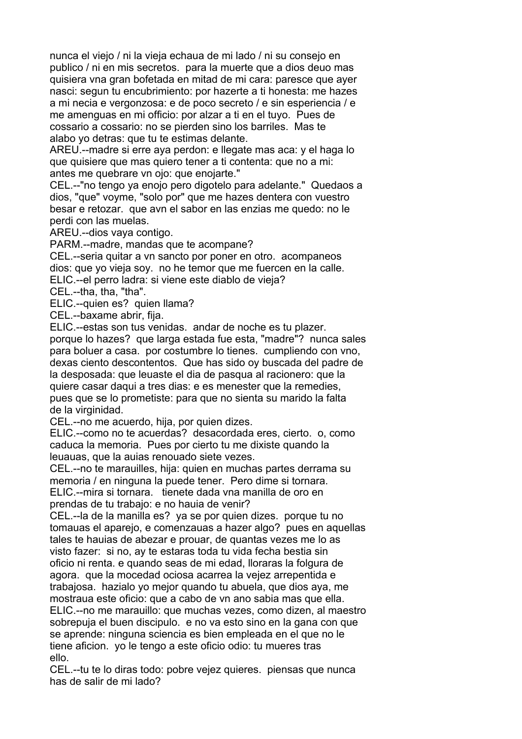nunca el viejo / ni la vieja echaua de mi lado / ni su consejo en publico / ni en mis secretos. para la muerte que a dios deuo mas quisiera vna gran bofetada en mitad de mi cara: paresce que ayer nasci: segun tu encubrimiento: por hazerte a ti honesta: me hazes a mi necia e vergonzosa: e de poco secreto / e sin esperiencia / e me amenguas en mi officio: por alzar a ti en el tuyo. Pues de cossario a cossario: no se pierden sino los barriles. Mas te alabo yo detras: que tu te estimas delante.

AREU.--madre si erre aya perdon: e llegate mas aca: y el haga lo que quisiere que mas quiero tener a ti contenta: que no a mi: antes me quebrare vn ojo: que enojarte."

CEL.--"no tengo ya enojo pero digotelo para adelante." Quedaos a dios, "que" voyme, "solo por" que me hazes dentera con vuestro besar e retozar. que avn el sabor en las enzias me quedo: no le perdi con las muelas.

AREU.--dios vaya contigo.

PARM.--madre, mandas que te acompane?

CEL.--seria quitar a vn sancto por poner en otro. acompaneos dios: que yo vieja soy. no he temor que me fuercen en la calle.

ELIC.--el perro ladra: si viene este diablo de vieja?

CEL.--tha, tha, "tha".

ELIC.--quien es? quien llama?

CEL.--baxame abrir, fija.

ELIC.--estas son tus venidas. andar de noche es tu plazer. porque lo hazes? que larga estada fue esta, "madre"? nunca sales para boluer a casa. por costumbre lo tienes. cumpliendo con vno, dexas ciento descontentos. Que has sido oy buscada del padre de la desposada: que leuaste el dia de pasqua al racionero: que la quiere casar daqui a tres dias: e es menester que la remedies, pues que se lo prometiste: para que no sienta su marido la falta de la virginidad.

CEL.--no me acuerdo, hija, por quien dizes.

ELIC.--como no te acuerdas? desacordada eres, cierto. o, como caduca la memoria. Pues por cierto tu me dixiste quando la leuauas, que la auias renouado siete vezes.

CEL.--no te marauilles, hija: quien en muchas partes derrama su memoria / en ninguna la puede tener. Pero dime si tornara. ELIC.--mira si tornara. tienete dada vna manilla de oro en prendas de tu trabajo: e no hauia de venir?

CEL.--la de la manilla es? ya se por quien dizes. porque tu no tomauas el aparejo, e comenzauas a hazer algo? pues en aquellas tales te hauias de abezar e prouar, de quantas vezes me lo as visto fazer: si no, ay te estaras toda tu vida fecha bestia sin oficio ni renta. e quando seas de mi edad, lloraras la folgura de agora. que la mocedad ociosa acarrea la vejez arrepentida e trabajosa. hazialo yo mejor quando tu abuela, que dios aya, me mostraua este oficio: que a cabo de vn ano sabia mas que ella. ELIC.--no me marauillo: que muchas vezes, como dizen, al maestro sobrepuja el buen discipulo. e no va esto sino en la gana con que se aprende: ninguna sciencia es bien empleada en el que no le tiene aficion. yo le tengo a este oficio odio: tu mueres tras ello.

CEL.--tu te lo diras todo: pobre vejez quieres. piensas que nunca has de salir de mi lado?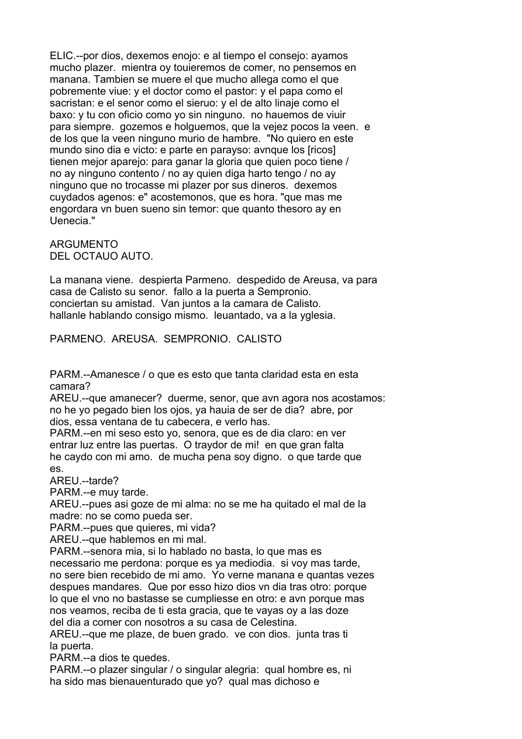ELIC.--por dios, dexemos enojo: e al tiempo el consejo: ayamos mucho plazer. mientra oy touieremos de comer, no pensemos en manana. Tambien se muere el que mucho allega como el que pobremente viue: y el doctor como el pastor: y el papa como el sacristan: e el senor como el sieruo: y el de alto linaje como el baxo: y tu con oficio como yo sin ninguno. no hauemos de viuir para siempre. gozemos e holguemos, que la vejez pocos la veen. e de los que la veen ninguno murio de hambre. "No quiero en este mundo sino dia e victo: e parte en parayso: avnque los [ricos] tienen mejor aparejo: para ganar la gloria que quien poco tiene / no ay ninguno contento / no ay quien diga harto tengo / no ay ninguno que no trocasse mi plazer por sus dineros. dexemos cuydados agenos: e" acostemonos, que es hora. "que mas me engordara vn buen sueno sin temor: que quanto thesoro ay en Uenecia."

ARGUMENTO DEL OCTAUO AUTO.

La manana viene. despierta Parmeno. despedido de Areusa, va para casa de Calisto su senor. fallo a la puerta a Sempronio. conciertan su amistad. Van juntos a la camara de Calisto. hallanle hablando consigo mismo. leuantado, va a la yglesia.

PARMENO. AREUSA. SEMPRONIO. CALISTO

PARM.--Amanesce / o que es esto que tanta claridad esta en esta camara?

AREU.--que amanecer? duerme, senor, que avn agora nos acostamos: no he yo pegado bien los ojos, ya hauia de ser de dia? abre, por dios, essa ventana de tu cabecera, e verlo has.

PARM.--en mi seso esto yo, senora, que es de dia claro: en ver entrar luz entre las puertas. O traydor de mi! en que gran falta he caydo con mi amo. de mucha pena soy digno. o que tarde que es.

AREU.--tarde?

PARM.--e muy tarde.

AREU.--pues asi goze de mi alma: no se me ha quitado el mal de la madre: no se como pueda ser.

PARM.--pues que quieres, mi vida?

AREU.--que hablemos en mi mal.

PARM.--senora mia, si lo hablado no basta, lo que mas es necessario me perdona: porque es ya mediodia. si voy mas tarde, no sere bien recebido de mi amo. Yo verne manana e quantas vezes despues mandares. Que por esso hizo dios vn dia tras otro: porque lo que el vno no bastasse se cumpliesse en otro: e avn porque mas nos veamos, reciba de ti esta gracia, que te vayas oy a las doze del dia a comer con nosotros a su casa de Celestina.

AREU.--que me plaze, de buen grado. ve con dios. junta tras ti la puerta.

PARM.--a dios te quedes.

PARM.--o plazer singular / o singular alegria: qual hombre es, ni ha sido mas bienauenturado que yo? qual mas dichoso e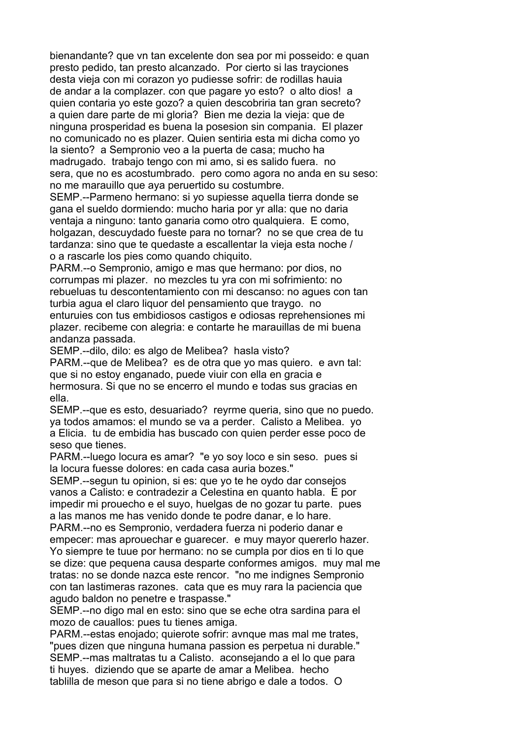bienandante? que vn tan excelente don sea por mi posseido: e quan presto pedido, tan presto alcanzado. Por cierto si las trayciones desta vieja con mi corazon yo pudiesse sofrir: de rodillas hauia de andar a la complazer. con que pagare yo esto? o alto dios! a quien contaria yo este gozo? a quien descobriria tan gran secreto? a quien dare parte de mi gloria? Bien me dezia la vieja: que de ninguna prosperidad es buena la posesion sin compania. El plazer no comunicado no es plazer. Quien sentiria esta mi dicha como yo la siento? a Sempronio veo a la puerta de casa; mucho ha madrugado. trabajo tengo con mi amo, si es salido fuera. no sera, que no es acostumbrado. pero como agora no anda en su seso: no me marauillo que aya peruertido su costumbre.

SEMP.--Parmeno hermano: si yo supiesse aquella tierra donde se gana el sueldo dormiendo: mucho haria por yr alla: que no daria ventaja a ninguno: tanto ganaria como otro qualquiera. E como, holgazan, descuydado fueste para no tornar? no se que crea de tu tardanza: sino que te quedaste a escallentar la vieja esta noche / o a rascarle los pies como quando chiquito.

PARM.--o Sempronio, amigo e mas que hermano: por dios, no corrumpas mi plazer. no mezcles tu yra con mi sofrimiento: no rebueluas tu descontentamiento con mi descanso: no agues con tan turbia agua el claro liquor del pensamiento que traygo. no enturuies con tus embidiosos castigos e odiosas reprehensiones mi plazer. recibeme con alegria: e contarte he marauillas de mi buena andanza passada.

SEMP.--dilo, dilo: es algo de Melibea? hasla visto?

PARM.--que de Melibea? es de otra que yo mas quiero. e avn tal: que si no estoy enganado, puede viuir con ella en gracia e hermosura. Si que no se encerro el mundo e todas sus gracias en ella.

SEMP.--que es esto, desuariado? reyrme queria, sino que no puedo. ya todos amamos: el mundo se va a perder. Calisto a Melibea. yo a Elicia. tu de embidia has buscado con quien perder esse poco de seso que tienes.

PARM.--luego locura es amar? "e yo soy loco e sin seso. pues si la locura fuesse dolores: en cada casa auria bozes."

SEMP.--segun tu opinion, si es: que yo te he oydo dar consejos vanos a Calisto: e contradezir a Celestina en quanto habla. E por impedir mi prouecho e el suyo, huelgas de no gozar tu parte. pues a las manos me has venido donde te podre danar, e lo hare.

PARM.--no es Sempronio, verdadera fuerza ni poderio danar e empecer: mas aprouechar e guarecer. e muy mayor quererlo hazer. Yo siempre te tuue por hermano: no se cumpla por dios en ti lo que se dize: que pequena causa desparte conformes amigos. muy mal me tratas: no se donde nazca este rencor. "no me indignes Sempronio con tan lastimeras razones. cata que es muy rara la paciencia que agudo baldon no penetre e traspasse."

SEMP.--no digo mal en esto: sino que se eche otra sardina para el mozo de cauallos: pues tu tienes amiga.

PARM.--estas enojado; quierote sofrir: avnque mas mal me trates, "pues dizen que ninguna humana passion es perpetua ni durable." SEMP.--mas maltratas tu a Calisto. aconsejando a el lo que para ti huyes. diziendo que se aparte de amar a Melibea. hecho tablilla de meson que para si no tiene abrigo e dale a todos. O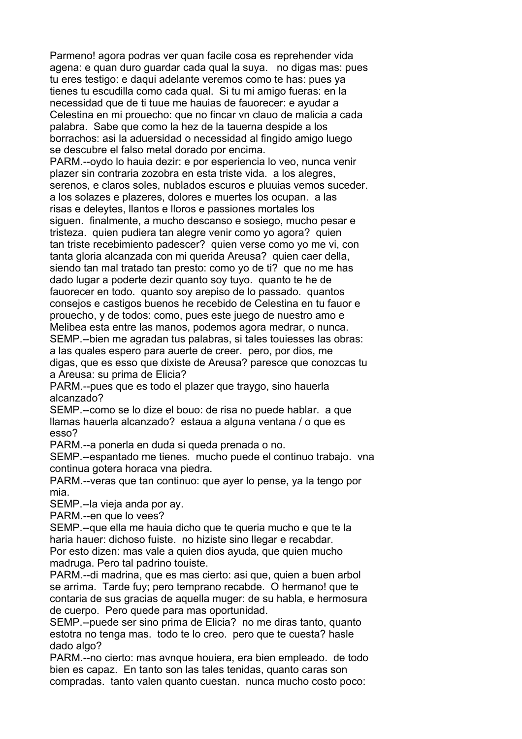Parmeno! agora podras ver quan facile cosa es reprehender vida agena: e quan duro guardar cada qual la suya. no digas mas: pues tu eres testigo: e daqui adelante veremos como te has: pues ya tienes tu escudilla como cada qual. Si tu mi amigo fueras: en la necessidad que de ti tuue me hauias de fauorecer: e ayudar a Celestina en mi prouecho: que no fincar vn clauo de malicia a cada palabra. Sabe que como la hez de la tauerna despide a los borrachos: asi la aduersidad o necessidad al fingido amigo luego se descubre el falso metal dorado por encima.

PARM.--oydo lo hauia dezir: e por esperiencia lo veo, nunca venir plazer sin contraria zozobra en esta triste vida. a los alegres, serenos, e claros soles, nublados escuros e pluuias vemos suceder. a los solazes e plazeres, dolores e muertes los ocupan. a las risas e deleytes, llantos e lloros e passiones mortales los siguen. finalmente, a mucho descanso e sosiego, mucho pesar e tristeza. quien pudiera tan alegre venir como yo agora? quien tan triste recebimiento padescer? quien verse como yo me vi, con tanta gloria alcanzada con mi querida Areusa? quien caer della, siendo tan mal tratado tan presto: como yo de ti? que no me has dado lugar a poderte dezir quanto soy tuyo. quanto te he de fauorecer en todo. quanto soy arepiso de lo passado. quantos consejos e castigos buenos he recebido de Celestina en tu fauor e prouecho, y de todos: como, pues este juego de nuestro amo e Melibea esta entre las manos, podemos agora medrar, o nunca. SEMP.--bien me agradan tus palabras, si tales touiesses las obras: a las quales espero para auerte de creer. pero, por dios, me digas, que es esso que dixiste de Areusa? paresce que conozcas tu a Areusa: su prima de Elicia?

PARM.--pues que es todo el plazer que traygo, sino hauerla alcanzado?

SEMP.--como se lo dize el bouo: de risa no puede hablar. a que llamas hauerla alcanzado? estaua a alguna ventana / o que es esso?

PARM.--a ponerla en duda si queda prenada o no.

SEMP.--espantado me tienes. mucho puede el continuo trabajo. vna continua gotera horaca vna piedra.

PARM.--veras que tan continuo: que ayer lo pense, ya la tengo por mia.

SEMP.--la vieja anda por ay.

PARM.--en que lo vees?

SEMP.--que ella me hauia dicho que te queria mucho e que te la haria hauer: dichoso fuiste. no hiziste sino llegar e recabdar. Por esto dizen: mas vale a quien dios ayuda, que quien mucho madruga. Pero tal padrino touiste.

PARM.--di madrina, que es mas cierto: asi que, quien a buen arbol se arrima. Tarde fuy; pero temprano recabde. O hermano! que te contaria de sus gracias de aquella muger: de su habla, e hermosura de cuerpo. Pero quede para mas oportunidad.

SEMP.--puede ser sino prima de Elicia? no me diras tanto, quanto estotra no tenga mas. todo te lo creo. pero que te cuesta? hasle dado algo?

PARM.--no cierto: mas avnque houiera, era bien empleado. de todo bien es capaz. En tanto son las tales tenidas, quanto caras son compradas. tanto valen quanto cuestan. nunca mucho costo poco: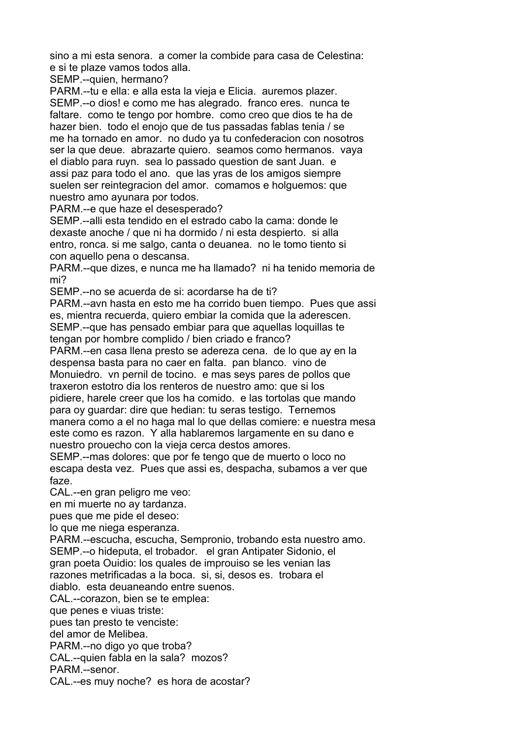sino a mi esta senora. a comer la combide para casa de Celestina: e si te plaze vamos todos alla.

SEMP.--quien, hermano?

PARM.--tu e ella: e alla esta la vieja e Elicia. auremos plazer. SEMP.--o dios! e como me has alegrado. franco eres. nunca te faltare. como te tengo por hombre. como creo que dios te ha de hazer bien. todo el enojo que de tus passadas fablas tenia / se me ha tornado en amor. no dudo ya tu confederacion con nosotros ser la que deue. abrazarte quiero. seamos como hermanos. vaya el diablo para ruyn. sea lo passado question de sant Juan. e assi paz para todo el ano. que las yras de los amigos siempre suelen ser reintegracion del amor. comamos e holguemos: que nuestro amo ayunara por todos.

PARM.--e que haze el desesperado?

SEMP.--alli esta tendido en el estrado cabo la cama: donde le dexaste anoche / que ni ha dormido / ni esta despierto. si alla entro, ronca. si me salgo, canta o deuanea. no le tomo tiento si con aquello pena o descansa.

PARM.--que dizes, e nunca me ha llamado? ni ha tenido memoria de mi?

SEMP.--no se acuerda de si: acordarse ha de ti?

PARM.--avn hasta en esto me ha corrido buen tiempo. Pues que assi es, mientra recuerda, quiero embiar la comida que la aderescen. SEMP.--que has pensado embiar para que aquellas loquillas te

tengan por hombre complido / bien criado e franco?

PARM.--en casa llena presto se adereza cena. de lo que ay en la despensa basta para no caer en falta. pan blanco. vino de Monuiedro. vn pernil de tocino. e mas seys pares de pollos que traxeron estotro dia los renteros de nuestro amo: que si los pidiere, harele creer que los ha comido. e las tortolas que mando para oy guardar: dire que hedian: tu seras testigo. Ternemos manera como a el no haga mal lo que dellas comiere: e nuestra mesa este como es razon. Y alla hablaremos largamente en su dano e nuestro prouecho con la vieja cerca destos amores.

SEMP.--mas dolores: que por fe tengo que de muerto o loco no escapa desta vez. Pues que assi es, despacha, subamos a ver que faze.

CAL.--en gran peligro me veo:

en mi muerte no ay tardanza.

pues que me pide el deseo:

lo que me niega esperanza.

PARM.--escucha, escucha, Sempronio, trobando esta nuestro amo. SEMP.--o hideputa, el trobador. el gran Antipater Sidonio, el

gran poeta Ouidio: los quales de improuiso se les venian las

razones metrificadas a la boca. si, si, desos es. trobara el

diablo. esta deuaneando entre suenos.

CAL.--corazon, bien se te emplea:

que penes e viuas triste:

pues tan presto te venciste:

del amor de Melibea.

PARM.--no digo yo que troba?

CAL.--quien fabla en la sala? mozos?

PARM.--senor.

CAL.--es muy noche? es hora de acostar?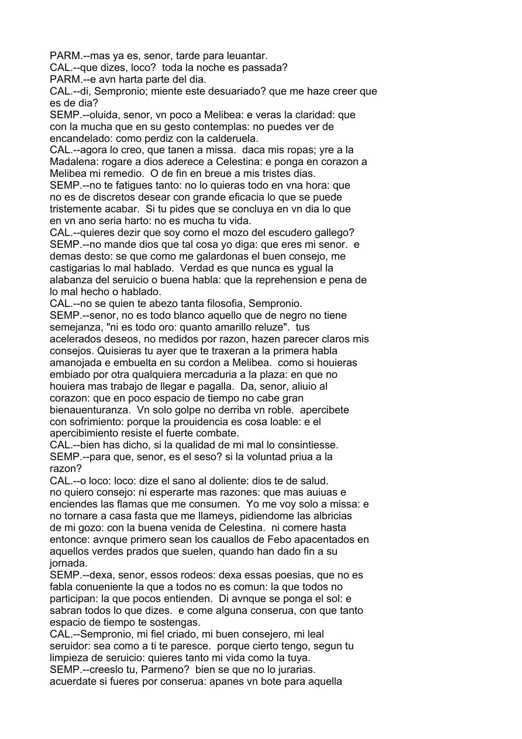PARM.--mas ya es, senor, tarde para leuantar.

CAL.--que dizes, loco? toda la noche es passada?

PARM.--e avn harta parte del dia.

CAL.--di, Sempronio; miente este desuariado? que me haze creer que es de dia?

SEMP.--oluida, senor, vn poco a Melibea: e veras la claridad: que con la mucha que en su gesto contemplas: no puedes ver de encandelado: como perdiz con la calderuela.

CAL.--agora lo creo, que tanen a missa. daca mis ropas; yre a la Madalena: rogare a dios aderece a Celestina: e ponga en corazon a Melibea mi remedio. O de fin en breue a mis tristes dias.

SEMP.--no te fatigues tanto: no lo quieras todo en vna hora: que no es de discretos desear con grande eficacia lo que se puede tristemente acabar. Si tu pides que se concluya en vn dia lo que en vn ano seria harto: no es mucha tu vida.

CAL.--quieres dezir que soy como el mozo del escudero gallego? SEMP.--no mande dios que tal cosa yo diga: que eres mi senor. e demas desto: se que como me galardonas el buen consejo, me castigarias lo mal hablado. Verdad es que nunca es ygual la alabanza del seruicio o buena habla: que la reprehension e pena de lo mal hecho o hablado.

CAL.--no se quien te abezo tanta filosofia, Sempronio.

SEMP.--senor, no es todo blanco aquello que de negro no tiene semejanza, "ni es todo oro: quanto amarillo reluze". tus acelerados deseos, no medidos por razon, hazen parecer claros mis consejos. Quisieras tu ayer que te traxeran a la primera habla amanojada e embuelta en su cordon a Melibea. como si houieras embiado por otra qualquiera mercaduria a la plaza: en que no houiera mas trabajo de llegar e pagalla. Da, senor, aliuio al corazon: que en poco espacio de tiempo no cabe gran bienauenturanza. Vn solo golpe no derriba vn roble. apercibete con sofrimiento: porque la prouidencia es cosa loable: e el apercibimiento resiste el fuerte combate.

CAL.--bien has dicho, si la qualidad de mi mal lo consintiesse. SEMP.--para que, senor, es el seso? si la voluntad priua a la razon?

CAL.--o loco: loco: dize el sano al doliente: dios te de salud. no quiero consejo: ni esperarte mas razones: que mas auiuas e enciendes las flamas que me consumen. Yo me voy solo a missa: e no tornare a casa fasta que me llameys, pidiendome las albricias de mi gozo: con la buena venida de Celestina. ni comere hasta entonce: avnque primero sean los cauallos de Febo apacentados en aquellos verdes prados que suelen, quando han dado fin a su jornada.

SEMP.--dexa, senor, essos rodeos: dexa essas poesias, que no es fabla conueniente la que a todos no es comun: la que todos no participan: la que pocos entienden. Di avnque se ponga el sol: e sabran todos lo que dizes. e come alguna conserua, con que tanto espacio de tiempo te sostengas.

CAL.--Sempronio, mi fiel criado, mi buen consejero, mi leal seruidor: sea como a ti te paresce. porque cierto tengo, segun tu limpieza de seruicio: quieres tanto mi vida como la tuya. SEMP.--creeslo tu, Parmeno? bien se que no lo jurarias.

acuerdate si fueres por conserua: apanes vn bote para aquella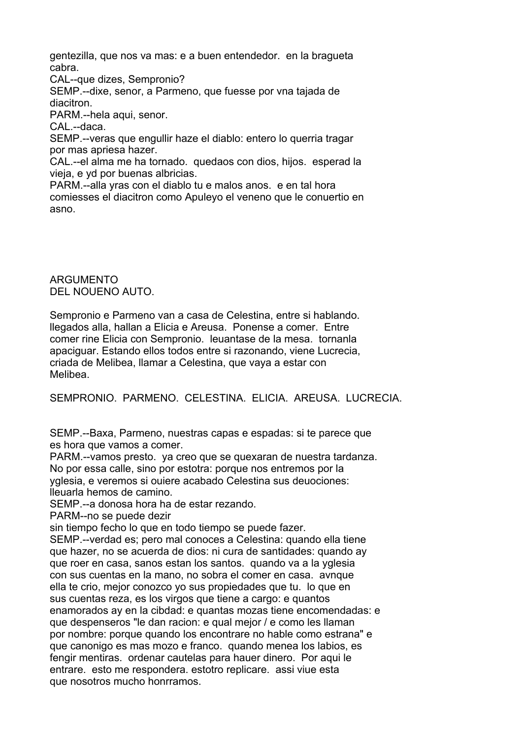gentezilla, que nos va mas: e a buen entendedor. en la bragueta cabra.

CAL--que dizes, Sempronio?

SEMP.--dixe, senor, a Parmeno, que fuesse por vna tajada de diacitron.

PARM.--hela aqui, senor.

CAL.--daca.

SEMP.--veras que engullir haze el diablo: entero lo querria tragar por mas apriesa hazer.

CAL.--el alma me ha tornado. quedaos con dios, hijos. esperad la vieja, e yd por buenas albricias.

PARM.--alla yras con el diablo tu e malos anos. e en tal hora comiesses el diacitron como Apuleyo el veneno que le conuertio en asno.

ARGUMENTO DEL NOUENO AUTO.

Sempronio e Parmeno van a casa de Celestina, entre si hablando. llegados alla, hallan a Elicia e Areusa. Ponense a comer. Entre comer rine Elicia con Sempronio. leuantase de la mesa. tornanla apaciguar. Estando ellos todos entre si razonando, viene Lucrecia, criada de Melibea, llamar a Celestina, que vaya a estar con Melibea.

SEMPRONIO. PARMENO. CELESTINA. ELICIA. AREUSA. LUCRECIA.

SEMP.--Baxa, Parmeno, nuestras capas e espadas: si te parece que es hora que vamos a comer.

PARM.--vamos presto. ya creo que se quexaran de nuestra tardanza. No por essa calle, sino por estotra: porque nos entremos por la yglesia, e veremos si ouiere acabado Celestina sus deuociones: lleuarla hemos de camino.

SEMP.--a donosa hora ha de estar rezando.

PARM--no se puede dezir

sin tiempo fecho lo que en todo tiempo se puede fazer.

SEMP.--verdad es; pero mal conoces a Celestina: quando ella tiene que hazer, no se acuerda de dios: ni cura de santidades: quando ay que roer en casa, sanos estan los santos. quando va a la yglesia con sus cuentas en la mano, no sobra el comer en casa. avnque ella te crio, mejor conozco yo sus propiedades que tu. lo que en sus cuentas reza, es los virgos que tiene a cargo: e quantos enamorados ay en la cibdad: e quantas mozas tiene encomendadas: e que despenseros "le dan racion: e qual mejor / e como les llaman por nombre: porque quando los encontrare no hable como estrana" e que canonigo es mas mozo e franco. quando menea los labios, es fengir mentiras. ordenar cautelas para hauer dinero. Por aqui le entrare. esto me respondera. estotro replicare. assi viue esta que nosotros mucho honrramos.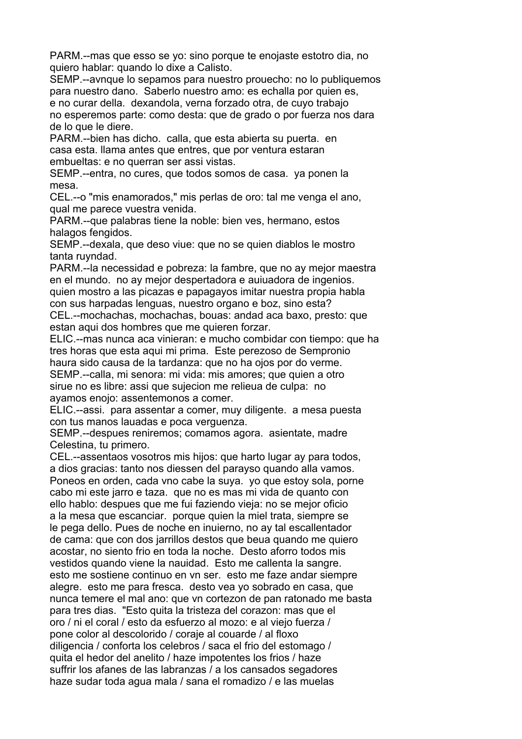PARM.--mas que esso se yo: sino porque te enojaste estotro dia, no quiero hablar: quando lo dixe a Calisto.

SEMP.--avnque lo sepamos para nuestro prouecho: no lo publiquemos para nuestro dano. Saberlo nuestro amo: es echalla por quien es, e no curar della. dexandola, verna forzado otra, de cuyo trabajo no esperemos parte: como desta: que de grado o por fuerza nos dara de lo que le diere.

PARM.--bien has dicho. calla, que esta abierta su puerta. en casa esta. llama antes que entres, que por ventura estaran embueltas: e no querran ser assi vistas.

SEMP.--entra, no cures, que todos somos de casa. ya ponen la mesa.

CEL.--o "mis enamorados," mis perlas de oro: tal me venga el ano, qual me parece vuestra venida.

PARM.--que palabras tiene la noble: bien ves, hermano, estos halagos fengidos.

SEMP.--dexala, que deso viue: que no se quien diablos le mostro tanta ruyndad.

PARM.--la necessidad e pobreza: la fambre, que no ay mejor maestra en el mundo. no ay mejor despertadora e auiuadora de ingenios.

quien mostro a las picazas e papagayos imitar nuestra propia habla con sus harpadas lenguas, nuestro organo e boz, sino esta?

CEL.--mochachas, mochachas, bouas: andad aca baxo, presto: que estan aqui dos hombres que me quieren forzar.

ELIC.--mas nunca aca vinieran: e mucho combidar con tiempo: que ha tres horas que esta aqui mi prima. Este perezoso de Sempronio haura sido causa de la tardanza: que no ha ojos por do verme.

SEMP.--calla, mi senora: mi vida: mis amores; que quien a otro sirue no es libre: assi que sujecion me relieua de culpa: no ayamos enojo: assentemonos a comer.

ELIC.--assi. para assentar a comer, muy diligente. a mesa puesta con tus manos lauadas e poca verguenza.

SEMP.--despues reniremos; comamos agora. asientate, madre Celestina, tu primero.

CEL.--assentaos vosotros mis hijos: que harto lugar ay para todos, a dios gracias: tanto nos diessen del parayso quando alla vamos. Poneos en orden, cada vno cabe la suya. yo que estoy sola, porne cabo mi este jarro e taza. que no es mas mi vida de quanto con ello hablo: despues que me fui faziendo vieja: no se mejor oficio a la mesa que escanciar. porque quien la miel trata, siempre se le pega dello. Pues de noche en inuierno, no ay tal escallentador de cama: que con dos jarrillos destos que beua quando me quiero acostar, no siento frio en toda la noche. Desto aforro todos mis vestidos quando viene la nauidad. Esto me callenta la sangre. esto me sostiene continuo en vn ser. esto me faze andar siempre alegre. esto me para fresca. desto vea yo sobrado en casa, que nunca temere el mal ano: que vn cortezon de pan ratonado me basta para tres dias. "Esto quita la tristeza del corazon: mas que el oro / ni el coral / esto da esfuerzo al mozo: e al viejo fuerza / pone color al descolorido / coraje al couarde / al floxo diligencia / conforta los celebros / saca el frio del estomago / quita el hedor del anelito / haze impotentes los frios / haze suffrir los afanes de las labranzas / a los cansados segadores haze sudar toda agua mala / sana el romadizo / e las muelas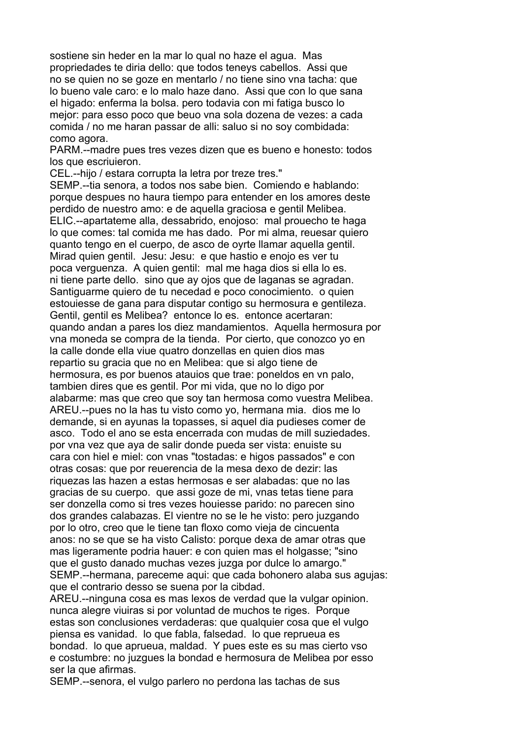sostiene sin heder en la mar lo qual no haze el agua. Mas propriedades te diria dello: que todos teneys cabellos. Assi que no se quien no se goze en mentarlo / no tiene sino vna tacha: que lo bueno vale caro: e lo malo haze dano. Assi que con lo que sana el higado: enferma la bolsa. pero todavia con mi fatiga busco lo mejor: para esso poco que beuo vna sola dozena de vezes: a cada comida / no me haran passar de alli: saluo si no soy combidada: como agora.

PARM.--madre pues tres vezes dizen que es bueno e honesto: todos los que escriuieron.

CEL.--hijo / estara corrupta la letra por treze tres."

SEMP.--tia senora, a todos nos sabe bien. Comiendo e hablando: porque despues no haura tiempo para entender en los amores deste perdido de nuestro amo: e de aquella graciosa e gentil Melibea. ELIC.--apartateme alla, dessabrido, enojoso: mal prouecho te haga lo que comes: tal comida me has dado. Por mi alma, reuesar quiero quanto tengo en el cuerpo, de asco de oyrte llamar aquella gentil. Mirad quien gentil. Jesu: Jesu: e que hastio e enojo es ver tu poca verguenza. A quien gentil: mal me haga dios si ella lo es. ni tiene parte dello. sino que ay ojos que de laganas se agradan. Santiguarme quiero de tu necedad e poco conocimiento. o quien estouiesse de gana para disputar contigo su hermosura e gentileza. Gentil, gentil es Melibea? entonce lo es. entonce acertaran: quando andan a pares los diez mandamientos. Aquella hermosura por vna moneda se compra de la tienda. Por cierto, que conozco yo en la calle donde ella viue quatro donzellas en quien dios mas repartio su gracia que no en Melibea: que si algo tiene de hermosura, es por buenos atauios que trae: poneldos en vn palo, tambien dires que es gentil. Por mi vida, que no lo digo por alabarme: mas que creo que soy tan hermosa como vuestra Melibea. AREU.--pues no la has tu visto como yo, hermana mia. dios me lo demande, si en ayunas la topasses, si aquel dia pudieses comer de asco. Todo el ano se esta encerrada con mudas de mill suziedades. por vna vez que aya de salir donde pueda ser vista: enuiste su cara con hiel e miel: con vnas "tostadas: e higos passados" e con otras cosas: que por reuerencia de la mesa dexo de dezir: las riquezas las hazen a estas hermosas e ser alabadas: que no las gracias de su cuerpo. que assi goze de mi, vnas tetas tiene para ser donzella como si tres vezes houiesse parido: no parecen sino dos grandes calabazas. El vientre no se le he visto: pero juzgando por lo otro, creo que le tiene tan floxo como vieja de cincuenta anos: no se que se ha visto Calisto: porque dexa de amar otras que mas ligeramente podria hauer: e con quien mas el holgasse; "sino que el gusto danado muchas vezes juzga por dulce lo amargo." SEMP.--hermana, pareceme aqui: que cada bohonero alaba sus agujas: que el contrario desso se suena por la cibdad.

AREU.--ninguna cosa es mas lexos de verdad que la vulgar opinion. nunca alegre viuiras si por voluntad de muchos te riges. Porque estas son conclusiones verdaderas: que qualquier cosa que el vulgo piensa es vanidad. lo que fabla, falsedad. lo que reprueua es bondad. lo que aprueua, maldad. Y pues este es su mas cierto vso e costumbre: no juzgues la bondad e hermosura de Melibea por esso ser la que afirmas.

SEMP.--senora, el vulgo parlero no perdona las tachas de sus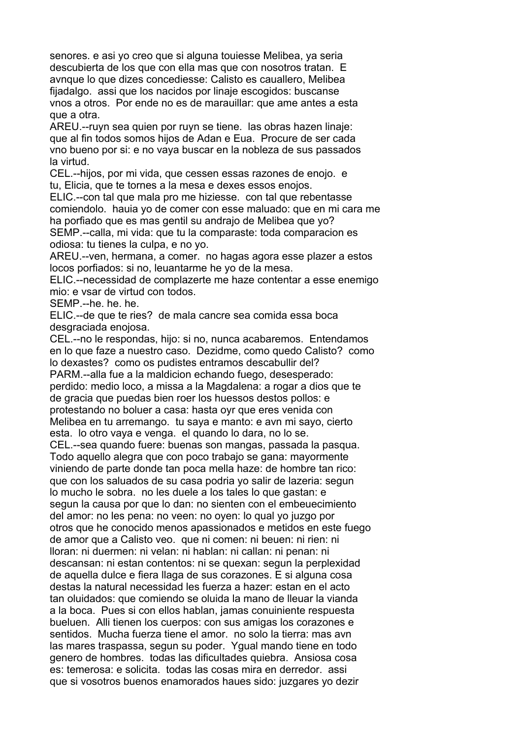senores. e asi yo creo que si alguna touiesse Melibea, ya seria descubierta de los que con ella mas que con nosotros tratan. E avnque lo que dizes concediesse: Calisto es cauallero, Melibea fijadalgo. assi que los nacidos por linaje escogidos: buscanse vnos a otros. Por ende no es de marauillar: que ame antes a esta que a otra.

AREU.--ruyn sea quien por ruyn se tiene. las obras hazen linaje: que al fin todos somos hijos de Adan e Eua. Procure de ser cada vno bueno por si: e no vaya buscar en la nobleza de sus passados la virtud.

CEL.--hijos, por mi vida, que cessen essas razones de enojo. e tu, Elicia, que te tornes a la mesa e dexes essos enojos.

ELIC.--con tal que mala pro me hiziesse. con tal que rebentasse comiendolo. hauia yo de comer con esse maluado: que en mi cara me ha porfiado que es mas gentil su andrajo de Melibea que yo? SEMP.--calla, mi vida: que tu la comparaste: toda comparacion es

odiosa: tu tienes la culpa, e no yo. AREU.--ven, hermana, a comer. no hagas agora esse plazer a estos

locos porfiados: si no, leuantarme he yo de la mesa.

ELIC.--necessidad de complazerte me haze contentar a esse enemigo mio: e vsar de virtud con todos.

SEMP.--he. he. he.

ELIC.--de que te ries? de mala cancre sea comida essa boca desgraciada enojosa.

CEL.--no le respondas, hijo: si no, nunca acabaremos. Entendamos en lo que faze a nuestro caso. Dezidme, como quedo Calisto? como lo dexastes? como os pudistes entramos descabullir del? PARM.--alla fue a la maldicion echando fuego, desesperado: perdido: medio loco, a missa a la Magdalena: a rogar a dios que te de gracia que puedas bien roer los huessos destos pollos: e protestando no boluer a casa: hasta oyr que eres venida con Melibea en tu arremango. tu saya e manto: e avn mi sayo, cierto esta. lo otro vaya e venga. el quando lo dara, no lo se. CEL.--sea quando fuere: buenas son mangas, passada la pasqua. Todo aquello alegra que con poco trabajo se gana: mayormente viniendo de parte donde tan poca mella haze: de hombre tan rico: que con los saluados de su casa podria yo salir de lazeria: segun lo mucho le sobra. no les duele a los tales lo que gastan: e segun la causa por que lo dan: no sienten con el embeuecimiento del amor: no les pena: no veen: no oyen: lo qual yo juzgo por otros que he conocido menos apassionados e metidos en este fuego de amor que a Calisto veo. que ni comen: ni beuen: ni rien: ni lloran: ni duermen: ni velan: ni hablan: ni callan: ni penan: ni descansan: ni estan contentos: ni se quexan: segun la perplexidad de aquella dulce e fiera llaga de sus corazones. E si alguna cosa destas la natural necessidad les fuerza a hazer: estan en el acto tan oluidados: que comiendo se oluida la mano de lleuar la vianda a la boca. Pues si con ellos hablan, jamas conuiniente respuesta bueluen. Alli tienen los cuerpos: con sus amigas los corazones e sentidos. Mucha fuerza tiene el amor. no solo la tierra: mas avn las mares traspassa, segun su poder. Ygual mando tiene en todo genero de hombres. todas las dificultades quiebra. Ansiosa cosa es: temerosa: e solicita. todas las cosas mira en derredor. assi que si vosotros buenos enamorados haues sido: juzgares yo dezir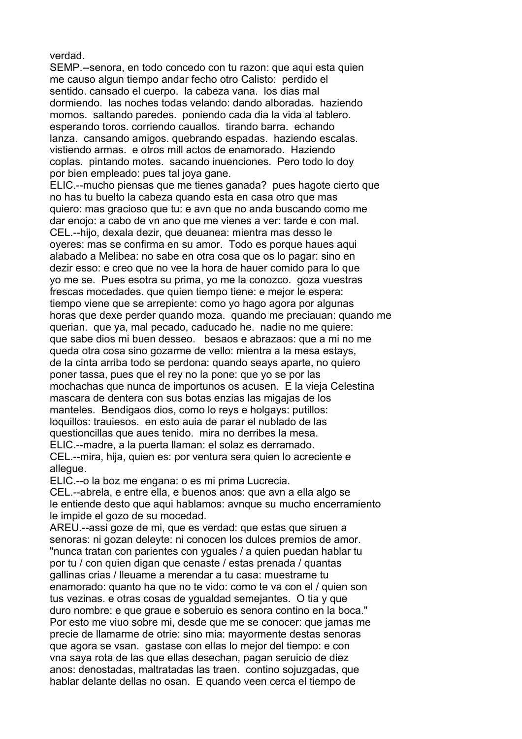verdad.

SEMP.--senora, en todo concedo con tu razon: que aqui esta quien me causo algun tiempo andar fecho otro Calisto: perdido el sentido. cansado el cuerpo. la cabeza vana. los dias mal dormiendo. las noches todas velando: dando alboradas. haziendo momos. saltando paredes. poniendo cada dia la vida al tablero. esperando toros. corriendo cauallos. tirando barra. echando lanza. cansando amigos. quebrando espadas. haziendo escalas. vistiendo armas. e otros mill actos de enamorado. Haziendo coplas. pintando motes. sacando inuenciones. Pero todo lo doy por bien empleado: pues tal joya gane.

ELIC.--mucho piensas que me tienes ganada? pues hagote cierto que no has tu buelto la cabeza quando esta en casa otro que mas quiero: mas gracioso que tu: e avn que no anda buscando como me dar enojo: a cabo de vn ano que me vienes a ver: tarde e con mal. CEL.--hijo, dexala dezir, que deuanea: mientra mas desso le oyeres: mas se confirma en su amor. Todo es porque haues aqui alabado a Melibea: no sabe en otra cosa que os lo pagar: sino en dezir esso: e creo que no vee la hora de hauer comido para lo que yo me se. Pues esotra su prima, yo me la conozco. goza vuestras frescas mocedades. que quien tiempo tiene: e mejor le espera: tiempo viene que se arrepiente: como yo hago agora por algunas horas que dexe perder quando moza. quando me preciauan: quando me querian. que ya, mal pecado, caducado he. nadie no me quiere: que sabe dios mi buen desseo. besaos e abrazaos: que a mi no me queda otra cosa sino gozarme de vello: mientra a la mesa estays, de la cinta arriba todo se perdona: quando seays aparte, no quiero poner tassa, pues que el rey no la pone: que yo se por las mochachas que nunca de importunos os acusen. E la vieja Celestina mascara de dentera con sus botas enzias las migajas de los manteles. Bendigaos dios, como lo reys e holgays: putillos: loquillos: trauiesos. en esto auia de parar el nublado de las questioncillas que aues tenido. mira no derribes la mesa. ELIC.--madre, a la puerta llaman: el solaz es derramado. CEL.--mira, hija, quien es: por ventura sera quien lo acreciente e

allegue. ELIC.--o la boz me engana: o es mi prima Lucrecia.

CEL.--abrela, e entre ella, e buenos anos: que avn a ella algo se le entiende desto que aqui hablamos: avnque su mucho encerramiento le impide el gozo de su mocedad.

AREU.--assi goze de mi, que es verdad: que estas que siruen a senoras: ni gozan deleyte: ni conocen los dulces premios de amor. "nunca tratan con parientes con yguales / a quien puedan hablar tu por tu / con quien digan que cenaste / estas prenada / quantas gallinas crias / lleuame a merendar a tu casa: muestrame tu enamorado: quanto ha que no te vido: como te va con el / quien son tus vezinas. e otras cosas de ygualdad semejantes. O tia y que duro nombre: e que graue e soberuio es senora contino en la boca." Por esto me viuo sobre mi, desde que me se conocer: que jamas me precie de llamarme de otrie: sino mia: mayormente destas senoras que agora se vsan. gastase con ellas lo mejor del tiempo: e con vna saya rota de las que ellas desechan, pagan seruicio de diez anos: denostadas, maltratadas las traen. contino sojuzgadas, que hablar delante dellas no osan. E quando veen cerca el tiempo de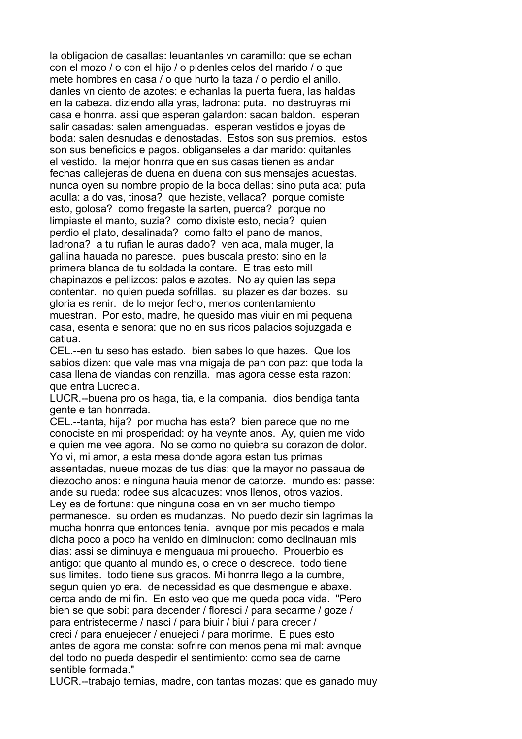la obligacion de casallas: leuantanles vn caramillo: que se echan con el mozo / o con el hijo / o pidenles celos del marido / o que mete hombres en casa / o que hurto la taza / o perdio el anillo. danles vn ciento de azotes: e echanlas la puerta fuera, las haldas en la cabeza. diziendo alla yras, ladrona: puta. no destruyras mi casa e honrra. assi que esperan galardon: sacan baldon. esperan salir casadas: salen amenguadas. esperan vestidos e joyas de boda: salen desnudas e denostadas. Estos son sus premios. estos son sus beneficios e pagos. obliganseles a dar marido: quitanles el vestido. la mejor honrra que en sus casas tienen es andar fechas callejeras de duena en duena con sus mensajes acuestas. nunca oyen su nombre propio de la boca dellas: sino puta aca: puta aculla: a do vas, tinosa? que heziste, vellaca? porque comiste esto, golosa? como fregaste la sarten, puerca? porque no limpiaste el manto, suzia? como dixiste esto, necia? quien perdio el plato, desalinada? como falto el pano de manos, ladrona? a tu rufian le auras dado? ven aca, mala muger, la gallina hauada no paresce. pues buscala presto: sino en la primera blanca de tu soldada la contare. E tras esto mill chapinazos e pellizcos: palos e azotes. No ay quien las sepa contentar. no quien pueda sofrillas. su plazer es dar bozes. su gloria es renir. de lo mejor fecho, menos contentamiento muestran. Por esto, madre, he quesido mas viuir en mi pequena casa, esenta e senora: que no en sus ricos palacios sojuzgada e catiua.

CEL.--en tu seso has estado. bien sabes lo que hazes. Que los sabios dizen: que vale mas vna migaja de pan con paz: que toda la casa llena de viandas con renzilla. mas agora cesse esta razon: que entra Lucrecia.

LUCR.--buena pro os haga, tia, e la compania. dios bendiga tanta gente e tan honrrada.

CEL.--tanta, hija? por mucha has esta? bien parece que no me conociste en mi prosperidad: oy ha veynte anos. Ay, quien me vido e quien me vee agora. No se como no quiebra su corazon de dolor. Yo vi, mi amor, a esta mesa donde agora estan tus primas assentadas, nueue mozas de tus dias: que la mayor no passaua de diezocho anos: e ninguna hauia menor de catorze. mundo es: passe: ande su rueda: rodee sus alcaduzes: vnos llenos, otros vazios. Ley es de fortuna: que ninguna cosa en vn ser mucho tiempo permanesce. su orden es mudanzas. No puedo dezir sin lagrimas la mucha honrra que entonces tenia. avnque por mis pecados e mala dicha poco a poco ha venido en diminucion: como declinauan mis dias: assi se diminuya e menguaua mi prouecho. Prouerbio es antigo: que quanto al mundo es, o crece o descrece. todo tiene sus limites. todo tiene sus grados. Mi honrra llego a la cumbre, segun quien yo era. de necessidad es que desmengue e abaxe. cerca ando de mi fin. En esto veo que me queda poca vida. "Pero bien se que sobi: para decender / floresci / para secarme / goze / para entristecerme / nasci / para biuir / biui / para crecer / creci / para enuejecer / enuejeci / para morirme. E pues esto antes de agora me consta: sofrire con menos pena mi mal: avnque del todo no pueda despedir el sentimiento: como sea de carne sentible formada."

LUCR.--trabajo ternias, madre, con tantas mozas: que es ganado muy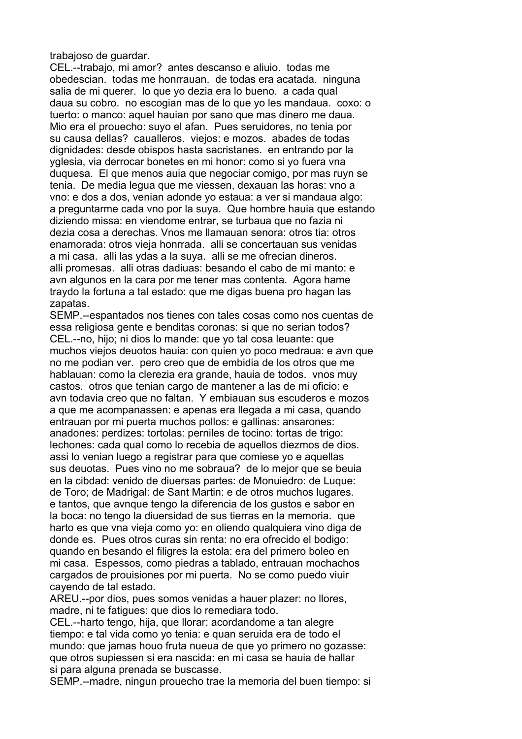trabajoso de guardar.

CEL.--trabajo, mi amor? antes descanso e aliuio. todas me obedescian. todas me honrrauan. de todas era acatada. ninguna salia de mi querer. lo que yo dezia era lo bueno. a cada qual daua su cobro. no escogian mas de lo que yo les mandaua. coxo: o tuerto: o manco: aquel hauian por sano que mas dinero me daua. Mio era el prouecho: suyo el afan. Pues seruidores, no tenia por su causa dellas? caualleros. viejos: e mozos. abades de todas dignidades: desde obispos hasta sacristanes. en entrando por la yglesia, via derrocar bonetes en mi honor: como si yo fuera vna duquesa. El que menos auia que negociar comigo, por mas ruyn se tenia. De media legua que me viessen, dexauan las horas: vno a vno: e dos a dos, venian adonde yo estaua: a ver si mandaua algo: a preguntarme cada vno por la suya. Que hombre hauia que estando diziendo missa: en viendome entrar, se turbaua que no fazia ni dezia cosa a derechas. Vnos me llamauan senora: otros tia: otros enamorada: otros vieja honrrada. alli se concertauan sus venidas a mi casa. alli las ydas a la suya. alli se me ofrecian dineros. alli promesas. alli otras dadiuas: besando el cabo de mi manto: e avn algunos en la cara por me tener mas contenta. Agora hame traydo la fortuna a tal estado: que me digas buena pro hagan las zapatas.

SEMP.--espantados nos tienes con tales cosas como nos cuentas de essa religiosa gente e benditas coronas: si que no serian todos? CEL.--no, hijo; ni dios lo mande: que yo tal cosa leuante: que muchos viejos deuotos hauia: con quien yo poco medraua: e avn que no me podian ver. pero creo que de embidia de los otros que me hablauan: como la clerezia era grande, hauia de todos. vnos muy castos. otros que tenian cargo de mantener a las de mi oficio: e avn todavia creo que no faltan. Y embiauan sus escuderos e mozos a que me acompanassen: e apenas era llegada a mi casa, quando entrauan por mi puerta muchos pollos: e gallinas: ansarones: anadones: perdizes: tortolas: perniles de tocino: tortas de trigo: lechones: cada qual como lo recebia de aquellos diezmos de dios. assi lo venian luego a registrar para que comiese yo e aquellas sus deuotas. Pues vino no me sobraua? de lo mejor que se beuia en la cibdad: venido de diuersas partes: de Monuiedro: de Luque: de Toro; de Madrigal: de Sant Martin: e de otros muchos lugares. e tantos, que avnque tengo la diferencia de los gustos e sabor en la boca: no tengo la diuersidad de sus tierras en la memoria. que harto es que vna vieja como yo: en oliendo qualquiera vino diga de donde es. Pues otros curas sin renta: no era ofrecido el bodigo: quando en besando el filigres la estola: era del primero boleo en mi casa. Espessos, como piedras a tablado, entrauan mochachos cargados de prouisiones por mi puerta. No se como puedo viuir cayendo de tal estado.

AREU.--por dios, pues somos venidas a hauer plazer: no llores, madre, ni te fatigues: que dios lo remediara todo.

CEL.--harto tengo, hija, que llorar: acordandome a tan alegre tiempo: e tal vida como yo tenia: e quan seruida era de todo el mundo: que jamas houo fruta nueua de que yo primero no gozasse: que otros supiessen si era nascida: en mi casa se hauia de hallar si para alguna prenada se buscasse.

SEMP.--madre, ningun prouecho trae la memoria del buen tiempo: si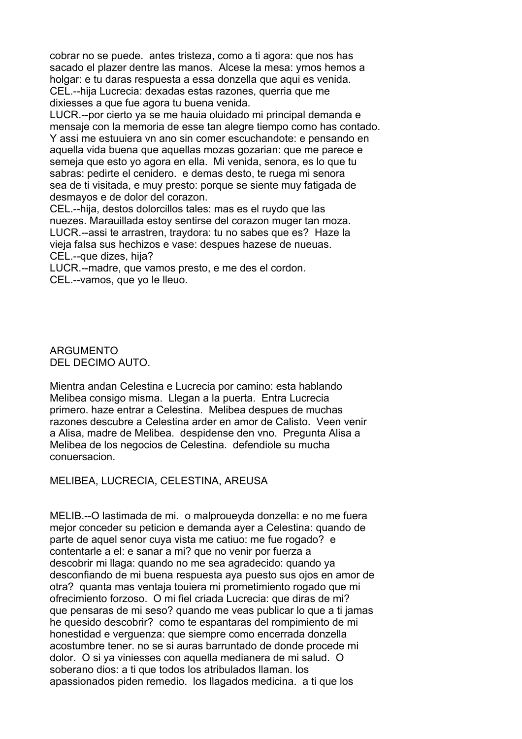cobrar no se puede. antes tristeza, como a ti agora: que nos has sacado el plazer dentre las manos. Alcese la mesa: yrnos hemos a holgar: e tu daras respuesta a essa donzella que aqui es venida. CEL.--hija Lucrecia: dexadas estas razones, querria que me dixiesses a que fue agora tu buena venida.

LUCR.--por cierto ya se me hauia oluidado mi principal demanda e mensaje con la memoria de esse tan alegre tiempo como has contado. Y assi me estuuiera vn ano sin comer escuchandote: e pensando en aquella vida buena que aquellas mozas gozarian: que me parece e semeja que esto yo agora en ella. Mi venida, senora, es lo que tu sabras: pedirte el cenidero. e demas desto, te ruega mi senora sea de ti visitada, e muy presto: porque se siente muy fatigada de desmayos e de dolor del corazon.

CEL.--hija, destos dolorcillos tales: mas es el ruydo que las nuezes. Marauillada estoy sentirse del corazon muger tan moza. LUCR.--assi te arrastren, traydora: tu no sabes que es? Haze la vieja falsa sus hechizos e vase: despues hazese de nueuas. CEL.--que dizes, hija?

LUCR.--madre, que vamos presto, e me des el cordon. CEL.--vamos, que yo le lleuo.

ARGUMENTO DEL DECIMO AUTO.

Mientra andan Celestina e Lucrecia por camino: esta hablando Melibea consigo misma. Llegan a la puerta. Entra Lucrecia primero. haze entrar a Celestina. Melibea despues de muchas razones descubre a Celestina arder en amor de Calisto. Veen venir a Alisa, madre de Melibea. despidense den vno. Pregunta Alisa a Melibea de los negocios de Celestina. defendiole su mucha conuersacion.

MELIBEA, LUCRECIA, CELESTINA, AREUSA

MELIB.--O lastimada de mi. o malproueyda donzella: e no me fuera mejor conceder su peticion e demanda ayer a Celestina: quando de parte de aquel senor cuya vista me catiuo: me fue rogado? e contentarle a el: e sanar a mi? que no venir por fuerza a descobrir mi llaga: quando no me sea agradecido: quando ya desconfiando de mi buena respuesta aya puesto sus ojos en amor de otra? quanta mas ventaja touiera mi prometimiento rogado que mi ofrecimiento forzoso. O mi fiel criada Lucrecia: que diras de mi? que pensaras de mi seso? quando me veas publicar lo que a ti jamas he quesido descobrir? como te espantaras del rompimiento de mi honestidad e verguenza: que siempre como encerrada donzella acostumbre tener. no se si auras barruntado de donde procede mi dolor. O si ya viniesses con aquella medianera de mi salud. O soberano dios: a ti que todos los atribulados llaman. los apassionados piden remedio. los llagados medicina. a ti que los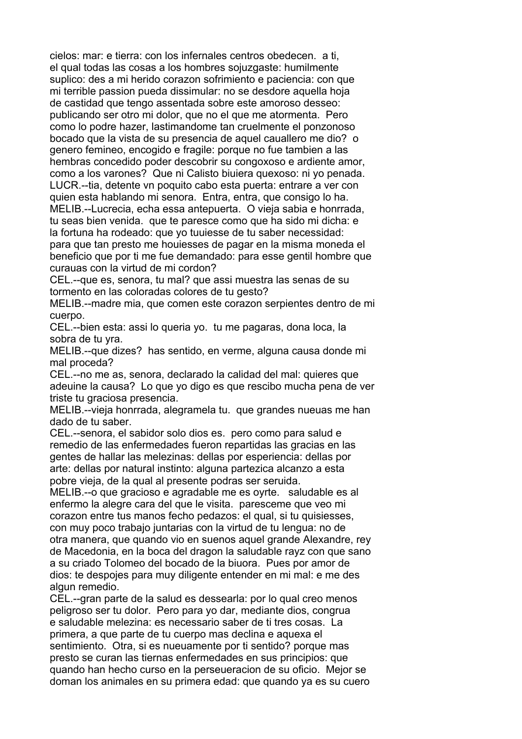cielos: mar: e tierra: con los infernales centros obedecen. a ti, el qual todas las cosas a los hombres sojuzgaste: humilmente suplico: des a mi herido corazon sofrimiento e paciencia: con que mi terrible passion pueda dissimular: no se desdore aquella hoja de castidad que tengo assentada sobre este amoroso desseo: publicando ser otro mi dolor, que no el que me atormenta. Pero como lo podre hazer, lastimandome tan cruelmente el ponzonoso bocado que la vista de su presencia de aquel cauallero me dio? o genero femineo, encogido e fragile: porque no fue tambien a las hembras concedido poder descobrir su congoxoso e ardiente amor, como a los varones? Que ni Calisto biuiera quexoso: ni yo penada. LUCR.--tia, detente vn poquito cabo esta puerta: entrare a ver con quien esta hablando mi senora. Entra, entra, que consigo lo ha. MELIB.--Lucrecia, echa essa antepuerta. O vieja sabia e honrrada, tu seas bien venida. que te paresce como que ha sido mi dicha: e la fortuna ha rodeado: que yo tuuiesse de tu saber necessidad: para que tan presto me houiesses de pagar en la misma moneda el beneficio que por ti me fue demandado: para esse gentil hombre que curauas con la virtud de mi cordon?

CEL.--que es, senora, tu mal? que assi muestra las senas de su tormento en las coloradas colores de tu gesto?

MELIB.--madre mia, que comen este corazon serpientes dentro de mi cuerpo.

CEL.--bien esta: assi lo queria yo. tu me pagaras, dona loca, la sobra de tu yra.

MELIB.--que dizes? has sentido, en verme, alguna causa donde mi mal proceda?

CEL.--no me as, senora, declarado la calidad del mal: quieres que adeuine la causa? Lo que yo digo es que rescibo mucha pena de ver triste tu graciosa presencia.

MELIB.--vieja honrrada, alegramela tu. que grandes nueuas me han dado de tu saber.

CEL.--senora, el sabidor solo dios es. pero como para salud e remedio de las enfermedades fueron repartidas las gracias en las gentes de hallar las melezinas: dellas por esperiencia: dellas por arte: dellas por natural instinto: alguna partezica alcanzo a esta pobre vieja, de la qual al presente podras ser seruida.

MELIB.--o que gracioso e agradable me es oyrte. saludable es al enfermo la alegre cara del que le visita. paresceme que veo mi corazon entre tus manos fecho pedazos: el qual, si tu quisiesses, con muy poco trabajo juntarias con la virtud de tu lengua: no de otra manera, que quando vio en suenos aquel grande Alexandre, rey de Macedonia, en la boca del dragon la saludable rayz con que sano a su criado Tolomeo del bocado de la biuora. Pues por amor de dios: te despojes para muy diligente entender en mi mal: e me des algun remedio.

CEL.--gran parte de la salud es dessearla: por lo qual creo menos peligroso ser tu dolor. Pero para yo dar, mediante dios, congrua e saludable melezina: es necessario saber de ti tres cosas. La primera, a que parte de tu cuerpo mas declina e aquexa el sentimiento. Otra, si es nueuamente por ti sentido? porque mas presto se curan las tiernas enfermedades en sus principios: que quando han hecho curso en la perseueracion de su oficio. Mejor se doman los animales en su primera edad: que quando ya es su cuero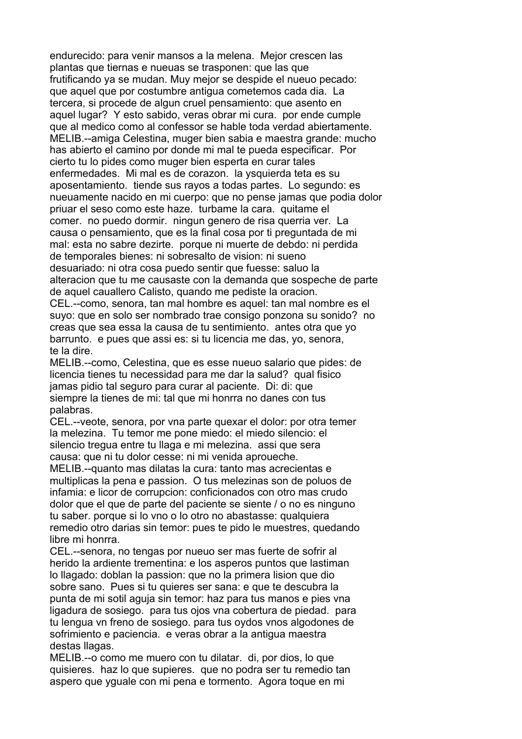endurecido: para venir mansos a la melena. Mejor crescen las plantas que tiernas e nueuas se trasponen: que las que frutificando ya se mudan. Muy mejor se despide el nueuo pecado: que aquel que por costumbre antigua cometemos cada dia. La tercera, si procede de algun cruel pensamiento: que asento en aquel lugar? Y esto sabido, veras obrar mi cura. por ende cumple que al medico como al confessor se hable toda verdad abiertamente. MELIB.--amiga Celestina, muger bien sabia e maestra grande: mucho has abierto el camino por donde mi mal te pueda especificar. Por cierto tu lo pides como muger bien esperta en curar tales enfermedades. Mi mal es de corazon. la ysquierda teta es su aposentamiento. tiende sus rayos a todas partes. Lo segundo: es nueuamente nacido en mi cuerpo: que no pense jamas que podia dolor priuar el seso como este haze. turbame la cara. quitame el comer. no puedo dormir. ningun genero de risa querria ver. La causa o pensamiento, que es la final cosa por ti preguntada de mi mal: esta no sabre dezirte. porque ni muerte de debdo: ni perdida de temporales bienes: ni sobresalto de vision: ni sueno desuariado: ni otra cosa puedo sentir que fuesse: saluo la alteracion que tu me causaste con la demanda que sospeche de parte de aquel cauallero Calisto, quando me pediste la oracion. CEL.--como, senora, tan mal hombre es aquel: tan mal nombre es el suyo: que en solo ser nombrado trae consigo ponzona su sonido? no creas que sea essa la causa de tu sentimiento. antes otra que yo barrunto. e pues que assi es: si tu licencia me das, yo, senora, te la dire.

MELIB.--como, Celestina, que es esse nueuo salario que pides: de licencia tienes tu necessidad para me dar la salud? qual fisico jamas pidio tal seguro para curar al paciente. Di: di: que siempre la tienes de mi: tal que mi honrra no danes con tus palabras.

CEL.--veote, senora, por vna parte quexar el dolor: por otra temer la melezina. Tu temor me pone miedo: el miedo silencio: el silencio tregua entre tu llaga e mi melezina. assi que sera causa: que ni tu dolor cesse: ni mi venida aproueche.

MELIB.--quanto mas dilatas la cura: tanto mas acrecientas e multiplicas la pena e passion. O tus melezinas son de poluos de infamia: e licor de corrupcion: conficionados con otro mas crudo dolor que el que de parte del paciente se siente / o no es ninguno tu saber. porque si lo vno o lo otro no abastasse: qualquiera remedio otro darias sin temor: pues te pido le muestres, quedando libre mi honrra.

CEL.--senora, no tengas por nueuo ser mas fuerte de sofrir al herido la ardiente trementina: e los asperos puntos que lastiman lo llagado: doblan la passion: que no la primera lision que dio sobre sano. Pues si tu quieres ser sana: e que te descubra la punta de mi sotil aguja sin temor: haz para tus manos e pies vna ligadura de sosiego. para tus ojos vna cobertura de piedad. para tu lengua vn freno de sosiego. para tus oydos vnos algodones de sofrimiento e paciencia. e veras obrar a la antigua maestra destas llagas.

MELIB.--o como me muero con tu dilatar. di, por dios, lo que quisieres. haz lo que supieres. que no podra ser tu remedio tan aspero que yguale con mi pena e tormento. Agora toque en mi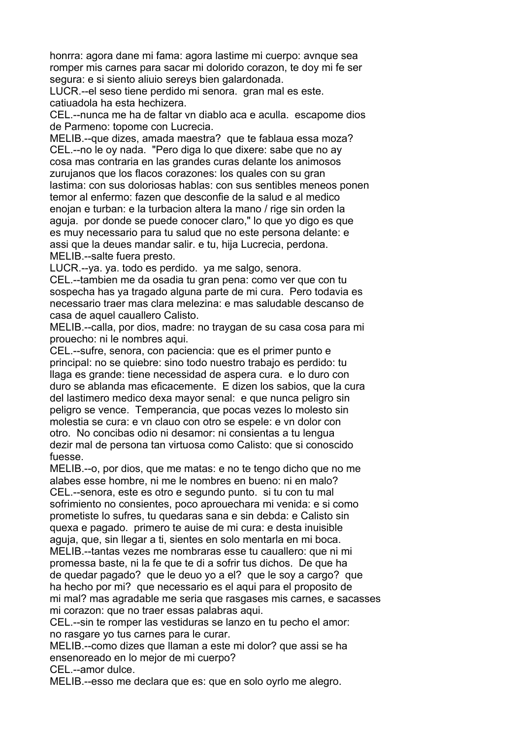honrra: agora dane mi fama: agora lastime mi cuerpo: avnque sea romper mis carnes para sacar mi dolorido corazon, te doy mi fe ser segura: e si siento aliuio sereys bien galardonada.

LUCR.--el seso tiene perdido mi senora. gran mal es este. catiuadola ha esta hechizera.

CEL.--nunca me ha de faltar vn diablo aca e aculla. escapome dios de Parmeno: topome con Lucrecia.

MELIB.--que dizes, amada maestra? que te fablaua essa moza? CEL.--no le oy nada. "Pero diga lo que dixere: sabe que no ay cosa mas contraria en las grandes curas delante los animosos zurujanos que los flacos corazones: los quales con su gran lastima: con sus doloriosas hablas: con sus sentibles meneos ponen temor al enfermo: fazen que desconfie de la salud e al medico enojan e turban: e la turbacion altera la mano / rige sin orden la aguja. por donde se puede conocer claro," lo que yo digo es que es muy necessario para tu salud que no este persona delante: e assi que la deues mandar salir. e tu, hija Lucrecia, perdona. MELIB.--salte fuera presto.

LUCR.--ya. ya. todo es perdido. ya me salgo, senora.

CEL.--tambien me da osadia tu gran pena: como ver que con tu sospecha has ya tragado alguna parte de mi cura. Pero todavia es necessario traer mas clara melezina: e mas saludable descanso de casa de aquel cauallero Calisto.

MELIB.--calla, por dios, madre: no traygan de su casa cosa para mi prouecho: ni le nombres aqui.

CEL.--sufre, senora, con paciencia: que es el primer punto e principal: no se quiebre: sino todo nuestro trabajo es perdido: tu llaga es grande: tiene necessidad de aspera cura. e lo duro con duro se ablanda mas eficacemente. E dizen los sabios, que la cura del lastimero medico dexa mayor senal: e que nunca peligro sin peligro se vence. Temperancia, que pocas vezes lo molesto sin molestia se cura: e vn clauo con otro se espele: e vn dolor con otro. No concibas odio ni desamor: ni consientas a tu lengua dezir mal de persona tan virtuosa como Calisto: que si conoscido fuesse.

MELIB.--o, por dios, que me matas: e no te tengo dicho que no me alabes esse hombre, ni me le nombres en bueno: ni en malo? CEL.--senora, este es otro e segundo punto. si tu con tu mal sofrimiento no consientes, poco aprouechara mi venida: e si como prometiste lo sufres, tu quedaras sana e sin debda: e Calisto sin quexa e pagado. primero te auise de mi cura: e desta inuisible aguja, que, sin llegar a ti, sientes en solo mentarla en mi boca. MELIB.--tantas vezes me nombraras esse tu cauallero: que ni mi promessa baste, ni la fe que te di a sofrir tus dichos. De que ha de quedar pagado? que le deuo yo a el? que le soy a cargo? que ha hecho por mi? que necessario es el aqui para el proposito de mi mal? mas agradable me seria que rasgases mis carnes, e sacasses mi corazon: que no traer essas palabras aqui.

CEL.--sin te romper las vestiduras se lanzo en tu pecho el amor: no rasgare yo tus carnes para le curar.

MELIB.--como dizes que llaman a este mi dolor? que assi se ha ensenoreado en lo mejor de mi cuerpo?

CEL.--amor dulce.

MELIB.--esso me declara que es: que en solo oyrlo me alegro.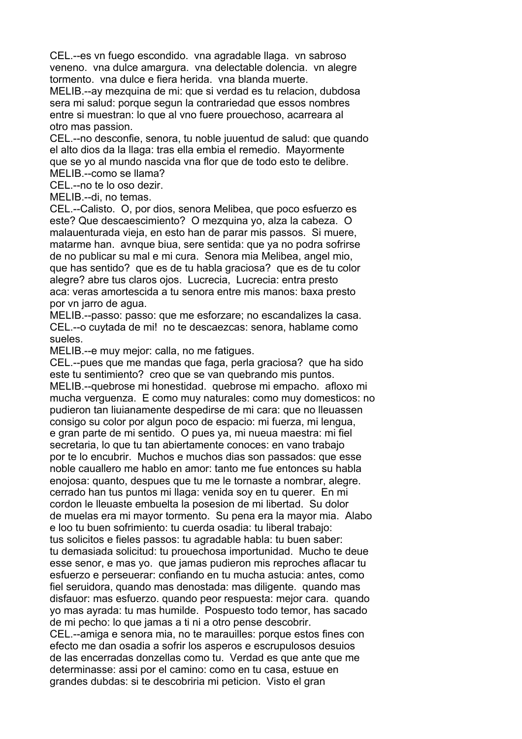CEL.--es vn fuego escondido. vna agradable llaga. vn sabroso veneno. vna dulce amargura. vna delectable dolencia. vn alegre tormento. vna dulce e fiera herida. vna blanda muerte.

MELIB.--ay mezquina de mi: que si verdad es tu relacion, dubdosa sera mi salud: porque segun la contrariedad que essos nombres entre si muestran: lo que al vno fuere prouechoso, acarreara al otro mas passion.

CEL.--no desconfie, senora, tu noble juuentud de salud: que quando el alto dios da la llaga: tras ella embia el remedio. Mayormente que se yo al mundo nascida vna flor que de todo esto te delibre. MELIB.--como se llama?

CEL.--no te lo oso dezir.

MELIB.--di, no temas.

CEL.--Calisto. O, por dios, senora Melibea, que poco esfuerzo es este? Que descaescimiento? O mezquina yo, alza la cabeza. O malauenturada vieja, en esto han de parar mis passos. Si muere, matarme han. avnque biua, sere sentida: que ya no podra sofrirse de no publicar su mal e mi cura. Senora mia Melibea, angel mio, que has sentido? que es de tu habla graciosa? que es de tu color alegre? abre tus claros ojos. Lucrecia, Lucrecia: entra presto aca: veras amortescida a tu senora entre mis manos: baxa presto por vn jarro de agua.

MELIB.--passo: passo: que me esforzare; no escandalizes la casa. CEL.--o cuytada de mi! no te descaezcas: senora, hablame como sueles.

MELIB.--e muy mejor: calla, no me fatigues.

CEL.--pues que me mandas que faga, perla graciosa? que ha sido este tu sentimiento? creo que se van quebrando mis puntos. MELIB.--quebrose mi honestidad. quebrose mi empacho. afloxo mi mucha verguenza. E como muy naturales: como muy domesticos: no pudieron tan liuianamente despedirse de mi cara: que no lleuassen consigo su color por algun poco de espacio: mi fuerza, mi lengua, e gran parte de mi sentido. O pues ya, mi nueua maestra: mi fiel secretaria, lo que tu tan abiertamente conoces: en vano trabajo por te lo encubrir. Muchos e muchos dias son passados: que esse noble cauallero me hablo en amor: tanto me fue entonces su habla enojosa: quanto, despues que tu me le tornaste a nombrar, alegre. cerrado han tus puntos mi llaga: venida soy en tu querer. En mi cordon le lleuaste embuelta la posesion de mi libertad. Su dolor de muelas era mi mayor tormento. Su pena era la mayor mia. Alabo e loo tu buen sofrimiento: tu cuerda osadia: tu liberal trabajo: tus solicitos e fieles passos: tu agradable habla: tu buen saber: tu demasiada solicitud: tu prouechosa importunidad. Mucho te deue esse senor, e mas yo. que jamas pudieron mis reproches aflacar tu esfuerzo e perseuerar: confiando en tu mucha astucia: antes, como fiel seruidora, quando mas denostada: mas diligente. quando mas disfauor: mas esfuerzo. quando peor respuesta: mejor cara. quando yo mas ayrada: tu mas humilde. Pospuesto todo temor, has sacado de mi pecho: lo que jamas a ti ni a otro pense descobrir. CEL.--amiga e senora mia, no te marauilles: porque estos fines con efecto me dan osadia a sofrir los asperos e escrupulosos desuios de las encerradas donzellas como tu. Verdad es que ante que me determinasse: assi por el camino: como en tu casa, estuue en grandes dubdas: si te descobriria mi peticion. Visto el gran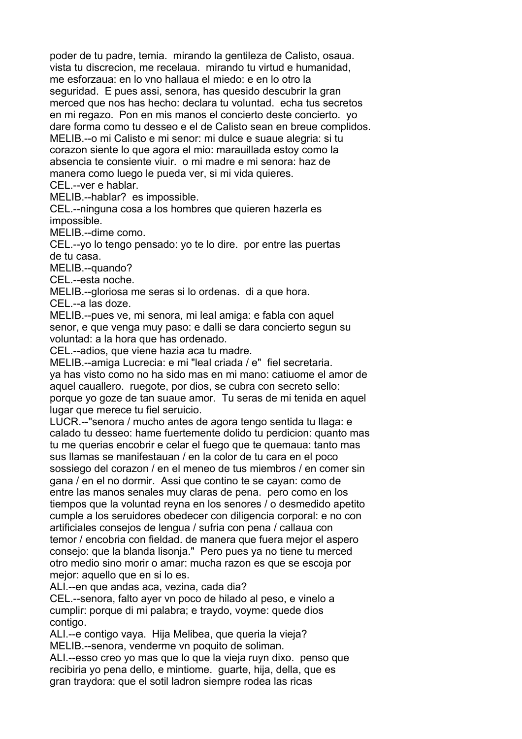poder de tu padre, temia. mirando la gentileza de Calisto, osaua. vista tu discrecion, me recelaua. mirando tu virtud e humanidad, me esforzaua: en lo vno hallaua el miedo: e en lo otro la seguridad. E pues assi, senora, has quesido descubrir la gran merced que nos has hecho: declara tu voluntad. echa tus secretos en mi regazo. Pon en mis manos el concierto deste concierto. yo dare forma como tu desseo e el de Calisto sean en breue complidos. MELIB.--o mi Calisto e mi senor: mi dulce e suaue alegria: si tu corazon siente lo que agora el mio: marauillada estoy como la absencia te consiente viuir. o mi madre e mi senora: haz de manera como luego le pueda ver, si mi vida quieres. CEL.--ver e hablar.

MELIB.--hablar? es impossible.

CEL.--ninguna cosa a los hombres que quieren hazerla es impossible.

MELIB.--dime como.

CEL.--yo lo tengo pensado: yo te lo dire. por entre las puertas de tu casa.

MELIB.--quando?

CEL.--esta noche.

MELIB.--gloriosa me seras si lo ordenas. di a que hora.

CEL.--a las doze.

MELIB.--pues ve, mi senora, mi leal amiga: e fabla con aquel senor, e que venga muy paso: e dalli se dara concierto segun su voluntad: a la hora que has ordenado.

CEL.--adios, que viene hazia aca tu madre.

MELIB.--amiga Lucrecia: e mi "leal criada / e" fiel secretaria. ya has visto como no ha sido mas en mi mano: catiuome el amor de aquel cauallero. ruegote, por dios, se cubra con secreto sello: porque yo goze de tan suaue amor. Tu seras de mi tenida en aquel lugar que merece tu fiel seruicio.

LUCR.--"senora / mucho antes de agora tengo sentida tu llaga: e calado tu desseo: hame fuertemente dolido tu perdicion: quanto mas tu me querias encobrir e celar el fuego que te quemaua: tanto mas sus llamas se manifestauan / en la color de tu cara en el poco sossiego del corazon / en el meneo de tus miembros / en comer sin gana / en el no dormir. Assi que contino te se cayan: como de entre las manos senales muy claras de pena. pero como en los tiempos que la voluntad reyna en los senores / o desmedido apetito cumple a los seruidores obedecer con diligencia corporal: e no con artificiales consejos de lengua / sufria con pena / callaua con temor / encobria con fieldad. de manera que fuera mejor el aspero consejo: que la blanda lisonja." Pero pues ya no tiene tu merced otro medio sino morir o amar: mucha razon es que se escoja por mejor: aquello que en si lo es.

ALI.--en que andas aca, vezina, cada dia?

CEL.--senora, falto ayer vn poco de hilado al peso, e vinelo a cumplir: porque di mi palabra; e traydo, voyme: quede dios contigo.

ALI.--e contigo vaya. Hija Melibea, que queria la vieja? MELIB.--senora, venderme vn poquito de soliman.

ALI.--esso creo yo mas que lo que la vieja ruyn dixo. penso que recibiria yo pena dello, e mintiome. guarte, hija, della, que es gran traydora: que el sotil ladron siempre rodea las ricas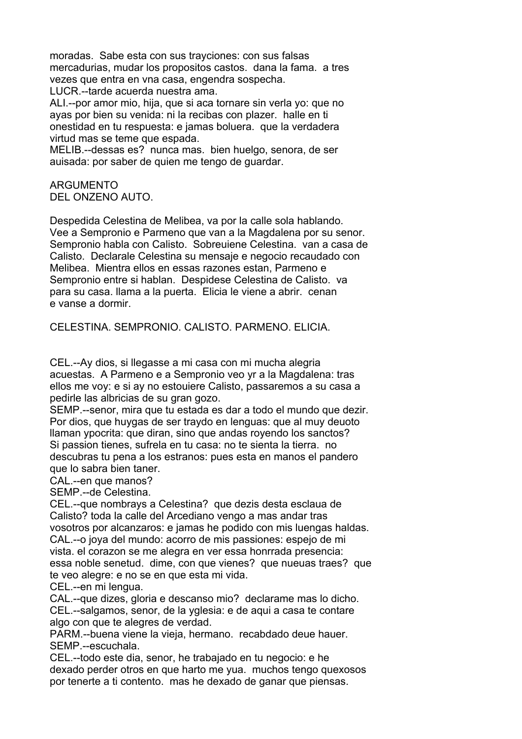moradas. Sabe esta con sus trayciones: con sus falsas mercadurias, mudar los propositos castos. dana la fama. a tres vezes que entra en vna casa, engendra sospecha. LUCR.--tarde acuerda nuestra ama.

ALI.--por amor mio, hija, que si aca tornare sin verla yo: que no ayas por bien su venida: ni la recibas con plazer. halle en ti onestidad en tu respuesta: e jamas boluera. que la verdadera virtud mas se teme que espada.

MELIB.--dessas es? nunca mas. bien huelgo, senora, de ser auisada: por saber de quien me tengo de guardar.

ARGUMENTO DEL ONZENO AUTO.

Despedida Celestina de Melibea, va por la calle sola hablando. Vee a Sempronio e Parmeno que van a la Magdalena por su senor. Sempronio habla con Calisto. Sobreuiene Celestina. van a casa de Calisto. Declarale Celestina su mensaje e negocio recaudado con Melibea. Mientra ellos en essas razones estan, Parmeno e Sempronio entre si hablan. Despidese Celestina de Calisto. va para su casa. llama a la puerta. Elicia le viene a abrir. cenan e vanse a dormir.

CELESTINA. SEMPRONIO. CALISTO. PARMENO. ELICIA.

CEL.--Ay dios, si llegasse a mi casa con mi mucha alegria acuestas. A Parmeno e a Sempronio veo yr a la Magdalena: tras ellos me voy: e si ay no estouiere Calisto, passaremos a su casa a pedirle las albricias de su gran gozo.

SEMP.--senor, mira que tu estada es dar a todo el mundo que dezir. Por dios, que huygas de ser traydo en lenguas: que al muy deuoto llaman ypocrita: que diran, sino que andas royendo los sanctos? Si passion tienes, sufrela en tu casa: no te sienta la tierra. no descubras tu pena a los estranos: pues esta en manos el pandero que lo sabra bien taner.

CAL.--en que manos?

SEMP.--de Celestina.

CEL.--que nombrays a Celestina? que dezis desta esclaua de Calisto? toda la calle del Arcediano vengo a mas andar tras vosotros por alcanzaros: e jamas he podido con mis luengas haldas. CAL.--o joya del mundo: acorro de mis passiones: espejo de mi vista. el corazon se me alegra en ver essa honrrada presencia: essa noble senetud. dime, con que vienes? que nueuas traes? que te veo alegre: e no se en que esta mi vida.

CEL.--en mi lengua.

CAL.--que dizes, gloria e descanso mio? declarame mas lo dicho. CEL.--salgamos, senor, de la yglesia: e de aqui a casa te contare algo con que te alegres de verdad.

PARM.--buena viene la vieja, hermano. recabdado deue hauer. SEMP.--escuchala.

CEL.--todo este dia, senor, he trabajado en tu negocio: e he dexado perder otros en que harto me yua. muchos tengo quexosos por tenerte a ti contento. mas he dexado de ganar que piensas.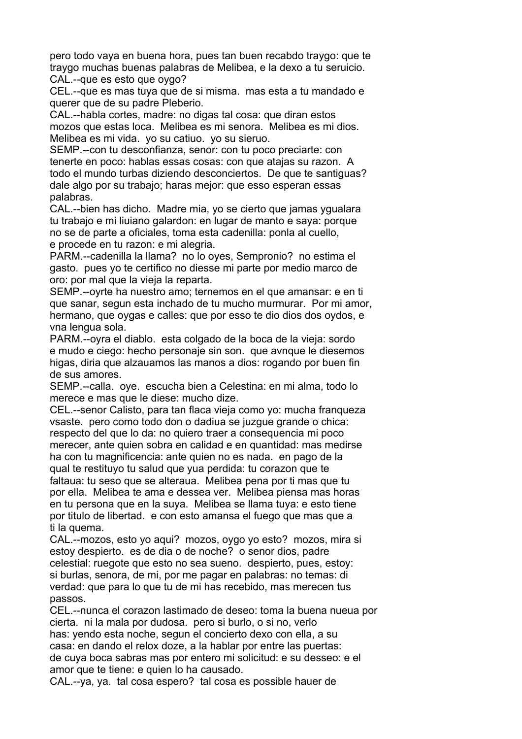pero todo vaya en buena hora, pues tan buen recabdo traygo: que te traygo muchas buenas palabras de Melibea, e la dexo a tu seruicio. CAL.--que es esto que oygo?

CEL.--que es mas tuya que de si misma. mas esta a tu mandado e querer que de su padre Pleberio.

CAL.--habla cortes, madre: no digas tal cosa: que diran estos mozos que estas loca. Melibea es mi senora. Melibea es mi dios. Melibea es mi vida. yo su catiuo. yo su sieruo.

SEMP.--con tu desconfianza, senor: con tu poco preciarte: con tenerte en poco: hablas essas cosas: con que atajas su razon. A todo el mundo turbas diziendo desconciertos. De que te santiguas? dale algo por su trabajo; haras mejor: que esso esperan essas palabras.

CAL.--bien has dicho. Madre mia, yo se cierto que jamas ygualara tu trabajo e mi liuiano galardon: en lugar de manto e saya: porque no se de parte a oficiales, toma esta cadenilla: ponla al cuello, e procede en tu razon: e mi alegria.

PARM.--cadenilla la llama? no lo oyes, Sempronio? no estima el gasto. pues yo te certifico no diesse mi parte por medio marco de oro: por mal que la vieja la reparta.

SEMP.--oyrte ha nuestro amo; ternemos en el que amansar: e en ti que sanar, segun esta inchado de tu mucho murmurar. Por mi amor, hermano, que oygas e calles: que por esso te dio dios dos oydos, e vna lengua sola.

PARM.--oyra el diablo. esta colgado de la boca de la vieja: sordo e mudo e ciego: hecho personaje sin son. que avnque le diesemos higas, diria que alzauamos las manos a dios: rogando por buen fin de sus amores.

SEMP.--calla. oye. escucha bien a Celestina: en mi alma, todo lo merece e mas que le diese: mucho dize.

CEL.--senor Calisto, para tan flaca vieja como yo: mucha franqueza vsaste. pero como todo don o dadiua se juzgue grande o chica: respecto del que lo da: no quiero traer a consequencia mi poco merecer, ante quien sobra en calidad e en quantidad: mas medirse ha con tu magnificencia: ante quien no es nada. en pago de la qual te restituyo tu salud que yua perdida: tu corazon que te faltaua: tu seso que se alteraua. Melibea pena por ti mas que tu por ella. Melibea te ama e dessea ver. Melibea piensa mas horas en tu persona que en la suya. Melibea se llama tuya: e esto tiene por titulo de libertad. e con esto amansa el fuego que mas que a ti la quema.

CAL.--mozos, esto yo aqui? mozos, oygo yo esto? mozos, mira si estoy despierto. es de dia o de noche? o senor dios, padre celestial: ruegote que esto no sea sueno. despierto, pues, estoy: si burlas, senora, de mi, por me pagar en palabras: no temas: di verdad: que para lo que tu de mi has recebido, mas merecen tus passos.

CEL.--nunca el corazon lastimado de deseo: toma la buena nueua por cierta. ni la mala por dudosa. pero si burlo, o si no, verlo has: yendo esta noche, segun el concierto dexo con ella, a su casa: en dando el relox doze, a la hablar por entre las puertas: de cuya boca sabras mas por entero mi solicitud: e su desseo: e el amor que te tiene: e quien lo ha causado.

CAL.--ya, ya. tal cosa espero? tal cosa es possible hauer de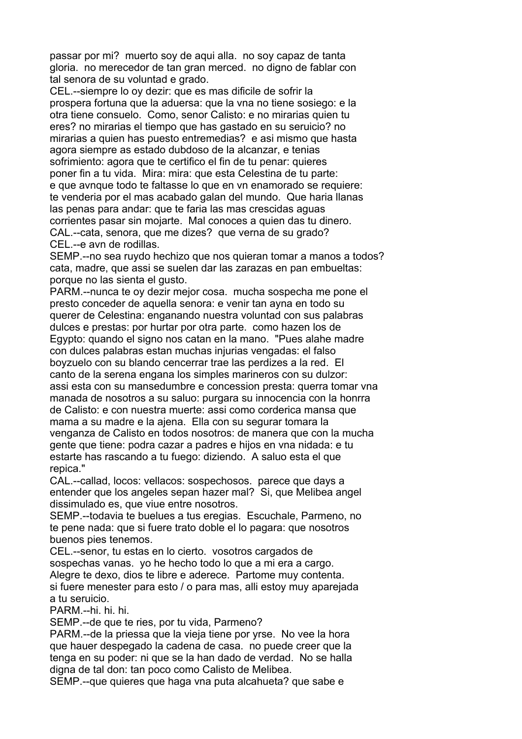passar por mi? muerto soy de aqui alla. no soy capaz de tanta gloria. no merecedor de tan gran merced. no digno de fablar con tal senora de su voluntad e grado.

CEL.--siempre lo oy dezir: que es mas dificile de sofrir la prospera fortuna que la aduersa: que la vna no tiene sosiego: e la otra tiene consuelo. Como, senor Calisto: e no mirarias quien tu eres? no mirarias el tiempo que has gastado en su seruicio? no mirarias a quien has puesto entremedias? e asi mismo que hasta agora siempre as estado dubdoso de la alcanzar, e tenias sofrimiento: agora que te certifico el fin de tu penar: quieres poner fin a tu vida. Mira: mira: que esta Celestina de tu parte: e que avnque todo te faltasse lo que en vn enamorado se requiere: te venderia por el mas acabado galan del mundo. Que haria llanas las penas para andar: que te faria las mas crescidas aguas corrientes pasar sin mojarte. Mal conoces a quien das tu dinero. CAL.--cata, senora, que me dizes? que verna de su grado? CEL.--e avn de rodillas.

SEMP.--no sea ruydo hechizo que nos quieran tomar a manos a todos? cata, madre, que assi se suelen dar las zarazas en pan embueltas: porque no las sienta el gusto.

PARM.--nunca te oy dezir mejor cosa. mucha sospecha me pone el presto conceder de aquella senora: e venir tan ayna en todo su querer de Celestina: enganando nuestra voluntad con sus palabras dulces e prestas: por hurtar por otra parte. como hazen los de Egypto: quando el signo nos catan en la mano. "Pues alahe madre con dulces palabras estan muchas injurias vengadas: el falso boyzuelo con su blando cencerrar trae las perdizes a la red. El canto de la serena engana los simples marineros con su dulzor: assi esta con su mansedumbre e concession presta: querra tomar vna manada de nosotros a su saluo: purgara su innocencia con la honrra de Calisto: e con nuestra muerte: assi como corderica mansa que mama a su madre e la ajena. Ella con su segurar tomara la venganza de Calisto en todos nosotros: de manera que con la mucha gente que tiene: podra cazar a padres e hijos en vna nidada: e tu estarte has rascando a tu fuego: diziendo. A saluo esta el que repica."

CAL.--callad, locos: vellacos: sospechosos. parece que days a entender que los angeles sepan hazer mal? Si, que Melibea angel dissimulado es, que viue entre nosotros.

SEMP.--todavia te buelues a tus eregias. Escuchale, Parmeno, no te pene nada: que si fuere trato doble el lo pagara: que nosotros buenos pies tenemos.

CEL.--senor, tu estas en lo cierto. vosotros cargados de sospechas vanas. yo he hecho todo lo que a mi era a cargo. Alegre te dexo, dios te libre e aderece. Partome muy contenta. si fuere menester para esto / o para mas, alli estoy muy aparejada a tu seruicio.

PARM.--hi. hi. hi.

SEMP.--de que te ries, por tu vida, Parmeno?

PARM.--de la priessa que la vieja tiene por yrse. No vee la hora que hauer despegado la cadena de casa. no puede creer que la tenga en su poder: ni que se la han dado de verdad. No se halla digna de tal don: tan poco como Calisto de Melibea.

SEMP.--que quieres que haga vna puta alcahueta? que sabe e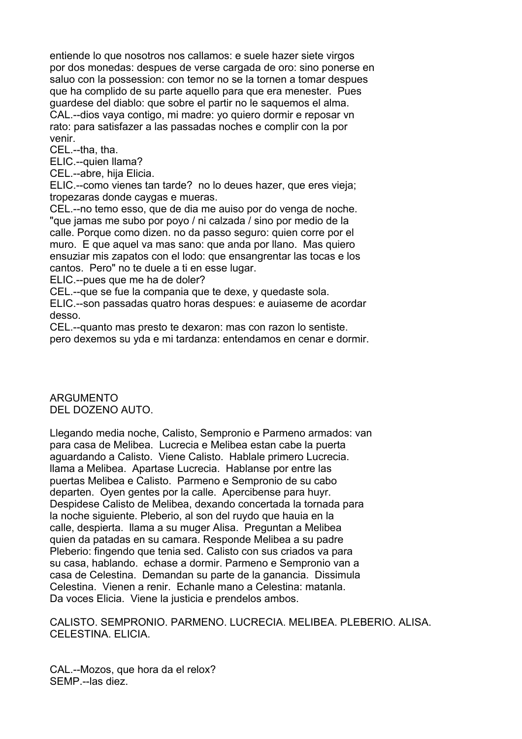entiende lo que nosotros nos callamos: e suele hazer siete virgos por dos monedas: despues de verse cargada de oro: sino ponerse en saluo con la possession: con temor no se la tornen a tomar despues que ha complido de su parte aquello para que era menester. Pues guardese del diablo: que sobre el partir no le saquemos el alma. CAL.--dios vaya contigo, mi madre: yo quiero dormir e reposar vn rato: para satisfazer a las passadas noches e complir con la por venir.

CEL.--tha, tha.

ELIC.--quien llama?

CEL.--abre, hija Elicia.

ELIC.--como vienes tan tarde? no lo deues hazer, que eres vieja; tropezaras donde caygas e mueras.

CEL.--no temo esso, que de dia me auiso por do venga de noche. "que jamas me subo por poyo / ni calzada / sino por medio de la calle. Porque como dizen. no da passo seguro: quien corre por el muro. E que aquel va mas sano: que anda por llano. Mas quiero ensuziar mis zapatos con el lodo: que ensangrentar las tocas e los cantos. Pero" no te duele a ti en esse lugar.

ELIC.--pues que me ha de doler?

CEL.--que se fue la compania que te dexe, y quedaste sola.

ELIC.--son passadas quatro horas despues: e auiaseme de acordar desso.

CEL.--quanto mas presto te dexaron: mas con razon lo sentiste. pero dexemos su yda e mi tardanza: entendamos en cenar e dormir.

ARGUMENTO DEL DOZENO AUTO.

Llegando media noche, Calisto, Sempronio e Parmeno armados: van para casa de Melibea. Lucrecia e Melibea estan cabe la puerta aguardando a Calisto. Viene Calisto. Hablale primero Lucrecia. llama a Melibea. Apartase Lucrecia. Hablanse por entre las puertas Melibea e Calisto. Parmeno e Sempronio de su cabo departen. Oyen gentes por la calle. Apercibense para huyr. Despidese Calisto de Melibea, dexando concertada la tornada para la noche siguiente. Pleberio, al son del ruydo que hauia en la calle, despierta. llama a su muger Alisa. Preguntan a Melibea quien da patadas en su camara. Responde Melibea a su padre Pleberio: fingendo que tenia sed. Calisto con sus criados va para su casa, hablando. echase a dormir. Parmeno e Sempronio van a casa de Celestina. Demandan su parte de la ganancia. Dissimula Celestina. Vienen a renir. Echanle mano a Celestina: matanla. Da voces Elicia. Viene la justicia e prendelos ambos.

CALISTO. SEMPRONIO. PARMENO. LUCRECIA. MELIBEA. PLEBERIO. ALISA. CELESTINA. ELICIA.

CAL.--Mozos, que hora da el relox? SEMP.--las diez.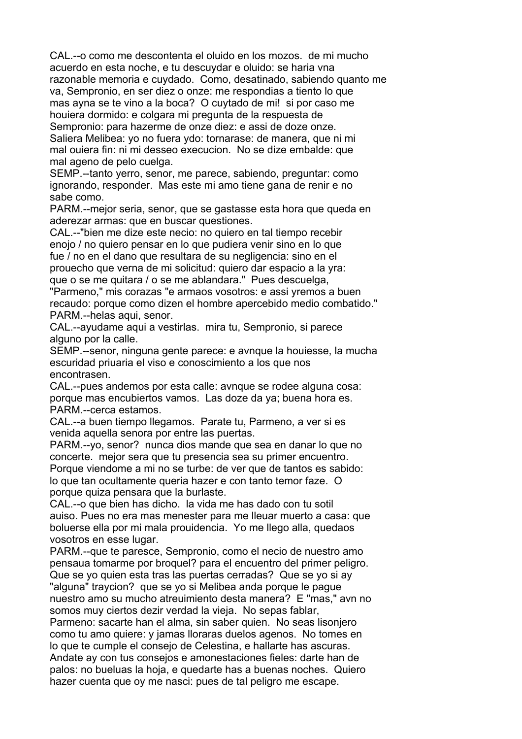CAL.--o como me descontenta el oluido en los mozos. de mi mucho acuerdo en esta noche, e tu descuydar e oluido: se haria vna razonable memoria e cuydado. Como, desatinado, sabiendo quanto me va, Sempronio, en ser diez o onze: me respondias a tiento lo que mas ayna se te vino a la boca? O cuytado de mi! si por caso me houiera dormido: e colgara mi pregunta de la respuesta de Sempronio: para hazerme de onze diez: e assi de doze onze. Saliera Melibea: yo no fuera ydo: tornarase: de manera, que ni mi mal ouiera fin: ni mi desseo execucion. No se dize embalde: que mal ageno de pelo cuelga.

SEMP.--tanto yerro, senor, me parece, sabiendo, preguntar: como ignorando, responder. Mas este mi amo tiene gana de renir e no sabe como.

PARM.--mejor seria, senor, que se gastasse esta hora que queda en aderezar armas: que en buscar questiones.

CAL.--"bien me dize este necio: no quiero en tal tiempo recebir enojo / no quiero pensar en lo que pudiera venir sino en lo que fue / no en el dano que resultara de su negligencia: sino en el prouecho que verna de mi solicitud: quiero dar espacio a la yra: que o se me quitara / o se me ablandara." Pues descuelga,

"Parmeno," mis corazas "e armaos vosotros: e assi yremos a buen recaudo: porque como dizen el hombre apercebido medio combatido." PARM.--helas aqui, senor.

CAL.--ayudame aqui a vestirlas. mira tu, Sempronio, si parece alguno por la calle.

SEMP.--senor, ninguna gente parece: e avnque la houiesse, la mucha escuridad priuaria el viso e conoscimiento a los que nos encontrasen.

CAL.--pues andemos por esta calle: avnque se rodee alguna cosa: porque mas encubiertos vamos. Las doze da ya; buena hora es. PARM.--cerca estamos.

CAL.--a buen tiempo llegamos. Parate tu, Parmeno, a ver si es venida aquella senora por entre las puertas.

PARM.--yo, senor? nunca dios mande que sea en danar lo que no concerte. mejor sera que tu presencia sea su primer encuentro. Porque viendome a mi no se turbe: de ver que de tantos es sabido: lo que tan ocultamente queria hazer e con tanto temor faze. O porque quiza pensara que la burlaste.

CAL.--o que bien has dicho. la vida me has dado con tu sotil auiso. Pues no era mas menester para me lleuar muerto a casa: que boluerse ella por mi mala prouidencia. Yo me llego alla, quedaos vosotros en esse lugar.

PARM.--que te paresce, Sempronio, como el necio de nuestro amo pensaua tomarme por broquel? para el encuentro del primer peligro. Que se yo quien esta tras las puertas cerradas? Que se yo si ay "alguna" traycion? que se yo si Melibea anda porque le pague nuestro amo su mucho atreuimiento desta manera? E "mas," avn no

somos muy ciertos dezir verdad la vieja. No sepas fablar,

Parmeno: sacarte han el alma, sin saber quien. No seas lisonjero como tu amo quiere: y jamas lloraras duelos agenos. No tomes en lo que te cumple el consejo de Celestina, e hallarte has ascuras. Andate ay con tus consejos e amonestaciones fieles: darte han de palos: no bueluas la hoja, e quedarte has a buenas noches. Quiero hazer cuenta que oy me nasci: pues de tal peligro me escape.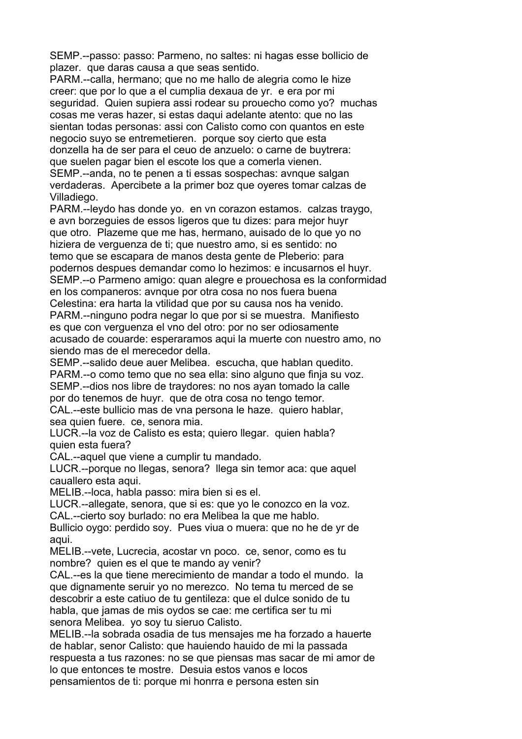SEMP.--passo: passo: Parmeno, no saltes: ni hagas esse bollicio de plazer. que daras causa a que seas sentido.

PARM.--calla, hermano; que no me hallo de alegria como le hize creer: que por lo que a el cumplia dexaua de yr. e era por mi seguridad. Quien supiera assi rodear su prouecho como yo? muchas cosas me veras hazer, si estas daqui adelante atento: que no las sientan todas personas: assi con Calisto como con quantos en este negocio suyo se entremetieren. porque soy cierto que esta donzella ha de ser para el ceuo de anzuelo: o carne de buytrera: que suelen pagar bien el escote los que a comerla vienen. SEMP.--anda, no te penen a ti essas sospechas: avnque salgan verdaderas. Apercibete a la primer boz que oyeres tomar calzas de Villadiego.

PARM.--leydo has donde yo. en vn corazon estamos. calzas traygo, e avn borzeguies de essos ligeros que tu dizes: para mejor huyr que otro. Plazeme que me has, hermano, auisado de lo que yo no hiziera de verguenza de ti; que nuestro amo, si es sentido: no temo que se escapara de manos desta gente de Pleberio: para podernos despues demandar como lo hezimos: e incusarnos el huyr. SEMP.--o Parmeno amigo: quan alegre e prouechosa es la conformidad en los companeros: avnque por otra cosa no nos fuera buena Celestina: era harta la vtilidad que por su causa nos ha venido. PARM.--ninguno podra negar lo que por si se muestra. Manifiesto

es que con verguenza el vno del otro: por no ser odiosamente acusado de couarde: esperaramos aqui la muerte con nuestro amo, no siendo mas de el merecedor della.

SEMP.--salido deue auer Melibea. escucha, que hablan quedito. PARM.--o como temo que no sea ella: sino alguno que finja su voz. SEMP.--dios nos libre de traydores: no nos ayan tomado la calle por do tenemos de huyr. que de otra cosa no tengo temor.

CAL.--este bullicio mas de vna persona le haze. quiero hablar, sea quien fuere. ce, senora mia.

LUCR.--la voz de Calisto es esta; quiero llegar. quien habla? quien esta fuera?

CAL.--aquel que viene a cumplir tu mandado.

LUCR.--porque no llegas, senora? llega sin temor aca: que aquel cauallero esta aqui.

MELIB.--loca, habla passo: mira bien si es el.

LUCR.--allegate, senora, que si es: que yo le conozco en la voz. CAL.--cierto soy burlado: no era Melibea la que me hablo.

Bullicio oygo: perdido soy. Pues viua o muera: que no he de yr de aqui.

MELIB.--vete, Lucrecia, acostar vn poco. ce, senor, como es tu nombre? quien es el que te mando ay venir?

CAL.--es la que tiene merecimiento de mandar a todo el mundo. la que dignamente seruir yo no merezco. No tema tu merced de se descobrir a este catiuo de tu gentileza: que el dulce sonido de tu habla, que jamas de mis oydos se cae: me certifica ser tu mi senora Melibea. yo soy tu sieruo Calisto.

MELIB.--la sobrada osadia de tus mensajes me ha forzado a hauerte de hablar, senor Calisto: que hauiendo hauido de mi la passada respuesta a tus razones: no se que piensas mas sacar de mi amor de lo que entonces te mostre. Desuia estos vanos e locos pensamientos de ti: porque mi honrra e persona esten sin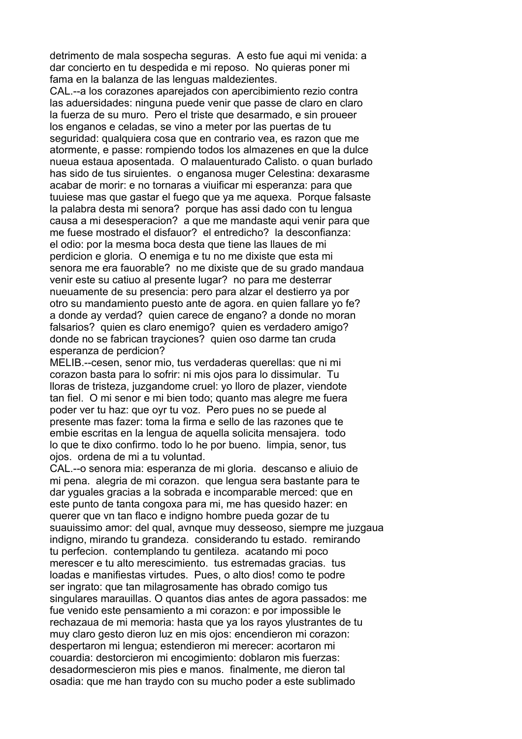detrimento de mala sospecha seguras. A esto fue aqui mi venida: a dar concierto en tu despedida e mi reposo. No quieras poner mi fama en la balanza de las lenguas maldezientes.

CAL.--a los corazones aparejados con apercibimiento rezio contra las aduersidades: ninguna puede venir que passe de claro en claro la fuerza de su muro. Pero el triste que desarmado, e sin proueer los enganos e celadas, se vino a meter por las puertas de tu seguridad: qualquiera cosa que en contrario vea, es razon que me atormente, e passe: rompiendo todos los almazenes en que la dulce nueua estaua aposentada. O malauenturado Calisto. o quan burlado has sido de tus siruientes. o enganosa muger Celestina: dexarasme acabar de morir: e no tornaras a viuificar mi esperanza: para que tuuiese mas que gastar el fuego que va me aquexa. Porque falsaste la palabra desta mi senora? porque has assi dado con tu lengua causa a mi desesperacion? a que me mandaste aqui venir para que me fuese mostrado el disfauor? el entredicho? la desconfianza: el odio: por la mesma boca desta que tiene las llaues de mi perdicion e gloria. O enemiga e tu no me dixiste que esta mi senora me era fauorable? no me dixiste que de su grado mandaua venir este su catiuo al presente lugar? no para me desterrar nueuamente de su presencia: pero para alzar el destierro ya por otro su mandamiento puesto ante de agora. en quien fallare yo fe? a donde ay verdad? quien carece de engano? a donde no moran falsarios? quien es claro enemigo? quien es verdadero amigo? donde no se fabrican trayciones? quien oso darme tan cruda esperanza de perdicion?

MELIB.--cesen, senor mio, tus verdaderas querellas: que ni mi corazon basta para lo sofrir: ni mis ojos para lo dissimular. Tu lloras de tristeza, juzgandome cruel: yo lloro de plazer, viendote tan fiel. O mi senor e mi bien todo; quanto mas alegre me fuera poder ver tu haz: que oyr tu voz. Pero pues no se puede al presente mas fazer: toma la firma e sello de las razones que te embie escritas en la lengua de aquella solicita mensajera. todo lo que te dixo confirmo. todo lo he por bueno. limpia, senor, tus ojos. ordena de mi a tu voluntad.

CAL.--o senora mia: esperanza de mi gloria. descanso e aliuio de mi pena. alegria de mi corazon. que lengua sera bastante para te dar yguales gracias a la sobrada e incomparable merced: que en este punto de tanta congoxa para mi, me has quesido hazer: en querer que vn tan flaco e indigno hombre pueda gozar de tu suauissimo amor: del qual, avnque muy desseoso, siempre me juzgaua indigno, mirando tu grandeza. considerando tu estado. remirando tu perfecion. contemplando tu gentileza. acatando mi poco merescer e tu alto merescimiento. tus estremadas gracias. tus loadas e manifiestas virtudes. Pues, o alto dios! como te podre ser ingrato: que tan milagrosamente has obrado comigo tus singulares marauillas. O quantos dias antes de agora passados: me fue venido este pensamiento a mi corazon: e por impossible le rechazaua de mi memoria: hasta que ya los rayos ylustrantes de tu muy claro gesto dieron luz en mis ojos: encendieron mi corazon: despertaron mi lengua; estendieron mi merecer: acortaron mi couardia: destorcieron mi encogimiento: doblaron mis fuerzas: desadormescieron mis pies e manos. finalmente, me dieron tal osadia: que me han traydo con su mucho poder a este sublimado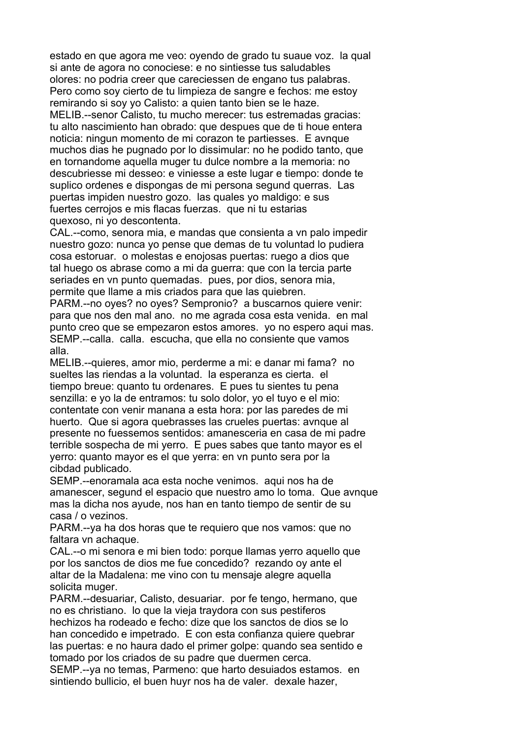estado en que agora me veo: oyendo de grado tu suaue voz. la qual si ante de agora no conociese: e no sintiesse tus saludables olores: no podria creer que careciessen de engano tus palabras. Pero como soy cierto de tu limpieza de sangre e fechos: me estoy remirando si soy yo Calisto: a quien tanto bien se le haze. MELIB.--senor Calisto, tu mucho merecer: tus estremadas gracias: tu alto nascimiento han obrado: que despues que de ti houe entera noticia: ningun momento de mi corazon te partiesses. E avnque muchos dias he pugnado por lo dissimular: no he podido tanto, que en tornandome aquella muger tu dulce nombre a la memoria: no descubriesse mi desseo: e viniesse a este lugar e tiempo: donde te

suplico ordenes e dispongas de mi persona segund querras. Las puertas impiden nuestro gozo. las quales yo maldigo: e sus fuertes cerrojos e mis flacas fuerzas. que ni tu estarias quexoso, ni yo descontenta.

CAL.--como, senora mia, e mandas que consienta a vn palo impedir nuestro gozo: nunca yo pense que demas de tu voluntad lo pudiera cosa estoruar. o molestas e enojosas puertas: ruego a dios que tal huego os abrase como a mi da guerra: que con la tercia parte seriades en vn punto quemadas. pues, por dios, senora mia, permite que llame a mis criados para que las quiebren.

PARM.--no oyes? no oyes? Sempronio? a buscarnos quiere venir: para que nos den mal ano. no me agrada cosa esta venida. en mal punto creo que se empezaron estos amores. yo no espero aqui mas. SEMP.--calla. calla. escucha, que ella no consiente que vamos alla.

MELIB.--quieres, amor mio, perderme a mi: e danar mi fama? no sueltes las riendas a la voluntad. la esperanza es cierta. el tiempo breue: quanto tu ordenares. E pues tu sientes tu pena senzilla: e yo la de entramos: tu solo dolor, yo el tuyo e el mio: contentate con venir manana a esta hora: por las paredes de mi huerto. Que si agora quebrasses las crueles puertas: avnque al presente no fuessemos sentidos: amanesceria en casa de mi padre terrible sospecha de mi yerro. E pues sabes que tanto mayor es el yerro: quanto mayor es el que yerra: en vn punto sera por la cibdad publicado.

SEMP.--enoramala aca esta noche venimos. aqui nos ha de amanescer, segund el espacio que nuestro amo lo toma. Que avnque mas la dicha nos ayude, nos han en tanto tiempo de sentir de su casa / o vezinos.

PARM.--ya ha dos horas que te requiero que nos vamos: que no faltara vn achaque.

CAL.--o mi senora e mi bien todo: porque llamas yerro aquello que por los sanctos de dios me fue concedido? rezando oy ante el altar de la Madalena: me vino con tu mensaje alegre aquella solicita muger.

PARM.--desuariar, Calisto, desuariar. por fe tengo, hermano, que no es christiano. lo que la vieja traydora con sus pestiferos hechizos ha rodeado e fecho: dize que los sanctos de dios se lo han concedido e impetrado. E con esta confianza quiere quebrar las puertas: e no haura dado el primer golpe: quando sea sentido e tomado por los criados de su padre que duermen cerca.

SEMP.--ya no temas, Parmeno: que harto desuiados estamos. en sintiendo bullicio, el buen huyr nos ha de valer. dexale hazer,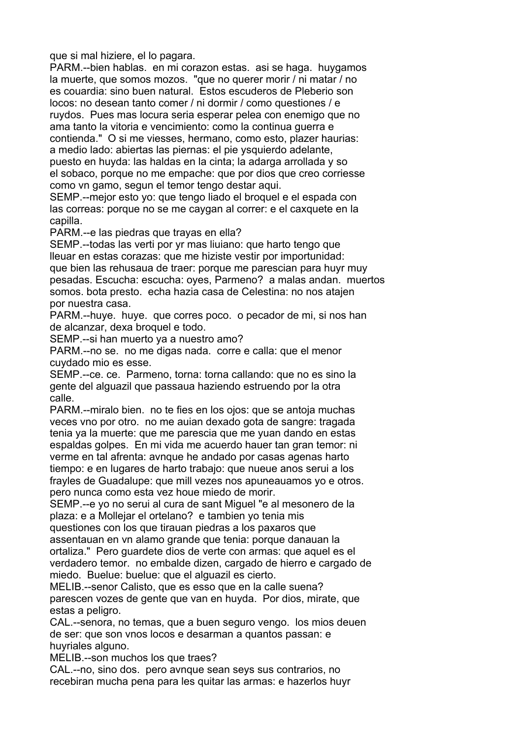que si mal hiziere, el lo pagara.

PARM.--bien hablas. en mi corazon estas. asi se haga. huygamos la muerte, que somos mozos. "que no querer morir / ni matar / no es couardia: sino buen natural. Estos escuderos de Pleberio son locos: no desean tanto comer / ni dormir / como questiones / e ruydos. Pues mas locura seria esperar pelea con enemigo que no ama tanto la vitoria e vencimiento: como la continua guerra e contienda." O si me viesses, hermano, como esto, plazer haurias: a medio lado: abiertas las piernas: el pie ysquierdo adelante, puesto en huyda: las haldas en la cinta; la adarga arrollada y so el sobaco, porque no me empache: que por dios que creo corriesse como vn gamo, segun el temor tengo destar aqui.

SEMP.--mejor esto yo: que tengo liado el broquel e el espada con las correas: porque no se me caygan al correr: e el caxquete en la capilla.

PARM.--e las piedras que trayas en ella?

SEMP.--todas las verti por yr mas liuiano: que harto tengo que lleuar en estas corazas: que me hiziste vestir por importunidad: que bien las rehusaua de traer: porque me parescian para huyr muy pesadas. Escucha: escucha: oyes, Parmeno? a malas andan. muertos somos. bota presto. echa hazia casa de Celestina: no nos atajen por nuestra casa.

PARM.--huye. huye. que corres poco. o pecador de mi, si nos han de alcanzar, dexa broquel e todo.

SEMP.--si han muerto ya a nuestro amo?

PARM.--no se. no me digas nada. corre e calla: que el menor cuydado mio es esse.

SEMP.--ce. ce. Parmeno, torna: torna callando: que no es sino la gente del alguazil que passaua haziendo estruendo por la otra calle.

PARM.--miralo bien. no te fies en los ojos: que se antoja muchas veces vno por otro. no me auian dexado gota de sangre: tragada tenia ya la muerte: que me parescia que me yuan dando en estas espaldas golpes. En mi vida me acuerdo hauer tan gran temor: ni verme en tal afrenta: avnque he andado por casas agenas harto tiempo: e en lugares de harto trabajo: que nueue anos serui a los frayles de Guadalupe: que mill vezes nos apuneauamos yo e otros. pero nunca como esta vez houe miedo de morir.

SEMP.--e yo no serui al cura de sant Miguel "e al mesonero de la plaza: e a Mollejar el ortelano? e tambien yo tenia mis

questiones con los que tirauan piedras a los paxaros que assentauan en vn alamo grande que tenia: porque danauan la ortaliza." Pero guardete dios de verte con armas: que aquel es el verdadero temor. no embalde dizen, cargado de hierro e cargado de miedo. Buelue: buelue: que el alguazil es cierto.

MELIB.--senor Calisto, que es esso que en la calle suena? parescen vozes de gente que van en huyda. Por dios, mirate, que estas a peligro.

CAL.--senora, no temas, que a buen seguro vengo. los mios deuen de ser: que son vnos locos e desarman a quantos passan: e huyriales alguno.

MELIB.--son muchos los que traes?

CAL.--no, sino dos. pero avnque sean seys sus contrarios, no recebiran mucha pena para les quitar las armas: e hazerlos huyr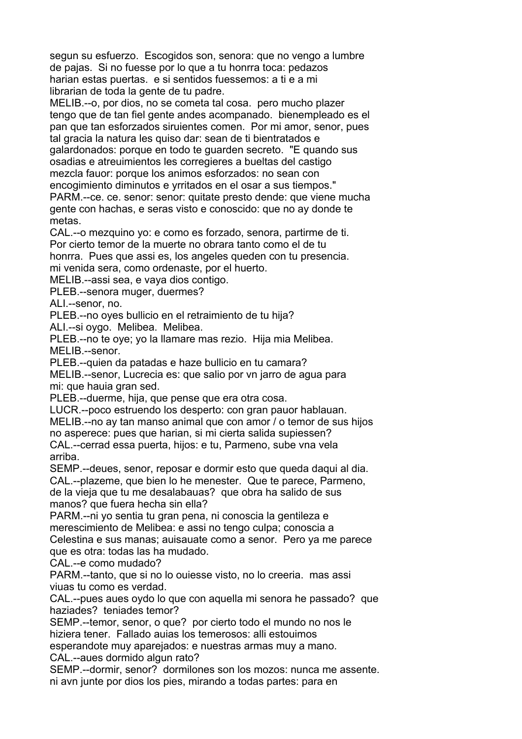segun su esfuerzo. Escogidos son, senora: que no vengo a lumbre de pajas. Si no fuesse por lo que a tu honrra toca: pedazos harian estas puertas. e si sentidos fuessemos: a ti e a mi librarian de toda la gente de tu padre.

MELIB.--o, por dios, no se cometa tal cosa. pero mucho plazer tengo que de tan fiel gente andes acompanado. bienempleado es el pan que tan esforzados siruientes comen. Por mi amor, senor, pues tal gracia la natura les quiso dar: sean de ti bientratados e galardonados: porque en todo te guarden secreto. "E quando sus osadias e atreuimientos les corregieres a bueltas del castigo mezcla fauor: porque los animos esforzados: no sean con encogimiento diminutos e yrritados en el osar a sus tiempos." PARM.--ce. ce. senor: senor: quitate presto dende: que viene mucha gente con hachas, e seras visto e conoscido: que no ay donde te metas.

CAL.--o mezquino yo: e como es forzado, senora, partirme de ti. Por cierto temor de la muerte no obrara tanto como el de tu honrra. Pues que assi es, los angeles queden con tu presencia.

mi venida sera, como ordenaste, por el huerto.

MELIB.--assi sea, e vaya dios contigo. PLEB.--senora muger, duermes?

ALI.--senor, no.

PLEB.--no oyes bullicio en el retraimiento de tu hija?

ALI.--si oygo. Melibea. Melibea.

PLEB.--no te oye; yo la llamare mas rezio. Hija mia Melibea. MELIB.--senor.

PLEB.--quien da patadas e haze bullicio en tu camara? MELIB.--senor, Lucrecia es: que salio por vn jarro de agua para mi: que hauia gran sed.

PLEB.--duerme, hija, que pense que era otra cosa.

LUCR.--poco estruendo los desperto: con gran pauor hablauan.

MELIB.--no ay tan manso animal que con amor / o temor de sus hijos no asperece: pues que harian, si mi cierta salida supiessen?

CAL.--cerrad essa puerta, hijos: e tu, Parmeno, sube vna vela arriba.

SEMP.--deues, senor, reposar e dormir esto que queda daqui al dia. CAL.--plazeme, que bien lo he menester. Que te parece, Parmeno, de la vieja que tu me desalabauas? que obra ha salido de sus

manos? que fuera hecha sin ella?

PARM.--ni yo sentia tu gran pena, ni conoscia la gentileza e merescimiento de Melibea: e assi no tengo culpa; conoscia a Celestina e sus manas; auisauate como a senor. Pero ya me parece que es otra: todas las ha mudado.

CAL.--e como mudado?

PARM.--tanto, que si no lo ouiesse visto, no lo creeria. mas assi viuas tu como es verdad.

CAL.--pues aues oydo lo que con aquella mi senora he passado? que haziades? teniades temor?

SEMP.--temor, senor, o que? por cierto todo el mundo no nos le hiziera tener. Fallado auias los temerosos: alli estouimos

esperandote muy aparejados: e nuestras armas muy a mano. CAL.--aues dormido algun rato?

SEMP.--dormir, senor? dormilones son los mozos: nunca me assente. ni avn junte por dios los pies, mirando a todas partes: para en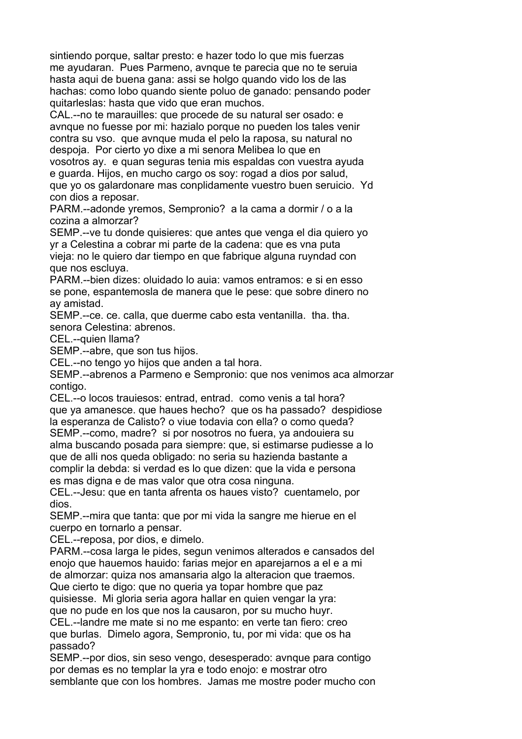sintiendo porque, saltar presto: e hazer todo lo que mis fuerzas me ayudaran. Pues Parmeno, avnque te parecia que no te seruia hasta aqui de buena gana: assi se holgo quando vido los de las hachas: como lobo quando siente poluo de ganado: pensando poder quitarleslas: hasta que vido que eran muchos.

CAL.--no te marauilles: que procede de su natural ser osado: e avnque no fuesse por mi: hazialo porque no pueden los tales venir contra su vso. que avnque muda el pelo la raposa, su natural no despoja. Por cierto yo dixe a mi senora Melibea lo que en vosotros ay. e quan seguras tenia mis espaldas con vuestra ayuda e guarda. Hijos, en mucho cargo os soy: rogad a dios por salud, que yo os galardonare mas conplidamente vuestro buen seruicio. Yd con dios a reposar.

PARM.--adonde yremos, Sempronio? a la cama a dormir / o a la cozina a almorzar?

SEMP.--ve tu donde quisieres: que antes que venga el dia quiero yo yr a Celestina a cobrar mi parte de la cadena: que es vna puta vieja: no le quiero dar tiempo en que fabrique alguna ruyndad con que nos escluya.

PARM.--bien dizes: oluidado lo auia: vamos entramos: e si en esso se pone, espantemosla de manera que le pese: que sobre dinero no ay amistad.

SEMP.--ce. ce. calla, que duerme cabo esta ventanilla. tha. tha. senora Celestina: abrenos.

CEL.--quien llama?

SEMP.--abre, que son tus hijos.

CEL.--no tengo yo hijos que anden a tal hora.

SEMP.--abrenos a Parmeno e Sempronio: que nos venimos aca almorzar contigo.

CEL.--o locos trauiesos: entrad, entrad. como venis a tal hora? que ya amanesce. que haues hecho? que os ha passado? despidiose la esperanza de Calisto? o viue todavia con ella? o como queda? SEMP.--como, madre? si por nosotros no fuera, ya andouiera su alma buscando posada para siempre: que, si estimarse pudiesse a lo que de alli nos queda obligado: no seria su hazienda bastante a complir la debda: si verdad es lo que dizen: que la vida e persona es mas digna e de mas valor que otra cosa ninguna.

CEL.--Jesu: que en tanta afrenta os haues visto? cuentamelo, por dios.

SEMP.--mira que tanta: que por mi vida la sangre me hierue en el cuerpo en tornarlo a pensar.

CEL.--reposa, por dios, e dimelo.

PARM.--cosa larga le pides, segun venimos alterados e cansados del enojo que hauemos hauido: farias mejor en aparejarnos a el e a mi de almorzar: quiza nos amansaria algo la alteracion que traemos. Que cierto te digo: que no queria ya topar hombre que paz

quisiesse. Mi gloria seria agora hallar en quien vengar la yra: que no pude en los que nos la causaron, por su mucho huyr.

CEL.--landre me mate si no me espanto: en verte tan fiero: creo que burlas. Dimelo agora, Sempronio, tu, por mi vida: que os ha passado?

SEMP.--por dios, sin seso vengo, desesperado: avnque para contigo por demas es no templar la yra e todo enojo: e mostrar otro semblante que con los hombres. Jamas me mostre poder mucho con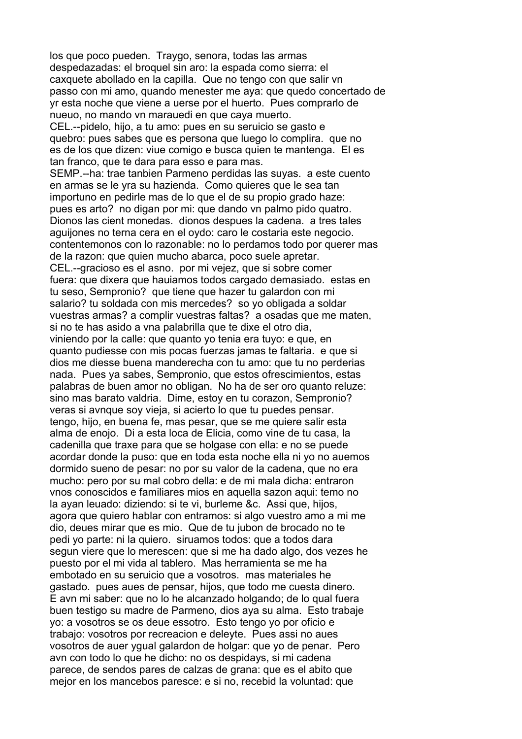los que poco pueden. Traygo, senora, todas las armas despedazadas: el broquel sin aro: la espada como sierra: el caxquete abollado en la capilla. Que no tengo con que salir vn passo con mi amo, quando menester me aya: que quedo concertado de yr esta noche que viene a uerse por el huerto. Pues comprarlo de nueuo, no mando vn marauedi en que caya muerto. CEL.--pidelo, hijo, a tu amo: pues en su seruicio se gasto e quebro: pues sabes que es persona que luego lo complira. que no es de los que dizen: viue comigo e busca quien te mantenga. El es tan franco, que te dara para esso e para mas. SEMP.--ha: trae tanbien Parmeno perdidas las suyas. a este cuento en armas se le yra su hazienda. Como quieres que le sea tan importuno en pedirle mas de lo que el de su propio grado haze: pues es arto? no digan por mi: que dando vn palmo pido quatro. Dionos las cient monedas. dionos despues la cadena. a tres tales aguijones no terna cera en el oydo: caro le costaria este negocio. contentemonos con lo razonable: no lo perdamos todo por querer mas de la razon: que quien mucho abarca, poco suele apretar. CEL.--gracioso es el asno. por mi vejez, que si sobre comer fuera: que dixera que hauiamos todos cargado demasiado. estas en tu seso, Sempronio? que tiene que hazer tu galardon con mi salario? tu soldada con mis mercedes? so yo obligada a soldar vuestras armas? a complir vuestras faltas? a osadas que me maten, si no te has asido a vna palabrilla que te dixe el otro dia, viniendo por la calle: que quanto yo tenia era tuyo: e que, en quanto pudiesse con mis pocas fuerzas jamas te faltaria. e que si dios me diesse buena manderecha con tu amo: que tu no perderias nada. Pues ya sabes, Sempronio, que estos ofrescimientos, estas palabras de buen amor no obligan. No ha de ser oro quanto reluze: sino mas barato valdria. Dime, estoy en tu corazon, Sempronio? veras si avnque soy vieja, si acierto lo que tu puedes pensar. tengo, hijo, en buena fe, mas pesar, que se me quiere salir esta alma de enojo. Di a esta loca de Elicia, como vine de tu casa, la cadenilla que traxe para que se holgase con ella: e no se puede acordar donde la puso: que en toda esta noche ella ni yo no auemos dormido sueno de pesar: no por su valor de la cadena, que no era mucho: pero por su mal cobro della: e de mi mala dicha: entraron vnos conoscidos e familiares mios en aquella sazon aqui: temo no la ayan leuado: diziendo: si te vi, burleme &c. Assi que, hijos, agora que quiero hablar con entramos: si algo vuestro amo a mi me dio, deues mirar que es mio. Que de tu jubon de brocado no te pedi yo parte: ni la quiero. siruamos todos: que a todos dara segun viere que lo merescen: que si me ha dado algo, dos vezes he puesto por el mi vida al tablero. Mas herramienta se me ha embotado en su seruicio que a vosotros. mas materiales he gastado. pues aues de pensar, hijos, que todo me cuesta dinero. E avn mi saber: que no lo he alcanzado holgando; de lo qual fuera buen testigo su madre de Parmeno, dios aya su alma. Esto trabaje yo: a vosotros se os deue essotro. Esto tengo yo por oficio e trabajo: vosotros por recreacion e deleyte. Pues assi no aues vosotros de auer ygual galardon de holgar: que yo de penar. Pero avn con todo lo que he dicho: no os despidays, si mi cadena parece, de sendos pares de calzas de grana: que es el abito que mejor en los mancebos paresce: e si no, recebid la voluntad: que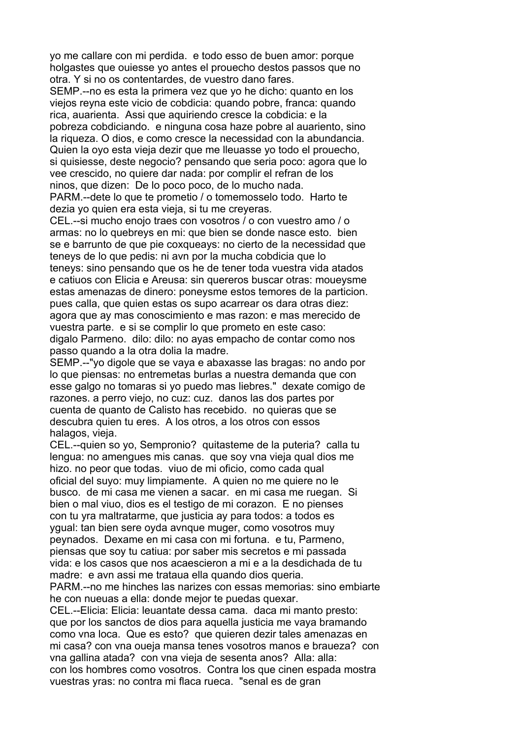yo me callare con mi perdida. e todo esso de buen amor: porque holgastes que ouiesse yo antes el prouecho destos passos que no otra. Y si no os contentardes, de vuestro dano fares.

SEMP.--no es esta la primera vez que yo he dicho: quanto en los viejos reyna este vicio de cobdicia: quando pobre, franca: quando rica, auarienta. Assi que aquiriendo cresce la cobdicia: e la pobreza cobdiciando. e ninguna cosa haze pobre al auariento, sino la riqueza. O dios, e como cresce la necessidad con la abundancia. Quien la oyo esta vieja dezir que me lleuasse yo todo el prouecho, si quisiesse, deste negocio? pensando que seria poco: agora que lo vee crescido, no quiere dar nada: por complir el refran de los ninos, que dizen: De lo poco poco, de lo mucho nada.

PARM.--dete lo que te prometio / o tomemosselo todo. Harto te dezia yo quien era esta vieja, si tu me creyeras.

CEL.--si mucho enojo traes con vosotros / o con vuestro amo / o armas: no lo quebreys en mi: que bien se donde nasce esto. bien se e barrunto de que pie coxqueays: no cierto de la necessidad que teneys de lo que pedis: ni avn por la mucha cobdicia que lo teneys: sino pensando que os he de tener toda vuestra vida atados e catiuos con Elicia e Areusa: sin quereros buscar otras: moueysme estas amenazas de dinero: poneysme estos temores de la particion. pues calla, que quien estas os supo acarrear os dara otras diez: agora que ay mas conoscimiento e mas razon: e mas merecido de vuestra parte. e si se complir lo que prometo en este caso: digalo Parmeno. dilo: dilo: no ayas empacho de contar como nos passo quando a la otra dolia la madre.

SEMP.--"yo digole que se vaya e abaxasse las bragas: no ando por lo que piensas: no entremetas burlas a nuestra demanda que con esse galgo no tomaras si yo puedo mas liebres." dexate comigo de razones. a perro viejo, no cuz: cuz. danos las dos partes por cuenta de quanto de Calisto has recebido. no quieras que se descubra quien tu eres. A los otros, a los otros con essos halagos, vieja.

CEL.--quien so yo, Sempronio? quitasteme de la puteria? calla tu lengua: no amengues mis canas. que soy vna vieja qual dios me hizo. no peor que todas. viuo de mi oficio, como cada qual oficial del suyo: muy limpiamente. A quien no me quiere no le busco. de mi casa me vienen a sacar. en mi casa me ruegan. Si bien o mal viuo, dios es el testigo de mi corazon. E no pienses con tu yra maltratarme, que justicia ay para todos: a todos es ygual: tan bien sere oyda avnque muger, como vosotros muy peynados. Dexame en mi casa con mi fortuna. e tu, Parmeno, piensas que soy tu catiua: por saber mis secretos e mi passada vida: e los casos que nos acaescieron a mi e a la desdichada de tu madre: e avn assi me trataua ella quando dios queria.

PARM.--no me hinches las narizes con essas memorias: sino embiarte he con nueuas a ella: donde mejor te puedas quexar.

CEL.--Elicia: Elicia: leuantate dessa cama. daca mi manto presto: que por los sanctos de dios para aquella justicia me vaya bramando como vna loca. Que es esto? que quieren dezir tales amenazas en mi casa? con vna oueja mansa tenes vosotros manos e braueza? con vna gallina atada? con vna vieja de sesenta anos? Alla: alla: con los hombres como vosotros. Contra los que cinen espada mostra vuestras yras: no contra mi flaca rueca. "senal es de gran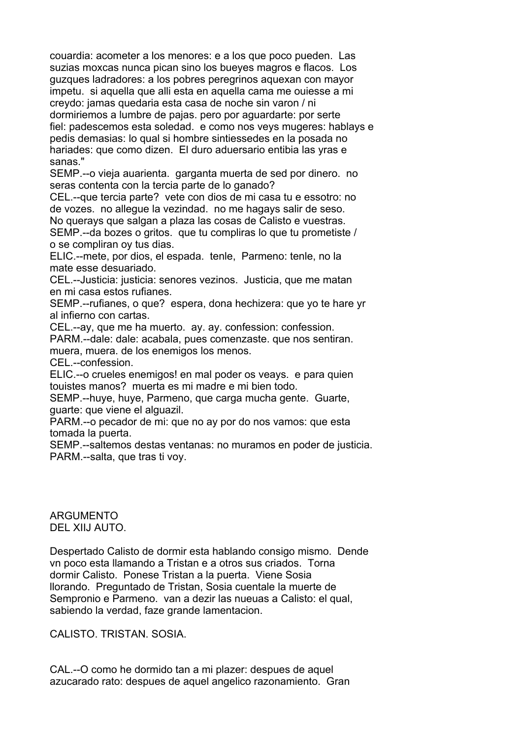couardia: acometer a los menores: e a los que poco pueden. Las suzias moxcas nunca pican sino los bueyes magros e flacos. Los guzques ladradores: a los pobres peregrinos aquexan con mayor impetu. si aquella que alli esta en aquella cama me ouiesse a mi creydo: jamas quedaria esta casa de noche sin varon / ni dormiriemos a lumbre de pajas. pero por aguardarte: por serte fiel: padescemos esta soledad. e como nos veys mugeres: hablays e pedis demasias: lo qual si hombre sintiessedes en la posada no hariades: que como dizen. El duro aduersario entibia las yras e sanas."

SEMP.--o vieja auarienta. garganta muerta de sed por dinero. no seras contenta con la tercia parte de lo ganado?

CEL.--que tercia parte? vete con dios de mi casa tu e essotro: no de vozes. no allegue la vezindad. no me hagays salir de seso. No querays que salgan a plaza las cosas de Calisto e vuestras. SEMP.--da bozes o gritos. que tu compliras lo que tu prometiste / o se compliran oy tus dias.

ELIC.--mete, por dios, el espada. tenle, Parmeno: tenle, no la mate esse desuariado.

CEL.--Justicia: justicia: senores vezinos. Justicia, que me matan en mi casa estos rufianes.

SEMP.--rufianes, o que? espera, dona hechizera: que yo te hare yr al infierno con cartas.

CEL.--ay, que me ha muerto. ay. ay. confession: confession.

PARM.--dale: dale: acabala, pues comenzaste. que nos sentiran. muera, muera. de los enemigos los menos.

CEL.--confession.

ELIC.--o crueles enemigos! en mal poder os veays. e para quien touistes manos? muerta es mi madre e mi bien todo.

SEMP.--huye, huye, Parmeno, que carga mucha gente. Guarte, guarte: que viene el alguazil.

PARM.--o pecador de mi: que no ay por do nos vamos: que esta tomada la puerta.

SEMP.--saltemos destas ventanas: no muramos en poder de justicia. PARM.--salta, que tras ti voy.

ARGUMENTO DEL XIIJ AUTO.

Despertado Calisto de dormir esta hablando consigo mismo. Dende vn poco esta llamando a Tristan e a otros sus criados. Torna dormir Calisto. Ponese Tristan a la puerta. Viene Sosia llorando. Preguntado de Tristan, Sosia cuentale la muerte de Sempronio e Parmeno. van a dezir las nueuas a Calisto: el qual, sabiendo la verdad, faze grande lamentacion.

CALISTO. TRISTAN. SOSIA.

CAL.--O como he dormido tan a mi plazer: despues de aquel azucarado rato: despues de aquel angelico razonamiento. Gran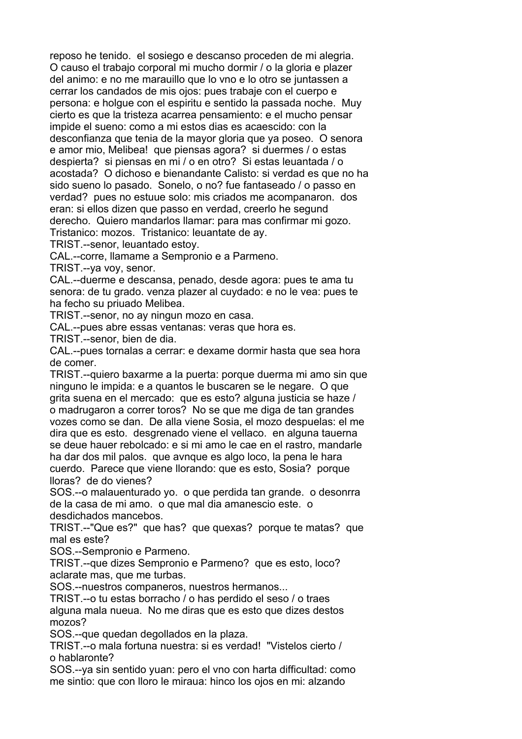reposo he tenido. el sosiego e descanso proceden de mi alegria. O causo el trabajo corporal mi mucho dormir / o la gloria e plazer del animo: e no me marauillo que lo vno e lo otro se juntassen a cerrar los candados de mis ojos: pues trabaje con el cuerpo e persona: e holgue con el espiritu e sentido la passada noche. Muy cierto es que la tristeza acarrea pensamiento: e el mucho pensar impide el sueno: como a mi estos dias es acaescido: con la desconfianza que tenia de la mayor gloria que ya poseo. O senora e amor mio, Melibea! que piensas agora? si duermes / o estas despierta? si piensas en mi / o en otro? Si estas leuantada / o acostada? O dichoso e bienandante Calisto: si verdad es que no ha sido sueno lo pasado. Sonelo, o no? fue fantaseado / o passo en verdad? pues no estuue solo: mis criados me acompanaron. dos eran: si ellos dizen que passo en verdad, creerlo he segund derecho. Quiero mandarlos llamar: para mas confirmar mi gozo. Tristanico: mozos. Tristanico: leuantate de ay.

TRIST.--senor, leuantado estoy.

CAL.--corre, llamame a Sempronio e a Parmeno.

TRIST.--ya voy, senor.

CAL.--duerme e descansa, penado, desde agora: pues te ama tu senora: de tu grado. venza plazer al cuydado: e no le vea: pues te ha fecho su priuado Melibea.

TRIST.--senor, no ay ningun mozo en casa.

CAL.--pues abre essas ventanas: veras que hora es.

TRIST.--senor, bien de dia.

CAL.--pues tornalas a cerrar: e dexame dormir hasta que sea hora de comer.

TRIST.--quiero baxarme a la puerta: porque duerma mi amo sin que ninguno le impida: e a quantos le buscaren se le negare. O que grita suena en el mercado: que es esto? alguna justicia se haze / o madrugaron a correr toros? No se que me diga de tan grandes vozes como se dan. De alla viene Sosia, el mozo despuelas: el me dira que es esto. desgrenado viene el vellaco. en alguna tauerna se deue hauer rebolcado: e si mi amo le cae en el rastro, mandarle ha dar dos mil palos. que avnque es algo loco, la pena le hara cuerdo. Parece que viene llorando: que es esto, Sosia? porque lloras? de do vienes?

SOS.--o malauenturado yo. o que perdida tan grande. o desonrra de la casa de mi amo. o que mal dia amanescio este. o desdichados mancebos.

TRIST.--"Que es?" que has? que quexas? porque te matas? que mal es este?

SOS.--Sempronio e Parmeno.

TRIST.--que dizes Sempronio e Parmeno? que es esto, loco? aclarate mas, que me turbas.

SOS.--nuestros companeros, nuestros hermanos...

TRIST.--o tu estas borracho / o has perdido el seso / o traes alguna mala nueua. No me diras que es esto que dizes destos mozos?

SOS.--que quedan degollados en la plaza.

TRIST.--o mala fortuna nuestra: si es verdad! "Vistelos cierto / o hablaronte?

SOS.--ya sin sentido yuan: pero el vno con harta difficultad: como me sintio: que con lloro le miraua: hinco los ojos en mi: alzando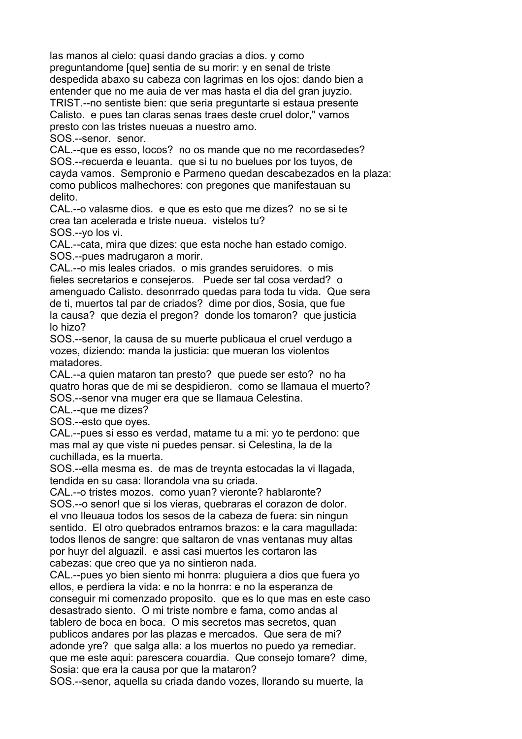las manos al cielo: quasi dando gracias a dios. y como preguntandome [que] sentia de su morir: y en senal de triste despedida abaxo su cabeza con lagrimas en los ojos: dando bien a entender que no me auia de ver mas hasta el dia del gran juyzio. TRIST.--no sentiste bien: que seria preguntarte si estaua presente Calisto. e pues tan claras senas traes deste cruel dolor," vamos presto con las tristes nueuas a nuestro amo.

SOS.--senor. senor.

CAL.--que es esso, locos? no os mande que no me recordasedes? SOS.--recuerda e leuanta. que si tu no buelues por los tuyos, de cayda vamos. Sempronio e Parmeno quedan descabezados en la plaza: como publicos malhechores: con pregones que manifestauan su delito.

CAL.--o valasme dios. e que es esto que me dizes? no se si te crea tan acelerada e triste nueua. vistelos tu?

SOS.--yo los vi.

CAL.--cata, mira que dizes: que esta noche han estado comigo. SOS.--pues madrugaron a morir.

CAL.--o mis leales criados. o mis grandes seruidores. o mis fieles secretarios e consejeros. Puede ser tal cosa verdad? o amenguado Calisto. desonrrado quedas para toda tu vida. Que sera de ti, muertos tal par de criados? dime por dios, Sosia, que fue la causa? que dezia el pregon? donde los tomaron? que justicia lo hizo?

SOS.--senor, la causa de su muerte publicaua el cruel verdugo a vozes, diziendo: manda la justicia: que mueran los violentos matadores.

CAL.--a quien mataron tan presto? que puede ser esto? no ha quatro horas que de mi se despidieron. como se llamaua el muerto? SOS.--senor vna muger era que se llamaua Celestina.

CAL.--que me dizes?

SOS.--esto que oyes.

CAL.--pues si esso es verdad, matame tu a mi: yo te perdono: que mas mal ay que viste ni puedes pensar. si Celestina, la de la cuchillada, es la muerta.

SOS.--ella mesma es. de mas de treynta estocadas la vi llagada, tendida en su casa: llorandola vna su criada.

CAL.--o tristes mozos. como yuan? vieronte? hablaronte? SOS.--o senor! que si los vieras, quebraras el corazon de dolor. el vno lleuaua todos los sesos de la cabeza de fuera: sin ningun sentido. El otro quebrados entramos brazos: e la cara magullada: todos llenos de sangre: que saltaron de vnas ventanas muy altas por huyr del alguazil. e assi casi muertos les cortaron las cabezas: que creo que ya no sintieron nada.

CAL.--pues yo bien siento mi honrra: pluguiera a dios que fuera yo ellos, e perdiera la vida: e no la honrra: e no la esperanza de conseguir mi comenzado proposito. que es lo que mas en este caso desastrado siento. O mi triste nombre e fama, como andas al tablero de boca en boca. O mis secretos mas secretos, quan publicos andares por las plazas e mercados. Que sera de mi? adonde yre? que salga alla: a los muertos no puedo ya remediar. que me este aqui: parescera couardia. Que consejo tomare? dime, Sosia: que era la causa por que la mataron?

SOS.--senor, aquella su criada dando vozes, llorando su muerte, la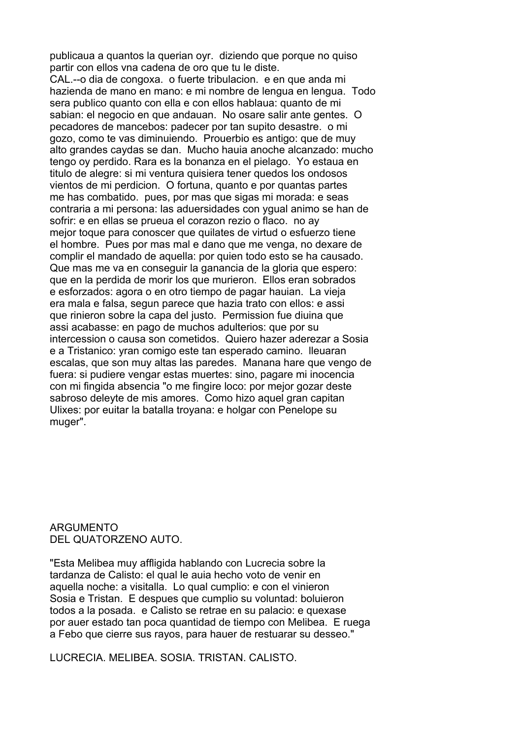publicaua a quantos la querian oyr. diziendo que porque no quiso partir con ellos vna cadena de oro que tu le diste.

CAL.--o dia de congoxa. o fuerte tribulacion. e en que anda mi hazienda de mano en mano: e mi nombre de lengua en lengua. Todo sera publico quanto con ella e con ellos hablaua: quanto de mi sabian: el negocio en que andauan. No osare salir ante gentes. O pecadores de mancebos: padecer por tan supito desastre. o mi gozo, como te vas diminuiendo. Prouerbio es antigo: que de muy alto grandes caydas se dan. Mucho hauia anoche alcanzado: mucho tengo oy perdido. Rara es la bonanza en el pielago. Yo estaua en titulo de alegre: si mi ventura quisiera tener quedos los ondosos vientos de mi perdicion. O fortuna, quanto e por quantas partes me has combatido. pues, por mas que sigas mi morada: e seas contraria a mi persona: las aduersidades con ygual animo se han de sofrir: e en ellas se prueua el corazon rezio o flaco. no ay mejor toque para conoscer que quilates de virtud o esfuerzo tiene el hombre. Pues por mas mal e dano que me venga, no dexare de complir el mandado de aquella: por quien todo esto se ha causado. Que mas me va en conseguir la ganancia de la gloria que espero: que en la perdida de morir los que murieron. Ellos eran sobrados e esforzados: agora o en otro tiempo de pagar hauian. La vieja era mala e falsa, segun parece que hazia trato con ellos: e assi que rinieron sobre la capa del justo. Permission fue diuina que assi acabasse: en pago de muchos adulterios: que por su intercession o causa son cometidos. Quiero hazer aderezar a Sosia e a Tristanico: yran comigo este tan esperado camino. lleuaran escalas, que son muy altas las paredes. Manana hare que vengo de fuera: si pudiere vengar estas muertes: sino, pagare mi inocencia con mi fingida absencia "o me fingire loco: por mejor gozar deste sabroso deleyte de mis amores. Como hizo aquel gran capitan Ulixes: por euitar la batalla troyana: e holgar con Penelope su muger".

## ARGUMENTO DEL QUATORZENO AUTO.

"Esta Melibea muy affligida hablando con Lucrecia sobre la tardanza de Calisto: el qual le auia hecho voto de venir en aquella noche: a visitalla. Lo qual cumplio: e con el vinieron Sosia e Tristan. E despues que cumplio su voluntad: boluieron todos a la posada. e Calisto se retrae en su palacio: e quexase por auer estado tan poca quantidad de tiempo con Melibea. E ruega a Febo que cierre sus rayos, para hauer de restuarar su desseo."

LUCRECIA. MELIBEA. SOSIA. TRISTAN. CALISTO.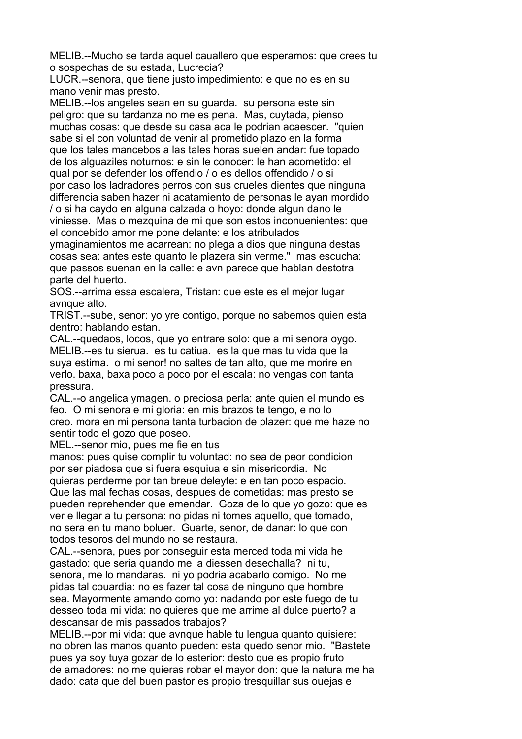MELIB.--Mucho se tarda aquel cauallero que esperamos: que crees tu o sospechas de su estada, Lucrecia?

LUCR.--senora, que tiene justo impedimiento: e que no es en su mano venir mas presto.

MELIB.--los angeles sean en su guarda. su persona este sin peligro: que su tardanza no me es pena. Mas, cuytada, pienso muchas cosas: que desde su casa aca le podrian acaescer. "quien sabe si el con voluntad de venir al prometido plazo en la forma que los tales mancebos a las tales horas suelen andar: fue topado de los alguaziles noturnos: e sin le conocer: le han acometido: el qual por se defender los offendio / o es dellos offendido / o si por caso los ladradores perros con sus crueles dientes que ninguna differencia saben hazer ni acatamiento de personas le ayan mordido / o si ha caydo en alguna calzada o hoyo: donde algun dano le viniesse. Mas o mezquina de mi que son estos inconuenientes: que el concebido amor me pone delante: e los atribulados

ymaginamientos me acarrean: no plega a dios que ninguna destas cosas sea: antes este quanto le plazera sin verme." mas escucha: que passos suenan en la calle: e avn parece que hablan destotra parte del huerto.

SOS.--arrima essa escalera, Tristan: que este es el mejor lugar avnque alto.

TRIST.--sube, senor: yo yre contigo, porque no sabemos quien esta dentro: hablando estan.

CAL.--quedaos, locos, que yo entrare solo: que a mi senora oygo. MELIB.--es tu sierua. es tu catiua. es la que mas tu vida que la suya estima. o mi senor! no saltes de tan alto, que me morire en verlo. baxa, baxa poco a poco por el escala: no vengas con tanta pressura.

CAL.--o angelica ymagen. o preciosa perla: ante quien el mundo es feo. O mi senora e mi gloria: en mis brazos te tengo, e no lo creo. mora en mi persona tanta turbacion de plazer: que me haze no sentir todo el gozo que poseo.

MEL.--senor mio, pues me fie en tus

manos: pues quise complir tu voluntad: no sea de peor condicion por ser piadosa que si fuera esquiua e sin misericordia. No quieras perderme por tan breue deleyte: e en tan poco espacio. Que las mal fechas cosas, despues de cometidas: mas presto se pueden reprehender que emendar. Goza de lo que yo gozo: que es ver e llegar a tu persona: no pidas ni tomes aquello, que tomado, no sera en tu mano boluer. Guarte, senor, de danar: lo que con todos tesoros del mundo no se restaura.

CAL.--senora, pues por conseguir esta merced toda mi vida he gastado: que seria quando me la diessen desechalla? ni tu, senora, me lo mandaras. ni yo podria acabarlo comigo. No me pidas tal couardia: no es fazer tal cosa de ninguno que hombre sea. Mayormente amando como yo: nadando por este fuego de tu desseo toda mi vida: no quieres que me arrime al dulce puerto? a descansar de mis passados trabajos?

MELIB.--por mi vida: que avnque hable tu lengua quanto quisiere: no obren las manos quanto pueden: esta quedo senor mio. "Bastete pues ya soy tuya gozar de lo esterior: desto que es propio fruto de amadores: no me quieras robar el mayor don: que la natura me ha dado: cata que del buen pastor es propio tresquillar sus ouejas e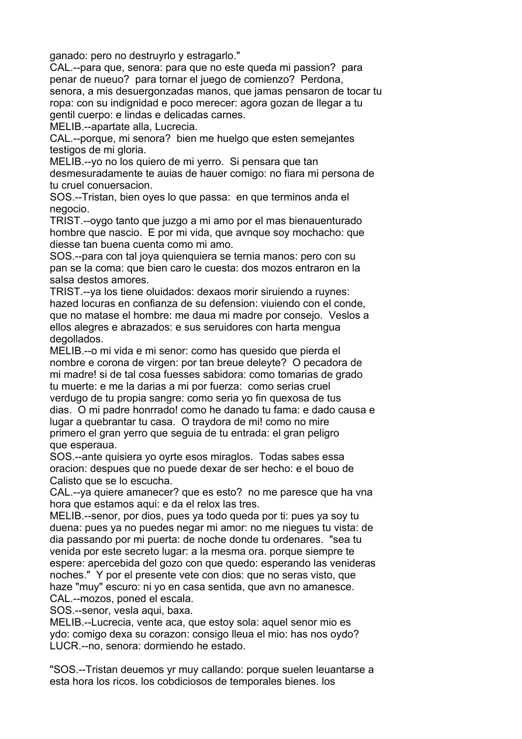ganado: pero no destruyrlo y estragarlo."

CAL.--para que, senora: para que no este queda mi passion? para penar de nueuo? para tornar el juego de comienzo? Perdona, senora, a mis desuergonzadas manos, que jamas pensaron de tocar tu ropa: con su indignidad e poco merecer: agora gozan de llegar a tu gentil cuerpo: e lindas e delicadas carnes.

MELIB.--apartate alla, Lucrecia.

CAL.--porque, mi senora? bien me huelgo que esten semejantes testigos de mi gloria.

MELIB.--yo no los quiero de mi yerro. Si pensara que tan desmesuradamente te auias de hauer comigo: no fiara mi persona de tu cruel conuersacion.

SOS.--Tristan, bien oyes lo que passa: en que terminos anda el negocio.

TRIST.--oygo tanto que juzgo a mi amo por el mas bienauenturado hombre que nascio. E por mi vida, que avnque soy mochacho: que diesse tan buena cuenta como mi amo.

SOS.--para con tal joya quienquiera se ternia manos: pero con su pan se la coma: que bien caro le cuesta: dos mozos entraron en la salsa destos amores.

TRIST.--ya los tiene oluidados: dexaos morir siruiendo a ruynes: hazed locuras en confianza de su defension: viuiendo con el conde, que no matase el hombre: me daua mi madre por consejo. Veslos a ellos alegres e abrazados: e sus seruidores con harta mengua degollados.

MELIB.--o mi vida e mi senor: como has quesido que pierda el nombre e corona de virgen: por tan breue deleyte? O pecadora de mi madre! si de tal cosa fuesses sabidora: como tomarias de grado tu muerte: e me la darias a mi por fuerza: como serias cruel verdugo de tu propia sangre: como seria yo fin quexosa de tus dias. O mi padre honrrado! como he danado tu fama: e dado causa e lugar a quebrantar tu casa. O traydora de mi! como no mire primero el gran yerro que seguia de tu entrada: el gran peligro que esperaua.

SOS.--ante quisiera yo oyrte esos miraglos. Todas sabes essa oracion: despues que no puede dexar de ser hecho: e el bouo de Calisto que se lo escucha.

CAL.--ya quiere amanecer? que es esto? no me paresce que ha vna hora que estamos aqui: e da el relox las tres.

MELIB.--senor, por dios, pues ya todo queda por ti: pues ya soy tu duena: pues ya no puedes negar mi amor: no me niegues tu vista: de dia passando por mi puerta: de noche donde tu ordenares. "sea tu venida por este secreto lugar: a la mesma ora. porque siempre te espere: apercebida del gozo con que quedo: esperando las venideras noches." Y por el presente vete con dios: que no seras visto, que haze "muy" escuro: ni yo en casa sentida, que avn no amanesce. CAL.--mozos, poned el escala.

SOS.--senor, vesla aqui, baxa.

MELIB.--Lucrecia, vente aca, que estoy sola: aquel senor mio es ydo: comigo dexa su corazon: consigo lleua el mio: has nos oydo? LUCR.--no, senora: dormiendo he estado.

"SOS.--Tristan deuemos yr muy callando: porque suelen leuantarse a esta hora los ricos. los cobdiciosos de temporales bienes. los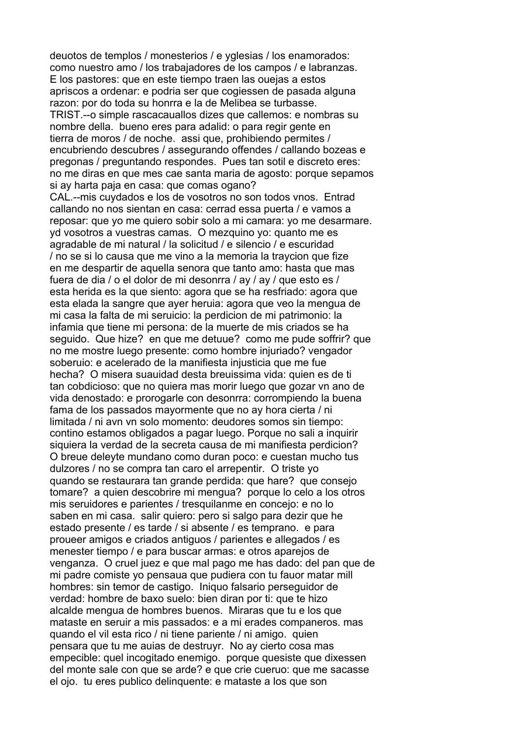deuotos de templos / monesterios / e yglesias / los enamorados: como nuestro amo / los trabajadores de los campos / e labranzas. E los pastores: que en este tiempo traen las ouejas a estos apriscos a ordenar: e podria ser que cogiessen de pasada alguna razon: por do toda su honrra e la de Melibea se turbasse. TRIST.--o simple rascacauallos dizes que callemos: e nombras su nombre della. bueno eres para adalid: o para regir gente en tierra de moros / de noche. assi que, prohibiendo permites / encubriendo descubres / assegurando offendes / callando bozeas e pregonas / preguntando respondes. Pues tan sotil e discreto eres: no me diras en que mes cae santa maria de agosto: porque sepamos si ay harta paja en casa: que comas ogano? CAL.--mis cuydados e los de vosotros no son todos vnos. Entrad callando no nos sientan en casa: cerrad essa puerta / e vamos a reposar: que yo me quiero sobir solo a mi camara: yo me desarmare. yd vosotros a vuestras camas. O mezquino yo: quanto me es agradable de mi natural / la solicitud / e silencio / e escuridad / no se si lo causa que me vino a la memoria la traycion que fize en me despartir de aquella senora que tanto amo: hasta que mas fuera de dia / o el dolor de mi desonrra / ay / ay / que esto es / esta herida es la que siento: agora que se ha resfriado: agora que esta elada la sangre que ayer heruia: agora que veo la mengua de mi casa la falta de mi seruicio: la perdicion de mi patrimonio: la infamia que tiene mi persona: de la muerte de mis criados se ha seguido. Que hize? en que me detuue? como me pude soffrir? que no me mostre luego presente: como hombre injuriado? vengador soberuio: e acelerado de la manifiesta injusticia que me fue hecha? O misera suauidad desta breuissima vida: quien es de ti tan cobdicioso: que no quiera mas morir luego que gozar vn ano de vida denostado: e prorogarle con desonrra: corrompiendo la buena fama de los passados mayormente que no ay hora cierta / ni limitada / ni avn vn solo momento: deudores somos sin tiempo: contino estamos obligados a pagar luego. Porque no sali a inquirir siquiera la verdad de la secreta causa de mi manifiesta perdicion? O breue deleyte mundano como duran poco: e cuestan mucho tus dulzores / no se compra tan caro el arrepentir. O triste yo quando se restaurara tan grande perdida: que hare? que consejo tomare? a quien descobrire mi mengua? porque lo celo a los otros mis seruidores e parientes / tresquilanme en concejo: e no lo saben en mi casa. salir quiero: pero si salgo para dezir que he estado presente / es tarde / si absente / es temprano. e para proueer amigos e criados antiguos / parientes e allegados / es menester tiempo / e para buscar armas: e otros aparejos de venganza. O cruel juez e que mal pago me has dado: del pan que de mi padre comiste yo pensaua que pudiera con tu fauor matar mill hombres: sin temor de castigo. Iniquo falsario perseguidor de verdad: hombre de baxo suelo: bien diran por ti: que te hizo alcalde mengua de hombres buenos. Miraras que tu e los que mataste en seruir a mis passados: e a mi erades companeros. mas quando el vil esta rico / ni tiene pariente / ni amigo. quien pensara que tu me auias de destruyr. No ay cierto cosa mas empecible: quel incogitado enemigo. porque quesiste que dixessen del monte sale con que se arde? e que crie cueruo: que me sacasse el ojo. tu eres publico delinquente: e mataste a los que son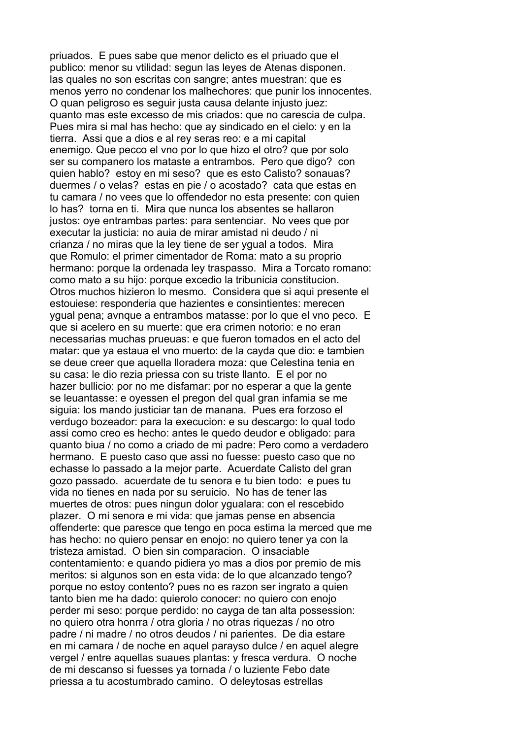priuados. E pues sabe que menor delicto es el priuado que el publico: menor su vtilidad: segun las leyes de Atenas disponen. las quales no son escritas con sangre; antes muestran: que es menos yerro no condenar los malhechores: que punir los innocentes. O quan peligroso es seguir justa causa delante injusto juez: quanto mas este excesso de mis criados: que no carescia de culpa. Pues mira si mal has hecho: que ay sindicado en el cielo: y en la tierra. Assi que a dios e al rey seras reo: e a mi capital enemigo. Que pecco el vno por lo que hizo el otro? que por solo ser su companero los mataste a entrambos. Pero que digo? con quien hablo? estoy en mi seso? que es esto Calisto? sonauas? duermes / o velas? estas en pie / o acostado? cata que estas en tu camara / no vees que lo offendedor no esta presente: con quien lo has? torna en ti. Mira que nunca los absentes se hallaron justos: oye entrambas partes: para sentenciar. No vees que por executar la justicia: no auia de mirar amistad ni deudo / ni crianza / no miras que la ley tiene de ser ygual a todos. Mira que Romulo: el primer cimentador de Roma: mato a su proprio hermano: porque la ordenada ley traspasso. Mira a Torcato romano: como mato a su hijo: porque excedio la tribunicia constitucion. Otros muchos hizieron lo mesmo. Considera que si aqui presente el estouiese: responderia que hazientes e consintientes: merecen ygual pena; avnque a entrambos matasse: por lo que el vno peco. E que si acelero en su muerte: que era crimen notorio: e no eran necessarias muchas prueuas: e que fueron tomados en el acto del matar: que ya estaua el vno muerto: de la cayda que dio: e tambien se deue creer que aquella lloradera moza: que Celestina tenia en su casa: le dio rezia priessa con su triste llanto. E el por no hazer bullicio: por no me disfamar: por no esperar a que la gente se leuantasse: e oyessen el pregon del qual gran infamia se me siguia: los mando justiciar tan de manana. Pues era forzoso el verdugo bozeador: para la execucion: e su descargo: lo qual todo assi como creo es hecho: antes le quedo deudor e obligado: para quanto biua / no como a criado de mi padre: Pero como a verdadero hermano. E puesto caso que assi no fuesse: puesto caso que no echasse lo passado a la mejor parte. Acuerdate Calisto del gran gozo passado. acuerdate de tu senora e tu bien todo: e pues tu vida no tienes en nada por su seruicio. No has de tener las muertes de otros: pues ningun dolor ygualara: con el rescebido plazer. O mi senora e mi vida: que jamas pense en absencia offenderte: que paresce que tengo en poca estima la merced que me has hecho: no quiero pensar en enojo: no quiero tener ya con la tristeza amistad. O bien sin comparacion. O insaciable contentamiento: e quando pidiera yo mas a dios por premio de mis meritos: si algunos son en esta vida: de lo que alcanzado tengo? porque no estoy contento? pues no es razon ser ingrato a quien tanto bien me ha dado: quierolo conocer: no quiero con enojo perder mi seso: porque perdido: no cayga de tan alta possession: no quiero otra honrra / otra gloria / no otras riquezas / no otro padre / ni madre / no otros deudos / ni parientes. De dia estare en mi camara / de noche en aquel parayso dulce / en aquel alegre vergel / entre aquellas suaues plantas: y fresca verdura. O noche de mi descanso si fuesses ya tornada / o luziente Febo date priessa a tu acostumbrado camino. O deleytosas estrellas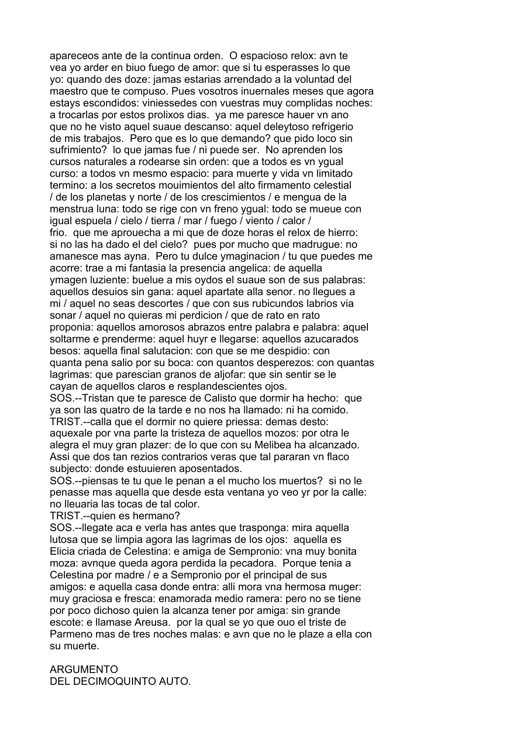apareceos ante de la continua orden. O espacioso relox: avn te vea yo arder en biuo fuego de amor: que si tu esperasses lo que yo: quando des doze: jamas estarias arrendado a la voluntad del maestro que te compuso. Pues vosotros inuernales meses que agora estays escondidos: viniessedes con vuestras muy complidas noches: a trocarlas por estos prolixos dias. ya me paresce hauer vn ano que no he visto aquel suaue descanso: aquel deleytoso refrigerio de mis trabajos. Pero que es lo que demando? que pido loco sin sufrimiento? lo que jamas fue / ni puede ser. No aprenden los cursos naturales a rodearse sin orden: que a todos es vn ygual curso: a todos vn mesmo espacio: para muerte y vida vn limitado termino: a los secretos mouimientos del alto firmamento celestial / de los planetas y norte / de los crescimientos / e mengua de la menstrua luna: todo se rige con vn freno ygual: todo se mueue con igual espuela / cielo / tierra / mar / fuego / viento / calor / frio. que me aprouecha a mi que de doze horas el relox de hierro: si no las ha dado el del cielo? pues por mucho que madrugue: no amanesce mas ayna. Pero tu dulce ymaginacion / tu que puedes me acorre: trae a mi fantasia la presencia angelica: de aquella ymagen luziente: buelue a mis oydos el suaue son de sus palabras: aquellos desuios sin gana: aquel apartate alla senor. no llegues a mi / aquel no seas descortes / que con sus rubicundos labrios via sonar / aquel no quieras mi perdicion / que de rato en rato proponia: aquellos amorosos abrazos entre palabra e palabra: aquel soltarme e prenderme: aquel huyr e llegarse: aquellos azucarados besos: aquella final salutacion: con que se me despidio: con quanta pena salio por su boca: con quantos desperezos: con quantas lagrimas: que parescian granos de aljofar: que sin sentir se le cayan de aquellos claros e resplandescientes ojos.

SOS.--Tristan que te paresce de Calisto que dormir ha hecho: que ya son las quatro de la tarde e no nos ha llamado: ni ha comido. TRIST.--calla que el dormir no quiere priessa: demas desto: aquexale por vna parte la tristeza de aquellos mozos: por otra le alegra el muy gran plazer: de lo que con su Melibea ha alcanzado. Assi que dos tan rezios contrarios veras que tal pararan vn flaco subjecto: donde estuuieren aposentados.

SOS.--piensas te tu que le penan a el mucho los muertos? si no le penasse mas aquella que desde esta ventana yo veo yr por la calle: no lleuaria las tocas de tal color.

TRIST.--quien es hermano?

SOS.--llegate aca e verla has antes que trasponga: mira aquella lutosa que se limpia agora las lagrimas de los ojos: aquella es Elicia criada de Celestina: e amiga de Sempronio: vna muy bonita moza: avnque queda agora perdida la pecadora. Porque tenia a Celestina por madre / e a Sempronio por el principal de sus amigos: e aquella casa donde entra: alli mora vna hermosa muger: muy graciosa e fresca: enamorada medio ramera: pero no se tiene por poco dichoso quien la alcanza tener por amiga: sin grande escote: e llamase Areusa. por la qual se yo que ouo el triste de Parmeno mas de tres noches malas: e avn que no le plaze a ella con su muerte.

ARGUMENTO DEL DECIMOQUINTO AUTO.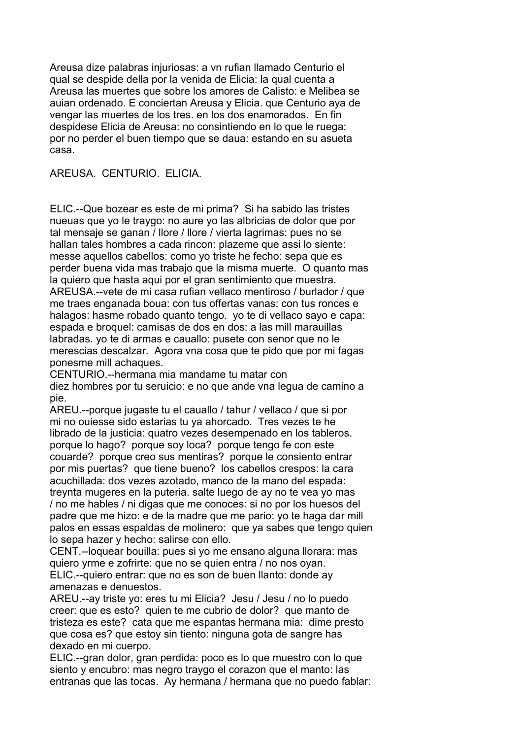Areusa dize palabras injuriosas: a vn rufian llamado Centurio el qual se despide della por la venida de Elicia: la qual cuenta a Areusa las muertes que sobre los amores de Calisto: e Melibea se auian ordenado. E conciertan Areusa y Elicia. que Centurio aya de vengar las muertes de los tres. en los dos enamorados. En fin despidese Elicia de Areusa: no consintiendo en lo que le ruega: por no perder el buen tiempo que se daua: estando en su asueta casa.

## AREUSA. CENTURIO. ELICIA.

ELIC.--Que bozear es este de mi prima? Si ha sabido las tristes nueuas que yo le traygo: no aure yo las albricias de dolor que por tal mensaje se ganan / llore / llore / vierta lagrimas: pues no se hallan tales hombres a cada rincon: plazeme que assi lo siente: messe aquellos cabellos: como yo triste he fecho: sepa que es perder buena vida mas trabajo que la misma muerte. O quanto mas la quiero que hasta aqui por el gran sentimiento que muestra. AREUSA.--vete de mi casa rufian vellaco mentiroso / burlador / que me traes enganada boua: con tus offertas vanas: con tus ronces e halagos: hasme robado quanto tengo. yo te di vellaco sayo e capa: espada e broquel: camisas de dos en dos: a las mill marauillas labradas. yo te di armas e cauallo: pusete con senor que no le merescias descalzar. Agora vna cosa que te pido que por mi fagas ponesme mill achaques.

CENTURIO.--hermana mia mandame tu matar con diez hombres por tu seruicio: e no que ande vna legua de camino a pie.

AREU.--porque jugaste tu el cauallo / tahur / vellaco / que si por mi no ouiesse sido estarias tu ya ahorcado. Tres vezes te he librado de la justicia: quatro vezes desempenado en los tableros. porque lo hago? porque soy loca? porque tengo fe con este couarde? porque creo sus mentiras? porque le consiento entrar por mis puertas? que tiene bueno? los cabellos crespos: la cara acuchillada: dos vezes azotado, manco de la mano del espada: treynta mugeres en la puteria. salte luego de ay no te vea yo mas / no me hables / ni digas que me conoces: si no por los huesos del padre que me hizo: e de la madre que me pario: yo te haga dar mill palos en essas espaldas de molinero: que ya sabes que tengo quien lo sepa hazer y hecho: salirse con ello.

CENT.--loquear bouilla: pues si yo me ensano alguna llorara: mas quiero yrme e zofrirte: que no se quien entra / no nos oyan. ELIC.--quiero entrar: que no es son de buen llanto: donde ay amenazas e denuestos.

AREU.--ay triste yo: eres tu mi Elicia? Jesu / Jesu / no lo puedo creer: que es esto? quien te me cubrio de dolor? que manto de tristeza es este? cata que me espantas hermana mia: dime presto que cosa es? que estoy sin tiento: ninguna gota de sangre has dexado en mi cuerpo.

ELIC.--gran dolor, gran perdida: poco es lo que muestro con lo que siento y encubro: mas negro traygo el corazon que el manto: las entranas que las tocas. Ay hermana / hermana que no puedo fablar: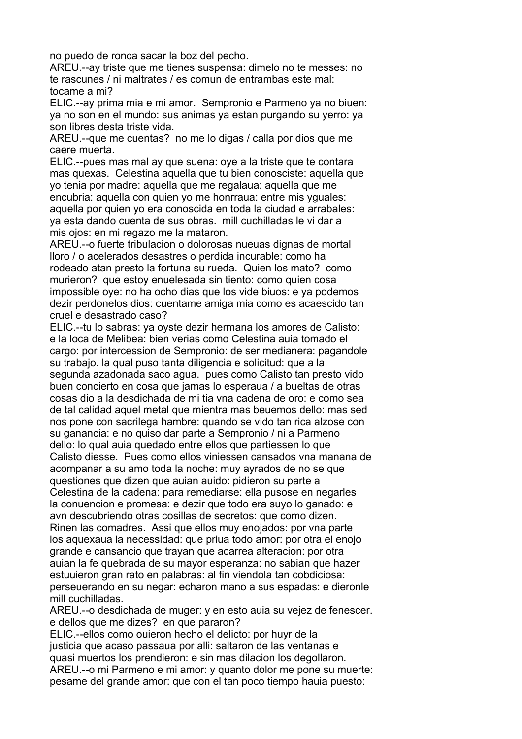no puedo de ronca sacar la boz del pecho.

AREU.--ay triste que me tienes suspensa: dimelo no te messes: no te rascunes / ni maltrates / es comun de entrambas este mal: tocame a mi?

ELIC.--ay prima mia e mi amor. Sempronio e Parmeno ya no biuen: ya no son en el mundo: sus animas ya estan purgando su yerro: ya son libres desta triste vida.

AREU.--que me cuentas? no me lo digas / calla por dios que me caere muerta.

ELIC.--pues mas mal ay que suena: oye a la triste que te contara mas quexas. Celestina aquella que tu bien conosciste: aquella que yo tenia por madre: aquella que me regalaua: aquella que me encubria: aquella con quien yo me honrraua: entre mis yguales: aquella por quien yo era conoscida en toda la ciudad e arrabales: ya esta dando cuenta de sus obras. mill cuchilladas le vi dar a mis ojos: en mi regazo me la mataron.

AREU.--o fuerte tribulacion o dolorosas nueuas dignas de mortal lloro / o acelerados desastres o perdida incurable: como ha rodeado atan presto la fortuna su rueda. Quien los mato? como murieron? que estoy enuelesada sin tiento: como quien cosa impossible oye: no ha ocho dias que los vide biuos: e ya podemos dezir perdonelos dios: cuentame amiga mia como es acaescido tan cruel e desastrado caso?

ELIC.--tu lo sabras: ya oyste dezir hermana los amores de Calisto: e la loca de Melibea: bien verias como Celestina auia tomado el cargo: por intercession de Sempronio: de ser medianera: pagandole su trabajo. la qual puso tanta diligencia e solicitud: que a la segunda azadonada saco agua. pues como Calisto tan presto vido buen concierto en cosa que jamas lo esperaua / a bueltas de otras cosas dio a la desdichada de mi tia vna cadena de oro: e como sea de tal calidad aquel metal que mientra mas beuemos dello: mas sed nos pone con sacrilega hambre: quando se vido tan rica alzose con su ganancia: e no quiso dar parte a Sempronio / ni a Parmeno dello: lo qual auia quedado entre ellos que partiessen lo que Calisto diesse. Pues como ellos viniessen cansados vna manana de acompanar a su amo toda la noche: muy ayrados de no se que questiones que dizen que auian auido: pidieron su parte a Celestina de la cadena: para remediarse: ella pusose en negarles la conuencion e promesa: e dezir que todo era suyo lo ganado: e avn descubriendo otras cosillas de secretos: que como dizen. Rinen las comadres. Assi que ellos muy enojados: por vna parte los aquexaua la necessidad: que priua todo amor: por otra el enojo grande e cansancio que trayan que acarrea alteracion: por otra auian la fe quebrada de su mayor esperanza: no sabian que hazer estuuieron gran rato en palabras: al fin viendola tan cobdiciosa: perseuerando en su negar: echaron mano a sus espadas: e dieronle mill cuchilladas.

AREU.--o desdichada de muger: y en esto auia su vejez de fenescer. e dellos que me dizes? en que pararon?

ELIC.--ellos como ouieron hecho el delicto: por huyr de la justicia que acaso passaua por alli: saltaron de las ventanas e quasi muertos los prendieron: e sin mas dilacion los degollaron. AREU.--o mi Parmeno e mi amor: y quanto dolor me pone su muerte: pesame del grande amor: que con el tan poco tiempo hauia puesto: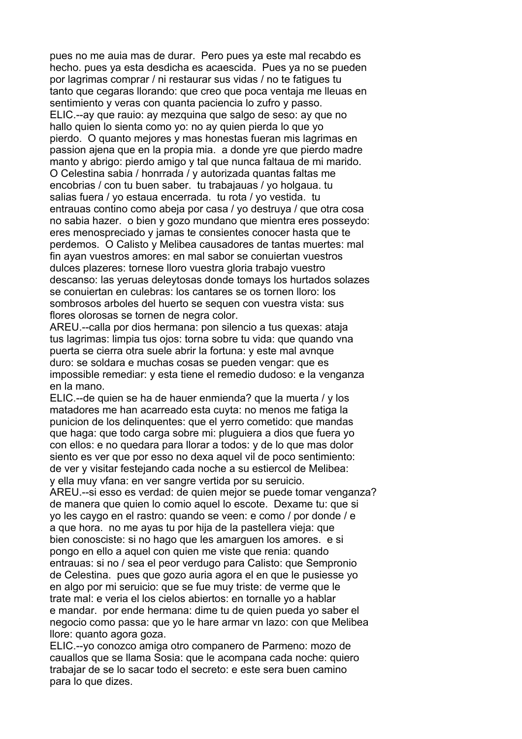pues no me auia mas de durar. Pero pues ya este mal recabdo es hecho. pues ya esta desdicha es acaescida. Pues ya no se pueden por lagrimas comprar / ni restaurar sus vidas / no te fatigues tu tanto que cegaras llorando: que creo que poca ventaja me lleuas en sentimiento y veras con quanta paciencia lo zufro y passo. ELIC.--ay que rauio: ay mezquina que salgo de seso: ay que no hallo quien lo sienta como yo: no ay quien pierda lo que yo pierdo. O quanto mejores y mas honestas fueran mis lagrimas en passion ajena que en la propia mia. a donde yre que pierdo madre manto y abrigo: pierdo amigo y tal que nunca faltaua de mi marido. O Celestina sabia / honrrada / y autorizada quantas faltas me encobrias / con tu buen saber. tu trabajauas / yo holgaua. tu salias fuera / yo estaua encerrada. tu rota / yo vestida. tu entrauas contino como abeja por casa / yo destruya / que otra cosa no sabia hazer. o bien y gozo mundano que mientra eres posseydo: eres menospreciado y jamas te consientes conocer hasta que te perdemos. O Calisto y Melibea causadores de tantas muertes: mal fin ayan vuestros amores: en mal sabor se conuiertan vuestros dulces plazeres: tornese lloro vuestra gloria trabajo vuestro descanso: las yeruas deleytosas donde tomays los hurtados solazes se conuiertan en culebras: los cantares se os tornen lloro: los sombrosos arboles del huerto se sequen con vuestra vista: sus flores olorosas se tornen de negra color.

AREU.--calla por dios hermana: pon silencio a tus quexas: ataja tus lagrimas: limpia tus ojos: torna sobre tu vida: que quando vna puerta se cierra otra suele abrir la fortuna: y este mal avnque duro: se soldara e muchas cosas se pueden vengar: que es impossible remediar: y esta tiene el remedio dudoso: e la venganza en la mano.

ELIC.--de quien se ha de hauer enmienda? que la muerta / y los matadores me han acarreado esta cuyta: no menos me fatiga la punicion de los delinquentes: que el yerro cometido: que mandas que haga: que todo carga sobre mi: pluguiera a dios que fuera yo con ellos: e no quedara para llorar a todos: y de lo que mas dolor siento es ver que por esso no dexa aquel vil de poco sentimiento: de ver y visitar festejando cada noche a su estiercol de Melibea: y ella muy vfana: en ver sangre vertida por su seruicio.

AREU.--si esso es verdad: de quien mejor se puede tomar venganza? de manera que quien lo comio aquel lo escote. Dexame tu: que si yo les caygo en el rastro: quando se veen: e como / por donde / e a que hora. no me ayas tu por hija de la pastellera vieja: que bien conosciste: si no hago que les amarguen los amores. e si pongo en ello a aquel con quien me viste que renia: quando entrauas: si no / sea el peor verdugo para Calisto: que Sempronio de Celestina. pues que gozo auria agora el en que le pusiesse yo en algo por mi seruicio: que se fue muy triste: de verme que le trate mal: e veria el los cielos abiertos: en tornalle yo a hablar e mandar. por ende hermana: dime tu de quien pueda yo saber el negocio como passa: que yo le hare armar vn lazo: con que Melibea llore: quanto agora goza.

ELIC.--yo conozco amiga otro companero de Parmeno: mozo de cauallos que se llama Sosia: que le acompana cada noche: quiero trabajar de se lo sacar todo el secreto: e este sera buen camino para lo que dizes.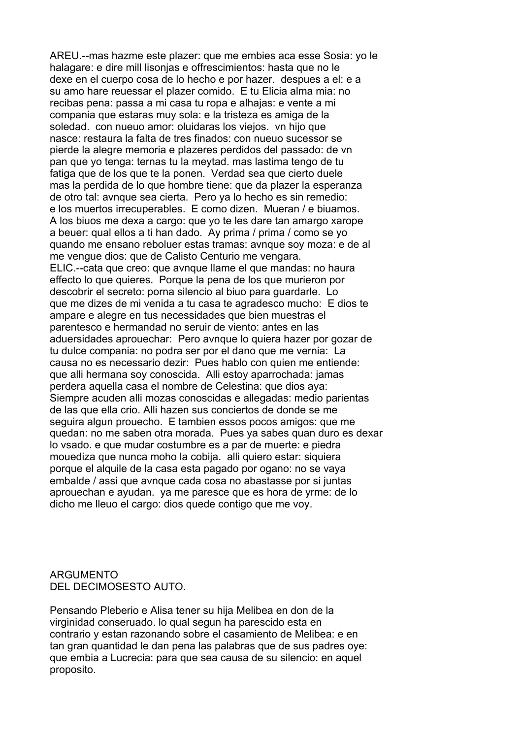AREU.--mas hazme este plazer: que me embies aca esse Sosia: yo le halagare: e dire mill lisonjas e offrescimientos: hasta que no le dexe en el cuerpo cosa de lo hecho e por hazer. despues a el: e a su amo hare reuessar el plazer comido. E tu Elicia alma mia: no recibas pena: passa a mi casa tu ropa e alhajas: e vente a mi compania que estaras muy sola: e la tristeza es amiga de la soledad. con nueuo amor: oluidaras los viejos. vn hijo que nasce: restaura la falta de tres finados: con nueuo sucessor se pierde la alegre memoria e plazeres perdidos del passado: de vn pan que yo tenga: ternas tu la meytad. mas lastima tengo de tu fatiga que de los que te la ponen. Verdad sea que cierto duele mas la perdida de lo que hombre tiene: que da plazer la esperanza de otro tal: avnque sea cierta. Pero ya lo hecho es sin remedio: e los muertos irrecuperables. E como dizen. Mueran / e biuamos. A los biuos me dexa a cargo: que yo te les dare tan amargo xarope a beuer: qual ellos a ti han dado. Ay prima / prima / como se yo quando me ensano reboluer estas tramas: avnque soy moza: e de al me vengue dios: que de Calisto Centurio me vengara. ELIC.--cata que creo: que avnque llame el que mandas: no haura effecto lo que quieres. Porque la pena de los que murieron por descobrir el secreto: porna silencio al biuo para guardarle. Lo que me dizes de mi venida a tu casa te agradesco mucho: E dios te ampare e alegre en tus necessidades que bien muestras el parentesco e hermandad no seruir de viento: antes en las aduersidades aprouechar: Pero avnque lo quiera hazer por gozar de tu dulce compania: no podra ser por el dano que me vernia: La causa no es necessario dezir: Pues hablo con quien me entiende: que alli hermana soy conoscida. Alli estoy aparrochada: jamas perdera aquella casa el nombre de Celestina: que dios aya: Siempre acuden alli mozas conoscidas e allegadas: medio parientas de las que ella crio. Alli hazen sus conciertos de donde se me seguira algun prouecho. E tambien essos pocos amigos: que me quedan: no me saben otra morada. Pues ya sabes quan duro es dexar lo vsado. e que mudar costumbre es a par de muerte: e piedra mouediza que nunca moho la cobija. alli quiero estar: siquiera porque el alquile de la casa esta pagado por ogano: no se vaya embalde / assi que avnque cada cosa no abastasse por si juntas aprouechan e ayudan. ya me paresce que es hora de yrme: de lo dicho me lleuo el cargo: dios quede contigo que me voy.

ARGUMENTO DEL DECIMOSESTO AUTO.

Pensando Pleberio e Alisa tener su hija Melibea en don de la virginidad conseruado. lo qual segun ha parescido esta en contrario y estan razonando sobre el casamiento de Melibea: e en tan gran quantidad le dan pena las palabras que de sus padres oye: que embia a Lucrecia: para que sea causa de su silencio: en aquel proposito.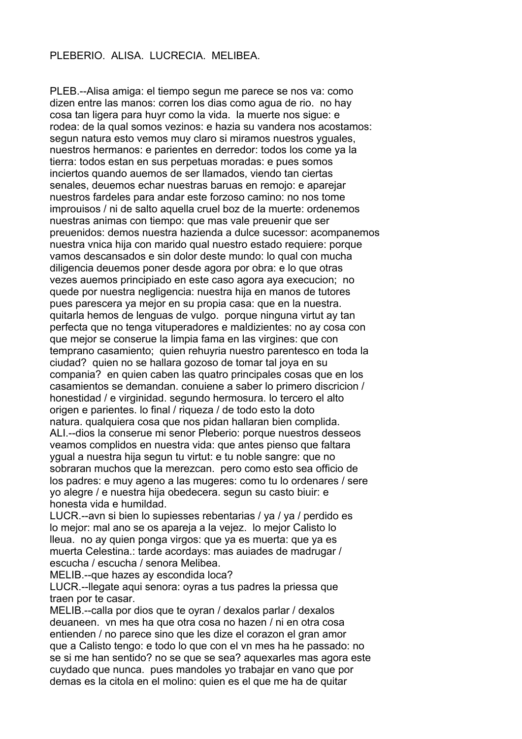# PLEBERIO. ALISA. LUCRECIA. MELIBEA.

PLEB.--Alisa amiga: el tiempo segun me parece se nos va: como dizen entre las manos: corren los dias como agua de rio. no hay cosa tan ligera para huyr como la vida. la muerte nos sigue: e rodea: de la qual somos vezinos: e hazia su vandera nos acostamos: segun natura esto vemos muy claro si miramos nuestros yguales, nuestros hermanos: e parientes en derredor: todos los come ya la tierra: todos estan en sus perpetuas moradas: e pues somos inciertos quando auemos de ser llamados, viendo tan ciertas senales, deuemos echar nuestras baruas en remojo: e aparejar nuestros fardeles para andar este forzoso camino: no nos tome improuisos / ni de salto aquella cruel boz de la muerte: ordenemos nuestras animas con tiempo: que mas vale preuenir que ser preuenidos: demos nuestra hazienda a dulce sucessor: acompanemos nuestra vnica hija con marido qual nuestro estado requiere: porque vamos descansados e sin dolor deste mundo: lo qual con mucha diligencia deuemos poner desde agora por obra: e lo que otras vezes auemos principiado en este caso agora aya execucion; no quede por nuestra negligencia: nuestra hija en manos de tutores pues parescera ya mejor en su propia casa: que en la nuestra. quitarla hemos de lenguas de vulgo. porque ninguna virtut ay tan perfecta que no tenga vituperadores e maldizientes: no ay cosa con que mejor se conserue la limpia fama en las virgines: que con temprano casamiento; quien rehuyria nuestro parentesco en toda la ciudad? quien no se hallara gozoso de tomar tal joya en su compania? en quien caben las quatro principales cosas que en los casamientos se demandan. conuiene a saber lo primero discricion / honestidad / e virginidad. segundo hermosura. lo tercero el alto origen e parientes. lo final / riqueza / de todo esto la doto natura. qualquiera cosa que nos pidan hallaran bien complida. ALI.--dios la conserue mi senor Pleberio: porque nuestros desseos veamos complidos en nuestra vida: que antes pienso que faltara ygual a nuestra hija segun tu virtut: e tu noble sangre: que no sobraran muchos que la merezcan. pero como esto sea officio de los padres: e muy ageno a las mugeres: como tu lo ordenares / sere yo alegre / e nuestra hija obedecera. segun su casto biuir: e honesta vida e humildad.

LUCR.--avn si bien lo supiesses rebentarias / ya / ya / perdido es lo mejor: mal ano se os apareja a la vejez. lo mejor Calisto lo lleua. no ay quien ponga virgos: que ya es muerta: que ya es muerta Celestina.: tarde acordays: mas auiades de madrugar / escucha / escucha / senora Melibea.

MELIB.--que hazes ay escondida loca?

LUCR.--llegate aqui senora: oyras a tus padres la priessa que traen por te casar.

MELIB.--calla por dios que te oyran / dexalos parlar / dexalos deuaneen. vn mes ha que otra cosa no hazen / ni en otra cosa entienden / no parece sino que les dize el corazon el gran amor que a Calisto tengo: e todo lo que con el vn mes ha he passado: no se si me han sentido? no se que se sea? aquexarles mas agora este cuydado que nunca. pues mandoles yo trabajar en vano que por demas es la citola en el molino: quien es el que me ha de quitar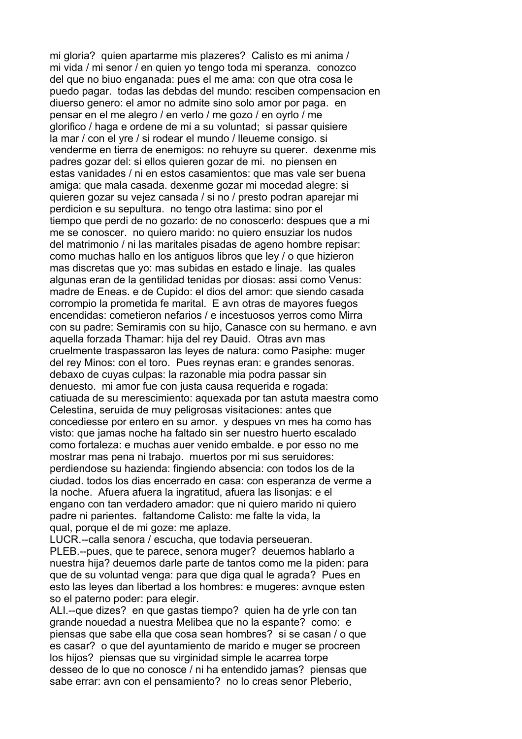mi gloria? quien apartarme mis plazeres? Calisto es mi anima / mi vida / mi senor / en quien yo tengo toda mi speranza. conozco del que no biuo enganada: pues el me ama: con que otra cosa le puedo pagar. todas las debdas del mundo: resciben compensacion en diuerso genero: el amor no admite sino solo amor por paga. en pensar en el me alegro / en verlo / me gozo / en oyrlo / me glorifico / haga e ordene de mi a su voluntad; si passar quisiere la mar / con el yre / si rodear el mundo / lleueme consigo. si venderme en tierra de enemigos: no rehuyre su querer. dexenme mis padres gozar del: si ellos quieren gozar de mi. no piensen en estas vanidades / ni en estos casamientos: que mas vale ser buena amiga: que mala casada. dexenme gozar mi mocedad alegre: si quieren gozar su vejez cansada / si no / presto podran aparejar mi perdicion e su sepultura. no tengo otra lastima: sino por el tiempo que perdi de no gozarlo: de no conoscerlo: despues que a mi me se conoscer. no quiero marido: no quiero ensuziar los nudos del matrimonio / ni las maritales pisadas de ageno hombre repisar: como muchas hallo en los antiguos libros que ley / o que hizieron mas discretas que yo: mas subidas en estado e linaje. las quales algunas eran de la gentilidad tenidas por diosas: assi como Venus: madre de Eneas. e de Cupido: el dios del amor: que siendo casada corrompio la prometida fe marital. E avn otras de mayores fuegos encendidas: cometieron nefarios / e incestuosos yerros como Mirra con su padre: Semiramis con su hijo, Canasce con su hermano. e avn aquella forzada Thamar: hija del rey Dauid. Otras avn mas cruelmente traspassaron las leyes de natura: como Pasiphe: muger del rey Minos: con el toro. Pues reynas eran: e grandes senoras. debaxo de cuyas culpas: la razonable mia podra passar sin denuesto. mi amor fue con justa causa requerida e rogada: catiuada de su merescimiento: aquexada por tan astuta maestra como Celestina, seruida de muy peligrosas visitaciones: antes que concediesse por entero en su amor. y despues vn mes ha como has visto: que jamas noche ha faltado sin ser nuestro huerto escalado como fortaleza: e muchas auer venido embalde. e por esso no me mostrar mas pena ni trabajo. muertos por mi sus seruidores: perdiendose su hazienda: fingiendo absencia: con todos los de la ciudad. todos los dias encerrado en casa: con esperanza de verme a la noche. Afuera afuera la ingratitud, afuera las lisonjas: e el engano con tan verdadero amador: que ni quiero marido ni quiero padre ni parientes. faltandome Calisto: me falte la vida, la qual, porque el de mi goze: me aplaze.

LUCR.--calla senora / escucha, que todavia perseueran. PLEB.--pues, que te parece, senora muger? deuemos hablarlo a nuestra hija? deuemos darle parte de tantos como me la piden: para que de su voluntad venga: para que diga qual le agrada? Pues en esto las leyes dan libertad a los hombres: e mugeres: avnque esten so el paterno poder: para elegir.

ALI.--que dizes? en que gastas tiempo? quien ha de yrle con tan grande nouedad a nuestra Melibea que no la espante? como: e piensas que sabe ella que cosa sean hombres? si se casan / o que es casar? o que del ayuntamiento de marido e muger se procreen los hijos? piensas que su virginidad simple le acarrea torpe desseo de lo que no conosce / ni ha entendido jamas? piensas que sabe errar: avn con el pensamiento? no lo creas senor Pleberio,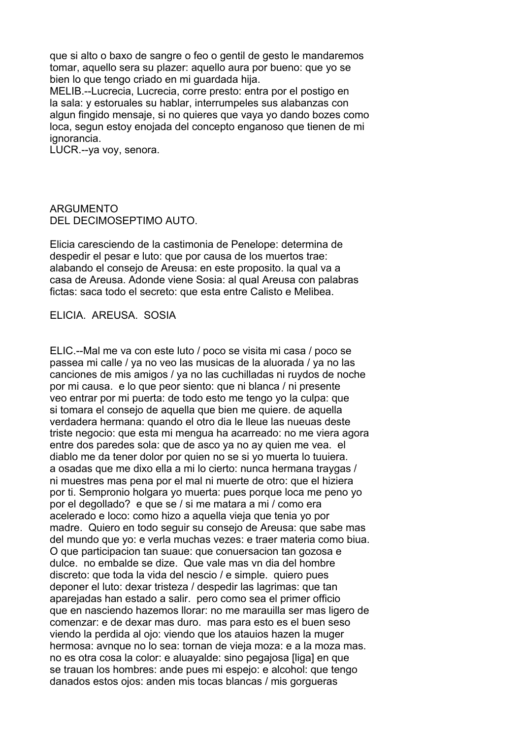que si alto o baxo de sangre o feo o gentil de gesto le mandaremos tomar, aquello sera su plazer: aquello aura por bueno: que yo se bien lo que tengo criado en mi guardada hija.

MELIB.--Lucrecia, Lucrecia, corre presto: entra por el postigo en la sala: y estoruales su hablar, interrumpeles sus alabanzas con algun fingido mensaje, si no quieres que vaya yo dando bozes como loca, segun estoy enojada del concepto enganoso que tienen de mi ignorancia.

LUCR.--ya voy, senora.

ARGUMENTO DEL DECIMOSEPTIMO AUTO.

Elicia caresciendo de la castimonia de Penelope: determina de despedir el pesar e luto: que por causa de los muertos trae: alabando el consejo de Areusa: en este proposito. la qual va a casa de Areusa. Adonde viene Sosia: al qual Areusa con palabras fictas: saca todo el secreto: que esta entre Calisto e Melibea.

ELICIA. AREUSA. SOSIA

ELIC.--Mal me va con este luto / poco se visita mi casa / poco se passea mi calle / ya no veo las musicas de la aluorada / ya no las canciones de mis amigos / ya no las cuchilladas ni ruydos de noche por mi causa. e lo que peor siento: que ni blanca / ni presente veo entrar por mi puerta: de todo esto me tengo yo la culpa: que si tomara el consejo de aquella que bien me quiere. de aquella verdadera hermana: quando el otro dia le lleue las nueuas deste triste negocio: que esta mi mengua ha acarreado: no me viera agora entre dos paredes sola: que de asco ya no ay quien me vea. el diablo me da tener dolor por quien no se si yo muerta lo tuuiera. a osadas que me dixo ella a mi lo cierto: nunca hermana traygas / ni muestres mas pena por el mal ni muerte de otro: que el hiziera por ti. Sempronio holgara yo muerta: pues porque loca me peno yo por el degollado? e que se / si me matara a mi / como era acelerado e loco: como hizo a aquella vieja que tenia yo por madre. Quiero en todo seguir su consejo de Areusa: que sabe mas del mundo que yo: e verla muchas vezes: e traer materia como biua. O que participacion tan suaue: que conuersacion tan gozosa e dulce. no embalde se dize. Que vale mas vn dia del hombre discreto: que toda la vida del nescio / e simple. quiero pues deponer el luto: dexar tristeza / despedir las lagrimas: que tan aparejadas han estado a salir. pero como sea el primer officio que en nasciendo hazemos llorar: no me marauilla ser mas ligero de comenzar: e de dexar mas duro. mas para esto es el buen seso viendo la perdida al ojo: viendo que los atauios hazen la muger hermosa: avnque no lo sea: tornan de vieja moza: e a la moza mas. no es otra cosa la color: e aluayalde: sino pegajosa [liga] en que se trauan los hombres: ande pues mi espejo: e alcohol: que tengo danados estos ojos: anden mis tocas blancas / mis gorgueras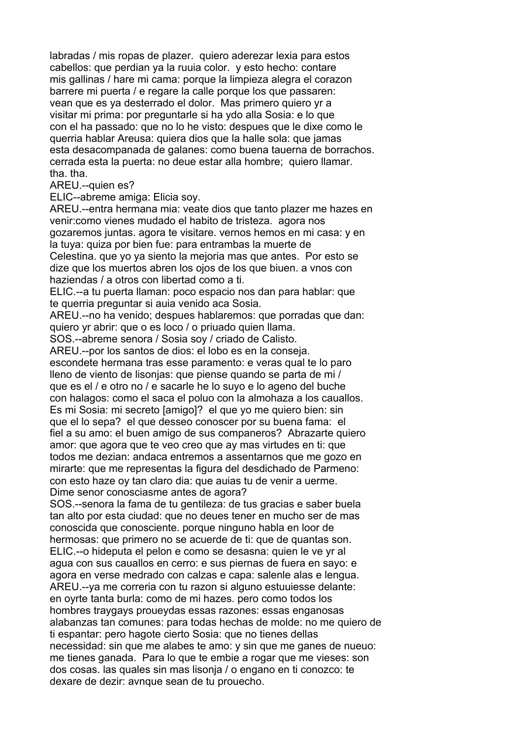labradas / mis ropas de plazer. quiero aderezar lexia para estos cabellos: que perdian ya la ruuia color. y esto hecho: contare mis gallinas / hare mi cama: porque la limpieza alegra el corazon barrere mi puerta / e regare la calle porque los que passaren: vean que es ya desterrado el dolor. Mas primero quiero yr a visitar mi prima: por preguntarle si ha ydo alla Sosia: e lo que con el ha passado: que no lo he visto: despues que le dixe como le querria hablar Areusa: quiera dios que la halle sola: que jamas esta desacompanada de galanes: como buena tauerna de borrachos. cerrada esta la puerta: no deue estar alla hombre; quiero llamar. tha. tha.

AREU.--quien es?

ELIC--abreme amiga: Elicia soy.

AREU.--entra hermana mia: veate dios que tanto plazer me hazes en venir:como vienes mudado el habito de tristeza. agora nos gozaremos juntas. agora te visitare. vernos hemos en mi casa: y en la tuya: quiza por bien fue: para entrambas la muerte de Celestina. que yo ya siento la mejoria mas que antes. Por esto se dize que los muertos abren los ojos de los que biuen. a vnos con haziendas / a otros con libertad como a ti.

ELIC.--a tu puerta llaman: poco espacio nos dan para hablar: que te querria preguntar si auia venido aca Sosia.

AREU.--no ha venido; despues hablaremos: que porradas que dan: quiero yr abrir: que o es loco / o priuado quien llama.

SOS.--abreme senora / Sosia soy / criado de Calisto.

AREU.--por los santos de dios: el lobo es en la conseja. escondete hermana tras esse paramento: e veras qual te lo paro lleno de viento de lisonjas: que piense quando se parta de mi / que es el / e otro no / e sacarle he lo suyo e lo ageno del buche con halagos: como el saca el poluo con la almohaza a los cauallos. Es mi Sosia: mi secreto [amigo]? el que yo me quiero bien: sin que el lo sepa? el que desseo conoscer por su buena fama: el fiel a su amo: el buen amigo de sus companeros? Abrazarte quiero amor: que agora que te veo creo que ay mas virtudes en ti: que todos me dezian: andaca entremos a assentarnos que me gozo en mirarte: que me representas la figura del desdichado de Parmeno: con esto haze oy tan claro dia: que auias tu de venir a uerme. Dime senor conosciasme antes de agora?

SOS.--senora la fama de tu gentileza: de tus gracias e saber buela tan alto por esta ciudad: que no deues tener en mucho ser de mas conoscida que conosciente. porque ninguno habla en loor de hermosas: que primero no se acuerde de ti: que de quantas son. ELIC.--o hideputa el pelon e como se desasna: quien le ve yr al agua con sus cauallos en cerro: e sus piernas de fuera en sayo: e agora en verse medrado con calzas e capa: salenle alas e lengua. AREU.--ya me correria con tu razon si alguno estuuiesse delante: en oyrte tanta burla: como de mi hazes. pero como todos los hombres traygays proueydas essas razones: essas enganosas alabanzas tan comunes: para todas hechas de molde: no me quiero de ti espantar: pero hagote cierto Sosia: que no tienes dellas necessidad: sin que me alabes te amo: y sin que me ganes de nueuo: me tienes ganada. Para lo que te embie a rogar que me vieses: son dos cosas. las quales sin mas lisonja / o engano en ti conozco: te dexare de dezir: avnque sean de tu prouecho.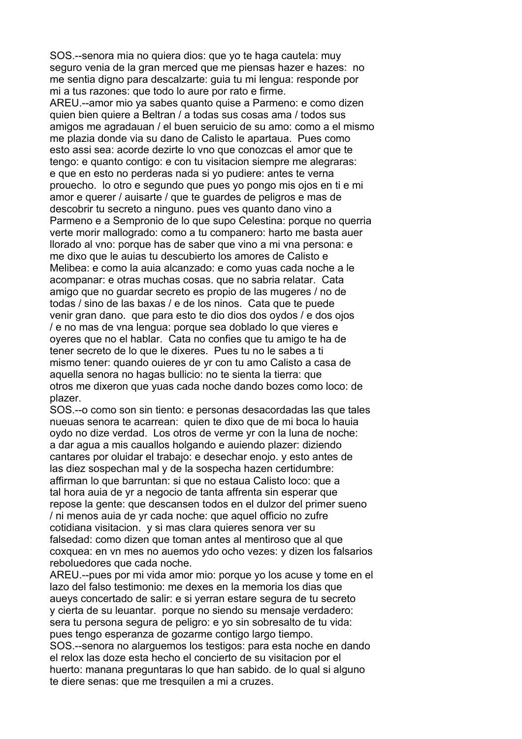SOS.--senora mia no quiera dios: que yo te haga cautela: muy seguro venia de la gran merced que me piensas hazer e hazes: no me sentia digno para descalzarte: guia tu mi lengua: responde por mi a tus razones: que todo lo aure por rato e firme.

AREU.--amor mio ya sabes quanto quise a Parmeno: e como dizen quien bien quiere a Beltran / a todas sus cosas ama / todos sus amigos me agradauan / el buen seruicio de su amo: como a el mismo me plazia donde via su dano de Calisto le apartaua. Pues como esto assi sea: acorde dezirte lo vno que conozcas el amor que te tengo: e quanto contigo: e con tu visitacion siempre me alegraras: e que en esto no perderas nada si yo pudiere: antes te verna prouecho. lo otro e segundo que pues yo pongo mis ojos en ti e mi amor e querer / auisarte / que te guardes de peligros e mas de descobrir tu secreto a ninguno. pues ves quanto dano vino a Parmeno e a Sempronio de lo que supo Celestina: porque no querria verte morir mallogrado: como a tu companero: harto me basta auer llorado al vno: porque has de saber que vino a mi vna persona: e me dixo que le auias tu descubierto los amores de Calisto e Melibea: e como la auia alcanzado: e como yuas cada noche a le acompanar: e otras muchas cosas. que no sabria relatar. Cata amigo que no guardar secreto es propio de las mugeres / no de todas / sino de las baxas / e de los ninos. Cata que te puede venir gran dano. que para esto te dio dios dos oydos / e dos ojos / e no mas de vna lengua: porque sea doblado lo que vieres e oyeres que no el hablar. Cata no confies que tu amigo te ha de tener secreto de lo que le dixeres. Pues tu no le sabes a ti mismo tener: quando ouieres de yr con tu amo Calisto a casa de aquella senora no hagas bullicio: no te sienta la tierra: que otros me dixeron que yuas cada noche dando bozes como loco: de plazer.

SOS.--o como son sin tiento: e personas desacordadas las que tales nueuas senora te acarrean: quien te dixo que de mi boca lo hauia oydo no dize verdad. Los otros de verme yr con la luna de noche: a dar agua a mis cauallos holgando e auiendo plazer: diziendo cantares por oluidar el trabajo: e desechar enojo. y esto antes de las diez sospechan mal y de la sospecha hazen certidumbre: affirman lo que barruntan: si que no estaua Calisto loco: que a tal hora auia de yr a negocio de tanta affrenta sin esperar que repose la gente: que descansen todos en el dulzor del primer sueno / ni menos auia de yr cada noche: que aquel officio no zufre cotidiana visitacion. y si mas clara quieres senora ver su falsedad: como dizen que toman antes al mentiroso que al que coxquea: en vn mes no auemos ydo ocho vezes: y dizen los falsarios reboluedores que cada noche.

AREU.--pues por mi vida amor mio: porque yo los acuse y tome en el lazo del falso testimonio: me dexes en la memoria los dias que aueys concertado de salir: e si yerran estare segura de tu secreto y cierta de su leuantar. porque no siendo su mensaje verdadero: sera tu persona segura de peligro: e yo sin sobresalto de tu vida: pues tengo esperanza de gozarme contigo largo tiempo. SOS.--senora no alarguemos los testigos: para esta noche en dando el relox las doze esta hecho el concierto de su visitacion por el huerto: manana preguntaras lo que han sabido. de lo qual si alguno

te diere senas: que me tresquilen a mi a cruzes.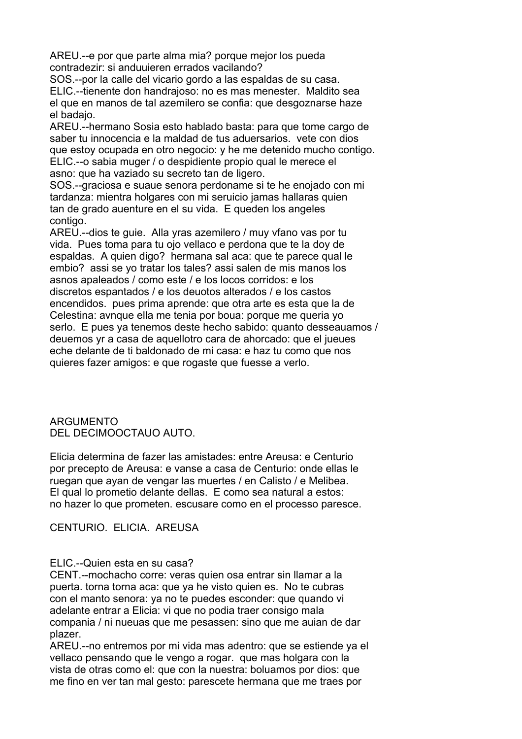AREU.--e por que parte alma mia? porque mejor los pueda contradezir: si anduuieren errados vacilando?

SOS.--por la calle del vicario gordo a las espaldas de su casa. ELIC.--tienente don handrajoso: no es mas menester. Maldito sea el que en manos de tal azemilero se confia: que desgoznarse haze el badajo.

AREU.--hermano Sosia esto hablado basta: para que tome cargo de saber tu innocencia e la maldad de tus aduersarios. vete con dios que estoy ocupada en otro negocio: y he me detenido mucho contigo. ELIC.--o sabia muger / o despidiente propio qual le merece el asno: que ha vaziado su secreto tan de ligero.

SOS.--graciosa e suaue senora perdoname si te he enojado con mi tardanza: mientra holgares con mi seruicio jamas hallaras quien tan de grado auenture en el su vida. E queden los angeles contigo.

AREU.--dios te guie. Alla yras azemilero / muy vfano vas por tu vida. Pues toma para tu ojo vellaco e perdona que te la doy de espaldas. A quien digo? hermana sal aca: que te parece qual le embio? assi se yo tratar los tales? assi salen de mis manos los asnos apaleados / como este / e los locos corridos: e los discretos espantados / e los deuotos alterados / e los castos encendidos. pues prima aprende: que otra arte es esta que la de Celestina: avnque ella me tenia por boua: porque me queria yo serlo. E pues ya tenemos deste hecho sabido: quanto desseauamos / deuemos yr a casa de aquellotro cara de ahorcado: que el jueues eche delante de ti baldonado de mi casa: e haz tu como que nos quieres fazer amigos: e que rogaste que fuesse a verlo.

ARGUMENTO DEL DECIMOOCTAUO AUTO.

Elicia determina de fazer las amistades: entre Areusa: e Centurio por precepto de Areusa: e vanse a casa de Centurio: onde ellas le ruegan que ayan de vengar las muertes / en Calisto / e Melibea. El qual lo prometio delante dellas. E como sea natural a estos: no hazer lo que prometen. escusare como en el processo paresce.

CENTURIO. ELICIA. AREUSA

## ELIC.--Quien esta en su casa?

CENT.--mochacho corre: veras quien osa entrar sin llamar a la puerta. torna torna aca: que ya he visto quien es. No te cubras con el manto senora: ya no te puedes esconder: que quando vi adelante entrar a Elicia: vi que no podia traer consigo mala compania / ni nueuas que me pesassen: sino que me auian de dar plazer.

AREU.--no entremos por mi vida mas adentro: que se estiende ya el vellaco pensando que le vengo a rogar. que mas holgara con la vista de otras como el: que con la nuestra: boluamos por dios: que me fino en ver tan mal gesto: parescete hermana que me traes por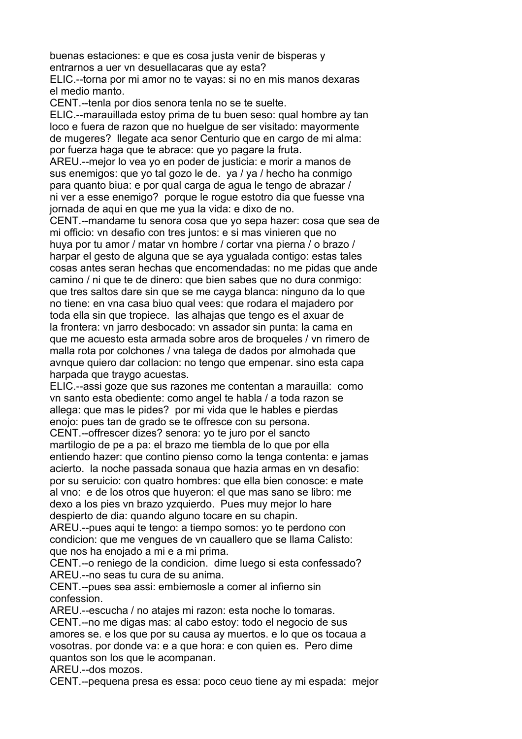buenas estaciones: e que es cosa justa venir de bisperas y entrarnos a uer vn desuellacaras que ay esta?

ELIC.--torna por mi amor no te vayas: si no en mis manos dexaras el medio manto.

CENT.--tenla por dios senora tenla no se te suelte.

ELIC.--marauillada estoy prima de tu buen seso: qual hombre ay tan loco e fuera de razon que no huelgue de ser visitado: mayormente de mugeres? llegate aca senor Centurio que en cargo de mi alma: por fuerza haga que te abrace: que yo pagare la fruta.

AREU.--mejor lo vea yo en poder de justicia: e morir a manos de sus enemigos: que yo tal gozo le de. ya / ya / hecho ha conmigo para quanto biua: e por qual carga de agua le tengo de abrazar / ni ver a esse enemigo? porque le rogue estotro dia que fuesse vna jornada de aqui en que me yua la vida: e dixo de no.

CENT.--mandame tu senora cosa que yo sepa hazer: cosa que sea de mi officio: vn desafio con tres juntos: e si mas vinieren que no huya por tu amor / matar vn hombre / cortar vna pierna / o brazo / harpar el gesto de alguna que se aya ygualada contigo: estas tales cosas antes seran hechas que encomendadas: no me pidas que ande camino / ni que te de dinero: que bien sabes que no dura conmigo: que tres saltos dare sin que se me cayga blanca: ninguno da lo que no tiene: en vna casa biuo qual vees: que rodara el majadero por toda ella sin que tropiece. las alhajas que tengo es el axuar de la frontera: vn jarro desbocado: vn assador sin punta: la cama en que me acuesto esta armada sobre aros de broqueles / vn rimero de malla rota por colchones / vna talega de dados por almohada que avnque quiero dar collacion: no tengo que empenar. sino esta capa harpada que traygo acuestas.

ELIC.--assi goze que sus razones me contentan a marauilla: como vn santo esta obediente: como angel te habla / a toda razon se allega: que mas le pides? por mi vida que le hables e pierdas enojo: pues tan de grado se te offresce con su persona. CENT.--offrescer dizes? senora: yo te juro por el sancto martilogio de pe a pa: el brazo me tiembla de lo que por ella entiendo hazer: que contino pienso como la tenga contenta: e jamas acierto. la noche passada sonaua que hazia armas en vn desafio: por su seruicio: con quatro hombres: que ella bien conosce: e mate al vno: e de los otros que huyeron: el que mas sano se libro: me dexo a los pies vn brazo yzquierdo. Pues muy mejor lo hare despierto de dia: quando alguno tocare en su chapin.

AREU.--pues aqui te tengo: a tiempo somos: yo te perdono con condicion: que me vengues de vn cauallero que se llama Calisto: que nos ha enojado a mi e a mi prima.

CENT.--o reniego de la condicion. dime luego si esta confessado? AREU.--no seas tu cura de su anima.

CENT.--pues sea assi: embiemosle a comer al infierno sin confession.

AREU.--escucha / no atajes mi razon: esta noche lo tomaras. CENT.--no me digas mas: al cabo estoy: todo el negocio de sus amores se. e los que por su causa ay muertos. e lo que os tocaua a vosotras. por donde va: e a que hora: e con quien es. Pero dime quantos son los que le acompanan.

AREU.--dos mozos.

CENT.--pequena presa es essa: poco ceuo tiene ay mi espada: mejor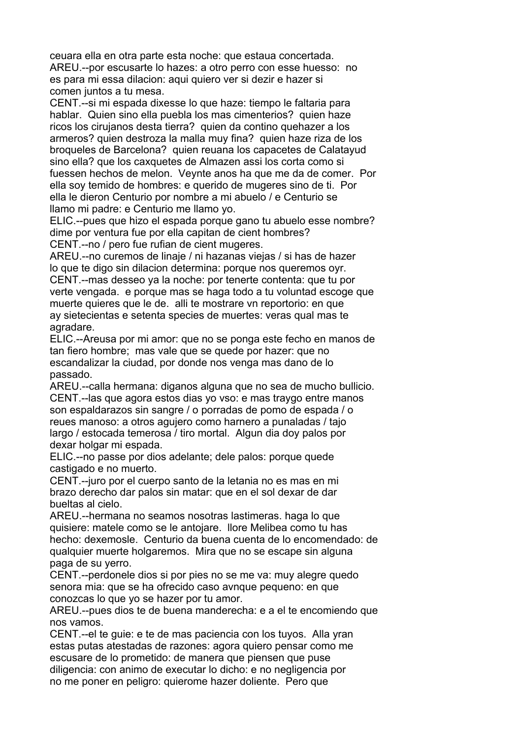ceuara ella en otra parte esta noche: que estaua concertada. AREU.--por escusarte lo hazes: a otro perro con esse huesso: no es para mi essa dilacion: aqui quiero ver si dezir e hazer si comen juntos a tu mesa.

CENT.--si mi espada dixesse lo que haze: tiempo le faltaria para hablar. Quien sino ella puebla los mas cimenterios? quien haze ricos los cirujanos desta tierra? quien da contino quehazer a los armeros? quien destroza la malla muy fina? quien haze riza de los broqueles de Barcelona? quien reuana los capacetes de Calatayud sino ella? que los caxquetes de Almazen assi los corta como si fuessen hechos de melon. Veynte anos ha que me da de comer. Por ella soy temido de hombres: e querido de mugeres sino de ti. Por ella le dieron Centurio por nombre a mi abuelo / e Centurio se llamo mi padre: e Centurio me llamo yo.

ELIC.--pues que hizo el espada porque gano tu abuelo esse nombre? dime por ventura fue por ella capitan de cient hombres? CENT.--no / pero fue rufian de cient mugeres.

AREU.--no curemos de linaje / ni hazanas viejas / si has de hazer lo que te digo sin dilacion determina: porque nos queremos oyr. CENT.--mas desseo ya la noche: por tenerte contenta: que tu por verte vengada. e porque mas se haga todo a tu voluntad escoge que muerte quieres que le de. alli te mostrare vn reportorio: en que ay sietecientas e setenta species de muertes: veras qual mas te agradare.

ELIC.--Areusa por mi amor: que no se ponga este fecho en manos de tan fiero hombre; mas vale que se quede por hazer: que no escandalizar la ciudad, por donde nos venga mas dano de lo passado.

AREU.--calla hermana: diganos alguna que no sea de mucho bullicio. CENT.--las que agora estos dias yo vso: e mas traygo entre manos son espaldarazos sin sangre / o porradas de pomo de espada / o reues manoso: a otros agujero como harnero a punaladas / tajo largo / estocada temerosa / tiro mortal. Algun dia doy palos por dexar holgar mi espada.

ELIC.--no passe por dios adelante; dele palos: porque quede castigado e no muerto.

CENT.--juro por el cuerpo santo de la letania no es mas en mi brazo derecho dar palos sin matar: que en el sol dexar de dar bueltas al cielo.

AREU.--hermana no seamos nosotras lastimeras. haga lo que quisiere: matele como se le antojare. llore Melibea como tu has hecho: dexemosle. Centurio da buena cuenta de lo encomendado: de qualquier muerte holgaremos. Mira que no se escape sin alguna paga de su yerro.

CENT.--perdonele dios si por pies no se me va: muy alegre quedo senora mia: que se ha ofrecido caso avnque pequeno: en que conozcas lo que yo se hazer por tu amor.

AREU.--pues dios te de buena manderecha: e a el te encomiendo que nos vamos.

CENT.--el te guie: e te de mas paciencia con los tuyos. Alla yran estas putas atestadas de razones: agora quiero pensar como me escusare de lo prometido: de manera que piensen que puse diligencia: con animo de executar lo dicho: e no negligencia por no me poner en peligro: quierome hazer doliente. Pero que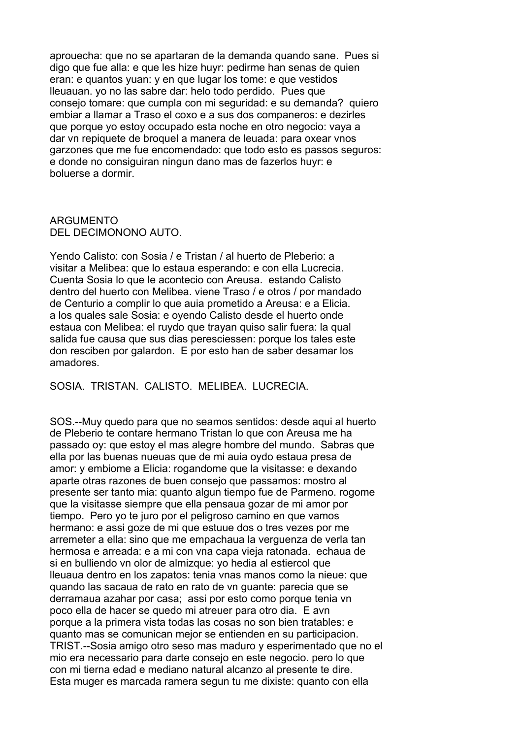aprouecha: que no se apartaran de la demanda quando sane. Pues si digo que fue alla: e que les hize huyr: pedirme han senas de quien eran: e quantos yuan: y en que lugar los tome: e que vestidos lleuauan. yo no las sabre dar: helo todo perdido. Pues que consejo tomare: que cumpla con mi seguridad: e su demanda? quiero embiar a llamar a Traso el coxo e a sus dos companeros: e dezirles que porque yo estoy occupado esta noche en otro negocio: vaya a dar vn repiquete de broquel a manera de leuada: para oxear vnos garzones que me fue encomendado: que todo esto es passos seguros: e donde no consiguiran ningun dano mas de fazerlos huyr: e boluerse a dormir.

ARGUMENTO DEL DECIMONONO AUTO.

Yendo Calisto: con Sosia / e Tristan / al huerto de Pleberio: a visitar a Melibea: que lo estaua esperando: e con ella Lucrecia. Cuenta Sosia lo que le acontecio con Areusa. estando Calisto dentro del huerto con Melibea. viene Traso / e otros / por mandado de Centurio a complir lo que auia prometido a Areusa: e a Elicia. a los quales sale Sosia: e oyendo Calisto desde el huerto onde estaua con Melibea: el ruydo que trayan quiso salir fuera: la qual salida fue causa que sus dias peresciessen: porque los tales este don resciben por galardon. E por esto han de saber desamar los amadores.

SOSIA. TRISTAN. CALISTO. MELIBEA. LUCRECIA.

SOS.--Muy quedo para que no seamos sentidos: desde aqui al huerto de Pleberio te contare hermano Tristan lo que con Areusa me ha passado oy: que estoy el mas alegre hombre del mundo. Sabras que ella por las buenas nueuas que de mi auia oydo estaua presa de amor: y embiome a Elicia: rogandome que la visitasse: e dexando aparte otras razones de buen consejo que passamos: mostro al presente ser tanto mia: quanto algun tiempo fue de Parmeno. rogome que la visitasse siempre que ella pensaua gozar de mi amor por tiempo. Pero yo te juro por el peligroso camino en que vamos hermano: e assi goze de mi que estuue dos o tres vezes por me arremeter a ella: sino que me empachaua la verguenza de verla tan hermosa e arreada: e a mi con vna capa vieja ratonada. echaua de si en bulliendo vn olor de almizque: yo hedia al estiercol que lleuaua dentro en los zapatos: tenia vnas manos como la nieue: que quando las sacaua de rato en rato de vn guante: parecia que se derramaua azahar por casa; assi por esto como porque tenia vn poco ella de hacer se quedo mi atreuer para otro dia. E avn porque a la primera vista todas las cosas no son bien tratables: e quanto mas se comunican mejor se entienden en su participacion. TRIST.--Sosia amigo otro seso mas maduro y esperimentado que no el mio era necessario para darte consejo en este negocio. pero lo que con mi tierna edad e mediano natural alcanzo al presente te dire. Esta muger es marcada ramera segun tu me dixiste: quanto con ella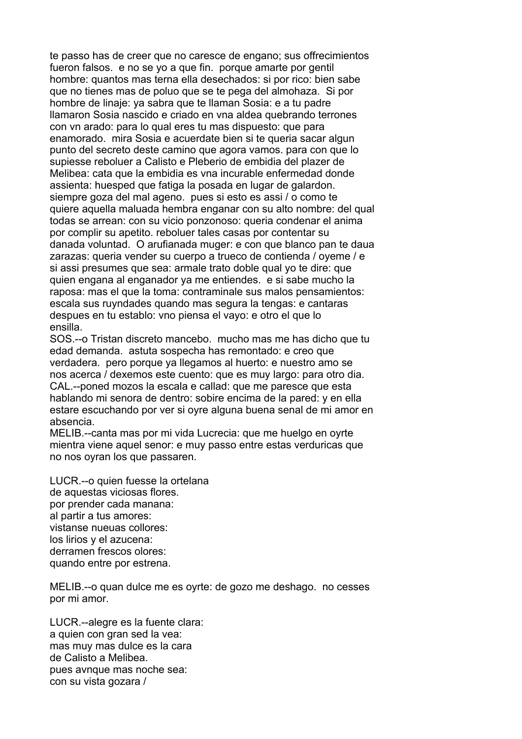te passo has de creer que no caresce de engano; sus offrecimientos fueron falsos. e no se yo a que fin. porque amarte por gentil hombre: quantos mas terna ella desechados: si por rico: bien sabe que no tienes mas de poluo que se te pega del almohaza. Si por hombre de linaje: ya sabra que te llaman Sosia: e a tu padre llamaron Sosia nascido e criado en vna aldea quebrando terrones con vn arado: para lo qual eres tu mas dispuesto: que para enamorado. mira Sosia e acuerdate bien si te queria sacar algun punto del secreto deste camino que agora vamos. para con que lo supiesse reboluer a Calisto e Pleberio de embidia del plazer de Melibea: cata que la embidia es vna incurable enfermedad donde assienta: huesped que fatiga la posada en lugar de galardon. siempre goza del mal ageno. pues si esto es assi / o como te quiere aquella maluada hembra enganar con su alto nombre: del qual todas se arrean: con su vicio ponzonoso: queria condenar el anima por complir su apetito. reboluer tales casas por contentar su danada voluntad. O arufianada muger: e con que blanco pan te daua zarazas: queria vender su cuerpo a trueco de contienda / oyeme / e si assi presumes que sea: armale trato doble qual yo te dire: que quien engana al enganador ya me entiendes. e si sabe mucho la raposa: mas el que la toma: contraminale sus malos pensamientos: escala sus ruyndades quando mas segura la tengas: e cantaras despues en tu establo: vno piensa el vayo: e otro el que lo ensilla.

SOS.--o Tristan discreto mancebo. mucho mas me has dicho que tu edad demanda. astuta sospecha has remontado: e creo que verdadera. pero porque ya llegamos al huerto: e nuestro amo se nos acerca / dexemos este cuento: que es muy largo: para otro dia. CAL.--poned mozos la escala e callad: que me paresce que esta hablando mi senora de dentro: sobire encima de la pared: y en ella estare escuchando por ver si oyre alguna buena senal de mi amor en absencia.

MELIB.--canta mas por mi vida Lucrecia: que me huelgo en oyrte mientra viene aquel senor: e muy passo entre estas verduricas que no nos oyran los que passaren.

LUCR.--o quien fuesse la ortelana de aquestas viciosas flores. por prender cada manana: al partir a tus amores: vistanse nueuas collores: los lirios y el azucena: derramen frescos olores: quando entre por estrena.

MELIB.--o quan dulce me es oyrte: de gozo me deshago. no cesses por mi amor.

LUCR.--alegre es la fuente clara: a quien con gran sed la vea: mas muy mas dulce es la cara de Calisto a Melibea. pues avnque mas noche sea: con su vista gozara /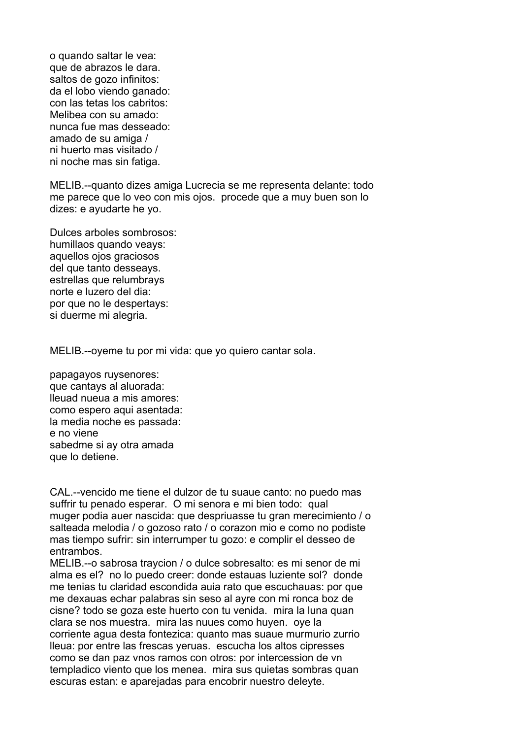o quando saltar le vea: que de abrazos le dara. saltos de gozo infinitos: da el lobo viendo ganado: con las tetas los cabritos: Melibea con su amado: nunca fue mas desseado: amado de su amiga / ni huerto mas visitado / ni noche mas sin fatiga.

MELIB.--quanto dizes amiga Lucrecia se me representa delante: todo me parece que lo veo con mis ojos. procede que a muy buen son lo dizes: e ayudarte he yo.

Dulces arboles sombrosos: humillaos quando veays: aquellos ojos graciosos del que tanto desseays. estrellas que relumbrays norte e luzero del dia: por que no le despertays: si duerme mi alegria.

MELIB.--oyeme tu por mi vida: que yo quiero cantar sola.

papagayos ruysenores: que cantays al aluorada: lleuad nueua a mis amores: como espero aqui asentada: la media noche es passada: e no viene sabedme si ay otra amada que lo detiene.

CAL.--vencido me tiene el dulzor de tu suaue canto: no puedo mas suffrir tu penado esperar. O mi senora e mi bien todo: qual muger podia auer nascida: que despriuasse tu gran merecimiento / o salteada melodia / o gozoso rato / o corazon mio e como no podiste mas tiempo sufrir: sin interrumper tu gozo: e complir el desseo de entrambos.

MELIB.--o sabrosa traycion / o dulce sobresalto: es mi senor de mi alma es el? no lo puedo creer: donde estauas luziente sol? donde me tenias tu claridad escondida auia rato que escuchauas: por que me dexauas echar palabras sin seso al ayre con mi ronca boz de cisne? todo se goza este huerto con tu venida. mira la luna quan clara se nos muestra. mira las nuues como huyen. oye la corriente agua desta fontezica: quanto mas suaue murmurio zurrio lleua: por entre las frescas yeruas. escucha los altos cipresses como se dan paz vnos ramos con otros: por intercession de vn templadico viento que los menea. mira sus quietas sombras quan escuras estan: e aparejadas para encobrir nuestro deleyte.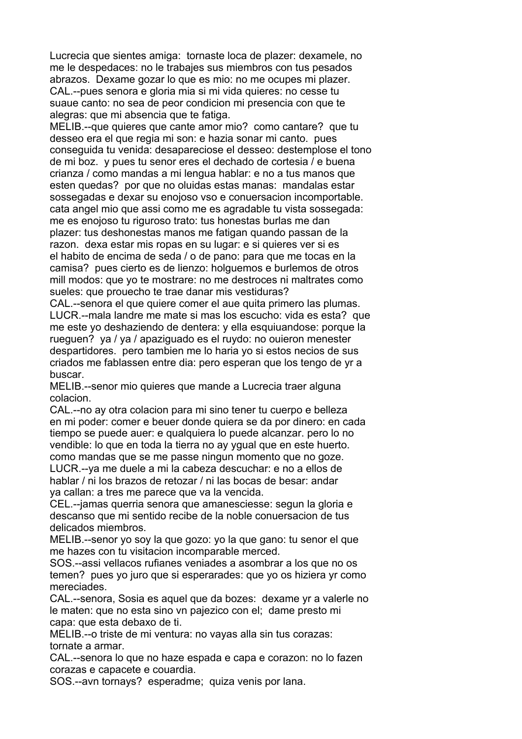Lucrecia que sientes amiga: tornaste loca de plazer: dexamele, no me le despedaces: no le trabajes sus miembros con tus pesados abrazos. Dexame gozar lo que es mio: no me ocupes mi plazer. CAL.--pues senora e gloria mia si mi vida quieres: no cesse tu suaue canto: no sea de peor condicion mi presencia con que te alegras: que mi absencia que te fatiga.

MELIB.--que quieres que cante amor mio? como cantare? que tu desseo era el que regia mi son: e hazia sonar mi canto. pues conseguida tu venida: desapareciose el desseo: destemplose el tono de mi boz. y pues tu senor eres el dechado de cortesia / e buena crianza / como mandas a mi lengua hablar: e no a tus manos que esten quedas? por que no oluidas estas manas: mandalas estar sossegadas e dexar su enojoso vso e conuersacion incomportable. cata angel mio que assi como me es agradable tu vista sossegada: me es enojoso tu riguroso trato: tus honestas burlas me dan plazer: tus deshonestas manos me fatigan quando passan de la razon. dexa estar mis ropas en su lugar: e si quieres ver si es el habito de encima de seda / o de pano: para que me tocas en la camisa? pues cierto es de lienzo: holguemos e burlemos de otros mill modos: que yo te mostrare: no me destroces ni maltrates como sueles: que prouecho te trae danar mis vestiduras?

CAL.--senora el que quiere comer el aue quita primero las plumas. LUCR.--mala landre me mate si mas los escucho: vida es esta? que me este yo deshaziendo de dentera: y ella esquiuandose: porque la rueguen? ya / ya / apaziguado es el ruydo: no ouieron menester despartidores. pero tambien me lo haria yo si estos necios de sus criados me fablassen entre dia: pero esperan que los tengo de yr a buscar.

MELIB.--senor mio quieres que mande a Lucrecia traer alguna colacion.

CAL.--no ay otra colacion para mi sino tener tu cuerpo e belleza en mi poder: comer e beuer donde quiera se da por dinero: en cada tiempo se puede auer: e qualquiera lo puede alcanzar. pero lo no vendible: lo que en toda la tierra no ay ygual que en este huerto. como mandas que se me passe ningun momento que no goze. LUCR.--ya me duele a mi la cabeza descuchar: e no a ellos de hablar / ni los brazos de retozar / ni las bocas de besar: andar

ya callan: a tres me parece que va la vencida.

CEL.--jamas querria senora que amanesciesse: segun la gloria e descanso que mi sentido recibe de la noble conuersacion de tus delicados miembros.

MELIB.--senor yo soy la que gozo: yo la que gano: tu senor el que me hazes con tu visitacion incomparable merced.

SOS.--assi vellacos rufianes veniades a asombrar a los que no os temen? pues yo juro que si esperarades: que yo os hiziera yr como mereciades.

CAL.--senora, Sosia es aquel que da bozes: dexame yr a valerle no le maten: que no esta sino vn pajezico con el; dame presto mi capa: que esta debaxo de ti.

MELIB.--o triste de mi ventura: no vayas alla sin tus corazas: tornate a armar.

CAL.--senora lo que no haze espada e capa e corazon: no lo fazen corazas e capacete e couardia.

SOS.--avn tornays? esperadme; quiza venis por lana.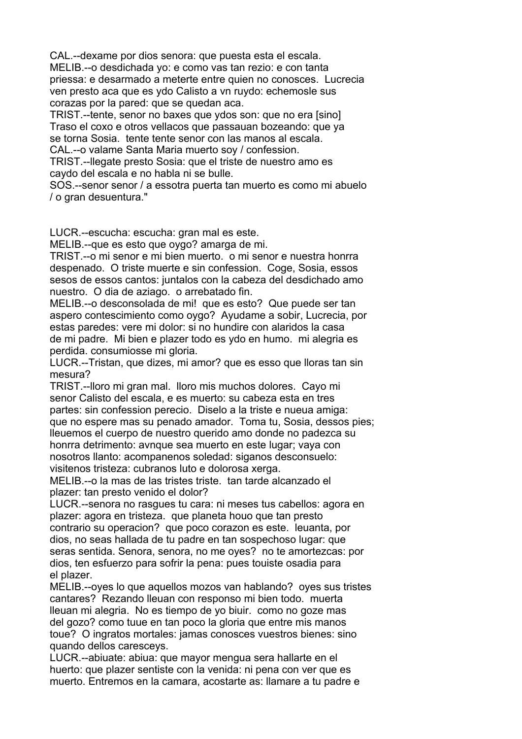CAL.--dexame por dios senora: que puesta esta el escala. MELIB.--o desdichada yo: e como vas tan rezio: e con tanta priessa: e desarmado a meterte entre quien no conosces. Lucrecia ven presto aca que es ydo Calisto a vn ruydo: echemosle sus corazas por la pared: que se quedan aca.

TRIST.--tente, senor no baxes que ydos son: que no era [sino] Traso el coxo e otros vellacos que passauan bozeando: que ya se torna Sosia. tente tente senor con las manos al escala. CAL.--o valame Santa Maria muerto soy / confession.

TRIST.--llegate presto Sosia: que el triste de nuestro amo es caydo del escala e no habla ni se bulle.

SOS.--senor senor / a essotra puerta tan muerto es como mi abuelo / o gran desuentura."

LUCR.--escucha: escucha: gran mal es este.

MELIB.--que es esto que oygo? amarga de mi.

TRIST.--o mi senor e mi bien muerto. o mi senor e nuestra honrra despenado. O triste muerte e sin confession. Coge, Sosia, essos sesos de essos cantos: juntalos con la cabeza del desdichado amo nuestro. O dia de aziago. o arrebatado fin.

MELIB.--o desconsolada de mi! que es esto? Que puede ser tan aspero contescimiento como oygo? Ayudame a sobir, Lucrecia, por estas paredes: vere mi dolor: si no hundire con alaridos la casa de mi padre. Mi bien e plazer todo es ydo en humo. mi alegria es perdida. consumiosse mi gloria.

LUCR.--Tristan, que dizes, mi amor? que es esso que lloras tan sin mesura?

TRIST.--lloro mi gran mal. lloro mis muchos dolores. Cayo mi senor Calisto del escala, e es muerto: su cabeza esta en tres partes: sin confession perecio. Diselo a la triste e nueua amiga: que no espere mas su penado amador. Toma tu, Sosia, dessos pies; lleuemos el cuerpo de nuestro querido amo donde no padezca su honrra detrimento: avnque sea muerto en este lugar; vaya con nosotros llanto: acompanenos soledad: siganos desconsuelo: visitenos tristeza: cubranos luto e dolorosa xerga.

MELIB.--o la mas de las tristes triste. tan tarde alcanzado el plazer: tan presto venido el dolor?

LUCR.--senora no rasgues tu cara: ni meses tus cabellos: agora en plazer: agora en tristeza. que planeta houo que tan presto contrario su operacion? que poco corazon es este. leuanta, por dios, no seas hallada de tu padre en tan sospechoso lugar: que seras sentida. Senora, senora, no me oyes? no te amortezcas: por dios, ten esfuerzo para sofrir la pena: pues touiste osadia para el plazer.

MELIB.--oyes lo que aquellos mozos van hablando? oyes sus tristes cantares? Rezando lleuan con responso mi bien todo. muerta lleuan mi alegria. No es tiempo de yo biuir. como no goze mas del gozo? como tuue en tan poco la gloria que entre mis manos toue? O ingratos mortales: jamas conosces vuestros bienes: sino quando dellos caresceys.

LUCR.--abiuate: abiua: que mayor mengua sera hallarte en el huerto: que plazer sentiste con la venida: ni pena con ver que es muerto. Entremos en la camara, acostarte as: llamare a tu padre e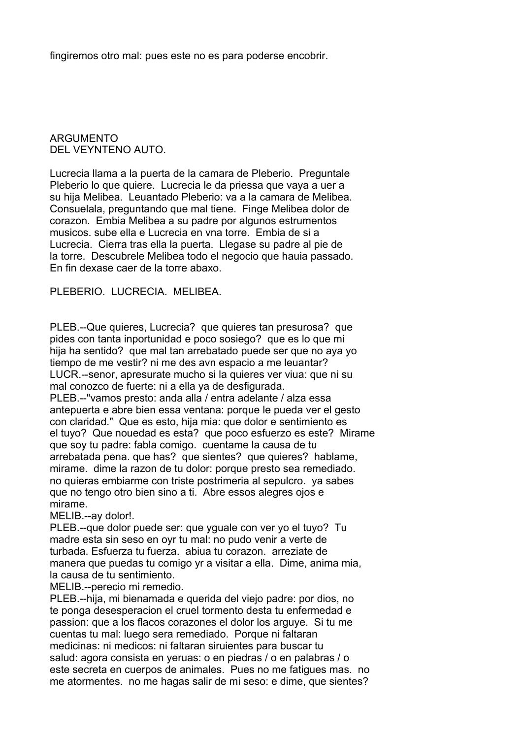fingiremos otro mal: pues este no es para poderse encobrir.

ARGUMENTO DEL VEYNTENO AUTO.

Lucrecia llama a la puerta de la camara de Pleberio. Preguntale Pleberio lo que quiere. Lucrecia le da priessa que vaya a uer a su hija Melibea. Leuantado Pleberio: va a la camara de Melibea. Consuelala, preguntando que mal tiene. Finge Melibea dolor de corazon. Embia Melibea a su padre por algunos estrumentos musicos. sube ella e Lucrecia en vna torre. Embia de si a Lucrecia. Cierra tras ella la puerta. Llegase su padre al pie de la torre. Descubrele Melibea todo el negocio que hauia passado. En fin dexase caer de la torre abaxo.

PLEBERIO. LUCRECIA. MELIBEA.

PLEB.--Que quieres, Lucrecia? que quieres tan presurosa? que pides con tanta inportunidad e poco sosiego? que es lo que mi hija ha sentido? que mal tan arrebatado puede ser que no aya yo tiempo de me vestir? ni me des avn espacio a me leuantar? LUCR.--senor, apresurate mucho si la quieres ver viua: que ni su mal conozco de fuerte: ni a ella ya de desfigurada.

PLEB.--"vamos presto: anda alla / entra adelante / alza essa antepuerta e abre bien essa ventana: porque le pueda ver el gesto con claridad." Que es esto, hija mia: que dolor e sentimiento es el tuyo? Que nouedad es esta? que poco esfuerzo es este? Mirame que soy tu padre: fabla comigo. cuentame la causa de tu arrebatada pena. que has? que sientes? que quieres? hablame, mirame. dime la razon de tu dolor: porque presto sea remediado. no quieras embiarme con triste postrimeria al sepulcro. ya sabes que no tengo otro bien sino a ti. Abre essos alegres ojos e mirame.

MELIB.--ay dolor!.

PLEB.--que dolor puede ser: que yguale con ver yo el tuyo? Tu madre esta sin seso en oyr tu mal: no pudo venir a verte de turbada. Esfuerza tu fuerza. abiua tu corazon. arreziate de manera que puedas tu comigo yr a visitar a ella. Dime, anima mia, la causa de tu sentimiento.

MELIB.--perecio mi remedio.

PLEB.--hija, mi bienamada e querida del viejo padre: por dios, no te ponga desesperacion el cruel tormento desta tu enfermedad e passion: que a los flacos corazones el dolor los arguye. Si tu me cuentas tu mal: luego sera remediado. Porque ni faltaran medicinas: ni medicos: ni faltaran siruientes para buscar tu salud: agora consista en yeruas: o en piedras / o en palabras / o este secreta en cuerpos de animales. Pues no me fatigues mas. no me atormentes. no me hagas salir de mi seso: e dime, que sientes?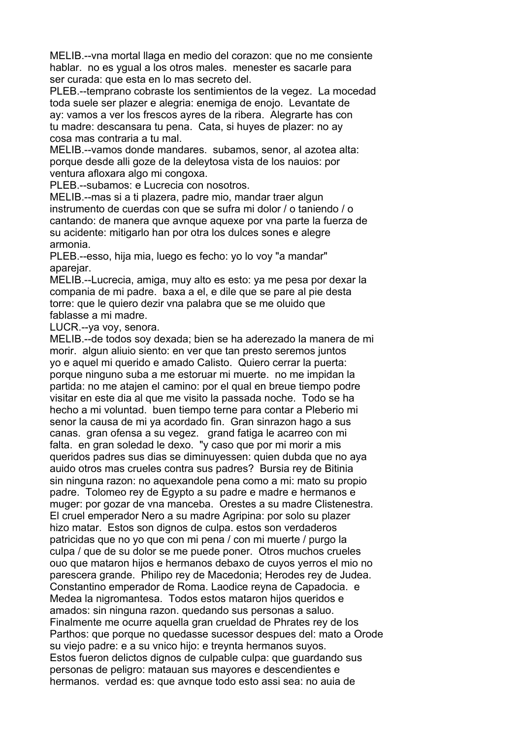MELIB.--vna mortal llaga en medio del corazon: que no me consiente hablar. no es ygual a los otros males. menester es sacarle para ser curada: que esta en lo mas secreto del.

PLEB.--temprano cobraste los sentimientos de la vegez. La mocedad toda suele ser plazer e alegria: enemiga de enojo. Levantate de ay: vamos a ver los frescos ayres de la ribera. Alegrarte has con tu madre: descansara tu pena. Cata, si huyes de plazer: no ay cosa mas contraria a tu mal.

MELIB.--vamos donde mandares. subamos, senor, al azotea alta: porque desde alli goze de la deleytosa vista de los nauios: por ventura afloxara algo mi congoxa.

PLEB.--subamos: e Lucrecia con nosotros.

MELIB.--mas si a ti plazera, padre mio, mandar traer algun instrumento de cuerdas con que se sufra mi dolor / o taniendo / o cantando: de manera que avnque aquexe por vna parte la fuerza de su acidente: mitigarlo han por otra los dulces sones e alegre armonia.

PLEB.--esso, hija mia, luego es fecho: yo lo voy "a mandar" aparejar.

MELIB.--Lucrecia, amiga, muy alto es esto: ya me pesa por dexar la compania de mi padre. baxa a el, e dile que se pare al pie desta torre: que le quiero dezir vna palabra que se me oluido que fablasse a mi madre.

LUCR.--ya voy, senora.

MELIB.--de todos soy dexada; bien se ha aderezado la manera de mi morir. algun aliuio siento: en ver que tan presto seremos juntos yo e aquel mi querido e amado Calisto. Quiero cerrar la puerta: porque ninguno suba a me estoruar mi muerte. no me impidan la partida: no me atajen el camino: por el qual en breue tiempo podre visitar en este dia al que me visito la passada noche. Todo se ha hecho a mi voluntad. buen tiempo terne para contar a Pleberio mi senor la causa de mi ya acordado fin. Gran sinrazon hago a sus canas. gran ofensa a su vegez. grand fatiga le acarreo con mi falta. en gran soledad le dexo. "y caso que por mi morir a mis queridos padres sus dias se diminuyessen: quien dubda que no aya auido otros mas crueles contra sus padres? Bursia rey de Bitinia sin ninguna razon: no aquexandole pena como a mi: mato su propio padre. Tolomeo rey de Egypto a su padre e madre e hermanos e muger: por gozar de vna manceba. Orestes a su madre Clistenestra. El cruel emperador Nero a su madre Agripina: por solo su plazer hizo matar. Estos son dignos de culpa. estos son verdaderos patricidas que no yo que con mi pena / con mi muerte / purgo la culpa / que de su dolor se me puede poner. Otros muchos crueles ouo que mataron hijos e hermanos debaxo de cuyos yerros el mio no parescera grande. Philipo rey de Macedonia; Herodes rey de Judea. Constantino emperador de Roma. Laodice reyna de Capadocia. e Medea la nigromantesa. Todos estos mataron hijos queridos e amados: sin ninguna razon. quedando sus personas a saluo. Finalmente me ocurre aquella gran crueldad de Phrates rey de los Parthos: que porque no quedasse sucessor despues del: mato a Orode su viejo padre: e a su vnico hijo: e treynta hermanos suyos. Estos fueron delictos dignos de culpable culpa: que guardando sus personas de peligro: matauan sus mayores e descendientes e hermanos. verdad es: que avnque todo esto assi sea: no auia de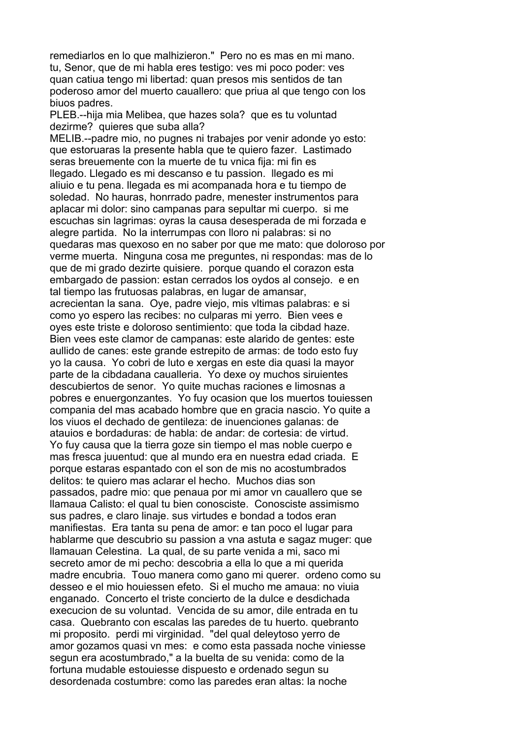remediarlos en lo que malhizieron." Pero no es mas en mi mano. tu, Senor, que de mi habla eres testigo: ves mi poco poder: ves quan catiua tengo mi libertad: quan presos mis sentidos de tan poderoso amor del muerto cauallero: que priua al que tengo con los biuos padres.

PLEB.--hija mia Melibea, que hazes sola? que es tu voluntad dezirme? quieres que suba alla?

MELIB.--padre mio, no pugnes ni trabajes por venir adonde yo esto: que estoruaras la presente habla que te quiero fazer. Lastimado seras breuemente con la muerte de tu vnica fija: mi fin es llegado. Llegado es mi descanso e tu passion. llegado es mi aliuio e tu pena. llegada es mi acompanada hora e tu tiempo de soledad. No hauras, honrrado padre, menester instrumentos para aplacar mi dolor: sino campanas para sepultar mi cuerpo. si me escuchas sin lagrimas: oyras la causa desesperada de mi forzada e alegre partida. No la interrumpas con lloro ni palabras: si no quedaras mas quexoso en no saber por que me mato: que doloroso por verme muerta. Ninguna cosa me preguntes, ni respondas: mas de lo que de mi grado dezirte quisiere. porque quando el corazon esta embargado de passion: estan cerrados los oydos al consejo. e en tal tiempo las frutuosas palabras, en lugar de amansar, acrecientan la sana. Oye, padre viejo, mis vltimas palabras: e si como yo espero las recibes: no culparas mi yerro. Bien vees e oyes este triste e doloroso sentimiento: que toda la cibdad haze. Bien vees este clamor de campanas: este alarido de gentes: este aullido de canes: este grande estrepito de armas: de todo esto fuy yo la causa. Yo cobri de luto e xergas en este dia quasi la mayor parte de la cibdadana caualleria. Yo dexe oy muchos siruientes descubiertos de senor. Yo quite muchas raciones e limosnas a pobres e enuergonzantes. Yo fuy ocasion que los muertos touiessen compania del mas acabado hombre que en gracia nascio. Yo quite a los viuos el dechado de gentileza: de inuenciones galanas: de atauios e bordaduras: de habla: de andar: de cortesia: de virtud. Yo fuy causa que la tierra goze sin tiempo el mas noble cuerpo e mas fresca juuentud: que al mundo era en nuestra edad criada. E porque estaras espantado con el son de mis no acostumbrados delitos: te quiero mas aclarar el hecho. Muchos dias son passados, padre mio: que penaua por mi amor vn cauallero que se llamaua Calisto: el qual tu bien conosciste. Conosciste assimismo sus padres, e claro linaje. sus virtudes e bondad a todos eran manifiestas. Era tanta su pena de amor: e tan poco el lugar para hablarme que descubrio su passion a vna astuta e sagaz muger: que llamauan Celestina. La qual, de su parte venida a mi, saco mi secreto amor de mi pecho: descobria a ella lo que a mi querida madre encubria. Touo manera como gano mi querer. ordeno como su desseo e el mio houiessen efeto. Si el mucho me amaua: no viuia enganado. Concerto el triste concierto de la dulce e desdichada execucion de su voluntad. Vencida de su amor, dile entrada en tu casa. Quebranto con escalas las paredes de tu huerto. quebranto mi proposito. perdi mi virginidad. "del qual deleytoso yerro de amor gozamos quasi vn mes: e como esta passada noche viniesse segun era acostumbrado," a la buelta de su venida: como de la fortuna mudable estouiesse dispuesto e ordenado segun su desordenada costumbre: como las paredes eran altas: la noche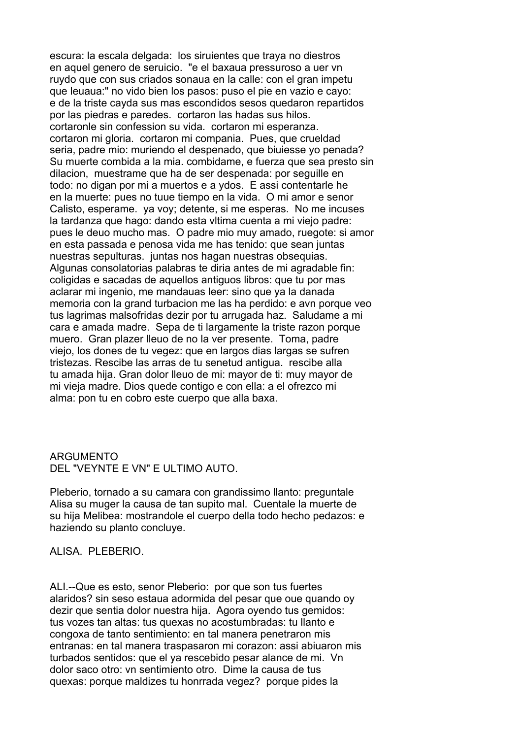escura: la escala delgada: los siruientes que traya no diestros en aquel genero de seruicio. "e el baxaua pressuroso a uer vn ruydo que con sus criados sonaua en la calle: con el gran impetu que leuaua:" no vido bien los pasos: puso el pie en vazio e cayo: e de la triste cayda sus mas escondidos sesos quedaron repartidos por las piedras e paredes. cortaron las hadas sus hilos. cortaronle sin confession su vida. cortaron mi esperanza. cortaron mi gloria. cortaron mi compania. Pues, que crueldad seria, padre mio: muriendo el despenado, que biuiesse yo penada? Su muerte combida a la mia. combidame, e fuerza que sea presto sin dilacion, muestrame que ha de ser despenada: por seguille en todo: no digan por mi a muertos e a ydos. E assi contentarle he en la muerte: pues no tuue tiempo en la vida. O mi amor e senor Calisto, esperame. ya voy; detente, si me esperas. No me incuses la tardanza que hago: dando esta vltima cuenta a mi viejo padre: pues le deuo mucho mas. O padre mio muy amado, ruegote: si amor en esta passada e penosa vida me has tenido: que sean juntas nuestras sepulturas. juntas nos hagan nuestras obsequias. Algunas consolatorias palabras te diria antes de mi agradable fin: coligidas e sacadas de aquellos antiguos libros: que tu por mas aclarar mi ingenio, me mandauas leer: sino que ya la danada memoria con la grand turbacion me las ha perdido: e avn porque veo tus lagrimas malsofridas dezir por tu arrugada haz. Saludame a mi cara e amada madre. Sepa de ti largamente la triste razon porque muero. Gran plazer lleuo de no la ver presente. Toma, padre viejo, los dones de tu vegez: que en largos dias largas se sufren tristezas. Rescibe las arras de tu senetud antigua. rescibe alla tu amada hija. Gran dolor lleuo de mi: mayor de ti: muy mayor de mi vieja madre. Dios quede contigo e con ella: a el ofrezco mi alma: pon tu en cobro este cuerpo que alla baxa.

#### ARGUMENTO DEL "VEYNTE E VN" E ULTIMO AUTO.

Pleberio, tornado a su camara con grandissimo llanto: preguntale Alisa su muger la causa de tan supito mal. Cuentale la muerte de su hija Melibea: mostrandole el cuerpo della todo hecho pedazos: e haziendo su planto concluye.

ALISA. PLEBERIO.

ALI.--Que es esto, senor Pleberio: por que son tus fuertes alaridos? sin seso estaua adormida del pesar que oue quando oy dezir que sentia dolor nuestra hija. Agora oyendo tus gemidos: tus vozes tan altas: tus quexas no acostumbradas: tu llanto e congoxa de tanto sentimiento: en tal manera penetraron mis entranas: en tal manera traspasaron mi corazon: assi abiuaron mis turbados sentidos: que el ya rescebido pesar alance de mi. Vn dolor saco otro: vn sentimiento otro. Dime la causa de tus quexas: porque maldizes tu honrrada vegez? porque pides la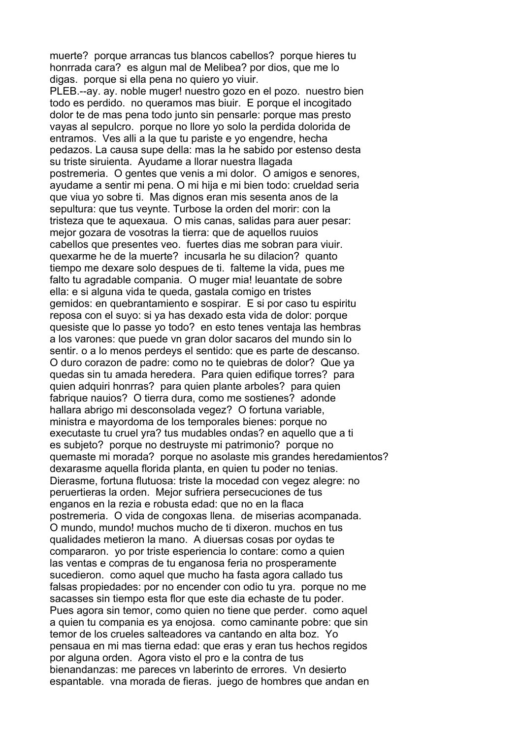muerte? porque arrancas tus blancos cabellos? porque hieres tu honrrada cara? es algun mal de Melibea? por dios, que me lo digas. porque si ella pena no quiero yo viuir.

PLEB.--ay. ay. noble muger! nuestro gozo en el pozo. nuestro bien todo es perdido. no queramos mas biuir. E porque el incogitado dolor te de mas pena todo junto sin pensarle: porque mas presto vayas al sepulcro. porque no llore yo solo la perdida dolorida de entramos. Ves alli a la que tu pariste e yo engendre, hecha pedazos. La causa supe della: mas la he sabido por estenso desta su triste siruienta. Ayudame a llorar nuestra llagada postremeria. O gentes que venis a mi dolor. O amigos e senores, ayudame a sentir mi pena. O mi hija e mi bien todo: crueldad seria que viua yo sobre ti. Mas dignos eran mis sesenta anos de la sepultura: que tus veynte. Turbose la orden del morir: con la tristeza que te aquexaua. O mis canas, salidas para auer pesar: mejor gozara de vosotras la tierra: que de aquellos ruuios cabellos que presentes veo. fuertes dias me sobran para viuir. quexarme he de la muerte? incusarla he su dilacion? quanto tiempo me dexare solo despues de ti. falteme la vida, pues me falto tu agradable compania. O muger mia! leuantate de sobre ella: e si alguna vida te queda, gastala comigo en tristes gemidos: en quebrantamiento e sospirar. E si por caso tu espiritu reposa con el suyo: si ya has dexado esta vida de dolor: porque quesiste que lo passe yo todo? en esto tenes ventaja las hembras a los varones: que puede vn gran dolor sacaros del mundo sin lo sentir. o a lo menos perdeys el sentido: que es parte de descanso. O duro corazon de padre: como no te quiebras de dolor? Que ya quedas sin tu amada heredera. Para quien edifique torres? para quien adquiri honrras? para quien plante arboles? para quien fabrique nauios? O tierra dura, como me sostienes? adonde hallara abrigo mi desconsolada vegez? O fortuna variable, ministra e mayordoma de los temporales bienes: porque no executaste tu cruel yra? tus mudables ondas? en aquello que a ti es subjeto? porque no destruyste mi patrimonio? porque no quemaste mi morada? porque no asolaste mis grandes heredamientos? dexarasme aquella florida planta, en quien tu poder no tenias. Dierasme, fortuna flutuosa: triste la mocedad con vegez alegre: no peruertieras la orden. Mejor sufriera persecuciones de tus enganos en la rezia e robusta edad: que no en la flaca postremeria. O vida de congoxas llena. de miserias acompanada. O mundo, mundo! muchos mucho de ti dixeron. muchos en tus qualidades metieron la mano. A diuersas cosas por oydas te compararon. yo por triste esperiencia lo contare: como a quien las ventas e compras de tu enganosa feria no prosperamente sucedieron. como aquel que mucho ha fasta agora callado tus falsas propiedades: por no encender con odio tu yra. porque no me sacasses sin tiempo esta flor que este dia echaste de tu poder. Pues agora sin temor, como quien no tiene que perder. como aquel a quien tu compania es ya enojosa. como caminante pobre: que sin temor de los crueles salteadores va cantando en alta boz. Yo pensaua en mi mas tierna edad: que eras y eran tus hechos regidos por alguna orden. Agora visto el pro e la contra de tus bienandanzas: me pareces vn laberinto de errores. Vn desierto espantable. vna morada de fieras. juego de hombres que andan en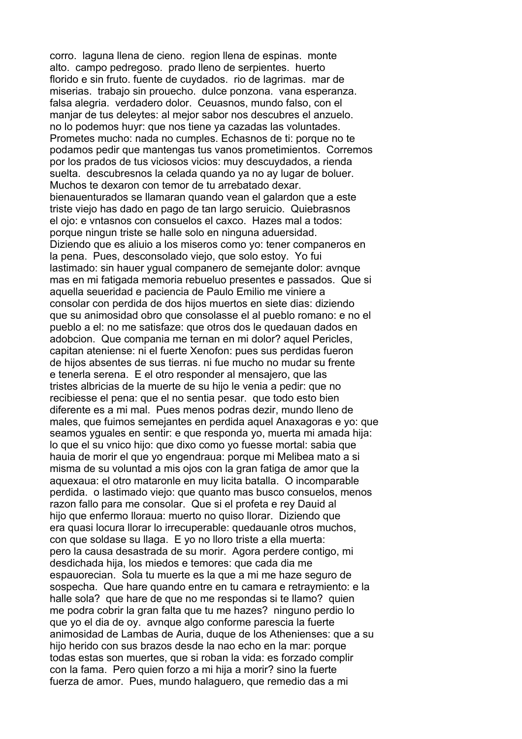corro. laguna llena de cieno. region llena de espinas. monte alto. campo pedregoso. prado lleno de serpientes. huerto florido e sin fruto. fuente de cuydados. rio de lagrimas. mar de miserias. trabajo sin prouecho. dulce ponzona. vana esperanza. falsa alegria. verdadero dolor. Ceuasnos, mundo falso, con el manjar de tus deleytes: al mejor sabor nos descubres el anzuelo. no lo podemos huyr: que nos tiene ya cazadas las voluntades. Prometes mucho: nada no cumples. Echasnos de ti: porque no te podamos pedir que mantengas tus vanos prometimientos. Corremos por los prados de tus viciosos vicios: muy descuydados, a rienda suelta. descubresnos la celada quando ya no ay lugar de boluer. Muchos te dexaron con temor de tu arrebatado dexar. bienauenturados se llamaran quando vean el galardon que a este triste viejo has dado en pago de tan largo seruicio. Quiebrasnos el ojo: e vntasnos con consuelos el caxco. Hazes mal a todos: porque ningun triste se halle solo en ninguna aduersidad. Diziendo que es aliuio a los miseros como yo: tener companeros en la pena. Pues, desconsolado viejo, que solo estoy. Yo fui lastimado: sin hauer ygual companero de semejante dolor: avnque mas en mi fatigada memoria rebueluo presentes e passados. Que si aquella seueridad e paciencia de Paulo Emilio me viniere a consolar con perdida de dos hijos muertos en siete dias: diziendo que su animosidad obro que consolasse el al pueblo romano: e no el pueblo a el: no me satisfaze: que otros dos le quedauan dados en adobcion. Que compania me ternan en mi dolor? aquel Pericles, capitan ateniense: ni el fuerte Xenofon: pues sus perdidas fueron de hijos absentes de sus tierras. ni fue mucho no mudar su frente e tenerla serena. E el otro responder al mensajero, que las tristes albricias de la muerte de su hijo le venia a pedir: que no recibiesse el pena: que el no sentia pesar. que todo esto bien diferente es a mi mal. Pues menos podras dezir, mundo lleno de males, que fuimos semejantes en perdida aquel Anaxagoras e yo: que seamos yguales en sentir: e que responda yo, muerta mi amada hija: lo que el su vnico hijo: que dixo como yo fuesse mortal: sabia que hauia de morir el que yo engendraua: porque mi Melibea mato a si misma de su voluntad a mis ojos con la gran fatiga de amor que la aquexaua: el otro mataronle en muy licita batalla. O incomparable perdida. o lastimado viejo: que quanto mas busco consuelos, menos razon fallo para me consolar. Que si el profeta e rey Dauid al hijo que enfermo lloraua: muerto no quiso llorar. Diziendo que era quasi locura llorar lo irrecuperable: quedauanle otros muchos, con que soldase su llaga. E yo no lloro triste a ella muerta: pero la causa desastrada de su morir. Agora perdere contigo, mi desdichada hija, los miedos e temores: que cada dia me espauorecian. Sola tu muerte es la que a mi me haze seguro de sospecha. Que hare quando entre en tu camara e retraymiento: e la halle sola? que hare de que no me respondas si te llamo? quien me podra cobrir la gran falta que tu me hazes? ninguno perdio lo que yo el dia de oy. avnque algo conforme parescia la fuerte animosidad de Lambas de Auria, duque de los Athenienses: que a su hijo herido con sus brazos desde la nao echo en la mar: porque todas estas son muertes, que si roban la vida: es forzado complir con la fama. Pero quien forzo a mi hija a morir? sino la fuerte fuerza de amor. Pues, mundo halaguero, que remedio das a mi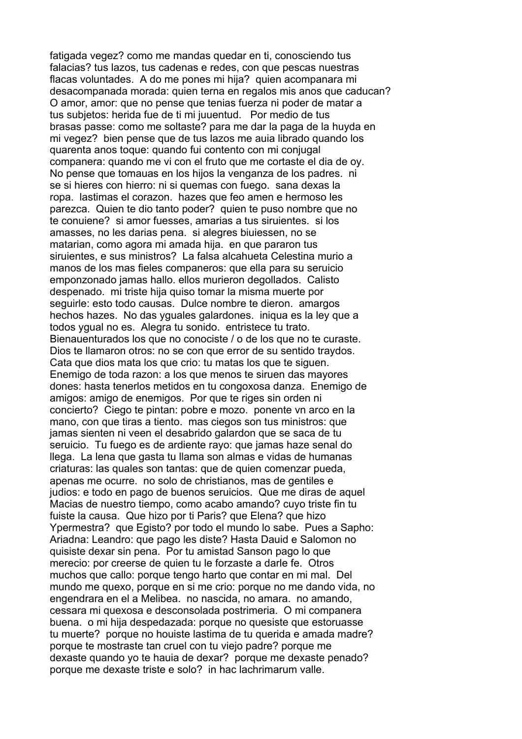fatigada vegez? como me mandas quedar en ti, conosciendo tus falacias? tus lazos, tus cadenas e redes, con que pescas nuestras flacas voluntades. A do me pones mi hija? quien acompanara mi desacompanada morada: quien terna en regalos mis anos que caducan? O amor, amor: que no pense que tenias fuerza ni poder de matar a tus subjetos: herida fue de ti mi juuentud. Por medio de tus brasas passe: como me soltaste? para me dar la paga de la huyda en mi vegez? bien pense que de tus lazos me auia librado quando los quarenta anos toque: quando fui contento con mi conjugal companera: quando me vi con el fruto que me cortaste el dia de oy. No pense que tomauas en los hijos la venganza de los padres. ni se si hieres con hierro: ni si quemas con fuego. sana dexas la ropa. lastimas el corazon. hazes que feo amen e hermoso les parezca. Quien te dio tanto poder? quien te puso nombre que no te conuiene? si amor fuesses, amarias a tus siruientes. si los amasses, no les darias pena. si alegres biuiessen, no se matarian, como agora mi amada hija. en que pararon tus siruientes, e sus ministros? La falsa alcahueta Celestina murio a manos de los mas fieles companeros: que ella para su seruicio emponzonado jamas hallo. ellos murieron degollados. Calisto despenado. mi triste hija quiso tomar la misma muerte por seguirle: esto todo causas. Dulce nombre te dieron. amargos hechos hazes. No das yguales galardones. iniqua es la ley que a todos ygual no es. Alegra tu sonido. entristece tu trato. Bienauenturados los que no conociste / o de los que no te curaste. Dios te llamaron otros: no se con que error de su sentido traydos. Cata que dios mata los que crio: tu matas los que te siguen. Enemigo de toda razon: a los que menos te siruen das mayores dones: hasta tenerlos metidos en tu congoxosa danza. Enemigo de amigos: amigo de enemigos. Por que te riges sin orden ni concierto? Ciego te pintan: pobre e mozo. ponente vn arco en la mano, con que tiras a tiento. mas ciegos son tus ministros: que jamas sienten ni veen el desabrido galardon que se saca de tu seruicio. Tu fuego es de ardiente rayo: que jamas haze senal do llega. La lena que gasta tu llama son almas e vidas de humanas criaturas: las quales son tantas: que de quien comenzar pueda, apenas me ocurre. no solo de christianos, mas de gentiles e judios: e todo en pago de buenos seruicios. Que me diras de aquel Macias de nuestro tiempo, como acabo amando? cuyo triste fin tu fuiste la causa. Que hizo por ti Paris? que Elena? que hizo Ypermestra? que Egisto? por todo el mundo lo sabe. Pues a Sapho: Ariadna: Leandro: que pago les diste? Hasta Dauid e Salomon no quisiste dexar sin pena. Por tu amistad Sanson pago lo que merecio: por creerse de quien tu le forzaste a darle fe. Otros muchos que callo: porque tengo harto que contar en mi mal. Del mundo me quexo, porque en si me crio: porque no me dando vida, no engendrara en el a Melibea. no nascida, no amara. no amando, cessara mi quexosa e desconsolada postrimeria. O mi companera buena. o mi hija despedazada: porque no quesiste que estoruasse tu muerte? porque no houiste lastima de tu querida e amada madre? porque te mostraste tan cruel con tu viejo padre? porque me dexaste quando yo te hauia de dexar? porque me dexaste penado? porque me dexaste triste e solo? in hac lachrimarum valle.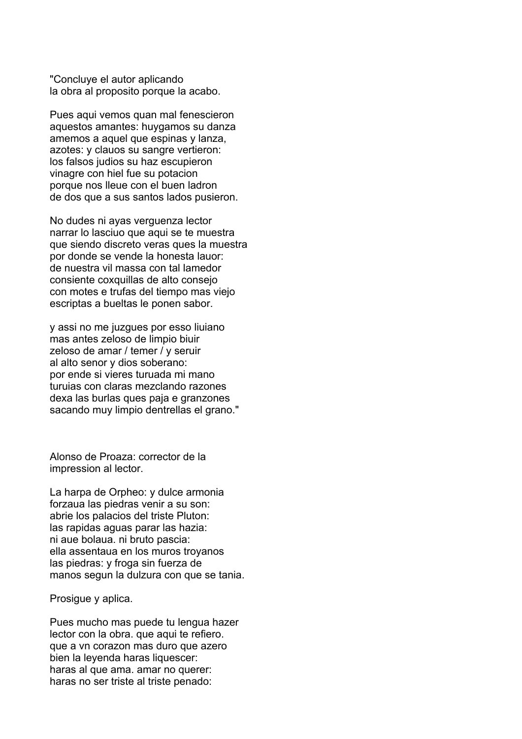"Concluye el autor aplicando la obra al proposito porque la acabo.

Pues aqui vemos quan mal fenescieron aquestos amantes: huygamos su danza amemos a aquel que espinas y lanza, azotes: y clauos su sangre vertieron: los falsos judios su haz escupieron vinagre con hiel fue su potacion porque nos lleue con el buen ladron de dos que a sus santos lados pusieron.

No dudes ni ayas verguenza lector narrar lo lasciuo que aqui se te muestra que siendo discreto veras ques la muestra por donde se vende la honesta lauor: de nuestra vil massa con tal lamedor consiente coxquillas de alto consejo con motes e trufas del tiempo mas viejo escriptas a bueltas le ponen sabor.

y assi no me juzgues por esso liuiano mas antes zeloso de limpio biuir zeloso de amar / temer / y seruir al alto senor y dios soberano: por ende si vieres turuada mi mano turuias con claras mezclando razones dexa las burlas ques paja e granzones sacando muy limpio dentrellas el grano."

Alonso de Proaza: corrector de la impression al lector.

La harpa de Orpheo: y dulce armonia forzaua las piedras venir a su son: abrie los palacios del triste Pluton: las rapidas aguas parar las hazia: ni aue bolaua. ni bruto pascia: ella assentaua en los muros troyanos las piedras: y froga sin fuerza de manos segun la dulzura con que se tania.

Prosigue y aplica.

Pues mucho mas puede tu lengua hazer lector con la obra. que aqui te refiero. que a vn corazon mas duro que azero bien la leyenda haras liquescer: haras al que ama. amar no querer: haras no ser triste al triste penado: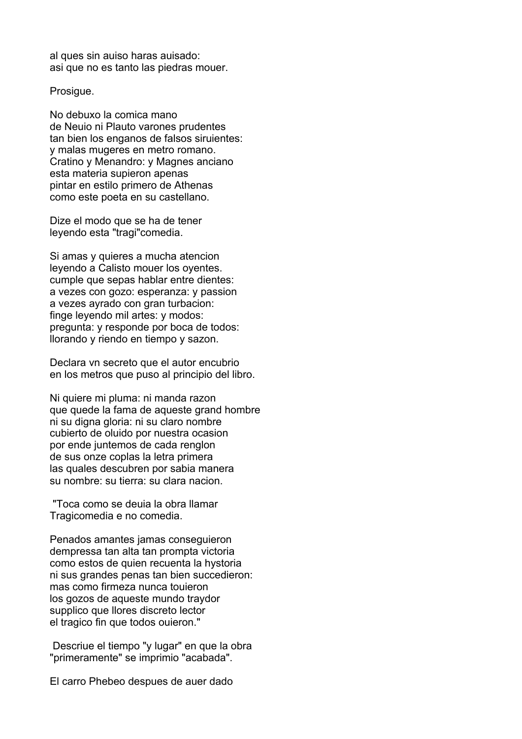al ques sin auiso haras auisado: asi que no es tanto las piedras mouer.

Prosigue.

No debuxo la comica mano de Neuio ni Plauto varones prudentes tan bien los enganos de falsos siruientes: y malas mugeres en metro romano. Cratino y Menandro: y Magnes anciano esta materia supieron apenas pintar en estilo primero de Athenas como este poeta en su castellano.

Dize el modo que se ha de tener leyendo esta "tragi"comedia.

Si amas y quieres a mucha atencion leyendo a Calisto mouer los oyentes. cumple que sepas hablar entre dientes: a vezes con gozo: esperanza: y passion a vezes ayrado con gran turbacion: finge leyendo mil artes: y modos: pregunta: y responde por boca de todos: llorando y riendo en tiempo y sazon.

Declara vn secreto que el autor encubrio en los metros que puso al principio del libro.

Ni quiere mi pluma: ni manda razon que quede la fama de aqueste grand hombre ni su digna gloria: ni su claro nombre cubierto de oluido por nuestra ocasion por ende juntemos de cada renglon de sus onze coplas la letra primera las quales descubren por sabia manera su nombre: su tierra: su clara nacion.

"Toca como se deuia la obra llamar Tragicomedia e no comedia.

Penados amantes jamas conseguieron dempressa tan alta tan prompta victoria como estos de quien recuenta la hystoria ni sus grandes penas tan bien succedieron: mas como firmeza nunca touieron los gozos de aqueste mundo traydor supplico que llores discreto lector el tragico fin que todos ouieron."

Descriue el tiempo "y lugar" en que la obra "primeramente" se imprimio "acabada".

El carro Phebeo despues de auer dado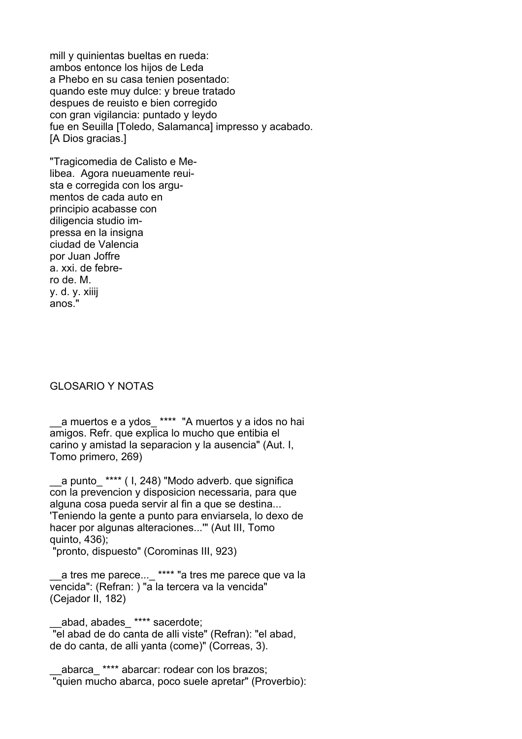mill y quinientas bueltas en rueda: ambos entonce los hijos de Leda a Phebo en su casa tenien posentado: quando este muy dulce: y breue tratado despues de reuisto e bien corregido con gran vigilancia: puntado y leydo fue en Seuilla [Toledo, Salamanca] impresso y acabado. [A Dios gracias.]

"Tragicomedia de Calisto e Melibea. Agora nueuamente reuista e corregida con los argumentos de cada auto en principio acabasse con diligencia studio impressa en la insigna ciudad de Valencia por Juan Joffre a. xxi. de febrero de. M. y. d. y. xiiij anos."

#### GLOSARIO Y NOTAS

a muertos e a ydos \*\*\*\* "A muertos y a idos no hai amigos. Refr. que explica lo mucho que entibia el carino y amistad la separacion y la ausencia" (Aut. I, Tomo primero, 269)

a punto \*\*\*\* ( I, 248) "Modo adverb. que significa con la prevencion y disposicion necessaria, para que alguna cosa pueda servir al fin a que se destina... 'Teniendo la gente a punto para enviarsela, lo dexo de hacer por algunas alteraciones...'" (Aut III, Tomo quinto, 436);

"pronto, dispuesto" (Corominas III, 923)

a tres me parece... \*\*\*\* "a tres me parece que va la vencida": (Refran: ) "a la tercera va la vencida" (Cejador II, 182)

abad, abades \*\*\*\* sacerdote; "el abad de do canta de alli viste" (Refran): "el abad, de do canta, de alli yanta (come)" (Correas, 3).

abarca \*\*\*\* abarcar: rodear con los brazos; "quien mucho abarca, poco suele apretar" (Proverbio):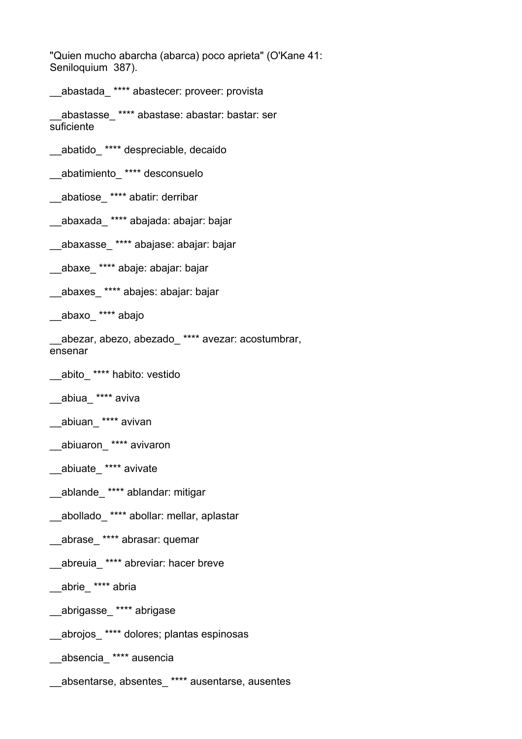"Quien mucho abarcha (abarca) poco aprieta" (O'Kane 41: Seniloquium 387).

\_\_abastada\_ \*\*\*\* abastecer: proveer: provista

\_\_abastasse\_ \*\*\*\* abastase: abastar: bastar: ser suficiente

\_\_abatido\_ \*\*\*\* despreciable, decaido

abatimiento \*\*\*\* desconsuelo

\_\_abatiose\_ \*\*\*\* abatir: derribar

\_\_abaxada\_ \*\*\*\* abajada: abajar: bajar

\_\_abaxasse\_ \*\*\*\* abajase: abajar: bajar

\_\_abaxe\_ \*\*\*\* abaje: abajar: bajar

\_\_abaxes\_ \*\*\*\* abajes: abajar: bajar

\_\_abaxo\_ \*\*\*\* abajo

\_abezar, abezo, abezado\_ \*\*\*\* avezar: acostumbrar, ensenar

\_\_abito\_ \*\*\*\* habito: vestido

abiua \*\*\*\* aviva

abiuan\_ \*\*\*\* avivan

\_\_abiuaron\_\*\*\*\* avivaron

abiuate \*\*\*\* avivate

\_\_ablande\_ \*\*\*\* ablandar: mitigar

\_\_abollado\_ \*\*\*\* abollar: mellar, aplastar

abrase \*\*\*\* abrasar: quemar

abreuia \*\*\*\* abreviar: hacer breve

\_\_abrie\_\*\*\*\* abria

\_\_abrigasse\_ \*\*\*\* abrigase

\_\_abrojos\_ \*\*\*\* dolores; plantas espinosas

\_\_absencia\_ \*\*\*\* ausencia

absentarse, absentes \*\*\*\* ausentarse, ausentes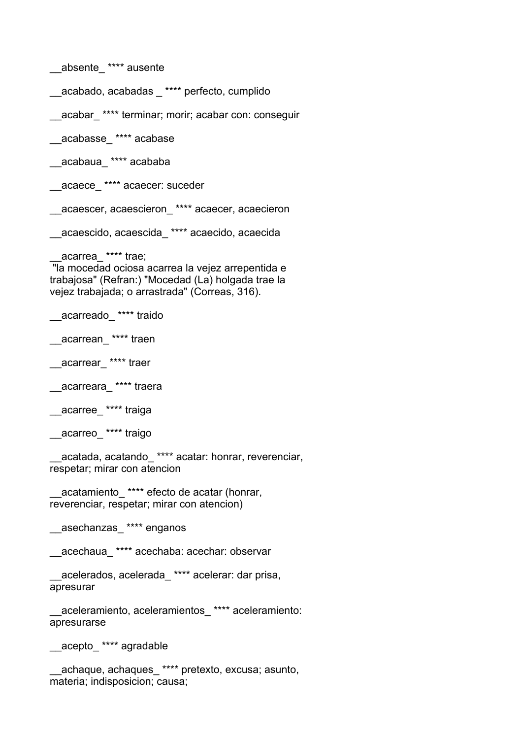absente \*\*\*\* ausente

\_\_acabado, acabadas \_ \*\*\*\* perfecto, cumplido

acabar \*\*\*\* terminar; morir; acabar con: conseguir

\_\_acabasse\_ \*\*\*\* acabase

\_\_acabaua\_ \*\*\*\* acababa

acaece \*\*\*\* acaecer: suceder

acaescer, acaescieron \*\*\*\* acaecer, acaecieron

acaescido, acaescida\_ \*\*\*\* acaecido, acaecida

acarrea \*\*\*\* trae;

"la mocedad ociosa acarrea la vejez arrepentida e trabajosa" (Refran:) "Mocedad (La) holgada trae la vejez trabajada; o arrastrada" (Correas, 316).

\_\_acarreado\_ \*\*\*\* traido

\_\_acarrean\_ \*\*\*\* traen

- \_\_acarrear\_ \*\*\*\* traer
- \_\_acarreara\_ \*\*\*\* traera
- \_\_acarree\_ \*\*\*\* traiga

\_\_acarreo\_ \*\*\*\* traigo

acatada, acatando \*\*\*\* acatar: honrar, reverenciar, respetar; mirar con atencion

\_acatamiento\_\*\*\*\* efecto de acatar (honrar, reverenciar, respetar; mirar con atencion)

asechanzas \*\*\*\* enganos

acechaua \*\*\*\* acechaba: acechar: observar

acelerados, acelerada \*\*\*\* acelerar: dar prisa, apresurar

\_aceleramiento, aceleramientos\_ \*\*\*\* aceleramiento: apresurarse

\_\_acepto\_ \*\*\*\* agradable

\_\_achaque, achaques\_ \*\*\*\* pretexto, excusa; asunto, materia; indisposicion; causa;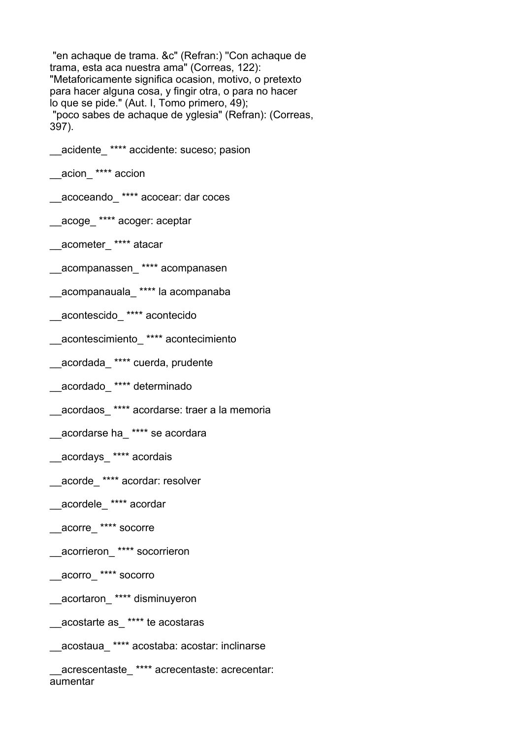"en achaque de trama. &c" (Refran:) ''Con achaque de trama, esta aca nuestra ama" (Correas, 122): "Metaforicamente significa ocasion, motivo, o pretexto para hacer alguna cosa, y fingir otra, o para no hacer lo que se pide." (Aut. I, Tomo primero, 49); "poco sabes de achaque de yglesia" (Refran): (Correas, 397).

acidente \*\*\*\* accidente: suceso; pasion

acion \*\*\*\* accion

acoceando \*\*\*\* acocear: dar coces

acoge \*\*\*\* acoger: aceptar

\_\_acometer\_ \*\*\*\* atacar

\_\_acompanassen\_ \*\*\*\* acompanasen

\_\_acompanauala\_ \*\*\*\* la acompanaba

\_\_acontescido\_ \*\*\*\* acontecido

\_\_acontescimiento\_ \*\*\*\* acontecimiento

\_\_acordada\_ \*\*\*\* cuerda, prudente

\_\_acordado\_ \*\*\*\* determinado

acordaos \*\*\*\* acordarse: traer a la memoria

\_\_acordarse ha\_ \*\*\*\* se acordara

acordays \*\*\*\* acordais

acorde \*\*\*\* acordar: resolver

\_\_acordele\_ \*\*\*\* acordar

acorre \*\*\*\* socorre

acorrieron \*\*\*\* socorrieron

\_\_acorro\_ \*\*\*\* socorro

acortaron \*\*\*\* disminuyeron

\_\_acostarte as\_ \*\*\*\* te acostaras

\_\_acostaua\_ \*\*\*\* acostaba: acostar: inclinarse

acrescentaste \*\*\*\* acrecentaste: acrecentar: aumentar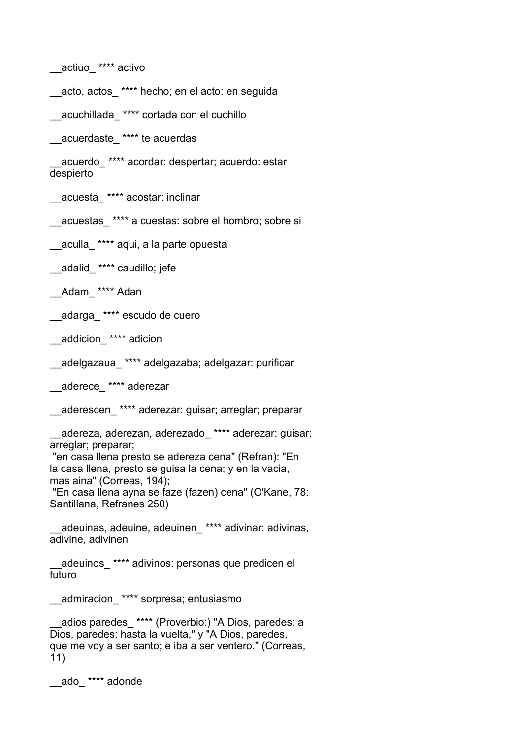actiuo \*\*\*\* activo

acto, actos \*\*\*\* hecho; en el acto: en seguida

\_\_acuchillada\_ \*\*\*\* cortada con el cuchillo

\_acuerdaste\_\*\*\*\* te acuerdas

\_\_acuerdo\_ \*\*\*\* acordar: despertar; acuerdo: estar despierto

\_\_acuesta\_ \*\*\*\* acostar: inclinar

\_\_acuestas\_ \*\*\*\* a cuestas: sobre el hombro; sobre si

\_\_aculla\_ \*\*\*\* aqui, a la parte opuesta

adalid \*\*\*\* caudillo; jefe

Adam \*\*\*\* Adan

\_\_adarga\_ \*\*\*\* escudo de cuero

addicion \*\*\*\* adicion

adelgazaua \*\*\*\* adelgazaba; adelgazar: purificar

\_\_aderece\_ \*\*\*\* aderezar

aderescen \*\*\*\* aderezar: guisar; arreglar; preparar

\_\_adereza, aderezan, aderezado\_ \*\*\*\* aderezar: guisar; arreglar; preparar;

"en casa llena presto se adereza cena" (Refran): "En la casa llena, presto se guisa la cena; y en la vacia, mas aina" (Correas, 194);

"En casa llena ayna se faze (fazen) cena" (O'Kane, 78: Santillana, Refranes 250)

adeuinas, adeuine, adeuinen \*\*\*\* adivinar: adivinas, adivine, adivinen

\_\_adeuinos\_ \*\*\*\* adivinos: personas que predicen el futuro

\_\_admiracion\_ \*\*\*\* sorpresa; entusiasmo

adios paredes \*\*\*\* (Proverbio:) "A Dios, paredes; a Dios, paredes; hasta la vuelta," y "A Dios, paredes, que me voy a ser santo; e iba a ser ventero." (Correas, 11)

ado \*\*\*\* adonde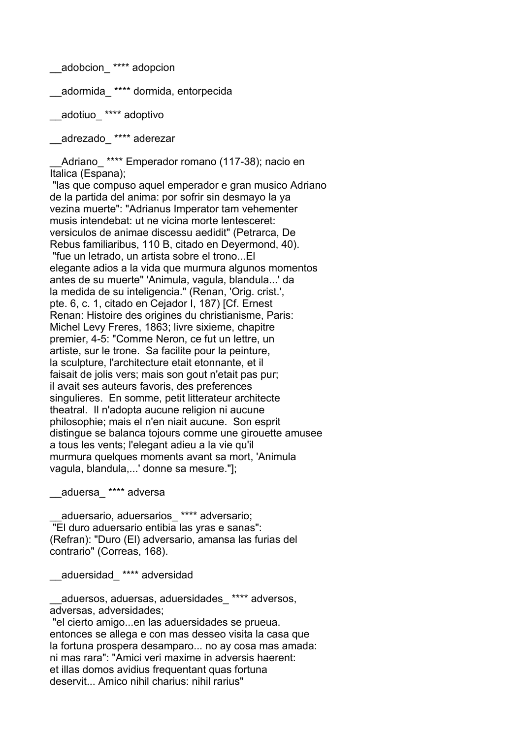adobcion \*\*\*\* adopcion

\_\_adormida\_ \*\*\*\* dormida, entorpecida

adotiuo \*\*\*\* adoptivo

\_adrezado\_ \*\*\*\* aderezar

Adriano \*\*\*\* Emperador romano (117-38); nacio en Italica (Espana);

"las que compuso aquel emperador e gran musico Adriano de la partida del anima: por sofrir sin desmayo la ya vezina muerte": "Adrianus Imperator tam vehementer musis intendebat: ut ne vicina morte lentesceret: versiculos de animae discessu aedidit" (Petrarca, De Rebus familiaribus, 110 B, citado en Deyermond, 40). "fue un letrado, un artista sobre el trono...El elegante adios a la vida que murmura algunos momentos antes de su muerte" 'Animula, vagula, blandula...' da la medida de su inteligencia." (Renan, 'Orig. crist.', pte. 6, c. 1, citado en Cejador I, 187) [Cf. Ernest Renan: Histoire des origines du christianisme, Paris: Michel Levy Freres, 1863; livre sixieme, chapitre premier, 4-5: "Comme Neron, ce fut un lettre, un artiste, sur le trone. Sa facilite pour la peinture, la sculpture, l'architecture etait etonnante, et il faisait de jolis vers; mais son gout n'etait pas pur; il avait ses auteurs favoris, des preferences singulieres. En somme, petit litterateur architecte theatral. Il n'adopta aucune religion ni aucune philosophie; mais el n'en niait aucune. Son esprit distingue se balanca tojours comme une girouette amusee a tous les vents; l'elegant adieu a la vie qu'il murmura quelques moments avant sa mort, 'Animula vagula, blandula,...' donne sa mesure."];

\_\_aduersa\_ \*\*\*\* adversa

aduersario, aduersarios \*\*\*\* adversario; "El duro aduersario entibia las yras e sanas": (Refran): "Duro (El) adversario, amansa las furias del contrario" (Correas, 168).

\_\_aduersidad\_ \*\*\*\* adversidad

aduersos, aduersas, aduersidades \*\*\*\* adversos, adversas, adversidades;

"el cierto amigo...en las aduersidades se prueua. entonces se allega e con mas desseo visita la casa que la fortuna prospera desamparo... no ay cosa mas amada: ni mas rara": "Amici veri maxime in adversis haerent: et illas domos avidius frequentant quas fortuna deservit... Amico nihil charius: nihil rarius"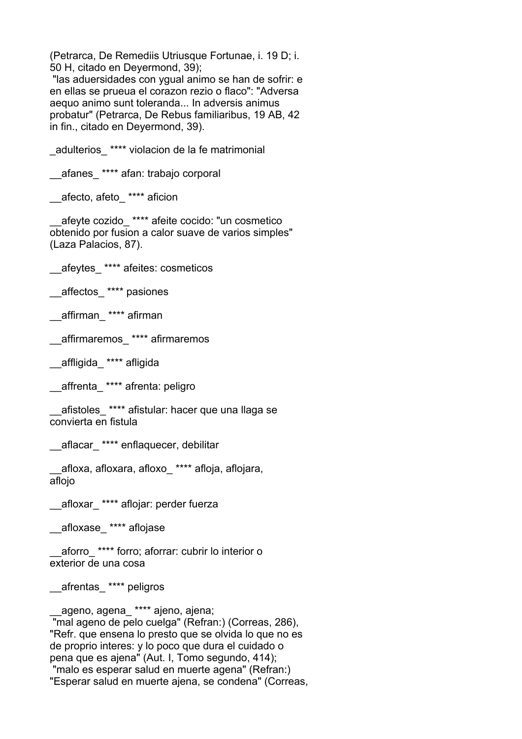(Petrarca, De Remediis Utriusque Fortunae, i. 19 D; i. 50 H, citado en Deyermond, 39);

"las aduersidades con ygual animo se han de sofrir: e en ellas se prueua el corazon rezio o flaco": "Adversa aequo animo sunt toleranda... In adversis animus probatur" (Petrarca, De Rebus familiaribus, 19 AB, 42 in fin., citado en Deyermond, 39).

adulterios \*\*\*\* violacion de la fe matrimonial

\_\_afanes\_ \*\*\*\* afan: trabajo corporal

afecto, afeto \*\*\*\* aficion

afeyte cozido \*\*\*\* afeite cocido: "un cosmetico obtenido por fusion a calor suave de varios simples" (Laza Palacios, 87).

\_\_afeytes\_ \*\*\*\* afeites: cosmeticos

affectos \*\*\*\* pasiones

\_\_affirman\_ \*\*\*\* afirman

\_\_affirmaremos\_ \*\*\*\* afirmaremos

\_\_affligida\_ \*\*\*\* afligida

\_\_affrenta\_\*\*\*\* afrenta: peligro

afistoles \*\*\*\* afistular: hacer que una llaga se convierta en fistula

aflacar \*\*\*\* enflaquecer, debilitar

afloxa, afloxara, afloxo \*\*\*\* afloja, aflojara, aflojo

\_\_afloxar\_ \*\*\*\* aflojar: perder fuerza

\_\_afloxase\_ \*\*\*\* aflojase

aforro \*\*\*\* forro; aforrar: cubrir lo interior o exterior de una cosa

\_\_afrentas\_ \*\*\*\* peligros

ageno, agena \*\*\*\* ajeno, ajena; "mal ageno de pelo cuelga" (Refran:) (Correas, 286), "Refr. que ensena lo presto que se olvida lo que no es de proprio interes: y lo poco que dura el cuidado o pena que es ajena" (Aut. I, Tomo segundo, 414); "malo es esperar salud en muerte agena" (Refran:) "Esperar salud en muerte ajena, se condena" (Correas,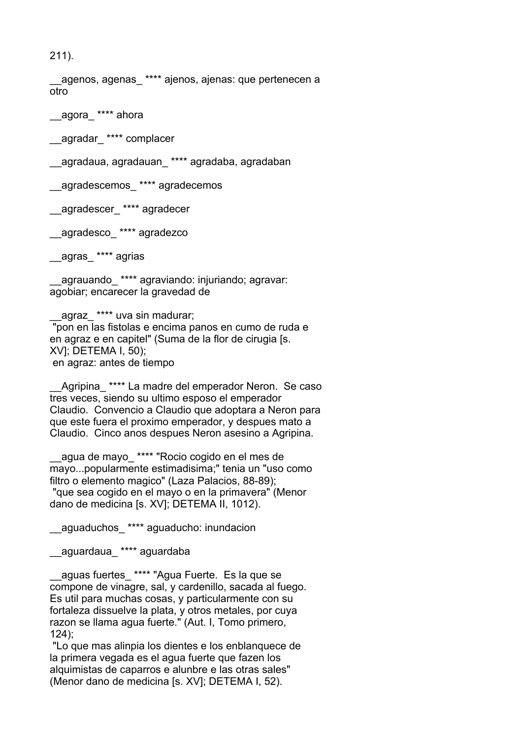211).

\_\_agenos, agenas\_ \*\*\*\* ajenos, ajenas: que pertenecen a otro

agora \*\*\*\* ahora

\_agradar\_ \*\*\*\* complacer

agradaua, agradauan \*\*\*\* agradaba, agradaban

agradescemos \*\*\*\* agradecemos

agradescer \*\*\*\* agradecer

agradesco \*\*\*\* agradezco

\_\_agras\_ \*\*\*\* agrias

agrauando \*\*\*\* agraviando: injuriando; agravar: agobiar; encarecer la gravedad de

agraz \*\*\*\* uva sin madurar; "pon en las fistolas e encima panos en cumo de ruda e en agraz e en capitel" (Suma de la flor de cirugia [s. XV]; DETEMA I, 50); en agraz: antes de tiempo

Agripina \*\*\*\* La madre del emperador Neron. Se caso tres veces, siendo su ultimo esposo el emperador Claudio. Convencio a Claudio que adoptara a Neron para que este fuera el proximo emperador, y despues mato a Claudio. Cinco anos despues Neron asesino a Agripina.

\_\_agua de mayo\_ \*\*\*\* "Rocio cogido en el mes de mayo...popularmente estimadisima;" tenia un "uso como filtro o elemento magico" (Laza Palacios, 88-89); "que sea cogido en el mayo o en la primavera" (Menor dano de medicina [s. XV]; DETEMA II, 1012).

aguaduchos \*\*\*\* aguaducho: inundacion

aguardaua \*\*\*\* aguardaba

aguas fuertes \*\*\*\* "Agua Fuerte. Es la que se compone de vinagre, sal, y cardenillo, sacada al fuego. Es util para muchas cosas, y particularmente con su fortaleza dissuelve la plata, y otros metales, por cuya razon se llama agua fuerte." (Aut. I, Tomo primero, 124);

"Lo que mas alinpia los dientes e los enblanquece de la primera vegada es el agua fuerte que fazen los alquimistas de caparros e alunbre e las otras sales" (Menor dano de medicina [s. XV]; DETEMA I, 52).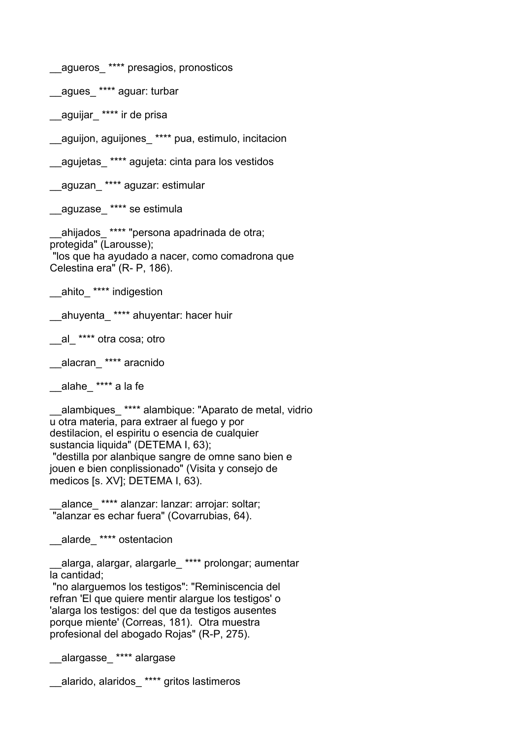\_\_agueros\_ \*\*\*\* presagios, pronosticos

agues \*\*\*\* aguar: turbar

aguijar \*\*\*\* ir de prisa

\_\_aguijon, aguijones\_ \*\*\*\* pua, estimulo, incitacion

agujetas \*\*\*\* agujeta: cinta para los vestidos

\_\_aguzan\_ \*\*\*\* aguzar: estimular

aguzase \*\*\*\* se estimula

ahijados \*\*\*\* "persona apadrinada de otra; protegida" (Larousse); "los que ha ayudado a nacer, como comadrona que Celestina era" (R- P, 186).

\_\_ahito\_<sup>\*\*\*\*</sup> indigestion

\_\_ahuyenta\_ \*\*\*\* ahuyentar: hacer huir

al \*\*\*\* otra cosa; otro

alacran \*\*\*\* aracnido

alahe \*\*\*\* a la fe

alambiques \*\*\*\* alambique: "Aparato de metal, vidrio u otra materia, para extraer al fuego y por destilacion, el espiritu o esencia de cualquier sustancia liquida" (DETEMA I, 63); "destilla por alanbique sangre de omne sano bien e jouen e bien conplissionado" (Visita y consejo de

medicos [s. XV]; DETEMA I, 63).

alance \*\*\*\* alanzar: lanzar: arrojar: soltar: "alanzar es echar fuera" (Covarrubias, 64).

alarde \*\*\*\* ostentacion

alarga, alargar, alargarle \*\*\*\* prolongar; aumentar la cantidad;

"no alarguemos los testigos": "Reminiscencia del refran 'El que quiere mentir alargue los testigos' o 'alarga los testigos: del que da testigos ausentes porque miente' (Correas, 181). Otra muestra profesional del abogado Rojas" (R-P, 275).

\_\_alargasse\_ \*\*\*\* alargase

alarido, alaridos \*\*\*\* gritos lastimeros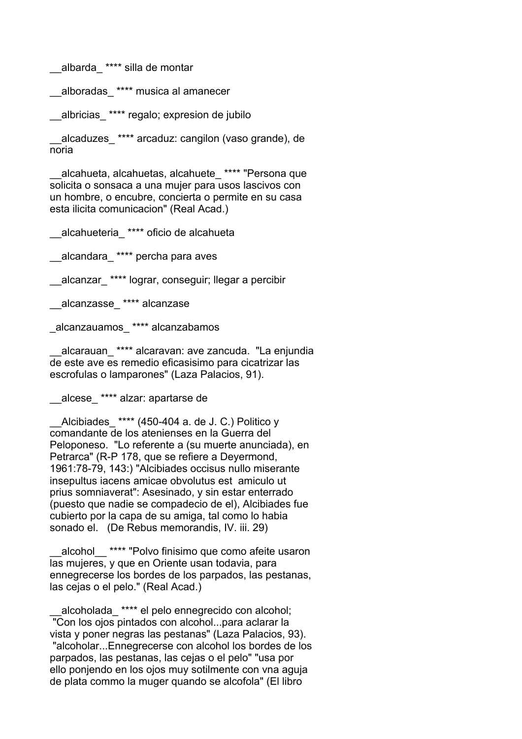albarda \*\*\*\* silla de montar

alboradas \*\*\*\* musica al amanecer

albricias \*\*\*\* regalo; expresion de jubilo

\_\_alcaduzes\_ \*\*\*\* arcaduz: cangilon (vaso grande), de noria

alcahueta, alcahuetas, alcahuete \*\*\*\* "Persona que solicita o sonsaca a una mujer para usos lascivos con un hombre, o encubre, concierta o permite en su casa esta ilicita comunicacion" (Real Acad.)

alcahueteria \*\*\*\* oficio de alcahueta

alcandara \*\*\*\* percha para aves

alcanzar \*\*\*\* lograr, conseguir; llegar a percibir

\_\_alcanzasse\_ \*\*\*\* alcanzase

\_alcanzauamos\_ \*\*\*\* alcanzabamos

alcarauan \*\*\*\* alcaravan: ave zancuda. "La enjundia de este ave es remedio eficasisimo para cicatrizar las escrofulas o lamparones" (Laza Palacios, 91).

\_\_alcese\_ \*\*\*\* alzar: apartarse de

Alcibiades \*\*\*\* (450-404 a. de J. C.) Politico y comandante de los atenienses en la Guerra del Peloponeso. "Lo referente a (su muerte anunciada), en Petrarca" (R-P 178, que se refiere a Deyermond, 1961:78-79, 143:) "Alcibiades occisus nullo miserante insepultus iacens amicae obvolutus est amiculo ut prius somniaverat": Asesinado, y sin estar enterrado (puesto que nadie se compadecio de el), Alcibiades fue cubierto por la capa de su amiga, tal como lo habia sonado el. (De Rebus memorandis, IV. iii. 29)

alcohol \*\*\*\* "Polvo finisimo que como afeite usaron las mujeres, y que en Oriente usan todavia, para ennegrecerse los bordes de los parpados, las pestanas, las cejas o el pelo." (Real Acad.)

alcoholada \*\*\*\* el pelo ennegrecido con alcohol; "Con los ojos pintados con alcohol...para aclarar la vista y poner negras las pestanas" (Laza Palacios, 93). "alcoholar...Ennegrecerse con alcohol los bordes de los parpados, las pestanas, las cejas o el pelo" "usa por ello ponjendo en los ojos muy sotilmente con vna aguja de plata commo la muger quando se alcofola" (El libro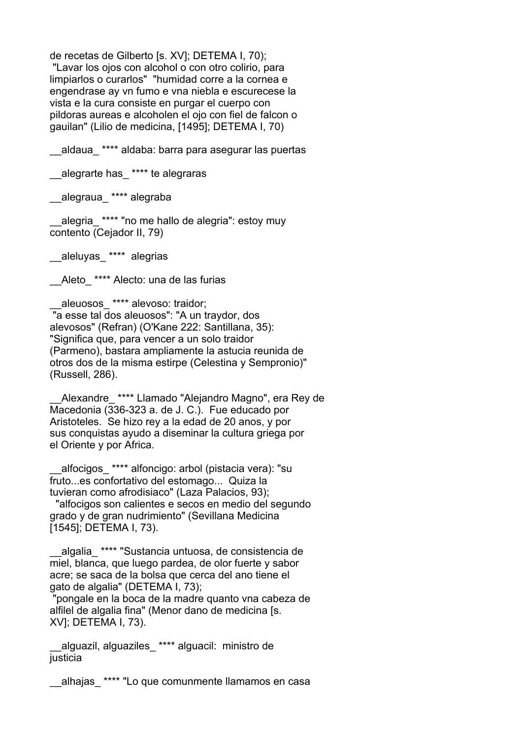de recetas de Gilberto [s. XV]; DETEMA I, 70); "Lavar los ojos con alcohol o con otro colirio, para limpiarlos o curarlos" "humidad corre a la cornea e engendrase ay vn fumo e vna niebla e escurecese la vista e la cura consiste en purgar el cuerpo con pildoras aureas e alcoholen el ojo con fiel de falcon o gauilan" (Lilio de medicina, [1495]; DETEMA I, 70)

\_\_aldaua\_ \*\*\*\* aldaba: barra para asegurar las puertas

alegrarte has \*\*\*\* te alegraras

alegraua \*\*\*\* alegraba

alegria \*\*\*\* "no me hallo de alegria": estoy muy contento (Cejador II, 79)

\_\_aleluyas\_\*\*\*\* alegrias

Aleto \*\*\*\* Alecto: una de las furias

aleuosos \*\*\*\* alevoso: traidor; "a esse tal dos aleuosos": "A un traydor, dos alevosos" (Refran) (O'Kane 222: Santillana, 35): "Significa que, para vencer a un solo traidor (Parmeno), bastara ampliamente la astucia reunida de otros dos de la misma estirpe (Celestina y Sempronio)" (Russell, 286).

Alexandre \*\*\*\* Llamado "Alejandro Magno", era Rey de Macedonia (336-323 a. de J. C.). Fue educado por Aristoteles. Se hizo rey a la edad de 20 anos, y por sus conquistas ayudo a diseminar la cultura griega por el Oriente y por Africa.

alfocigos \*\*\*\* alfoncigo: arbol (pistacia vera): "su fruto...es confortativo del estomago... Quiza la tuvieran como afrodisiaco" (Laza Palacios, 93);

 "alfocigos son calientes e secos en medio del segundo grado y de gran nudrimiento" (Sevillana Medicina [1545]; DETEMA I, 73).

algalia \*\*\*\* "Sustancia untuosa, de consistencia de miel, blanca, que luego pardea, de olor fuerte y sabor acre; se saca de la bolsa que cerca del ano tiene el gato de algalia" (DETEMA I, 73);

"pongale en la boca de la madre quanto vna cabeza de alfilel de algalia fina" (Menor dano de medicina [s. XV]; DETEMA I, 73).

\_\_alguazil, alguaziles\_ \*\*\*\* alguacil: ministro de justicia

alhajas \*\*\*\* "Lo que comunmente llamamos en casa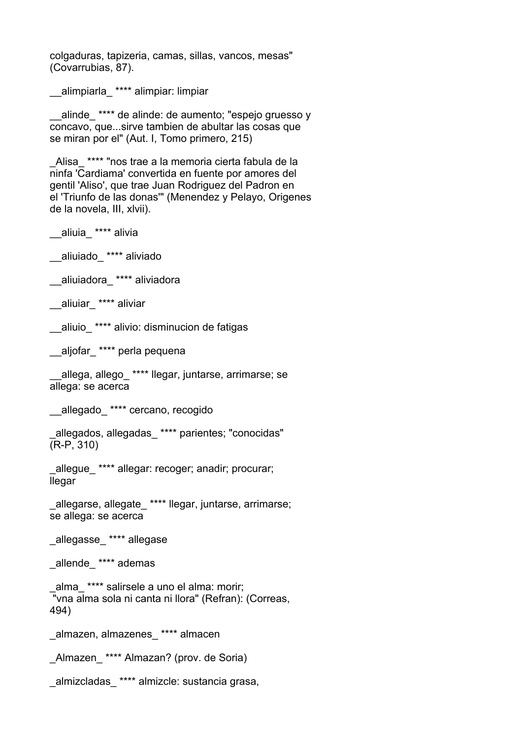colgaduras, tapizeria, camas, sillas, vancos, mesas" (Covarrubias, 87).

\_\_alimpiarla\_ \*\*\*\* alimpiar: limpiar

alinde \*\*\*\* de alinde: de aumento; "espejo gruesso y concavo, que...sirve tambien de abultar las cosas que se miran por el" (Aut. I, Tomo primero, 215)

\_Alisa\_ \*\*\*\* "nos trae a la memoria cierta fabula de la ninfa 'Cardiama' convertida en fuente por amores del gentil 'Aliso', que trae Juan Rodriguez del Padron en el 'Triunfo de las donas'" (Menendez y Pelayo, Origenes de la novela, III, xlvii).

aliuia \*\*\*\* alivia

\_\_aliuiado\_ \*\*\*\* aliviado

\_\_aliuiadora\_ \*\*\*\* aliviadora

aliuiar \*\*\*\* aliviar

aliuio \*\*\*\* alivio: disminucion de fatigas

aljofar \*\*\*\* perla pequena

allega, allego \*\*\*\* llegar, juntarse, arrimarse; se allega: se acerca

allegado \*\*\*\* cercano, recogido

allegados, allegadas\_ \*\*\*\* parientes; "conocidas" (R-P, 310)

\_allegue\_ \*\*\*\* allegar: recoger; anadir; procurar; llegar

\_allegarse, allegate\_ \*\*\*\* llegar, juntarse, arrimarse; se allega: se acerca

allegasse \*\*\*\* allegase

allende \*\*\*\* ademas

alma \*\*\*\* salirsele a uno el alma: morir; "vna alma sola ni canta ni llora" (Refran): (Correas, 494)

\_almazen, almazenes\_ \*\*\*\* almacen

Almazen \*\*\*\* Almazan? (prov. de Soria)

almizcladas \*\*\*\* almizcle: sustancia grasa,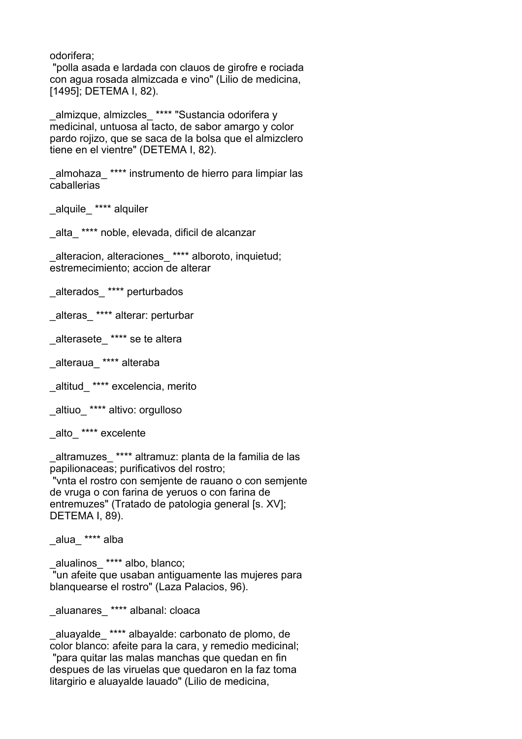odorifera;

"polla asada e lardada con clauos de girofre e rociada con agua rosada almizcada e vino" (Lilio de medicina, [1495]; DETEMA I, 82).

almizque, almizcles \*\*\*\* "Sustancia odorifera y medicinal, untuosa al tacto, de sabor amargo y color pardo rojizo, que se saca de la bolsa que el almizclero tiene en el vientre" (DETEMA I, 82).

almohaza \*\*\*\* instrumento de hierro para limpiar las caballerias

alquile \*\*\*\* alquiler

alta \*\*\*\* noble, elevada, dificil de alcanzar

alteracion, alteraciones \*\*\*\* alboroto, inquietud; estremecimiento; accion de alterar

\_alterados\_ \*\*\*\* perturbados

alteras \*\*\*\* alterar: perturbar

\_alterasete\_ \*\*\*\* se te altera

alteraua \*\*\*\* alteraba

altitud \*\*\*\* excelencia, merito

\_altiuo\_ \*\*\*\* altivo: orgulloso

\_alto\_\*\*\*\* excelente

\_altramuzes\_ \*\*\*\* altramuz: planta de la familia de las papilionaceas; purificativos del rostro;

"vnta el rostro con semjente de rauano o con semjente de vruga o con farina de yeruos o con farina de entremuzes" (Tratado de patologia general [s. XV]; DETEMA I, 89).

\_alua\_ \*\*\*\* alba

alualinos \*\*\*\* albo, blanco; "un afeite que usaban antiguamente las mujeres para blanquearse el rostro" (Laza Palacios, 96).

aluanares \*\*\*\* albanal: cloaca

\_aluayalde\_ \*\*\*\* albayalde: carbonato de plomo, de color blanco: afeite para la cara, y remedio medicinal; "para quitar las malas manchas que quedan en fin despues de las viruelas que quedaron en la faz toma litargirio e aluayalde lauado" (Lilio de medicina,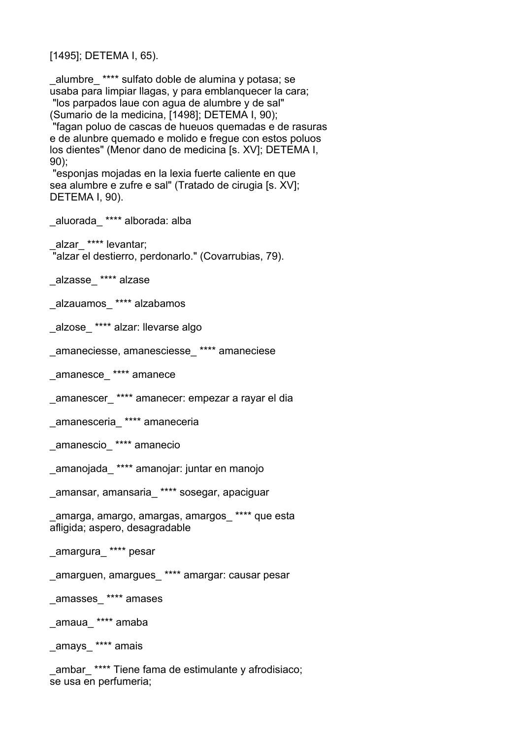[1495]; DETEMA I, 65).

alumbre \*\*\*\* sulfato doble de alumina y potasa; se usaba para limpiar llagas, y para emblanquecer la cara; "los parpados laue con agua de alumbre y de sal" (Sumario de la medicina, [1498]; DETEMA I, 90); "fagan poluo de cascas de hueuos quemadas e de rasuras e de alunbre quemado e molido e fregue con estos poluos los dientes" (Menor dano de medicina [s. XV]; DETEMA I, 90); "esponjas mojadas en la lexia fuerte caliente en que sea alumbre e zufre e sal" (Tratado de cirugia [s. XV]; DETEMA I, 90). \_aluorada\_ \*\*\*\* alborada: alba alzar \*\*\*\* levantar; "alzar el destierro, perdonarlo." (Covarrubias, 79). \_alzasse\_ \*\*\*\* alzase \_alzauamos\_ \*\*\*\* alzabamos \_alzose\_ \*\*\*\* alzar: llevarse algo amaneciesse, amanesciesse \*\*\*\* amaneciese amanesce \*\*\*\* amanece amanescer \*\*\*\* amanecer: empezar a rayar el dia amanesceria \*\*\*\* amaneceria \_amanescio\_ \*\*\*\* amanecio \_amanojada\_ \*\*\*\* amanojar: juntar en manojo \_amansar, amansaria\_ \*\*\*\* sosegar, apaciguar \_amarga, amargo, amargas, amargos\_ \*\*\*\* que esta afligida; aspero, desagradable \_amargura\_ \*\*\*\* pesar amarguen, amargues \*\*\*\* amargar: causar pesar \_amasses\_ \*\*\*\* amases \_amaua\_ \*\*\*\* amaba

amays \*\*\*\* amais

ambar \*\*\*\* Tiene fama de estimulante y afrodisiaco; se usa en perfumeria;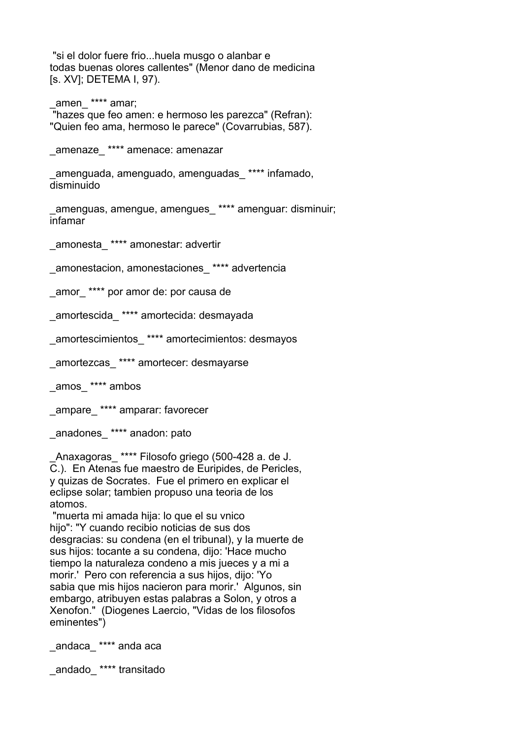"si el dolor fuere frio...huela musgo o alanbar e todas buenas olores callentes" (Menor dano de medicina [s. XV]; DETEMA I, 97).

amen \*\*\*\* amar; "hazes que feo amen: e hermoso les parezca" (Refran): "Quien feo ama, hermoso le parece" (Covarrubias, 587).

amenaze \*\*\*\* amenace: amenazar

amenguada, amenguado, amenguadas \*\*\*\* infamado, disminuido

amenguas, amengue, amengues \*\*\*\* amenguar: disminuir; infamar

amonesta \*\*\*\* amonestar: advertir

amonestacion, amonestaciones \*\*\*\* advertencia

\_amor\_ \*\*\*\* por amor de: por causa de

\_amortescida\_ \*\*\*\* amortecida: desmayada

\_amortescimientos\_ \*\*\*\* amortecimientos: desmayos

amortezcas \*\*\*\* amortecer: desmayarse

\_amos\_ \*\*\*\* ambos

ampare \*\*\*\* amparar: favorecer

\_anadones\_ \*\*\*\* anadon: pato

\_Anaxagoras\_ \*\*\*\* Filosofo griego (500-428 a. de J. C.). En Atenas fue maestro de Euripides, de Pericles, y quizas de Socrates. Fue el primero en explicar el eclipse solar; tambien propuso una teoria de los atomos.

"muerta mi amada hija: lo que el su vnico hijo": "Y cuando recibio noticias de sus dos desgracias: su condena (en el tribunal), y la muerte de sus hijos: tocante a su condena, dijo: 'Hace mucho tiempo la naturaleza condeno a mis jueces y a mi a morir.' Pero con referencia a sus hijos, dijo: 'Yo sabia que mis hijos nacieron para morir.' Algunos, sin embargo, atribuyen estas palabras a Solon, y otros a Xenofon." (Diogenes Laercio, "Vidas de los filosofos eminentes")

\_andaca\_ \*\*\*\* anda aca

\_andado\_ \*\*\*\* transitado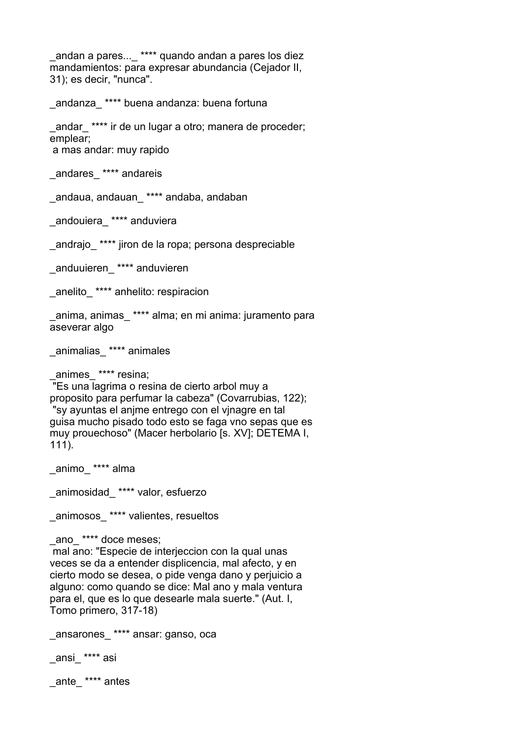andan a pares... \*\*\*\* quando andan a pares los diez mandamientos: para expresar abundancia (Cejador II, 31); es decir, "nunca".

\_andanza\_\*\*\*\* buena andanza: buena fortuna

\_andar\_ \*\*\*\* ir de un lugar a otro; manera de proceder; emplear; a mas andar: muy rapido

andares \*\*\*\* andareis

andaua, andauan \*\*\*\* andaba, andaban

andouiera \*\*\*\* anduviera

andrajo \*\*\*\* jiron de la ropa; persona despreciable

anduuieren \*\*\*\* anduvieren

anelito \*\*\*\* anhelito: respiracion

\_anima, animas\_ \*\*\*\* alma; en mi anima: juramento para aseverar algo

\_animalias\_ \*\*\*\* animales

\_animes\_ \*\*\*\* resina;

"Es una lagrima o resina de cierto arbol muy a proposito para perfumar la cabeza" (Covarrubias, 122); "sy ayuntas el anjme entrego con el vjnagre en tal guisa mucho pisado todo esto se faga vno sepas que es muy prouechoso" (Macer herbolario [s. XV]; DETEMA I, 111).

\_animo\_ \*\*\*\* alma

\_animosidad\_ \*\*\*\* valor, esfuerzo

\_animosos\_ \*\*\*\* valientes, resueltos

ano \*\*\*\* doce meses;

mal ano: "Especie de interjeccion con la qual unas veces se da a entender displicencia, mal afecto, y en cierto modo se desea, o pide venga dano y perjuicio a alguno: como quando se dice: Mal ano y mala ventura para el, que es lo que desearle mala suerte." (Aut. I, Tomo primero, 317-18)

ansarones \*\*\*\* ansar: ganso, oca

\_ansi\_ \*\*\*\* asi

ante \*\*\*\* antes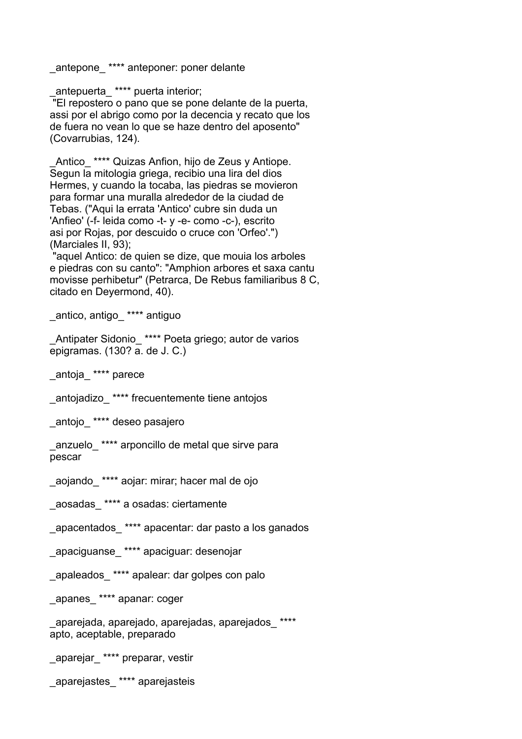\_antepone\_ \*\*\*\* anteponer: poner delante

antepuerta \*\*\*\* puerta interior; "El repostero o pano que se pone delante de la puerta, assi por el abrigo como por la decencia y recato que los de fuera no vean lo que se haze dentro del aposento" (Covarrubias, 124).

Antico \*\*\*\* Quizas Anfion, hijo de Zeus y Antiope. Segun la mitologia griega, recibio una lira del dios Hermes, y cuando la tocaba, las piedras se movieron para formar una muralla alrededor de la ciudad de Tebas. ("Aqui la errata 'Antico' cubre sin duda un 'Anfieo' (-f- leida como -t- y -e- como -c-), escrito asi por Rojas, por descuido o cruce con 'Orfeo'.") (Marciales II, 93);

"aquel Antico: de quien se dize, que mouia los arboles e piedras con su canto": "Amphion arbores et saxa cantu movisse perhibetur" (Petrarca, De Rebus familiaribus 8 C, citado en Deyermond, 40).

\_antico, antigo\_ \*\*\*\* antiguo

Antipater Sidonio \*\*\*\* Poeta griego; autor de varios epigramas. (130? a. de J. C.)

\_antoja\_ \*\*\*\* parece

antojadizo \*\*\*\* frecuentemente tiene antojos

antojo \*\*\*\* deseo pasajero

anzuelo \*\*\*\* arponcillo de metal que sirve para pescar

\_aojando\_ \*\*\*\* aojar: mirar; hacer mal de ojo

\_aosadas\_ \*\*\*\* a osadas: ciertamente

\_apacentados\_ \*\*\*\* apacentar: dar pasto a los ganados

\_apaciguanse\_ \*\*\*\* apaciguar: desenojar

apaleados \*\*\*\* apalear: dar golpes con palo

\_apanes\_ \*\*\*\* apanar: coger

\_aparejada, aparejado, aparejadas, aparejados\_ \*\*\*\* apto, aceptable, preparado

aparejar \*\*\*\* preparar, vestir

\_aparejastes\_ \*\*\*\* aparejasteis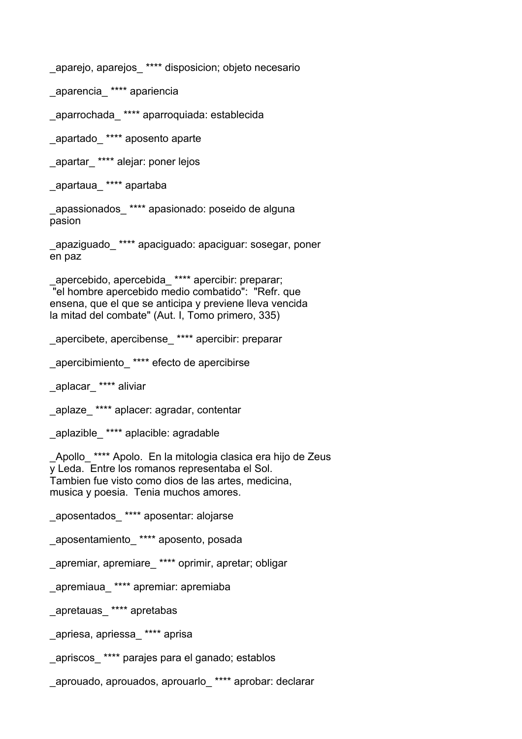\_aparejo, aparejos\_ \*\*\*\* disposicion; objeto necesario

\_aparencia\_ \*\*\*\* apariencia

\_aparrochada\_ \*\*\*\* aparroquiada: establecida

\_apartado\_ \*\*\*\* aposento aparte

apartar \*\*\*\* alejar: poner lejos

\_apartaua\_ \*\*\*\* apartaba

apassionados \*\*\*\* apasionado: poseido de alguna pasion

apaziguado \*\*\*\* apaciguado: apaciguar: sosegar, poner en paz

\_apercebido, apercebida\_ \*\*\*\* apercibir: preparar; "el hombre apercebido medio combatido": "Refr. que ensena, que el que se anticipa y previene lleva vencida la mitad del combate" (Aut. I, Tomo primero, 335)

\_apercibete, apercibense\_ \*\*\*\* apercibir: preparar

apercibimiento \*\*\*\* efecto de apercibirse

\_aplacar\_\*\*\*\* aliviar

\_aplaze\_ \*\*\*\* aplacer: agradar, contentar

\_aplazible\_ \*\*\*\* aplacible: agradable

\_Apollo\_ \*\*\*\* Apolo. En la mitologia clasica era hijo de Zeus y Leda. Entre los romanos representaba el Sol. Tambien fue visto como dios de las artes, medicina, musica y poesia. Tenia muchos amores.

\_aposentados\_ \*\*\*\* aposentar: alojarse

\_aposentamiento\_ \*\*\*\* aposento, posada

apremiar, apremiare \*\*\*\* oprimir, apretar; obligar

\_apremiaua\_ \*\*\*\* apremiar: apremiaba

\_apretauas\_ \*\*\*\* apretabas

\_apriesa, apriessa\_ \*\*\*\* aprisa

\_apriscos\_ \*\*\*\* parajes para el ganado; establos

\_aprouado, aprouados, aprouarlo\_ \*\*\*\* aprobar: declarar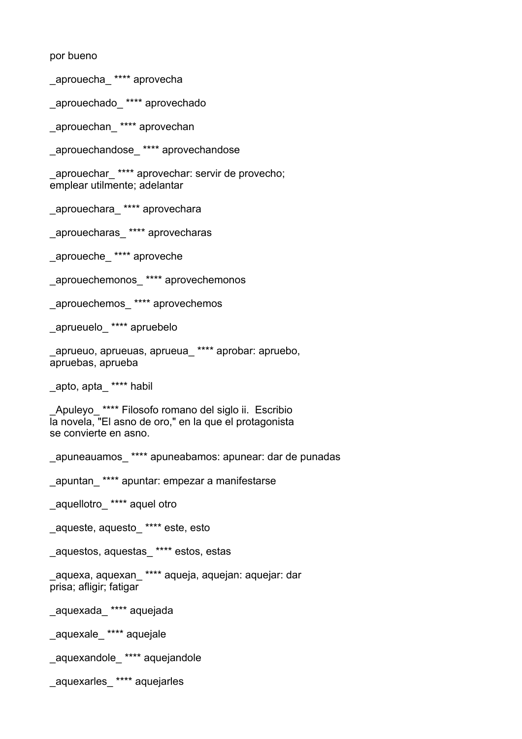## por bueno

\_aprouecha\_ \*\*\*\* aprovecha

\_aprouechado\_ \*\*\*\* aprovechado

\_aprouechan\_ \*\*\*\* aprovechan

\_aprouechandose\_ \*\*\*\* aprovechandose

aprouechar \*\*\*\* aprovechar: servir de provecho; emplear utilmente; adelantar

aprouechara \*\*\*\* aprovechara

\_aprouecharas\_ \*\*\*\* aprovecharas

\_aproueche\_ \*\*\*\* aproveche

\_aprouechemonos\_ \*\*\*\* aprovechemonos

\_aprouechemos\_ \*\*\*\* aprovechemos

\_aprueuelo\_ \*\*\*\* apruebelo

\_aprueuo, aprueuas, aprueua\_ \*\*\*\* aprobar: apruebo, apruebas, aprueba

\_apto, apta\_ \*\*\*\* habil

\_Apuleyo\_ \*\*\*\* Filosofo romano del siglo ii. Escribio la novela, "El asno de oro," en la que el protagonista se convierte en asno.

apuneauamos \*\*\*\* apuneabamos: apunear: dar de punadas

apuntan \*\*\*\* apuntar: empezar a manifestarse

\_aquellotro\_ \*\*\*\* aquel otro

\_aqueste, aquesto\_ \*\*\*\* este, esto

\_aquestos, aquestas\_ \*\*\*\* estos, estas

aquexa, aquexan \*\*\*\* aqueja, aquejan: aquejar: dar prisa; afligir; fatigar

\_aquexada\_ \*\*\*\* aquejada

\_aquexale\_ \*\*\*\* aquejale

aquexandole \*\*\*\* aquejandole

\_aquexarles\_ \*\*\*\* aquejarles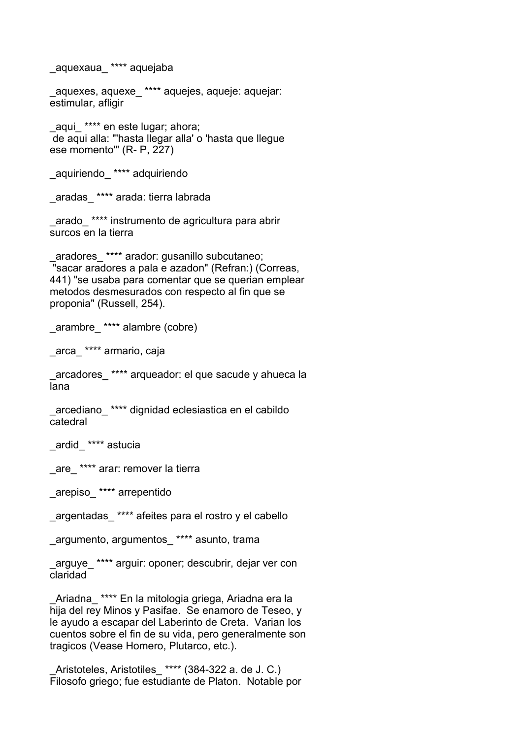aquexaua \*\*\*\* aquejaba aquexes, aquexe \*\*\*\* aquejes, aqueje: aquejar: estimular, afligir aqui \*\*\*\* en este lugar; ahora; de aqui alla: "'hasta llegar alla' o 'hasta que llegue ese momento'" (R- P, 227) aquiriendo \*\*\*\* adquiriendo \_aradas\_ \*\*\*\* arada: tierra labrada \_arado\_ \*\*\*\* instrumento de agricultura para abrir surcos en la tierra aradores \*\*\*\* arador: gusanillo subcutaneo; "sacar aradores a pala e azadon" (Refran:) (Correas, 441) "se usaba para comentar que se querian emplear metodos desmesurados con respecto al fin que se proponia" (Russell, 254). \_arambre\_ \*\*\*\* alambre (cobre) arca \*\*\*\* armario, caja arcadores \*\*\*\* arqueador: el que sacude y ahueca la lana \_arcediano\_ \*\*\*\* dignidad eclesiastica en el cabildo catedral \_ardid\_ \*\*\*\* astucia are \*\*\*\* arar: remover la tierra \_arepiso\_ \*\*\*\* arrepentido \_argentadas\_ \*\*\*\* afeites para el rostro y el cabello argumento, argumentos \*\*\*\* asunto, trama \_arguye\_ \*\*\*\* arguir: oponer; descubrir, dejar ver con claridad Ariadna \*\*\*\* En la mitologia griega, Ariadna era la hija del rey Minos y Pasifae. Se enamoro de Teseo, y le ayudo a escapar del Laberinto de Creta. Varian los cuentos sobre el fin de su vida, pero generalmente son

tragicos (Vease Homero, Plutarco, etc.). Aristoteles, Aristotiles \*\*\*\* (384-322 a. de J. C.) Filosofo griego; fue estudiante de Platon. Notable por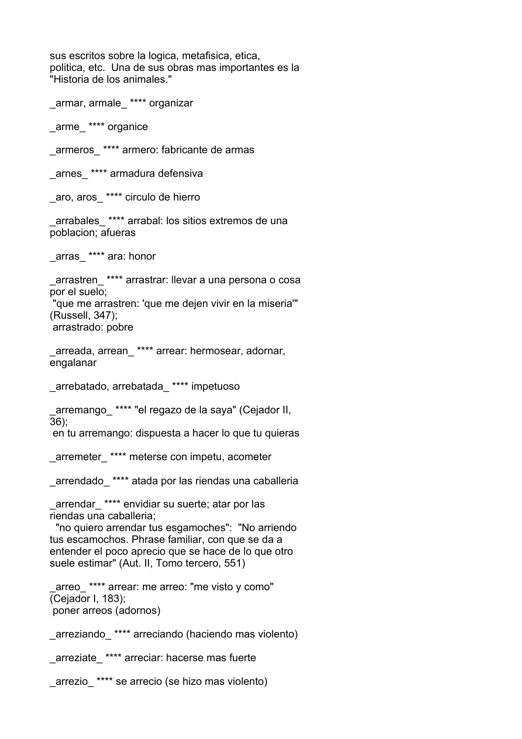sus escritos sobre la logica, metafisica, etica, politica, etc. Una de sus obras mas importantes es la "Historia de los animales."

\_armar, armale\_ \*\*\*\* organizar

\_arme\_ \*\*\*\* organice

armeros \*\*\*\* armero: fabricante de armas

arnes \*\*\*\* armadura defensiva

aro, aros \*\*\*\* circulo de hierro

\_arrabales\_ \*\*\*\* arrabal: los sitios extremos de una poblacion; afueras

\_arras\_ \*\*\*\* ara: honor

\_arrastren\_ \*\*\*\* arrastrar: llevar a una persona o cosa por el suelo;

"que me arrastren: 'que me dejen vivir en la miseria'" (Russell, 347); arrastrado: pobre

arreada, arrean \*\*\*\* arrear: hermosear, adornar, engalanar

\_arrebatado, arrebatada\_ \*\*\*\* impetuoso

\_arremango\_ \*\*\*\* "el regazo de la saya" (Cejador II, 36);

en tu arremango: dispuesta a hacer lo que tu quieras

arremeter \*\*\*\* meterse con impetu, acometer

\_arrendado\_ \*\*\*\* atada por las riendas una caballeria

arrendar \*\*\*\* envidiar su suerte; atar por las riendas una caballeria;

 "no quiero arrendar tus esgamoches": "No arriendo tus escamochos. Phrase familiar, con que se da a entender el poco aprecio que se hace de lo que otro suele estimar" (Aut. II, Tomo tercero, 551)

arreo \*\*\*\* arrear: me arreo: "me visto y como" (Cejador I, 183); poner arreos (adornos)

arreziando \*\*\*\* arreciando (haciendo mas violento)

arreziate \*\*\*\* arreciar: hacerse mas fuerte

arrezio \*\*\*\* se arrecio (se hizo mas violento)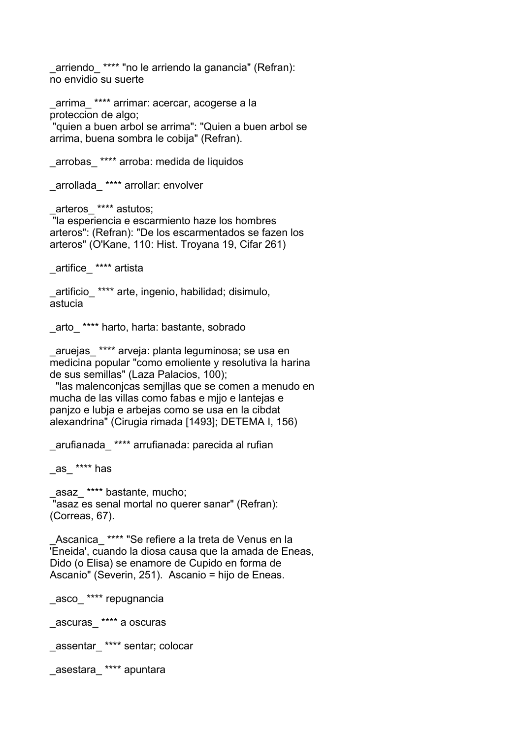no envidio su suerte arrima \*\*\*\* arrimar: acercar, acogerse a la proteccion de algo; "quien a buen arbol se arrima": "Quien a buen arbol se arrima, buena sombra le cobija" (Refran). arrobas \*\*\*\* arroba: medida de liquidos arrollada \*\*\*\* arrollar: envolver \_arteros\_ \*\*\*\* astutos; "la esperiencia e escarmiento haze los hombres arteros": (Refran): "De los escarmentados se fazen los arteros" (O'Kane, 110: Hist. Troyana 19, Cifar 261) \_artifice\_ \*\*\*\* artista \_artificio\_ \*\*\*\* arte, ingenio, habilidad; disimulo, astucia \_arto\_ \*\*\*\* harto, harta: bastante, sobrado aruejas \*\*\*\* arveja: planta leguminosa; se usa en medicina popular "como emoliente y resolutiva la harina de sus semillas" (Laza Palacios, 100); "las malenconjcas semjllas que se comen a menudo en mucha de las villas como fabas e mjjo e lantejas e panjzo e lubja e arbejas como se usa en la cibdat alexandrina" (Cirugia rimada [1493]; DETEMA I, 156) arufianada \*\*\*\* arrufianada: parecida al rufian \_as\_ \*\*\*\* has \_asaz\_ \*\*\*\* bastante, mucho; "asaz es senal mortal no querer sanar" (Refran): (Correas, 67). Ascanica \*\*\*\* "Se refiere a la treta de Venus en la 'Eneida', cuando la diosa causa que la amada de Eneas, Dido (o Elisa) se enamore de Cupido en forma de Ascanio" (Severin, 251). Ascanio = hijo de Eneas. asco \*\*\*\* repugnancia \_ascuras\_ \*\*\*\* a oscuras \_assentar\_ \*\*\*\* sentar; colocar

arriendo \*\*\*\* "no le arriendo la ganancia" (Refran):

\_asestara\_ \*\*\*\* apuntara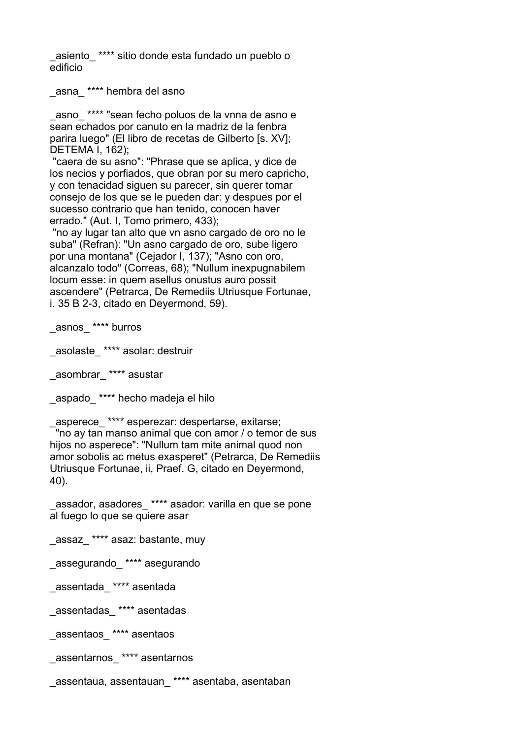asiento \*\*\*\* sitio donde esta fundado un pueblo o edificio

\_asna\_ \*\*\*\* hembra del asno

asno \*\*\*\* "sean fecho poluos de la vnna de asno e sean echados por canuto en la madriz de la fenbra parira luego" (El libro de recetas de Gilberto [s. XV]; DETEMA I, 162);

"caera de su asno": "Phrase que se aplica, y dice de los necios y porfiados, que obran por su mero capricho, y con tenacidad siguen su parecer, sin querer tomar consejo de los que se le pueden dar: y despues por el sucesso contrario que han tenido, conocen haver errado." (Aut. I, Tomo primero, 433);

"no ay lugar tan alto que vn asno cargado de oro no le suba" (Refran): "Un asno cargado de oro, sube ligero por una montana" (Cejador I, 137); "Asno con oro, alcanzalo todo" (Correas, 68); "Nullum inexpugnabilem locum esse: in quem asellus onustus auro possit ascendere" (Petrarca, De Remediis Utriusque Fortunae, i. 35 B 2-3, citado en Deyermond, 59).

\_asnos\_ \*\*\*\* burros

asolaste \*\*\*\* asolar: destruir

\_asombrar\_ \*\*\*\* asustar

aspado \*\*\*\* hecho madeja el hilo

asperece \*\*\*\* esperezar: despertarse, exitarse;

 "no ay tan manso animal que con amor / o temor de sus hijos no asperece": "Nullum tam mite animal quod non amor sobolis ac metus exasperet" (Petrarca, De Remediis Utriusque Fortunae, ii, Praef. G, citado en Deyermond, 40).

\_assador, asadores\_ \*\*\*\* asador: varilla en que se pone al fuego lo que se quiere asar

\_assaz\_ \*\*\*\* asaz: bastante, muy

assegurando \*\*\*\* asegurando

\_assentada\_ \*\*\*\* asentada

\_assentadas\_ \*\*\*\* asentadas

\_assentaos\_ \*\*\*\* asentaos

\_assentarnos\_ \*\*\*\* asentarnos

assentaua, assentauan \*\*\*\* asentaba, asentaban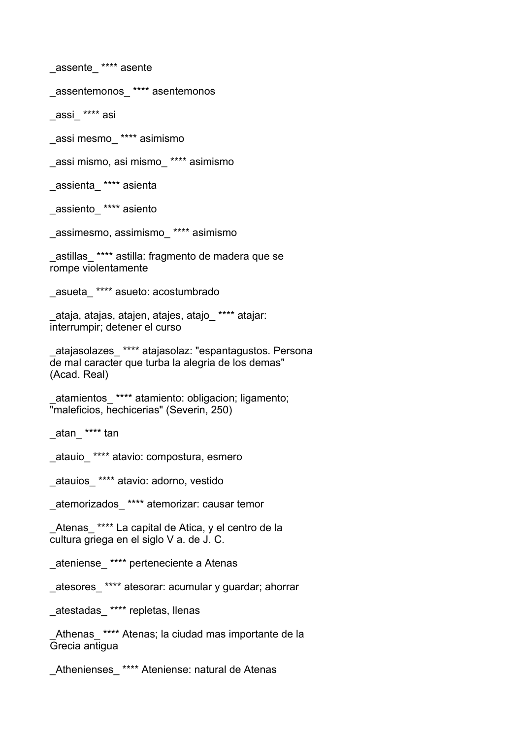\_assente\_ \*\*\*\* asente

\_assentemonos\_ \*\*\*\* asentemonos

\_assi\_ \*\*\*\* asi

\_assi mesmo\_ \*\*\*\* asimismo

\_assi mismo, asi mismo\_ \*\*\*\* asimismo

\_assienta\_ \*\*\*\* asienta

\_assiento\_ \*\*\*\* asiento

\_assimesmo, assimismo\_ \*\*\*\* asimismo

astillas \*\*\*\* astilla: fragmento de madera que se rompe violentamente

\_asueta\_ \*\*\*\* asueto: acostumbrado

\_ataja, atajas, atajen, atajes, atajo\_ \*\*\*\* atajar: interrumpir; detener el curso

\_atajasolazes\_ \*\*\*\* atajasolaz: "espantagustos. Persona de mal caracter que turba la alegria de los demas" (Acad. Real)

atamientos \*\*\*\* atamiento: obligacion; ligamento; "maleficios, hechicerias" (Severin, 250)

\_atan\_ \*\*\*\* tan

\_atauio\_ \*\*\*\* atavio: compostura, esmero

\_atauios\_ \*\*\*\* atavio: adorno, vestido

atemorizados \*\*\*\* atemorizar: causar temor

Atenas \*\*\*\* La capital de Atica, y el centro de la cultura griega en el siglo V a. de J. C.

ateniense \*\*\*\* perteneciente a Atenas

atesores\_ \*\*\*\* atesorar: acumular y guardar; ahorrar

\_atestadas\_ \*\*\*\* repletas, llenas

Athenas \*\*\*\* Atenas; la ciudad mas importante de la Grecia antigua

\_Athenienses\_ \*\*\*\* Ateniense: natural de Atenas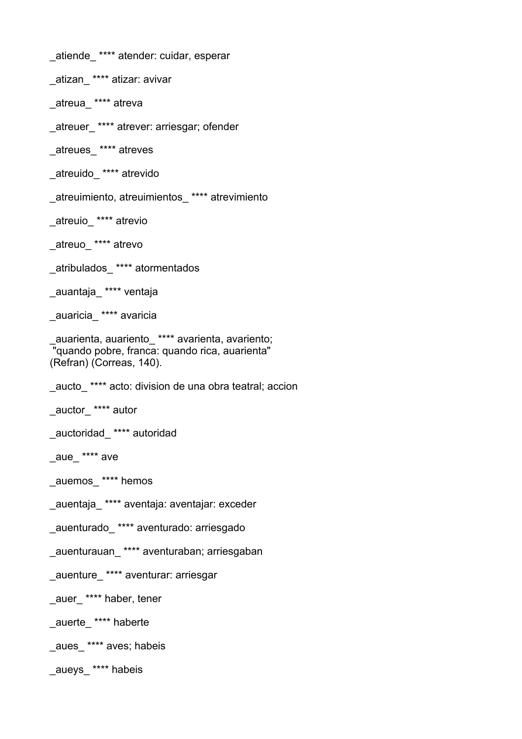\_atiende\_ \*\*\*\* atender: cuidar, esperar

\_atizan\_ \*\*\*\* atizar: avivar

atreua \*\*\*\* atreva

atreuer \*\*\*\* atrever: arriesgar; ofender

\_atreues\_ \*\*\*\* atreves

\_atreuido\_ \*\*\*\* atrevido

\_atreuimiento, atreuimientos\_ \*\*\*\* atrevimiento

\_atreuio\_ \*\*\*\* atrevio

\_atreuo\_ \*\*\*\* atrevo

\_atribulados\_ \*\*\*\* atormentados

\_auantaja\_ \*\*\*\* ventaja

\_auaricia\_ \*\*\*\* avaricia

\_auarienta, auariento\_ \*\*\*\* avarienta, avariento; "quando pobre, franca: quando rica, auarienta" (Refran) (Correas, 140).

\_aucto\_ \*\*\*\* acto: division de una obra teatral; accion

\_auctor\_ \*\*\*\* autor

\_auctoridad\_ \*\*\*\* autoridad

aue \*\*\*\* ave

auemos \*\*\*\* hemos

\_auentaja\_ \*\*\*\* aventaja: aventajar: exceder

auenturado \*\*\*\* aventurado: arriesgado

auenturauan \*\*\*\* aventuraban; arriesgaban

auenture \*\*\*\* aventurar: arriesgar

auer\_ \*\*\*\* haber, tener

\_auerte\_ \*\*\*\* haberte

\_aues\_ \*\*\*\* aves; habeis

aueys \*\*\*\* habeis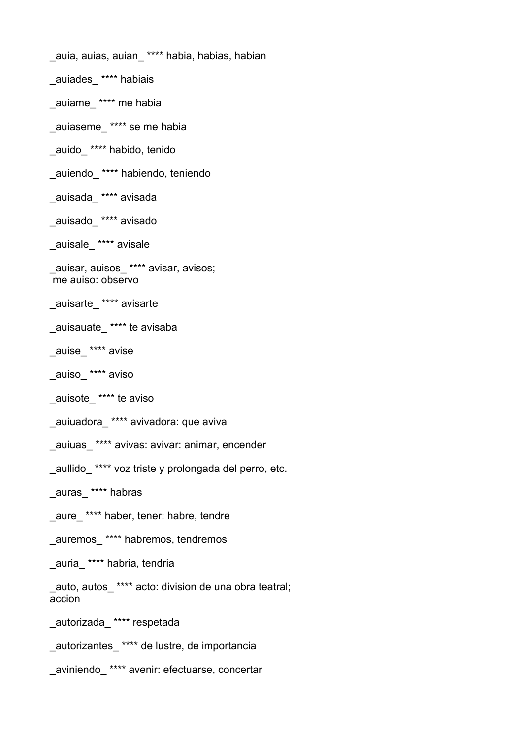\_auia, auias, auian\_ \*\*\*\* habia, habias, habian

\_auiades\_ \*\*\*\* habiais

auiame \*\*\*\* me habia

auiaseme \*\*\*\* se me habia

\_auido\_ \*\*\*\* habido, tenido

\_auiendo\_ \*\*\*\* habiendo, teniendo

\_auisada\_ \*\*\*\* avisada

\_auisado\_ \*\*\*\* avisado

auisale \*\*\*\* avisale

\_auisar, auisos\_ \*\*\*\* avisar, avisos; me auiso: observo

auisarte \*\*\*\* avisarte

\_auisauate\_<sup>\*\*\*\*</sup> te avisaba

auise \*\*\*\* avise

\_auiso\_ \*\*\*\* aviso

\_auisote\_ \*\*\*\* te aviso

auiuadora \*\*\*\* avivadora: que aviva

\_auiuas\_ \*\*\*\* avivas: avivar: animar, encender

aullido \*\*\*\* voz triste y prolongada del perro, etc.

\_auras\_ \*\*\*\* habras

aure \*\*\*\* haber, tener: habre, tendre

auremos \*\*\*\* habremos, tendremos

auria \*\*\*\* habria, tendria

\_auto, autos\_ \*\*\*\* acto: division de una obra teatral; accion

\_autorizada\_ \*\*\*\* respetada

\_autorizantes\_ \*\*\*\* de lustre, de importancia

aviniendo\_ \*\*\*\* avenir: efectuarse, concertar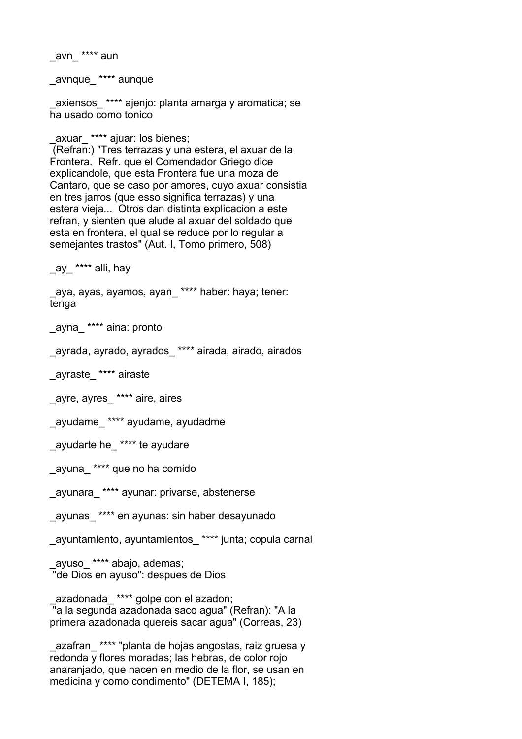\_avn\_ \*\*\*\* aun

\_avnque\_ \*\*\*\* aunque

axiensos \*\*\*\* ajenjo: planta amarga y aromatica; se ha usado como tonico

## \_axuar\_ \*\*\*\* ajuar: los bienes;

(Refran:) "Tres terrazas y una estera, el axuar de la Frontera. Refr. que el Comendador Griego dice explicandole, que esta Frontera fue una moza de Cantaro, que se caso por amores, cuyo axuar consistia en tres jarros (que esso significa terrazas) y una estera vieja... Otros dan distinta explicacion a este refran, y sienten que alude al axuar del soldado que esta en frontera, el qual se reduce por lo regular a semejantes trastos" (Aut. I, Tomo primero, 508)

 $ay$ <sup>\*\*\*\*</sup> alli, hay

\_aya, ayas, ayamos, ayan\_ \*\*\*\* haber: haya; tener: tenga

\_ayna\_ \*\*\*\* aina: pronto

\_ayrada, ayrado, ayrados\_ \*\*\*\* airada, airado, airados

\_ayraste\_ \*\*\*\* airaste

ayre, ayres \*\*\*\* aire, aires

\_ayudame\_ \*\*\*\* ayudame, ayudadme

\_ayudarte he\_ \*\*\*\* te ayudare

ayuna \*\*\*\* que no ha comido

\_ayunara\_ \*\*\*\* ayunar: privarse, abstenerse

\_ayunas\_ \*\*\*\* en ayunas: sin haber desayunado

ayuntamiento, ayuntamientos \*\*\*\* junta; copula carnal

\_ayuso\_ \*\*\*\* abajo, ademas; "de Dios en ayuso": despues de Dios

azadonada \*\*\*\* golpe con el azadon; "a la segunda azadonada saco agua" (Refran): "A la primera azadonada quereis sacar agua" (Correas, 23)

azafran \*\*\*\* "planta de hojas angostas, raiz gruesa y redonda y flores moradas; las hebras, de color rojo anaranjado, que nacen en medio de la flor, se usan en medicina y como condimento" (DETEMA I, 185);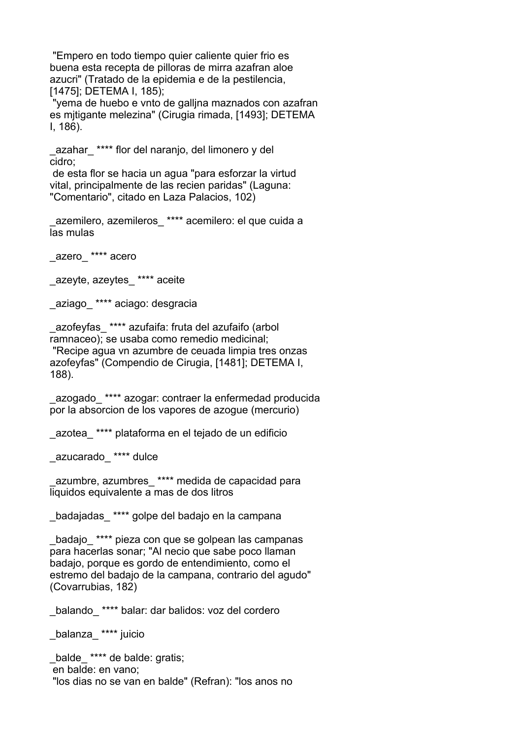"Empero en todo tiempo quier caliente quier frio es buena esta recepta de pilloras de mirra azafran aloe azucri" (Tratado de la epidemia e de la pestilencia, [1475]; DETEMA I, 185);

"yema de huebo e vnto de galljna maznados con azafran es mjtigante melezina" (Cirugia rimada, [1493]; DETEMA I, 186).

azahar \*\*\*\* flor del naranjo, del limonero y del cidro;

de esta flor se hacia un agua "para esforzar la virtud vital, principalmente de las recien paridas" (Laguna: "Comentario", citado en Laza Palacios, 102)

azemilero, azemileros \*\*\*\* acemilero: el que cuida a las mulas

\_azero\_ \*\*\*\* acero

azeyte, azeytes \*\*\*\* aceite

\_aziago\_ \*\*\*\* aciago: desgracia

\_azofeyfas\_ \*\*\*\* azufaifa: fruta del azufaifo (arbol ramnaceo); se usaba como remedio medicinal; "Recipe agua vn azumbre de ceuada limpia tres onzas azofeyfas" (Compendio de Cirugia, [1481]; DETEMA I,

188).

azogado \*\*\*\* azogar: contraer la enfermedad producida por la absorcion de los vapores de azogue (mercurio)

\_azotea\_ \*\*\*\* plataforma en el tejado de un edificio

\_azucarado\_ \*\*\*\* dulce

azumbre, azumbres \*\*\*\* medida de capacidad para liquidos equivalente a mas de dos litros

\_badajadas\_ \*\*\*\* golpe del badajo en la campana

badajo \*\*\*\* pieza con que se golpean las campanas para hacerlas sonar; "Al necio que sabe poco llaman badajo, porque es gordo de entendimiento, como el estremo del badajo de la campana, contrario del agudo" (Covarrubias, 182)

balando \*\*\*\* balar: dar balidos: voz del cordero

\_balanza\_ \*\*\*\* juicio

balde \*\*\*\* de balde: gratis; en balde: en vano; "los dias no se van en balde" (Refran): "los anos no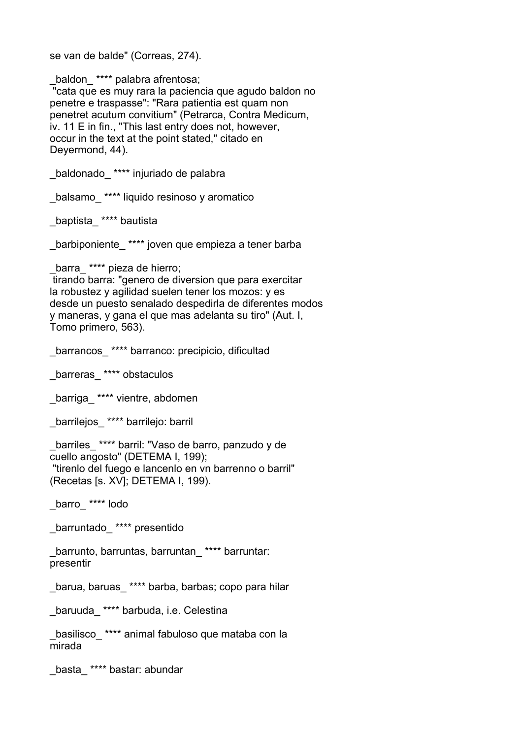se van de balde" (Correas, 274).

baldon \*\*\*\* palabra afrentosa; "cata que es muy rara la paciencia que agudo baldon no penetre e traspasse": "Rara patientia est quam non penetret acutum convitium" (Petrarca, Contra Medicum, iv. 11 E in fin., "This last entry does not, however, occur in the text at the point stated," citado en Deyermond, 44).

baldonado \*\*\*\* injuriado de palabra

balsamo \*\*\*\* liquido resinoso y aromatico

\_baptista\_ \*\*\*\* bautista

barbiponiente \*\*\*\* joven que empieza a tener barba

barra \*\*\*\* pieza de hierro;

tirando barra: "genero de diversion que para exercitar la robustez y agilidad suelen tener los mozos: y es desde un puesto senalado despedirla de diferentes modos y maneras, y gana el que mas adelanta su tiro" (Aut. I, Tomo primero, 563).

barrancos \*\*\*\* barranco: precipicio, dificultad

barreras\_\*\*\*\* obstaculos

barriga \*\*\*\* vientre, abdomen

barrilejos \*\*\*\* barrilejo: barril

barriles \*\*\*\* barril: "Vaso de barro, panzudo y de cuello angosto" (DETEMA I, 199); "tirenlo del fuego e lancenlo en vn barrenno o barril" (Recetas [s. XV]; DETEMA I, 199).

\_barro\_ \*\*\*\* lodo

\_barruntado\_ \*\*\*\* presentido

barrunto, barruntas, barruntan \*\*\*\* barruntar: presentir

\_barua, baruas\_ \*\*\*\* barba, barbas; copo para hilar

baruuda \*\*\*\* barbuda, i.e. Celestina

basilisco \*\*\*\* animal fabuloso que mataba con la mirada

\_basta\_ \*\*\*\* bastar: abundar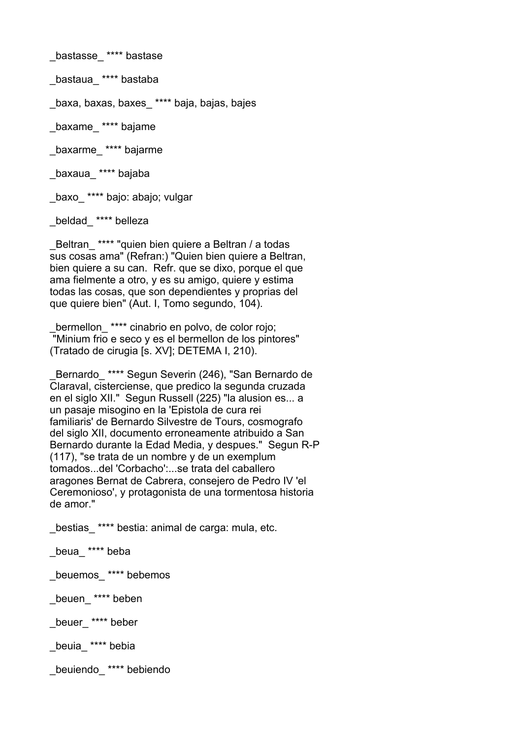\_bastasse\_ \*\*\*\* bastase

\_bastaua\_ \*\*\*\* bastaba

\_baxa, baxas, baxes\_ \*\*\*\* baja, bajas, bajes

baxame \*\*\*\* bajame

\_baxarme\_ \*\*\*\* bajarme

\_baxaua\_ \*\*\*\* bajaba

\_baxo\_ \*\*\*\* bajo: abajo; vulgar

\_beldad\_ \*\*\*\* belleza

Beltran \*\*\*\* "quien bien quiere a Beltran / a todas sus cosas ama" (Refran:) "Quien bien quiere a Beltran, bien quiere a su can. Refr. que se dixo, porque el que ama fielmente a otro, y es su amigo, quiere y estima todas las cosas, que son dependientes y proprias del que quiere bien" (Aut. I, Tomo segundo, 104).

bermellon \*\*\*\* cinabrio en polvo, de color rojo; "Minium frio e seco y es el bermellon de los pintores" (Tratado de cirugia [s. XV]; DETEMA I, 210).

Bernardo \*\*\*\* Segun Severin (246), "San Bernardo de Claraval, cisterciense, que predico la segunda cruzada en el siglo XII." Segun Russell (225) "la alusion es... a un pasaje misogino en la 'Epistola de cura rei familiaris' de Bernardo Silvestre de Tours, cosmografo del siglo XII, documento erroneamente atribuido a San Bernardo durante la Edad Media, y despues." Segun R-P (117), "se trata de un nombre y de un exemplum tomados...del 'Corbacho':...se trata del caballero aragones Bernat de Cabrera, consejero de Pedro IV 'el Ceremonioso', y protagonista de una tormentosa historia de amor."

bestias \*\*\*\* bestia: animal de carga: mula, etc.

\_beua\_ \*\*\*\* beba

beuemos \*\*\*\* bebemos

beuen \*\*\*\* beben

beuer \*\*\*\* beber

beuia \*\*\*\* bebia

beuiendo \*\*\*\* bebiendo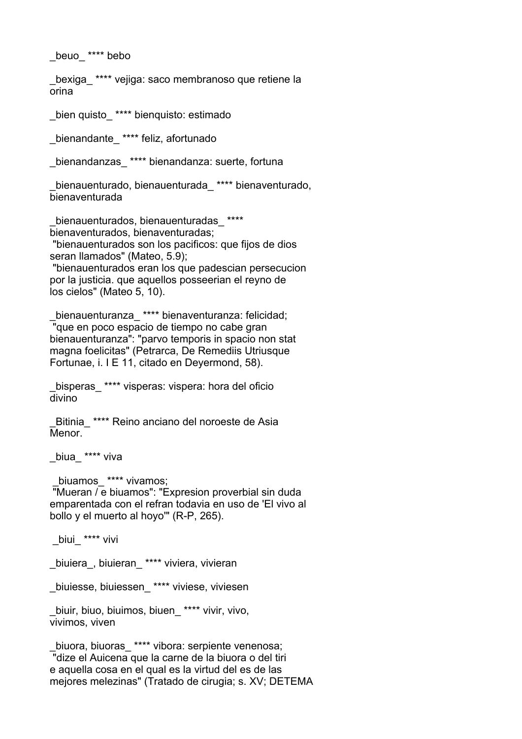\_beuo\_ \*\*\*\* bebo

\_bexiga\_ \*\*\*\* vejiga: saco membranoso que retiene la orina

bien quisto \*\*\*\* bienquisto: estimado

\_bienandante\_ \*\*\*\* feliz, afortunado

\_bienandanzas\_ \*\*\*\* bienandanza: suerte, fortuna

bienauenturado, bienauenturada \*\*\*\* bienaventurado, bienaventurada

bienauenturados, bienauenturadas \*\*\*\* bienaventurados, bienaventuradas; "bienauenturados son los pacificos: que fijos de dios

seran llamados" (Mateo, 5.9);

"bienauenturados eran los que padescian persecucion por la justicia. que aquellos posseerian el reyno de los cielos" (Mateo 5, 10).

bienauenturanza \*\*\*\* bienaventuranza: felicidad; "que en poco espacio de tiempo no cabe gran bienauenturanza": "parvo temporis in spacio non stat magna foelicitas" (Petrarca, De Remediis Utriusque Fortunae, i. I E 11, citado en Deyermond, 58).

bisperas \*\*\*\* visperas: vispera: hora del oficio divino

Bitinia \*\*\*\* Reino anciano del noroeste de Asia Menor.

biua \*\*\*\* viva

biuamos \*\*\*\* vivamos;

"Mueran / e biuamos": "Expresion proverbial sin duda emparentada con el refran todavia en uso de 'El vivo al bollo y el muerto al hoyo'" (R-P, 265).

\_biui\_ \*\*\*\* vivi

biuiera, biuieran \*\*\*\* viviera, vivieran

biuiesse, biuiessen\_ \*\*\*\* viviese, viviesen

biuir, biuo, biuimos, biuen \*\*\*\* vivir, vivo, vivimos, viven

biuora, biuoras \*\*\*\* vibora: serpiente venenosa; "dize el Auicena que la carne de la biuora o del tiri e aquella cosa en el qual es la virtud del es de las mejores melezinas" (Tratado de cirugia; s. XV; DETEMA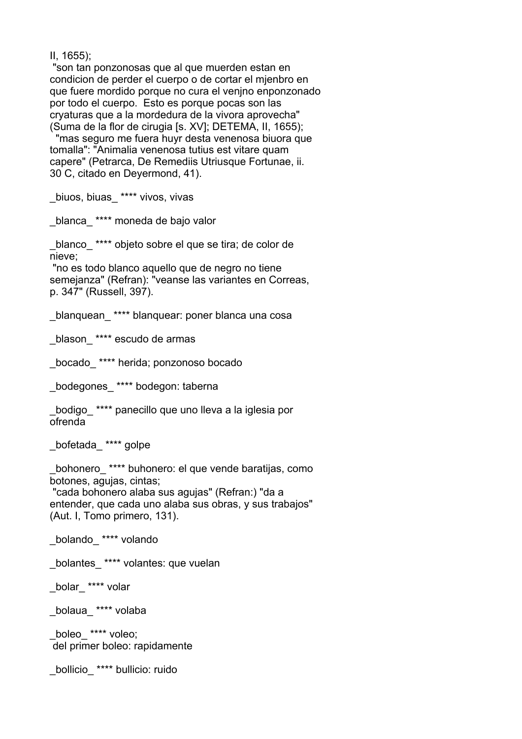II, 1655);

"son tan ponzonosas que al que muerden estan en condicion de perder el cuerpo o de cortar el mjenbro en que fuere mordido porque no cura el venjno enponzonado por todo el cuerpo. Esto es porque pocas son las cryaturas que a la mordedura de la vivora aprovecha" (Suma de la flor de cirugia [s. XV]; DETEMA, II, 1655);

 "mas seguro me fuera huyr desta venenosa biuora que tomalla": "Animalia venenosa tutius est vitare quam capere" (Petrarca, De Remediis Utriusque Fortunae, ii. 30 C, citado en Deyermond, 41).

biuos, biuas \*\*\*\* vivos, vivas

blanca \*\*\*\* moneda de bajo valor

blanco \*\*\*\* objeto sobre el que se tira; de color de nieve;

"no es todo blanco aquello que de negro no tiene semejanza" (Refran): "veanse las variantes en Correas, p. 347" (Russell, 397).

\_blanquean\_ \*\*\*\* blanquear: poner blanca una cosa

blason \*\*\*\* escudo de armas

\_bocado\_ \*\*\*\* herida; ponzonoso bocado

bodegones \*\*\*\* bodegon: taberna

\_bodigo\_ \*\*\*\* panecillo que uno lleva a la iglesia por ofrenda

\_bofetada\_ \*\*\*\* golpe

bohonero \*\*\*\* buhonero: el que vende baratijas, como botones, agujas, cintas;

"cada bohonero alaba sus agujas" (Refran:) "da a entender, que cada uno alaba sus obras, y sus trabajos" (Aut. I, Tomo primero, 131).

bolando \*\*\*\* volando

bolantes \*\*\*\* volantes: que vuelan

bolar \*\*\*\* volar

\_bolaua\_ \*\*\*\* volaba

boleo \*\*\*\* voleo; del primer boleo: rapidamente

bollicio \*\*\*\* bullicio: ruido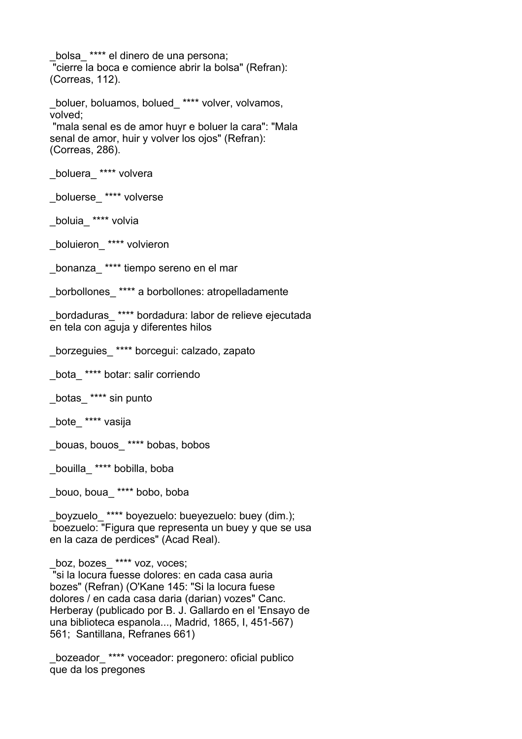bolsa \*\*\*\* el dinero de una persona; "cierre la boca e comience abrir la bolsa" (Refran): (Correas, 112). boluer, boluamos, bolued \*\*\*\* volver, volvamos, volved; "mala senal es de amor huyr e boluer la cara": "Mala senal de amor, huir y volver los ojos" (Refran): (Correas, 286). boluera \*\*\*\* volvera boluerse \*\*\*\* volverse boluia \*\*\*\* volvia boluieron \*\*\*\* volvieron \_bonanza\_ \*\*\*\* tiempo sereno en el mar borbollones \*\*\*\* a borbollones: atropelladamente bordaduras \*\*\*\* bordadura: labor de relieve ejecutada en tela con aguja y diferentes hilos \_borzeguies\_ \*\*\*\* borcegui: calzado, zapato \_bota\_ \*\*\*\* botar: salir corriendo \_botas\_ \*\*\*\* sin punto bote \*\*\*\* vasija \_bouas, bouos\_ \*\*\*\* bobas, bobos \_bouilla\_ \*\*\*\* bobilla, boba \_bouo, boua\_ \*\*\*\* bobo, boba boyzuelo \*\*\*\* boyezuelo: bueyezuelo: buey (dim.); boezuelo: "Figura que representa un buey y que se usa en la caza de perdices" (Acad Real). \_boz, bozes\_ \*\*\*\* voz, voces;

"si la locura fuesse dolores: en cada casa auria bozes" (Refran) (O'Kane 145: "Si la locura fuese dolores / en cada casa daria (darian) vozes" Canc. Herberay (publicado por B. J. Gallardo en el 'Ensayo de una biblioteca espanola..., Madrid, 1865, I, 451-567) 561; Santillana, Refranes 661)

\_bozeador\_ \*\*\*\* voceador: pregonero: oficial publico que da los pregones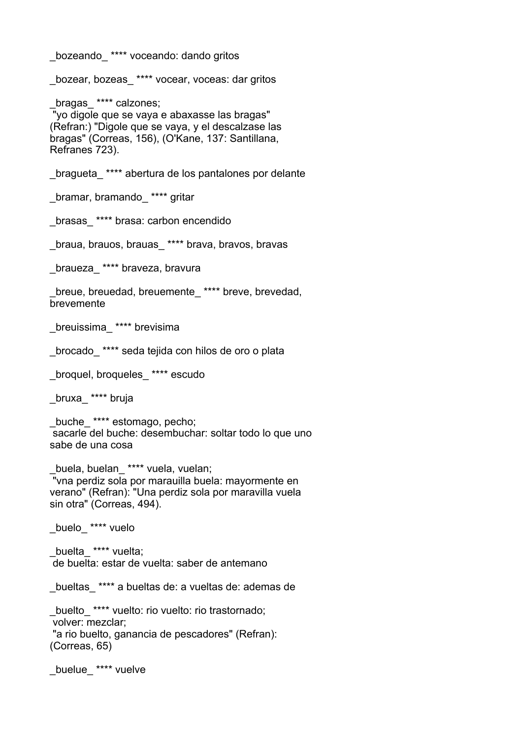bozeando \*\*\*\* voceando: dando gritos

\_bozear, bozeas\_ \*\*\*\* vocear, voceas: dar gritos

bragas \*\*\*\* calzones; "yo digole que se vaya e abaxasse las bragas" (Refran:) "Digole que se vaya, y el descalzase las bragas" (Correas, 156), (O'Kane, 137: Santillana, Refranes 723).

bragueta \*\*\*\* abertura de los pantalones por delante

bramar, bramando \*\*\*\* gritar

brasas \*\*\*\* brasa: carbon encendido

\_braua, brauos, brauas\_ \*\*\*\* brava, bravos, bravas

\_braueza\_ \*\*\*\* braveza, bravura

breue, breuedad, breuemente \*\*\*\* breve, brevedad, brevemente

breuissima \*\*\*\* brevisima

\_brocado\_ \*\*\*\* seda tejida con hilos de oro o plata

broquel, broqueles \*\*\*\* escudo

\_bruxa\_ \*\*\*\* bruja

buche \*\*\*\* estomago, pecho; sacarle del buche: desembuchar: soltar todo lo que uno sabe de una cosa

buela, buelan \*\*\*\* vuela, vuelan; "vna perdiz sola por marauilla buela: mayormente en verano" (Refran): "Una perdiz sola por maravilla vuela sin otra" (Correas, 494).

buelo \*\*\*\* vuelo

buelta \*\*\*\* vuelta; de buelta: estar de vuelta: saber de antemano

\_bueltas\_ \*\*\*\* a bueltas de: a vueltas de: ademas de

buelto \*\*\*\* vuelto: rio vuelto: rio trastornado; volver: mezclar; "a rio buelto, ganancia de pescadores" (Refran): (Correas, 65)

\_buelue\_ \*\*\*\* vuelve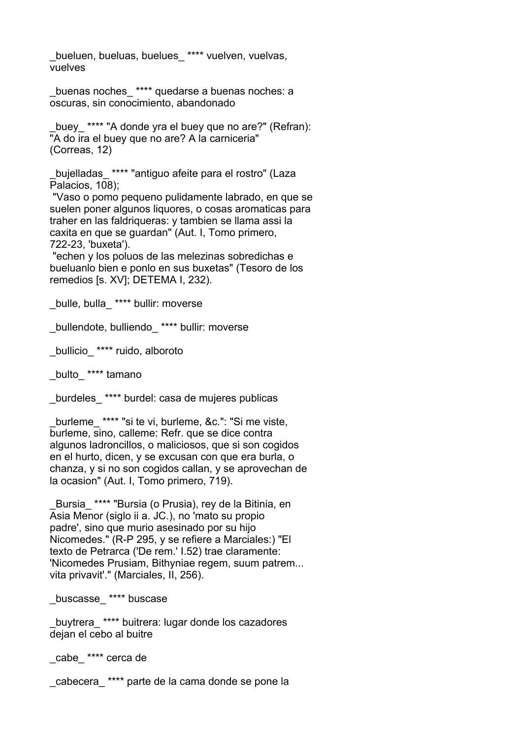bueluen, bueluas, buelues \*\*\*\* vuelven, vuelvas, vuelves

buenas noches \*\*\*\* quedarse a buenas noches: a oscuras, sin conocimiento, abandonado

buey \*\*\*\* "A donde yra el buey que no are?" (Refran): "A do ira el buey que no are? A la carniceria" (Correas, 12)

\_bujelladas\_ \*\*\*\* "antiguo afeite para el rostro" (Laza Palacios, 108);

"Vaso o pomo pequeno pulidamente labrado, en que se suelen poner algunos liquores, o cosas aromaticas para traher en las faldriqueras: y tambien se llama assi la caxita en que se guardan" (Aut. I, Tomo primero, 722-23, 'buxeta').

"echen y los poluos de las melezinas sobredichas e bueluanlo bien e ponlo en sus buxetas" (Tesoro de los remedios [s. XV]; DETEMA I, 232).

bulle, bulla \*\*\*\* bullir: moverse

bullendote, bulliendo \*\*\*\* bullir: moverse

bullicio \*\*\*\* ruido, alboroto

bulto \*\*\*\* tamano

burdeles \*\*\*\* burdel: casa de mujeres publicas

burleme \*\*\*\* "si te vi, burleme, &c.": "Si me viste, burleme, sino, calleme: Refr. que se dice contra algunos ladroncillos, o maliciosos, que si son cogidos en el hurto, dicen, y se excusan con que era burla, o chanza, y si no son cogidos callan, y se aprovechan de la ocasion" (Aut. I, Tomo primero, 719).

Bursia \*\*\*\* "Bursia (o Prusia), rey de la Bitinia, en Asia Menor (siglo ii a. JC.), no 'mato su propio padre', sino que murio asesinado por su hijo Nicomedes." (R-P 295, y se refiere a Marciales:) "El texto de Petrarca ('De rem.' I.52) trae claramente: 'Nicomedes Prusiam, Bithyniae regem, suum patrem... vita privavit'." (Marciales, II, 256).

\_buscasse\_ \*\*\*\* buscase

\_buytrera\_ \*\*\*\* buitrera: lugar donde los cazadores dejan el cebo al buitre

\_cabe\_ \*\*\*\* cerca de

cabecera \*\*\*\* parte de la cama donde se pone la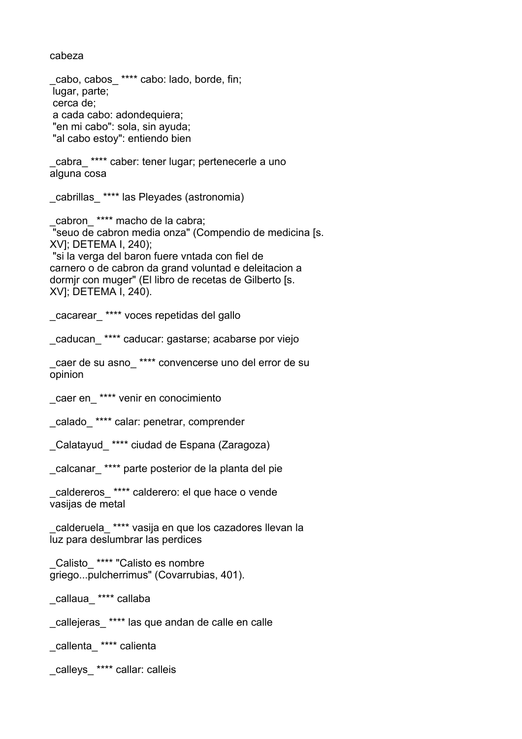cabeza

\_cabo, cabos\_ \*\*\*\* cabo: lado, borde, fin; lugar, parte; cerca de; a cada cabo: adondequiera; "en mi cabo": sola, sin ayuda; "al cabo estoy": entiendo bien cabra \*\*\*\* caber: tener lugar; pertenecerle a uno alguna cosa \_cabrillas\_ \*\*\*\* las Pleyades (astronomia) cabron \*\*\*\* macho de la cabra; "seuo de cabron media onza" (Compendio de medicina [s. XV]; DETEMA I, 240); "si la verga del baron fuere vntada con fiel de carnero o de cabron da grand voluntad e deleitacion a dormjr con muger" (El libro de recetas de Gilberto [s. XV]; DETEMA I, 240). \_cacarear\_ \*\*\*\* voces repetidas del gallo \_caducan\_ \*\*\*\* caducar: gastarse; acabarse por viejo caer de su asno \*\*\*\* convencerse uno del error de su opinion caer en \*\*\*\* venir en conocimiento calado\_ \*\*\*\* calar: penetrar, comprender Calatayud \*\*\*\* ciudad de Espana (Zaragoza) \_calcanar\_ \*\*\*\* parte posterior de la planta del pie \_caldereros\_ \*\*\*\* calderero: el que hace o vende vasijas de metal calderuela \*\*\*\* vasija en que los cazadores llevan la luz para deslumbrar las perdices \_Calisto\_ \*\*\*\* "Calisto es nombre griego...pulcherrimus" (Covarrubias, 401). \_callaua\_ \*\*\*\* callaba callejeras \*\*\*\* las que andan de calle en calle callenta\_\*\*\*\* calienta

calleys\_\*\*\*\* callar: calleis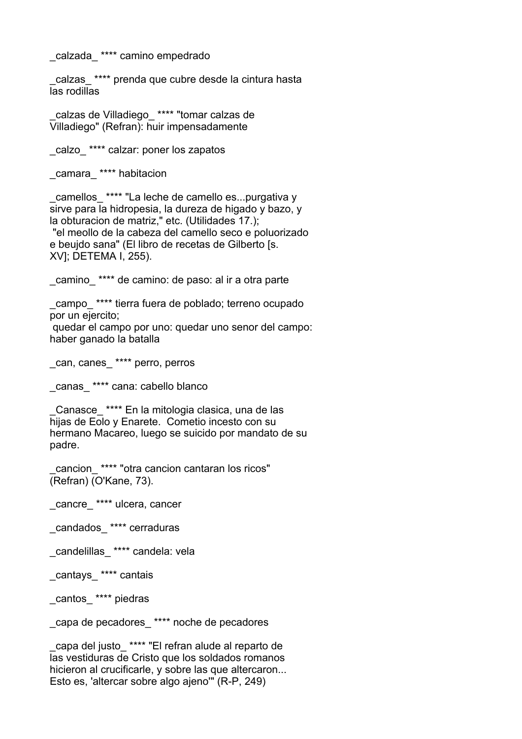\_calzada\_ \*\*\*\* camino empedrado

calzas \*\*\*\* prenda que cubre desde la cintura hasta las rodillas

\_calzas de Villadiego\_ \*\*\*\* "tomar calzas de Villadiego" (Refran): huir impensadamente

\_calzo\_ \*\*\*\* calzar: poner los zapatos

camara \*\*\*\* habitacion

\_camellos\_ \*\*\*\* "La leche de camello es...purgativa y sirve para la hidropesia, la dureza de higado y bazo, y la obturacion de matriz," etc. (Utilidades 17.); "el meollo de la cabeza del camello seco e poluorizado e beujdo sana" (El libro de recetas de Gilberto [s. XV]; DETEMA I, 255).

camino \*\*\*\* de camino: de paso: al ir a otra parte

\_campo\_ \*\*\*\* tierra fuera de poblado; terreno ocupado por un ejercito;

quedar el campo por uno: quedar uno senor del campo: haber ganado la batalla

can, canes \*\*\*\* perro, perros

\_canas\_ \*\*\*\* cana: cabello blanco

Canasce \*\*\*\* En la mitologia clasica, una de las hijas de Eolo y Enarete. Cometio incesto con su hermano Macareo, luego se suicido por mandato de su padre.

cancion \*\*\*\* "otra cancion cantaran los ricos" (Refran) (O'Kane, 73).

cancre \*\*\*\* ulcera, cancer

candados \*\*\*\* cerraduras

candelillas \*\*\*\* candela: vela

cantays \*\*\*\* cantais

cantos \*\*\*\* piedras

capa de pecadores \*\*\*\* noche de pecadores

capa del justo \*\*\*\* "El refran alude al reparto de las vestiduras de Cristo que los soldados romanos hicieron al crucificarle, y sobre las que altercaron... Esto es, 'altercar sobre algo ajeno'" (R-P, 249)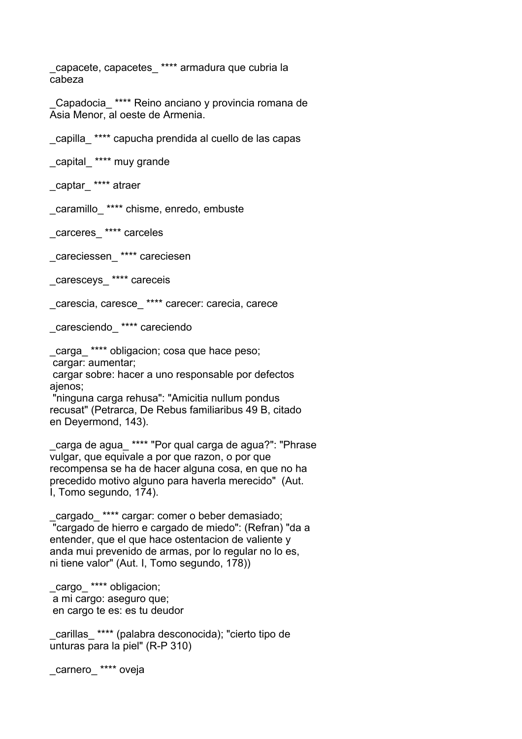capacete, capacetes \*\*\*\* armadura que cubria la cabeza

\_Capadocia\_ \*\*\*\* Reino anciano y provincia romana de Asia Menor, al oeste de Armenia.

\_capilla\_ \*\*\*\* capucha prendida al cuello de las capas

capital \*\*\*\* muy grande

captar \*\*\*\* atraer

caramillo \*\*\*\* chisme, enredo, embuste

carceres \*\*\*\* carceles

\_careciessen\_ \*\*\*\* careciesen

caresceys \*\*\*\* careceis

\_carescia, caresce\_ \*\*\*\* carecer: carecia, carece

caresciendo \*\*\*\* careciendo

carga \*\*\*\* obligacion; cosa que hace peso; cargar: aumentar;

cargar sobre: hacer a uno responsable por defectos ajenos;

"ninguna carga rehusa": "Amicitia nullum pondus recusat" (Petrarca, De Rebus familiaribus 49 B, citado en Deyermond, 143).

\_carga de agua\_ \*\*\*\* "Por qual carga de agua?": "Phrase vulgar, que equivale a por que razon, o por que recompensa se ha de hacer alguna cosa, en que no ha precedido motivo alguno para haverla merecido" (Aut. I, Tomo segundo, 174).

cargado \*\*\*\* cargar: comer o beber demasiado; "cargado de hierro e cargado de miedo": (Refran) "da a entender, que el que hace ostentacion de valiente y anda mui prevenido de armas, por lo regular no lo es, ni tiene valor" (Aut. I, Tomo segundo, 178))

\_cargo\_ \*\*\*\* obligacion; a mi cargo: aseguro que; en cargo te es: es tu deudor

\_carillas\_ \*\*\*\* (palabra desconocida); "cierto tipo de unturas para la piel" (R-P 310)

carnero \*\*\*\* oveja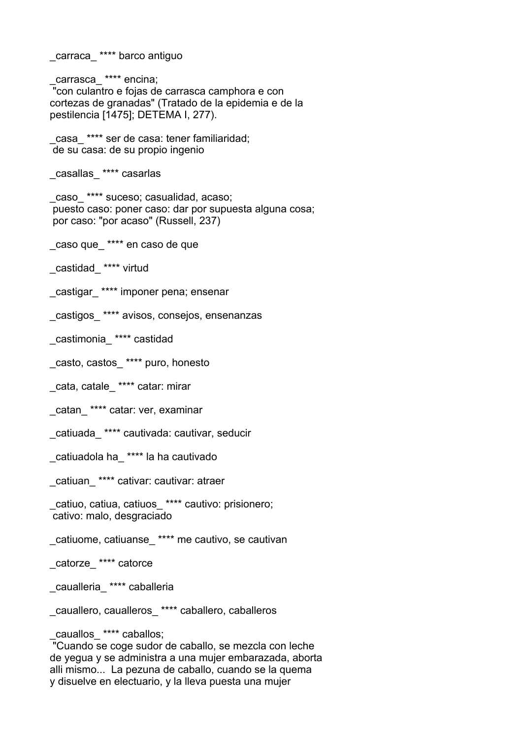\_carraca\_ \*\*\*\* barco antiguo

carrasca \*\*\*\* encina;

"con culantro e fojas de carrasca camphora e con cortezas de granadas" (Tratado de la epidemia e de la pestilencia [1475]; DETEMA I, 277).

\_casa\_ \*\*\*\* ser de casa: tener familiaridad; de su casa: de su propio ingenio

casallas \*\*\*\* casarlas

caso \*\*\*\* suceso; casualidad, acaso; puesto caso: poner caso: dar por supuesta alguna cosa; por caso: "por acaso" (Russell, 237)

caso que \*\*\*\* en caso de que

\_castidad\_ \*\*\*\* virtud

\_castigar\_ \*\*\*\* imponer pena; ensenar

\_castigos\_ \*\*\*\* avisos, consejos, ensenanzas

\_castimonia\_ \*\*\*\* castidad

\_casto, castos\_ \*\*\*\* puro, honesto

cata, catale \*\*\*\* catar: mirar

catan \*\*\*\* catar: ver, examinar

\_catiuada\_ \*\*\*\* cautivada: cautivar, seducir

catiuadola ha \*\*\*\* la ha cautivado

\_catiuan\_ \*\*\*\* cativar: cautivar: atraer

\_catiuo, catiua, catiuos\_ \*\*\*\* cautivo: prisionero; cativo: malo, desgraciado

catiuome, catiuanse \*\*\*\* me cautivo, se cautivan

catorze \*\*\*\* catorce

caualleria \*\*\*\* caballeria

\_cauallero, caualleros\_ \*\*\*\* caballero, caballeros

cauallos \*\*\*\* caballos;

"Cuando se coge sudor de caballo, se mezcla con leche de yegua y se administra a una mujer embarazada, aborta alli mismo... La pezuna de caballo, cuando se la quema y disuelve en electuario, y la lleva puesta una mujer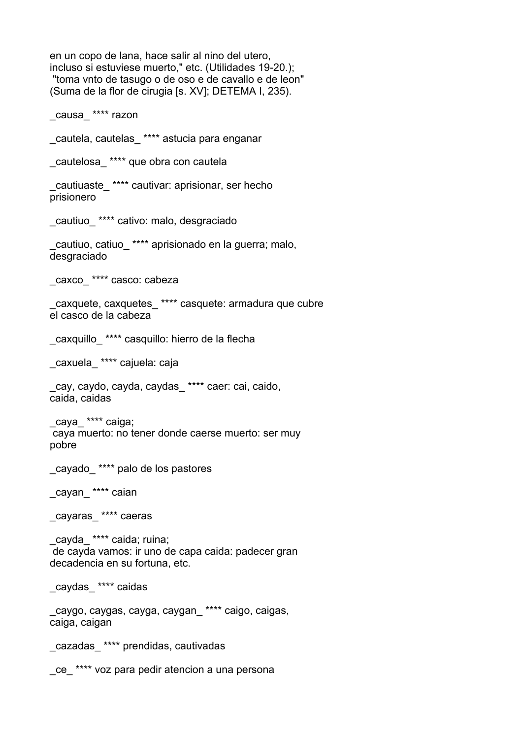en un copo de lana, hace salir al nino del utero, incluso si estuviese muerto," etc. (Utilidades 19-20.); "toma vnto de tasugo o de oso e de cavallo e de leon" (Suma de la flor de cirugia [s. XV]; DETEMA I, 235).

\_causa\_ \*\*\*\* razon

\_cautela, cautelas\_ \*\*\*\* astucia para enganar

cautelosa \*\*\*\* que obra con cautela

cautiuaste \*\*\*\* cautivar: aprisionar, ser hecho prisionero

\_cautiuo\_ \*\*\*\* cativo: malo, desgraciado

cautiuo, catiuo \*\*\*\* aprisionado en la guerra; malo, desgraciado

\_caxco\_ \*\*\*\* casco: cabeza

caxquete, caxquetes \*\*\*\* casquete: armadura que cubre el casco de la cabeza

\_caxquillo\_ \*\*\*\* casquillo: hierro de la flecha

caxuela \*\*\*\* cajuela: caja

\_cay, caydo, cayda, caydas\_ \*\*\*\* caer: cai, caido, caida, caidas

caya \*\*\*\* caiga; caya muerto: no tener donde caerse muerto: ser muy pobre

\_cayado\_ \*\*\*\* palo de los pastores

\_cayan\_ \*\*\*\* caian

\_cayaras\_ \*\*\*\* caeras

cayda \*\*\*\* caida; ruina; de cayda vamos: ir uno de capa caida: padecer gran decadencia en su fortuna, etc.

\_caydas\_ \*\*\*\* caidas

\_caygo, caygas, cayga, caygan\_ \*\*\*\* caigo, caigas, caiga, caigan

\_cazadas\_ \*\*\*\* prendidas, cautivadas

\_ce\_ \*\*\*\* voz para pedir atencion a una persona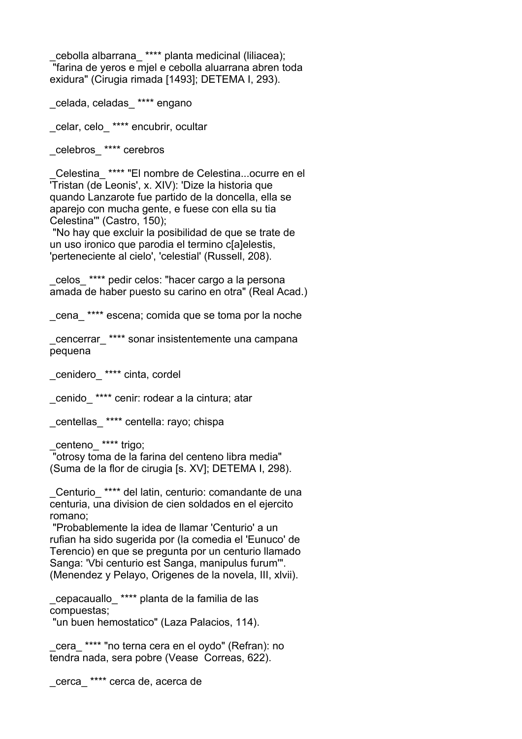\_cebolla albarrana\_ \*\*\*\* planta medicinal (liliacea); "farina de yeros e mjel e cebolla aluarrana abren toda exidura" (Cirugia rimada [1493]; DETEMA I, 293).

\_celada, celadas\_ \*\*\*\* engano

celar, celo \*\*\*\* encubrir, ocultar

celebros \*\*\*\* cerebros

\_Celestina\_ \*\*\*\* "El nombre de Celestina...ocurre en el 'Tristan (de Leonis', x. XIV): 'Dize la historia que quando Lanzarote fue partido de la doncella, ella se aparejo con mucha gente, e fuese con ella su tia Celestina'" (Castro, 150);

"No hay que excluir la posibilidad de que se trate de un uso ironico que parodia el termino c[a]elestis, 'perteneciente al cielo', 'celestial' (Russell, 208).

\_celos\_ \*\*\*\* pedir celos: "hacer cargo a la persona amada de haber puesto su carino en otra" (Real Acad.)

\_cena\_ \*\*\*\* escena; comida que se toma por la noche

\_cencerrar\_ \*\*\*\* sonar insistentemente una campana pequena

cenidero \*\*\*\* cinta, cordel

\_cenido\_ \*\*\*\* cenir: rodear a la cintura; atar

\_centellas\_ \*\*\*\* centella: rayo; chispa

\_centeno\_ \*\*\*\* trigo;

"otrosy toma de la farina del centeno libra media" (Suma de la flor de cirugia [s. XV]; DETEMA I, 298).

Centurio \*\*\*\* del latin, centurio: comandante de una centuria, una division de cien soldados en el ejercito romano;

"Probablemente la idea de llamar 'Centurio' a un rufian ha sido sugerida por (la comedia el 'Eunuco' de Terencio) en que se pregunta por un centurio llamado Sanga: 'Vbi centurio est Sanga, manipulus furum'". (Menendez y Pelayo, Origenes de la novela, III, xlvii).

\_cepacauallo\_ \*\*\*\* planta de la familia de las compuestas;

"un buen hemostatico" (Laza Palacios, 114).

\_cera\_ \*\*\*\* "no terna cera en el oydo" (Refran): no tendra nada, sera pobre (Vease Correas, 622).

\_cerca\_ \*\*\*\* cerca de, acerca de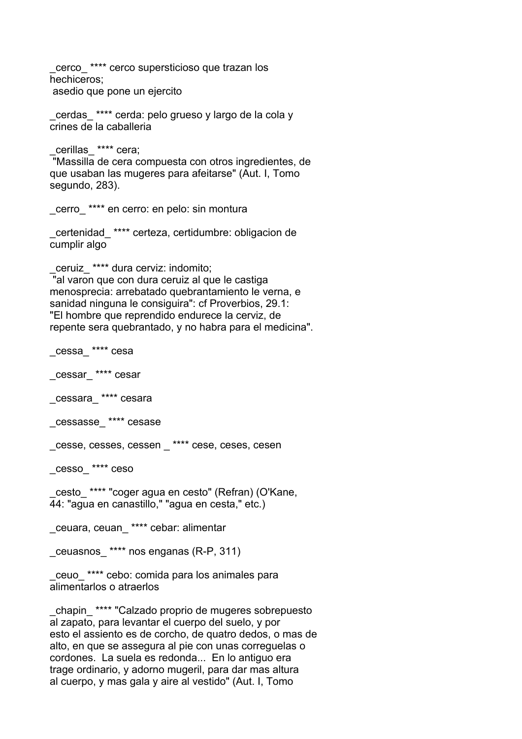cerco \*\*\*\* cerco supersticioso que trazan los hechiceros; asedio que pone un ejercito \_cerdas\_ \*\*\*\* cerda: pelo grueso y largo de la cola y crines de la caballeria \_cerillas\_ \*\*\*\* cera; "Massilla de cera compuesta con otros ingredientes, de que usaban las mugeres para afeitarse" (Aut. I, Tomo segundo, 283). cerro \*\*\*\* en cerro: en pelo: sin montura \_certenidad\_ \*\*\*\* certeza, certidumbre: obligacion de cumplir algo \_ceruiz\_ \*\*\*\* dura cerviz: indomito; "al varon que con dura ceruiz al que le castiga menosprecia: arrebatado quebrantamiento le verna, e sanidad ninguna le consiguira": cf Proverbios, 29.1: "El hombre que reprendido endurece la cerviz, de repente sera quebrantado, y no habra para el medicina". \_cessa\_ \*\*\*\* cesa \_cessar\_ \*\*\*\* cesar \_cessara\_ \*\*\*\* cesara \_cessasse\_ \*\*\*\* cesase \_cesse, cesses, cessen \_ \*\*\*\* cese, ceses, cesen \_cesso\_ \*\*\*\* ceso \_cesto\_ \*\*\*\* "coger agua en cesto" (Refran) (O'Kane, 44: "agua en canastillo," "agua en cesta," etc.) \_ceuara, ceuan\_ \*\*\*\* cebar: alimentar \_ceuasnos\_ \*\*\*\* nos enganas (R-P, 311) \_ceuo\_ \*\*\*\* cebo: comida para los animales para alimentarlos o atraerlos \_chapin\_ \*\*\*\* "Calzado proprio de mugeres sobrepuesto

al zapato, para levantar el cuerpo del suelo, y por esto el assiento es de corcho, de quatro dedos, o mas de alto, en que se assegura al pie con unas correguelas o cordones. La suela es redonda... En lo antiguo era trage ordinario, y adorno mugeril, para dar mas altura al cuerpo, y mas gala y aire al vestido" (Aut. I, Tomo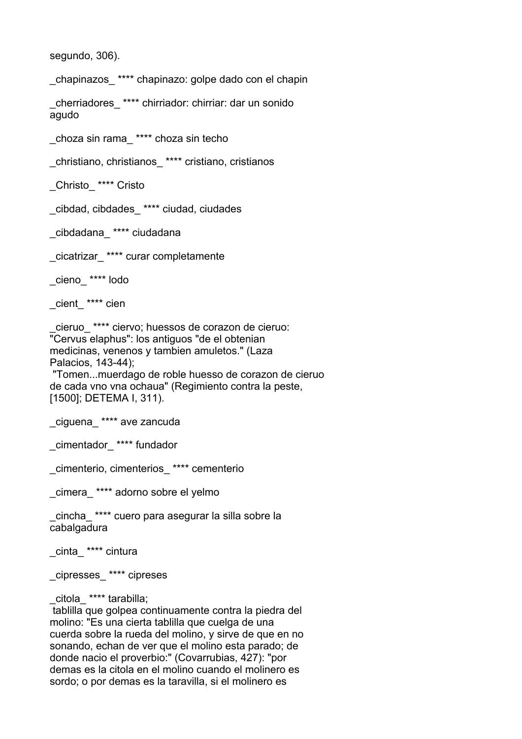segundo, 306).

chapinazos \*\*\*\* chapinazo: golpe dado con el chapin

\_cherriadores\_ \*\*\*\* chirriador: chirriar: dar un sonido agudo

\_choza sin rama\_ \*\*\*\* choza sin techo

\_christiano, christianos\_ \*\*\*\* cristiano, cristianos

\_Christo\_ \*\*\*\* Cristo

\_cibdad, cibdades\_ \*\*\*\* ciudad, ciudades

\_cibdadana\_ \*\*\*\* ciudadana

cicatrizar \*\*\*\* curar completamente

\_cieno\_ \*\*\*\* lodo

cient \*\*\*\* cien

cieruo \*\*\*\* ciervo; huessos de corazon de cieruo: "Cervus elaphus": los antiguos "de el obtenian medicinas, venenos y tambien amuletos." (Laza Palacios, 143-44);

"Tomen...muerdago de roble huesso de corazon de cieruo de cada vno vna ochaua" (Regimiento contra la peste, [1500]; DETEMA I, 311).

\_ciguena\_ \*\*\*\* ave zancuda

\_cimentador\_ \*\*\*\* fundador

\_cimenterio, cimenterios\_ \*\*\*\* cementerio

\_cimera\_ \*\*\*\* adorno sobre el yelmo

\_cincha\_ \*\*\*\* cuero para asegurar la silla sobre la cabalgadura

\_cinta\_ \*\*\*\* cintura

\_cipresses\_ \*\*\*\* cipreses

\_citola\_ \*\*\*\* tarabilla;

tablilla que golpea continuamente contra la piedra del molino: "Es una cierta tablilla que cuelga de una cuerda sobre la rueda del molino, y sirve de que en no sonando, echan de ver que el molino esta parado; de donde nacio el proverbio:" (Covarrubias, 427): "por demas es la citola en el molino cuando el molinero es sordo; o por demas es la taravilla, si el molinero es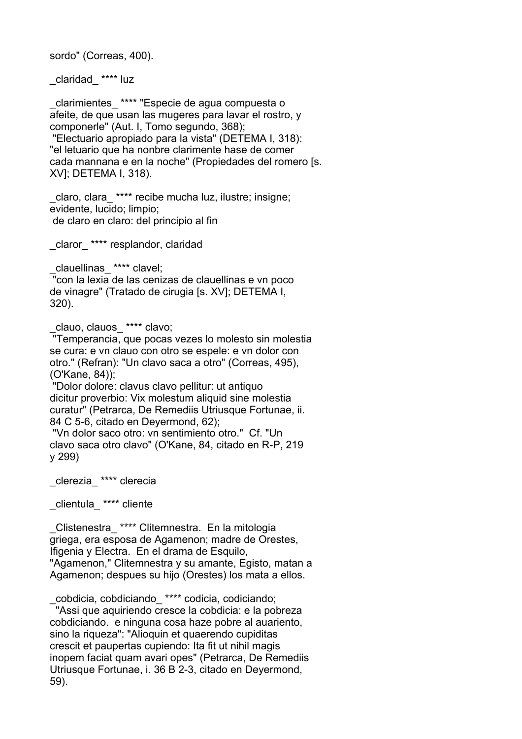sordo" (Correas, 400).

\_claridad\_ \*\*\*\* luz

clarimientes \*\*\*\* "Especie de agua compuesta o afeite, de que usan las mugeres para lavar el rostro, y componerle" (Aut. I, Tomo segundo, 368); "Electuario apropiado para la vista" (DETEMA I, 318): "el letuario que ha nonbre clarimente hase de comer cada mannana e en la noche" (Propiedades del romero [s. XV]; DETEMA I, 318).

\_claro, clara\_ \*\*\*\* recibe mucha luz, ilustre; insigne; evidente, lucido; limpio; de claro en claro: del principio al fin

claror \*\*\*\* resplandor, claridad

clauellinas \*\*\*\* clavel;

"con la lexia de las cenizas de clauellinas e vn poco de vinagre" (Tratado de cirugia [s. XV]; DETEMA I, 320).

clauo, clauos \*\*\*\* clavo;

"Temperancia, que pocas vezes lo molesto sin molestia se cura: e vn clauo con otro se espele: e vn dolor con otro." (Refran): "Un clavo saca a otro" (Correas, 495), (O'Kane, 84));

"Dolor dolore: clavus clavo pellitur: ut antiquo dicitur proverbio: Vix molestum aliquid sine molestia curatur" (Petrarca, De Remediis Utriusque Fortunae, ii. 84 C 5-6, citado en Deyermond, 62);

"Vn dolor saco otro: vn sentimiento otro." Cf. "Un clavo saca otro clavo" (O'Kane, 84, citado en R-P, 219 y 299)

\_clerezia\_ \*\*\*\* clerecia

\_clientula\_ \*\*\*\* cliente

Clistenestra \*\*\*\* Clitemnestra. En la mitologia griega, era esposa de Agamenon; madre de Orestes, Ifigenia y Electra. En el drama de Esquilo, "Agamenon," Clitemnestra y su amante, Egisto, matan a Agamenon; despues su hijo (Orestes) los mata a ellos.

\_cobdicia, cobdiciando\_ \*\*\*\* codicia, codiciando; "Assi que aquiriendo cresce la cobdicia: e la pobreza cobdiciando. e ninguna cosa haze pobre al auariento, sino la riqueza": "Alioquin et quaerendo cupiditas crescit et paupertas cupiendo: Ita fit ut nihil magis inopem faciat quam avari opes" (Petrarca, De Remediis Utriusque Fortunae, i. 36 B 2-3, citado en Deyermond, 59).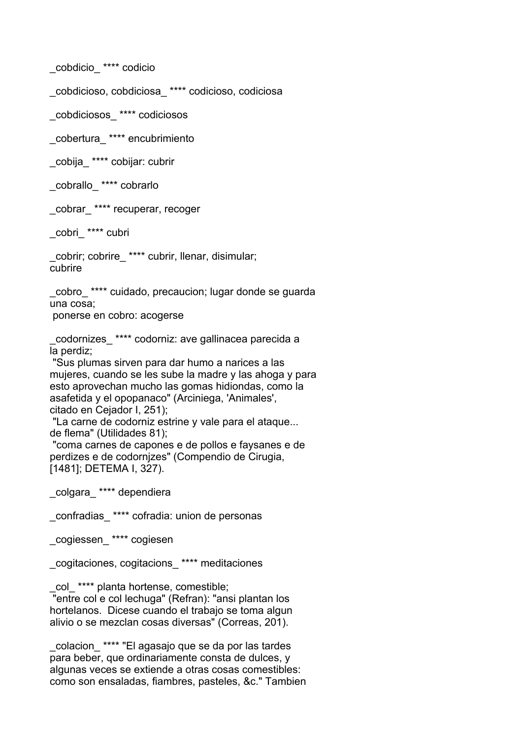\_cobdicio\_ \*\*\*\* codicio

\_cobdicioso, cobdiciosa\_ \*\*\*\* codicioso, codiciosa

\_cobdiciosos\_ \*\*\*\* codiciosos

\_cobertura\_ \*\*\*\* encubrimiento

\_cobija\_ \*\*\*\* cobijar: cubrir

cobrallo \*\*\*\* cobrarlo

\_cobrar\_ \*\*\*\* recuperar, recoger

cobri \*\*\*\* cubri

\_cobrir; cobrire\_ \*\*\*\* cubrir, llenar, disimular; cubrire

\_cobro\_ \*\*\*\* cuidado, precaucion; lugar donde se guarda una cosa;

ponerse en cobro: acogerse

\_codornizes\_ \*\*\*\* codorniz: ave gallinacea parecida a la perdiz;

"Sus plumas sirven para dar humo a narices a las mujeres, cuando se les sube la madre y las ahoga y para esto aprovechan mucho las gomas hidiondas, como la asafetida y el opopanaco" (Arciniega, 'Animales', citado en Cejador I, 251);

"La carne de codorniz estrine y vale para el ataque... de flema" (Utilidades 81);

"coma carnes de capones e de pollos e faysanes e de perdizes e de codornjzes" (Compendio de Cirugia, [1481]; DETEMA I, 327).

\_colgara\_ \*\*\*\* dependiera

confradias \*\*\*\* cofradia: union de personas

cogiessen \*\*\*\* cogiesen

\_cogitaciones, cogitacions\_ \*\*\*\* meditaciones

\_col\_ \*\*\*\* planta hortense, comestible; "entre col e col lechuga" (Refran): "ansi plantan los hortelanos. Dicese cuando el trabajo se toma algun alivio o se mezclan cosas diversas" (Correas, 201).

\_colacion\_ \*\*\*\* "El agasajo que se da por las tardes para beber, que ordinariamente consta de dulces, y algunas veces se extiende a otras cosas comestibles: como son ensaladas, fiambres, pasteles, &c." Tambien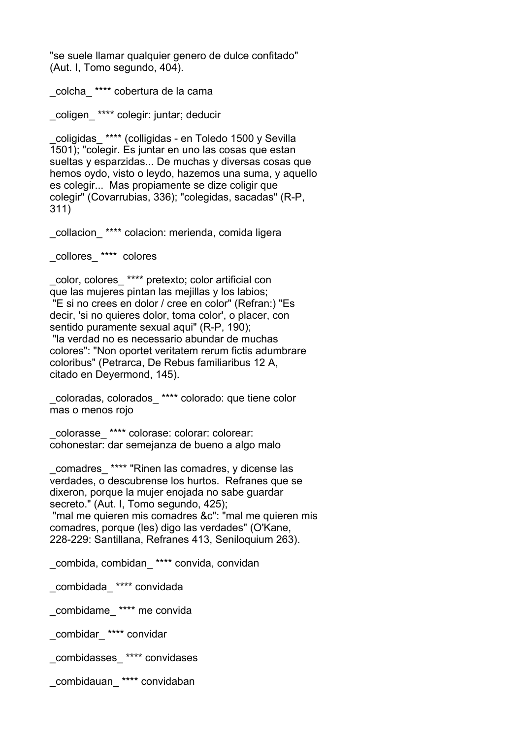"se suele llamar qualquier genero de dulce confitado" (Aut. I, Tomo segundo, 404).

\_colcha\_ \*\*\*\* cobertura de la cama

\_coligen\_ \*\*\*\* colegir: juntar; deducir

\_coligidas\_ \*\*\*\* (colligidas - en Toledo 1500 y Sevilla 1501); "colegir. Es juntar en uno las cosas que estan sueltas y esparzidas... De muchas y diversas cosas que hemos oydo, visto o leydo, hazemos una suma, y aquello es colegir... Mas propiamente se dize coligir que colegir" (Covarrubias, 336); "colegidas, sacadas" (R-P, 311)

collacion \*\*\*\* colacion: merienda, comida ligera

\_collores\_ \*\*\*\* colores

\_color, colores\_ \*\*\*\* pretexto; color artificial con que las mujeres pintan las mejillas y los labios; "E si no crees en dolor / cree en color" (Refran:) "Es decir, 'si no quieres dolor, toma color', o placer, con sentido puramente sexual aqui" (R-P, 190); "la verdad no es necessario abundar de muchas colores": "Non oportet veritatem rerum fictis adumbrare coloribus" (Petrarca, De Rebus familiaribus 12 A,

citado en Deyermond, 145).

\_coloradas, colorados\_ \*\*\*\* colorado: que tiene color mas o menos rojo

\_colorasse\_ \*\*\*\* colorase: colorar: colorear: cohonestar: dar semejanza de bueno a algo malo

\_comadres\_ \*\*\*\* "Rinen las comadres, y dicense las verdades, o descubrense los hurtos. Refranes que se dixeron, porque la mujer enojada no sabe guardar secreto." (Aut. I. Tomo segundo, 425); "mal me quieren mis comadres &c": "mal me quieren mis comadres, porque (les) digo las verdades" (O'Kane, 228-229: Santillana, Refranes 413, Seniloquium 263).

\_combida, combidan\_ \*\*\*\* convida, convidan

\_combidada\_ \*\*\*\* convidada

\_combidame\_ \*\*\*\* me convida

combidar \*\*\*\* convidar

\_combidasses\_ \*\*\*\* convidases

combidauan \*\*\*\* convidaban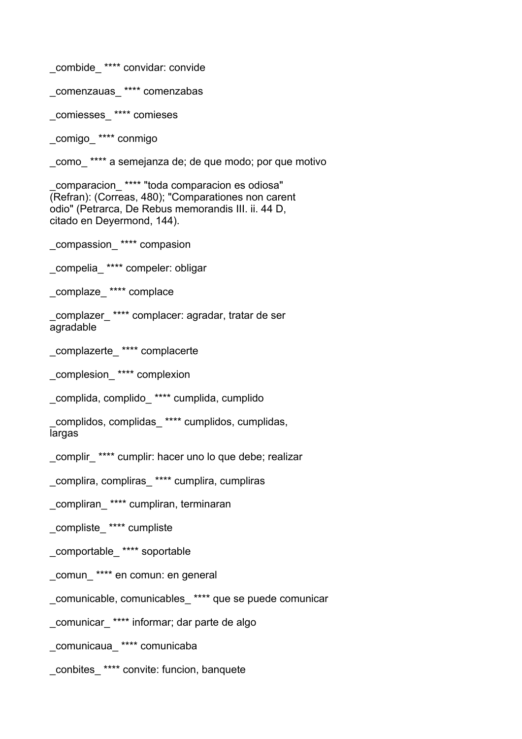\_combide\_ \*\*\*\* convidar: convide

\_comenzauas\_ \*\*\*\* comenzabas

\_comiesses\_ \*\*\*\* comieses

\_comigo\_ \*\*\*\* conmigo

\_como\_ \*\*\*\* a semejanza de; de que modo; por que motivo

comparacion \*\*\*\* "toda comparacion es odiosa" (Refran): (Correas, 480); "Comparationes non carent odio" (Petrarca, De Rebus memorandis III. ii. 44 D, citado en Deyermond, 144).

compassion \*\*\*\* compasion

\_compelia\_ \*\*\*\* compeler: obligar

\_complaze\_ \*\*\*\* complace

\_complazer\_ \*\*\*\* complacer: agradar, tratar de ser agradable

\_complazerte\_ \*\*\*\* complacerte

complesion \*\*\*\* complexion

\_complida, complido\_ \*\*\*\* cumplida, cumplido

\_complidos, complidas\_ \*\*\*\* cumplidos, cumplidas, largas

\_complir\_ \*\*\*\* cumplir: hacer uno lo que debe; realizar

\_complira, compliras\_ \*\*\*\* cumplira, cumpliras

\_compliran\_ \*\*\*\* cumpliran, terminaran

\_compliste\_ \*\*\*\* cumpliste

\_comportable\_ \*\*\*\* soportable

comun \*\*\*\* en comun: en general

\_comunicable, comunicables\_ \*\*\*\* que se puede comunicar

\_comunicar\_ \*\*\*\* informar; dar parte de algo

\_comunicaua\_ \*\*\*\* comunicaba

\_conbites\_ \*\*\*\* convite: funcion, banquete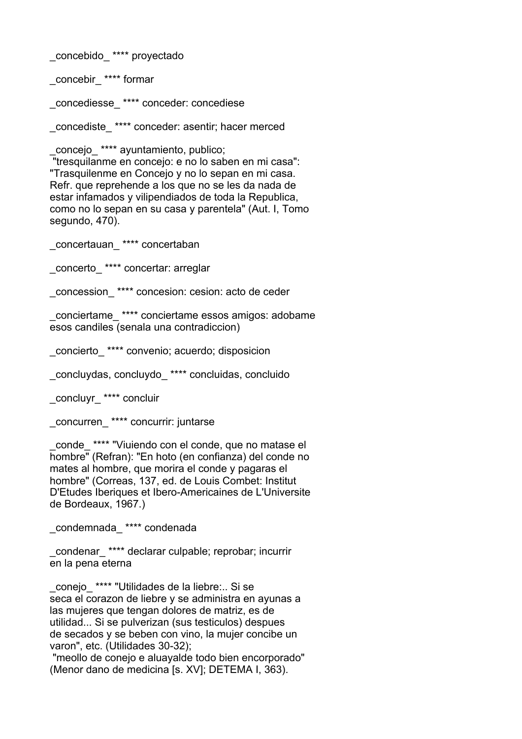\_concebido\_ \*\*\*\* proyectado

\_concebir\_ \*\*\*\* formar

\_concediesse\_ \*\*\*\* conceder: concediese

\_concediste\_ \*\*\*\* conceder: asentir; hacer merced

\_concejo\_ \*\*\*\* ayuntamiento, publico;

"tresquilanme en concejo: e no lo saben en mi casa": "Trasquilenme en Concejo y no lo sepan en mi casa. Refr. que reprehende a los que no se les da nada de estar infamados y vilipendiados de toda la Republica, como no lo sepan en su casa y parentela" (Aut. I, Tomo segundo, 470).

concertauan \*\*\*\* concertaban

concerto \*\*\*\* concertar: arreglar

\_concession\_ \*\*\*\* concesion: cesion: acto de ceder

\_conciertame\_ \*\*\*\* conciertame essos amigos: adobame esos candiles (senala una contradiccion)

\_concierto\_ \*\*\*\* convenio; acuerdo; disposicion

\_concluydas, concluydo\_ \*\*\*\* concluidas, concluido

concluyr \*\*\*\* concluir

\_concurren\_ \*\*\*\* concurrir: juntarse

\_conde\_ \*\*\*\* "Viuiendo con el conde, que no matase el hombre" (Refran): "En hoto (en confianza) del conde no mates al hombre, que morira el conde y pagaras el hombre" (Correas, 137, ed. de Louis Combet: Institut D'Etudes Iberiques et Ibero-Americaines de L'Universite de Bordeaux, 1967.)

\_condemnada\_ \*\*\*\* condenada

\_condenar\_ \*\*\*\* declarar culpable; reprobar; incurrir en la pena eterna

\_conejo\_ \*\*\*\* "Utilidades de la liebre:.. Si se seca el corazon de liebre y se administra en ayunas a las mujeres que tengan dolores de matriz, es de utilidad... Si se pulverizan (sus testiculos) despues de secados y se beben con vino, la mujer concibe un varon", etc. (Utilidades 30-32);

"meollo de conejo e aluayalde todo bien encorporado" (Menor dano de medicina [s. XV]; DETEMA I, 363).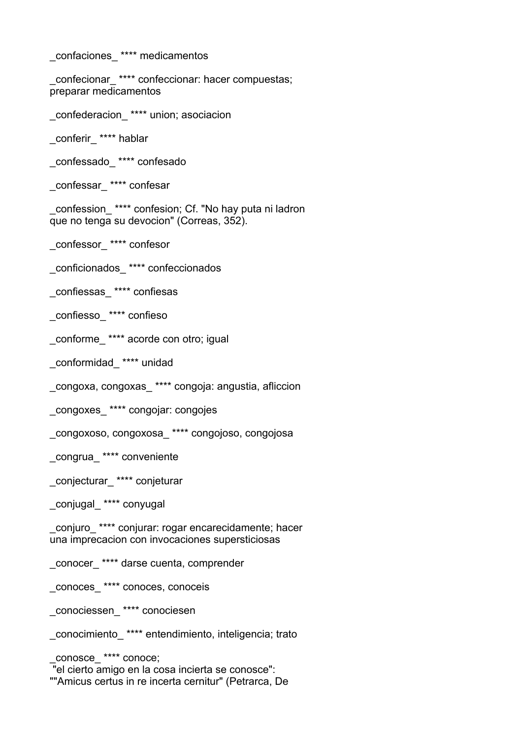confaciones \*\*\*\* medicamentos

confecionar \*\*\*\* confeccionar: hacer compuestas; preparar medicamentos

\_confederacion\_ \*\*\*\* union; asociacion

\_conferir\_ \*\*\*\* hablar

\_confessado\_ \*\*\*\* confesado

confessar \*\*\*\* confesar

\_confession\_ \*\*\*\* confesion; Cf. "No hay puta ni ladron que no tenga su devocion" (Correas, 352).

\_confessor\_ \*\*\*\* confesor

\_conficionados\_ \*\*\*\* confeccionados

\_confiessas\_ \*\*\*\* confiesas

\_confiesso\_ \*\*\*\* confieso

\_conforme\_ \*\*\*\* acorde con otro; igual

\_conformidad\_ \*\*\*\* unidad

\_congoxa, congoxas\_ \*\*\*\* congoja: angustia, afliccion

\_congoxes\_ \*\*\*\* congojar: congojes

\_congoxoso, congoxosa\_ \*\*\*\* congojoso, congojosa

\_congrua\_ \*\*\*\* conveniente

\_conjecturar\_ \*\*\*\* conjeturar

\_conjugal\_ \*\*\*\* conyugal

\_conjuro\_ \*\*\*\* conjurar: rogar encarecidamente; hacer una imprecacion con invocaciones supersticiosas

conocer \*\*\*\* darse cuenta, comprender

\_conoces\_ \*\*\*\* conoces, conoceis

conociessen \*\*\*\* conociesen

\_conocimiento\_ \*\*\*\* entendimiento, inteligencia; trato

\_conosce\_ \*\*\*\* conoce;

"el cierto amigo en la cosa incierta se conosce": ""Amicus certus in re incerta cernitur" (Petrarca, De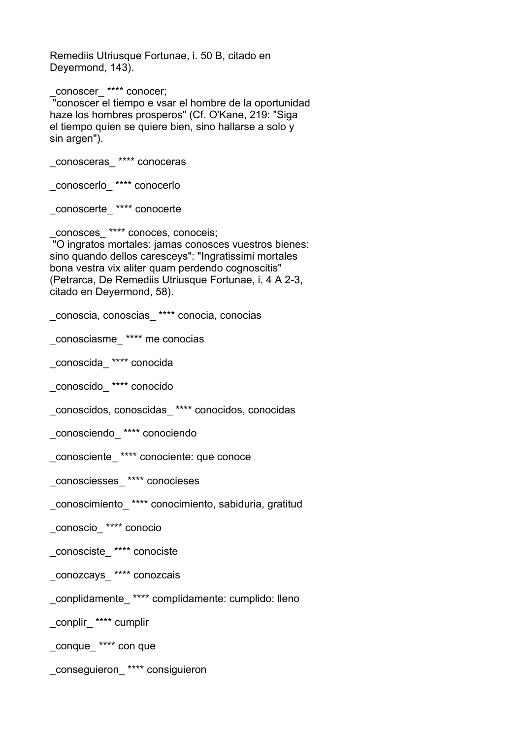Remediis Utriusque Fortunae, i. 50 B, citado en Deyermond, 143).

conoscer \*\*\*\* conocer; "conoscer el tiempo e vsar el hombre de la oportunidad haze los hombres prosperos" (Cf. O'Kane, 219: "Siga el tiempo quien se quiere bien, sino hallarse a solo y sin argen").

\_conosceras\_ \*\*\*\* conoceras

\_conoscerlo\_ \*\*\*\* conocerlo

\_conoscerte\_ \*\*\*\* conocerte

conosces \*\*\*\* conoces, conoceis; "O ingratos mortales: jamas conosces vuestros bienes: sino quando dellos caresceys": "Ingratissimi mortales bona vestra vix aliter quam perdendo cognoscitis" (Petrarca, De Remediis Utriusque Fortunae, i. 4 A 2-3, citado en Deyermond, 58).

\_conoscia, conoscias\_ \*\*\*\* conocia, conocias

\_conosciasme\_ \*\*\*\* me conocias

\_conoscida\_ \*\*\*\* conocida

\_conoscido\_ \*\*\*\* conocido

\_conoscidos, conoscidas\_ \*\*\*\* conocidos, conocidas

\_conosciendo\_ \*\*\*\* conociendo

conosciente \*\*\*\* conociente: que conoce

\_conosciesses\_ \*\*\*\* conocieses

conoscimiento \*\*\*\* conocimiento, sabiduria, gratitud

\_conoscio\_ \*\*\*\* conocio

\_conosciste\_ \*\*\*\* conociste

\_conozcays\_ \*\*\*\* conozcais

\_conplidamente\_ \*\*\*\* complidamente: cumplido: lleno

\_conplir\_ \*\*\*\* cumplir

conque\_ \*\*\*\* con que

conseguieron \*\*\*\* consiguieron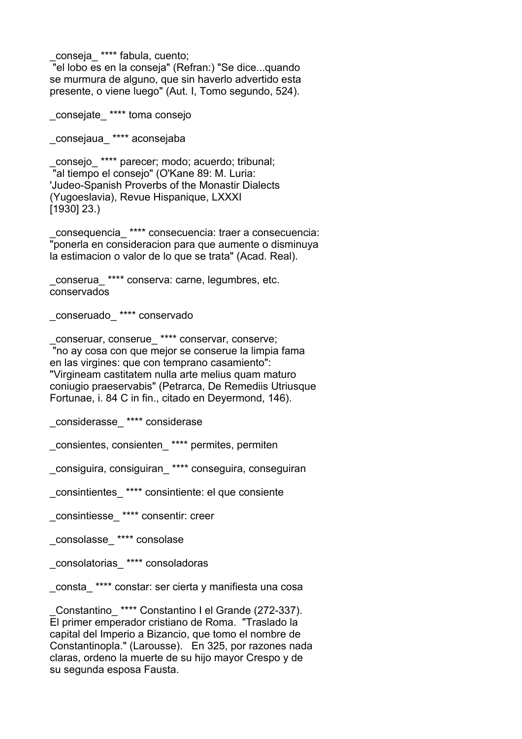\_conseja\_ \*\*\*\* fabula, cuento;

"el lobo es en la conseja" (Refran:) "Se dice...quando se murmura de alguno, que sin haverlo advertido esta presente, o viene luego" (Aut. I, Tomo segundo, 524).

\_consejate\_ \*\*\*\* toma consejo

\_consejaua\_ \*\*\*\* aconsejaba

consejo \*\*\*\* parecer; modo; acuerdo; tribunal; "al tiempo el consejo" (O'Kane 89: M. Luria: 'Judeo-Spanish Proverbs of the Monastir Dialects (Yugoeslavia), Revue Hispanique, LXXXI [1930] 23.)

consequencia \*\*\*\* consecuencia: traer a consecuencia: "ponerla en consideracion para que aumente o disminuya la estimacion o valor de lo que se trata" (Acad. Real).

\_conserua\_ \*\*\*\* conserva: carne, legumbres, etc. conservados

\_conseruado\_ \*\*\*\* conservado

conseruar, conserue \*\*\*\* conservar, conserve; "no ay cosa con que mejor se conserue la limpia fama en las virgines: que con temprano casamiento": "Virgineam castitatem nulla arte melius quam maturo coniugio praeservabis" (Petrarca, De Remediis Utriusque Fortunae, i. 84 C in fin., citado en Deyermond, 146).

\_considerasse\_ \*\*\*\* considerase

consientes, consienten\_\*\*\*\* permites, permiten

consiguira, consiguiran \*\*\*\* conseguira, conseguiran

\_consintientes\_ \*\*\*\* consintiente: el que consiente

\_consintiesse\_ \*\*\*\* consentir: creer

\_consolasse\_ \*\*\*\* consolase

\_consolatorias\_ \*\*\*\* consoladoras

\_consta\_ \*\*\*\* constar: ser cierta y manifiesta una cosa

\_Constantino\_ \*\*\*\* Constantino I el Grande (272-337). El primer emperador cristiano de Roma. "Traslado la capital del Imperio a Bizancio, que tomo el nombre de Constantinopla." (Larousse). En 325, por razones nada claras, ordeno la muerte de su hijo mayor Crespo y de su segunda esposa Fausta.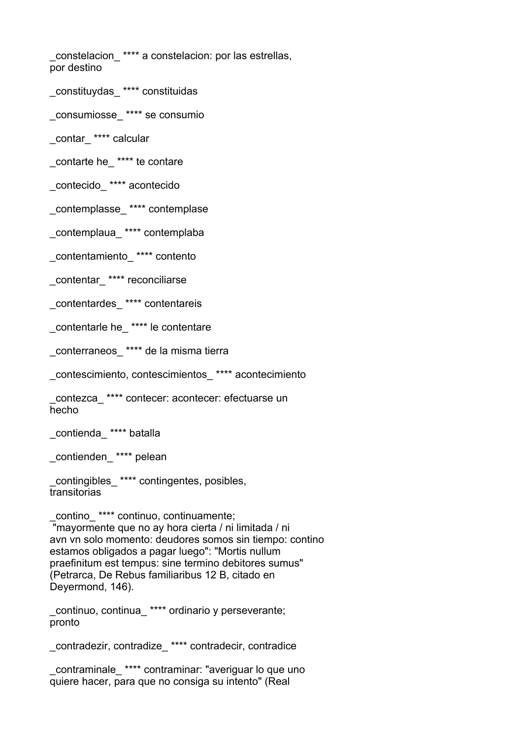constelacion \*\*\*\* a constelacion: por las estrellas, por destino

\_constituydas\_ \*\*\*\* constituidas

\_consumiosse\_ \*\*\*\* se consumio

\_contar\_ \*\*\*\* calcular

contarte he \*\*\*\* te contare

\_contecido\_ \*\*\*\* acontecido

\_contemplasse\_ \*\*\*\* contemplase

\_contemplaua\_ \*\*\*\* contemplaba

\_contentamiento\_ \*\*\*\* contento

contentar \*\*\*\* reconciliarse

\_contentardes\_ \*\*\*\* contentareis

contentarle he \*\*\*\* le contentare

\_conterraneos\_ \*\*\*\* de la misma tierra

\_contescimiento, contescimientos\_ \*\*\*\* acontecimiento

contezca \*\*\*\* contecer: acontecer: efectuarse un hecho

\_contienda\_ \*\*\*\* batalla

contienden\_\*\*\*\* pelean

contingibles \*\*\*\* contingentes, posibles, transitorias

contino \*\*\*\* continuo, continuamente; "mayormente que no ay hora cierta / ni limitada / ni avn vn solo momento: deudores somos sin tiempo: contino estamos obligados a pagar luego": "Mortis nullum praefinitum est tempus: sine termino debitores sumus" (Petrarca, De Rebus familiaribus 12 B, citado en Deyermond, 146).

\_continuo, continua\_ \*\*\*\* ordinario y perseverante; pronto

\_contradezir, contradize\_ \*\*\*\* contradecir, contradice

contraminale \*\*\*\* contraminar: "averiguar lo que uno quiere hacer, para que no consiga su intento" (Real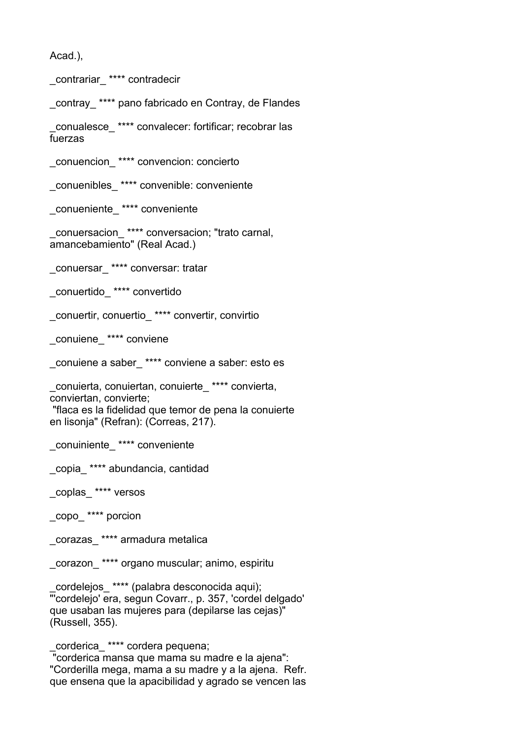Acad.),

\_contrariar\_ \*\*\*\* contradecir

\_contray\_ \*\*\*\* pano fabricado en Contray, de Flandes

conualesce \*\*\*\* convalecer: fortificar; recobrar las fuerzas

conuencion \*\*\*\* convencion: concierto

conuenibles \*\*\*\* convenible: conveniente

conueniente \*\*\*\* conveniente

conuersacion \*\*\*\* conversacion; "trato carnal, amancebamiento" (Real Acad.)

conuersar \*\*\*\* conversar: tratar

\_conuertido\_ \*\*\*\* convertido

\_conuertir, conuertio\_ \*\*\*\* convertir, convirtio

conuiene \*\*\*\* conviene

\_conuiene a saber\_ \*\*\*\* conviene a saber: esto es

\_conuierta, conuiertan, conuierte\_ \*\*\*\* convierta, conviertan, convierte;

"flaca es la fidelidad que temor de pena la conuierte en lisonja" (Refran): (Correas, 217).

\_conuiniente\_ \*\*\*\* conveniente

\_copia\_ \*\*\*\* abundancia, cantidad

\_coplas\_ \*\*\*\* versos

\_copo\_ \*\*\*\* porcion

\_corazas\_ \*\*\*\* armadura metalica

\_corazon\_ \*\*\*\* organo muscular; animo, espiritu

cordelejos \*\*\*\* (palabra desconocida aqui); "'cordelejo' era, segun Covarr., p. 357, 'cordel delgado' que usaban las mujeres para (depilarse las cejas)" (Russell, 355).

corderica \*\*\*\* cordera pequena; "corderica mansa que mama su madre e la ajena": "Corderilla mega, mama a su madre y a la ajena. Refr. que ensena que la apacibilidad y agrado se vencen las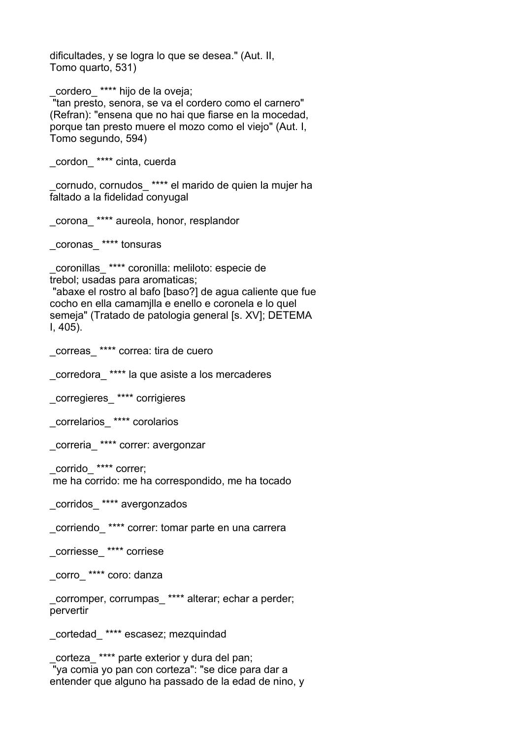dificultades, y se logra lo que se desea." (Aut. II, Tomo quarto, 531)

cordero \*\*\*\* hijo de la oveja; "tan presto, senora, se va el cordero como el carnero" (Refran): "ensena que no hai que fiarse en la mocedad, porque tan presto muere el mozo como el viejo" (Aut. I, Tomo segundo, 594)

cordon \*\*\*\* cinta, cuerda

cornudo, cornudos \*\*\*\* el marido de quien la mujer ha faltado a la fidelidad conyugal

\_corona\_ \*\*\*\* aureola, honor, resplandor

\_coronas\_ \*\*\*\* tonsuras

\_coronillas\_ \*\*\*\* coronilla: meliloto: especie de trebol; usadas para aromaticas;

"abaxe el rostro al bafo [baso?] de agua caliente que fue cocho en ella camamjlla e enello e coronela e lo quel semeja" (Tratado de patologia general [s. XV]; DETEMA I, 405).

\_correas\_ \*\*\*\* correa: tira de cuero

\_corredora\_ \*\*\*\* la que asiste a los mercaderes

corregieres \*\*\*\* corrigieres

correlarios \*\*\*\* corolarios

\_correria\_ \*\*\*\* correr: avergonzar

\_corrido\_ \*\*\*\* correr;

me ha corrido: me ha correspondido, me ha tocado

corridos \*\*\*\* avergonzados

\_corriendo\_ \*\*\*\* correr: tomar parte en una carrera

\_corriesse\_ \*\*\*\* corriese

corro \*\*\*\* coro: danza

\_corromper, corrumpas\_ \*\*\*\* alterar; echar a perder; pervertir

cortedad \*\*\*\* escasez; mezquindad

\_corteza\_ \*\*\*\* parte exterior y dura del pan; "ya comia yo pan con corteza": "se dice para dar a entender que alguno ha passado de la edad de nino, y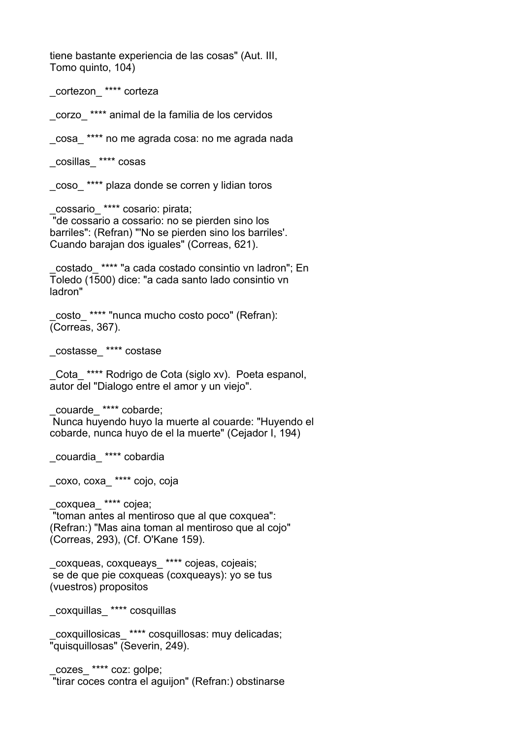tiene bastante experiencia de las cosas" (Aut. III, Tomo quinto, 104)

\_cortezon\_ \*\*\*\* corteza

\_corzo\_ \*\*\*\* animal de la familia de los cervidos

\_cosa\_ \*\*\*\* no me agrada cosa: no me agrada nada

\_cosillas\_ \*\*\*\* cosas

\_coso\_ \*\*\*\* plaza donde se corren y lidian toros

\_cossario\_ \*\*\*\* cosario: pirata; "de cossario a cossario: no se pierden sino los barriles": (Refran) "'No se pierden sino los barriles'. Cuando barajan dos iguales" (Correas, 621).

\_costado\_ \*\*\*\* "a cada costado consintio vn ladron"; En Toledo (1500) dice: "a cada santo lado consintio vn ladron"

costo \*\*\*\* "nunca mucho costo poco" (Refran): (Correas, 367).

\_costasse\_ \*\*\*\* costase

Cota \*\*\*\* Rodrigo de Cota (siglo xv). Poeta espanol, autor del "Dialogo entre el amor y un viejo".

couarde \*\*\*\* cobarde;

Nunca huyendo huyo la muerte al couarde: "Huyendo el cobarde, nunca huyo de el la muerte" (Cejador I, 194)

\_couardia\_ \*\*\*\* cobardia

\_coxo, coxa\_ \*\*\*\* cojo, coja

\_coxquea\_ \*\*\*\* cojea;

"toman antes al mentiroso que al que coxquea": (Refran:) "Mas aina toman al mentiroso que al cojo" (Correas, 293), (Cf. O'Kane 159).

\_coxqueas, coxqueays\_ \*\*\*\* cojeas, cojeais; se de que pie coxqueas (coxqueays): yo se tus (vuestros) propositos

\_coxquillas\_ \*\*\*\* cosquillas

coxquillosicas \*\*\*\* cosquillosas: muy delicadas; "quisquillosas" (Severin, 249).

cozes \*\*\*\* coz: golpe; "tirar coces contra el aguijon" (Refran:) obstinarse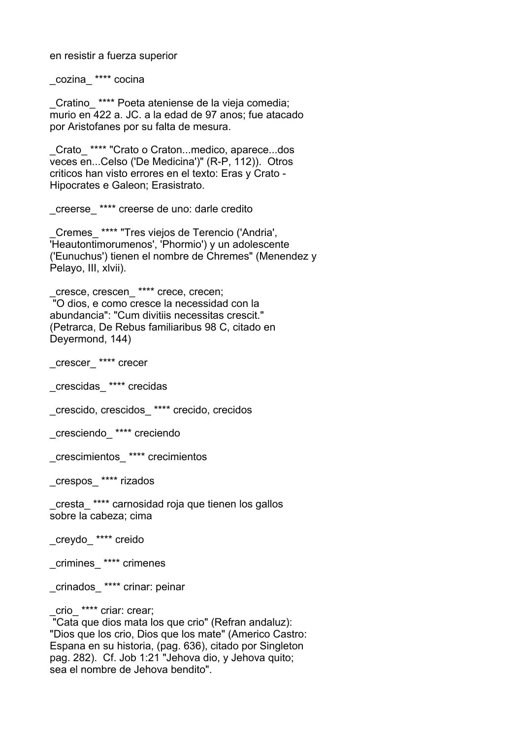en resistir a fuerza superior

\_cozina\_ \*\*\*\* cocina

\_Cratino\_ \*\*\*\* Poeta ateniense de la vieja comedia; murio en 422 a. JC. a la edad de 97 anos; fue atacado por Aristofanes por su falta de mesura.

\_Crato\_ \*\*\*\* "Crato o Craton...medico, aparece...dos veces en...Celso ('De Medicina')" (R-P, 112)). Otros criticos han visto errores en el texto: Eras y Crato - Hipocrates e Galeon; Erasistrato.

creerse \*\*\*\* creerse de uno: darle credito

Cremes \*\*\*\* "Tres viejos de Terencio ('Andria', 'Heautontimorumenos', 'Phormio') y un adolescente ('Eunuchus') tienen el nombre de Chremes" (Menendez y Pelayo, III, xlvii).

cresce, crescen \*\*\*\* crece, crecen; "O dios, e como cresce la necessidad con la abundancia": "Cum divitiis necessitas crescit." (Petrarca, De Rebus familiaribus 98 C, citado en Deyermond, 144)

\_crescer\_ \*\*\*\* crecer

\_crescidas\_ \*\*\*\* crecidas

\_crescido, crescidos\_ \*\*\*\* crecido, crecidos

\_cresciendo\_ \*\*\*\* creciendo

\_crescimientos\_ \*\*\*\* crecimientos

\_crespos\_ \*\*\*\* rizados

\_cresta\_ \*\*\*\* carnosidad roja que tienen los gallos sobre la cabeza; cima

\_creydo\_ \*\*\*\* creido

\_crimines\_ \*\*\*\* crimenes

\_crinados\_ \*\*\*\* crinar: peinar

crio \*\*\*\* criar: crear;

"Cata que dios mata los que crio" (Refran andaluz): "Dios que los crio, Dios que los mate" (Americo Castro: Espana en su historia, (pag. 636), citado por Singleton pag. 282). Cf. Job 1:21 "Jehova dio, y Jehova quito; sea el nombre de Jehova bendito".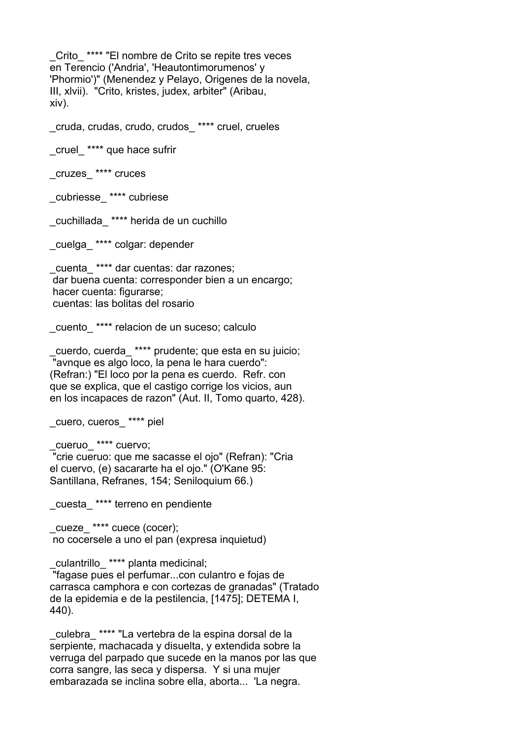\_Crito\_ \*\*\*\* "El nombre de Crito se repite tres veces en Terencio ('Andria', 'Heautontimorumenos' y 'Phormio')" (Menendez y Pelayo, Origenes de la novela, III, xlvii). "Crito, kristes, judex, arbiter" (Aribau, xiv).

\_cruda, crudas, crudo, crudos\_ \*\*\*\* cruel, crueles

\_cruel\_ \*\*\*\* que hace sufrir

\_cruzes\_ \*\*\*\* cruces

\_cubriesse\_ \*\*\*\* cubriese

\_cuchillada\_ \*\*\*\* herida de un cuchillo

\_cuelga\_ \*\*\*\* colgar: depender

\_cuenta\_ \*\*\*\* dar cuentas: dar razones; dar buena cuenta: corresponder bien a un encargo; hacer cuenta: figurarse; cuentas: las bolitas del rosario

\_cuento\_ \*\*\*\* relacion de un suceso; calculo

\_cuerdo, cuerda\_ \*\*\*\* prudente; que esta en su juicio; "avnque es algo loco, la pena le hara cuerdo": (Refran:) "El loco por la pena es cuerdo. Refr. con que se explica, que el castigo corrige los vicios, aun en los incapaces de razon" (Aut. II, Tomo quarto, 428).

cuero, cueros \*\*\*\* piel

cueruo \*\*\*\* cuervo;

"crie cueruo: que me sacasse el ojo" (Refran): "Cria el cuervo, (e) sacararte ha el ojo." (O'Kane 95: Santillana, Refranes, 154; Seniloquium 66.)

\_cuesta\_ \*\*\*\* terreno en pendiente

cueze \*\*\*\* cuece (cocer); no cocersele a uno el pan (expresa inquietud)

culantrillo \*\*\*\* planta medicinal;

"fagase pues el perfumar...con culantro e fojas de carrasca camphora e con cortezas de granadas" (Tratado de la epidemia e de la pestilencia, [1475]; DETEMA I, 440).

\_culebra\_ \*\*\*\* "La vertebra de la espina dorsal de la serpiente, machacada y disuelta, y extendida sobre la verruga del parpado que sucede en la manos por las que corra sangre, las seca y dispersa. Y si una mujer embarazada se inclina sobre ella, aborta... 'La negra.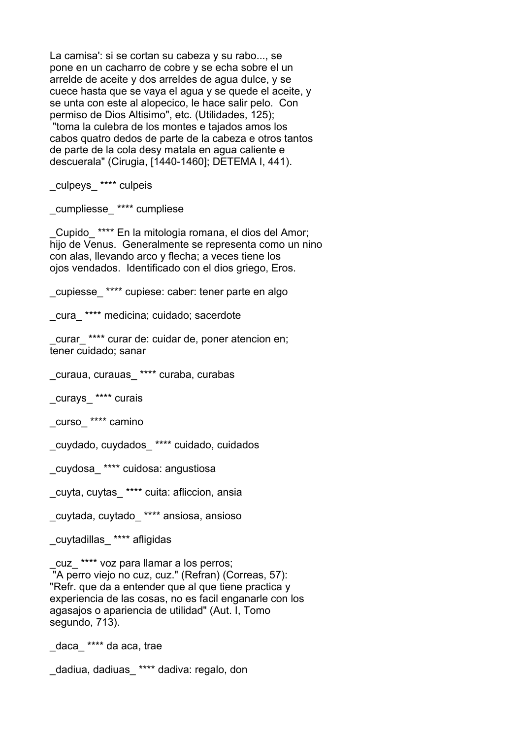La camisa': si se cortan su cabeza y su rabo..., se pone en un cacharro de cobre y se echa sobre el un arrelde de aceite y dos arreldes de agua dulce, y se cuece hasta que se vaya el agua y se quede el aceite, y se unta con este al alopecico, le hace salir pelo. Con permiso de Dios Altisimo", etc. (Utilidades, 125); "toma la culebra de los montes e tajados amos los cabos quatro dedos de parte de la cabeza e otros tantos de parte de la cola desy matala en agua caliente e descuerala" (Cirugia, [1440-1460]; DETEMA I, 441).

culpeys \*\*\*\* culpeis

\_cumpliesse\_ \*\*\*\* cumpliese

Cupido \*\*\*\* En la mitologia romana, el dios del Amor; hijo de Venus. Generalmente se representa como un nino con alas, llevando arco y flecha; a veces tiene los ojos vendados. Identificado con el dios griego, Eros.

\_cupiesse\_ \*\*\*\* cupiese: caber: tener parte en algo

\_cura\_ \*\*\*\* medicina; cuidado; sacerdote

curar \*\*\*\* curar de: cuidar de, poner atencion en; tener cuidado; sanar

\_curaua, curauas\_ \*\*\*\* curaba, curabas

\_curays\_ \*\*\*\* curais

\_curso\_ \*\*\*\* camino

\_cuydado, cuydados\_ \*\*\*\* cuidado, cuidados

\_cuydosa\_ \*\*\*\* cuidosa: angustiosa

\_cuyta, cuytas\_ \*\*\*\* cuita: afliccion, ansia

\_cuytada, cuytado\_ \*\*\*\* ansiosa, ansioso

\_cuytadillas\_ \*\*\*\* afligidas

\_cuz\_ \*\*\*\* voz para llamar a los perros; "A perro viejo no cuz, cuz." (Refran) (Correas, 57): "Refr. que da a entender que al que tiene practica y experiencia de las cosas, no es facil enganarle con los agasajos o apariencia de utilidad" (Aut. I, Tomo segundo, 713).

daca\_\*\*\*\* da aca, trae

dadiua, dadiuas \*\*\*\* dadiva: regalo, don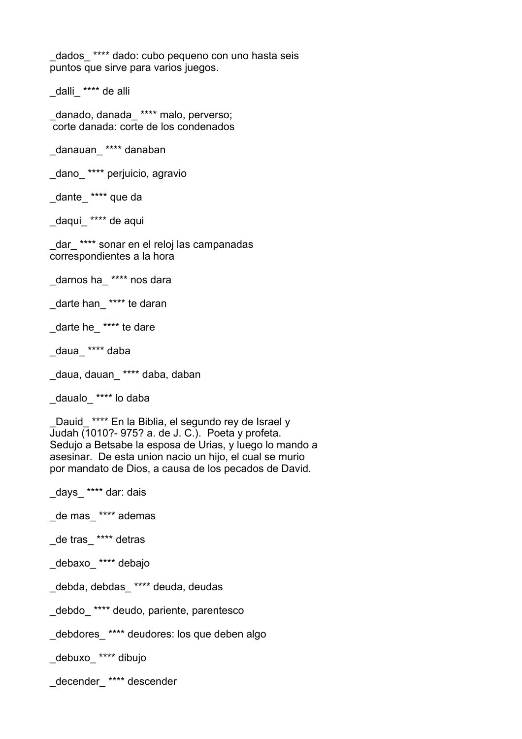\_dados\_ \*\*\*\* dado: cubo pequeno con uno hasta seis puntos que sirve para varios juegos.

\_dalli\_ \*\*\*\* de alli

danado, danada \*\*\*\* malo, perverso; corte danada: corte de los condenados

danauan \*\*\*\* danaban

dano \*\*\*\* perjuicio, agravio

dante \*\*\*\* que da

daqui \*\*\*\* de aqui

dar \*\*\*\* sonar en el reloj las campanadas correspondientes a la hora

\_darnos ha\_ \*\*\*\* nos dara

darte han \*\*\*\* te daran

\_darte he\_ \*\*\*\* te dare

\_daua\_ \*\*\*\* daba

daua, dauan \*\*\*\* daba, daban

\_daualo\_ \*\*\*\* lo daba

Dauid \*\*\*\* En la Biblia, el segundo rey de Israel y Judah (1010?- 975? a. de J. C.). Poeta y profeta. Sedujo a Betsabe la esposa de Urias, y luego lo mando a asesinar. De esta union nacio un hijo, el cual se murio por mandato de Dios, a causa de los pecados de David.

\_days\_ \*\*\*\* dar: dais

\_de mas\_ \*\*\*\* ademas

de tras \*\*\*\* detras

\_debaxo\_ \*\*\*\* debajo

\_debda, debdas\_ \*\*\*\* deuda, deudas

\_debdo\_ \*\*\*\* deudo, pariente, parentesco

debdores \*\*\*\* deudores: los que deben algo

\_debuxo\_ \*\*\*\* dibujo

decender \*\*\*\* descender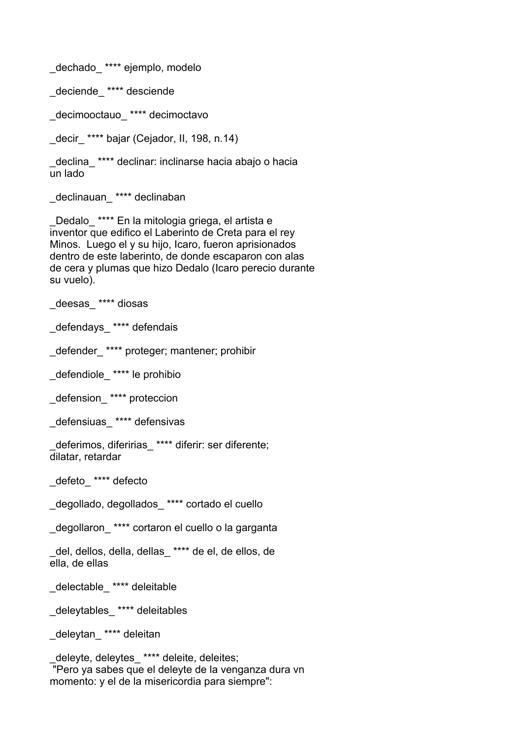\_dechado\_ \*\*\*\* ejemplo, modelo

deciende \*\*\*\* desciende

decimooctauo \*\*\*\* decimoctavo

\_decir\_ \*\*\*\* bajar (Cejador, II, 198, n.14)

declina \*\*\*\* declinar: inclinarse hacia abajo o hacia un lado

declinauan \*\*\*\* declinaban

Dedalo \*\*\*\* En la mitologia griega, el artista e inventor que edifico el Laberinto de Creta para el rey Minos. Luego el y su hijo, Icaro, fueron aprisionados dentro de este laberinto, de donde escaparon con alas de cera y plumas que hizo Dedalo (Icaro perecio durante su vuelo).

\_deesas\_ \*\*\*\* diosas

defendays \*\*\*\* defendais

\_defender\_ \*\*\*\* proteger; mantener; prohibir

defendiole \*\*\*\* le prohibio

defension \*\*\*\* proteccion

defensiuas \*\*\*\* defensivas

deferimos, diferirias \*\*\*\* diferir: ser diferente; dilatar, retardar

\_defeto\_ \*\*\*\* defecto

\_degollado, degollados\_ \*\*\*\* cortado el cuello

degollaron \*\*\*\* cortaron el cuello o la garganta

\_del, dellos, della, dellas\_ \*\*\*\* de el, de ellos, de ella, de ellas

delectable \*\*\*\* deleitable

deleytables \*\*\*\* deleitables

deleytan \*\*\*\* deleitan

deleyte, deleytes \*\*\*\* deleite, deleites; "Pero ya sabes que el deleyte de la venganza dura vn momento: y el de la misericordia para siempre":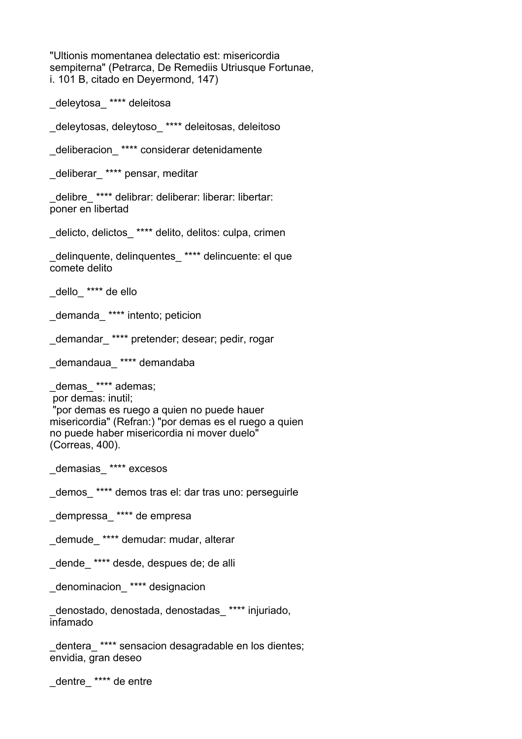"Ultionis momentanea delectatio est: misericordia sempiterna" (Petrarca, De Remediis Utriusque Fortunae, i. 101 B, citado en Deyermond, 147) \_deleytosa\_ \*\*\*\* deleitosa deleytosas, deleytoso \*\*\*\* deleitosas, deleitoso deliberacion \*\*\*\* considerar detenidamente deliberar \*\*\*\* pensar, meditar delibre \*\*\*\* delibrar: deliberar: liberar: libertar: poner en libertad delicto, delictos \*\*\*\* delito, delitos: culpa, crimen delinquente, delinquentes \*\*\*\* delincuente: el que comete delito \_dello\_ \*\*\*\* de ello \_demanda\_ \*\*\*\* intento; peticion \_demandar\_ \*\*\*\* pretender; desear; pedir, rogar \_demandaua\_ \*\*\*\* demandaba demas \*\*\*\* ademas; por demas: inutil; "por demas es ruego a quien no puede hauer misericordia" (Refran:) "por demas es el ruego a quien no puede haber misericordia ni mover duelo" (Correas, 400). \_demasias\_ \*\*\*\* excesos \_demos\_ \*\*\*\* demos tras el: dar tras uno: perseguirle dempressa \*\*\*\* de empresa demude \*\*\*\* demudar: mudar, alterar dende \*\*\*\* desde, despues de; de alli denominacion \*\*\*\* designacion \_denostado, denostada, denostadas\_ \*\*\*\* injuriado, infamado dentera \*\*\*\* sensacion desagradable en los dientes; envidia, gran deseo dentre \*\*\*\* de entre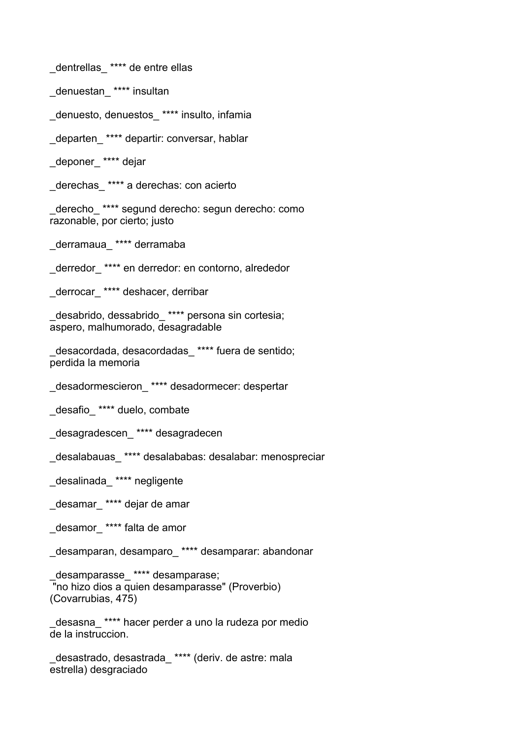dentrellas \*\*\*\* de entre ellas

denuestan \*\*\*\* insultan

\_denuesto, denuestos\_ \*\*\*\* insulto, infamia

\_departen\_ \*\*\*\* departir: conversar, hablar

deponer \*\*\*\* dejar

derechas \*\*\*\* a derechas: con acierto

derecho \*\*\*\* segund derecho: segun derecho: como razonable, por cierto; justo

derramaua \*\*\*\* derramaba

derredor \*\*\*\* en derredor: en contorno, alrededor

derrocar \*\*\*\* deshacer, derribar

desabrido, dessabrido \*\*\*\* persona sin cortesia; aspero, malhumorado, desagradable

desacordada, desacordadas \*\*\*\* fuera de sentido; perdida la memoria

\_desadormescieron\_ \*\*\*\* desadormecer: despertar

desafio \*\*\*\* duelo, combate

\_desagradescen\_ \*\*\*\* desagradecen

desalabauas \*\*\*\* desalababas: desalabar: menospreciar

desalinada \*\*\*\* negligente

desamar \*\*\*\* dejar de amar

desamor \*\*\*\* falta de amor

desamparan, desamparo \*\*\*\* desamparar: abandonar

desamparasse \*\*\*\* desamparase; "no hizo dios a quien desamparasse" (Proverbio) (Covarrubias, 475)

\_desasna\_ \*\*\*\* hacer perder a uno la rudeza por medio de la instruccion.

desastrado, desastrada \*\*\*\* (deriv. de astre: mala estrella) desgraciado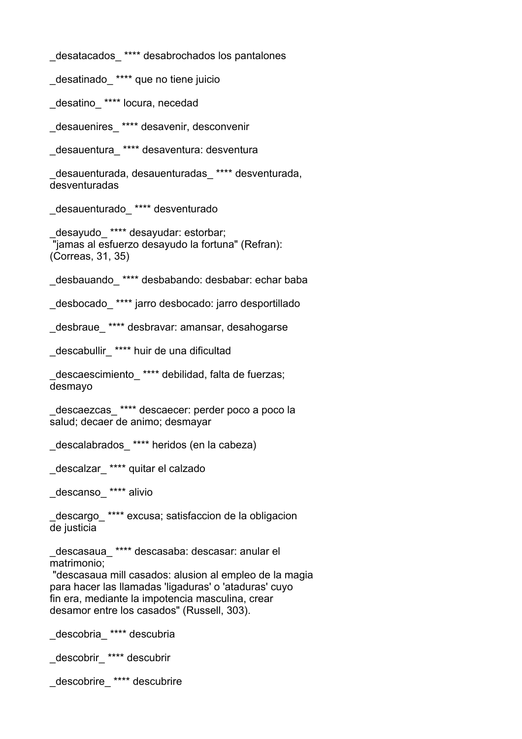desatacados \*\*\*\* desabrochados los pantalones

\_desatinado\_ \*\*\*\* que no tiene juicio

desatino \*\*\*\* locura, necedad

desauenires \*\*\*\* desavenir, desconvenir

desauentura \*\*\*\* desaventura: desventura

desauenturada, desauenturadas \*\*\*\* desventurada, desventuradas

\_desauenturado\_ \*\*\*\* desventurado

desayudo \*\*\*\* desayudar: estorbar; "jamas al esfuerzo desayudo la fortuna" (Refran): (Correas, 31, 35)

desbauando \*\*\*\* desbabando: desbabar: echar baba

\_desbocado\_ \*\*\*\* jarro desbocado: jarro desportillado

desbraue \*\*\*\* desbravar: amansar, desahogarse

descabullir \*\*\*\* huir de una dificultad

descaescimiento \*\*\*\* debilidad, falta de fuerzas; desmayo

\_descaezcas\_ \*\*\*\* descaecer: perder poco a poco la salud; decaer de animo; desmayar

descalabrados \*\*\*\* heridos (en la cabeza)

\_descalzar\_ \*\*\*\* quitar el calzado

\_descanso\_ \*\*\*\* alivio

descargo \*\*\*\* excusa; satisfaccion de la obligacion de justicia

\_descasaua\_ \*\*\*\* descasaba: descasar: anular el matrimonio;

"descasaua mill casados: alusion al empleo de la magia para hacer las llamadas 'ligaduras' o 'ataduras' cuyo fin era, mediante la impotencia masculina, crear desamor entre los casados" (Russell, 303).

descobria \*\*\*\* descubria

descobrir \*\*\*\* descubrir

descobrire \*\*\*\* descubrire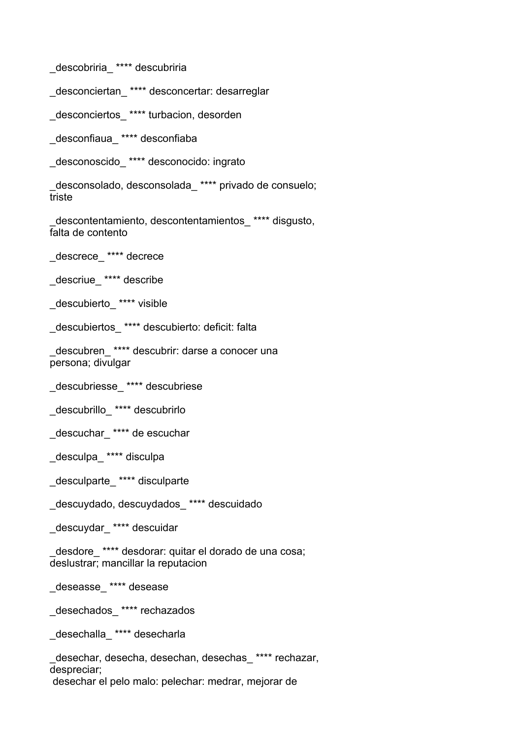\_descobriria\_ \*\*\*\* descubriria

desconciertan \*\*\*\* desconcertar: desarreglar

desconciertos \*\*\*\* turbacion, desorden

\_desconfiaua\_ \*\*\*\* desconfiaba

\_desconoscido\_ \*\*\*\* desconocido: ingrato

desconsolado, desconsolada \*\*\*\* privado de consuelo; triste

\_descontentamiento, descontentamientos\_ \*\*\*\* disgusto, falta de contento

\_descrece\_ \*\*\*\* decrece

\_descriue\_ \*\*\*\* describe

descubierto \*\*\*\* visible

descubiertos \*\*\*\* descubierto: deficit: falta

descubren \*\*\*\* descubrir: darse a conocer una persona; divulgar

\_descubriesse\_ \*\*\*\* descubriese

descubrillo \*\*\*\* descubrirlo

\_descuchar\_ \*\*\*\* de escuchar

desculpa \*\*\*\* disculpa

desculparte \*\*\*\* disculparte

descuydado, descuydados \*\*\*\* descuidado

descuydar \*\*\*\* descuidar

desdore \*\*\*\* desdorar: quitar el dorado de una cosa; deslustrar; mancillar la reputacion

\_deseasse\_ \*\*\*\* desease

desechados \*\*\*\* rechazados

desechalla \*\*\*\* desecharla

desechar, desecha, desechan, desechas \*\*\*\* rechazar, despreciar; desechar el pelo malo: pelechar: medrar, mejorar de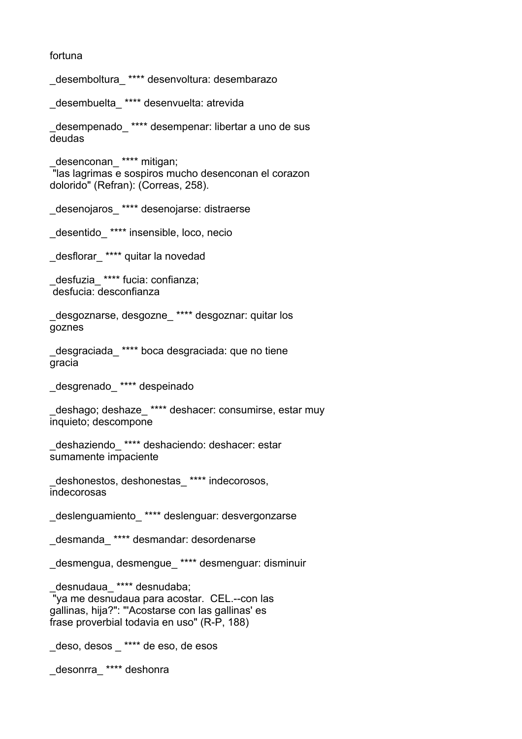## fortuna

\_desemboltura\_ \*\*\*\* desenvoltura: desembarazo

desembuelta \*\*\*\* desenvuelta: atrevida

desempenado \*\*\*\* desempenar: libertar a uno de sus deudas

desenconan \*\*\*\* mitigan; "las lagrimas e sospiros mucho desenconan el corazon dolorido" (Refran): (Correas, 258).

\_desenojaros\_ \*\*\*\* desenojarse: distraerse

\_desentido\_ \*\*\*\* insensible, loco, necio

\_desflorar\_ \*\*\*\* quitar la novedad

\_desfuzia\_ \*\*\*\* fucia: confianza; desfucia: desconfianza

\_desgoznarse, desgozne\_ \*\*\*\* desgoznar: quitar los goznes

desgraciada \*\*\*\* boca desgraciada: que no tiene gracia

\_desgrenado\_ \*\*\*\* despeinado

\_deshago; deshaze\_ \*\*\*\* deshacer: consumirse, estar muy inquieto; descompone

\_deshaziendo\_ \*\*\*\* deshaciendo: deshacer: estar sumamente impaciente

deshonestos, deshonestas \*\*\*\* indecorosos, indecorosas

deslenguamiento \*\*\*\* deslenguar: desvergonzarse

desmanda \*\*\*\* desmandar: desordenarse

desmengua, desmengue \*\*\*\* desmenguar: disminuir

desnudaua \*\*\*\* desnudaba; "ya me desnudaua para acostar. CEL.--con las gallinas, hija?": "'Acostarse con las gallinas' es frase proverbial todavia en uso" (R-P, 188)

\_deso, desos \_ \*\*\*\* de eso, de esos

\_desonrra\_ \*\*\*\* deshonra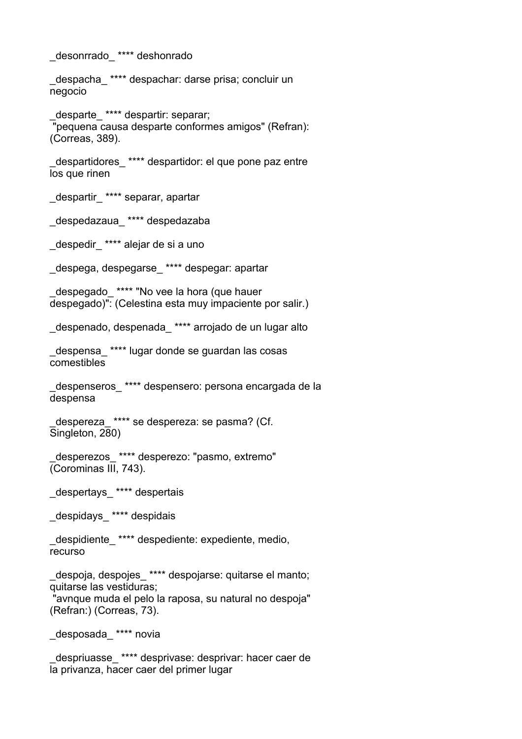\_desonrrado\_ \*\*\*\* deshonrado

\_despacha\_ \*\*\*\* despachar: darse prisa; concluir un negocio

desparte \*\*\*\* despartir: separar; "pequena causa desparte conformes amigos" (Refran): (Correas, 389).

despartidores \*\*\*\* despartidor: el que pone paz entre los que rinen

\_despartir\_ \*\*\*\* separar, apartar

\_despedazaua\_ \*\*\*\* despedazaba

despedir \*\*\*\* alejar de si a uno

\_despega, despegarse\_ \*\*\*\* despegar: apartar

despegado \*\*\*\* "No vee la hora (que hauer despegado)": (Celestina esta muy impaciente por salir.)

\_despenado, despenada\_ \*\*\*\* arrojado de un lugar alto

despensa \*\*\*\* lugar donde se guardan las cosas comestibles

despenseros \*\*\*\* despensero: persona encargada de la despensa

despereza \*\*\*\* se despereza: se pasma? (Cf. Singleton, 280)

desperezos \*\*\*\* desperezo: "pasmo, extremo" (Corominas III, 743).

\_despertays\_ \*\*\*\* despertais

despidays \*\*\*\* despidais

despidiente \*\*\*\* despediente: expediente, medio, recurso

despoja, despojes \*\*\*\* despojarse: quitarse el manto; quitarse las vestiduras;

"avnque muda el pelo la raposa, su natural no despoja" (Refran:) (Correas, 73).

\_desposada\_ \*\*\*\* novia

despriuasse \*\*\*\* desprivase: desprivar: hacer caer de la privanza, hacer caer del primer lugar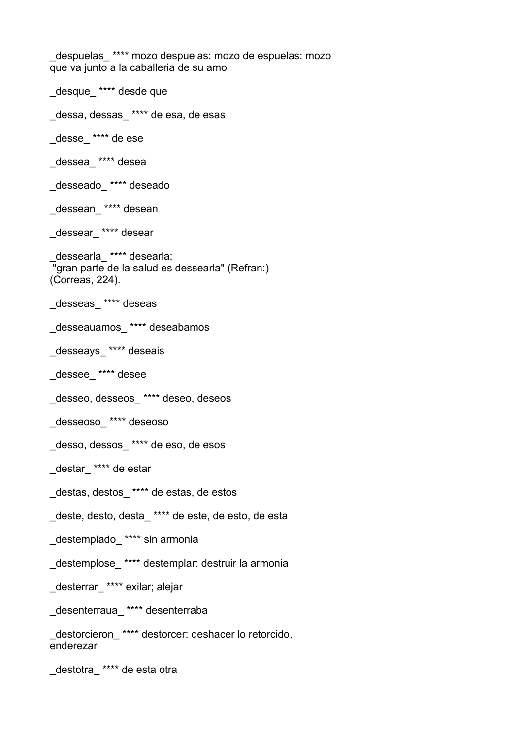\_despuelas\_ \*\*\*\* mozo despuelas: mozo de espuelas: mozo que va junto a la caballeria de su amo \_desque\_ \*\*\*\* desde que dessa, dessas \*\*\*\* de esa, de esas \_desse\_ \*\*\*\* de ese \_dessea\_ \*\*\*\* desea \_desseado\_ \*\*\*\* deseado dessean \*\*\*\* desean \_dessear\_ \*\*\*\* desear dessearla \*\*\*\* desearla; "gran parte de la salud es dessearla" (Refran:) (Correas, 224). \_desseas\_ \*\*\*\* deseas \_desseauamos\_ \*\*\*\* deseabamos \_desseays\_ \*\*\*\* deseais \_dessee\_ \*\*\*\* desee desseo, desseos \*\*\*\* deseo, deseos \_desseoso\_ \*\*\*\* deseoso \_desso, dessos\_ \*\*\*\* de eso, de esos \_destar\_ \*\*\*\* de estar \_destas, destos\_ \*\*\*\* de estas, de estos deste, desto, desta \*\*\*\* de este, de esto, de esta destemplado \*\*\*\* sin armonia destemplose \*\*\*\* destemplar: destruir la armonia \_desterrar\_ \*\*\*\* exilar; alejar desenterraua \*\*\*\* desenterraba \_destorcieron\_ \*\*\*\* destorcer: deshacer lo retorcido, enderezar \_destotra\_ \*\*\*\* de esta otra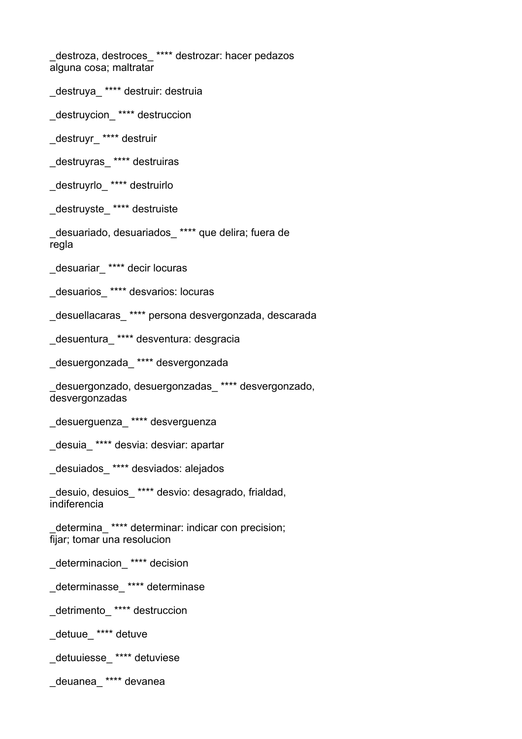\_destroza, destroces\_ \*\*\*\* destrozar: hacer pedazos alguna cosa; maltratar

\_destruya\_ \*\*\*\* destruir: destruia

destruycion\_<sup>\*\*\*\*</sup> destruccion

\_destruyr\_ \*\*\*\* destruir

destruyras \*\*\*\* destruiras

destruyrlo \*\*\*\* destruirlo

destruyste \*\*\*\* destruiste

desuariado, desuariados \*\*\*\* que delira; fuera de regla

\_desuariar\_ \*\*\*\* decir locuras

\_desuarios\_ \*\*\*\* desvarios: locuras

\_desuellacaras\_ \*\*\*\* persona desvergonzada, descarada

\_desuentura\_ \*\*\*\* desventura: desgracia

\_desuergonzada\_ \*\*\*\* desvergonzada

\_desuergonzado, desuergonzadas\_ \*\*\*\* desvergonzado, desvergonzadas

desuerguenza \*\*\*\* desverguenza

\_desuia\_ \*\*\*\* desvia: desviar: apartar

desuiados \*\*\*\* desviados: alejados

\_desuio, desuios\_ \*\*\*\* desvio: desagrado, frialdad, indiferencia

determina \*\*\*\* determinar: indicar con precision; fijar; tomar una resolucion

determinacion \*\*\*\* decision

\_determinasse\_ \*\*\*\* determinase

detrimento \*\*\*\* destruccion

detuue \*\*\*\* detuve

detuuiesse \*\*\*\* detuviese

deuanea \*\*\*\* devanea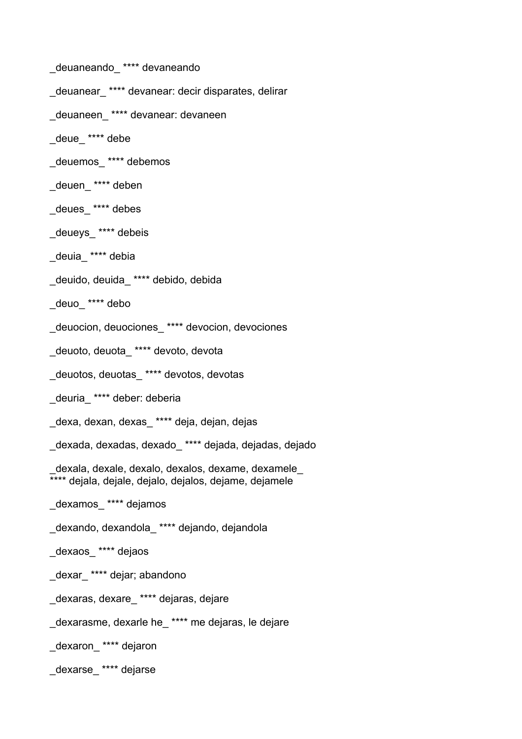\_deuaneando\_ \*\*\*\* devaneando

deuanear \*\*\*\* devanear: decir disparates, delirar

deuaneen \*\*\*\* devanear: devaneen

\_deue\_ \*\*\*\* debe

\_deuemos\_ \*\*\*\* debemos

deuen \*\*\*\* deben

deues \*\*\*\* debes

\_deueys\_ \*\*\*\* debeis

\_deuia\_ \*\*\*\* debia

\_deuido, deuida\_ \*\*\*\* debido, debida

\_deuo\_ \*\*\*\* debo

\_deuocion, deuociones\_ \*\*\*\* devocion, devociones

deuoto, deuota \*\*\*\* devoto, devota

deuotos, deuotas \*\*\*\* devotos, devotas

deuria \*\*\*\* deber: deberia

\_dexa, dexan, dexas\_ \*\*\*\* deja, dejan, dejas

\_dexada, dexadas, dexado\_ \*\*\*\* dejada, dejadas, dejado

\_dexala, dexale, dexalo, dexalos, dexame, dexamele\_ \*\*\*\* dejala, dejale, dejalo, dejalos, dejame, dejamele

\_dexamos\_ \*\*\*\* dejamos

dexando, dexandola \*\*\*\* dejando, dejandola

\_dexaos\_ \*\*\*\* dejaos

\_dexar\_ \*\*\*\* dejar; abandono

\_dexaras, dexare\_ \*\*\*\* dejaras, dejare

\_dexarasme, dexarle he\_ \*\*\*\* me dejaras, le dejare

\_dexaron\_ \*\*\*\* dejaron

\_dexarse\_ \*\*\*\* dejarse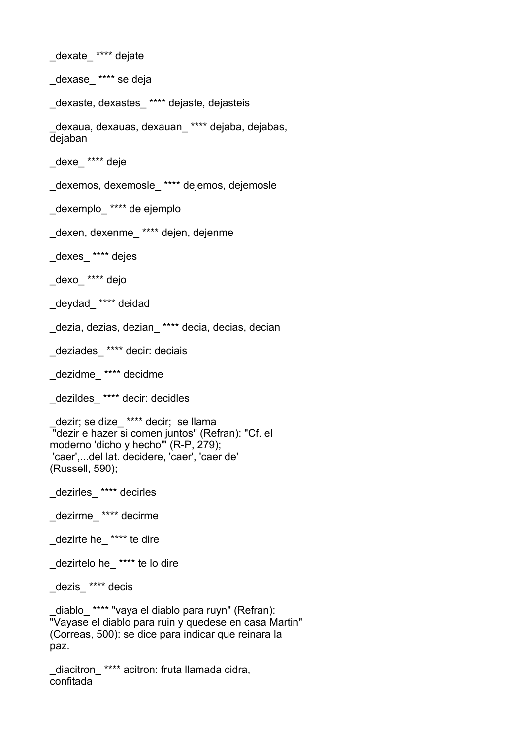\_dexate\_ \*\*\*\* dejate \_dexase\_ \*\*\*\* se deja \_dexaste, dexastes\_ \*\*\*\* dejaste, dejasteis dexaua, dexauas, dexauan \*\*\*\* dejaba, dejabas, dejaban dexe \*\*\*\* deje \_dexemos, dexemosle\_ \*\*\*\* dejemos, dejemosle dexemplo \*\*\*\* de ejemplo dexen, dexenme \*\*\*\* dejen, dejenme \_dexes\_ \*\*\*\* dejes \_dexo\_ \*\*\*\* dejo \_deydad\_ \*\*\*\* deidad \_dezia, dezias, dezian\_ \*\*\*\* decia, decias, decian deziades \*\*\*\* decir: deciais \_dezidme\_ \*\*\*\* decidme dezildes \*\*\*\* decir: decidles dezir; se dize \*\*\*\* decir; se llama "dezir e hazer si comen juntos" (Refran): "Cf. el moderno 'dicho y hecho'" (R-P, 279); 'caer',...del lat. decidere, 'caer', 'caer de' (Russell, 590); \_dezirles\_ \*\*\*\* decirles dezirme \*\*\*\* decirme dezirte he \*\*\*\* te dire dezirtelo he \*\*\*\* te lo dire \_dezis\_ \*\*\*\* decis diablo \*\*\*\* "vaya el diablo para ruyn" (Refran): "Vayase el diablo para ruin y quedese en casa Martin" (Correas, 500): se dice para indicar que reinara la paz. diacitron \*\*\*\* acitron: fruta llamada cidra, confitada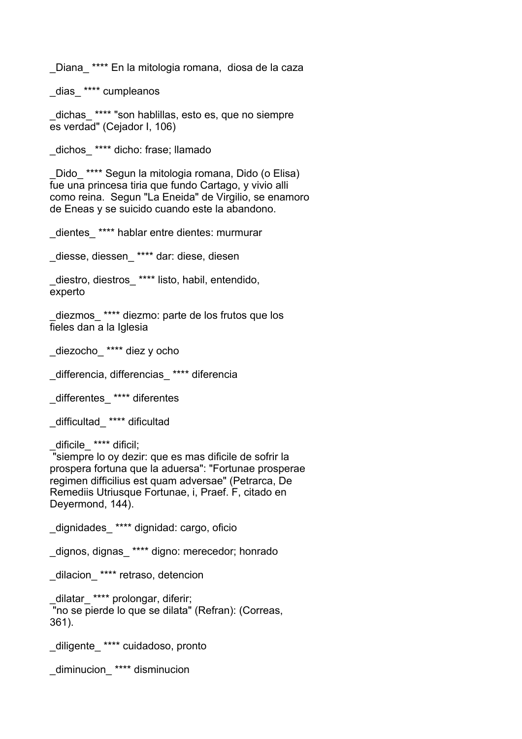Diana \*\*\*\* En la mitologia romana, diosa de la caza

dias \*\*\*\* cumpleanos

dichas \*\*\*\* "son hablillas, esto es, que no siempre es verdad" (Cejador I, 106)

dichos \*\*\*\* dicho: frase; llamado

Dido \*\*\*\* Segun la mitologia romana, Dido (o Elisa) fue una princesa tiria que fundo Cartago, y vivio alli como reina. Segun "La Eneida" de Virgilio, se enamoro de Eneas y se suicido cuando este la abandono.

dientes \*\*\*\* hablar entre dientes: murmurar

\_diesse, diessen\_ \*\*\*\* dar: diese, diesen

\_diestro, diestros\_ \*\*\*\* listo, habil, entendido, experto

diezmos \*\*\*\* diezmo: parte de los frutos que los fieles dan a la Iglesia

diezocho \*\*\*\* diez y ocho

differencia, differencias \*\*\*\* diferencia

differentes \*\*\*\* diferentes

difficultad \*\*\*\* dificultad

dificile \*\*\*\* dificil;

"siempre lo oy dezir: que es mas dificile de sofrir la prospera fortuna que la aduersa": "Fortunae prosperae regimen difficilius est quam adversae" (Petrarca, De Remediis Utriusque Fortunae, i, Praef. F, citado en Deyermond, 144).

dignidades \*\*\*\* dignidad: cargo, oficio

dignos, dignas \*\*\*\* digno: merecedor; honrado

dilacion \*\*\*\* retraso, detencion

dilatar \*\*\*\* prolongar, diferir; "no se pierde lo que se dilata" (Refran): (Correas, 361).

\_diligente\_ \*\*\*\* cuidadoso, pronto

diminucion \*\*\*\* disminucion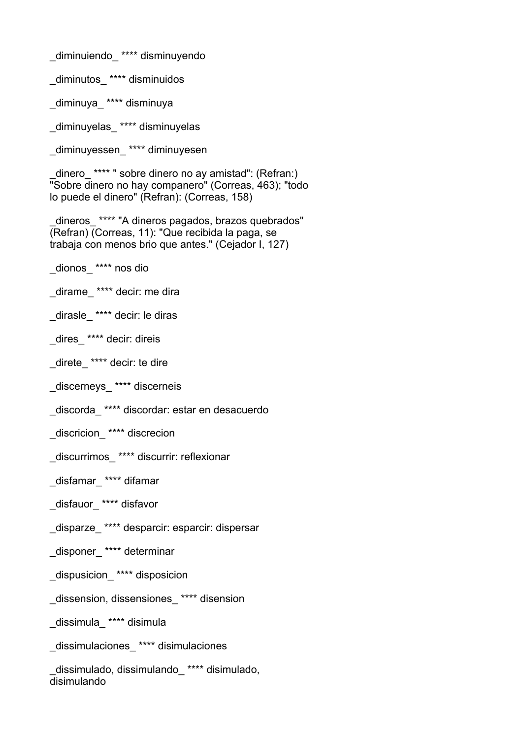diminuiendo \*\*\*\* disminuyendo

\_diminutos\_ \*\*\*\* disminuidos

\_diminuya\_ \*\*\*\* disminuya

diminuyelas \*\*\*\* disminuyelas

diminuyessen \*\*\*\* diminuyesen

dinero \*\*\*\* " sobre dinero no ay amistad": (Refran:) "Sobre dinero no hay companero" (Correas, 463); "todo lo puede el dinero" (Refran): (Correas, 158)

dineros \*\*\*\* "A dineros pagados, brazos quebrados" (Refran) (Correas, 11): "Que recibida la paga, se trabaja con menos brio que antes." (Cejador I, 127)

\_dionos\_ \*\*\*\* nos dio

\_dirame\_ \*\*\*\* decir: me dira

\_dirasle\_ \*\*\*\* decir: le diras

dires \*\*\*\* decir: direis

direte \*\*\*\* decir: te dire

discerneys\_ \*\*\*\* discerneis

discorda<sup>\*\*\*\*</sup> discordar: estar en desacuerdo

\_discricion\_ \*\*\*\* discrecion

discurrimos \*\*\*\* discurrir: reflexionar

\_disfamar\_ \*\*\*\* difamar

disfauor \*\*\*\* disfavor

disparze \*\*\*\* desparcir: esparcir: dispersar

disponer \*\*\*\* determinar

dispusicion \*\*\*\* disposicion

dissension, dissensiones \*\*\*\* disension

\_dissimula\_ \*\*\*\* disimula

\_dissimulaciones\_ \*\*\*\* disimulaciones

dissimulado, dissimulando \*\*\*\* disimulado, disimulando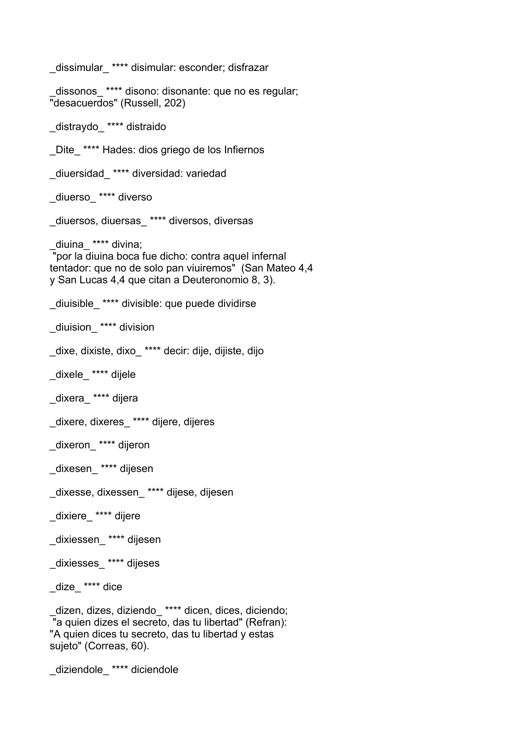dissimular \*\*\*\* disimular: esconder; disfrazar dissonos \*\*\*\* disono: disonante: que no es regular; "desacuerdos" (Russell, 202) \_distraydo\_ \*\*\*\* distraido Dite \*\*\*\* Hades: dios griego de los Infiernos diuersidad \*\*\*\* diversidad: variedad diuerso \*\*\*\* diverso diuersos, diuersas \*\*\*\* diversos, diversas diuina \*\*\*\* divina; "por la diuina boca fue dicho: contra aquel infernal tentador: que no de solo pan viuiremos" (San Mateo 4,4 y San Lucas 4,4 que citan a Deuteronomio 8, 3). diuisible \*\*\*\* divisible: que puede dividirse \_diuision\_ \*\*\*\* division dixe, dixiste, dixo \*\*\*\* decir: dije, dijiste, dijo dixele \*\*\*\* dijele dixera \*\*\*\* dijera dixere, dixeres \*\*\*\* dijere, dijeres \_dixeron\_ \*\*\*\* dijeron dixesen \*\*\*\* dijesen \_dixesse, dixessen\_ \*\*\*\* dijese, dijesen dixiere \*\*\*\* dijere dixiessen \*\*\*\* dijesen \_dixiesses\_ \*\*\*\* dijeses dize \*\*\*\* dice dizen, dizes, diziendo\_ \*\*\*\* dicen, dices, diciendo; "a quien dizes el secreto, das tu libertad" (Refran): "A quien dices tu secreto, das tu libertad y estas sujeto" (Correas, 60). \_diziendole\_ \*\*\*\* diciendole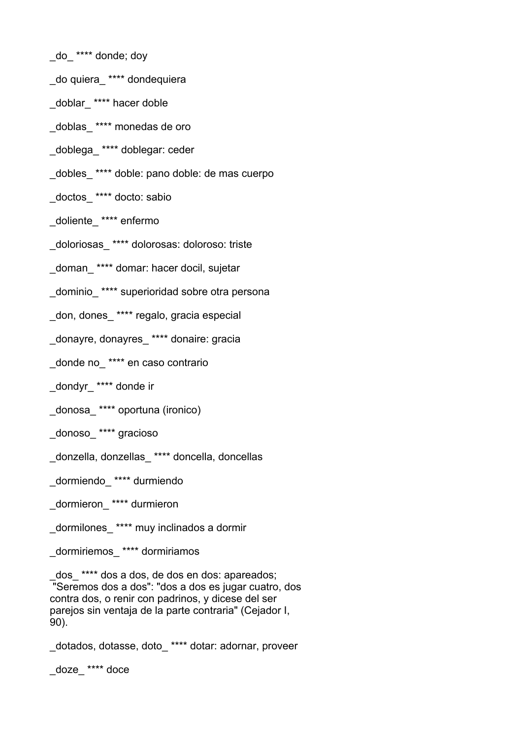\_do\_ \*\*\*\* donde; doy

\_do quiera\_ \*\*\*\* dondequiera

doblar \*\*\*\* hacer doble

\_doblas\_ \*\*\*\* monedas de oro

\_doblega\_ \*\*\*\* doblegar: ceder

\_dobles\_ \*\*\*\* doble: pano doble: de mas cuerpo

doctos \*\*\*\* docto: sabio

\_doliente\_ \*\*\*\* enfermo

\_doloriosas\_ \*\*\*\* dolorosas: doloroso: triste

doman \*\*\*\* domar: hacer docil, sujetar

dominio \*\*\*\* superioridad sobre otra persona

\_don, dones\_ \*\*\*\* regalo, gracia especial

\_donayre, donayres\_ \*\*\*\* donaire: gracia

donde no \*\*\*\* en caso contrario

\_dondyr\_ \*\*\*\* donde ir

\_donosa\_ \*\*\*\* oportuna (ironico)

\_donoso\_ \*\*\*\* gracioso

\_donzella, donzellas\_ \*\*\*\* doncella, doncellas

\_dormiendo\_ \*\*\*\* durmiendo

dormieron \*\*\*\* durmieron

dormilones \*\*\*\* muy inclinados a dormir

dormiriemos \*\*\*\* dormiriamos

\_dos\_ \*\*\*\* dos a dos, de dos en dos: apareados; "Seremos dos a dos": "dos a dos es jugar cuatro, dos contra dos, o renir con padrinos, y dicese del ser parejos sin ventaja de la parte contraria" (Cejador I, 90).

\_dotados, dotasse, doto\_ \*\*\*\* dotar: adornar, proveer

\_doze\_ \*\*\*\* doce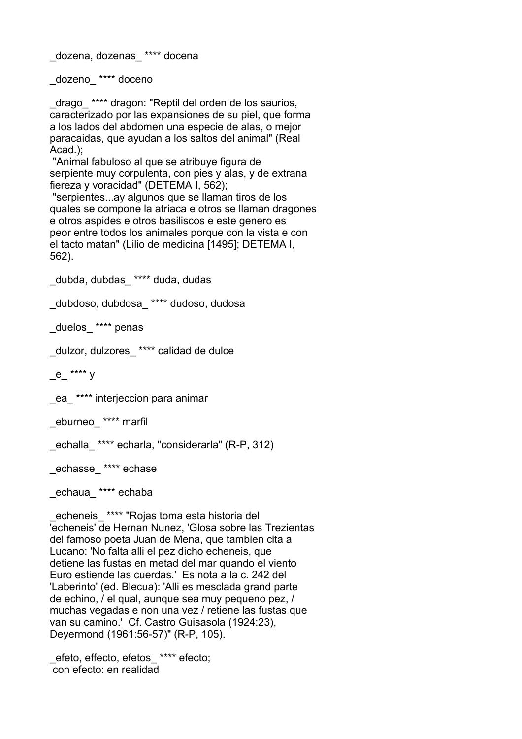\_dozena, dozenas\_ \*\*\*\* docena

\_dozeno\_ \*\*\*\* doceno

\_drago\_ \*\*\*\* dragon: "Reptil del orden de los saurios, caracterizado por las expansiones de su piel, que forma a los lados del abdomen una especie de alas, o mejor paracaidas, que ayudan a los saltos del animal" (Real Acad.);

"Animal fabuloso al que se atribuye figura de serpiente muy corpulenta, con pies y alas, y de extrana fiereza y voracidad" (DETEMA I, 562);

"serpientes...ay algunos que se llaman tiros de los quales se compone la atriaca e otros se llaman dragones e otros aspides e otros basiliscos e este genero es peor entre todos los animales porque con la vista e con el tacto matan" (Lilio de medicina [1495]; DETEMA I, 562).

\_dubda, dubdas\_ \*\*\*\* duda, dudas

\_dubdoso, dubdosa\_ \*\*\*\* dudoso, dudosa

\_duelos\_ \*\*\*\* penas

dulzor, dulzores\_<sup>\*\*\*\*</sup> calidad de dulce

\_e\_ \*\*\*\* y

ea \*\*\*\* interjeccion para animar

\_eburneo\_ \*\*\*\* marfil

\_echalla\_ \*\*\*\* echarla, "considerarla" (R-P, 312)

echasse \*\*\*\* echase

\_echaua\_ \*\*\*\* echaba

\_echeneis\_ \*\*\*\* "Rojas toma esta historia del 'echeneis' de Hernan Nunez, 'Glosa sobre las Trezientas del famoso poeta Juan de Mena, que tambien cita a Lucano: 'No falta alli el pez dicho echeneis, que detiene las fustas en metad del mar quando el viento Euro estiende las cuerdas.' Es nota a la c. 242 del 'Laberinto' (ed. Blecua): 'Alli es mesclada grand parte de echino, / el qual, aunque sea muy pequeno pez, / muchas vegadas e non una vez / retiene las fustas que van su camino.' Cf. Castro Guisasola (1924:23), Deyermond (1961:56-57)" (R-P, 105).

efeto, effecto, efetos \*\*\*\* efecto; con efecto: en realidad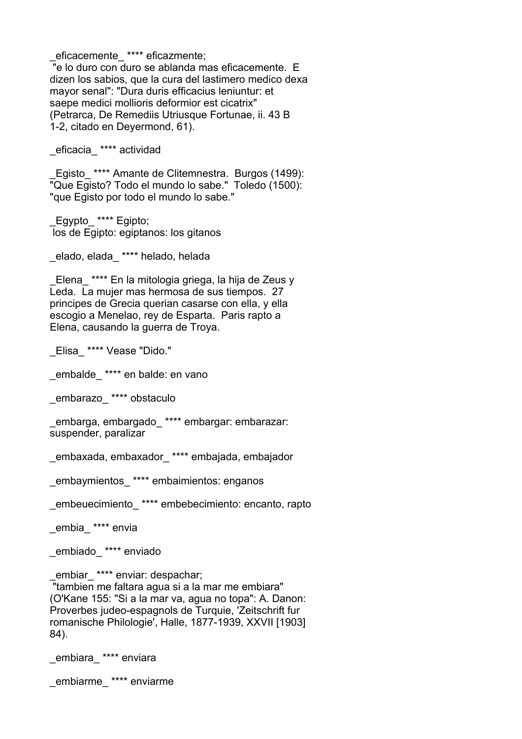eficacemente \*\*\*\* eficazmente;

"e lo duro con duro se ablanda mas eficacemente. E dizen los sabios, que la cura del lastimero medico dexa mayor senal": "Dura duris efficacius leniuntur: et saepe medici mollioris deformior est cicatrix" (Petrarca, De Remediis Utriusque Fortunae, ii. 43 B 1-2, citado en Deyermond, 61).

eficacia \*\*\*\* actividad

Egisto \*\*\*\* Amante de Clitemnestra. Burgos (1499): "Que Egisto? Todo el mundo lo sabe." Toledo (1500): "que Egisto por todo el mundo lo sabe."

Egypto \*\*\*\* Egipto; los de Egipto: egiptanos: los gitanos

\_elado, elada\_ \*\*\*\* helado, helada

Elena \*\*\*\* En la mitologia griega, la hija de Zeus y Leda. La mujer mas hermosa de sus tiempos. 27 principes de Grecia querian casarse con ella, y ella escogio a Menelao, rey de Esparta. Paris rapto a Elena, causando la guerra de Troya.

\_Elisa\_ \*\*\*\* Vease "Dido."

embalde \*\*\*\* en balde: en vano

embarazo \*\*\*\* obstaculo

embarga, embargado \*\*\*\* embargar: embarazar: suspender, paralizar

\_embaxada, embaxador\_ \*\*\*\* embajada, embajador

embaymientos \*\*\*\* embaimientos: enganos

\_embeuecimiento\_ \*\*\*\* embebecimiento: encanto, rapto

embia \*\*\*\* envia

\_embiado\_ \*\*\*\* enviado

embiar \*\*\*\* enviar: despachar;

"tambien me faltara agua si a la mar me embiara" (O'Kane 155: "Si a la mar va, agua no topa": A. Danon: Proverbes judeo-espagnols de Turquie, 'Zeitschrift fur romanische Philologie', Halle, 1877-1939, XXVII [1903] 84).

embiara \*\*\*\* enviara

embiarme \*\*\*\* enviarme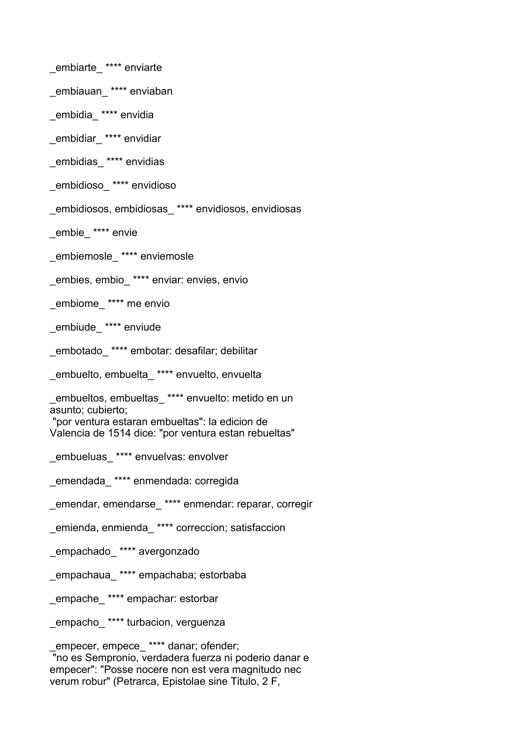\_embiarte\_ \*\*\*\* enviarte

embiauan \*\*\*\* enviaban

embidia \*\*\*\* envidia

\_embidiar\_ \*\*\*\* envidiar

embidias \*\*\*\* envidias

embidioso \*\*\*\* envidioso

embidiosos, embidiosas \*\*\*\* envidiosos, envidiosas

embie \*\*\*\* envie

\_embiemosle\_ \*\*\*\* enviemosle

\_embies, embio\_ \*\*\*\* enviar: envies, envio

embiome \*\*\*\* me envio

\_embiude\_ \*\*\*\* enviude

embotado \*\*\*\* embotar: desafilar; debilitar

embuelto, embuelta \*\*\*\* envuelto, envuelta

embueltos, embueltas \*\*\*\* envuelto: metido en un asunto; cubierto;

"por ventura estaran embueltas": la edicion de Valencia de 1514 dice: "por ventura estan rebueltas"

embueluas \*\*\*\* envuelvas: envolver

emendada \*\*\*\* enmendada: corregida

\_emendar, emendarse\_ \*\*\*\* enmendar: reparar, corregir

emienda, enmienda \*\*\*\* correccion; satisfaccion

empachado \*\*\*\* avergonzado

empachaua \*\*\*\* empachaba; estorbaba

\_empache\_ \*\*\*\* empachar: estorbar

empacho \*\*\*\* turbacion, verguenza

\_empecer, empece\_ \*\*\*\* danar; ofender; "no es Sempronio, verdadera fuerza ni poderio danar e empecer": "Posse nocere non est vera magnitudo nec verum robur" (Petrarca, Epistolae sine Titulo, 2 F,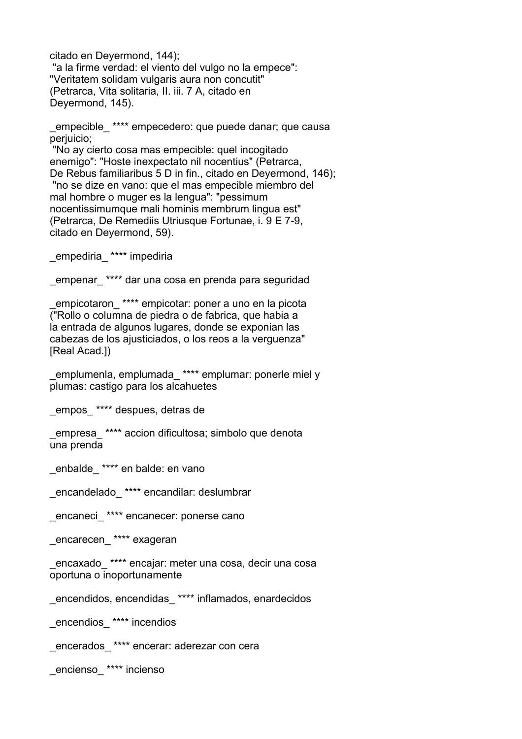citado en Deyermond, 144);

"a la firme verdad: el viento del vulgo no la empece": "Veritatem solidam vulgaris aura non concutit" (Petrarca, Vita solitaria, II. iii. 7 A, citado en Deyermond, 145).

empecible \*\*\*\* empecedero: que puede danar; que causa perjuicio;

"No ay cierto cosa mas empecible: quel incogitado enemigo": "Hoste inexpectato nil nocentius" (Petrarca, De Rebus familiaribus 5 D in fin., citado en Deyermond, 146); "no se dize en vano: que el mas empecible miembro del mal hombre o muger es la lengua": "pessimum nocentissimumque mali hominis membrum lingua est" (Petrarca, De Remediis Utriusque Fortunae, i. 9 E 7-9, citado en Deyermond, 59).

empediria \*\*\*\* impediria

\_empenar\_ \*\*\*\* dar una cosa en prenda para seguridad

empicotaron \*\*\*\* empicotar: poner a uno en la picota ("Rollo o columna de piedra o de fabrica, que habia a la entrada de algunos lugares, donde se exponian las cabezas de los ajusticiados, o los reos a la verguenza" [Real Acad.])

emplumenla, emplumada \*\*\*\* emplumar: ponerle miel y plumas: castigo para los alcahuetes

empos \*\*\*\* despues, detras de

empresa \*\*\*\* accion dificultosa; simbolo que denota una prenda

enbalde \*\*\*\* en balde: en vano

\_encandelado\_ \*\*\*\* encandilar: deslumbrar

encaneci \*\*\*\* encanecer: ponerse cano

encarecen \*\*\*\* exageran

\_encaxado\_ \*\*\*\* encajar: meter una cosa, decir una cosa oportuna o inoportunamente

\_encendidos, encendidas\_ \*\*\*\* inflamados, enardecidos

\_encendios\_ \*\*\*\* incendios

encerados \*\*\*\* encerar: aderezar con cera

encienso \*\*\*\* incienso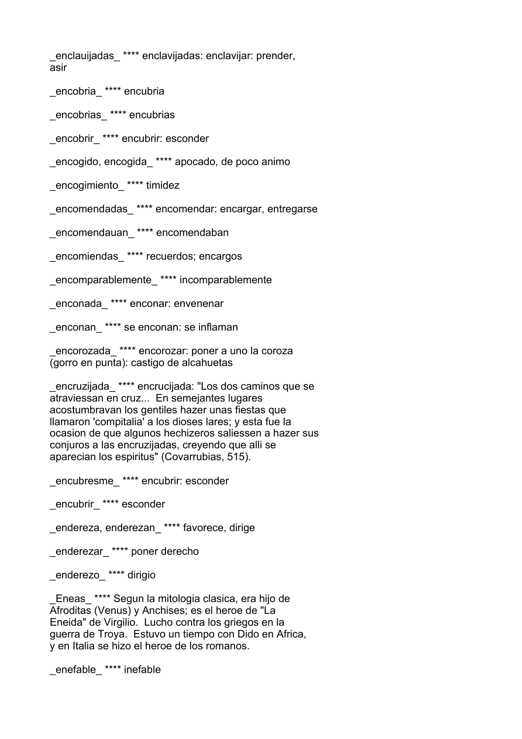enclauijadas \*\*\*\* enclavijadas: enclavijar: prender, asir

encobria \*\*\*\* encubria

encobrias \*\*\*\* encubrias

\_encobrir\_ \*\*\*\* encubrir: esconder

encogido, encogida \*\*\*\* apocado, de poco animo

encogimiento \*\*\*\* timidez

\_encomendadas\_ \*\*\*\* encomendar: encargar, entregarse

encomendauan \*\*\*\* encomendaban

\_encomiendas\_ \*\*\*\* recuerdos; encargos

\_encomparablemente\_ \*\*\*\* incomparablemente

enconada \*\*\*\* enconar: envenenar

\_enconan\_ \*\*\*\* se enconan: se inflaman

\_encorozada\_ \*\*\*\* encorozar: poner a uno la coroza (gorro en punta): castigo de alcahuetas

\_encruzijada\_ \*\*\*\* encrucijada: "Los dos caminos que se atraviessan en cruz... En semejantes lugares acostumbravan los gentiles hazer unas fiestas que llamaron 'compitalia' a los dioses lares; y esta fue la ocasion de que algunos hechizeros saliessen a hazer sus conjuros a las encruzijadas, creyendo que alli se aparecian los espiritus" (Covarrubias, 515).

encubresme \*\*\*\* encubrir: esconder

encubrir \*\*\*\* esconder

\_endereza, enderezan\_ \*\*\*\* favorece, dirige

enderezar \*\*\*\* poner derecho

\_enderezo\_ \*\*\*\* dirigio

\_Eneas\_ \*\*\*\* Segun la mitologia clasica, era hijo de Afroditas (Venus) y Anchises; es el heroe de "La Eneida" de Virgilio. Lucho contra los griegos en la guerra de Troya. Estuvo un tiempo con Dido en Africa, y en Italia se hizo el heroe de los romanos.

\_enefable\_ \*\*\*\* inefable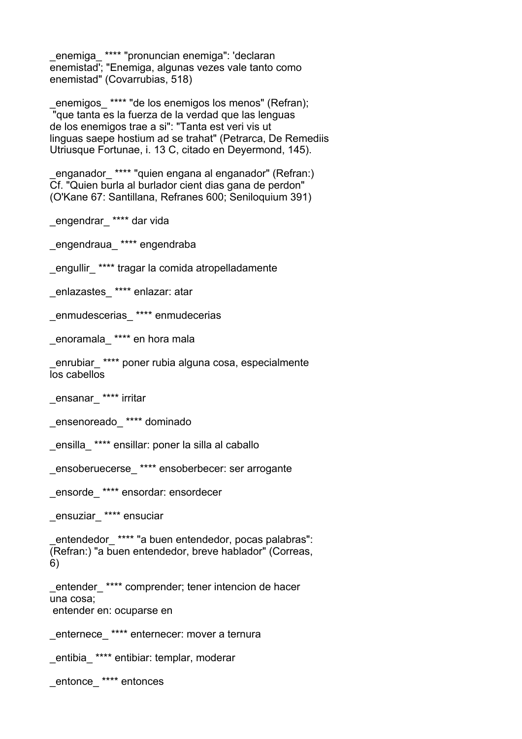\_enemiga\_ \*\*\*\* "pronuncian enemiga": 'declaran enemistad'; "Enemiga, algunas vezes vale tanto como enemistad" (Covarrubias, 518)

enemigos \*\*\*\* "de los enemigos los menos" (Refran); "que tanta es la fuerza de la verdad que las lenguas de los enemigos trae a si": "Tanta est veri vis ut linguas saepe hostium ad se trahat" (Petrarca, De Remediis Utriusque Fortunae, i. 13 C, citado en Deyermond, 145).

enganador \*\*\*\* "quien engana al enganador" (Refran:) Cf. "Quien burla al burlador cient dias gana de perdon" (O'Kane 67: Santillana, Refranes 600; Seniloquium 391)

engendrar \*\*\*\* dar vida

engendraua \*\*\*\* engendraba

engullir \*\*\*\* tragar la comida atropelladamente

enlazastes \*\*\*\* enlazar: atar

\_enmudescerias\_ \*\*\*\* enmudecerias

enoramala \*\*\*\* en hora mala

enrubiar \*\*\*\* poner rubia alguna cosa, especialmente los cabellos

\_ensanar\_ \*\*\*\* irritar

ensenoreado \*\*\*\* dominado

\_ensilla\_ \*\*\*\* ensillar: poner la silla al caballo

ensoberuecerse \*\*\*\* ensoberbecer: ser arrogante

\_ensorde\_ \*\*\*\* ensordar: ensordecer

ensuziar \*\*\*\* ensuciar

entendedor \*\*\*\* "a buen entendedor, pocas palabras": (Refran:) "a buen entendedor, breve hablador" (Correas, 6)

\_entender\_ \*\*\*\* comprender; tener intencion de hacer una cosa; entender en: ocuparse en

enternece \*\*\*\* enternecer: mover a ternura

\_entibia\_ \*\*\*\* entibiar: templar, moderar

entonce \*\*\*\* entonces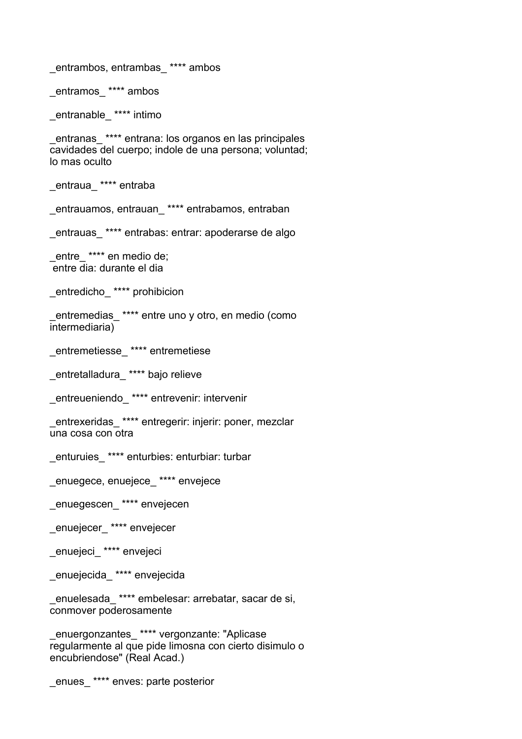\_entrambos, entrambas\_ \*\*\*\* ambos \_entramos\_ \*\*\*\* ambos \_entranable\_ \*\*\*\* intimo \_entranas\_ \*\*\*\* entrana: los organos en las principales cavidades del cuerpo; indole de una persona; voluntad; lo mas oculto entraua \*\*\*\* entraba entrauamos, entrauan \*\*\*\* entrabamos, entraban \_entrauas\_ \*\*\*\* entrabas: entrar: apoderarse de algo entre \*\*\*\* en medio de; entre dia: durante el dia \_entredicho\_ \*\*\*\* prohibicion \_entremedias\_ \*\*\*\* entre uno y otro, en medio (como intermediaria) \_entremetiesse\_ \*\*\*\* entremetiese entretalladura \*\*\*\* bajo relieve entreueniendo \*\*\*\* entrevenir: intervenir entrexeridas\_\*\*\*\* entregerir: injerir: poner, mezclar una cosa con otra enturuies \*\*\*\* enturbies: enturbiar: turbar \_enuegece, enuejece\_ \*\*\*\* envejece \_enuegescen\_ \*\*\*\* envejecen \_enuejecer\_ \*\*\*\* envejecer enuejeci \*\*\*\* envejeci enuejecida \*\*\*\* envejecida enuelesada \*\*\*\* embelesar: arrebatar, sacar de si, conmover poderosamente \_enuergonzantes\_ \*\*\*\* vergonzante: "Aplicase

regularmente al que pide limosna con cierto disimulo o encubriendose" (Real Acad.)

\_enues\_ \*\*\*\* enves: parte posterior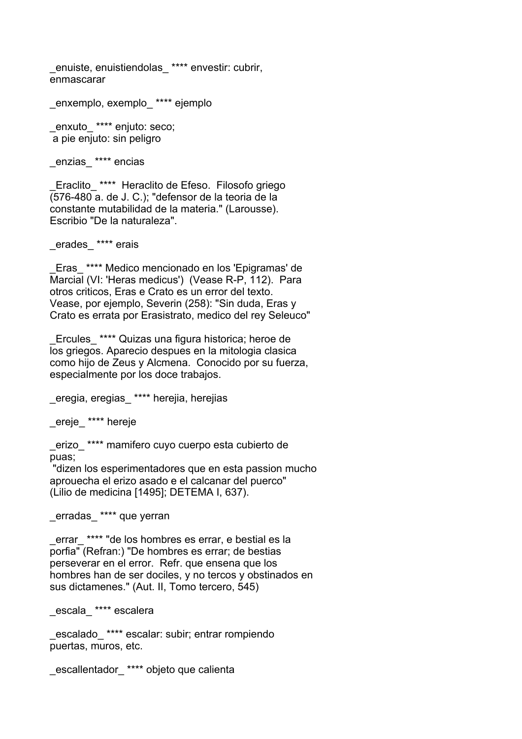enuiste, enuistiendolas\_\*\*\*\* envestir: cubrir, enmascarar

enxemplo, exemplo \*\*\*\* ejemplo

enxuto \*\*\*\* enjuto: seco; a pie enjuto: sin peligro

\_enzias\_ \*\*\*\* encias

Eraclito \*\*\*\* Heraclito de Efeso. Filosofo griego (576-480 a. de J. C.); "defensor de la teoria de la constante mutabilidad de la materia." (Larousse). Escribio "De la naturaleza".

erades \*\*\*\* erais

\_Eras\_ \*\*\*\* Medico mencionado en los 'Epigramas' de Marcial (VI: 'Heras medicus') (Vease R-P, 112). Para otros criticos, Eras e Crato es un error del texto. Vease, por ejemplo, Severin (258): "Sin duda, Eras y Crato es errata por Erasistrato, medico del rey Seleuco"

Ercules \*\*\*\* Quizas una figura historica; heroe de los griegos. Aparecio despues en la mitologia clasica como hijo de Zeus y Alcmena. Conocido por su fuerza, especialmente por los doce trabajos.

\_eregia, eregias\_ \*\*\*\* herejia, herejias

\_ereje\_ \*\*\*\* hereje

erizo \*\*\*\* mamifero cuyo cuerpo esta cubierto de puas;

"dizen los esperimentadores que en esta passion mucho aprouecha el erizo asado e el calcanar del puerco" (Lilio de medicina [1495]; DETEMA I, 637).

erradas \*\*\*\* que yerran

errar \*\*\*\* "de los hombres es errar, e bestial es la porfia" (Refran:) "De hombres es errar; de bestias perseverar en el error. Refr. que ensena que los hombres han de ser dociles, y no tercos y obstinados en sus dictamenes." (Aut. II, Tomo tercero, 545)

\_escala\_ \*\*\*\* escalera

escalado \*\*\*\* escalar: subir; entrar rompiendo puertas, muros, etc.

\_escallentador\_ \*\*\*\* objeto que calienta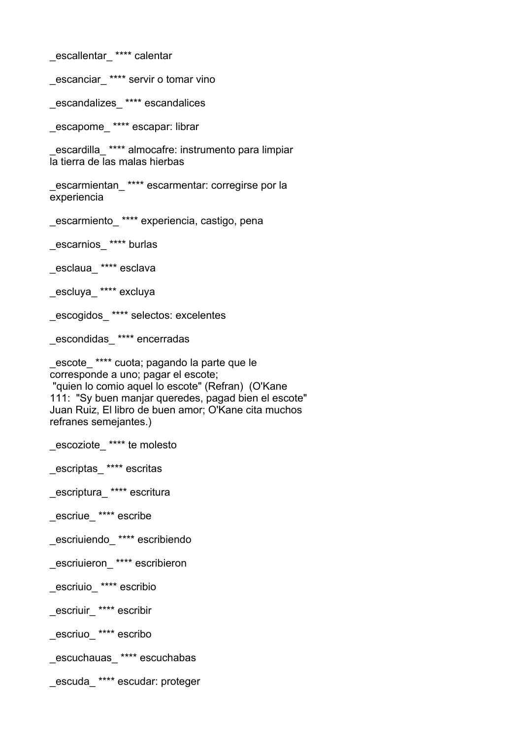\_escallentar\_ \*\*\*\* calentar

\_escanciar\_ \*\*\*\* servir o tomar vino

escandalizes \*\*\*\* escandalices

escapome \*\*\*\* escapar: librar

\_escardilla\_ \*\*\*\* almocafre: instrumento para limpiar la tierra de las malas hierbas

escarmientan \*\*\*\* escarmentar: corregirse por la experiencia

\_escarmiento\_ \*\*\*\* experiencia, castigo, pena

\_escarnios\_ \*\*\*\* burlas

\_esclaua\_ \*\*\*\* esclava

\_escluya\_ \*\*\*\* excluya

\_escogidos\_ \*\*\*\* selectos: excelentes

\_escondidas\_ \*\*\*\* encerradas

escote \*\*\*\* cuota; pagando la parte que le corresponde a uno; pagar el escote; "quien lo comio aquel lo escote" (Refran) (O'Kane

111: "Sy buen manjar queredes, pagad bien el escote" Juan Ruiz, El libro de buen amor; O'Kane cita muchos refranes semejantes.)

\_escoziote\_ \*\*\*\* te molesto

\_escriptas\_ \*\*\*\* escritas

\_escriptura\_ \*\*\*\* escritura

\_escriue\_ \*\*\*\* escribe

escriuiendo \*\*\*\* escribiendo

escriuieron \*\*\*\* escribieron

\_escriuio\_ \*\*\*\* escribio

escriuir \*\*\*\* escribir

escriuo \*\*\*\* escribo

escuchauas \*\*\*\* escuchabas

\_escuda\_ \*\*\*\* escudar: proteger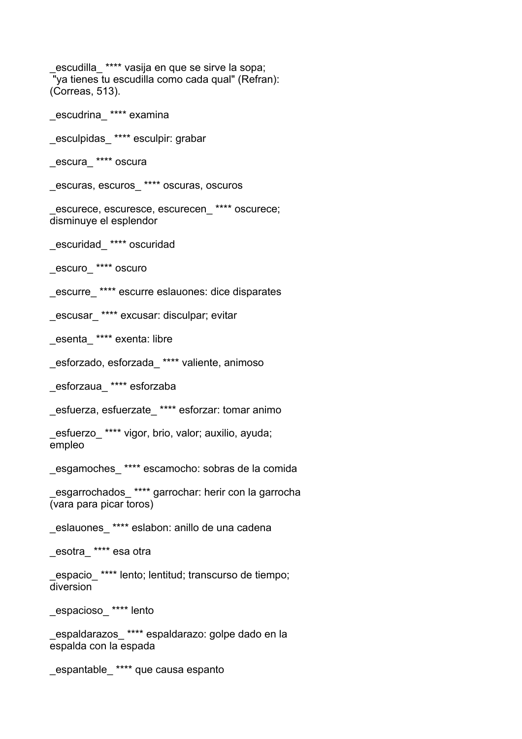\_escudilla\_ \*\*\*\* vasija en que se sirve la sopa; "ya tienes tu escudilla como cada qual" (Refran): (Correas, 513). \_escudrina\_ \*\*\*\* examina \_esculpidas\_ \*\*\*\* esculpir: grabar escura \*\*\*\* oscura \_escuras, escuros\_ \*\*\*\* oscuras, oscuros escurece, escuresce, escurecen \*\*\*\* oscurece; disminuye el esplendor escuridad \*\*\*\* oscuridad \_escuro\_ \*\*\*\* oscuro \_escurre\_ \*\*\*\* escurre eslauones: dice disparates \_escusar\_ \*\*\*\* excusar: disculpar; evitar \_esenta\_ \*\*\*\* exenta: libre \_esforzado, esforzada\_ \*\*\*\* valiente, animoso \_esforzaua\_ \*\*\*\* esforzaba esfuerza, esfuerzate \*\*\*\* esforzar: tomar animo \_esfuerzo\_ \*\*\*\* vigor, brio, valor; auxilio, ayuda; empleo \_esgamoches\_ \*\*\*\* escamocho: sobras de la comida \_esgarrochados\_ \*\*\*\* garrochar: herir con la garrocha (vara para picar toros) \_eslauones\_ \*\*\*\* eslabon: anillo de una cadena esotra \*\*\*\* esa otra espacio \*\*\*\* lento; lentitud; transcurso de tiempo; diversion \_espacioso\_ \*\*\*\* lento \_espaldarazos\_ \*\*\*\* espaldarazo: golpe dado en la espalda con la espada

\_espantable\_ \*\*\*\* que causa espanto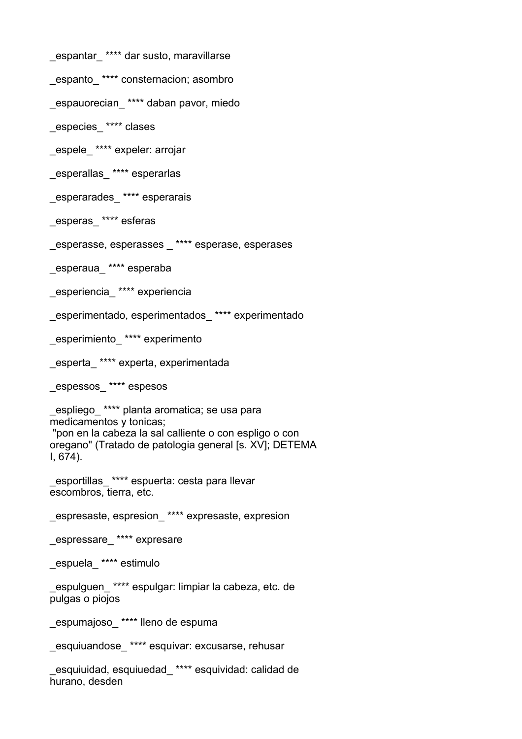espantar \*\*\*\* dar susto, maravillarse

\_espanto\_ \*\*\*\* consternacion; asombro

\_espauorecian\_ \*\*\*\* daban pavor, miedo

especies \*\*\*\* clases

espele \*\*\*\* expeler: arrojar

esperallas \*\*\*\* esperarlas

esperarades \*\*\*\* esperarais

\_esperas\_ \*\*\*\* esferas

\_esperasse, esperasses \_ \*\*\*\* esperase, esperases

\_esperaua\_ \*\*\*\* esperaba

esperiencia\_\*\*\*\* experiencia

\_esperimentado, esperimentados\_ \*\*\*\* experimentado

\_esperimiento\_ \*\*\*\* experimento

esperta \*\*\*\* experta, experimentada

\_espessos\_ \*\*\*\* espesos

espliego \*\*\*\* planta aromatica; se usa para medicamentos y tonicas;

"pon en la cabeza la sal calliente o con espligo o con oregano" (Tratado de patologia general [s. XV]; DETEMA I, 674).

esportillas \*\*\*\* espuerta: cesta para llevar escombros, tierra, etc.

\_espresaste, espresion\_ \*\*\*\* expresaste, expresion

\_espressare\_ \*\*\*\* expresare

\_espuela\_ \*\*\*\* estimulo

\_espulguen\_ \*\*\*\* espulgar: limpiar la cabeza, etc. de pulgas o piojos

\_espumajoso\_ \*\*\*\* lleno de espuma

\_esquiuandose\_ \*\*\*\* esquivar: excusarse, rehusar

\_esquiuidad, esquiuedad\_ \*\*\*\* esquividad: calidad de hurano, desden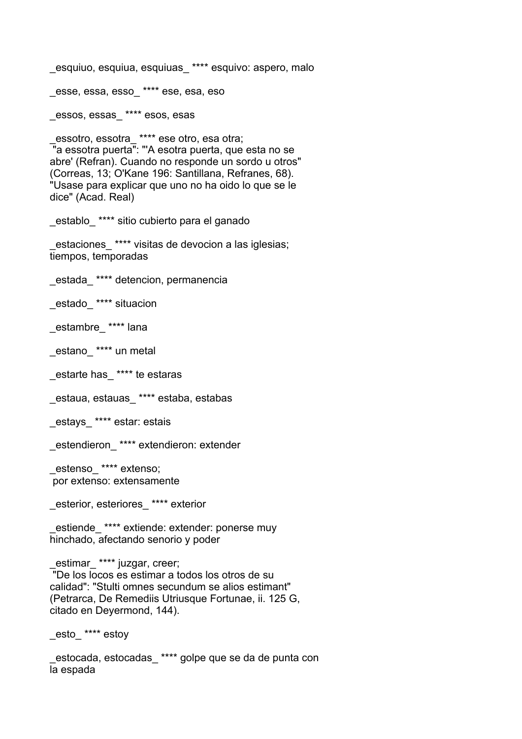esquiuo, esquiua, esquiuas\_ \*\*\*\* esquivo: aspero, malo

esse, essa, esso \*\*\*\* ese, esa, eso

\_essos, essas\_ \*\*\*\* esos, esas

\_essotro, essotra\_ \*\*\*\* ese otro, esa otra; "a essotra puerta": "'A esotra puerta, que esta no se abre' (Refran). Cuando no responde un sordo u otros" (Correas, 13; O'Kane 196: Santillana, Refranes, 68). "Usase para explicar que uno no ha oido lo que se le dice" (Acad. Real)

\_establo\_ \*\*\*\* sitio cubierto para el ganado

estaciones \*\*\*\* visitas de devocion a las iglesias; tiempos, temporadas

estada \*\*\*\* detencion, permanencia

estado \*\*\*\* situacion

\_estambre\_ \*\*\*\* lana

estano \*\*\*\* un metal

estarte has \*\*\*\* te estaras

\_estaua, estauas\_ \*\*\*\* estaba, estabas

estays \*\*\*\* estar: estais

\_estendieron\_ \*\*\*\* extendieron: extender

estenso \*\*\*\* extenso; por extenso: extensamente

esterior, esteriores \*\*\*\* exterior

estiende \*\*\*\* extiende: extender: ponerse muy hinchado, afectando senorio y poder

estimar \*\*\*\* juzgar, creer; "De los locos es estimar a todos los otros de su calidad": "Stulti omnes secundum se alios estimant" (Petrarca, De Remediis Utriusque Fortunae, ii. 125 G, citado en Deyermond, 144).

esto \*\*\*\* estoy

estocada, estocadas \*\*\*\* golpe que se da de punta con la espada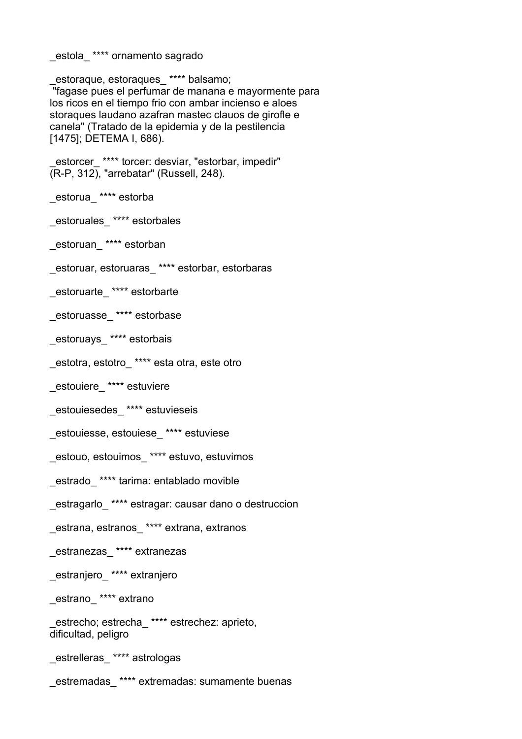estola \*\*\*\* ornamento sagrado

\_estoraque, estoraques\_ \*\*\*\* balsamo; "fagase pues el perfumar de manana e mayormente para los ricos en el tiempo frio con ambar incienso e aloes storaques laudano azafran mastec clauos de girofle e canela" (Tratado de la epidemia y de la pestilencia [1475]; DETEMA I, 686).

estorcer \*\*\*\* torcer: desviar, "estorbar, impedir" (R-P, 312), "arrebatar" (Russell, 248).

estorua \*\*\*\* estorba

estoruales \*\*\*\* estorbales

estoruan \*\*\*\* estorban

\_estoruar, estoruaras\_ \*\*\*\* estorbar, estorbaras

\_estoruarte\_ \*\*\*\* estorbarte

\_estoruasse\_ \*\*\*\* estorbase

\_estoruays\_ \*\*\*\* estorbais

\_estotra, estotro\_ \*\*\*\* esta otra, este otro

\_estouiere\_ \*\*\*\* estuviere

estouiesedes \*\*\*\* estuvieseis

\_estouiesse, estouiese\_ \*\*\*\* estuviese

estouo, estouimos \*\*\*\* estuvo, estuvimos

estrado \*\*\*\* tarima: entablado movible

estragarlo \*\*\*\* estragar: causar dano o destruccion

\_estrana, estranos\_ \*\*\*\* extrana, extranos

\_estranezas\_ \*\*\*\* extranezas

estranjero \*\*\*\* extranjero

estrano \*\*\*\* extrano

estrecho; estrecha\_ \*\*\*\* estrechez: aprieto, dificultad, peligro

estrelleras \*\*\*\* astrologas

estremadas \*\*\*\* extremadas: sumamente buenas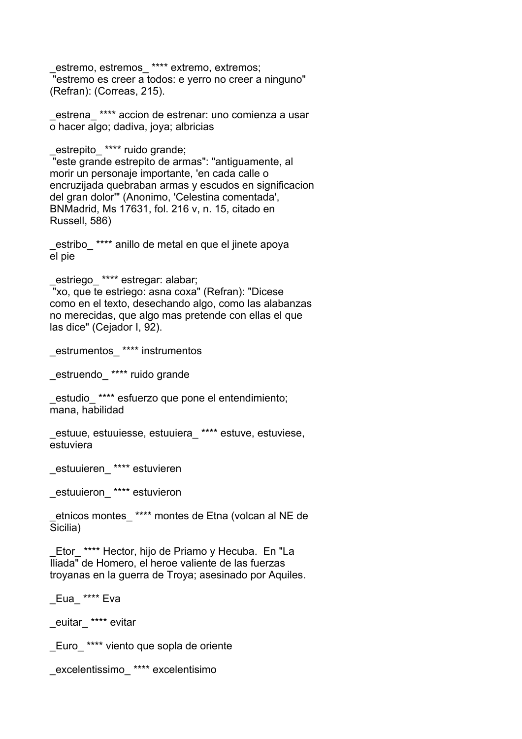estremo, estremos \*\*\*\* extremo, extremos; "estremo es creer a todos: e yerro no creer a ninguno" (Refran): (Correas, 215).

estrena \*\*\*\* accion de estrenar: uno comienza a usar o hacer algo; dadiva, joya; albricias

estrepito \*\*\*\* ruido grande;

"este grande estrepito de armas": "antiguamente, al morir un personaje importante, 'en cada calle o encruzijada quebraban armas y escudos en significacion del gran dolor'" (Anonimo, 'Celestina comentada', BNMadrid, Ms 17631, fol. 216 v, n. 15, citado en Russell, 586)

estribo \*\*\*\* anillo de metal en que el jinete apoya el pie

estriego \*\*\*\* estregar: alabar;

"xo, que te estriego: asna coxa" (Refran): "Dicese como en el texto, desechando algo, como las alabanzas no merecidas, que algo mas pretende con ellas el que las dice" (Cejador I, 92).

estrumentos \*\*\*\* instrumentos

estruendo \*\*\*\* ruido grande

estudio \*\*\*\* esfuerzo que pone el entendimiento; mana, habilidad

\_estuue, estuuiesse, estuuiera\_ \*\*\*\* estuve, estuviese, estuviera

estuuieren \*\*\*\* estuvieren

\_estuuieron\_ \*\*\*\* estuvieron

\_etnicos montes\_ \*\*\*\* montes de Etna (volcan al NE de Sicilia)

Etor \*\*\*\* Hector, hijo de Priamo y Hecuba. En "La Iliada" de Homero, el heroe valiente de las fuerzas troyanas en la guerra de Troya; asesinado por Aquiles.

Eua \*\*\*\* Eva

euitar \*\*\*\* evitar

\_Euro\_ \*\*\*\* viento que sopla de oriente

excelentissimo \*\*\*\* excelentisimo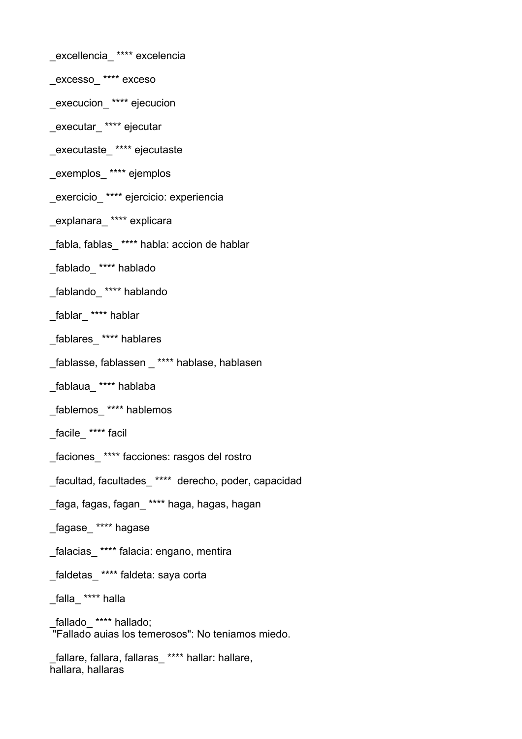excellencia \*\*\*\* excelencia

\_excesso\_ \*\*\*\* exceso

\_execucion\_ \*\*\*\* ejecucion

executar \*\*\*\* ejecutar

executaste \*\*\*\* ejecutaste

exemplos \*\*\*\* ejemplos

exercicio \*\*\*\* ejercicio: experiencia

explanara \*\*\*\* explicara

fabla, fablas \*\*\*\* habla: accion de hablar

\_fablado\_ \*\*\*\* hablado

fablando \*\*\*\* hablando

\_fablar\_ \*\*\*\* hablar

fablares \*\*\*\* hablares

\_fablasse, fablassen \_ \*\*\*\* hablase, hablasen

\_fablaua\_ \*\*\*\* hablaba

fablemos \*\*\*\* hablemos

facile\_\*\*\*\* facil

faciones \*\*\*\* facciones: rasgos del rostro

facultad, facultades \*\*\*\* derecho, poder, capacidad

\_faga, fagas, fagan\_ \*\*\*\* haga, hagas, hagan

\_fagase\_ \*\*\*\* hagase

falacias \*\*\*\* falacia: engano, mentira

faldetas \*\*\*\* faldeta: saya corta

\_falla\_ \*\*\*\* halla

fallado \*\*\*\* hallado; "Fallado auias los temerosos": No teniamos miedo.

fallare, fallara, fallaras \*\*\*\* hallar: hallare, hallara, hallaras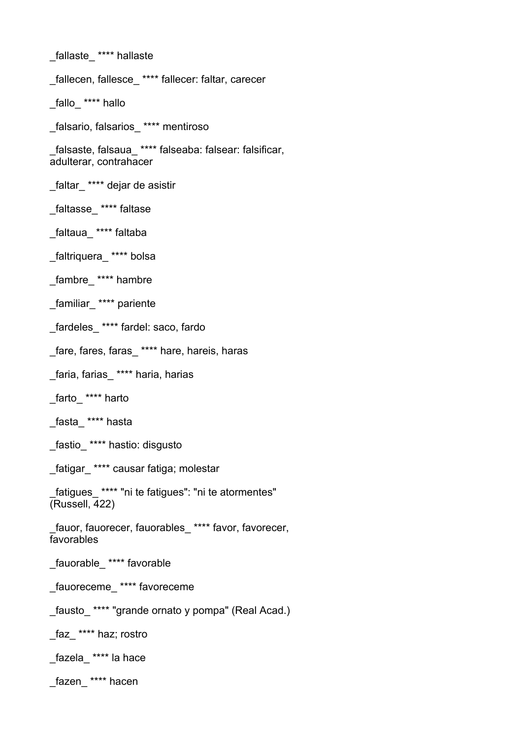fallaste \*\*\*\* hallaste \_fallecen, fallesce\_ \*\*\*\* fallecer: faltar, carecer fallo \*\*\*\* hallo falsario, falsarios \*\*\*\* mentiroso falsaste, falsaua \*\*\*\* falseaba: falsear: falsificar, adulterar, contrahacer faltar \*\*\*\* dejar de asistir \_faltasse\_ \*\*\*\* faltase \_faltaua\_ \*\*\*\* faltaba \_faltriquera\_ \*\*\*\* bolsa fambre \*\*\*\* hambre familiar\_\*\*\*\* pariente fardeles \*\*\*\* fardel: saco, fardo fare, fares, faras \*\*\*\* hare, hareis, haras \_faria, farias\_ \*\*\*\* haria, harias farto \*\*\*\* harto \_fasta\_ \*\*\*\* hasta \_fastio\_ \*\*\*\* hastio: disgusto \_fatigar\_ \*\*\*\* causar fatiga; molestar fatigues \*\*\*\* "ni te fatigues": "ni te atormentes" (Russell, 422) fauor, fauorecer, fauorables \*\*\*\* favor, favorecer, favorables fauorable \*\*\*\* favorable \_fauoreceme\_ \*\*\*\* favoreceme fausto \*\*\*\* "grande ornato y pompa" (Real Acad.) faz \*\*\*\* haz; rostro fazela \*\*\*\* la hace

fazen \*\*\*\* hacen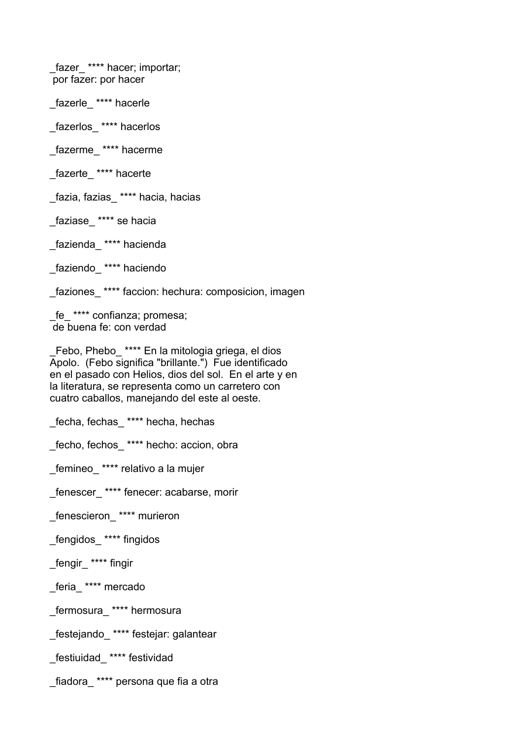fazer \*\*\*\* hacer; importar; por fazer: por hacer

fazerle \*\*\*\* hacerle

fazerlos \*\*\*\* hacerlos

fazerme \*\*\*\* hacerme

fazerte \*\*\*\* hacerte

fazia, fazias \*\*\*\* hacia, hacias

\_faziase\_ \*\*\*\* se hacia

fazienda \*\*\*\* hacienda

faziendo \*\*\*\* haciendo

faziones \*\*\*\* faccion: hechura: composicion, imagen

fe \*\*\*\* confianza; promesa; de buena fe: con verdad

Febo, Phebo \*\*\*\* En la mitologia griega, el dios Apolo. (Febo significa "brillante.") Fue identificado en el pasado con Helios, dios del sol. En el arte y en la literatura, se representa como un carretero con cuatro caballos, manejando del este al oeste.

fecha, fechas \*\*\*\* hecha, hechas

\_fecho, fechos\_ \*\*\*\* hecho: accion, obra

femineo \*\*\*\* relativo a la mujer

fenescer\_\*\*\*\* fenecer: acabarse, morir

\_fenescieron\_ \*\*\*\* murieron

fengidos \*\*\*\* fingidos

fengir \*\*\*\* fingir

\_feria\_ \*\*\*\* mercado

fermosura \*\*\*\* hermosura

festejando \*\*\*\* festejar: galantear

festiuidad \*\*\*\* festividad

fiadora \*\*\*\* persona que fia a otra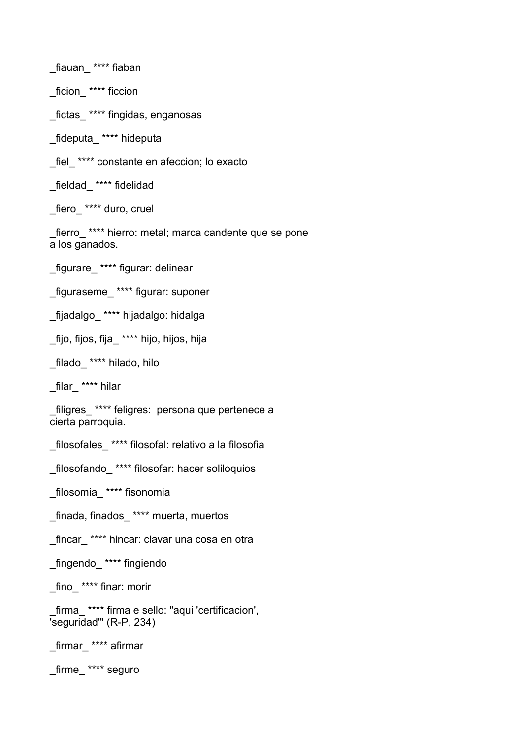\_fiauan\_ \*\*\*\* fiaban

ficion \*\*\*\* ficcion

\_fictas\_ \*\*\*\* fingidas, enganosas

\_fideputa\_ \*\*\*\* hideputa

fiel \*\*\*\* constante en afeccion; lo exacto

fieldad \*\*\*\* fidelidad

fiero \*\*\*\* duro, cruel

fierro \*\*\*\* hierro: metal; marca candente que se pone a los ganados.

\_figurare\_ \*\*\*\* figurar: delinear

\_figuraseme\_ \*\*\*\* figurar: suponer

\_fijadalgo\_ \*\*\*\* hijadalgo: hidalga

\_fijo, fijos, fija\_ \*\*\*\* hijo, hijos, hija

\_filado\_ \*\*\*\* hilado, hilo

filar\_\*\*\*\* hilar

filigres \*\*\*\* feligres: persona que pertenece a cierta parroquia.

\_filosofales\_ \*\*\*\* filosofal: relativo a la filosofia

\_filosofando\_ \*\*\*\* filosofar: hacer soliloquios

\_filosomia\_ \*\*\*\* fisonomia

\_finada, finados\_ \*\*\*\* muerta, muertos

fincar \*\*\*\* hincar: clavar una cosa en otra

fingendo \*\*\*\* fingiendo

\_fino\_ \*\*\*\* finar: morir

firma \*\*\*\* firma e sello: "aqui 'certificacion', 'seguridad'" (R-P, 234)

\_firmar\_ \*\*\*\* afirmar

\_firme\_ \*\*\*\* seguro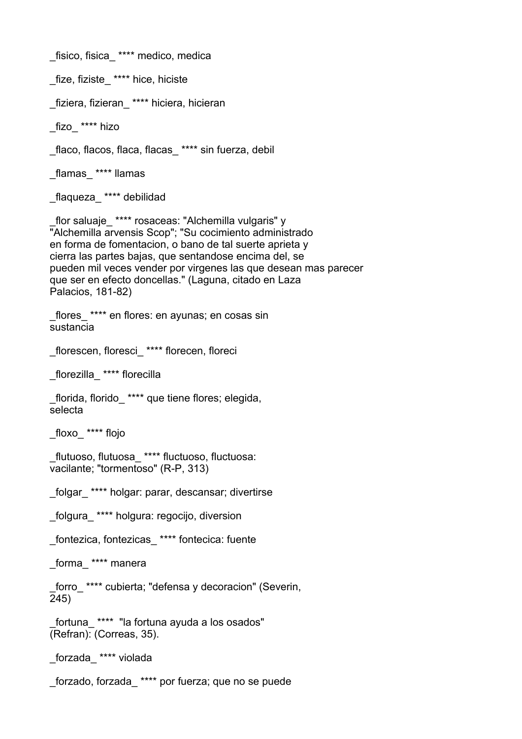fisico, fisica \*\*\*\* medico, medica

\_fize, fiziste\_ \*\*\*\* hice, hiciste

fiziera, fizieran \*\*\*\* hiciera, hicieran

\_fizo\_ \*\*\*\* hizo

flaco, flacos, flaca, flacas \*\*\*\* sin fuerza, debil

\_flamas\_ \*\*\*\* llamas

flaqueza \*\*\*\* debilidad

flor saluaje \*\*\*\* rosaceas: "Alchemilla vulgaris" y "Alchemilla arvensis Scop"; "Su cocimiento administrado en forma de fomentacion, o bano de tal suerte aprieta y cierra las partes bajas, que sentandose encima del, se pueden mil veces vender por virgenes las que desean mas parecer que ser en efecto doncellas." (Laguna, citado en Laza Palacios, 181-82)

flores \*\*\*\* en flores: en ayunas; en cosas sin sustancia

florescen, floresci\_ \*\*\*\* florecen, floreci

florezilla \*\*\*\* florecilla

florida, florido \*\*\*\* que tiene flores; elegida, selecta

floxo \*\*\*\* flojo

flutuoso, flutuosa \*\*\*\* fluctuoso, fluctuosa: vacilante; "tormentoso" (R-P, 313)

\_folgar\_ \*\*\*\* holgar: parar, descansar; divertirse

\_folgura\_ \*\*\*\* holgura: regocijo, diversion

\_fontezica, fontezicas\_ \*\*\*\* fontecica: fuente

\_forma\_ \*\*\*\* manera

forro \*\*\*\* cubierta; "defensa y decoracion" (Severin, 245)

\_fortuna\_ \*\*\*\* "la fortuna ayuda a los osados" (Refran): (Correas, 35).

\_forzada\_ \*\*\*\* violada

\_forzado, forzada\_ \*\*\*\* por fuerza; que no se puede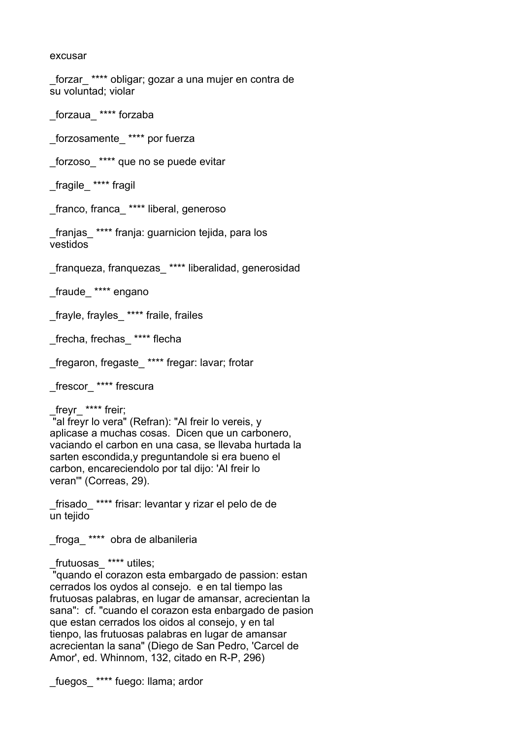## excusar

forzar \*\*\*\* obligar; gozar a una mujer en contra de su voluntad; violar

\_forzaua\_ \*\*\*\* forzaba

\_forzosamente\_ \*\*\*\* por fuerza

forzoso \*\*\*\* que no se puede evitar

fragile \*\*\*\* fragil

franco, franca \*\*\*\* liberal, generoso

franjas \*\*\*\* franja: guarnicion tejida, para los vestidos

\_franqueza, franquezas\_ \*\*\*\* liberalidad, generosidad

fraude \*\*\*\* engano

frayle, frayles \*\*\*\* fraile, frailes

frecha, frechas \*\*\*\* flecha

fregaron, fregaste \*\*\*\* fregar: lavar; frotar

frescor \*\*\*\* frescura

freyr \*\*\*\* freir;

"al freyr lo vera" (Refran): "Al freir lo vereis, y aplicase a muchas cosas. Dicen que un carbonero, vaciando el carbon en una casa, se llevaba hurtada la sarten escondida,y preguntandole si era bueno el carbon, encareciendolo por tal dijo: 'Al freir lo veran'" (Correas, 29).

\_frisado\_ \*\*\*\* frisar: levantar y rizar el pelo de de un tejido

\_froga\_ \*\*\*\* obra de albanileria

frutuosas \*\*\*\* utiles:

"quando el corazon esta embargado de passion: estan cerrados los oydos al consejo. e en tal tiempo las frutuosas palabras, en lugar de amansar, acrecientan la sana": cf. "cuando el corazon esta enbargado de pasion que estan cerrados los oidos al consejo, y en tal tienpo, las frutuosas palabras en lugar de amansar acrecientan la sana" (Diego de San Pedro, 'Carcel de Amor', ed. Whinnom, 132, citado en R-P, 296)

fuegos \*\*\*\* fuego: llama; ardor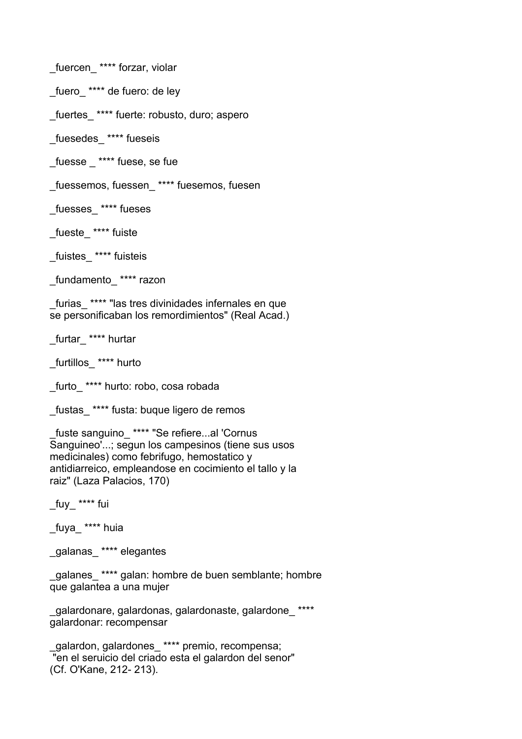\_fuercen\_ \*\*\*\* forzar, violar

fuero \*\*\*\* de fuero: de ley

fuertes \*\*\*\* fuerte: robusto, duro; aspero

\_fuesedes\_ \*\*\*\* fueseis

fuesse \*\*\*\* fuese, se fue

fuessemos, fuessen \*\*\*\* fuesemos, fuesen

fuesses \*\*\*\* fueses

fueste \*\*\*\* fuiste

\_fuistes\_ \*\*\*\* fuisteis

fundamento \*\*\*\* razon

furias \*\*\*\* "las tres divinidades infernales en que se personificaban los remordimientos" (Real Acad.)

furtar \*\*\*\* hurtar

furtillos \*\*\*\* hurto

\_furto\_ \*\*\*\* hurto: robo, cosa robada

fustas \*\*\*\* fusta: buque ligero de remos

\_fuste sanguino\_ \*\*\*\* "Se refiere...al 'Cornus Sanguineo'...; segun los campesinos (tiene sus usos medicinales) como febrifugo, hemostatico y antidiarreico, empleandose en cocimiento el tallo y la raiz" (Laza Palacios, 170)

 $_I$ fuy $I$  \*\*\*\* fui

\_fuya\_ \*\*\*\* huia

\_galanas\_ \*\*\*\* elegantes

galanes \*\*\*\* galan: hombre de buen semblante; hombre que galantea a una mujer

galardonare, galardonas, galardonaste, galardone \*\*\*\* galardonar: recompensar

\_galardon, galardones\_ \*\*\*\* premio, recompensa; "en el seruicio del criado esta el galardon del senor" (Cf. O'Kane, 212- 213).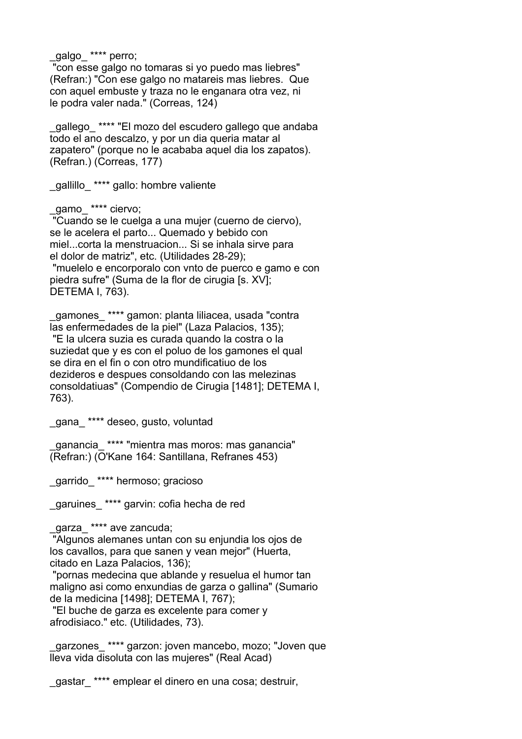galgo \*\*\*\* perro;

"con esse galgo no tomaras si yo puedo mas liebres" (Refran:) "Con ese galgo no matareis mas liebres. Que con aquel embuste y traza no le enganara otra vez, ni le podra valer nada." (Correas, 124)

gallego \*\*\*\* "El mozo del escudero gallego que andaba todo el ano descalzo, y por un dia queria matar al zapatero" (porque no le acababa aquel dia los zapatos). (Refran.) (Correas, 177)

gallillo \*\*\*\* gallo: hombre valiente

\_gamo\_ \*\*\*\* ciervo;

"Cuando se le cuelga a una mujer (cuerno de ciervo), se le acelera el parto... Quemado y bebido con miel...corta la menstruacion... Si se inhala sirve para el dolor de matriz", etc. (Utilidades 28-29); "muelelo e encorporalo con vnto de puerco e gamo e con piedra sufre" (Suma de la flor de cirugia [s. XV]; DETEMA I, 763).

gamones \*\*\*\* gamon: planta liliacea, usada "contra las enfermedades de la piel" (Laza Palacios, 135);

"E la ulcera suzia es curada quando la costra o la suziedat que y es con el poluo de los gamones el qual se dira en el fin o con otro mundificatiuo de los dezideros e despues consoldando con las melezinas consoldatiuas" (Compendio de Cirugia [1481]; DETEMA I, 763).

\_gana\_ \*\*\*\* deseo, gusto, voluntad

\_ganancia\_ \*\*\*\* "mientra mas moros: mas ganancia" (Refran:) (O'Kane 164: Santillana, Refranes 453)

\_garrido\_ \*\*\*\* hermoso; gracioso

\_garuines\_ \*\*\*\* garvin: cofia hecha de red

garza \*\*\*\* ave zancuda;

"Algunos alemanes untan con su enjundia los ojos de los cavallos, para que sanen y vean mejor" (Huerta, citado en Laza Palacios, 136);

"pornas medecina que ablande y resuelua el humor tan maligno asi como enxundias de garza o gallina" (Sumario de la medicina [1498]; DETEMA I, 767);

"El buche de garza es excelente para comer y afrodisiaco." etc. (Utilidades, 73).

garzones \*\*\*\* garzon: joven mancebo, mozo; "Joven que lleva vida disoluta con las mujeres" (Real Acad)

gastar \*\*\*\* emplear el dinero en una cosa; destruir,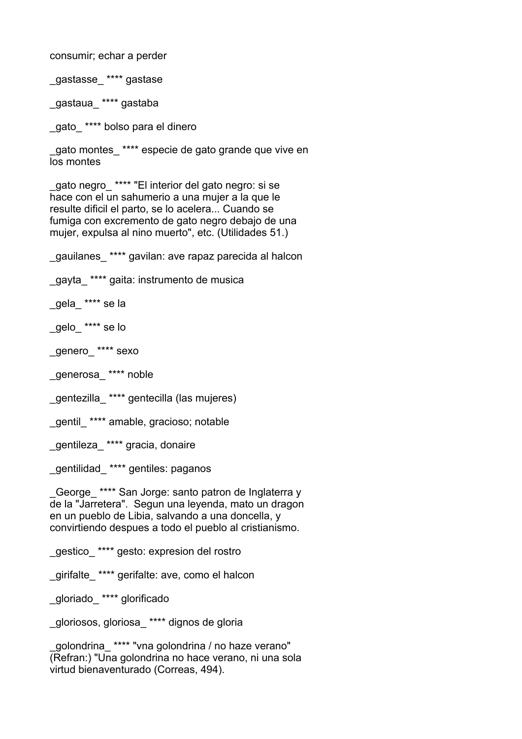consumir; echar a perder

\_gastasse\_ \*\*\*\* gastase

\_gastaua\_ \*\*\*\* gastaba

gato \*\*\*\* bolso para el dinero

\_gato montes\_ \*\*\*\* especie de gato grande que vive en los montes

\_gato negro\_ \*\*\*\* "El interior del gato negro: si se hace con el un sahumerio a una mujer a la que le resulte dificil el parto, se lo acelera... Cuando se fumiga con excremento de gato negro debajo de una mujer, expulsa al nino muerto", etc. (Utilidades 51.)

\_gauilanes\_ \*\*\*\* gavilan: ave rapaz parecida al halcon

\_gayta\_ \*\*\*\* gaita: instrumento de musica

\_gela\_ \*\*\*\* se la

\_gelo\_ \*\*\*\* se lo

\_genero\_ \*\*\*\* sexo

\_generosa\_ \*\*\*\* noble

gentezilla \*\*\*\* gentecilla (las mujeres)

gentil \*\*\*\* amable, gracioso; notable

\_gentileza\_ \*\*\*\* gracia, donaire

\_gentilidad\_ \*\*\*\* gentiles: paganos

\_George\_ \*\*\*\* San Jorge: santo patron de Inglaterra y de la "Jarretera". Segun una leyenda, mato un dragon en un pueblo de Libia, salvando a una doncella, y convirtiendo despues a todo el pueblo al cristianismo.

gestico<sup>\*\*\*\*</sup> gesto: expresion del rostro

\_girifalte\_ \*\*\*\* gerifalte: ave, como el halcon

\_gloriado\_ \*\*\*\* glorificado

\_gloriosos, gloriosa\_ \*\*\*\* dignos de gloria

\_golondrina\_ \*\*\*\* "vna golondrina / no haze verano" (Refran:) "Una golondrina no hace verano, ni una sola virtud bienaventurado (Correas, 494).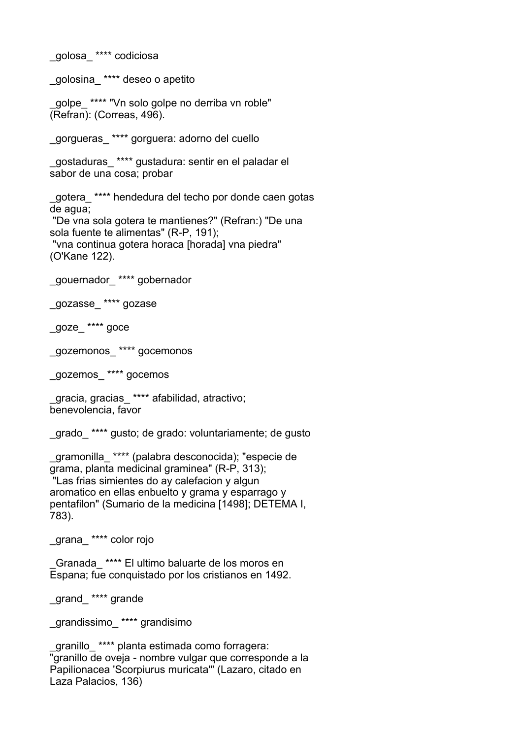\_golosa\_ \*\*\*\* codiciosa \_golosina\_ \*\*\*\* deseo o apetito \_golpe\_ \*\*\*\* "Vn solo golpe no derriba vn roble" (Refran): (Correas, 496). \_gorgueras\_ \*\*\*\* gorguera: adorno del cuello \_gostaduras\_ \*\*\*\* gustadura: sentir en el paladar el sabor de una cosa; probar gotera \*\*\*\* hendedura del techo por donde caen gotas de agua; "De vna sola gotera te mantienes?" (Refran:) "De una sola fuente te alimentas" (R-P, 191); "vna continua gotera horaca [horada] vna piedra" (O'Kane 122). \_gouernador\_ \*\*\*\* gobernador \_gozasse\_ \*\*\*\* gozase \_goze\_ \*\*\*\* goce \_gozemonos\_ \*\*\*\* gocemonos \_gozemos\_ \*\*\*\* gocemos \_gracia, gracias\_ \*\*\*\* afabilidad, atractivo; benevolencia, favor \_grado\_ \*\*\*\* gusto; de grado: voluntariamente; de gusto \_gramonilla\_ \*\*\*\* (palabra desconocida); "especie de grama, planta medicinal graminea" (R-P, 313); "Las frias simientes do ay calefacion y algun aromatico en ellas enbuelto y grama y esparrago y pentafilon" (Sumario de la medicina [1498]; DETEMA I, 783). \_grana\_ \*\*\*\* color rojo \_Granada\_ \*\*\*\* El ultimo baluarte de los moros en Espana; fue conquistado por los cristianos en 1492. \_grand\_ \*\*\*\* grande \_grandissimo\_ \*\*\*\* grandisimo \_granillo\_ \*\*\*\* planta estimada como forragera:

"granillo de oveja - nombre vulgar que corresponde a la Papilionacea 'Scorpiurus muricata'" (Lazaro, citado en Laza Palacios, 136)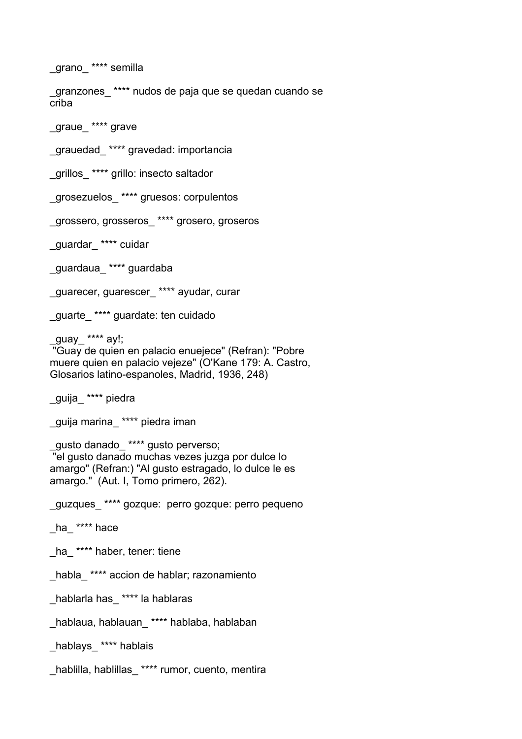\_grano\_ \*\*\*\* semilla

granzones \*\*\*\* nudos de paja que se quedan cuando se criba

\_graue\_ \*\*\*\* grave

\_grauedad\_ \*\*\*\* gravedad: importancia

grillos \*\*\*\* grillo: insecto saltador

\_grosezuelos\_ \*\*\*\* gruesos: corpulentos

\_grossero, grosseros\_ \*\*\*\* grosero, groseros

\_guardar\_ \*\*\*\* cuidar

\_guardaua\_ \*\*\*\* guardaba

\_guarecer, guarescer\_ \*\*\*\* ayudar, curar

\_guarte\_ \*\*\*\* guardate: ten cuidado

 $\frac{1}{2}$ guay $\frac{1}{2}$ \*\*\*\* ay!; "Guay de quien en palacio enuejece" (Refran): "Pobre muere quien en palacio vejeze" (O'Kane 179: A. Castro, Glosarios latino-espanoles, Madrid, 1936, 248)

\_guija\_ \*\*\*\* piedra

\_guija marina\_ \*\*\*\* piedra iman

qusto danado \_\*\*\*\* gusto perverso; "el gusto danado muchas vezes juzga por dulce lo amargo" (Refran:) "Al gusto estragado, lo dulce le es amargo." (Aut. I, Tomo primero, 262).

\_guzques\_ \*\*\*\* gozque: perro gozque: perro pequeno

ha \*\*\*\* hace

ha \*\*\*\* haber, tener: tiene

habla \*\*\*\* accion de hablar; razonamiento

hablarla has \*\*\*\* la hablaras

\_hablaua, hablauan\_ \*\*\*\* hablaba, hablaban

\_hablays\_ \*\*\*\* hablais

\_hablilla, hablillas\_ \*\*\*\* rumor, cuento, mentira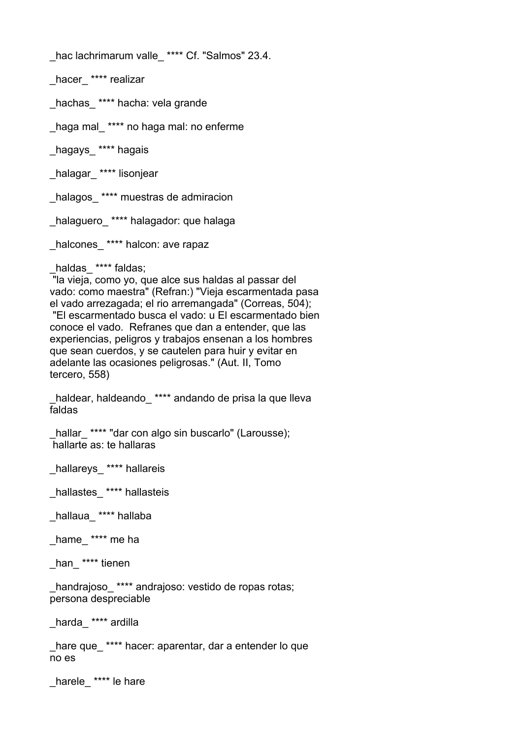hac lachrimarum valle \*\*\*\* Cf. "Salmos" 23.4.

\_hacer\_ \*\*\*\* realizar

hachas \*\*\*\* hacha: vela grande

haga mal \*\*\*\* no haga mal: no enferme

hagays \*\*\*\* hagais

halagar \*\*\*\* lisonjear

halagos \*\*\*\* muestras de admiracion

halaguero \*\*\*\* halagador: que halaga

halcones \*\*\*\* halcon: ave rapaz

haldas \*\*\*\* faldas;

"la vieja, como yo, que alce sus haldas al passar del vado: como maestra" (Refran:) "Vieja escarmentada pasa el vado arrezagada; el rio arremangada" (Correas, 504); "El escarmentado busca el vado: u El escarmentado bien conoce el vado. Refranes que dan a entender, que las experiencias, peligros y trabajos ensenan a los hombres que sean cuerdos, y se cautelen para huir y evitar en adelante las ocasiones peligrosas." (Aut. II, Tomo tercero, 558)

haldear, haldeando \*\*\*\* andando de prisa la que lleva faldas

hallar \*\*\*\* "dar con algo sin buscarlo" (Larousse); hallarte as: te hallaras

hallareys \*\*\*\* hallareis

\_hallastes\_ \*\*\*\* hallasteis

hallaua \*\*\*\* hallaba

hame \*\*\*\* me ha

han \*\*\*\* tienen

handrajoso \*\*\*\* andrajoso: vestido de ropas rotas; persona despreciable

harda \*\*\*\* ardilla

hare que \*\*\*\* hacer: aparentar, dar a entender lo que no es

\_harele\_ \*\*\*\* le hare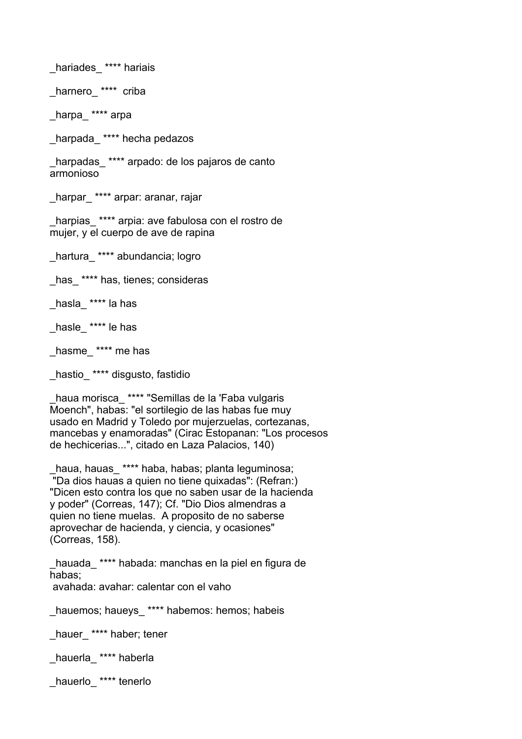hariades \*\*\*\* hariais

harnero \*\*\*\* criba

harpa \*\*\*\* arpa

\_harpada\_ \*\*\*\* hecha pedazos

harpadas \*\*\*\* arpado: de los pajaros de canto armonioso

harpar \*\*\*\* arpar: aranar, rajar

harpias \*\*\*\* arpia: ave fabulosa con el rostro de mujer, y el cuerpo de ave de rapina

\_hartura\_ \*\*\*\* abundancia; logro

has \*\*\*\* has, tienes; consideras

\_hasla\_ \*\*\*\* la has

\_hasle\_ \*\*\*\* le has

hasme\_\*\*\*\* me has

hastio \*\*\*\* disgusto, fastidio

haua morisca \*\*\*\* "Semillas de la 'Faba vulgaris Moench", habas: "el sortilegio de las habas fue muy usado en Madrid y Toledo por mujerzuelas, cortezanas, mancebas y enamoradas" (Cirac Estopanan: "Los procesos de hechicerias...", citado en Laza Palacios, 140)

\_haua, hauas\_ \*\*\*\* haba, habas; planta leguminosa; "Da dios hauas a quien no tiene quixadas": (Refran:) "Dicen esto contra los que no saben usar de la hacienda y poder" (Correas, 147); Cf. "Dio Dios almendras a quien no tiene muelas. A proposito de no saberse aprovechar de hacienda, y ciencia, y ocasiones" (Correas, 158).

\_hauada\_ \*\*\*\* habada: manchas en la piel en figura de habas;

avahada: avahar: calentar con el vaho

hauemos; haueys \*\*\*\* habemos: hemos; habeis

hauer \*\*\*\* haber; tener

hauerla \*\*\*\* haberla

hauerlo \*\*\*\* tenerlo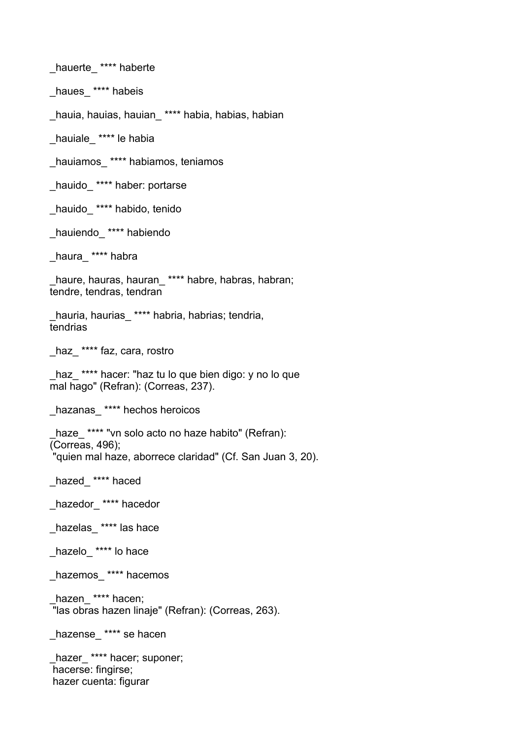\_hauerte\_ \*\*\*\* haberte

haues \*\*\*\* habeis

\_hauia, hauias, hauian\_ \*\*\*\* habia, habias, habian

\_hauiale\_ \*\*\*\* le habia

hauiamos \*\*\*\* habiamos, teniamos

hauido \*\*\*\* haber: portarse

hauido \*\*\*\* habido, tenido

\_hauiendo\_ \*\*\*\* habiendo

haura \*\*\*\* habra

\_haure, hauras, hauran\_ \*\*\*\* habre, habras, habran; tendre, tendras, tendran

\_hauria, haurias\_ \*\*\*\* habria, habrias; tendria, tendrias

haz \*\*\*\* faz, cara, rostro

haz \*\*\*\* hacer: "haz tu lo que bien digo: y no lo que mal hago" (Refran): (Correas, 237).

hazanas \*\*\*\* hechos heroicos

haze \*\*\*\* "vn solo acto no haze habito" (Refran): (Correas, 496); "quien mal haze, aborrece claridad" (Cf. San Juan 3, 20).

hazed \*\*\*\* haced

\_hazedor\_ \*\*\*\* hacedor

hazelas \*\*\*\* las hace

hazelo \*\*\*\* lo hace

hazemos \*\*\*\* hacemos

hazen \*\*\*\* hacen; "las obras hazen linaje" (Refran): (Correas, 263).

hazense \*\*\*\* se hacen

hazer \*\*\*\* hacer; suponer; hacerse: fingirse; hazer cuenta: figurar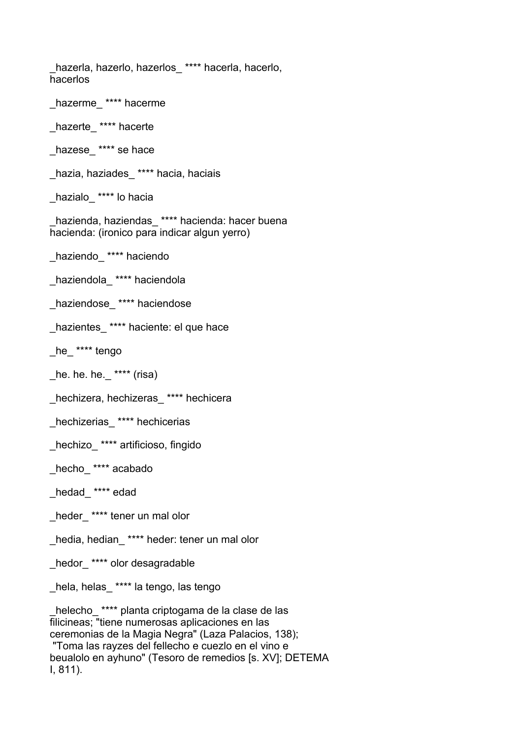hazerla, hazerlo, hazerlos \*\*\*\* hacerla, hacerlo, hacerlos

hazerme \*\*\*\* hacerme

hazerte \*\*\*\* hacerte

hazese \*\*\*\* se hace

hazia, haziades \*\*\*\* hacia, haciais

hazialo \*\*\*\* lo hacia

hazienda, haziendas \*\*\*\* hacienda: hacer buena hacienda: (ironico para indicar algun yerro)

\_haziendo\_ \*\*\*\* haciendo

haziendola \*\*\*\* haciendola

haziendose \*\*\*\* haciendose

hazientes \*\*\*\* haciente: el que hace

he \*\*\*\* tengo

he. he. he.  $***$  (risa)

hechizera, hechizeras \*\*\*\* hechicera

hechizerias \*\*\*\* hechicerias

\_hechizo\_ \*\*\*\* artificioso, fingido

hecho \*\*\*\* acabado

\_hedad\_ \*\*\*\* edad

heder \*\*\*\* tener un mal olor

hedia, hedian \*\*\*\* heder: tener un mal olor

hedor \*\*\*\* olor desagradable

\_hela, helas\_ \*\*\*\* la tengo, las tengo

helecho \*\*\*\* planta criptogama de la clase de las filicineas; "tiene numerosas aplicaciones en las ceremonias de la Magia Negra" (Laza Palacios, 138); "Toma las rayzes del fellecho e cuezlo en el vino e beualolo en ayhuno" (Tesoro de remedios [s. XV]; DETEMA I, 811).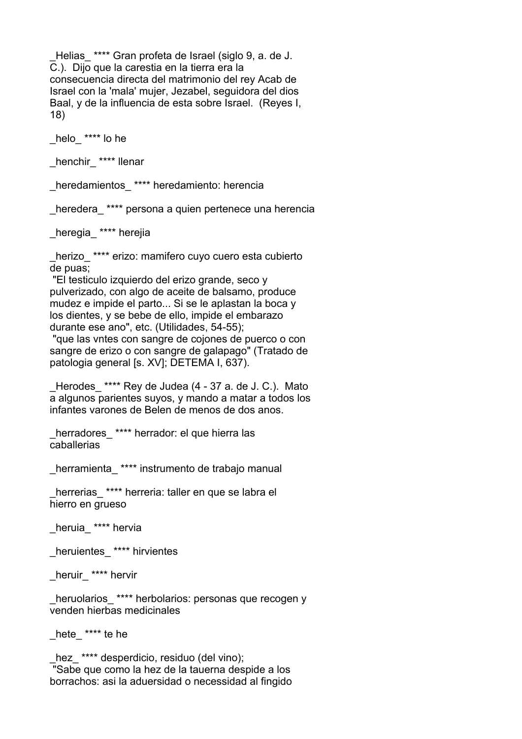Helias \*\*\*\* Gran profeta de Israel (siglo 9, a. de J. C.). Dijo que la carestia en la tierra era la consecuencia directa del matrimonio del rey Acab de Israel con la 'mala' mujer, Jezabel, seguidora del dios Baal, y de la influencia de esta sobre Israel. (Reyes I, 18)

\_helo\_ \*\*\*\* lo he

henchir \*\*\*\* llenar

heredamientos \*\*\*\* heredamiento: herencia

heredera \*\*\*\* persona a quien pertenece una herencia

heregia \*\*\*\* herejia

\_herizo\_ \*\*\*\* erizo: mamifero cuyo cuero esta cubierto de puas;

"El testiculo izquierdo del erizo grande, seco y pulverizado, con algo de aceite de balsamo, produce mudez e impide el parto... Si se le aplastan la boca y los dientes, y se bebe de ello, impide el embarazo durante ese ano", etc. (Utilidades, 54-55);

"que las vntes con sangre de cojones de puerco o con sangre de erizo o con sangre de galapago" (Tratado de patologia general [s. XV]; DETEMA I, 637).

Herodes \*\*\*\* Rey de Judea (4 - 37 a. de J. C.). Mato a algunos parientes suyos, y mando a matar a todos los infantes varones de Belen de menos de dos anos.

\_herradores\_ \*\*\*\* herrador: el que hierra las caballerias

herramienta \*\*\*\* instrumento de trabajo manual

\_herrerias\_ \*\*\*\* herreria: taller en que se labra el hierro en grueso

\_heruia\_ \*\*\*\* hervia

heruientes \*\*\*\* hirvientes

heruir \*\*\*\* hervir

heruolarios \*\*\*\* herbolarios: personas que recogen y venden hierbas medicinales

hete \*\*\*\* te he

hez \*\*\*\* desperdicio, residuo (del vino); "Sabe que como la hez de la tauerna despide a los borrachos: asi la aduersidad o necessidad al fingido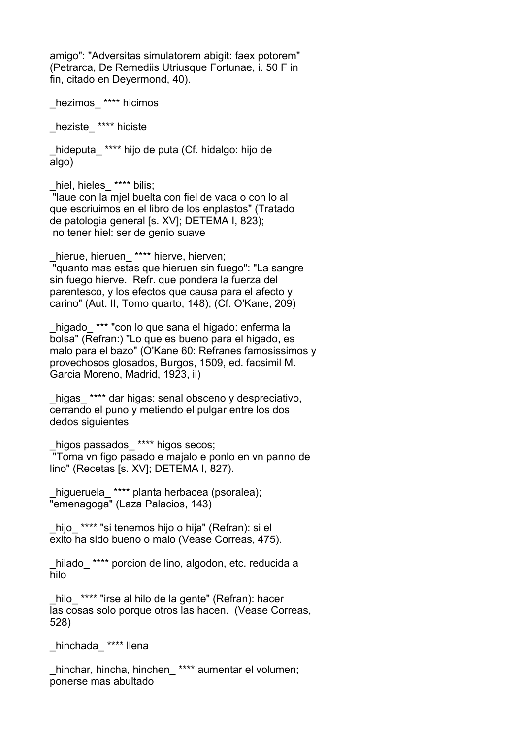amigo": "Adversitas simulatorem abigit: faex potorem" (Petrarca, De Remediis Utriusque Fortunae, i. 50 F in fin, citado en Deyermond, 40).

hezimos \*\*\*\* hicimos

heziste \*\*\*\* hiciste

hideputa \*\*\*\* hijo de puta (Cf. hidalgo: hijo de algo)

hiel, hieles \*\*\*\* bilis;

 $\overline{\phantom{a}}$ "laue con la miel buelta con fiel de vaca o con lo al que escriuimos en el libro de los enplastos" (Tratado de patologia general [s. XV]; DETEMA I, 823); no tener hiel: ser de genio suave

hierue, hieruen \*\*\*\* hierve, hierven; "quanto mas estas que hieruen sin fuego": "La sangre sin fuego hierve. Refr. que pondera la fuerza del parentesco, y los efectos que causa para el afecto y carino" (Aut. II, Tomo quarto, 148); (Cf. O'Kane, 209)

higado \*\*\* "con lo que sana el higado: enferma la bolsa" (Refran:) "Lo que es bueno para el higado, es malo para el bazo" (O'Kane 60: Refranes famosissimos y provechosos glosados, Burgos, 1509, ed. facsimil M. Garcia Moreno, Madrid, 1923, ii)

higas \*\*\*\* dar higas: senal obsceno y despreciativo, cerrando el puno y metiendo el pulgar entre los dos dedos siguientes

```
higos passados **** higos secos;
"Toma vn figo pasado e majalo e ponlo en vn panno de
lino" (Recetas [s. XV]; DETEMA I, 827).
```
higueruela \*\*\*\* planta herbacea (psoralea); "emenagoga" (Laza Palacios, 143)

hijo \*\*\*\* "si tenemos hijo o hija" (Refran): si el exito ha sido bueno o malo (Vease Correas, 475).

hilado \*\*\*\* porcion de lino, algodon, etc. reducida a hilo

hilo \*\*\*\* "irse al hilo de la gente" (Refran): hacer las cosas solo porque otros las hacen. (Vease Correas, 528)

hinchada \*\*\*\* llena

\_hinchar, hincha, hinchen\_ \*\*\*\* aumentar el volumen; ponerse mas abultado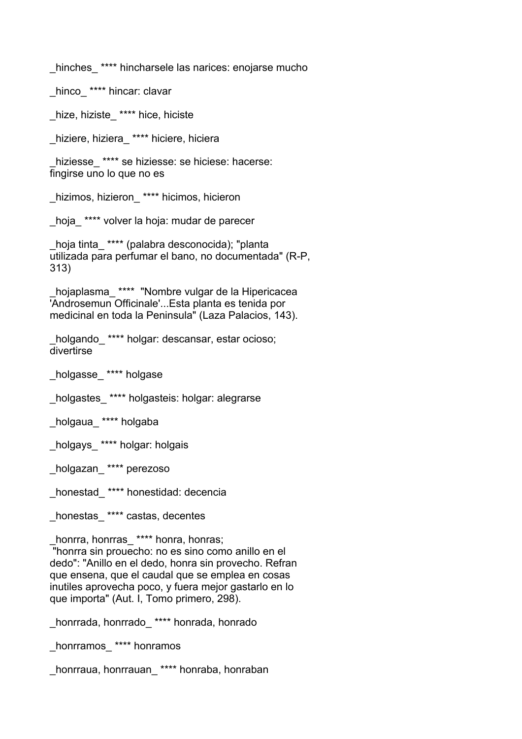hinches \*\*\*\* hincharsele las narices: enojarse mucho

hinco \*\*\*\* hincar: clavar

hize, hiziste \*\*\*\* hice, hiciste

\_hiziere, hiziera\_ \*\*\*\* hiciere, hiciera

hiziesse \*\*\*\* se hiziesse: se hiciese: hacerse: fingirse uno lo que no es

hizimos, hizieron \*\*\*\* hicimos, hicieron

hoja \*\*\*\* volver la hoja: mudar de parecer

hoja tinta \*\*\*\* (palabra desconocida); "planta utilizada para perfumar el bano, no documentada" (R-P, 313)

hojaplasma \*\*\*\* "Nombre vulgar de la Hipericacea 'Androsemun Officinale'...Esta planta es tenida por medicinal en toda la Peninsula" (Laza Palacios, 143).

\_holgando\_ \*\*\*\* holgar: descansar, estar ocioso; divertirse

holgasse \*\*\*\* holgase

holgastes \*\*\*\* holgasteis: holgar: alegrarse

holgaua \*\*\*\* holgaba

\_holgays\_ \*\*\*\* holgar: holgais

holgazan \*\*\*\* perezoso

\_honestad\_ \*\*\*\* honestidad: decencia

honestas \*\*\*\* castas, decentes

honrra, honrras \*\*\*\* honra, honras; "honrra sin prouecho: no es sino como anillo en el dedo": "Anillo en el dedo, honra sin provecho. Refran que ensena, que el caudal que se emplea en cosas inutiles aprovecha poco, y fuera mejor gastarlo en lo que importa" (Aut. I, Tomo primero, 298).

\_honrrada, honrrado\_ \*\*\*\* honrada, honrado

\_honrramos\_ \*\*\*\* honramos

\_honrraua, honrrauan\_ \*\*\*\* honraba, honraban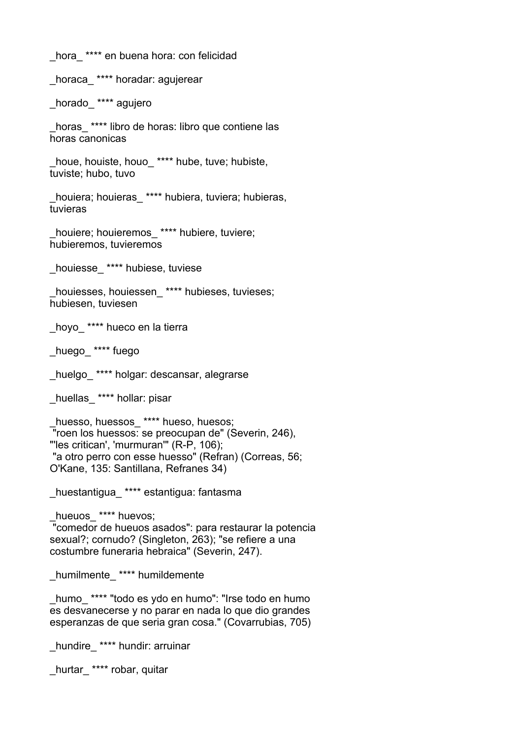hora \*\*\*\* en buena hora: con felicidad

\_horaca\_ \*\*\*\* horadar: agujerear

horado \*\*\*\* agujero

horas \*\*\*\* libro de horas: libro que contiene las horas canonicas

houe, houiste, houo \*\*\*\* hube, tuve; hubiste, tuviste; hubo, tuvo

houiera; houieras \*\*\*\* hubiera, tuviera; hubieras, tuvieras

houiere; houieremos \*\*\*\* hubiere, tuviere; hubieremos, tuvieremos

houiesse \*\*\*\* hubiese, tuviese

houiesses, houiessen \*\*\*\* hubieses, tuvieses; hubiesen, tuviesen

hoyo \*\*\*\* hueco en la tierra

huego \*\*\*\* fuego

huelgo\_ \*\*\*\* holgar: descansar, alegrarse

huellas \*\*\*\* hollar: pisar

huesso, huessos \*\*\*\* hueso, huesos; "roen los huessos: se preocupan de" (Severin, 246), "'les critican', 'murmuran'" (R-P, 106); "a otro perro con esse huesso" (Refran) (Correas, 56; O'Kane, 135: Santillana, Refranes 34)

\_huestantigua\_ \*\*\*\* estantigua: fantasma

hueuos \*\*\*\* huevos; "comedor de hueuos asados": para restaurar la potencia sexual?; cornudo? (Singleton, 263); "se refiere a una costumbre funeraria hebraica" (Severin, 247).

humilmente \*\*\*\* humildemente

humo \*\*\*\* "todo es ydo en humo": "Irse todo en humo es desvanecerse y no parar en nada lo que dio grandes esperanzas de que seria gran cosa." (Covarrubias, 705)

\_hundire\_ \*\*\*\* hundir: arruinar

\_hurtar\_ \*\*\*\* robar, quitar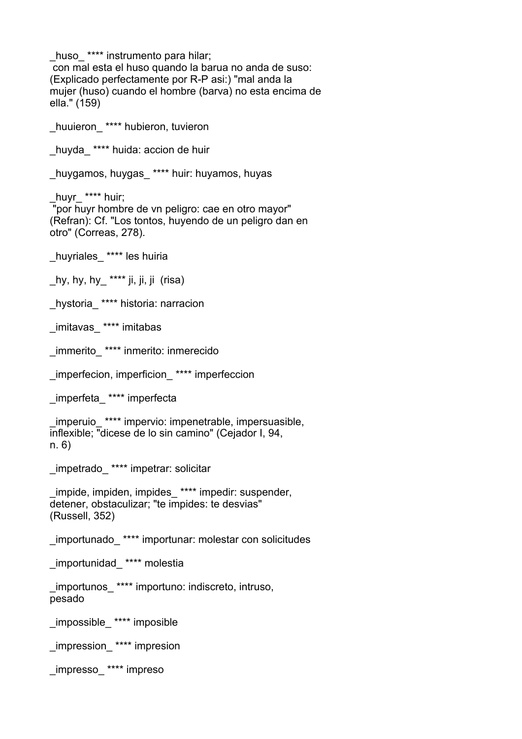huso \*\*\*\* instrumento para hilar; con mal esta el huso quando la barua no anda de suso: (Explicado perfectamente por R-P asi:) "mal anda la mujer (huso) cuando el hombre (barva) no esta encima de ella." (159) huuieron \*\*\*\* hubieron, tuvieron huyda \*\*\*\* huida: accion de huir huygamos, huygas \*\*\*\* huir: huyamos, huyas huyr \*\*\*\* huir; "por huyr hombre de vn peligro: cae en otro mayor" (Refran): Cf. "Los tontos, huyendo de un peligro dan en otro" (Correas, 278). \_huyriales\_ \*\*\*\* les huiria  $\mu$ , hy, hy $\mu$ <sup>\*\*\*\*</sup> ji, ji, ji (risa) hystoria \*\*\*\* historia: narracion \_imitavas\_ \*\*\*\* imitabas immerito \*\*\*\* inmerito: inmerecido imperfecion, imperficion \*\*\*\* imperfeccion \_imperfeta\_ \*\*\*\* imperfecta imperuio \*\*\*\* impervio: impenetrable, impersuasible, inflexible; "dicese de lo sin camino" (Cejador I, 94, n. 6) \_impetrado\_ \*\*\*\* impetrar: solicitar impide, impiden, impides \*\*\*\* impedir: suspender, detener, obstaculizar; "te impides: te desvias" (Russell, 352) importunado \*\*\*\* importunar: molestar con solicitudes importunidad \*\*\*\* molestia importunos \*\*\*\* importuno: indiscreto, intruso, pesado impossible \*\*\*\* imposible \_impression\_ \*\*\*\* impresion impresso \*\*\*\* impreso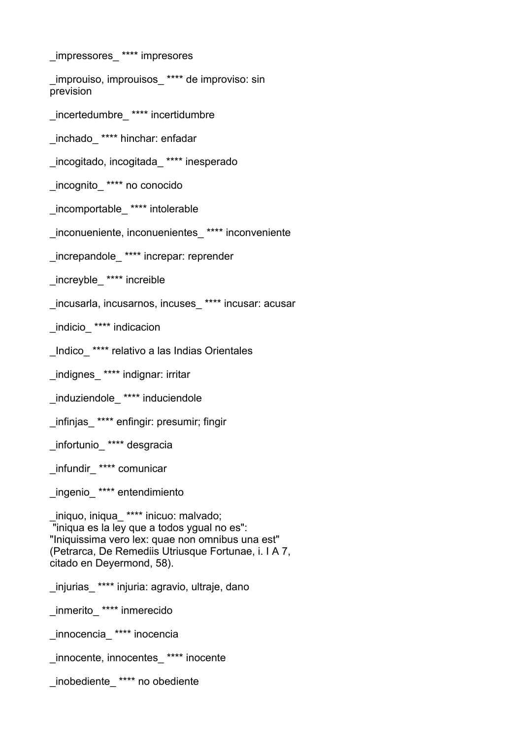impressores \*\*\*\* impresores

\_improuiso, improuisos\_ \*\*\*\* de improviso: sin prevision

\_incertedumbre\_ \*\*\*\* incertidumbre

\_inchado\_ \*\*\*\* hinchar: enfadar

\_incogitado, incogitada\_ \*\*\*\* inesperado

\_incognito\_ \*\*\*\* no conocido

\_incomportable\_ \*\*\*\* intolerable

\_inconueniente, inconuenientes\_ \*\*\*\* inconveniente

\_increpandole\_ \*\*\*\* increpar: reprender

increyble \*\*\*\* increible

\_incusarla, incusarnos, incuses\_ \*\*\*\* incusar: acusar

indicio \*\*\*\* indicacion

\_Indico\_ \*\*\*\* relativo a las Indias Orientales

indignes \*\*\*\* indignar: irritar

induziendole \*\*\*\* induciendole

infinjas \*\*\*\* enfingir: presumir; fingir

\_infortunio\_ \*\*\*\* desgracia

infundir \*\*\*\* comunicar

\_ingenio\_ \*\*\*\* entendimiento

iniquo, iniqua \*\*\*\* inicuo: malvado; "iniqua es la ley que a todos ygual no es": "Iniquissima vero lex: quae non omnibus una est" (Petrarca, De Remediis Utriusque Fortunae, i. I A 7, citado en Deyermond, 58).

\_injurias\_ \*\*\*\* injuria: agravio, ultraje, dano

\_inmerito\_ \*\*\*\* inmerecido

\_innocencia\_ \*\*\*\* inocencia

\_innocente, innocentes\_ \*\*\*\* inocente

inobediente \*\*\*\* no obediente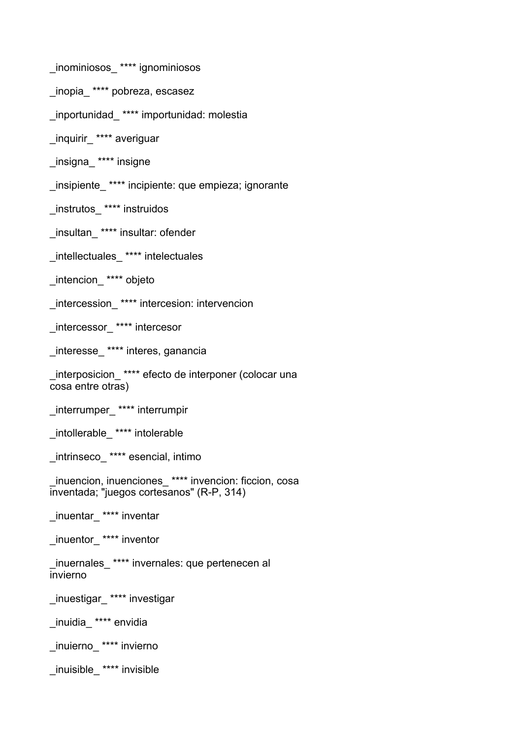\_inominiosos\_ \*\*\*\* ignominiosos

\_inopia\_ \*\*\*\* pobreza, escasez

\_inportunidad\_ \*\*\*\* importunidad: molestia

\_inquirir\_ \*\*\*\* averiguar

insigna \*\*\*\* insigne

insipiente\_ \*\*\*\* incipiente: que empieza; ignorante

\_instrutos\_ \*\*\*\* instruidos

insultan \*\*\*\* insultar: ofender

\_intellectuales\_ \*\*\*\* intelectuales

\_intencion\_ \*\*\*\* objeto

intercession \*\*\*\* intercesion: intervencion

\_intercessor\_ \*\*\*\* intercesor

\_interesse\_ \*\*\*\* interes, ganancia

interposicion \*\*\*\* efecto de interponer (colocar una cosa entre otras)

\_interrumper\_ \*\*\*\* interrumpir

\_intollerable\_ \*\*\*\* intolerable

\_intrinseco\_ \*\*\*\* esencial, intimo

inuencion, inuenciones \*\*\*\* invencion: ficcion, cosa inventada; "juegos cortesanos" (R-P, 314)

\_inuentar\_ \*\*\*\* inventar

inuentor \*\*\*\* inventor

inuernales \*\*\*\* invernales: que pertenecen al invierno

\_inuestigar\_ \*\*\*\* investigar

\_inuidia\_ \*\*\*\* envidia

\_inuierno\_ \*\*\*\* invierno

\_inuisible\_ \*\*\*\* invisible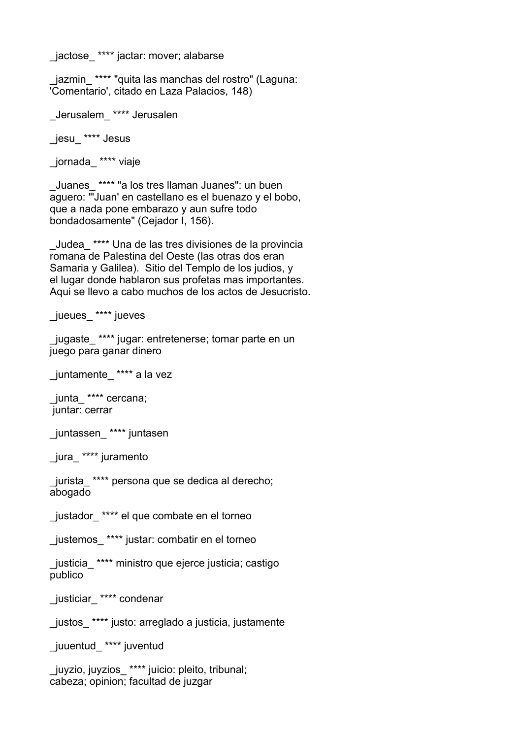\_jactose\_ \*\*\*\* jactar: mover; alabarse

\_jazmin\_ \*\*\*\* "quita las manchas del rostro" (Laguna: 'Comentario', citado en Laza Palacios, 148)

\_Jerusalem\_ \*\*\*\* Jerusalen

\_jesu\_ \*\*\*\* Jesus

jornada \*\*\*\* viaje

Juanes \*\*\*\* "a los tres llaman Juanes": un buen aguero: "'Juan' en castellano es el buenazo y el bobo, que a nada pone embarazo y aun sufre todo bondadosamente" (Cejador I, 156).

\_Judea\_ \*\*\*\* Una de las tres divisiones de la provincia romana de Palestina del Oeste (las otras dos eran Samaria y Galilea). Sitio del Templo de los judios, y el lugar donde hablaron sus profetas mas importantes. Aqui se llevo a cabo muchos de los actos de Jesucristo.

\_jueues\_ \*\*\*\* jueves

\_jugaste\_ \*\*\*\* jugar: entretenerse; tomar parte en un juego para ganar dinero

\_juntamente\_ \*\*\*\* a la vez

junta \*\*\*\* cercana; juntar: cerrar

\_juntassen\_ \*\*\*\* juntasen

\_jura\_ \*\*\*\* juramento

\_jurista\_ \*\*\*\* persona que se dedica al derecho; abogado

\_justador\_ \*\*\*\* el que combate en el torneo

\_justemos\_ \*\*\*\* justar: combatir en el torneo

iusticia \*\*\*\* ministro que ejerce justicia; castigo publico

\_justiciar\_ \*\*\*\* condenar

\_justos\_ \*\*\*\* justo: arreglado a justicia, justamente

\_juuentud\_ \*\*\*\* juventud

\_juyzio, juyzios\_ \*\*\*\* juicio: pleito, tribunal; cabeza; opinion; facultad de juzgar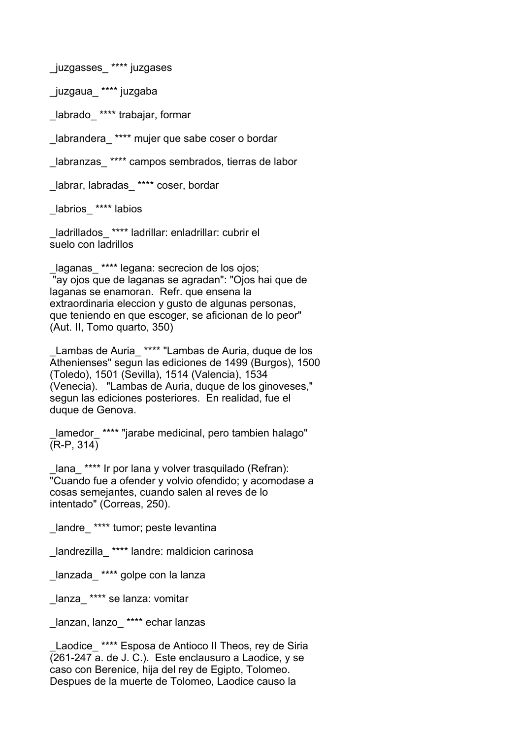juzgasses \*\*\*\* juzgases

\_juzgaua\_ \*\*\*\* juzgaba

labrado \*\*\*\* trabajar, formar

\_labrandera\_ \*\*\*\* mujer que sabe coser o bordar

labranzas \*\*\*\* campos sembrados, tierras de labor

labrar, labradas \*\*\*\* coser, bordar

labrios \*\*\*\* labios

ladrillados \*\*\*\* ladrillar: enladrillar: cubrir el suelo con ladrillos

laganas \*\*\*\* legana: secrecion de los ojos; "ay ojos que de laganas se agradan": "Ojos hai que de laganas se enamoran. Refr. que ensena la extraordinaria eleccion y gusto de algunas personas, que teniendo en que escoger, se aficionan de lo peor" (Aut. II, Tomo quarto, 350)

Lambas de Auria \*\*\*\* "Lambas de Auria, duque de los Athenienses" segun las ediciones de 1499 (Burgos), 1500 (Toledo), 1501 (Sevilla), 1514 (Valencia), 1534 (Venecia). "Lambas de Auria, duque de los ginoveses," segun las ediciones posteriores. En realidad, fue el duque de Genova.

lamedor \*\*\*\* "jarabe medicinal, pero tambien halago" (R-P, 314)

lana \*\*\*\* Ir por lana y volver trasquilado (Refran): "Cuando fue a ofender y volvio ofendido; y acomodase a cosas semejantes, cuando salen al reves de lo intentado" (Correas, 250).

landre \*\*\*\* tumor; peste levantina

landrezilla \*\*\*\* landre: maldicion carinosa

lanzada \*\*\*\* golpe con la lanza

lanza \*\*\*\* se lanza: vomitar

lanzan, lanzo \*\*\*\* echar lanzas

Laodice \*\*\*\* Esposa de Antioco II Theos, rey de Siria (261-247 a. de J. C.). Este enclausuro a Laodice, y se caso con Berenice, hija del rey de Egipto, Tolomeo. Despues de la muerte de Tolomeo, Laodice causo la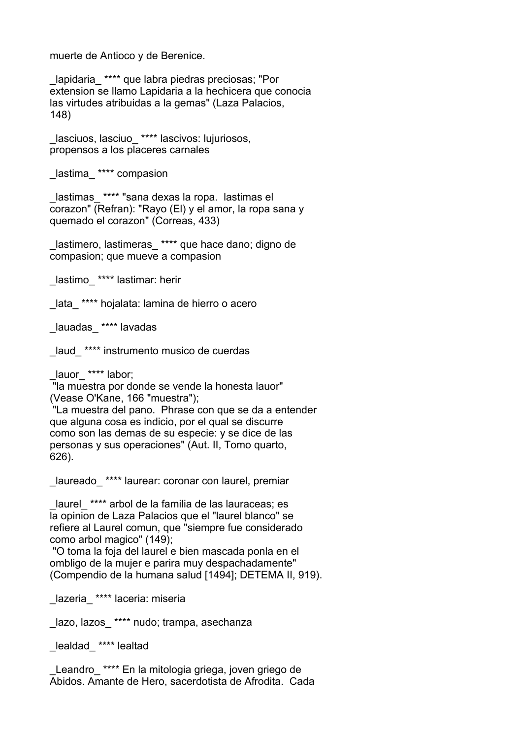muerte de Antioco y de Berenice.

lapidaria \*\*\*\* que labra piedras preciosas; "Por extension se llamo Lapidaria a la hechicera que conocia las virtudes atribuidas a la gemas" (Laza Palacios, 148)

\_lasciuos, lasciuo\_ \*\*\*\* lascivos: lujuriosos, propensos a los placeres carnales

lastima \*\*\*\* compasion

\_lastimas\_ \*\*\*\* "sana dexas la ropa. lastimas el corazon" (Refran): "Rayo (El) y el amor, la ropa sana y quemado el corazon" (Correas, 433)

lastimero, lastimeras \*\*\*\* que hace dano; digno de compasion; que mueve a compasion

lastimo \*\*\*\* lastimar: herir

lata \*\*\*\* hojalata: lamina de hierro o acero

lauadas \*\*\*\* lavadas

laud \*\*\*\* instrumento musico de cuerdas

lauor \*\*\*\* labor;

"la muestra por donde se vende la honesta lauor" (Vease O'Kane, 166 "muestra");

"La muestra del pano. Phrase con que se da a entender que alguna cosa es indicio, por el qual se discurre como son las demas de su especie: y se dice de las personas y sus operaciones" (Aut. II, Tomo quarto, 626).

laureado \*\*\*\* laurear: coronar con laurel, premiar

laurel \*\*\*\* arbol de la familia de las lauraceas; es la opinion de Laza Palacios que el "laurel blanco" se refiere al Laurel comun, que "siempre fue considerado como arbol magico" (149);

"O toma la foja del laurel e bien mascada ponla en el ombligo de la mujer e parira muy despachadamente" (Compendio de la humana salud [1494]; DETEMA II, 919).

lazeria \*\*\*\* laceria: miseria

lazo, lazos \*\*\*\* nudo; trampa, asechanza

lealdad \*\*\*\* lealtad

Leandro \*\*\*\* En la mitologia griega, joven griego de Abidos. Amante de Hero, sacerdotista de Afrodita. Cada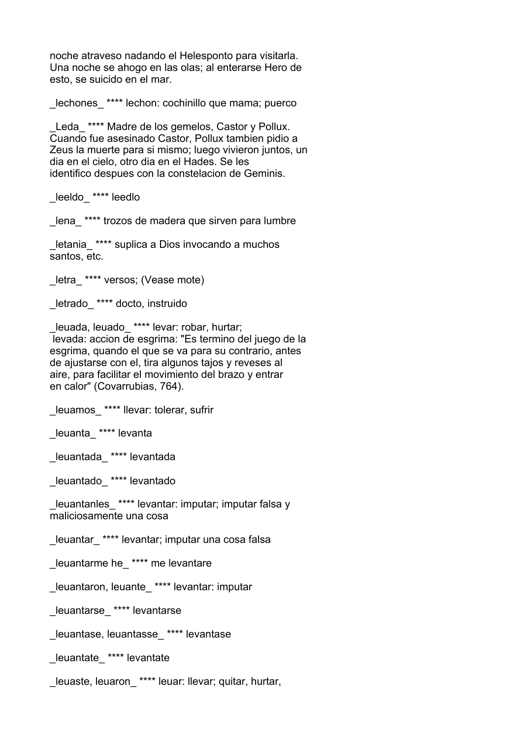noche atraveso nadando el Helesponto para visitarla. Una noche se ahogo en las olas; al enterarse Hero de esto, se suicido en el mar.

lechones \*\*\*\* lechon: cochinillo que mama; puerco

Leda \*\*\*\* Madre de los gemelos, Castor y Pollux. Cuando fue asesinado Castor, Pollux tambien pidio a Zeus la muerte para si mismo; luego vivieron juntos, un dia en el cielo, otro dia en el Hades. Se les identifico despues con la constelacion de Geminis.

leeldo \*\*\*\* leedlo

lena \*\*\*\* trozos de madera que sirven para lumbre

letania \*\*\*\* suplica a Dios invocando a muchos santos, etc.

```
letra **** versos; (Vease mote)
```
letrado \*\*\*\* docto, instruido

leuada, leuado \*\*\*\* levar: robar, hurtar; levada: accion de esgrima: "Es termino del juego de la esgrima, quando el que se va para su contrario, antes de ajustarse con el, tira algunos tajos y reveses al aire, para facilitar el movimiento del brazo y entrar en calor" (Covarrubias, 764).

leuamos\_\*\*\*\* llevar: tolerar, sufrir

leuanta \*\*\*\* levanta

leuantada \*\*\*\* levantada

\_leuantado\_ \*\*\*\* levantado

leuantanles \*\*\*\* levantar: imputar; imputar falsa y maliciosamente una cosa

\_leuantar\_ \*\*\*\* levantar; imputar una cosa falsa

leuantarme he \*\*\*\* me levantare

leuantaron, leuante \*\*\*\* levantar: imputar

leuantarse \*\*\*\* levantarse

leuantase, leuantasse \*\*\*\* levantase

leuantate \*\*\*\* levantate

leuaste, leuaron \*\*\*\* leuar: llevar; quitar, hurtar,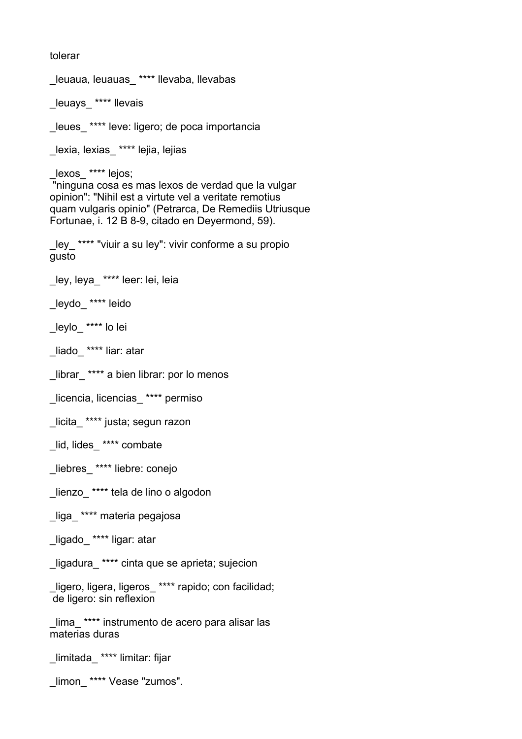tolerar

\_leuaua, leuauas\_ \*\*\*\* llevaba, llevabas

leuays \*\*\*\* llevais

leues \*\*\*\* leve: ligero; de poca importancia

lexia, lexias \*\*\*\* lejia, lejias

lexos \*\*\*\* lejos;

"ninguna cosa es mas lexos de verdad que la vulgar opinion": "Nihil est a virtute vel a veritate remotius quam vulgaris opinio" (Petrarca, De Remediis Utriusque Fortunae, i. 12 B 8-9, citado en Deyermond, 59).

ley \*\*\*\* "viuir a su ley": vivir conforme a su propio gusto

\_ley, leya\_ \*\*\*\* leer: lei, leia

leydo \*\*\*\* leido

leylo \*\*\*\* lo lei

liado \*\*\*\* liar: atar

\_librar\_ \*\*\*\* a bien librar: por lo menos

licencia, licencias \*\*\*\* permiso

licita \*\*\*\* justa; segun razon

\_lid, lides\_ \*\*\*\* combate

liebres \*\*\*\* liebre: conejo

\_lienzo\_ \*\*\*\* tela de lino o algodon

liga \*\*\*\* materia pegajosa

ligado \*\*\*\* ligar: atar

ligadura \*\*\*\* cinta que se aprieta; sujecion

\_ligero, ligera, ligeros\_ \*\*\*\* rapido; con facilidad; de ligero: sin reflexion

lima \*\*\*\* instrumento de acero para alisar las materias duras

\_limitada\_ \*\*\*\* limitar: fijar

limon \*\*\*\* Vease "zumos".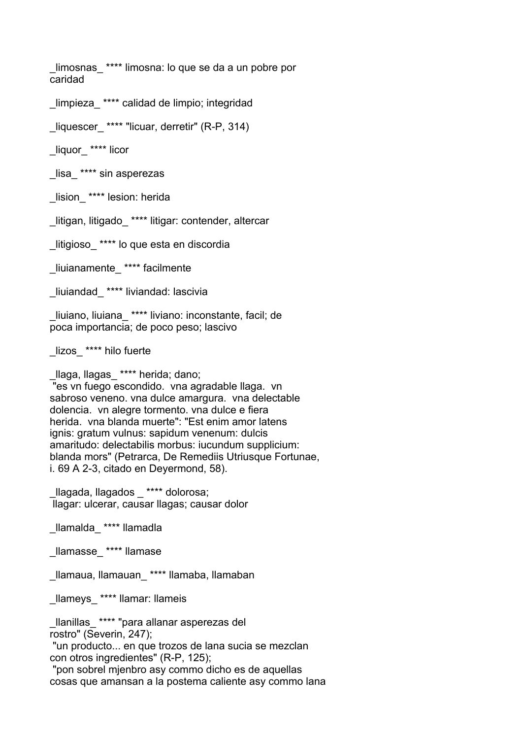limosnas \*\*\*\* limosna: lo que se da a un pobre por caridad

\_limpieza\_ \*\*\*\* calidad de limpio; integridad

liquescer \*\*\*\* "licuar, derretir" (R-P, 314)

\_liquor\_ \*\*\*\* licor

lisa \*\*\*\* sin asperezas

lision \*\*\*\* lesion: herida

\_litigan, litigado\_ \*\*\*\* litigar: contender, altercar

litigioso \*\*\*\* lo que esta en discordia

liuianamente \*\*\*\* facilmente

liuiandad \*\*\*\* liviandad: lascivia

liuiano, liuiana \*\*\*\* liviano: inconstante, facil; de poca importancia; de poco peso; lascivo

lizos \*\*\*\* hilo fuerte

llaga, llagas \*\*\*\* herida; dano;

"es vn fuego escondido. vna agradable llaga. vn sabroso veneno. vna dulce amargura. vna delectable dolencia. vn alegre tormento. vna dulce e fiera herida. vna blanda muerte": "Est enim amor latens ignis: gratum vulnus: sapidum venenum: dulcis amaritudo: delectabilis morbus: iucundum supplicium: blanda mors" (Petrarca, De Remediis Utriusque Fortunae, i. 69 A 2-3, citado en Deyermond, 58).

llagada, llagados \*\*\*\* dolorosa; llagar: ulcerar, causar llagas; causar dolor

\_llamalda\_ \*\*\*\* llamadla

\_llamasse\_ \*\*\*\* llamase

\_llamaua, llamauan\_ \*\*\*\* llamaba, llamaban

llameys \*\*\*\* llamar: llameis

\_llanillas\_ \*\*\*\* "para allanar asperezas del rostro" (Severin, 247);

"un producto... en que trozos de lana sucia se mezclan con otros ingredientes" (R-P, 125);

"pon sobrel mjenbro asy commo dicho es de aquellas cosas que amansan a la postema caliente asy commo lana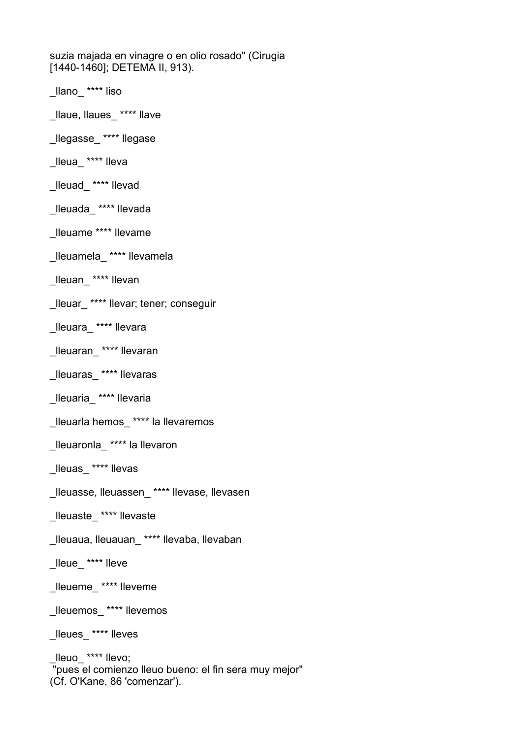suzia majada en vinagre o en olio rosado" (Cirugia [1440-1460]; DETEMA II, 913).

- \_llano\_ \*\*\*\* liso
- \_llaue, llaues\_ \*\*\*\* llave
- \_llegasse\_ \*\*\*\* llegase
- lleua \*\*\*\* lleva
- \_lleuad\_ \*\*\*\* llevad
- \_lleuada\_ \*\*\*\* llevada
- \_lleuame \*\*\*\* llevame
- \_lleuamela\_ \*\*\*\* llevamela
- lleuan \*\*\*\* llevan
- \_lleuar\_ \*\*\*\* llevar; tener; conseguir
- \_lleuara\_ \*\*\*\* llevara
- lleuaran \*\*\*\* llevaran
- lleuaras \*\*\*\* llevaras
- lleuaria \*\*\*\* llevaria
- lleuarla hemos \*\*\*\* la llevaremos
- \_lleuaronla\_ \*\*\*\* la llevaron
- \_lleuas\_ \*\*\*\* llevas
- \_lleuasse, lleuassen\_ \*\*\*\* llevase, llevasen
- lleuaste \*\*\*\* llevaste
- \_lleuaua, lleuauan\_ \*\*\*\* llevaba, llevaban
- lleue \*\*\*\* lleve
- \_lleueme\_ \*\*\*\* lleveme
- lleuemos \*\*\*\* llevemos
- lleues \*\*\*\* lleves
- lleuo \*\*\*\* llevo; "pues el comienzo lleuo bueno: el fin sera muy mejor" (Cf. O'Kane, 86 'comenzar').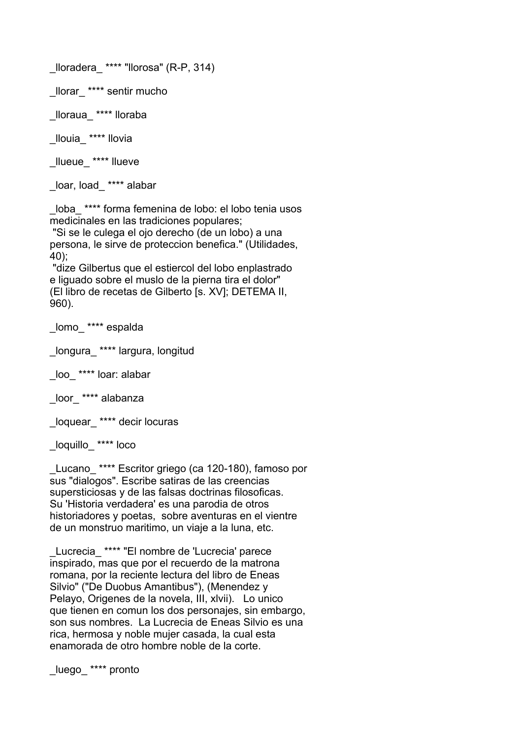\_lloradera\_ \*\*\*\* "llorosa" (R-P, 314) \_llorar\_ \*\*\*\* sentir mucho \_lloraua\_ \*\*\*\* lloraba \_llouia\_ \*\*\*\* llovia llueue \*\*\*\* llueve loar, load \*\*\*\* alabar \_loba\_ \*\*\*\* forma femenina de lobo: el lobo tenia usos medicinales en las tradiciones populares; "Si se le culega el ojo derecho (de un lobo) a una persona, le sirve de proteccion benefica." (Utilidades, 40); "dize Gilbertus que el estiercol del lobo enplastrado e liguado sobre el muslo de la pierna tira el dolor" (El libro de recetas de Gilberto [s. XV]; DETEMA II, 960). \_lomo\_ \*\*\*\* espalda \_longura\_ \*\*\*\* largura, longitud

loo \*\*\*\* loar: alabar

loor \*\*\*\* alabanza

loquear \*\*\*\* decir locuras

loquillo\_ \*\*\*\* loco

Lucano \*\*\*\* Escritor griego (ca 120-180), famoso por sus "dialogos". Escribe satiras de las creencias supersticiosas y de las falsas doctrinas filosoficas. Su 'Historia verdadera' es una parodia de otros historiadores y poetas, sobre aventuras en el vientre de un monstruo maritimo, un viaje a la luna, etc.

Lucrecia \*\*\*\* "El nombre de 'Lucrecia' parece inspirado, mas que por el recuerdo de la matrona romana, por la reciente lectura del libro de Eneas Silvio" ("De Duobus Amantibus"), (Menendez y Pelayo, Origenes de la novela, III, xlvii). Lo unico que tienen en comun los dos personajes, sin embargo, son sus nombres. La Lucrecia de Eneas Silvio es una rica, hermosa y noble mujer casada, la cual esta enamorada de otro hombre noble de la corte.

\_luego\_ \*\*\*\* pronto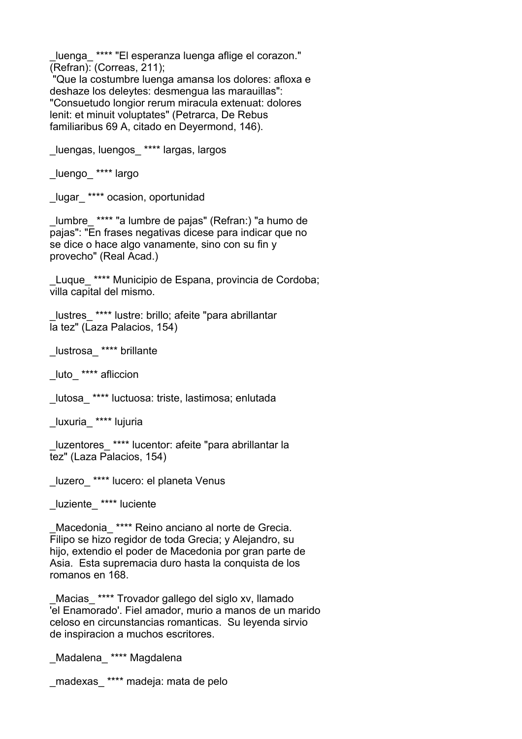luenga \*\*\*\* "El esperanza luenga aflige el corazon." (Refran): (Correas, 211);

"Que la costumbre luenga amansa los dolores: afloxa e deshaze los deleytes: desmengua las marauillas": "Consuetudo longior rerum miracula extenuat: dolores lenit: et minuit voluptates" (Petrarca, De Rebus familiaribus 69 A, citado en Deyermond, 146).

luengas, luengos \*\*\*\* largas, largos

luengo \*\*\*\* largo

lugar \*\*\*\* ocasion, oportunidad

\_lumbre\_ \*\*\*\* "a lumbre de pajas" (Refran:) "a humo de pajas": "En frases negativas dicese para indicar que no se dice o hace algo vanamente, sino con su fin y provecho" (Real Acad.)

Luque \*\*\*\* Municipio de Espana, provincia de Cordoba; villa capital del mismo.

lustres \*\*\*\* lustre: brillo; afeite "para abrillantar la tez" (Laza Palacios, 154)

lustrosa \*\*\*\* brillante

luto \*\*\*\* afliccion

lutosa \*\*\*\* luctuosa: triste, lastimosa; enlutada

luxuria \*\*\*\* lujuria

luzentores \*\*\*\* lucentor: afeite "para abrillantar la tez" (Laza Palacios, 154)

luzero \*\*\*\* lucero: el planeta Venus

luziente \*\*\*\* luciente

Macedonia \*\*\*\* Reino anciano al norte de Grecia. Filipo se hizo regidor de toda Grecia; y Alejandro, su hijo, extendio el poder de Macedonia por gran parte de Asia. Esta supremacia duro hasta la conquista de los romanos en 168.

Macias \*\*\*\* Trovador gallego del siglo xv, llamado 'el Enamorado'. Fiel amador, murio a manos de un marido celoso en circunstancias romanticas. Su leyenda sirvio de inspiracion a muchos escritores.

Madalena \*\*\*\* Magdalena

\_madexas\_ \*\*\*\* madeja: mata de pelo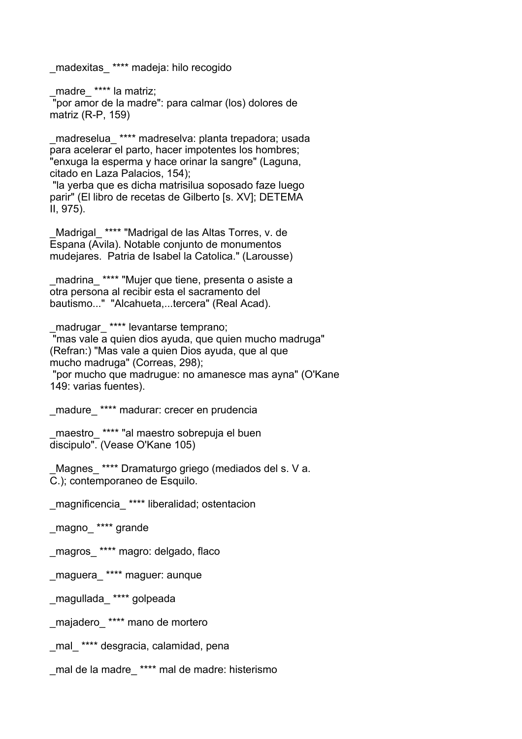madexitas \*\*\*\* madeja: hilo recogido

madre \*\*\*\* la matriz; "por amor de la madre": para calmar (los) dolores de matriz (R-P, 159)

\_madreselua\_ \*\*\*\* madreselva: planta trepadora; usada para acelerar el parto, hacer impotentes los hombres; "enxuga la esperma y hace orinar la sangre" (Laguna, citado en Laza Palacios, 154);

"la yerba que es dicha matrisilua soposado faze luego parir" (El libro de recetas de Gilberto [s. XV]; DETEMA II, 975).

Madrigal \*\*\*\* "Madrigal de las Altas Torres, v. de Espana (Avila). Notable conjunto de monumentos mudejares. Patria de Isabel la Catolica." (Larousse)

\_madrina\_ \*\*\*\* "Mujer que tiene, presenta o asiste a otra persona al recibir esta el sacramento del bautismo..." "Alcahueta,...tercera" (Real Acad).

madrugar \*\*\*\* levantarse temprano;

"mas vale a quien dios ayuda, que quien mucho madruga" (Refran:) "Mas vale a quien Dios ayuda, que al que mucho madruga" (Correas, 298); "por mucho que madrugue: no amanesce mas ayna" (O'Kane

149: varias fuentes).

madure \*\*\*\* madurar: crecer en prudencia

\_maestro\_ \*\*\*\* "al maestro sobrepuja el buen discipulo". (Vease O'Kane 105)

Magnes \*\*\*\* Dramaturgo griego (mediados del s. V a. C.); contemporaneo de Esquilo.

magnificencia \*\*\*\* liberalidad; ostentacion

magno \*\*\*\* grande

magros \*\*\*\* magro: delgado, flaco

maguera \*\*\*\* maguer: aunque

\_magullada\_ \*\*\*\* golpeada

majadero \*\*\*\* mano de mortero

mal \*\*\*\* desgracia, calamidad, pena

mal de la madre \*\*\*\* mal de madre: histerismo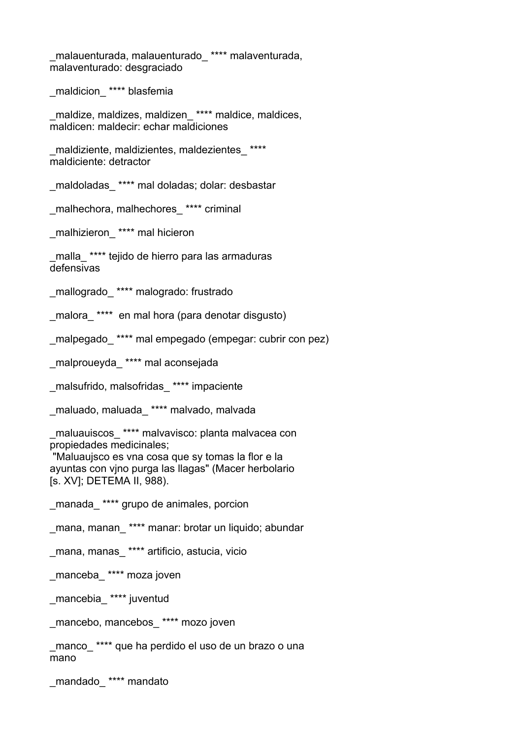malauenturada, malauenturado \*\*\*\* malaventurada, malaventurado: desgraciado

maldicion \*\*\*\* blasfemia

maldize, maldizes, maldizen \*\*\*\* maldice, maldices, maldicen: maldecir: echar maldiciones

maldiziente, maldizientes, maldezientes \*\*\*\* maldiciente: detractor

maldoladas \*\*\*\* mal doladas; dolar: desbastar

malhechora, malhechores \*\*\*\* criminal

malhizieron \*\*\*\* mal hicieron

malla \*\*\*\* tejido de hierro para las armaduras defensivas

mallogrado\_\*\*\*\* malogrado: frustrado

malora \*\*\*\* en mal hora (para denotar disgusto)

\_malpegado\_ \*\*\*\* mal empegado (empegar: cubrir con pez)

malproueyda \*\*\*\* mal aconsejada

malsufrido, malsofridas \*\*\*\* impaciente

\_maluado, maluada\_ \*\*\*\* malvado, malvada

maluauiscos \*\*\*\* malvavisco: planta malvacea con propiedades medicinales;

"Maluaujsco es vna cosa que sy tomas la flor e la ayuntas con vjno purga las llagas" (Macer herbolario [s. XV]; DETEMA II, 988).

manada \*\*\*\* grupo de animales, porcion

mana, manan \*\*\*\* manar: brotar un liquido; abundar

mana, manas \*\*\*\* artificio, astucia, vicio

manceba \*\*\*\* moza joven

mancebia \*\*\*\* juventud

mancebo, mancebos \*\*\*\* mozo joven

manco \*\*\*\* que ha perdido el uso de un brazo o una mano

mandado \*\*\*\* mandato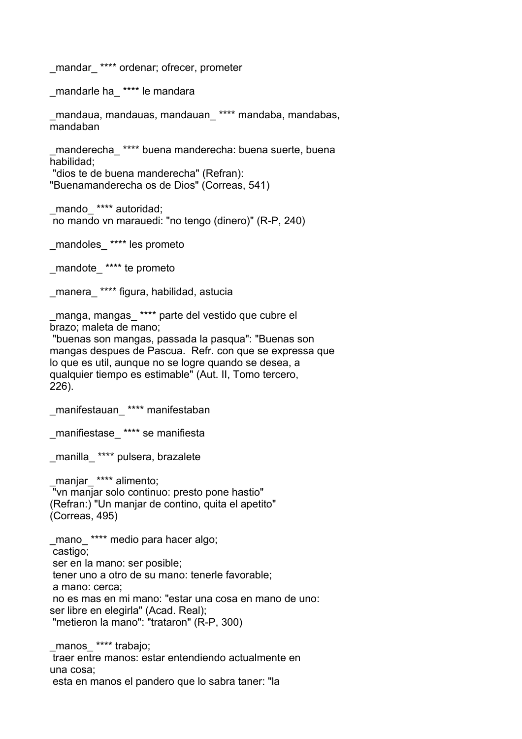mandar \*\*\*\* ordenar; ofrecer, prometer

mandarle ha \*\*\*\* le mandara

mandaua, mandauas, mandauan \*\*\*\* mandaba, mandabas, mandaban

manderecha \*\*\*\* buena manderecha: buena suerte, buena habilidad; "dios te de buena manderecha" (Refran):

"Buenamanderecha os de Dios" (Correas, 541)

mando \*\*\*\* autoridad; no mando vn marauedi: "no tengo (dinero)" (R-P, 240)

mandoles \*\*\*\* les prometo

mandote \*\*\*\* te prometo

\_manera\_ \*\*\*\* figura, habilidad, astucia

\_manga, mangas\_ \*\*\*\* parte del vestido que cubre el brazo; maleta de mano;

"buenas son mangas, passada la pasqua": "Buenas son mangas despues de Pascua. Refr. con que se expressa que lo que es util, aunque no se logre quando se desea, a qualquier tiempo es estimable" (Aut. II, Tomo tercero, 226).

manifestauan \*\*\*\* manifestaban

\_manifiestase\_ \*\*\*\* se manifiesta

manilla \*\*\*\* pulsera, brazalete

manjar \*\*\*\* alimento; "vn manjar solo continuo: presto pone hastio" (Refran:) "Un manjar de contino, quita el apetito" (Correas, 495)

mano \*\*\*\* medio para hacer algo; castigo; ser en la mano: ser posible; tener uno a otro de su mano: tenerle favorable; a mano: cerca; no es mas en mi mano: "estar una cosa en mano de uno: ser libre en elegirla" (Acad. Real); "metieron la mano": "trataron" (R-P, 300)

manos \*\*\*\* trabajo; traer entre manos: estar entendiendo actualmente en una cosa; esta en manos el pandero que lo sabra taner: "la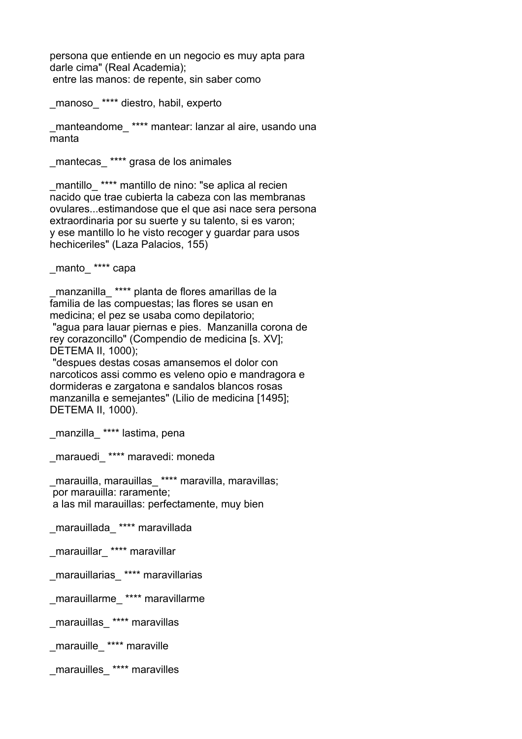persona que entiende en un negocio es muy apta para darle cima" (Real Academia); entre las manos: de repente, sin saber como

manoso \*\*\*\* diestro, habil, experto

manteandome \*\*\*\* mantear: lanzar al aire, usando una manta

mantecas \*\*\*\* grasa de los animales

mantillo \*\*\*\* mantillo de nino: "se aplica al recien nacido que trae cubierta la cabeza con las membranas ovulares...estimandose que el que asi nace sera persona extraordinaria por su suerte y su talento, si es varon; y ese mantillo lo he visto recoger y guardar para usos hechiceriles" (Laza Palacios, 155)

\_manto\_ \*\*\*\* capa

manzanilla \*\*\*\* planta de flores amarillas de la familia de las compuestas; las flores se usan en medicina; el pez se usaba como depilatorio;

"agua para lauar piernas e pies. Manzanilla corona de rey corazoncillo" (Compendio de medicina [s. XV]; DETEMA II, 1000);

"despues destas cosas amansemos el dolor con narcoticos assi commo es veleno opio e mandragora e dormideras e zargatona e sandalos blancos rosas manzanilla e semejantes" (Lilio de medicina [1495]; DETEMA II, 1000).

\_manzilla\_ \*\*\*\* lastima, pena

marauedi \*\*\*\* maravedi: moneda

marauilla, marauillas \*\*\*\* maravilla, maravillas; por marauilla: raramente; a las mil marauillas: perfectamente, muy bien

\_marauillada\_ \*\*\*\* maravillada

marauillar \*\*\*\* maravillar

marauillarias \*\*\*\* maravillarias

marauillarme \*\*\*\* maravillarme

marauillas \*\*\*\* maravillas

\_marauille\_ \*\*\*\* maraville

marauilles \*\*\*\* maravilles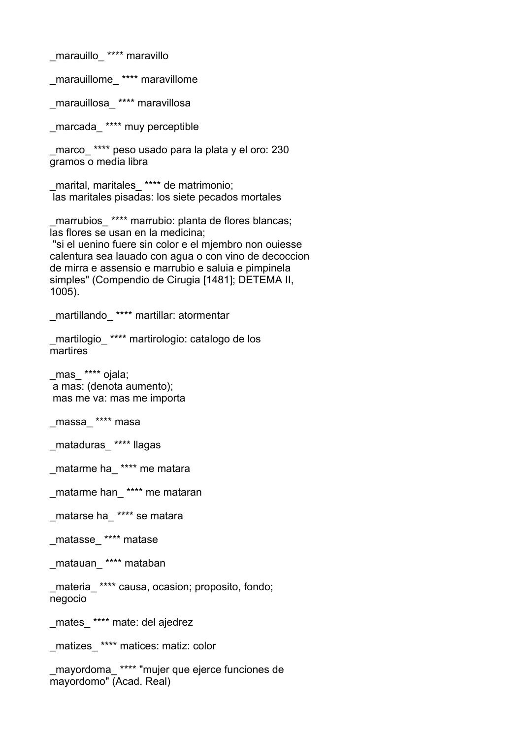marauillo \*\*\*\* maravillo \_marauillome\_ \*\*\*\* maravillome marauillosa \*\*\*\* maravillosa marcada \*\*\*\* muy perceptible marco \*\*\*\* peso usado para la plata y el oro: 230 gramos o media libra marital, maritales \*\*\*\* de matrimonio; las maritales pisadas: los siete pecados mortales \_marrubios\_ \*\*\*\* marrubio: planta de flores blancas; las flores se usan en la medicina; "si el uenino fuere sin color e el mjembro non ouiesse calentura sea lauado con agua o con vino de decoccion de mirra e assensio e marrubio e saluia e pimpinela simples" (Compendio de Cirugia [1481]; DETEMA II, 1005). \_martillando\_ \*\*\*\* martillar: atormentar \_martilogio\_ \*\*\*\* martirologio: catalogo de los martires mas \*\*\*\* ojala; a mas: (denota aumento); mas me va: mas me importa \_massa\_ \*\*\*\* masa \_mataduras\_ \*\*\*\* llagas matarme ha \*\*\*\* me matara \_matarme han\_ \*\*\*\* me mataran matarse ha \*\*\*\* se matara \_matasse\_ \*\*\*\* matase matauan \*\*\*\* mataban materia \*\*\*\* causa, ocasion; proposito, fondo; negocio \_mates\_ \*\*\*\* mate: del ajedrez \_matizes\_ \*\*\*\* matices: matiz: color mayordoma \*\*\*\* "mujer que ejerce funciones de mayordomo" (Acad. Real)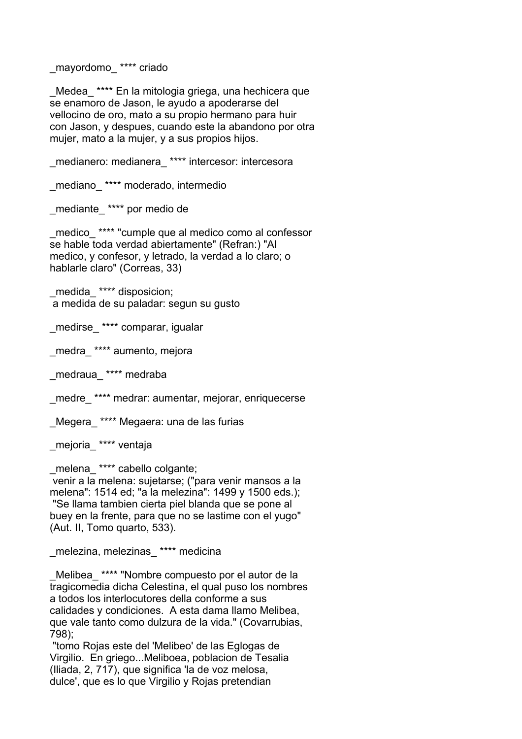mayordomo \*\*\*\* criado

Medea<sup>+\*\*\*</sup> En la mitologia griega, una hechicera que se enamoro de Jason, le ayudo a apoderarse del vellocino de oro, mato a su propio hermano para huir con Jason, y despues, cuando este la abandono por otra mujer, mato a la mujer, y a sus propios hijos.

\_medianero: medianera\_ \*\*\*\* intercesor: intercesora

mediano \*\*\*\* moderado, intermedio

mediante \*\*\*\* por medio de

medico \*\*\*\* "cumple que al medico como al confessor se hable toda verdad abiertamente" (Refran:) "Al medico, y confesor, y letrado, la verdad a lo claro; o hablarle claro" (Correas, 33)

\_medida\_ \*\*\*\* disposicion; a medida de su paladar: segun su gusto

medirse \*\*\*\* comparar, igualar

medra \*\*\*\* aumento, mejora

\_medraua\_ \*\*\*\* medraba

medre \*\*\*\* medrar: aumentar, mejorar, enriquecerse

Megera \*\*\*\* Megaera: una de las furias

\_mejoria\_ \*\*\*\* ventaja

melena \*\*\*\* cabello colgante;

venir a la melena: sujetarse; ("para venir mansos a la melena": 1514 ed; "a la melezina": 1499 y 1500 eds.); "Se llama tambien cierta piel blanda que se pone al buey en la frente, para que no se lastime con el yugo" (Aut. II, Tomo quarto, 533).

melezina, melezinas \*\*\*\* medicina

\_Melibea\_ \*\*\*\* "Nombre compuesto por el autor de la tragicomedia dicha Celestina, el qual puso los nombres a todos los interlocutores della conforme a sus calidades y condiciones. A esta dama llamo Melibea, que vale tanto como dulzura de la vida." (Covarrubias, 798);

"tomo Rojas este del 'Melibeo' de las Eglogas de Virgilio. En griego...Meliboea, poblacion de Tesalia (Iliada, 2, 717), que significa 'la de voz melosa, dulce', que es lo que Virgilio y Rojas pretendian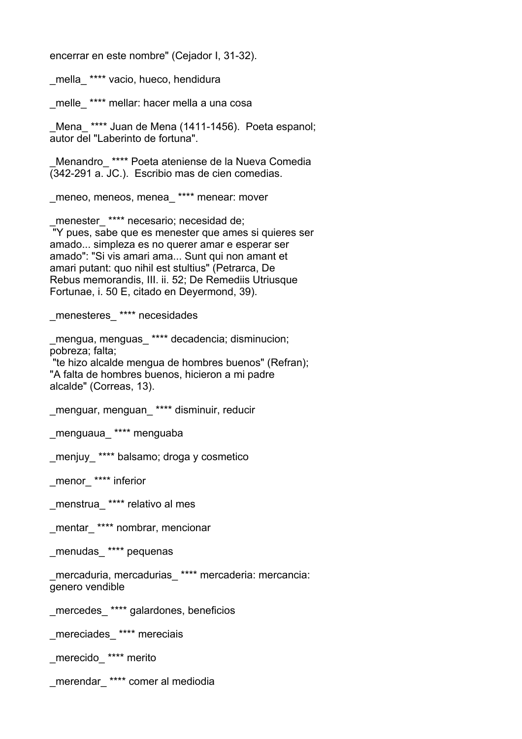encerrar en este nombre" (Cejador I, 31-32).

mella \*\*\*\* vacio, hueco, hendidura

melle \*\*\*\* mellar: hacer mella a una cosa

Mena \*\*\*\* Juan de Mena (1411-1456). Poeta espanol; autor del "Laberinto de fortuna".

Menandro \*\*\*\* Poeta ateniense de la Nueva Comedia (342-291 a. JC.). Escribio mas de cien comedias.

meneo, meneos, menea \*\*\*\* menear: mover

menester \*\*\*\* necesario; necesidad de; "Y pues, sabe que es menester que ames si quieres ser amado... simpleza es no querer amar e esperar ser amado": "Si vis amari ama... Sunt qui non amant et amari putant: quo nihil est stultius" (Petrarca, De Rebus memorandis, III. ii. 52; De Remediis Utriusque Fortunae, i. 50 E, citado en Deyermond, 39).

\_menesteres\_ \*\*\*\* necesidades

\_mengua, menguas\_ \*\*\*\* decadencia; disminucion; pobreza; falta;

"te hizo alcalde mengua de hombres buenos" (Refran); "A falta de hombres buenos, hicieron a mi padre alcalde" (Correas, 13).

menguar, menguan \*\*\*\* disminuir, reducir

\_menguaua\_ \*\*\*\* menguaba

menjuy \*\*\*\* balsamo; droga y cosmetico

menor \*\*\*\* inferior

menstrua \*\*\*\* relativo al mes

mentar \*\*\*\* nombrar, mencionar

\_menudas\_ \*\*\*\* pequenas

mercaduria, mercadurias \*\*\*\* mercaderia: mercancia: genero vendible

mercedes \*\*\*\* galardones, beneficios

mereciades \*\*\*\* mereciais

\_merecido\_ \*\*\*\* merito

\_merendar\_ \*\*\*\* comer al mediodia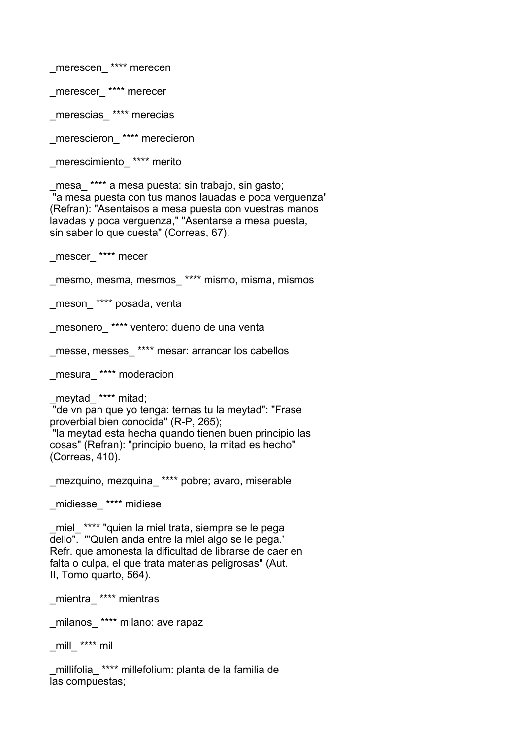merescen \*\*\*\* merecen

merescer \*\*\*\* merecer

merescias \*\*\*\* merecias

\_merescieron\_ \*\*\*\* merecieron

merescimiento \*\*\*\* merito

mesa \*\*\*\* a mesa puesta: sin trabajo, sin gasto; "a mesa puesta con tus manos lauadas e poca verguenza" (Refran): "Asentaisos a mesa puesta con vuestras manos lavadas y poca verguenza," "Asentarse a mesa puesta, sin saber lo que cuesta" (Correas, 67).

\_mescer\_ \*\*\*\* mecer

mesmo, mesma, mesmos\_\*\*\*\* mismo, misma, mismos

meson \*\*\*\* posada, venta

mesonero \*\*\*\* ventero: dueno de una venta

messe, messes \*\*\*\* mesar: arrancar los cabellos

mesura \*\*\*\* moderacion

\_meytad\_ \*\*\*\* mitad;

"de vn pan que yo tenga: ternas tu la meytad": "Frase proverbial bien conocida" (R-P, 265);

"la meytad esta hecha quando tienen buen principio las cosas" (Refran): "principio bueno, la mitad es hecho" (Correas, 410).

mezquino, mezquina \*\*\*\* pobre; avaro, miserable

\_midiesse\_ \*\*\*\* midiese

miel \*\*\*\* "quien la miel trata, siempre se le pega dello". "'Quien anda entre la miel algo se le pega.' Refr. que amonesta la dificultad de librarse de caer en falta o culpa, el que trata materias peligrosas" (Aut. II, Tomo quarto, 564).

mientra \*\*\*\* mientras

\_milanos\_ \*\*\*\* milano: ave rapaz

\_mill\_ \*\*\*\* mil

millifolia \*\*\*\* millefolium: planta de la familia de las compuestas;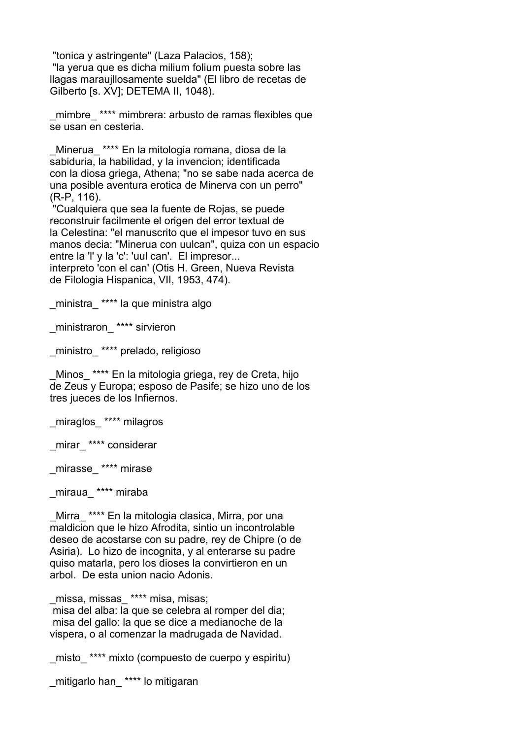"tonica y astringente" (Laza Palacios, 158); "la yerua que es dicha milium folium puesta sobre las llagas maraujllosamente suelda" (El libro de recetas de Gilberto [s. XV]; DETEMA II, 1048).

mimbre \*\*\*\* mimbrera: arbusto de ramas flexibles que se usan en cesteria.

\_Minerua\_ \*\*\*\* En la mitologia romana, diosa de la sabiduria, la habilidad, y la invencion; identificada con la diosa griega, Athena; "no se sabe nada acerca de una posible aventura erotica de Minerva con un perro" (R-P, 116).

"Cualquiera que sea la fuente de Rojas, se puede reconstruir facilmente el origen del error textual de la Celestina: "el manuscrito que el impesor tuvo en sus manos decia: "Minerua con uulcan", quiza con un espacio entre la 'l' y la 'c': 'uul can'. El impresor... interpreto 'con el can' (Otis H. Green, Nueva Revista de Filologia Hispanica, VII, 1953, 474).

```
ministra **** la que ministra algo
```
\_ministraron\_ \*\*\*\* sirvieron

ministro \*\*\*\* prelado, religioso

Minos \*\*\*\* En la mitologia griega, rey de Creta, hijo de Zeus y Europa; esposo de Pasife; se hizo uno de los tres jueces de los Infiernos.

miraglos \*\*\*\* milagros

\_mirar\_ \*\*\*\* considerar

\_mirasse\_ \*\*\*\* mirase

\_miraua\_ \*\*\*\* miraba

Mirra \*\*\*\* En la mitologia clasica, Mirra, por una maldicion que le hizo Afrodita, sintio un incontrolable deseo de acostarse con su padre, rey de Chipre (o de Asiria). Lo hizo de incognita, y al enterarse su padre quiso matarla, pero los dioses la convirtieron en un arbol. De esta union nacio Adonis.

missa, missas \*\*\*\* misa, misas; misa del alba: la que se celebra al romper del dia; misa del gallo: la que se dice a medianoche de la vispera, o al comenzar la madrugada de Navidad.

misto \*\*\*\* mixto (compuesto de cuerpo y espiritu)

mitigarlo han \*\*\*\* lo mitigaran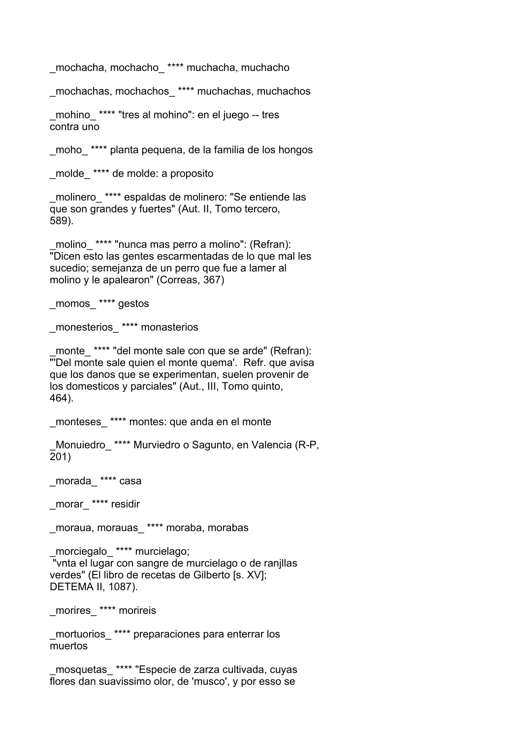mochacha, mochacho \*\*\*\* muchacha, muchacho

mochachas, mochachos \*\*\*\* muchachas, muchachos

mohino \*\*\*\* "tres al mohino": en el juego -- tres contra uno

\_moho\_ \*\*\*\* planta pequena, de la familia de los hongos

molde \*\*\*\* de molde: a proposito

molinero \*\*\*\* espaldas de molinero: "Se entiende las que son grandes y fuertes" (Aut. II, Tomo tercero, 589).

molino \*\*\*\* "nunca mas perro a molino": (Refran): "Dicen esto las gentes escarmentadas de lo que mal les sucedio; semejanza de un perro que fue a lamer al molino y le apalearon" (Correas, 367)

\_momos\_ \*\*\*\* gestos

monesterios \*\*\*\* monasterios

monte \*\*\*\* "del monte sale con que se arde" (Refran): "'Del monte sale quien el monte quema'. Refr. que avisa que los danos que se experimentan, suelen provenir de los domesticos y parciales" (Aut., III, Tomo quinto, 464).

\_monteses\_ \*\*\*\* montes: que anda en el monte

Monuiedro \*\*\*\* Murviedro o Sagunto, en Valencia (R-P, 201)

\_morada\_ \*\*\*\* casa

morar \*\*\*\* residir

moraua, morauas \*\*\*\* moraba, morabas

morciegalo \*\*\*\* murcielago; "vnta el lugar con sangre de murcielago o de ranjllas verdes" (El libro de recetas de Gilberto [s. XV]; DETEMA II, 1087).

morires \*\*\*\* morireis

mortuorios \*\*\*\* preparaciones para enterrar los muertos

\_mosquetas\_ \*\*\*\* "Especie de zarza cultivada, cuyas flores dan suavissimo olor, de 'musco', y por esso se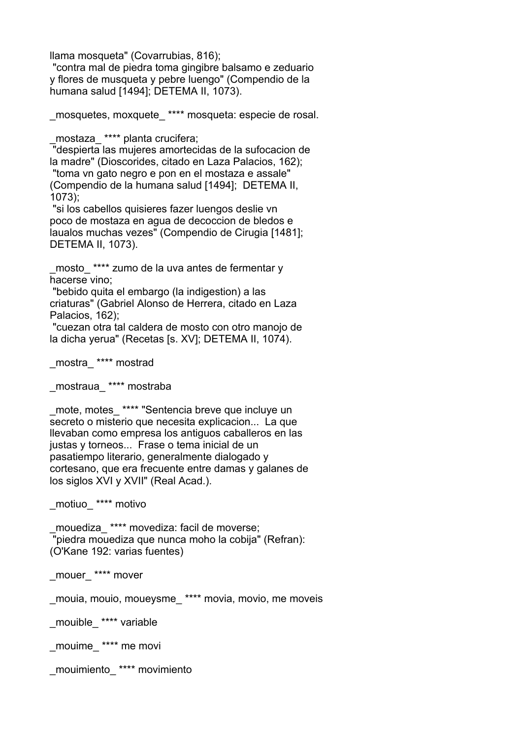llama mosqueta" (Covarrubias, 816);

"contra mal de piedra toma gingibre balsamo e zeduario y flores de musqueta y pebre luengo" (Compendio de la humana salud [1494]; DETEMA II, 1073).

\_mosquetes, moxquete\_ \*\*\*\* mosqueta: especie de rosal.

\_mostaza\_ \*\*\*\* planta crucifera;

"despierta las mujeres amortecidas de la sufocacion de la madre" (Dioscorides, citado en Laza Palacios, 162); "toma vn gato negro e pon en el mostaza e assale" (Compendio de la humana salud [1494]; DETEMA II, 1073);

"si los cabellos quisieres fazer luengos deslie vn poco de mostaza en agua de decoccion de bledos e laualos muchas vezes" (Compendio de Cirugia [1481]; DETEMA II, 1073).

mosto \*\*\*\* zumo de la uva antes de fermentar y hacerse vino;

"bebido quita el embargo (la indigestion) a las criaturas" (Gabriel Alonso de Herrera, citado en Laza Palacios, 162);

"cuezan otra tal caldera de mosto con otro manojo de la dicha yerua" (Recetas [s. XV]; DETEMA II, 1074).

\_mostra\_ \*\*\*\* mostrad

\_mostraua\_ \*\*\*\* mostraba

mote, motes \*\*\*\* "Sentencia breve que incluye un secreto o misterio que necesita explicacion... La que llevaban como empresa los antiguos caballeros en las justas y torneos... Frase o tema inicial de un pasatiempo literario, generalmente dialogado y cortesano, que era frecuente entre damas y galanes de los siglos XVI y XVII" (Real Acad.).

\_motiuo\_ \*\*\*\* motivo

mouediza \*\*\*\* movediza: facil de moverse; "piedra mouediza que nunca moho la cobija" (Refran): (O'Kane 192: varias fuentes)

mouer \*\*\*\* mover

mouia, mouio, moueysme \*\*\*\* movia, movio, me moveis

mouible \*\*\*\* variable

\_mouime\_ \*\*\*\* me movi

\_mouimiento\_ \*\*\*\* movimiento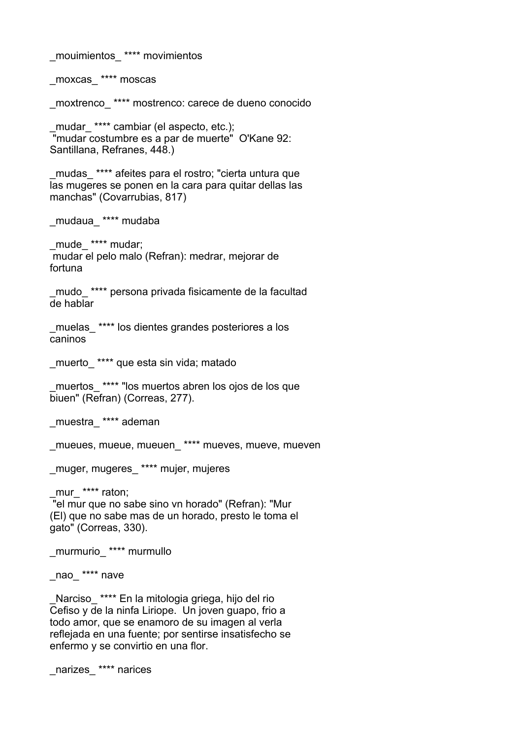\_mouimientos\_ \*\*\*\* movimientos

\_moxcas\_ \*\*\*\* moscas

\_moxtrenco\_ \*\*\*\* mostrenco: carece de dueno conocido

mudar \*\*\*\* cambiar (el aspecto, etc.); "mudar costumbre es a par de muerte" O'Kane 92: Santillana, Refranes, 448.)

\_mudas\_ \*\*\*\* afeites para el rostro; "cierta untura que las mugeres se ponen en la cara para quitar dellas las manchas" (Covarrubias, 817)

\_mudaua\_ \*\*\*\* mudaba

mude \*\*\*\* mudar; mudar el pelo malo (Refran): medrar, mejorar de fortuna

mudo \*\*\*\* persona privada fisicamente de la facultad de hablar

muelas \*\*\*\* los dientes grandes posteriores a los caninos

muerto \*\*\*\* que esta sin vida; matado

muertos \*\*\*\* "los muertos abren los ojos de los que biuen" (Refran) (Correas, 277).

\_muestra\_ \*\*\*\* ademan

mueues, mueue, mueuen \*\*\*\* mueves, mueve, mueven

muger, mugeres \*\*\*\* mujer, mujeres

\_mur\_ \*\*\*\* raton; "el mur que no sabe sino vn horado" (Refran): "Mur (El) que no sabe mas de un horado, presto le toma el gato" (Correas, 330).

\_murmurio\_ \*\*\*\* murmullo

nao \*\*\*\* nave

Narciso \*\*\*\* En la mitologia griega, hijo del rio Cefiso y de la ninfa Liriope. Un joven guapo, frio a todo amor, que se enamoro de su imagen al verla reflejada en una fuente; por sentirse insatisfecho se enfermo y se convirtio en una flor.

\_narizes\_ \*\*\*\* narices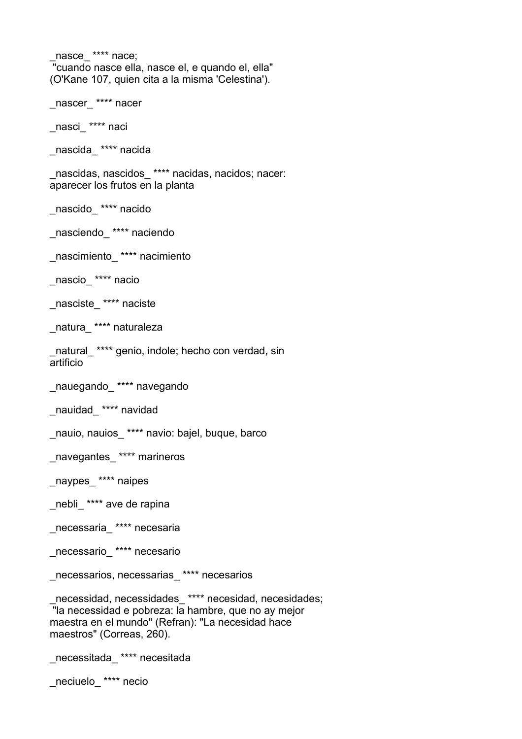nasce \*\*\*\* nace; "cuando nasce ella, nasce el, e quando el, ella" (O'Kane 107, quien cita a la misma 'Celestina').

nascer \*\*\*\* nacer

nasci \*\*\*\* naci

\_nascida\_ \*\*\*\* nacida

nascidas, nascidos \*\*\*\* nacidas, nacidos; nacer: aparecer los frutos en la planta

nascido \*\*\*\* nacido

nasciendo \*\*\*\* naciendo

\_nascimiento\_ \*\*\*\* nacimiento

\_nascio\_ \*\*\*\* nacio

nasciste \*\*\*\* naciste

\_natura\_ \*\*\*\* naturaleza

natural \*\*\*\* genio, indole; hecho con verdad, sin artificio

\_nauegando\_ \*\*\*\* navegando

\_nauidad\_ \*\*\*\* navidad

\_nauio, nauios\_ \*\*\*\* navio: bajel, buque, barco

navegantes \*\*\*\* marineros

naypes \*\*\*\* naipes

nebli \*\*\*\* ave de rapina

necessaria \*\*\*\* necesaria

necessario \*\*\*\* necesario

necessarios, necessarias \*\*\*\* necesarios

necessidad, necessidades \*\*\*\* necesidad, necesidades; "la necessidad e pobreza: la hambre, que no ay mejor maestra en el mundo" (Refran): "La necesidad hace maestros" (Correas, 260).

\_necessitada\_ \*\*\*\* necesitada

\_neciuelo\_ \*\*\*\* necio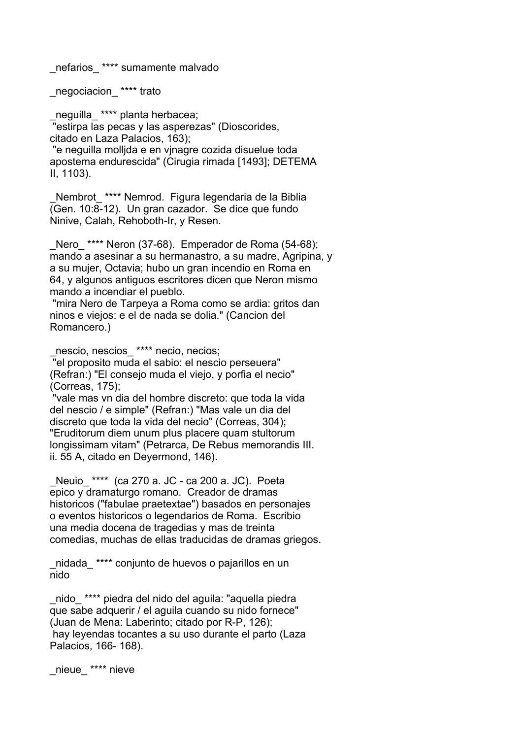nefarios \*\*\*\* sumamente malvado

negociacion \*\*\*\* trato

neguilla \*\*\*\* planta herbacea;

"estirpa las pecas y las asperezas" (Dioscorides, citado en Laza Palacios, 163);

"e neguilla molljda e en vjnagre cozida disuelue toda apostema endurescida" (Cirugia rimada [1493]; DETEMA II, 1103).

Nembrot \*\*\*\* Nemrod. Figura legendaria de la Biblia (Gen. 10:8-12). Un gran cazador. Se dice que fundo Ninive, Calah, Rehoboth-Ir, y Resen.

Nero \*\*\*\* Neron (37-68). Emperador de Roma (54-68); mando a asesinar a su hermanastro, a su madre, Agripina, y a su mujer, Octavia; hubo un gran incendio en Roma en 64, y algunos antiguos escritores dicen que Neron mismo mando a incendiar el pueblo.

"mira Nero de Tarpeya a Roma como se ardia: gritos dan ninos e viejos: e el de nada se dolia." (Cancion del Romancero.)

nescio, nescios \*\*\*\* necio, necios;

"el proposito muda el sabio: el nescio perseuera" (Refran:) "El consejo muda el viejo, y porfia el necio" (Correas, 175);

"vale mas vn dia del hombre discreto: que toda la vida del nescio / e simple" (Refran:) "Mas vale un dia del discreto que toda la vida del necio" (Correas, 304); "Eruditorum diem unum plus placere quam stultorum longissimam vitam" (Petrarca, De Rebus memorandis III. ii. 55 A, citado en Deyermond, 146).

\_Neuio\_ \*\*\*\* (ca 270 a. JC - ca 200 a. JC). Poeta epico y dramaturgo romano. Creador de dramas historicos ("fabulae praetextae") basados en personajes o eventos historicos o legendarios de Roma. Escribio una media docena de tragedias y mas de treinta comedias, muchas de ellas traducidas de dramas griegos.

\_nidada\_ \*\*\*\* conjunto de huevos o pajarillos en un nido

\_nido\_ \*\*\*\* piedra del nido del aguila: "aquella piedra que sabe adquerir / el aguila cuando su nido fornece" (Juan de Mena: Laberinto; citado por R-P, 126); hay leyendas tocantes a su uso durante el parto (Laza Palacios, 166- 168).

nieue \*\*\*\* nieve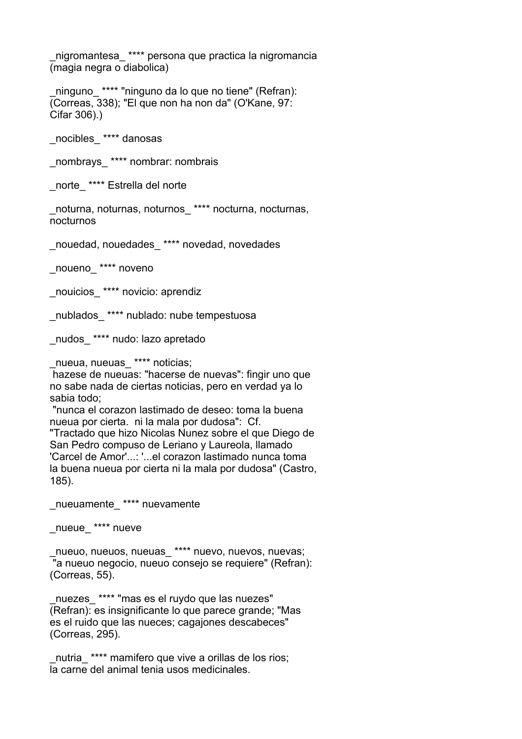\_nigromantesa\_ \*\*\*\* persona que practica la nigromancia (magia negra o diabolica)

ninguno \*\*\*\* "ninguno da lo que no tiene" (Refran): (Correas, 338); "El que non ha non da" (O'Kane, 97: Cifar 306).)

\_nocibles\_ \*\*\*\* danosas

nombrays \*\*\*\* nombrar: nombrais

norte \*\*\*\* Estrella del norte

\_noturna, noturnas, noturnos\_ \*\*\*\* nocturna, nocturnas, nocturnos

nouedad, nouedades \*\*\*\* novedad, novedades

\_noueno\_ \*\*\*\* noveno

nouicios \*\*\*\* novicio: aprendiz

\_nublados\_ \*\*\*\* nublado: nube tempestuosa

\_nudos\_ \*\*\*\* nudo: lazo apretado

nueua, nueuas \*\*\*\* noticias;

hazese de nueuas: "hacerse de nuevas": fingir uno que no sabe nada de ciertas noticias, pero en verdad ya lo sabia todo;

"nunca el corazon lastimado de deseo: toma la buena nueua por cierta. ni la mala por dudosa": Cf.

"Tractado que hizo Nicolas Nunez sobre el que Diego de San Pedro compuso de Leriano y Laureola, llamado 'Carcel de Amor'...: '...el corazon lastimado nunca toma la buena nueua por cierta ni la mala por dudosa" (Castro, 185).

nueuamente \*\*\*\* nuevamente

nueue \*\*\*\* nueve

nueuo, nueuos, nueuas \*\*\*\* nuevo, nuevos, nuevas; "a nueuo negocio, nueuo consejo se requiere" (Refran): (Correas, 55).

nuezes \*\*\*\* "mas es el ruydo que las nuezes" (Refran): es insignificante lo que parece grande; "Mas es el ruido que las nueces; cagajones descabeces" (Correas, 295).

nutria \*\*\*\* mamifero que vive a orillas de los rios; la carne del animal tenia usos medicinales.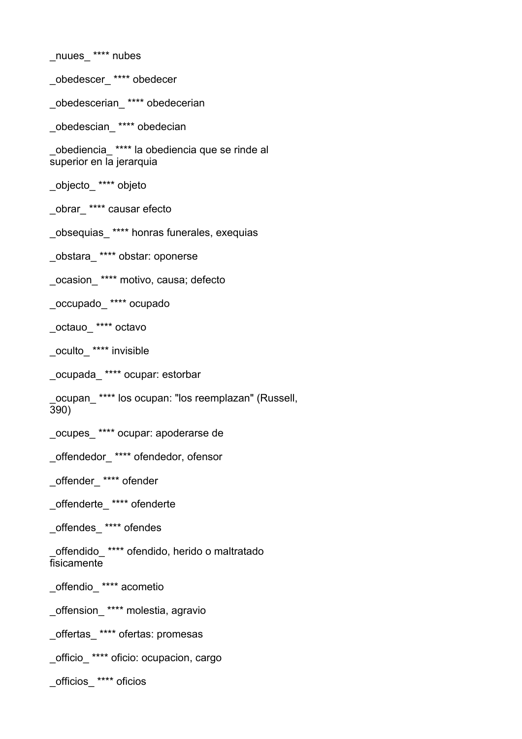\_nuues\_ \*\*\*\* nubes \_obedescer\_ \*\*\*\* obedecer obedescerian \*\*\*\* obedecerian obedescian \*\*\*\* obedecian \_obediencia\_ \*\*\*\* la obediencia que se rinde al superior en la jerarquia \_objecto\_ \*\*\*\* objeto obrar \*\*\*\* causar efecto \_obsequias\_ \*\*\*\* honras funerales, exequias \_obstara\_ \*\*\*\* obstar: oponerse \_ocasion\_ \*\*\*\* motivo, causa; defecto \_occupado\_ \*\*\*\* ocupado \_octauo\_ \*\*\*\* octavo oculto \*\*\*\* invisible \_ocupada\_ \*\*\*\* ocupar: estorbar \_ocupan\_ \*\*\*\* los ocupan: "los reemplazan" (Russell, 390) \_ocupes\_ \*\*\*\* ocupar: apoderarse de \_offendedor\_ \*\*\*\* ofendedor, ofensor offender \*\*\*\* ofender \_offenderte\_ \*\*\*\* ofenderte \_offendes\_ \*\*\*\* ofendes \_offendido\_ \*\*\*\* ofendido, herido o maltratado fisicamente \_offendio\_ \*\*\*\* acometio offension\_\*\*\*\* molestia, agravio \_offertas\_ \*\*\*\* ofertas: promesas \_officio\_ \*\*\*\* oficio: ocupacion, cargo \_officios\_ \*\*\*\* oficios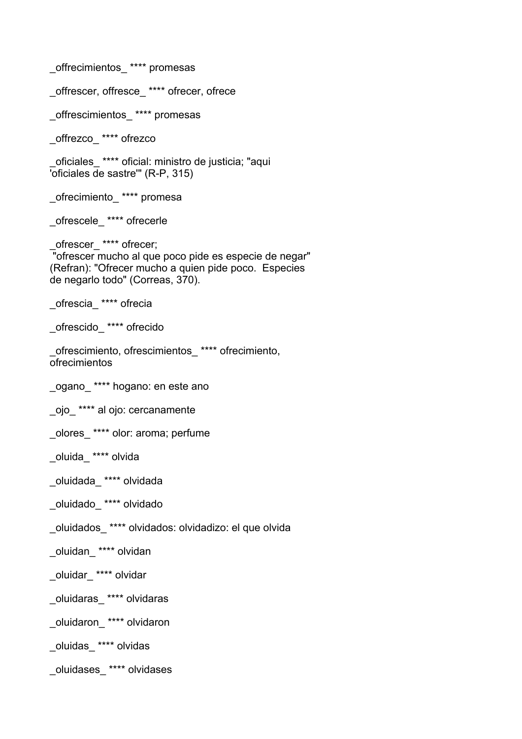offrecimientos\_\*\*\*\* promesas \_offrescer, offresce\_ \*\*\*\* ofrecer, ofrece offrescimientos \*\*\*\* promesas \_offrezco\_ \*\*\*\* ofrezco \_oficiales\_ \*\*\*\* oficial: ministro de justicia; "aqui 'oficiales de sastre'" (R-P, 315) \_ofrecimiento\_ \*\*\*\* promesa ofrescele \*\*\*\* ofrecerle ofrescer \*\*\*\* ofrecer; "ofrescer mucho al que poco pide es especie de negar" (Refran): "Ofrecer mucho a quien pide poco. Especies de negarlo todo" (Correas, 370). \_ofrescia\_ \*\*\*\* ofrecia \_ofrescido\_ \*\*\*\* ofrecido ofrescimiento, ofrescimientos \*\*\*\* ofrecimiento, ofrecimientos \_ogano\_ \*\*\*\* hogano: en este ano \_ojo\_ \*\*\*\* al ojo: cercanamente \_olores\_ \*\*\*\* olor: aroma; perfume \_oluida\_ \*\*\*\* olvida \_oluidada\_ \*\*\*\* olvidada \_oluidado\_ \*\*\*\* olvidado \_oluidados\_ \*\*\*\* olvidados: olvidadizo: el que olvida oluidan \*\*\*\* olvidan \_oluidar\_ \*\*\*\* olvidar \_oluidaras\_ \*\*\*\* olvidaras \_oluidaron\_ \*\*\*\* olvidaron \_oluidas\_ \*\*\*\* olvidas \_oluidases\_ \*\*\*\* olvidases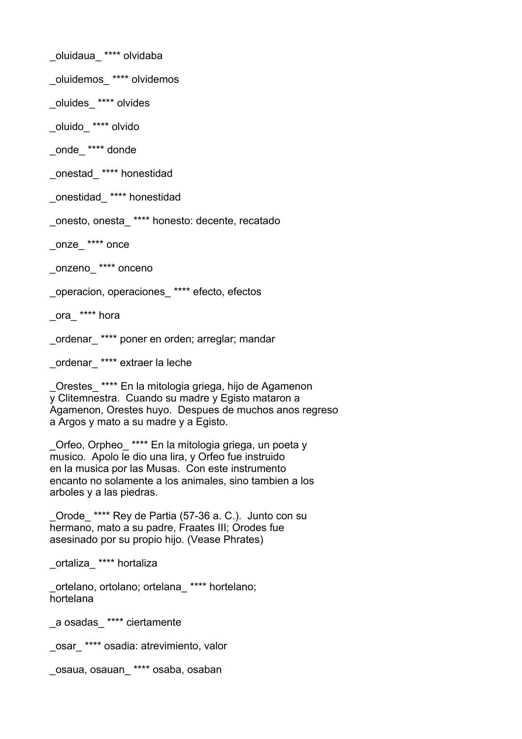\_oluidaua\_ \*\*\*\* olvidaba

\_oluidemos\_ \*\*\*\* olvidemos

\_oluides\_ \*\*\*\* olvides

\_oluido\_ \*\*\*\* olvido

onde \*\*\*\* donde

\_onestad\_ \*\*\*\* honestidad

\_onestidad\_ \*\*\*\* honestidad

\_onesto, onesta\_ \*\*\*\* honesto: decente, recatado

onze \*\*\*\* once

\_onzeno\_ \*\*\*\* onceno

operacion, operaciones\_\*\*\*\* efecto, efectos

\_ora\_ \*\*\*\* hora

\_ordenar\_ \*\*\*\* poner en orden; arreglar; mandar

\_ordenar\_ \*\*\*\* extraer la leche

Orestes \*\*\*\* En la mitologia griega, hijo de Agamenon y Clitemnestra. Cuando su madre y Egisto mataron a Agamenon, Orestes huyo. Despues de muchos anos regreso a Argos y mato a su madre y a Egisto.

Orfeo, Orpheo \*\*\*\* En la mitologia griega, un poeta y musico. Apolo le dio una lira, y Orfeo fue instruido en la musica por las Musas. Con este instrumento encanto no solamente a los animales, sino tambien a los arboles y a las piedras.

Orode \*\*\*\* Rey de Partia (57-36 a. C.). Junto con su hermano, mato a su padre, Fraates III; Orodes fue asesinado por su propio hijo. (Vease Phrates)

\_ortaliza\_ \*\*\*\* hortaliza

\_ortelano, ortolano; ortelana\_ \*\*\*\* hortelano; hortelana

\_a osadas\_ \*\*\*\* ciertamente

osar \*\*\*\* osadia: atrevimiento, valor

\_osaua, osauan\_ \*\*\*\* osaba, osaban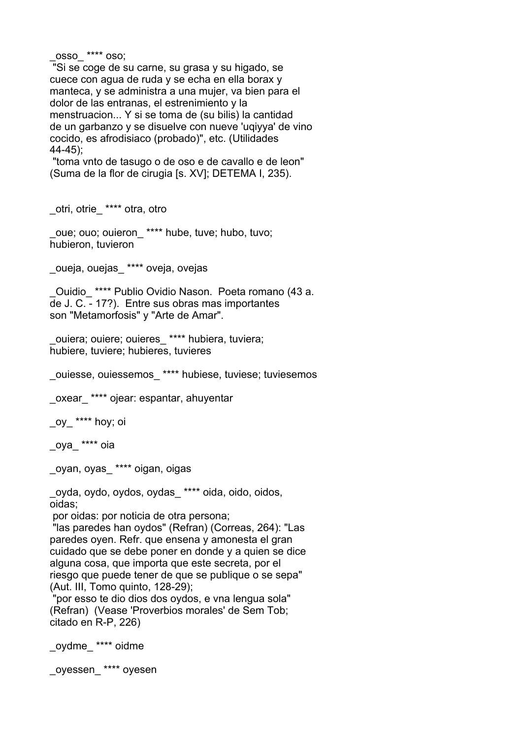\_osso\_ \*\*\*\* oso;

"Si se coge de su carne, su grasa y su higado, se cuece con agua de ruda y se echa en ella borax y manteca, y se administra a una mujer, va bien para el dolor de las entranas, el estrenimiento y la menstruacion... Y si se toma de (su bilis) la cantidad de un garbanzo y se disuelve con nueve 'uqiyya' de vino cocido, es afrodisiaco (probado)", etc. (Utilidades 44-45);

"toma vnto de tasugo o de oso e de cavallo e de leon" (Suma de la flor de cirugia [s. XV]; DETEMA I, 235).

\_otri, otrie\_ \*\*\*\* otra, otro

oue; ouo; ouieron \*\*\*\* hube, tuve; hubo, tuvo; hubieron, tuvieron

\_oueja, ouejas\_ \*\*\*\* oveja, ovejas

\_Ouidio\_ \*\*\*\* Publio Ovidio Nason. Poeta romano (43 a. de J. C. - 17?). Entre sus obras mas importantes son "Metamorfosis" y "Arte de Amar".

ouiera; ouiere; ouieres \*\*\*\* hubiera, tuviera; hubiere, tuviere; hubieres, tuvieres

ouiesse, ouiessemos \*\*\*\* hubiese, tuviese; tuviesemos

\_oxear\_ \*\*\*\* ojear: espantar, ahuyentar

\_oy\_ \*\*\*\* hoy; oi

\_oya\_ \*\*\*\* oia

\_oyan, oyas\_ \*\*\*\* oigan, oigas

\_oyda, oydo, oydos, oydas\_ \*\*\*\* oida, oido, oidos, oidas;

por oidas: por noticia de otra persona;

"las paredes han oydos" (Refran) (Correas, 264): "Las paredes oyen. Refr. que ensena y amonesta el gran cuidado que se debe poner en donde y a quien se dice alguna cosa, que importa que este secreta, por el riesgo que puede tener de que se publique o se sepa" (Aut. III, Tomo quinto, 128-29);

"por esso te dio dios dos oydos, e vna lengua sola" (Refran) (Vease 'Proverbios morales' de Sem Tob; citado en R-P, 226)

\_oydme\_ \*\*\*\* oidme

\_oyessen\_ \*\*\*\* oyesen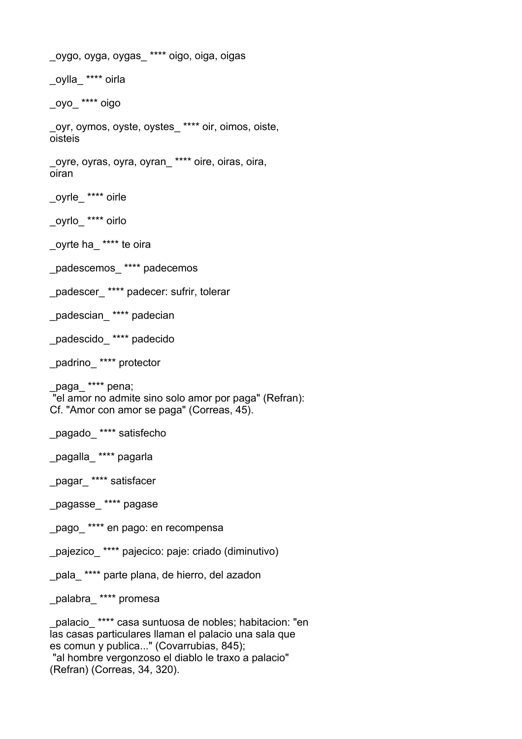\_oygo, oyga, oygas\_ \*\*\*\* oigo, oiga, oigas \_oylla\_ \*\*\*\* oirla \_oyo\_ \*\*\*\* oigo \_oyr, oymos, oyste, oystes\_ \*\*\*\* oir, oimos, oiste, oisteis \_oyre, oyras, oyra, oyran\_ \*\*\*\* oire, oiras, oira, oiran oyrle \*\*\*\* oirle \_oyrlo\_ \*\*\*\* oirlo oyrte ha \*\*\*\* te oira \_padescemos\_ \*\*\*\* padecemos \_padescer\_ \*\*\*\* padecer: sufrir, tolerar \_padescian\_ \*\*\*\* padecian \_padescido\_ \*\*\*\* padecido \_padrino\_ \*\*\*\* protector \_paga\_ \*\*\*\* pena; "el amor no admite sino solo amor por paga" (Refran): Cf. "Amor con amor se paga" (Correas, 45). \_pagado\_ \*\*\*\* satisfecho \_pagalla\_ \*\*\*\* pagarla \_pagar\_ \*\*\*\* satisfacer \_pagasse\_ \*\*\*\* pagase \_pago\_ \*\*\*\* en pago: en recompensa \_pajezico\_ \*\*\*\* pajecico: paje: criado (diminutivo) \_pala\_ \*\*\*\* parte plana, de hierro, del azadon \_palabra\_ \*\*\*\* promesa palacio \*\*\*\* casa suntuosa de nobles; habitacion: "en las casas particulares llaman el palacio una sala que es comun y publica..." (Covarrubias, 845); "al hombre vergonzoso el diablo le traxo a palacio" (Refran) (Correas, 34, 320).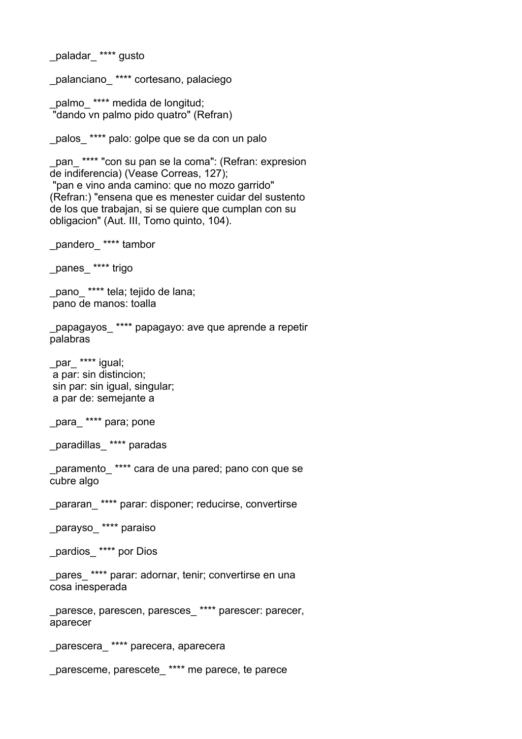\_paladar\_ \*\*\*\* gusto

\_palanciano\_ \*\*\*\* cortesano, palaciego

\_palmo\_ \*\*\*\* medida de longitud; "dando vn palmo pido quatro" (Refran)

\_palos\_ \*\*\*\* palo: golpe que se da con un palo

pan \*\*\*\* "con su pan se la coma": (Refran: expresion de indiferencia) (Vease Correas, 127); "pan e vino anda camino: que no mozo garrido" (Refran:) "ensena que es menester cuidar del sustento de los que trabajan, si se quiere que cumplan con su obligacion" (Aut. III, Tomo quinto, 104).

\_pandero\_ \*\*\*\* tambor

\_panes\_ \*\*\*\* trigo

\_pano\_ \*\*\*\* tela; tejido de lana; pano de manos: toalla

\_papagayos\_ \*\*\*\* papagayo: ave que aprende a repetir palabras

\_par\_ \*\*\*\* igual; a par: sin distincion; sin par: sin igual, singular; a par de: semejante a

\_para\_ \*\*\*\* para; pone

\_paradillas\_ \*\*\*\* paradas

paramento\_\*\*\*\* cara de una pared; pano con que se cubre algo

\_pararan\_ \*\*\*\* parar: disponer; reducirse, convertirse

\_parayso\_ \*\*\*\* paraiso

\_pardios\_ \*\*\*\* por Dios

pares \*\*\*\* parar: adornar, tenir; convertirse en una cosa inesperada

\_paresce, parescen, paresces\_ \*\*\*\* parescer: parecer, aparecer

\_parescera\_ \*\*\*\* parecera, aparecera

\_paresceme, parescete\_ \*\*\*\* me parece, te parece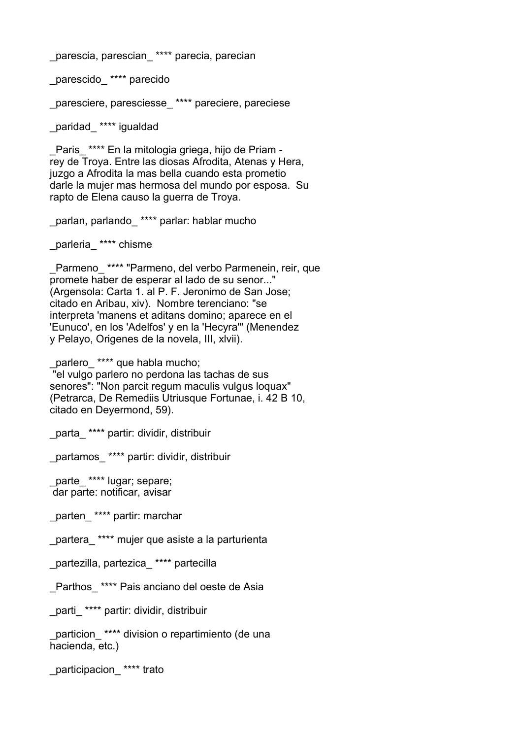parescia, parescian \*\*\*\* parecia, parecian

\_parescido\_ \*\*\*\* parecido

paresciere, paresciesse \*\*\*\* pareciere, pareciese

paridad \*\*\*\* igualdad

Paris \*\*\*\* En la mitologia griega, hijo de Priam rey de Troya. Entre las diosas Afrodita, Atenas y Hera, juzgo a Afrodita la mas bella cuando esta prometio darle la mujer mas hermosa del mundo por esposa. Su rapto de Elena causo la guerra de Troya.

\_parlan, parlando\_ \*\*\*\* parlar: hablar mucho

parleria \*\*\*\* chisme

Parmeno \*\*\*\* "Parmeno, del verbo Parmenein, reir, que promete haber de esperar al lado de su senor..." (Argensola: Carta 1. al P. F. Jeronimo de San Jose; citado en Aribau, xiv). Nombre terenciano: "se interpreta 'manens et aditans domino; aparece en el 'Eunuco', en los 'Adelfos' y en la 'Hecyra'" (Menendez y Pelayo, Origenes de la novela, III, xlvii).

parlero \*\*\*\* que habla mucho;

"el vulgo parlero no perdona las tachas de sus senores": "Non parcit regum maculis vulgus loquax" (Petrarca, De Remediis Utriusque Fortunae, i. 42 B 10, citado en Deyermond, 59).

\_parta\_ \*\*\*\* partir: dividir, distribuir

\_partamos\_ \*\*\*\* partir: dividir, distribuir

parte \*\*\*\* lugar; separe; dar parte: notificar, avisar

parten \*\*\*\* partir: marchar

\_partera\_ \*\*\*\* mujer que asiste a la parturienta

\_partezilla, partezica\_ \*\*\*\* partecilla

\_Parthos\_ \*\*\*\* Pais anciano del oeste de Asia

parti \*\*\*\* partir: dividir, distribuir

particion \*\*\*\* division o repartimiento (de una hacienda, etc.)

\_participacion\_ \*\*\*\* trato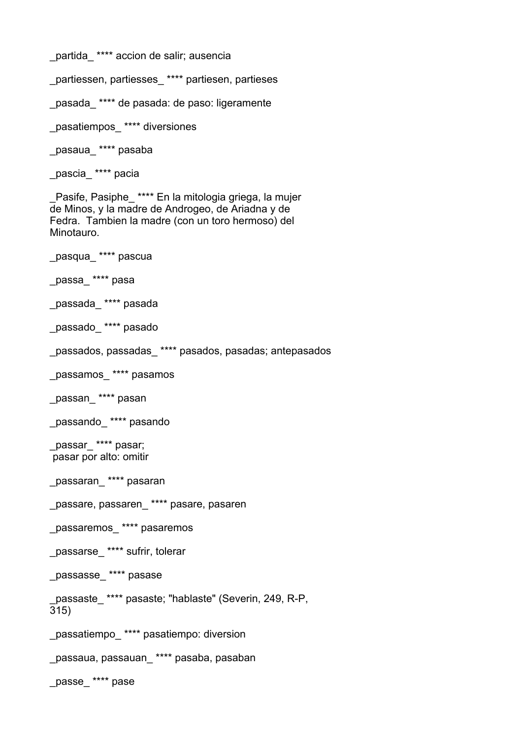\_partida\_ \*\*\*\* accion de salir; ausencia

\_partiessen, partiesses\_ \*\*\*\* partiesen, partieses

pasada\_\*\*\*\* de pasada: de paso: ligeramente

pasatiempos \*\*\*\* diversiones

\_pasaua\_ \*\*\*\* pasaba

pascia \*\*\*\* pacia

Pasife, Pasiphe \*\*\*\* En la mitologia griega, la mujer de Minos, y la madre de Androgeo, de Ariadna y de Fedra. Tambien la madre (con un toro hermoso) del Minotauro.

\_pasqua\_ \*\*\*\* pascua

\_passa\_ \*\*\*\* pasa

\_passada\_ \*\*\*\* pasada

\_passado\_ \*\*\*\* pasado

\_passados, passadas\_ \*\*\*\* pasados, pasadas; antepasados

\_passamos\_ \*\*\*\* pasamos

passan \*\*\*\* pasan

passando \*\*\*\* pasando

\_passar\_ \*\*\*\* pasar; pasar por alto: omitir

\_passaran\_ \*\*\*\* pasaran

\_passare, passaren\_ \*\*\*\* pasare, pasaren

\_passaremos\_ \*\*\*\* pasaremos

\_passarse\_ \*\*\*\* sufrir, tolerar

\_passasse\_ \*\*\*\* pasase

\_passaste\_ \*\*\*\* pasaste; "hablaste" (Severin, 249, R-P,

315)

\_passatiempo\_ \*\*\*\* pasatiempo: diversion

\_passaua, passauan\_ \*\*\*\* pasaba, pasaban

\_passe\_ \*\*\*\* pase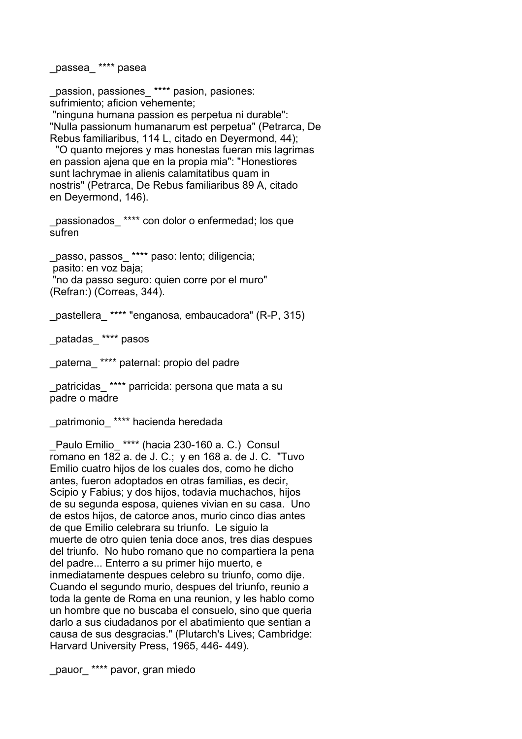\_passea\_ \*\*\*\* pasea

passion, passiones \*\*\*\* pasion, pasiones: sufrimiento; aficion vehemente;

"ninguna humana passion es perpetua ni durable": "Nulla passionum humanarum est perpetua" (Petrarca, De Rebus familiaribus, 114 L, citado en Deyermond, 44);

 "O quanto mejores y mas honestas fueran mis lagrimas en passion ajena que en la propia mia": "Honestiores sunt lachrymae in alienis calamitatibus quam in nostris" (Petrarca, De Rebus familiaribus 89 A, citado en Deyermond, 146).

\_passionados\_ \*\*\*\* con dolor o enfermedad; los que sufren

\_passo, passos\_ \*\*\*\* paso: lento; diligencia; pasito: en voz baja; "no da passo seguro: quien corre por el muro" (Refran:) (Correas, 344).

\_pastellera\_ \*\*\*\* "enganosa, embaucadora" (R-P, 315)

\_patadas\_ \*\*\*\* pasos

\_paterna\_ \*\*\*\* paternal: propio del padre

patricidas \*\*\*\* parricida: persona que mata a su padre o madre

\_patrimonio\_ \*\*\*\* hacienda heredada

Paulo Emilio \*\*\*\* (hacia 230-160 a. C.) Consul romano en 182 a. de J. C.; y en 168 a. de J. C. "Tuvo Emilio cuatro hijos de los cuales dos, como he dicho antes, fueron adoptados en otras familias, es decir, Scipio y Fabius; y dos hijos, todavia muchachos, hijos de su segunda esposa, quienes vivian en su casa. Uno de estos hijos, de catorce anos, murio cinco dias antes de que Emilio celebrara su triunfo. Le siguio la muerte de otro quien tenia doce anos, tres dias despues del triunfo. No hubo romano que no compartiera la pena del padre... Enterro a su primer hijo muerto, e inmediatamente despues celebro su triunfo, como dije. Cuando el segundo murio, despues del triunfo, reunio a toda la gente de Roma en una reunion, y les hablo como un hombre que no buscaba el consuelo, sino que queria darlo a sus ciudadanos por el abatimiento que sentian a causa de sus desgracias." (Plutarch's Lives; Cambridge: Harvard University Press, 1965, 446- 449).

\_pauor\_ \*\*\*\* pavor, gran miedo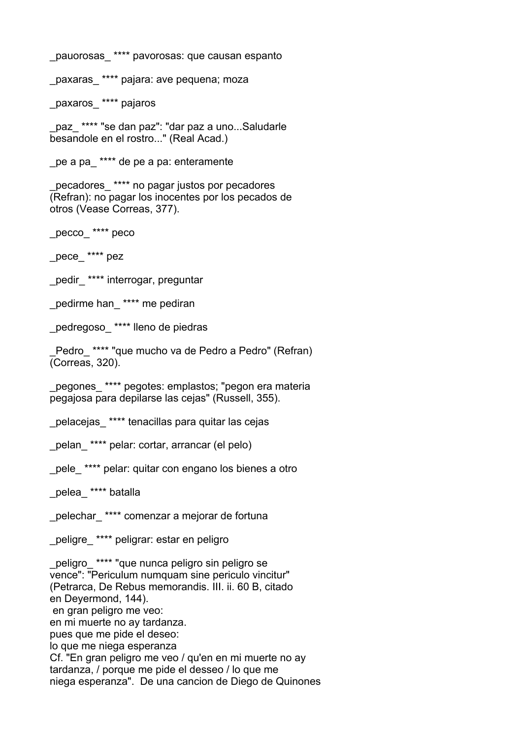\_pauorosas\_ \*\*\*\* pavorosas: que causan espanto

\_paxaras\_ \*\*\*\* pajara: ave pequena; moza

\_paxaros\_ \*\*\*\* pajaros

\_paz\_ \*\*\*\* "se dan paz": "dar paz a uno...Saludarle besandole en el rostro..." (Real Acad.)

pe a pa \*\*\*\* de pe a pa: enteramente

\_pecadores\_ \*\*\*\* no pagar justos por pecadores (Refran): no pagar los inocentes por los pecados de otros (Vease Correas, 377).

\_pecco\_ \*\*\*\* peco

\_pece\_ \*\*\*\* pez

pedir\_ \*\*\*\* interrogar, preguntar

pedirme han \*\*\*\* me pediran

\_pedregoso\_ \*\*\*\* lleno de piedras

Pedro \*\*\*\* "que mucho va de Pedro a Pedro" (Refran) (Correas, 320).

\_pegones\_ \*\*\*\* pegotes: emplastos; "pegon era materia pegajosa para depilarse las cejas" (Russell, 355).

\_pelacejas\_ \*\*\*\* tenacillas para quitar las cejas

\_pelan\_ \*\*\*\* pelar: cortar, arrancar (el pelo)

\_pele\_ \*\*\*\* pelar: quitar con engano los bienes a otro

\_pelea\_ \*\*\*\* batalla

\_pelechar\_ \*\*\*\* comenzar a mejorar de fortuna

\_peligre\_ \*\*\*\* peligrar: estar en peligro

peligro \*\*\*\* "que nunca peligro sin peligro se vence": "Periculum numquam sine periculo vincitur" (Petrarca, De Rebus memorandis. III. ii. 60 B, citado en Deyermond, 144). en gran peligro me veo: en mi muerte no ay tardanza. pues que me pide el deseo: lo que me niega esperanza Cf. "En gran peligro me veo / qu'en en mi muerte no ay tardanza, / porque me pide el desseo / lo que me niega esperanza". De una cancion de Diego de Quinones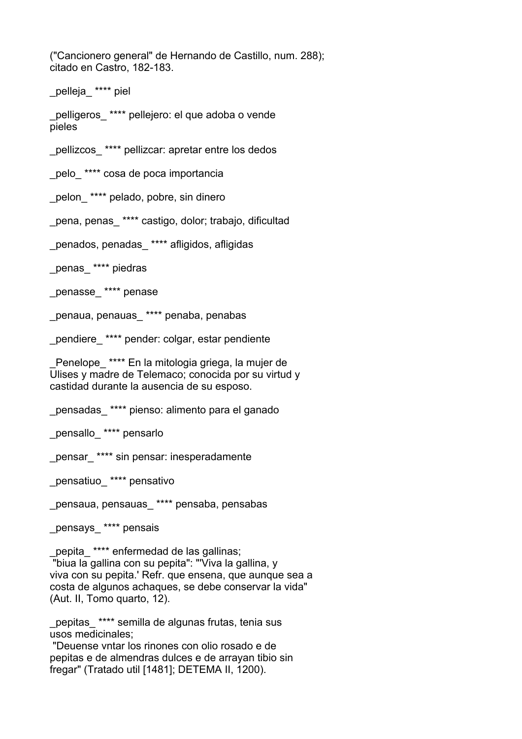("Cancionero general" de Hernando de Castillo, num. 288); citado en Castro, 182-183.

\_pelleja\_ \*\*\*\* piel

pelligeros \*\*\*\* pellejero: el que adoba o vende pieles

\_pellizcos\_ \*\*\*\* pellizcar: apretar entre los dedos

pelo \*\*\*\* cosa de poca importancia

\_pelon\_ \*\*\*\* pelado, pobre, sin dinero

\_pena, penas\_ \*\*\*\* castigo, dolor; trabajo, dificultad

\_penados, penadas\_ \*\*\*\* afligidos, afligidas

\_penas\_ \*\*\*\* piedras

penasse\_\*\*\*\* penase

\_penaua, penauas\_ \*\*\*\* penaba, penabas

\_pendiere\_ \*\*\*\* pender: colgar, estar pendiente

Penelope \*\*\*\* En la mitologia griega, la mujer de Ulises y madre de Telemaco; conocida por su virtud y castidad durante la ausencia de su esposo.

\_pensadas\_ \*\*\*\* pienso: alimento para el ganado

\_pensallo\_ \*\*\*\* pensarlo

\_pensar\_ \*\*\*\* sin pensar: inesperadamente

\_pensatiuo\_ \*\*\*\* pensativo

\_pensaua, pensauas\_ \*\*\*\* pensaba, pensabas

\_pensays\_ \*\*\*\* pensais

pepita \*\*\*\* enfermedad de las gallinas; "biua la gallina con su pepita": "'Viva la gallina, y viva con su pepita.' Refr. que ensena, que aunque sea a costa de algunos achaques, se debe conservar la vida" (Aut. II, Tomo quarto, 12).

\_pepitas\_ \*\*\*\* semilla de algunas frutas, tenia sus usos medicinales;

"Deuense vntar los rinones con olio rosado e de pepitas e de almendras dulces e de arrayan tibio sin fregar" (Tratado util [1481]; DETEMA II, 1200).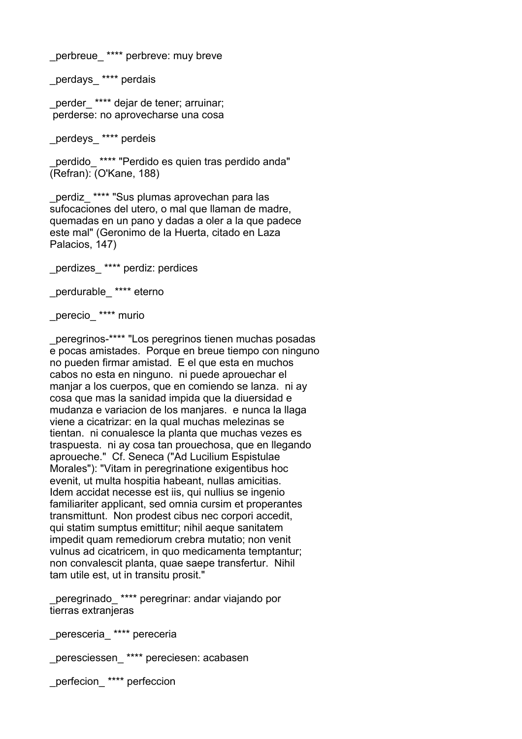perbreue \*\*\*\* perbreve: muy breve

\_perdays\_ \*\*\*\* perdais

perder \*\*\*\* dejar de tener; arruinar; perderse: no aprovecharse una cosa

\_perdeys\_ \*\*\*\* perdeis

\_perdido\_ \*\*\*\* "Perdido es quien tras perdido anda" (Refran): (O'Kane, 188)

\_perdiz\_ \*\*\*\* "Sus plumas aprovechan para las sufocaciones del utero, o mal que llaman de madre, quemadas en un pano y dadas a oler a la que padece este mal" (Geronimo de la Huerta, citado en Laza Palacios, 147)

```
_perdizes_ **** perdiz: perdices
```
perdurable \*\*\*\* eterno

\_perecio\_ \*\*\*\* murio

\_peregrinos-\*\*\*\* "Los peregrinos tienen muchas posadas e pocas amistades. Porque en breue tiempo con ninguno no pueden firmar amistad. E el que esta en muchos cabos no esta en ninguno. ni puede aprouechar el manjar a los cuerpos, que en comiendo se lanza. ni ay cosa que mas la sanidad impida que la diuersidad e mudanza e variacion de los manjares. e nunca la llaga viene a cicatrizar: en la qual muchas melezinas se tientan. ni conualesce la planta que muchas vezes es traspuesta. ni ay cosa tan prouechosa, que en llegando aproueche." Cf. Seneca ("Ad Lucilium Espistulae Morales"): "Vitam in peregrinatione exigentibus hoc evenit, ut multa hospitia habeant, nullas amicitias. Idem accidat necesse est iis, qui nullius se ingenio familiariter applicant, sed omnia cursim et properantes transmittunt. Non prodest cibus nec corpori accedit, qui statim sumptus emittitur; nihil aeque sanitatem impedit quam remediorum crebra mutatio; non venit vulnus ad cicatricem, in quo medicamenta temptantur; non convalescit planta, quae saepe transfertur. Nihil tam utile est, ut in transitu prosit."

\_peregrinado\_ \*\*\*\* peregrinar: andar viajando por tierras extranjeras

peresceria \*\*\*\* pereceria

\_peresciessen\_ \*\*\*\* pereciesen: acabasen

perfecion \*\*\*\* perfeccion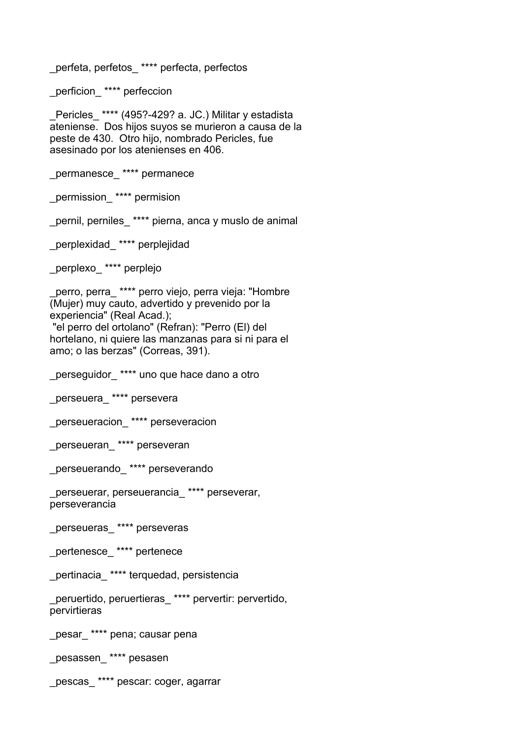\_perfeta, perfetos\_ \*\*\*\* perfecta, perfectos

perficion \*\*\*\* perfeccion

Pericles \*\*\*\* (495?-429? a. JC.) Militar y estadista ateniense. Dos hijos suyos se murieron a causa de la peste de 430. Otro hijo, nombrado Pericles, fue asesinado por los atenienses en 406.

permanesce \*\*\*\* permanece

\_permission\_ \*\*\*\* permision

\_pernil, perniles\_ \*\*\*\* pierna, anca y muslo de animal

\_perplexidad\_ \*\*\*\* perplejidad

\_perplexo\_ \*\*\*\* perplejo

\_perro, perra\_ \*\*\*\* perro viejo, perra vieja: "Hombre (Mujer) muy cauto, advertido y prevenido por la experiencia" (Real Acad.); "el perro del ortolano" (Refran): "Perro (El) del hortelano, ni quiere las manzanas para si ni para el amo; o las berzas" (Correas, 391).

\_perseguidor\_ \*\*\*\* uno que hace dano a otro

perseuera \*\*\*\* persevera

\_perseueracion\_ \*\*\*\* perseveracion

\_perseueran\_ \*\*\*\* perseveran

\_perseuerando\_ \*\*\*\* perseverando

\_perseuerar, perseuerancia\_ \*\*\*\* perseverar, perseverancia

\_perseueras\_ \*\*\*\* perseveras

pertenesce \*\*\*\* pertenece

pertinacia \*\*\*\* terquedad, persistencia

\_peruertido, peruertieras\_ \*\*\*\* pervertir: pervertido, pervirtieras

\_pesar\_ \*\*\*\* pena; causar pena

\_pesassen\_ \*\*\*\* pesasen

\_pescas\_ \*\*\*\* pescar: coger, agarrar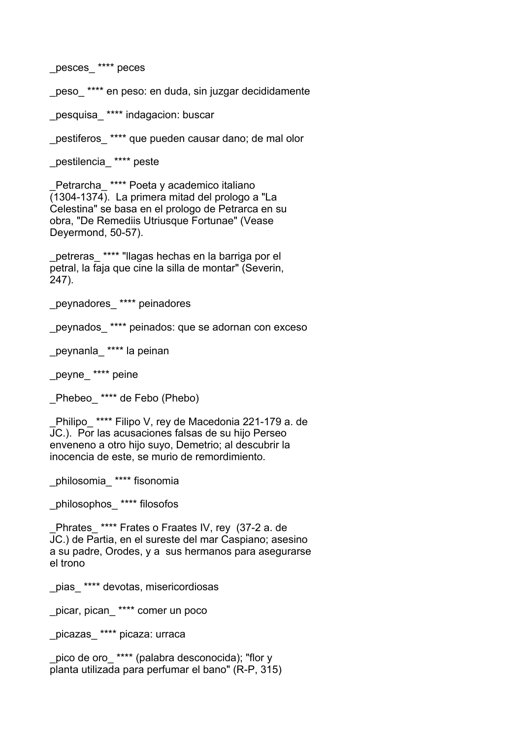\_pesces\_ \*\*\*\* peces

\_peso\_ \*\*\*\* en peso: en duda, sin juzgar decididamente

\_pesquisa\_ \*\*\*\* indagacion: buscar

\_pestiferos\_ \*\*\*\* que pueden causar dano; de mal olor

\_pestilencia\_ \*\*\*\* peste

Petrarcha \*\*\*\* Poeta y academico italiano (1304-1374). La primera mitad del prologo a "La Celestina" se basa en el prologo de Petrarca en su obra, "De Remediis Utriusque Fortunae" (Vease Deyermond, 50-57).

\_petreras\_ \*\*\*\* "llagas hechas en la barriga por el petral, la faja que cine la silla de montar" (Severin, 247).

\_peynadores\_ \*\*\*\* peinadores

\_peynados\_ \*\*\*\* peinados: que se adornan con exceso

\_peynanla\_ \*\*\*\* la peinan

\_peyne\_ \*\*\*\* peine

Phebeo \*\*\*\* de Febo (Phebo)

Philipo \*\*\*\* Filipo V, rey de Macedonia 221-179 a. de JC.). Por las acusaciones falsas de su hijo Perseo enveneno a otro hijo suyo, Demetrio; al descubrir la inocencia de este, se murio de remordimiento.

\_philosomia\_ \*\*\*\* fisonomia

\_philosophos\_ \*\*\*\* filosofos

Phrates \*\*\*\* Frates o Fraates IV, rey (37-2 a. de JC.) de Partia, en el sureste del mar Caspiano; asesino a su padre, Orodes, y a sus hermanos para asegurarse el trono

\_pias\_ \*\*\*\* devotas, misericordiosas

\_picar, pican\_ \*\*\*\* comer un poco

\_picazas\_ \*\*\*\* picaza: urraca

pico de oro \*\*\*\* (palabra desconocida); "flor y planta utilizada para perfumar el bano" (R-P, 315)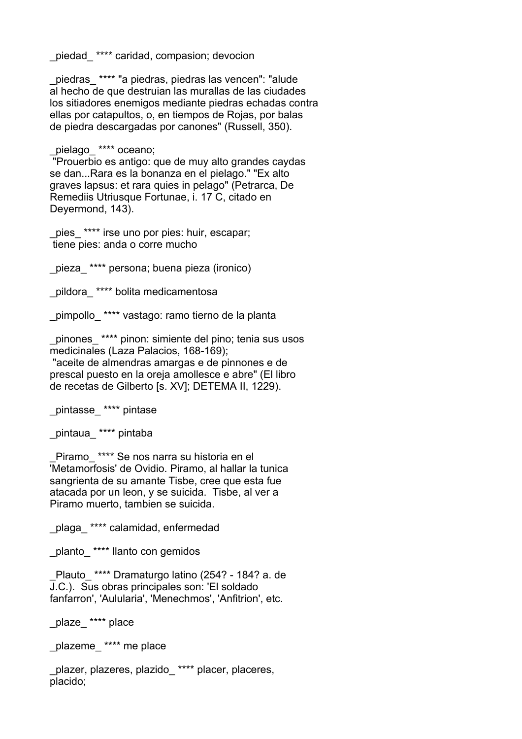piedad \*\*\*\* caridad, compasion; devocion

piedras \*\*\*\* "a piedras, piedras las vencen": "alude al hecho de que destruian las murallas de las ciudades los sitiadores enemigos mediante piedras echadas contra ellas por catapultos, o, en tiempos de Rojas, por balas de piedra descargadas por canones" (Russell, 350).

\_pielago\_ \*\*\*\* oceano;

"Prouerbio es antigo: que de muy alto grandes caydas se dan...Rara es la bonanza en el pielago." "Ex alto graves lapsus: et rara quies in pelago" (Petrarca, De Remediis Utriusque Fortunae, i. 17 C, citado en Deyermond, 143).

pies \*\*\*\* irse uno por pies: huir, escapar; tiene pies: anda o corre mucho

\_pieza\_ \*\*\*\* persona; buena pieza (ironico)

\_pildora\_ \*\*\*\* bolita medicamentosa

\_pimpollo\_ \*\*\*\* vastago: ramo tierno de la planta

\_pinones\_ \*\*\*\* pinon: simiente del pino; tenia sus usos medicinales (Laza Palacios, 168-169);

"aceite de almendras amargas e de pinnones e de prescal puesto en la oreja amollesce e abre" (El libro de recetas de Gilberto [s. XV]; DETEMA II, 1229).

\_pintasse\_ \*\*\*\* pintase

\_pintaua\_ \*\*\*\* pintaba

Piramo \*\*\*\* Se nos narra su historia en el 'Metamorfosis' de Ovidio. Piramo, al hallar la tunica sangrienta de su amante Tisbe, cree que esta fue atacada por un leon, y se suicida. Tisbe, al ver a Piramo muerto, tambien se suicida.

\_plaga\_ \*\*\*\* calamidad, enfermedad

\_planto\_ \*\*\*\* llanto con gemidos

Plauto \*\*\*\* Dramaturgo latino (254? - 184? a. de J.C.). Sus obras principales son: 'El soldado fanfarron', 'Aulularia', 'Menechmos', 'Anfitrion', etc.

\_plaze\_ \*\*\*\* place

plazeme \_\*\*\*\* me place

\_plazer, plazeres, plazido\_ \*\*\*\* placer, placeres, placido;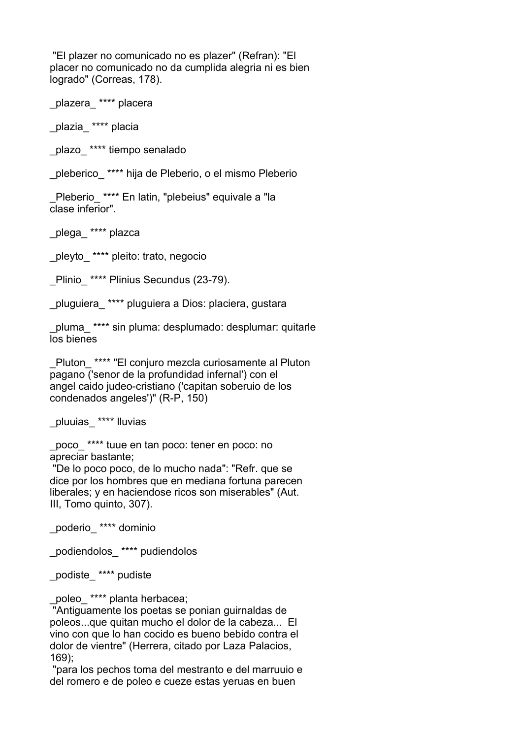"El plazer no comunicado no es plazer" (Refran): "El placer no comunicado no da cumplida alegria ni es bien logrado" (Correas, 178).

\_plazera\_ \*\*\*\* placera

\_plazia\_ \*\*\*\* placia

\_plazo\_ \*\*\*\* tiempo senalado

\_pleberico\_ \*\*\*\* hija de Pleberio, o el mismo Pleberio

Pleberio \*\*\*\* En latin, "plebeius" equivale a "la clase inferior".

\_plega\_ \*\*\*\* plazca

\_pleyto\_ \*\*\*\* pleito: trato, negocio

Plinio \*\*\*\* Plinius Secundus (23-79).

\_pluguiera\_ \*\*\*\* pluguiera a Dios: placiera, gustara

\_pluma\_ \*\*\*\* sin pluma: desplumado: desplumar: quitarle los bienes

Pluton \*\*\*\* "El conjuro mezcla curiosamente al Pluton pagano ('senor de la profundidad infernal') con el angel caido judeo-cristiano ('capitan soberuio de los condenados angeles')" (R-P, 150)

\_pluuias\_ \*\*\*\* lluvias

\_poco\_ \*\*\*\* tuue en tan poco: tener en poco: no apreciar bastante;

"De lo poco poco, de lo mucho nada": "Refr. que se dice por los hombres que en mediana fortuna parecen liberales; y en haciendose ricos son miserables" (Aut. III, Tomo quinto, 307).

\_poderio\_ \*\*\*\* dominio

podiendolos \*\*\*\* pudiendolos

\_podiste\_ \*\*\*\* pudiste

poleo \*\*\*\* planta herbacea;

"Antiguamente los poetas se ponian guirnaldas de poleos...que quitan mucho el dolor de la cabeza... El vino con que lo han cocido es bueno bebido contra el dolor de vientre" (Herrera, citado por Laza Palacios, 169);

"para los pechos toma del mestranto e del marruuio e del romero e de poleo e cueze estas yeruas en buen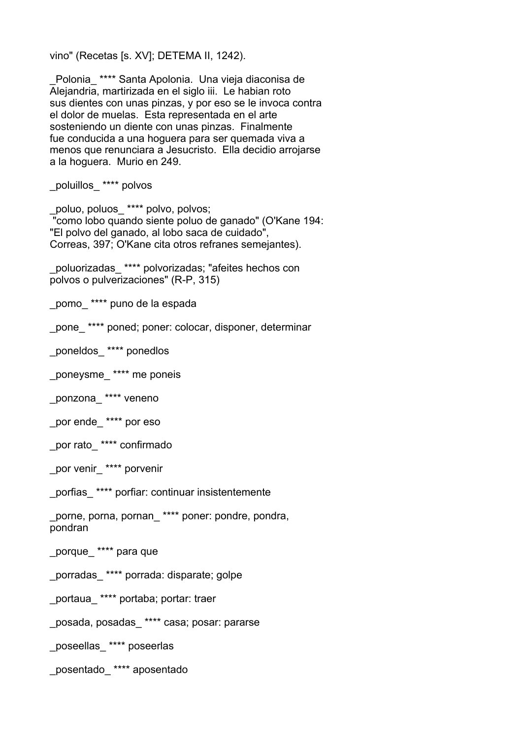vino" (Recetas [s. XV]; DETEMA II, 1242).

Polonia \*\*\*\* Santa Apolonia. Una vieja diaconisa de Alejandria, martirizada en el siglo iii. Le habian roto sus dientes con unas pinzas, y por eso se le invoca contra el dolor de muelas. Esta representada en el arte sosteniendo un diente con unas pinzas. Finalmente fue conducida a una hoguera para ser quemada viva a menos que renunciara a Jesucristo. Ella decidio arrojarse a la hoguera. Murio en 249.

\_poluillos\_ \*\*\*\* polvos

\_poluo, poluos\_ \*\*\*\* polvo, polvos; "como lobo quando siente poluo de ganado" (O'Kane 194: "El polvo del ganado, al lobo saca de cuidado", Correas, 397; O'Kane cita otros refranes semejantes).

\_poluorizadas\_ \*\*\*\* polvorizadas; "afeites hechos con polvos o pulverizaciones" (R-P, 315)

\_pomo\_ \*\*\*\* puno de la espada

\_pone\_ \*\*\*\* poned; poner: colocar, disponer, determinar

poneldos\_\*\*\*\* ponedlos

\_poneysme\_ \*\*\*\* me poneis

\_ponzona\_ \*\*\*\* veneno

por ende \*\*\*\* por eso

\_por rato\_ \*\*\*\* confirmado

por venir \*\*\*\* porvenir

\_porfias\_ \*\*\*\* porfiar: continuar insistentemente

\_porne, porna, pornan\_ \*\*\*\* poner: pondre, pondra, pondran

\_porque\_ \*\*\*\* para que

\_porradas\_ \*\*\*\* porrada: disparate; golpe

\_portaua\_ \*\*\*\* portaba; portar: traer

\_posada, posadas\_ \*\*\*\* casa; posar: pararse

\_poseellas\_ \*\*\*\* poseerlas

\_posentado\_ \*\*\*\* aposentado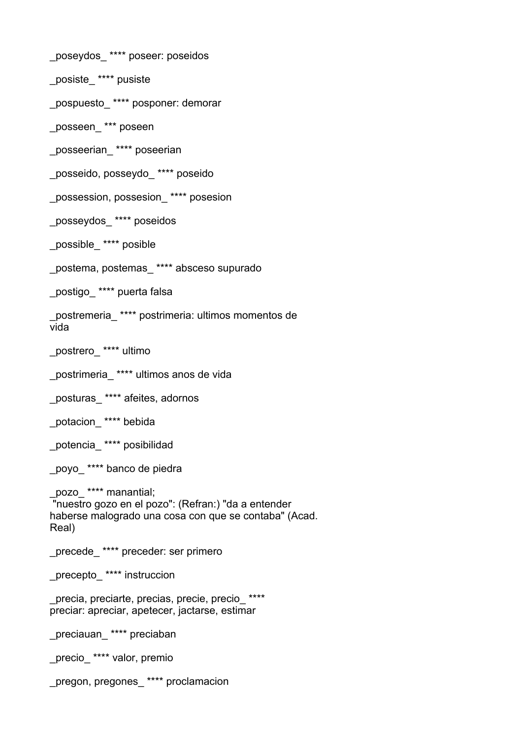\_poseydos\_ \*\*\*\* poseer: poseidos

\_posiste\_ \*\*\*\* pusiste

\_pospuesto\_ \*\*\*\* posponer: demorar

\_posseen\_ \*\*\* poseen

\_posseerian\_ \*\*\*\* poseerian

\_posseido, posseydo\_ \*\*\*\* poseido

\_possession, possesion\_ \*\*\*\* posesion

\_posseydos\_ \*\*\*\* poseidos

\_possible\_ \*\*\*\* posible

\_postema, postemas\_ \*\*\*\* absceso supurado

\_postigo\_ \*\*\*\* puerta falsa

\_postremeria\_ \*\*\*\* postrimeria: ultimos momentos de vida

\_postrero\_ \*\*\*\* ultimo

\_postrimeria\_ \*\*\*\* ultimos anos de vida

\_posturas\_ \*\*\*\* afeites, adornos

\_potacion\_ \*\*\*\* bebida

\_potencia\_ \*\*\*\* posibilidad

\_poyo\_ \*\*\*\* banco de piedra

\_pozo\_ \*\*\*\* manantial;

"nuestro gozo en el pozo": (Refran:) "da a entender haberse malogrado una cosa con que se contaba" (Acad. Real)

\_precede\_ \*\*\*\* preceder: ser primero

precepto \*\*\*\* instruccion

\_precia, preciarte, precias, precie, precio\_ \*\*\*\* preciar: apreciar, apetecer, jactarse, estimar

\_preciauan\_ \*\*\*\* preciaban

precio \*\*\*\* valor, premio

\_pregon, pregones\_ \*\*\*\* proclamacion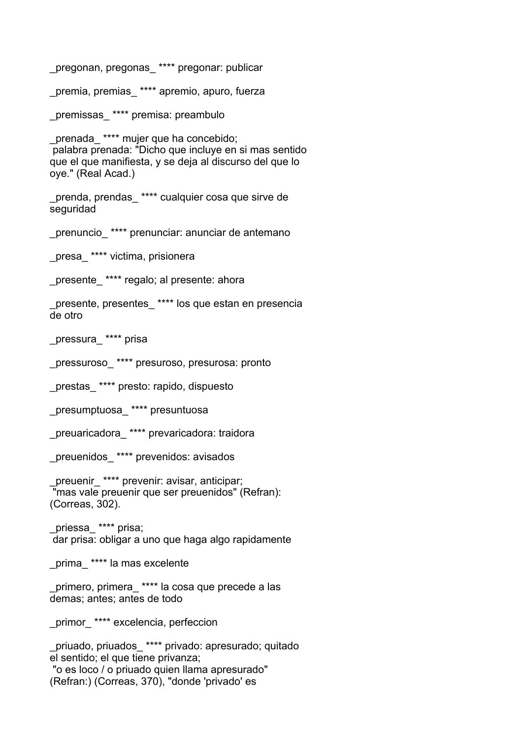\_pregonan, pregonas\_ \*\*\*\* pregonar: publicar

\_premia, premias\_ \*\*\*\* apremio, apuro, fuerza

\_premissas\_ \*\*\*\* premisa: preambulo

\_prenada\_ \*\*\*\* mujer que ha concebido; palabra prenada: "Dicho que incluye en si mas sentido que el que manifiesta, y se deja al discurso del que lo oye." (Real Acad.)

\_prenda, prendas\_ \*\*\*\* cualquier cosa que sirve de seguridad

\_prenuncio\_ \*\*\*\* prenunciar: anunciar de antemano

\_presa\_ \*\*\*\* victima, prisionera

\_presente\_ \*\*\*\* regalo; al presente: ahora

presente, presentes \*\*\*\* los que estan en presencia de otro

\_pressura\_ \*\*\*\* prisa

\_pressuroso\_ \*\*\*\* presuroso, presurosa: pronto

\_prestas\_ \*\*\*\* presto: rapido, dispuesto

\_presumptuosa\_ \*\*\*\* presuntuosa

\_preuaricadora\_ \*\*\*\* prevaricadora: traidora

\_preuenidos\_ \*\*\*\* prevenidos: avisados

\_preuenir\_ \*\*\*\* prevenir: avisar, anticipar; "mas vale preuenir que ser preuenidos" (Refran): (Correas, 302).

\_priessa\_ \*\*\*\* prisa; dar prisa: obligar a uno que haga algo rapidamente

prima \*\*\*\* la mas excelente

\_primero, primera\_ \*\*\*\* la cosa que precede a las demas; antes; antes de todo

\_primor\_ \*\*\*\* excelencia, perfeccion

\_priuado, priuados\_ \*\*\*\* privado: apresurado; quitado el sentido; el que tiene privanza; "o es loco / o priuado quien llama apresurado" (Refran:) (Correas, 370), "donde 'privado' es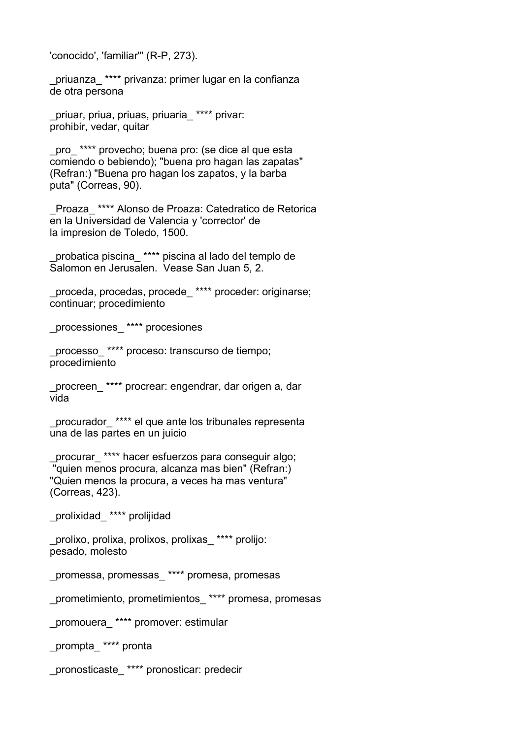'conocido', 'familiar'" (R-P, 273).

\_priuanza\_ \*\*\*\* privanza: primer lugar en la confianza de otra persona

\_priuar, priua, priuas, priuaria\_ \*\*\*\* privar: prohibir, vedar, quitar

\_pro\_ \*\*\*\* provecho; buena pro: (se dice al que esta comiendo o bebiendo); "buena pro hagan las zapatas" (Refran:) "Buena pro hagan los zapatos, y la barba puta" (Correas, 90).

\_Proaza\_ \*\*\*\* Alonso de Proaza: Catedratico de Retorica en la Universidad de Valencia y 'corrector' de la impresion de Toledo, 1500.

\_probatica piscina\_ \*\*\*\* piscina al lado del templo de Salomon en Jerusalen. Vease San Juan 5, 2.

proceda, procedas, procede \*\*\*\* proceder: originarse; continuar; procedimiento

\_processiones\_ \*\*\*\* procesiones

\_processo\_ \*\*\*\* proceso: transcurso de tiempo; procedimiento

procreen \*\*\*\* procrear: engendrar, dar origen a, dar vida

procurador \*\*\*\* el que ante los tribunales representa una de las partes en un juicio

\_procurar\_ \*\*\*\* hacer esfuerzos para conseguir algo; "quien menos procura, alcanza mas bien" (Refran:) "Quien menos la procura, a veces ha mas ventura" (Correas, 423).

\_prolixidad\_ \*\*\*\* prolijidad

\_prolixo, prolixa, prolixos, prolixas\_ \*\*\*\* prolijo: pesado, molesto

\_promessa, promessas\_ \*\*\*\* promesa, promesas

\_prometimiento, prometimientos\_ \*\*\*\* promesa, promesas

\_promouera\_ \*\*\*\* promover: estimular

\_prompta\_ \*\*\*\* pronta

\_pronosticaste\_ \*\*\*\* pronosticar: predecir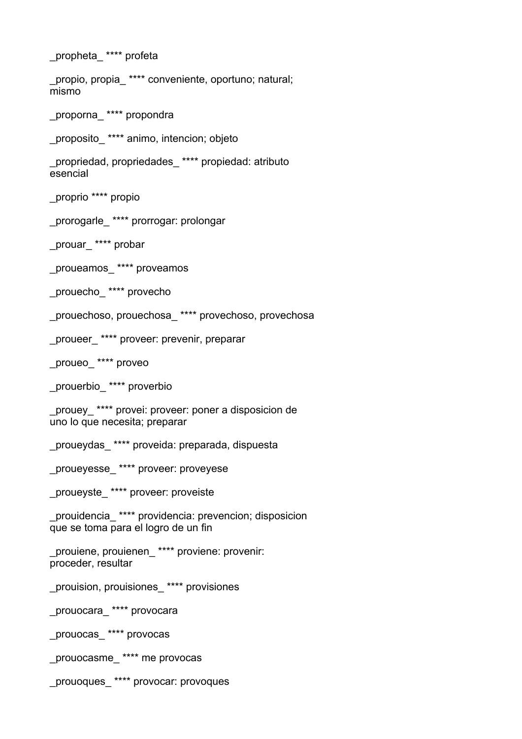\_propheta\_ \*\*\*\* profeta

\_propio, propia\_ \*\*\*\* conveniente, oportuno; natural; mismo

\_proporna\_ \*\*\*\* propondra

\_proposito\_ \*\*\*\* animo, intencion; objeto

\_propriedad, propriedades\_ \*\*\*\* propiedad: atributo esencial

\_proprio \*\*\*\* propio

\_prorogarle\_ \*\*\*\* prorrogar: prolongar

\_prouar\_ \*\*\*\* probar

\_proueamos\_ \*\*\*\* proveamos

\_prouecho\_ \*\*\*\* provecho

\_prouechoso, prouechosa\_ \*\*\*\* provechoso, provechosa

\_proueer\_ \*\*\*\* proveer: prevenir, preparar

\_proueo\_ \*\*\*\* proveo

\_prouerbio\_ \*\*\*\* proverbio

prouey\_\*\*\*\* provei: proveer: poner a disposicion de uno lo que necesita; preparar

\_proueydas\_ \*\*\*\* proveida: preparada, dispuesta

\_proueyesse\_ \*\*\*\* proveer: proveyese

\_proueyste\_ \*\*\*\* proveer: proveiste

\_prouidencia\_ \*\*\*\* providencia: prevencion; disposicion que se toma para el logro de un fin

\_prouiene, prouienen\_ \*\*\*\* proviene: provenir: proceder, resultar

\_prouision, prouisiones\_ \*\*\*\* provisiones

\_prouocara\_ \*\*\*\* provocara

\_prouocas\_ \*\*\*\* provocas

\_prouocasme\_ \*\*\*\* me provocas

\_prouoques\_ \*\*\*\* provocar: provoques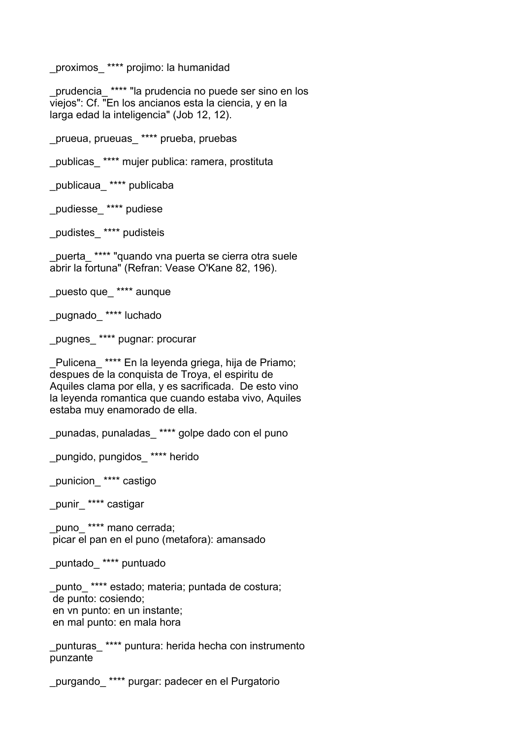\_proximos\_ \*\*\*\* projimo: la humanidad

\_prudencia\_ \*\*\*\* "la prudencia no puede ser sino en los viejos": Cf. "En los ancianos esta la ciencia, y en la larga edad la inteligencia" (Job 12, 12).

\_prueua, prueuas\_ \*\*\*\* prueba, pruebas

publicas \*\*\*\* mujer publica: ramera, prostituta

publicaua\_ \*\*\*\* publicaba

\_pudiesse\_ \*\*\*\* pudiese

pudistes\_ \*\*\*\* pudisteis

puerta\_\*\*\*\* "quando vna puerta se cierra otra suele abrir la fortuna" (Refran: Vease O'Kane 82, 196).

\_puesto que\_ \*\*\*\* aunque

\_pugnado\_ \*\*\*\* luchado

\_pugnes\_ \*\*\*\* pugnar: procurar

Pulicena \*\*\*\* En la leyenda griega, hija de Priamo; despues de la conquista de Troya, el espiritu de Aquiles clama por ella, y es sacrificada. De esto vino la leyenda romantica que cuando estaba vivo, Aquiles estaba muy enamorado de ella.

\_punadas, punaladas\_ \*\*\*\* golpe dado con el puno

\_pungido, pungidos\_ \*\*\*\* herido

punicion \*\*\*\* castigo

\_punir\_ \*\*\*\* castigar

puno \*\*\*\* mano cerrada; picar el pan en el puno (metafora): amansado

\_puntado\_ \*\*\*\* puntuado

\_punto\_ \*\*\*\* estado; materia; puntada de costura; de punto: cosiendo; en vn punto: en un instante; en mal punto: en mala hora

\_punturas\_ \*\*\*\* puntura: herida hecha con instrumento punzante

\_purgando\_ \*\*\*\* purgar: padecer en el Purgatorio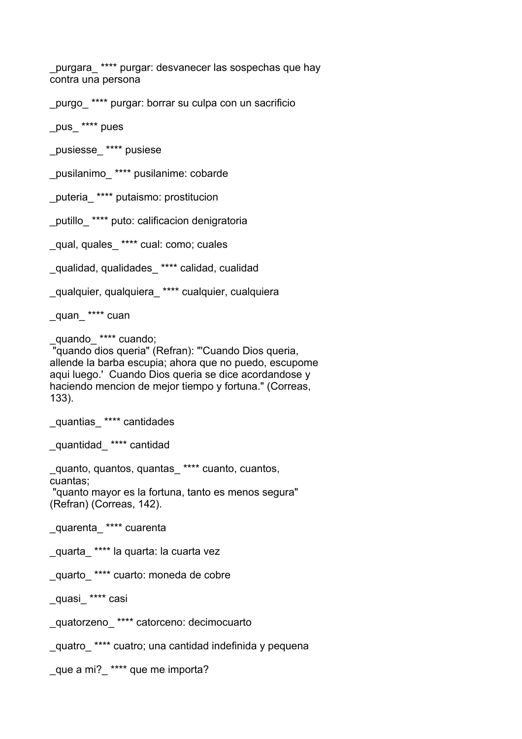\_purgara\_ \*\*\*\* purgar: desvanecer las sospechas que hay contra una persona

\_purgo\_ \*\*\*\* purgar: borrar su culpa con un sacrificio

\_pus\_ \*\*\*\* pues

\_pusiesse\_ \*\*\*\* pusiese

\_pusilanimo\_ \*\*\*\* pusilanime: cobarde

puteria \*\*\*\* putaismo: prostitucion

\_putillo\_ \*\*\*\* puto: calificacion denigratoria

qual, quales \*\*\*\* cual: como; cuales

\_qualidad, qualidades\_ \*\*\*\* calidad, cualidad

\_qualquier, qualquiera\_ \*\*\*\* cualquier, cualquiera

\_quan\_ \*\*\*\* cuan

\_quando\_ \*\*\*\* cuando;

"quando dios queria" (Refran): "'Cuando Dios queria, allende la barba escupia; ahora que no puedo, escupome aqui luego.' Cuando Dios queria se dice acordandose y haciendo mencion de mejor tiempo y fortuna." (Correas, 133).

\_quantias\_ \*\*\*\* cantidades

\_quantidad\_ \*\*\*\* cantidad

\_quanto, quantos, quantas\_ \*\*\*\* cuanto, cuantos, cuantas; "quanto mayor es la fortuna, tanto es menos segura" (Refran) (Correas, 142).

\_quarenta\_ \*\*\*\* cuarenta

quarta \*\*\*\* la quarta: la cuarta vez

quarto \*\*\*\* cuarto: moneda de cobre

\_quasi\_ \*\*\*\* casi

\_quatorzeno\_ \*\*\*\* catorceno: decimocuarto

\_quatro\_ \*\*\*\* cuatro; una cantidad indefinida y pequena

\_que a mi?\_ \*\*\*\* que me importa?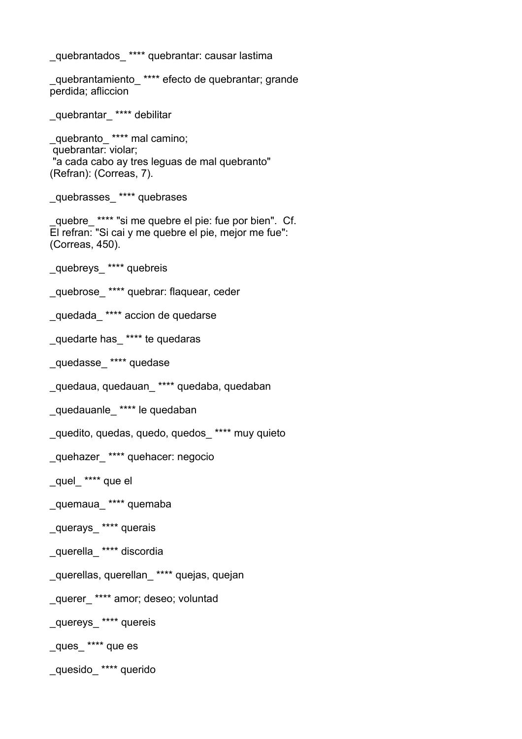\_quebrantados\_ \*\*\*\* quebrantar: causar lastima

\_quebrantamiento\_ \*\*\*\* efecto de quebrantar; grande perdida; afliccion

\_quebrantar\_ \*\*\*\* debilitar

\_quebranto\_ \*\*\*\* mal camino; quebrantar: violar; "a cada cabo ay tres leguas de mal quebranto" (Refran): (Correas, 7).

\_quebrasses\_ \*\*\*\* quebrases

\_quebre\_ \*\*\*\* "si me quebre el pie: fue por bien". Cf. El refran: "Si cai y me quebre el pie, mejor me fue": (Correas, 450).

\_quebreys\_ \*\*\*\* quebreis

\_quebrose\_ \*\*\*\* quebrar: flaquear, ceder

\_quedada\_ \*\*\*\* accion de quedarse

\_quedarte has\_ \*\*\*\* te quedaras

quedasse \*\*\*\* quedase

\_quedaua, quedauan\_ \*\*\*\* quedaba, quedaban

\_quedauanle\_ \*\*\*\* le quedaban

\_quedito, quedas, quedo, quedos\_ \*\*\*\* muy quieto

\_quehazer\_ \*\*\*\* quehacer: negocio

\_quel\_ \*\*\*\* que el

\_quemaua\_ \*\*\*\* quemaba

\_querays\_ \*\*\*\* querais

querella \*\*\*\* discordia

querellas, querellan \*\*\*\* quejas, quejan

\_querer\_ \*\*\*\* amor; deseo; voluntad

\_quereys\_ \*\*\*\* quereis

\_ques\_ \*\*\*\* que es

\_quesido\_ \*\*\*\* querido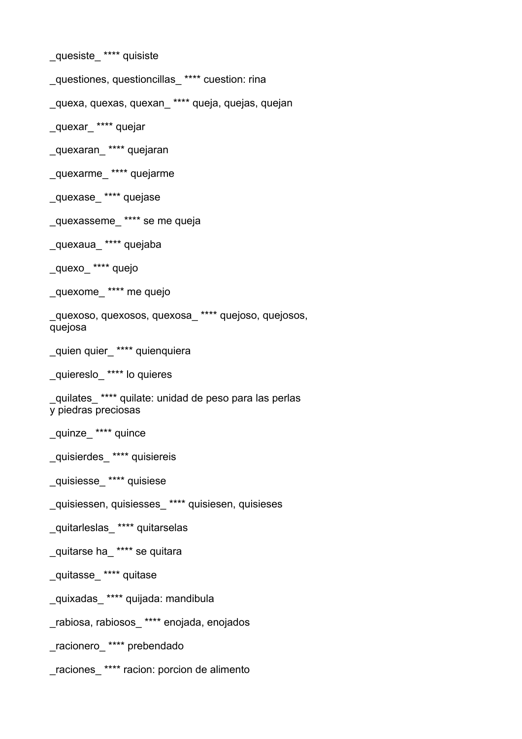\_quesiste\_ \*\*\*\* quisiste

\_questiones, questioncillas\_ \*\*\*\* cuestion: rina

\_quexa, quexas, quexan\_ \*\*\*\* queja, quejas, quejan

\_quexar\_ \*\*\*\* quejar

\_quexaran\_ \*\*\*\* quejaran

\_quexarme\_ \*\*\*\* quejarme

\_quexase\_ \*\*\*\* quejase

\_quexasseme\_ \*\*\*\* se me queja

\_quexaua\_ \*\*\*\* quejaba

\_quexo\_ \*\*\*\* quejo

\_quexome\_ \*\*\*\* me quejo

\_quexoso, quexosos, quexosa\_ \*\*\*\* quejoso, quejosos, quejosa

\_quien quier\_ \*\*\*\* quienquiera

\_quiereslo\_ \*\*\*\* lo quieres

quilates \*\*\*\* quilate: unidad de peso para las perlas y piedras preciosas

\_quinze\_ \*\*\*\* quince

\_quisierdes\_ \*\*\*\* quisiereis

\_quisiesse\_ \*\*\*\* quisiese

\_quisiessen, quisiesses\_ \*\*\*\* quisiesen, quisieses

\_quitarleslas\_ \*\*\*\* quitarselas

quitarse ha \*\*\*\* se quitara

\_quitasse\_ \*\*\*\* quitase

\_quixadas\_ \*\*\*\* quijada: mandibula

\_rabiosa, rabiosos\_ \*\*\*\* enojada, enojados

\_racionero\_ \*\*\*\* prebendado

\_raciones\_ \*\*\*\* racion: porcion de alimento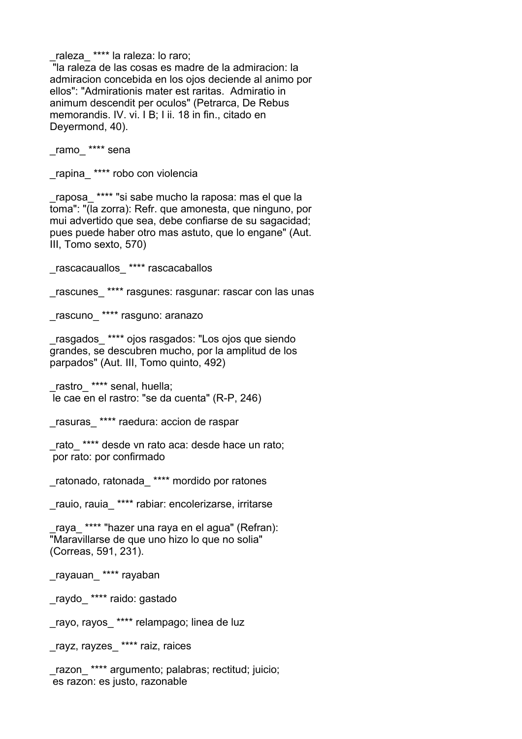raleza \*\*\*\* la raleza: lo raro:

"la raleza de las cosas es madre de la admiracion: la admiracion concebida en los ojos deciende al animo por ellos": "Admirationis mater est raritas. Admiratio in animum descendit per oculos" (Petrarca, De Rebus memorandis. IV. vi. I B; I ii. 18 in fin., citado en Deyermond, 40).

ramo \*\*\*\* sena

rapina \*\*\*\* robo con violencia

\_raposa\_ \*\*\*\* "si sabe mucho la raposa: mas el que la toma": "(la zorra): Refr. que amonesta, que ninguno, por mui advertido que sea, debe confiarse de su sagacidad; pues puede haber otro mas astuto, que lo engane" (Aut. III, Tomo sexto, 570)

\_rascacauallos\_ \*\*\*\* rascacaballos

rascunes \*\*\*\* rasgunes: rasgunar: rascar con las unas

\_rascuno\_ \*\*\*\* rasguno: aranazo

\_rasgados\_ \*\*\*\* ojos rasgados: "Los ojos que siendo grandes, se descubren mucho, por la amplitud de los parpados" (Aut. III, Tomo quinto, 492)

rastro \*\*\*\* senal, huella; le cae en el rastro: "se da cuenta" (R-P, 246)

rasuras \*\*\*\* raedura: accion de raspar

rato \*\*\*\* desde vn rato aca: desde hace un rato; por rato: por confirmado

ratonado, ratonada \*\*\*\* mordido por ratones

rauio, rauia \*\*\*\* rabiar: encolerizarse, irritarse

raya<sup>\*\*\*\*</sup> "hazer una raya en el agua" (Refran): "Maravillarse de que uno hizo lo que no solia" (Correas, 591, 231).

rayauan \*\*\*\* rayaban

raydo \*\*\*\* raido: gastado

rayo, rayos \*\*\*\* relampago; linea de luz

rayz, rayzes \*\*\*\* raiz, raices

razon\_\*\*\*\* argumento; palabras; rectitud; juicio; es razon: es justo, razonable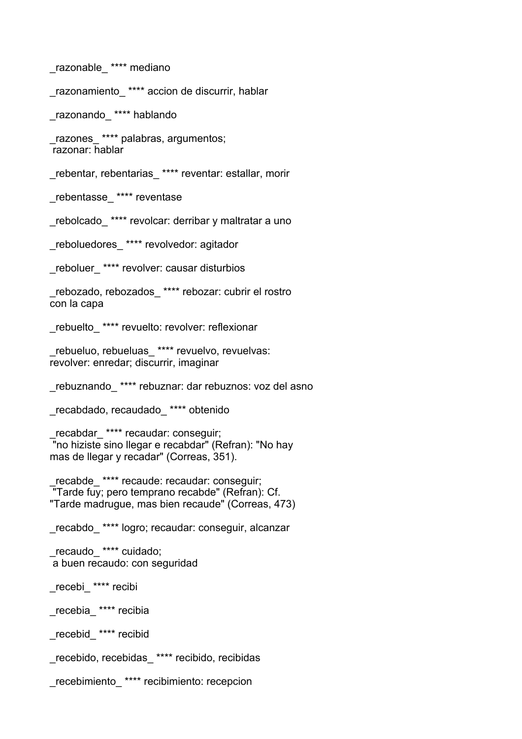razonable \*\*\*\* mediano

razonamiento \*\*\*\* accion de discurrir, hablar

\_razonando\_ \*\*\*\* hablando

\_razones\_ \*\*\*\* palabras, argumentos; razonar: hablar

rebentar, rebentarias \*\*\*\* reventar: estallar, morir

rebentasse \*\*\*\* reventase

rebolcado \*\*\*\* revolcar: derribar y maltratar a uno

reboluedores \*\*\*\* revolvedor: agitador

reboluer \*\*\*\* revolver: causar disturbios

\_rebozado, rebozados\_ \*\*\*\* rebozar: cubrir el rostro con la capa

\_rebuelto\_ \*\*\*\* revuelto: revolver: reflexionar

rebueluo, rebueluas \*\*\*\* revuelvo, revuelvas: revolver: enredar; discurrir, imaginar

\_rebuznando\_ \*\*\*\* rebuznar: dar rebuznos: voz del asno

recabdado, recaudado \*\*\*\* obtenido

recabdar \*\*\*\* recaudar: conseguir; "no hiziste sino llegar e recabdar" (Refran): "No hay mas de llegar y recadar" (Correas, 351).

recabde \*\*\*\* recaude: recaudar: conseguir; "Tarde fuy; pero temprano recabde" (Refran): Cf. "Tarde madrugue, mas bien recaude" (Correas, 473)

\_recabdo\_ \*\*\*\* logro; recaudar: conseguir, alcanzar

recaudo \*\*\*\* cuidado; a buen recaudo: con seguridad

\_recebi\_ \*\*\*\* recibi

recebia \*\*\*\* recibia

recebid \*\*\*\* recibid

recebido, recebidas \*\*\*\* recibido, recibidas

\_recebimiento\_ \*\*\*\* recibimiento: recepcion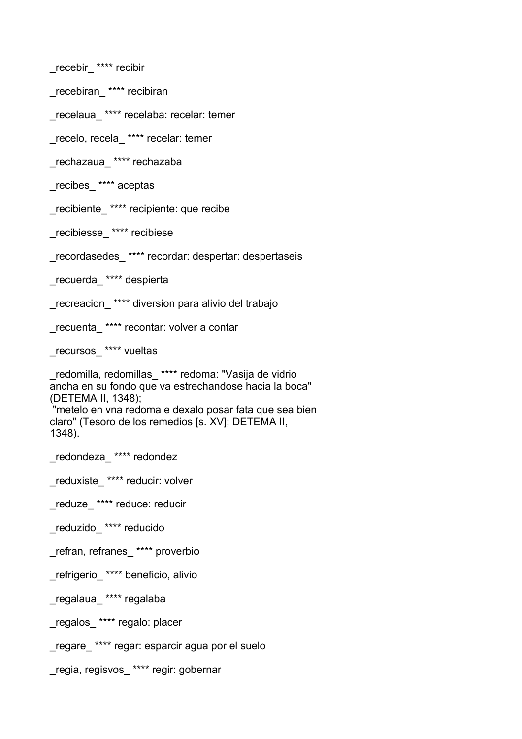\_recebir\_ \*\*\*\* recibir

recebiran \*\*\*\* recibiran

\_recelaua\_ \*\*\*\* recelaba: recelar: temer

\_recelo, recela\_ \*\*\*\* recelar: temer

\_rechazaua\_ \*\*\*\* rechazaba

\_recibes\_ \*\*\*\* aceptas

recibiente \*\*\*\* recipiente: que recibe

\_recibiesse\_ \*\*\*\* recibiese

\_recordasedes\_ \*\*\*\* recordar: despertar: despertaseis

\_recuerda\_ \*\*\*\* despierta

recreacion \*\*\*\* diversion para alivio del trabajo

\_recuenta\_ \*\*\*\* recontar: volver a contar

recursos \*\*\*\* vueltas

redomilla, redomillas \*\*\*\* redoma: "Vasija de vidrio ancha en su fondo que va estrechandose hacia la boca" (DETEMA II, 1348); "metelo en vna redoma e dexalo posar fata que sea bien

claro" (Tesoro de los remedios [s. XV]; DETEMA II, 1348).

\_redondeza\_ \*\*\*\* redondez

\_reduxiste\_ \*\*\*\* reducir: volver

\_reduze\_ \*\*\*\* reduce: reducir

reduzido \*\*\*\* reducido

refran, refranes \*\*\*\* proverbio

refrigerio \*\*\*\* beneficio, alivio

\_regalaua\_ \*\*\*\* regalaba

\_regalos\_ \*\*\*\* regalo: placer

\_regare\_ \*\*\*\* regar: esparcir agua por el suelo

\_regia, regisvos\_ \*\*\*\* regir: gobernar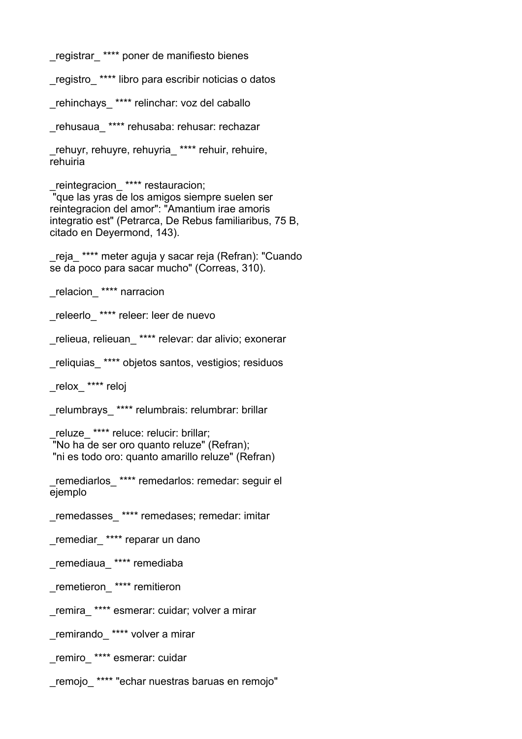registrar \*\*\*\* poner de manifiesto bienes

\_registro\_ \*\*\*\* libro para escribir noticias o datos

\_rehinchays\_ \*\*\*\* relinchar: voz del caballo

rehusaua \*\*\*\* rehusaba: rehusar: rechazar

rehuyr, rehuyre, rehuyria \*\*\*\* rehuir, rehuire, rehuiria

\_reintegracion\_ \*\*\*\* restauracion; "que las yras de los amigos siempre suelen ser reintegracion del amor": "Amantium irae amoris integratio est" (Petrarca, De Rebus familiaribus, 75 B, citado en Deyermond, 143).

reja \*\*\*\* meter aguja y sacar reja (Refran): "Cuando se da poco para sacar mucho" (Correas, 310).

\_relacion\_ \*\*\*\* narracion

\_releerlo\_ \*\*\*\* releer: leer de nuevo

\_relieua, relieuan\_ \*\*\*\* relevar: dar alivio; exonerar

reliquias \*\*\*\* objetos santos, vestigios; residuos

\_relox\_ \*\*\*\* reloj

relumbrays \*\*\*\* relumbrais: relumbrar: brillar

\_reluze\_ \*\*\*\* reluce: relucir: brillar; "No ha de ser oro quanto reluze" (Refran); "ni es todo oro: quanto amarillo reluze" (Refran)

remediarlos \*\*\*\* remedarlos: remedar: seguir el ejemplo

\_remedasses\_ \*\*\*\* remedases; remedar: imitar

remediar \*\*\*\* reparar un dano

\_remediaua\_ \*\*\*\* remediaba

remetieron \*\*\*\* remitieron

remira \*\*\*\* esmerar: cuidar; volver a mirar

\_remirando\_ \*\*\*\* volver a mirar

remiro \*\*\*\* esmerar: cuidar

remojo \*\*\*\* "echar nuestras baruas en remojo"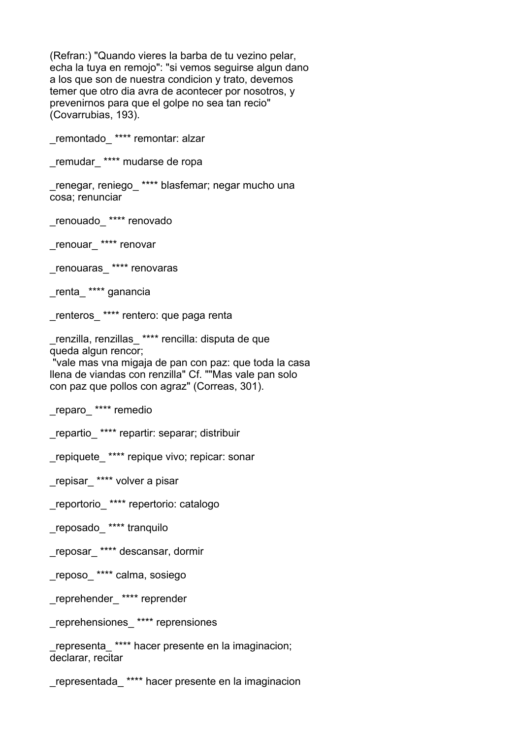(Refran:) "Quando vieres la barba de tu vezino pelar, echa la tuya en remojo": "si vemos seguirse algun dano a los que son de nuestra condicion y trato, devemos temer que otro dia avra de acontecer por nosotros, y prevenirnos para que el golpe no sea tan recio" (Covarrubias, 193).

\_remontado\_ \*\*\*\* remontar: alzar

\_remudar\_ \*\*\*\* mudarse de ropa

renegar, reniego \*\*\*\* blasfemar; negar mucho una cosa; renunciar

renouado \*\*\*\* renovado

renouar \*\*\*\* renovar

renouaras \*\*\*\* renovaras

\_renta\_ \*\*\*\* ganancia

renteros \*\*\*\* rentero: que paga renta

\_renzilla, renzillas\_ \*\*\*\* rencilla: disputa de que queda algun rencor;

"vale mas vna migaja de pan con paz: que toda la casa llena de viandas con renzilla" Cf. ""Mas vale pan solo con paz que pollos con agraz" (Correas, 301).

\_reparo\_ \*\*\*\* remedio

\_repartio\_ \*\*\*\* repartir: separar; distribuir

repiquete \*\*\*\* repique vivo; repicar: sonar

repisar \*\*\*\* volver a pisar

reportorio \*\*\*\* repertorio: catalogo

\_reposado\_ \*\*\*\* tranquilo

\_reposar\_ \*\*\*\* descansar, dormir

\_reposo\_ \*\*\*\* calma, sosiego

reprehender \*\*\*\* reprender

reprehensiones \*\*\*\* reprensiones

representa \*\*\*\* hacer presente en la imaginacion; declarar, recitar

\_representada\_ \*\*\*\* hacer presente en la imaginacion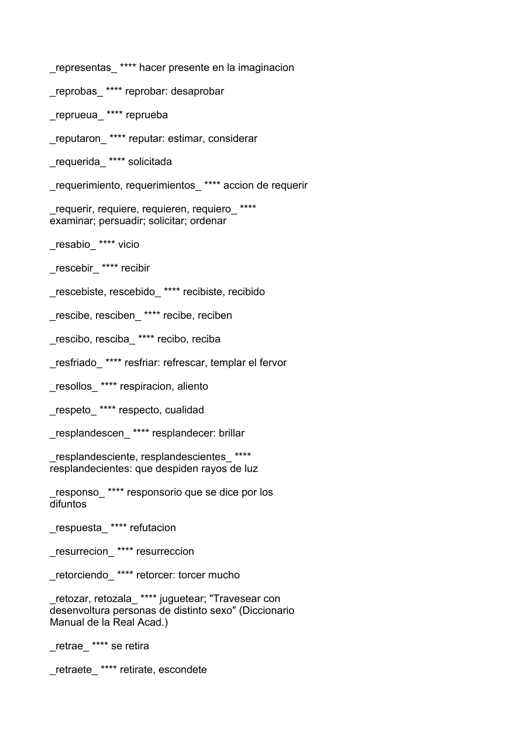\_representas\_ \*\*\*\* hacer presente en la imaginacion

reprobas \*\*\*\* reprobar: desaprobar

reprueua \*\*\*\* reprueba

\_reputaron\_ \*\*\*\* reputar: estimar, considerar

\_requerida\_ \*\*\*\* solicitada

\_requerimiento, requerimientos\_ \*\*\*\* accion de requerir

requerir, requiere, requieren, requiero \*\*\*\* examinar; persuadir; solicitar; ordenar

\_resabio\_ \*\*\*\* vicio

\_rescebir\_ \*\*\*\* recibir

\_rescebiste, rescebido\_ \*\*\*\* recibiste, recibido

\_rescibe, resciben\_ \*\*\*\* recibe, reciben

\_rescibo, resciba\_ \*\*\*\* recibo, reciba

resfriado \*\*\*\* resfriar: refrescar, templar el fervor

\_resollos\_ \*\*\*\* respiracion, aliento

respeto \*\*\*\* respecto, cualidad

\_resplandescen\_ \*\*\*\* resplandecer: brillar

resplandesciente, resplandescientes \*\*\*\* resplandecientes: que despiden rayos de luz

\_responso\_ \*\*\*\* responsorio que se dice por los difuntos

respuesta \*\*\*\* refutacion

\_resurrecion\_ \*\*\*\* resurreccion

retorciendo \*\*\*\* retorcer: torcer mucho

retozar, retozala \*\*\*\* juguetear; "Travesear con desenvoltura personas de distinto sexo" (Diccionario Manual de la Real Acad.)

\_retrae\_ \*\*\*\* se retira

\_retraete\_ \*\*\*\* retirate, escondete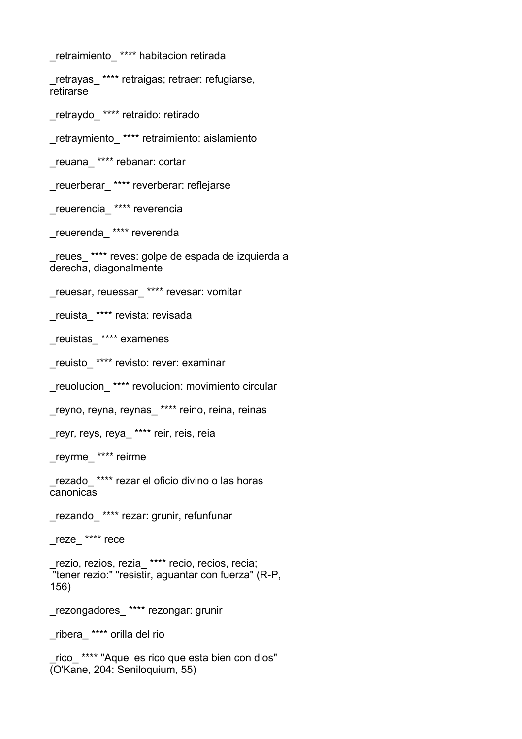\_retraimiento\_ \*\*\*\* habitacion retirada

\_retrayas\_ \*\*\*\* retraigas; retraer: refugiarse, retirarse

\_retraydo\_ \*\*\*\* retraido: retirado

\_retraymiento\_ \*\*\*\* retraimiento: aislamiento

reuana \*\*\*\* rebanar: cortar

reuerberar \*\*\*\* reverberar: reflejarse

reuerencia \*\*\*\* reverencia

reuerenda \*\*\*\* reverenda

reues \*\*\*\* reves: golpe de espada de izquierda a derecha, diagonalmente

\_reuesar, reuessar\_ \*\*\*\* revesar: vomitar

\_reuista\_ \*\*\*\* revista: revisada

\_reuistas\_ \*\*\*\* examenes

reuisto \*\*\*\* revisto: rever: examinar

reuolucion \*\*\*\* revolucion: movimiento circular

reyno, reyna, reynas \*\*\*\* reino, reina, reinas

\_reyr, reys, reya\_ \*\*\*\* reir, reis, reia

reyrme \*\*\*\* reirme

rezado \*\*\*\* rezar el oficio divino o las horas canonicas

\_rezando\_ \*\*\*\* rezar: grunir, refunfunar

reze \*\*\*\* rece

rezio, rezios, rezia \*\*\*\* recio, recios, recia; "tener rezio:" "resistir, aguantar con fuerza" (R-P, 156)

\_rezongadores\_ \*\*\*\* rezongar: grunir

\_ribera\_ \*\*\*\* orilla del rio

rico \*\*\*\* "Aquel es rico que esta bien con dios" (O'Kane, 204: Seniloquium, 55)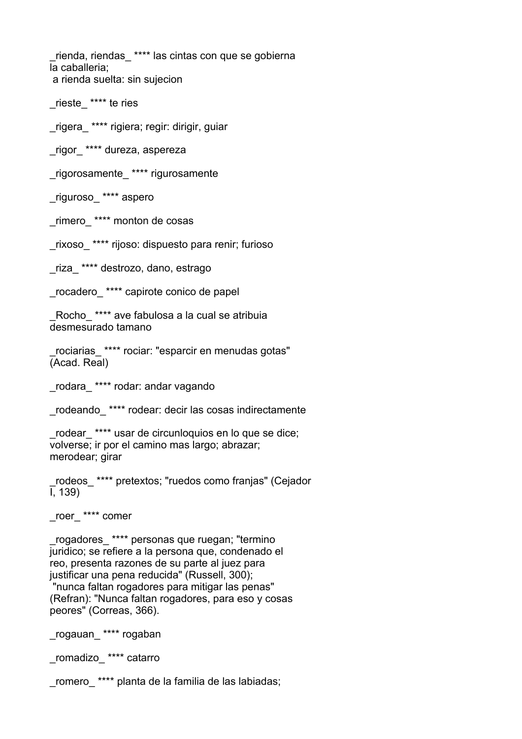rienda, riendas \*\*\*\* las cintas con que se gobierna la caballeria; a rienda suelta: sin sujecion

rieste \*\*\*\* te ries

rigera \*\*\*\* rigiera; regir: dirigir, guiar

\_rigor\_ \*\*\*\* dureza, aspereza

rigorosamente \*\*\*\* rigurosamente

\_riguroso\_ \*\*\*\* aspero

rimero \*\*\*\* monton de cosas

rixoso \*\*\*\* rijoso: dispuesto para renir; furioso

\_riza\_ \*\*\*\* destrozo, dano, estrago

rocadero \*\*\*\* capirote conico de papel

Rocho \*\*\*\* ave fabulosa a la cual se atribuia desmesurado tamano

rociarias \*\*\*\* rociar: "esparcir en menudas gotas" (Acad. Real)

\_rodara\_ \*\*\*\* rodar: andar vagando

rodeando \*\*\*\* rodear: decir las cosas indirectamente

rodear \*\*\*\* usar de circunloquios en lo que se dice; volverse; ir por el camino mas largo; abrazar; merodear; girar

rodeos \*\*\*\* pretextos; "ruedos como franjas" (Cejador I, 139)

roer \*\*\*\* comer

rogadores \*\*\*\* personas que ruegan; "termino juridico; se refiere a la persona que, condenado el reo, presenta razones de su parte al juez para justificar una pena reducida" (Russell, 300); "nunca faltan rogadores para mitigar las penas" (Refran): "Nunca faltan rogadores, para eso y cosas

peores" (Correas, 366).

\_rogauan\_ \*\*\*\* rogaban

\_romadizo\_ \*\*\*\* catarro

romero \*\*\*\* planta de la familia de las labiadas;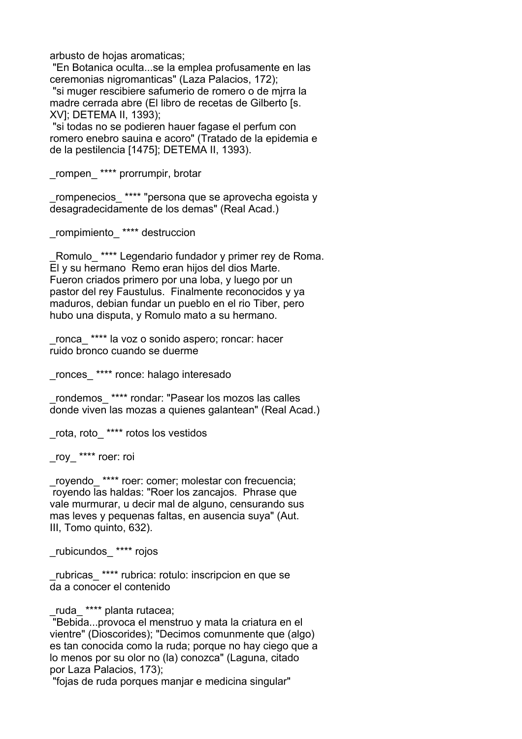arbusto de hojas aromaticas;

"En Botanica oculta...se la emplea profusamente en las ceremonias nigromanticas" (Laza Palacios, 172);

"si muger rescibiere safumerio de romero o de mjrra la madre cerrada abre (El libro de recetas de Gilberto [s. XV]; DETEMA II, 1393);

"si todas no se podieren hauer fagase el perfum con romero enebro sauina e acoro" (Tratado de la epidemia e de la pestilencia [1475]; DETEMA II, 1393).

rompen \*\*\*\* prorrumpir, brotar

rompenecios \*\*\*\* "persona que se aprovecha egoista y desagradecidamente de los demas" (Real Acad.)

rompimiento \*\*\*\* destruccion

Romulo \*\*\*\* Legendario fundador y primer rey de Roma. El y su hermano Remo eran hijos del dios Marte. Fueron criados primero por una loba, y luego por un pastor del rey Faustulus. Finalmente reconocidos y ya maduros, debian fundar un pueblo en el rio Tiber, pero hubo una disputa, y Romulo mato a su hermano.

\_ronca\_ \*\*\*\* la voz o sonido aspero; roncar: hacer ruido bronco cuando se duerme

ronces \*\*\*\* ronce: halago interesado

rondemos \*\*\*\* rondar: "Pasear los mozos las calles donde viven las mozas a quienes galantean" (Real Acad.)

\_rota, roto\_ \*\*\*\* rotos los vestidos

roy \*\*\*\* roer: roi

royendo \*\*\*\* roer: comer; molestar con frecuencia; royendo las haldas: "Roer los zancajos. Phrase que vale murmurar, u decir mal de alguno, censurando sus mas leves y pequenas faltas, en ausencia suya" (Aut. III, Tomo quinto, 632).

\_rubicundos\_ \*\*\*\* rojos

rubricas \*\*\*\* rubrica: rotulo: inscripcion en que se da a conocer el contenido

ruda \*\*\*\* planta rutacea;

"Bebida...provoca el menstruo y mata la criatura en el vientre" (Dioscorides); "Decimos comunmente que (algo) es tan conocida como la ruda; porque no hay ciego que a lo menos por su olor no (la) conozca" (Laguna, citado por Laza Palacios, 173);

"fojas de ruda porques manjar e medicina singular"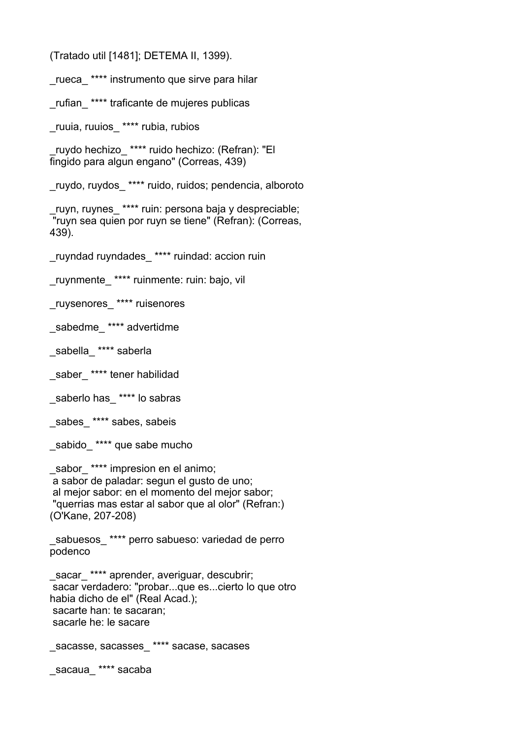(Tratado util [1481]; DETEMA II, 1399).

rueca \*\*\*\* instrumento que sirve para hilar

rufian \*\*\*\* traficante de mujeres publicas

ruuia, ruuios \*\*\*\* rubia, rubios

ruydo hechizo \*\*\*\* ruido hechizo: (Refran): "El fingido para algun engano" (Correas, 439)

\_ruydo, ruydos\_ \*\*\*\* ruido, ruidos; pendencia, alboroto

ruyn, ruynes \*\*\*\* ruin: persona baja y despreciable; "ruyn sea quien por ruyn se tiene" (Refran): (Correas, 439).

\_ruyndad ruyndades\_ \*\*\*\* ruindad: accion ruin

ruynmente \*\*\*\* ruinmente: ruin: bajo, vil

\_ruysenores\_ \*\*\*\* ruisenores

sabedme \*\*\*\* advertidme

sabella \*\*\*\* saberla

saber \*\*\*\* tener habilidad

saberlo has \*\*\*\* lo sabras

sabes \*\*\*\* sabes, sabeis

\_sabido\_ \*\*\*\* que sabe mucho

sabor \*\*\*\* impresion en el animo; a sabor de paladar: segun el gusto de uno; al mejor sabor: en el momento del mejor sabor; "querrias mas estar al sabor que al olor" (Refran:) (O'Kane, 207-208)

sabuesos \*\*\*\* perro sabueso: variedad de perro podenco

sacar \*\*\*\* aprender, averiguar, descubrir; sacar verdadero: "probar...que es...cierto lo que otro habia dicho de el" (Real Acad.); sacarte han: te sacaran: sacarle he: le sacare

\_sacasse, sacasses\_ \*\*\*\* sacase, sacases

\_sacaua\_ \*\*\*\* sacaba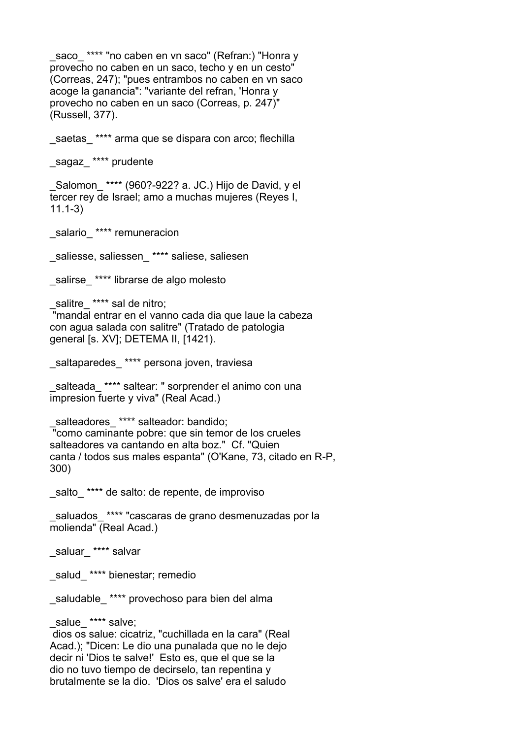saco \*\*\*\* "no caben en vn saco" (Refran:) "Honra y provecho no caben en un saco, techo y en un cesto" (Correas, 247); "pues entrambos no caben en vn saco acoge la ganancia": "variante del refran, 'Honra y provecho no caben en un saco (Correas, p. 247)" (Russell, 377).

\_saetas\_ \*\*\*\* arma que se dispara con arco; flechilla

sagaz \*\*\*\* prudente

Salomon \*\*\*\* (960?-922? a. JC.) Hijo de David, y el tercer rey de Israel; amo a muchas mujeres (Reyes I, 11.1-3)

\_salario\_ \*\*\*\* remuneracion

saliesse, saliessen \*\*\*\* saliese, saliesen

salirse \*\*\*\* librarse de algo molesto

salitre \*\*\*\* sal de nitro;

"mandal entrar en el vanno cada dia que laue la cabeza con agua salada con salitre" (Tratado de patologia general [s. XV]; DETEMA II, [1421).

saltaparedes \*\*\*\* persona joven, traviesa

salteada \*\*\*\* saltear: " sorprender el animo con una impresion fuerte y viva" (Real Acad.)

salteadores \*\*\*\* salteador: bandido; "como caminante pobre: que sin temor de los crueles salteadores va cantando en alta boz." Cf. "Quien canta / todos sus males espanta" (O'Kane, 73, citado en R-P, 300)

\_salto\_ \*\*\*\* de salto: de repente, de improviso

\_saluados\_ \*\*\*\* "cascaras de grano desmenuzadas por la molienda" (Real Acad.)

saluar \*\*\*\* salvar

salud \*\*\*\* bienestar; remedio

saludable \*\*\*\* provechoso para bien del alma

salue \*\*\*\* salve;

dios os salue: cicatriz, "cuchillada en la cara" (Real Acad.); "Dicen: Le dio una punalada que no le dejo decir ni 'Dios te salve!' Esto es, que el que se la dio no tuvo tiempo de decirselo, tan repentina y brutalmente se la dio. 'Dios os salve' era el saludo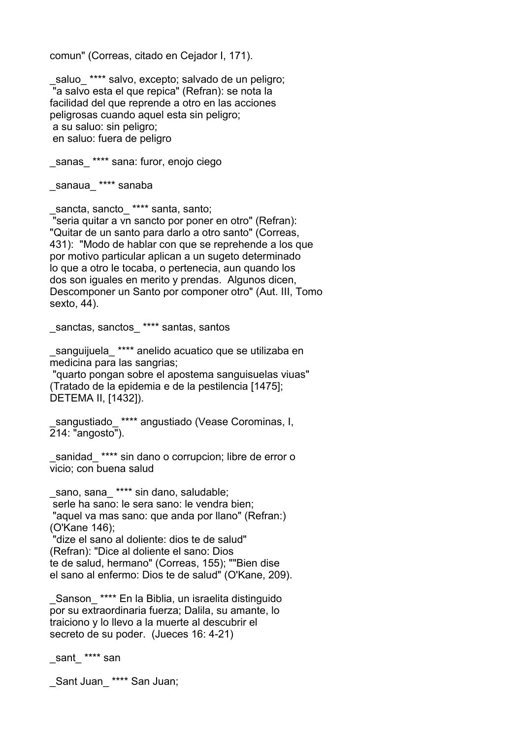comun" (Correas, citado en Cejador I, 171).

saluo \*\*\*\* salvo, excepto; salvado de un peligro; "a salvo esta el que repica" (Refran): se nota la facilidad del que reprende a otro en las acciones peligrosas cuando aquel esta sin peligro; a su saluo: sin peligro; en saluo: fuera de peligro

sanas \*\*\*\* sana: furor, enojo ciego

sanaua \*\*\*\* sanaba

sancta, sancto \*\*\*\* santa, santo;

"seria quitar a vn sancto por poner en otro" (Refran): "Quitar de un santo para darlo a otro santo" (Correas, 431): "Modo de hablar con que se reprehende a los que por motivo particular aplican a un sugeto determinado lo que a otro le tocaba, o pertenecia, aun quando los dos son iguales en merito y prendas. Algunos dicen, Descomponer un Santo por componer otro" (Aut. III, Tomo sexto, 44).

\_sanctas, sanctos\_ \*\*\*\* santas, santos

sanguijuela \*\*\*\* anelido acuatico que se utilizaba en medicina para las sangrias;

"quarto pongan sobre el apostema sanguisuelas viuas" (Tratado de la epidemia e de la pestilencia [1475]; DETEMA II, [1432]).

sangustiado \*\*\*\* angustiado (Vease Corominas, I, 214: "angosto").

sanidad \*\*\*\* sin dano o corrupcion; libre de error o vicio; con buena salud

\_sano, sana\_ \*\*\*\* sin dano, saludable; serle ha sano: le sera sano: le vendra bien; "aquel va mas sano: que anda por llano" (Refran:) (O'Kane 146); "dize el sano al doliente: dios te de salud" (Refran): "Dice al doliente el sano: Dios te de salud, hermano" (Correas, 155); ""Bien dise

el sano al enfermo: Dios te de salud" (O'Kane, 209).

Sanson \*\*\*\* En la Biblia, un israelita distinguido por su extraordinaria fuerza; Dalila, su amante, lo traiciono y lo llevo a la muerte al descubrir el secreto de su poder. (Jueces 16: 4-21)

sant \*\*\*\* san

Sant Juan \*\*\*\* San Juan;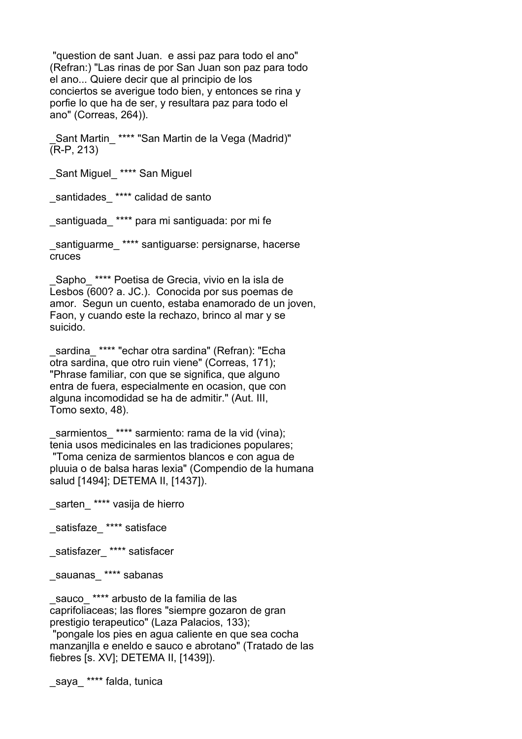"question de sant Juan. e assi paz para todo el ano" (Refran:) "Las rinas de por San Juan son paz para todo el ano... Quiere decir que al principio de los conciertos se averigue todo bien, y entonces se rina y porfie lo que ha de ser, y resultara paz para todo el ano" (Correas, 264)).

\_Sant Martin\_ \*\*\*\* "San Martin de la Vega (Madrid)" (R-P, 213)

Sant Miguel \*\*\*\* San Miguel

santidades \*\*\*\* calidad de santo

santiguada \*\*\*\* para mi santiguada: por mi fe

santiguarme \*\*\*\* santiguarse: persignarse, hacerse cruces

Sapho \*\*\*\* Poetisa de Grecia, vivio en la isla de Lesbos (600? a. JC.). Conocida por sus poemas de amor. Segun un cuento, estaba enamorado de un joven, Faon, y cuando este la rechazo, brinco al mar y se suicido.

sardina \*\*\*\* "echar otra sardina" (Refran): "Echa otra sardina, que otro ruin viene" (Correas, 171); "Phrase familiar, con que se significa, que alguno entra de fuera, especialmente en ocasion, que con alguna incomodidad se ha de admitir." (Aut. III, Tomo sexto, 48).

sarmientos \*\*\*\* sarmiento: rama de la vid (vina); tenia usos medicinales en las tradiciones populares; "Toma ceniza de sarmientos blancos e con agua de pluuia o de balsa haras lexia" (Compendio de la humana salud [1494]; DETEMA II, [1437]).

sarten \*\*\*\* vasija de hierro

satisfaze \*\*\*\* satisface

satisfazer \*\*\*\* satisfacer

sauanas \*\*\*\* sabanas

sauco \*\*\*\* arbusto de la familia de las caprifoliaceas; las flores "siempre gozaron de gran prestigio terapeutico" (Laza Palacios, 133);

"pongale los pies en agua caliente en que sea cocha manzanjlla e eneldo e sauco e abrotano" (Tratado de las fiebres [s. XV]; DETEMA II, [1439]).

saya \*\*\*\* falda, tunica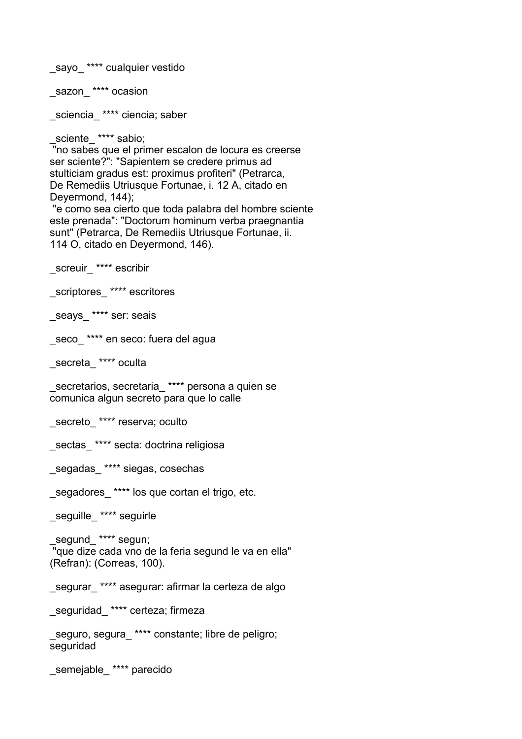\_sayo\_ \*\*\*\* cualquier vestido sazon \*\*\*\* ocasion \_sciencia\_ \*\*\*\* ciencia; saber \_sciente\_ \*\*\*\* sabio; "no sabes que el primer escalon de locura es creerse ser sciente?": "Sapientem se credere primus ad stulticiam gradus est: proximus profiteri" (Petrarca, De Remediis Utriusque Fortunae, i. 12 A, citado en Deyermond, 144); "e como sea cierto que toda palabra del hombre sciente este prenada": "Doctorum hominum verba praegnantia sunt" (Petrarca, De Remediis Utriusque Fortunae, ii. 114 O, citado en Deyermond, 146). \_screuir\_ \*\*\*\* escribir \_scriptores\_ \*\*\*\* escritores \_seays\_ \*\*\*\* ser: seais \_seco\_ \*\*\*\* en seco: fuera del agua secreta \*\*\*\* oculta \_secretarios, secretaria\_ \*\*\*\* persona a quien se comunica algun secreto para que lo calle secreto \*\*\*\* reserva; oculto \_sectas\_ \*\*\*\* secta: doctrina religiosa \_segadas\_ \*\*\*\* siegas, cosechas \_segadores\_ \*\*\*\* los que cortan el trigo, etc. seguille \*\*\*\* seguirle segund \*\*\*\* segun; "que dize cada vno de la feria segund le va en ella" (Refran): (Correas, 100). \_segurar\_ \*\*\*\* asegurar: afirmar la certeza de algo seguridad \*\*\*\* certeza; firmeza \_seguro, segura\_ \*\*\*\* constante; libre de peligro; seguridad \_semejable\_ \*\*\*\* parecido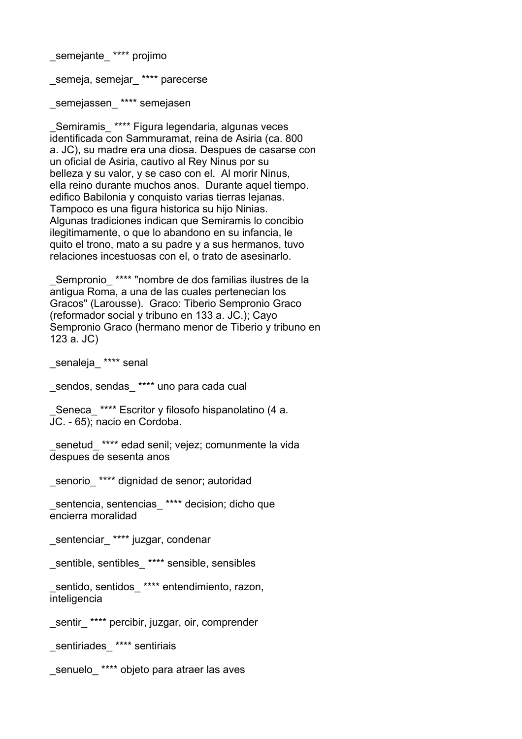semejante \*\*\*\* projimo \_semeja, semejar\_ \*\*\*\* parecerse semejassen \*\*\*\* semejasen

Semiramis \*\*\*\* Figura legendaria, algunas veces identificada con Sammuramat, reina de Asiria (ca. 800 a. JC), su madre era una diosa. Despues de casarse con un oficial de Asiria, cautivo al Rey Ninus por su belleza y su valor, y se caso con el. Al morir Ninus, ella reino durante muchos anos. Durante aquel tiempo. edifico Babilonia y conquisto varias tierras leianas. Tampoco es una figura historica su hijo Ninias. Algunas tradiciones indican que Semiramis lo concibio ilegitimamente, o que lo abandono en su infancia, le quito el trono, mato a su padre y a sus hermanos, tuvo relaciones incestuosas con el, o trato de asesinarlo.

\_Sempronio\_ \*\*\*\* "nombre de dos familias ilustres de la antigua Roma, a una de las cuales pertenecian los Gracos" (Larousse). Graco: Tiberio Sempronio Graco (reformador social y tribuno en 133 a. JC.); Cayo Sempronio Graco (hermano menor de Tiberio y tribuno en 123 a. JC)

senaleja \*\*\*\* senal

\_sendos, sendas\_ \*\*\*\* uno para cada cual

Seneca \*\*\*\* Escritor y filosofo hispanolatino (4 a. JC. - 65); nacio en Cordoba.

senetud \*\*\*\* edad senil; vejez; comunmente la vida despues de sesenta anos

senorio \*\*\*\* dignidad de senor; autoridad

sentencia, sentencias \*\*\*\* decision; dicho que encierra moralidad

sentenciar \*\*\*\* juzgar, condenar

sentible, sentibles \*\*\*\* sensible, sensibles

sentido, sentidos \*\*\*\* entendimiento, razon, inteligencia

sentir \*\*\*\* percibir, juzgar, oir, comprender

sentiriades \*\*\*\* sentiriais

senuelo \*\*\*\* objeto para atraer las aves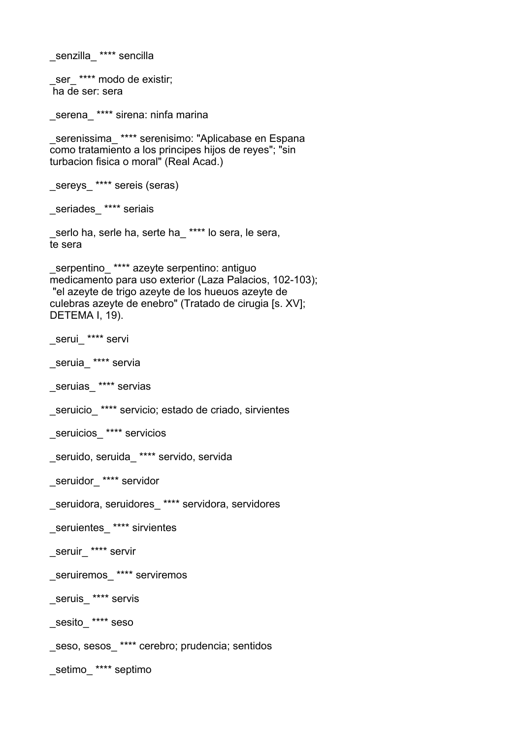senzilla \*\*\*\* sencilla ser \*\*\*\* modo de existir; ha de ser: sera \_serena\_ \*\*\*\* sirena: ninfa marina \_serenissima\_ \*\*\*\* serenisimo: "Aplicabase en Espana como tratamiento a los principes hijos de reyes"; "sin turbacion fisica o moral" (Real Acad.) \_sereys\_ \*\*\*\* sereis (seras) seriades \*\*\*\* seriais \_serlo ha, serle ha, serte ha\_ \*\*\*\* lo sera, le sera, te sera \_serpentino\_ \*\*\*\* azeyte serpentino: antiguo medicamento para uso exterior (Laza Palacios, 102-103); "el azeyte de trigo azeyte de los hueuos azeyte de culebras azeyte de enebro" (Tratado de cirugia [s. XV]; DETEMA I, 19). \_serui\_ \*\*\*\* servi seruia \*\*\*\* servia \_seruias\_ \*\*\*\* servias seruicio \*\*\*\* servicio; estado de criado, sirvientes \_seruicios\_ \*\*\*\* servicios seruido, seruida \*\*\*\* servido, servida seruidor \*\*\*\* servidor seruidora, seruidores \*\*\*\* servidora, servidores \_seruientes\_ \*\*\*\* sirvientes seruir \*\*\*\* servir seruiremos \*\*\*\* serviremos seruis \*\*\*\* servis sesito \*\*\*\* seso \_seso, sesos\_ \*\*\*\* cerebro; prudencia; sentidos setimo\_\*\*\*\* septimo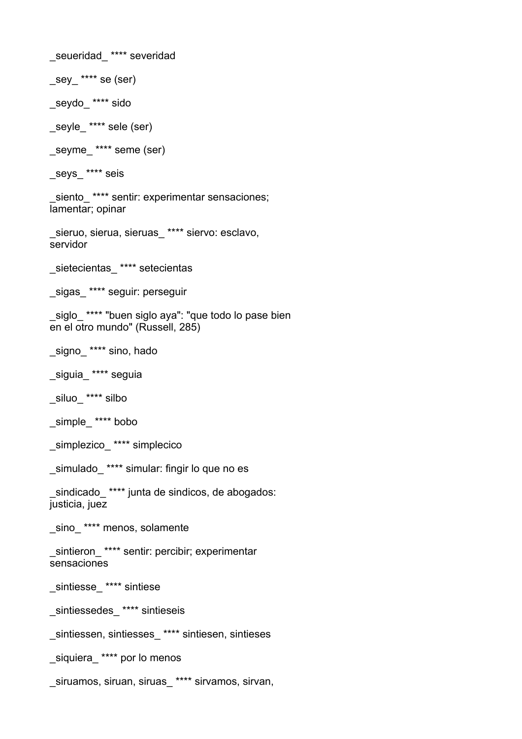```
_seueridad_ **** severidad
_sey_ **** se (ser)
seydo **** sido
seyle **** sele (ser)
_seyme_ **** seme (ser)
seys **** seis
siento **** sentir: experimentar sensaciones;
lamentar; opinar
_sieruo, sierua, sieruas_ **** siervo: esclavo,
servidor
_sietecientas_ **** setecientas
_sigas_ **** seguir: perseguir
_siglo_ **** "buen siglo aya": "que todo lo pase bien
en el otro mundo" (Russell, 285)
signo **** sino, hado
_siguia_ **** seguia
siluo **** silbo
simple **** bobo
_simplezico_ **** simplecico
_simulado_ **** simular: fingir lo que no es
_sindicado_ **** junta de sindicos, de abogados:
justicia, juez
_sino_ **** menos, solamente
sintieron **** sentir: percibir; experimentar
sensaciones
_sintiesse_ **** sintiese
sintiessedes **** sintieseis
sintiessen, sintiesses **** sintiesen, sintieses
siquiera **** por lo menos
_siruamos, siruan, siruas_ **** sirvamos, sirvan,
```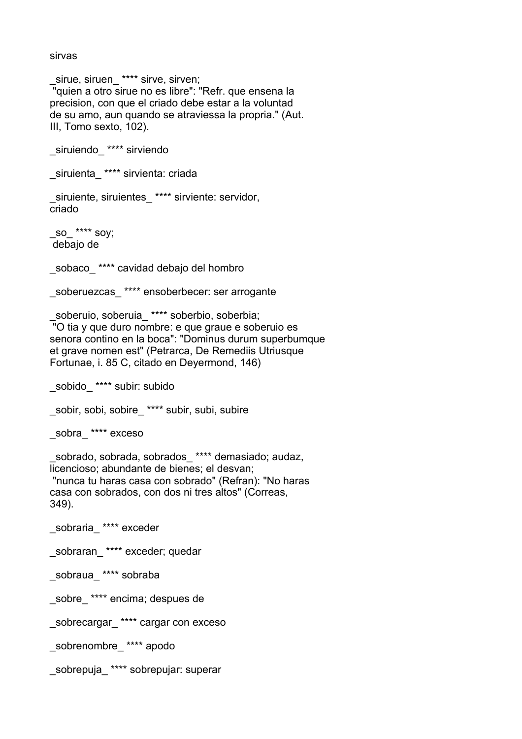sirvas

sirue, siruen\_\*\*\*\* sirve, sirven; "quien a otro sirue no es libre": "Refr. que ensena la precision, con que el criado debe estar a la voluntad de su amo, aun quando se atraviessa la propria." (Aut. III, Tomo sexto, 102).

siruiendo \*\*\*\* sirviendo

siruienta \*\*\*\* sirvienta: criada

siruiente, siruientes \*\*\*\* sirviente: servidor, criado

\_so\_ \*\*\*\* soy; debajo de

\_sobaco\_ \*\*\*\* cavidad debajo del hombro

\_soberuezcas\_ \*\*\*\* ensoberbecer: ser arrogante

\_soberuio, soberuia\_ \*\*\*\* soberbio, soberbia; "O tia y que duro nombre: e que graue e soberuio es senora contino en la boca": "Dominus durum superbumque et grave nomen est" (Petrarca, De Remediis Utriusque Fortunae, i. 85 C, citado en Deyermond, 146)

\_sobido\_ \*\*\*\* subir: subido

sobir, sobi, sobire \*\*\*\* subir, subi, subire

\_sobra\_ \*\*\*\* exceso

sobrado, sobrada, sobrados \*\*\*\* demasiado; audaz, licencioso; abundante de bienes; el desvan; "nunca tu haras casa con sobrado" (Refran): "No haras casa con sobrados, con dos ni tres altos" (Correas, 349).

sobraria \*\*\*\* exceder

sobraran \*\*\*\* exceder; quedar

sobraua \*\*\*\* sobraba

sobre \*\*\*\* encima; despues de

\_sobrecargar\_ \*\*\*\* cargar con exceso

\_sobrenombre\_ \*\*\*\* apodo

\_sobrepuja\_ \*\*\*\* sobrepujar: superar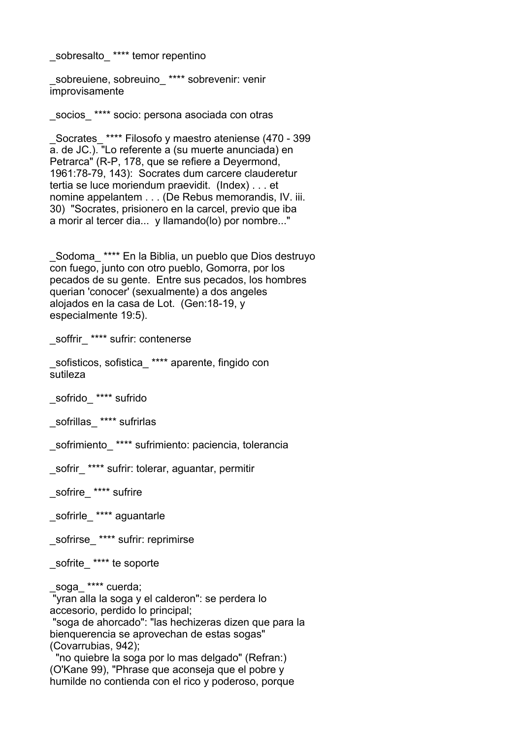sobresalto \*\*\*\* temor repentino

sobreuiene, sobreuino \*\*\*\* sobrevenir: venir improvisamente

socios \*\*\*\* socio: persona asociada con otras

\_Socrates\_ \*\*\*\* Filosofo y maestro ateniense (470 - 399 a. de JC.). "Lo referente a (su muerte anunciada) en Petrarca" (R-P, 178, que se refiere a Deyermond, 1961:78-79, 143): Socrates dum carcere clauderetur tertia se luce moriendum praevidit. (Index) . . . et nomine appelantem . . . (De Rebus memorandis, IV. iii. 30) "Socrates, prisionero en la carcel, previo que iba a morir al tercer dia... y llamando(lo) por nombre..."

\_Sodoma\_ \*\*\*\* En la Biblia, un pueblo que Dios destruyo con fuego, junto con otro pueblo, Gomorra, por los pecados de su gente. Entre sus pecados, los hombres querian 'conocer' (sexualmente) a dos angeles alojados en la casa de Lot. (Gen:18-19, y especialmente 19:5).

soffrir\_ \*\*\*\* sufrir: contenerse

sofisticos, sofistica \*\*\*\* aparente, fingido con sutileza

sofrido \*\*\*\* sufrido

sofrillas \*\*\*\* sufrirlas

sofrimiento \*\*\*\* sufrimiento: paciencia, tolerancia

sofrir \*\*\*\* sufrir: tolerar, aguantar, permitir

\_sofrire\_ \*\*\*\* sufrire

sofrirle \*\*\*\* aguantarle

sofrirse \*\*\*\* sufrir: reprimirse

sofrite \*\*\*\* te soporte

soga \*\*\*\* cuerda;

"yran alla la soga y el calderon": se perdera lo accesorio, perdido lo principal;

"soga de ahorcado": "las hechizeras dizen que para la bienquerencia se aprovechan de estas sogas" (Covarrubias, 942);

 "no quiebre la soga por lo mas delgado" (Refran:) (O'Kane 99), "Phrase que aconseja que el pobre y humilde no contienda con el rico y poderoso, porque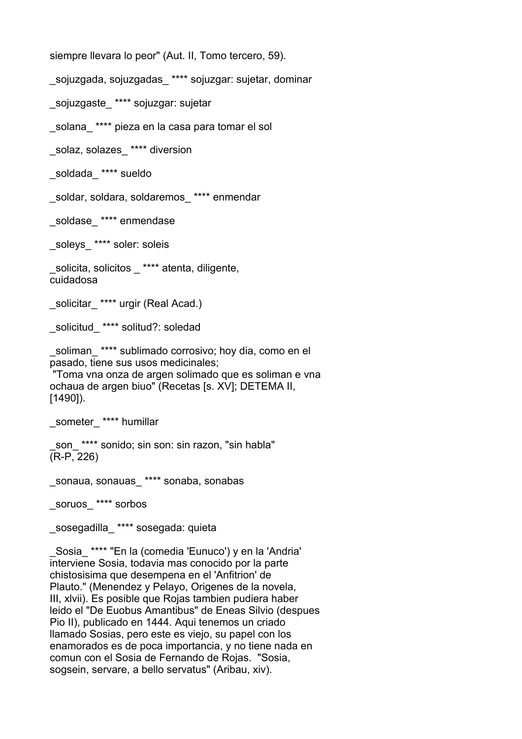siempre llevara lo peor" (Aut. II, Tomo tercero, 59).

sojuzgada, sojuzgadas \*\*\*\* sojuzgar: sujetar, dominar

sojuzgaste \*\*\*\* sojuzgar: sujetar

solana \*\*\*\* pieza en la casa para tomar el sol

solaz, solazes \*\*\*\* diversion

\_soldada\_ \*\*\*\* sueldo

soldar, soldara, soldaremos \*\*\*\* enmendar

soldase \*\*\*\* enmendase

soleys \*\*\*\* soler: soleis

solicita, solicitos \*\*\*\* atenta, diligente, cuidadosa

solicitar \*\*\*\* urgir (Real Acad.)

\_solicitud\_ \*\*\*\* solitud?: soledad

soliman \*\*\*\* sublimado corrosivo; hoy dia, como en el pasado, tiene sus usos medicinales;

"Toma vna onza de argen solimado que es soliman e vna ochaua de argen biuo" (Recetas [s. XV]; DETEMA II, [1490]).

someter \*\*\*\* humillar

son \*\*\*\* sonido; sin son: sin razon, "sin habla" (R-P, 226)

sonaua, sonauas \*\*\*\* sonaba, sonabas

soruos \*\*\*\* sorbos

sosegadilla \*\*\*\* sosegada: quieta

Sosia \*\*\*\* "En la (comedia 'Eunuco') y en la 'Andria' interviene Sosia, todavia mas conocido por la parte chistosisima que desempena en el 'Anfitrion' de Plauto." (Menendez y Pelayo, Origenes de la novela, III, xlvii). Es posible que Rojas tambien pudiera haber leido el "De Euobus Amantibus" de Eneas Silvio (despues Pio II), publicado en 1444. Aqui tenemos un criado llamado Sosias, pero este es viejo, su papel con los enamorados es de poca importancia, y no tiene nada en comun con el Sosia de Fernando de Rojas. "Sosia, sogsein, servare, a bello servatus" (Aribau, xiv).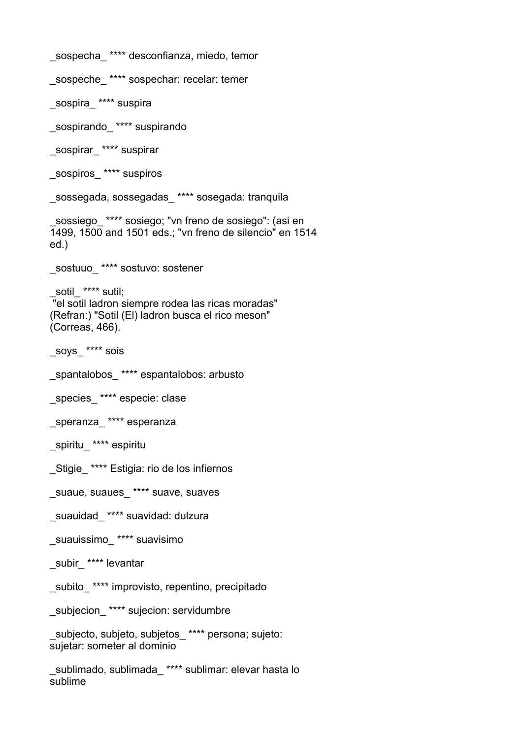\_sospecha\_ \*\*\*\* desconfianza, miedo, temor \_sospeche\_ \*\*\*\* sospechar: recelar: temer \_sospira\_ \*\*\*\* suspira \_sospirando\_ \*\*\*\* suspirando sospirar \*\*\*\* suspirar sospiros \*\*\*\* suspiros \_sossegada, sossegadas\_ \*\*\*\* sosegada: tranquila sossiego \*\*\*\* sosiego; "vn freno de sosiego": (asi en 1499, 1500 and 1501 eds.; "vn freno de silencio" en 1514 ed.) \_sostuuo\_ \*\*\*\* sostuvo: sostener sotil \*\*\*\* sutil; "el sotil ladron siempre rodea las ricas moradas" (Refran:) "Sotil (El) ladron busca el rico meson" (Correas, 466). soys \*\*\*\* sois \_spantalobos\_ \*\*\*\* espantalobos: arbusto species \*\*\*\* especie: clase speranza \*\*\*\* esperanza \_spiritu\_ \*\*\*\* espiritu Stigie \*\*\*\* Estigia: rio de los infiernos \_suaue, suaues\_ \*\*\*\* suave, suaves suauidad \*\*\*\* suavidad: dulzura suauissimo \*\*\*\* suavisimo subir \*\*\*\* levantar \_subito\_ \*\*\*\* improvisto, repentino, precipitado subjecion \*\*\*\* sujecion: servidumbre \_subjecto, subjeto, subjetos\_ \*\*\*\* persona; sujeto: sujetar: someter al dominio

\_sublimado, sublimada\_ \*\*\*\* sublimar: elevar hasta lo sublime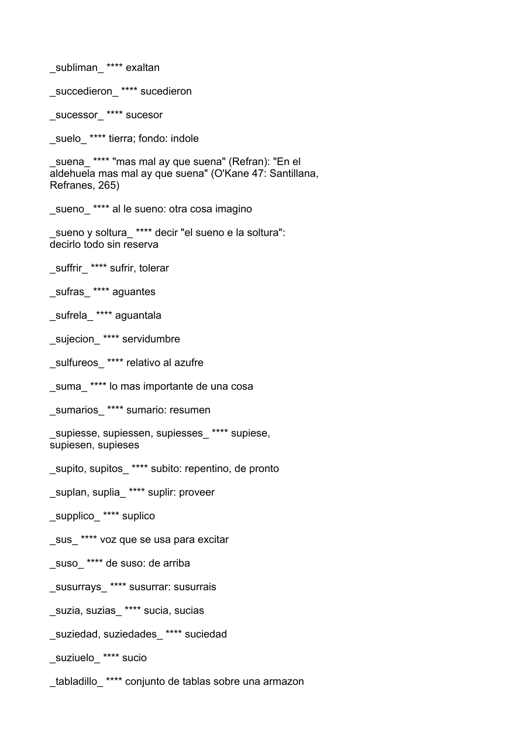subliman \*\*\*\* exaltan

succedieron \*\*\*\* sucedieron

sucessor \*\*\*\* sucesor

\_suelo\_ \*\*\*\* tierra; fondo: indole

suena \*\*\*\* "mas mal ay que suena" (Refran): "En el aldehuela mas mal ay que suena" (O'Kane 47: Santillana, Refranes, 265)

sueno \*\*\*\* al le sueno: otra cosa imagino

sueno y soltura \*\*\*\* decir "el sueno e la soltura": decirlo todo sin reserva

\_suffrir\_ \*\*\*\* sufrir, tolerar

\_sufras\_ \*\*\*\* aguantes

\_sufrela\_ \*\*\*\* aguantala

\_sujecion\_ \*\*\*\* servidumbre

sulfureos \*\*\*\* relativo al azufre

\_suma\_ \*\*\*\* lo mas importante de una cosa

sumarios \*\*\*\* sumario: resumen

\_supiesse, supiessen, supiesses\_ \*\*\*\* supiese, supiesen, supieses

\_supito, supitos\_ \*\*\*\* subito: repentino, de pronto

\_suplan, suplia\_ \*\*\*\* suplir: proveer

\_supplico\_ \*\*\*\* suplico

\_sus\_ \*\*\*\* voz que se usa para excitar

suso \*\*\*\* de suso: de arriba

\_susurrays\_ \*\*\*\* susurrar: susurrais

\_suzia, suzias\_ \*\*\*\* sucia, sucias

suziedad, suziedades \*\*\*\* suciedad

suziuelo \*\*\*\* sucio

tabladillo \*\*\*\* conjunto de tablas sobre una armazon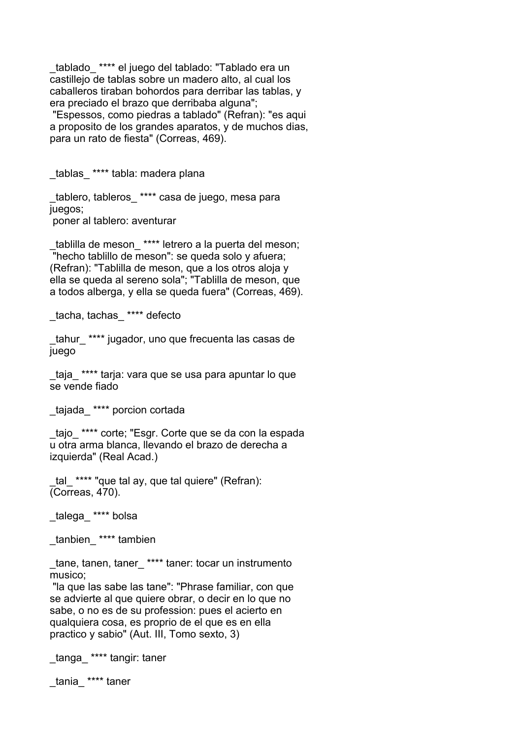tablado \*\*\*\* el juego del tablado: "Tablado era un castillejo de tablas sobre un madero alto, al cual los caballeros tiraban bohordos para derribar las tablas, y era preciado el brazo que derribaba alguna";

"Espessos, como piedras a tablado" (Refran): "es aqui a proposito de los grandes aparatos, y de muchos dias, para un rato de fiesta" (Correas, 469).

tablas \*\*\*\* tabla: madera plana

tablero, tableros \*\*\*\* casa de juego, mesa para juegos:

poner al tablero: aventurar

tablilla de meson\_\*\*\*\* letrero a la puerta del meson; "hecho tablillo de meson": se queda solo y afuera; (Refran): "Tablilla de meson, que a los otros aloja y ella se queda al sereno sola"; "Tablilla de meson, que a todos alberga, y ella se queda fuera" (Correas, 469).

\_tacha, tachas\_ \*\*\*\* defecto

tahur \*\*\*\* jugador, uno que frecuenta las casas de juego

taja \*\*\*\* tarja: vara que se usa para apuntar lo que se vende fiado

```
tajada **** porcion cortada
```
tajo \*\*\*\* corte; "Esgr. Corte que se da con la espada u otra arma blanca, llevando el brazo de derecha a izquierda" (Real Acad.)

tal \*\*\*\* "que tal ay, que tal quiere" (Refran): (Correas, 470).

talega \*\*\*\* bolsa

tanbien \*\*\*\* tambien

tane, tanen, taner \*\*\*\* taner: tocar un instrumento musico;

"la que las sabe las tane": "Phrase familiar, con que se advierte al que quiere obrar, o decir en lo que no sabe, o no es de su profession: pues el acierto en qualquiera cosa, es proprio de el que es en ella practico y sabio" (Aut. III, Tomo sexto, 3)

tanga \*\*\*\* tangir: taner

tania \*\*\*\* taner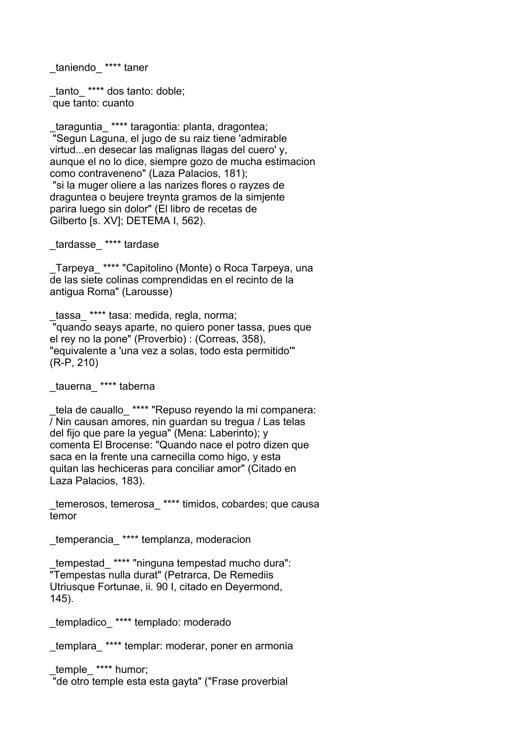taniendo \*\*\*\* taner

tanto \*\*\*\* dos tanto: doble; que tanto: cuanto

taraguntia \*\*\*\* taragontia: planta, dragontea; "Segun Laguna, el jugo de su raiz tiene 'admirable virtud...en desecar las malignas llagas del cuero' y, aunque el no lo dice, siempre gozo de mucha estimacion como contraveneno" (Laza Palacios, 181); "si la muger oliere a las narizes flores o rayzes de draguntea o beujere treynta gramos de la simjente parira luego sin dolor" (El libro de recetas de Gilberto [s. XV]; DETEMA I, 562).

\_tardasse\_ \*\*\*\* tardase

\_Tarpeya\_ \*\*\*\* "Capitolino (Monte) o Roca Tarpeya, una de las siete colinas comprendidas en el recinto de la antigua Roma" (Larousse)

\_tassa\_ \*\*\*\* tasa: medida, regla, norma; "quando seays aparte, no quiero poner tassa, pues que el rey no la pone" (Proverbio) : (Correas, 358), "equivalente a 'una vez a solas, todo esta permitido'" (R-P, 210)

\_tauerna\_ \*\*\*\* taberna

tela de cauallo \*\*\*\* "Repuso revendo la mi companera: / Nin causan amores, nin guardan su tregua / Las telas del fijo que pare la yegua" (Mena: Laberinto); y comenta El Brocense: "Quando nace el potro dizen que saca en la frente una carnecilla como higo, y esta quitan las hechiceras para conciliar amor" (Citado en Laza Palacios, 183).

temerosos, temerosa \*\*\*\* timidos, cobardes; que causa temor

\_temperancia\_ \*\*\*\* templanza, moderacion

\_tempestad\_ \*\*\*\* "ninguna tempestad mucho dura": "Tempestas nulla durat" (Petrarca, De Remediis Utriusque Fortunae, ii. 90 I, citado en Deyermond, 145).

\_templadico\_ \*\*\*\* templado: moderado

templara \*\*\*\* templar: moderar, poner en armonia

temple \*\*\*\* humor; "de otro temple esta esta gayta" ("Frase proverbial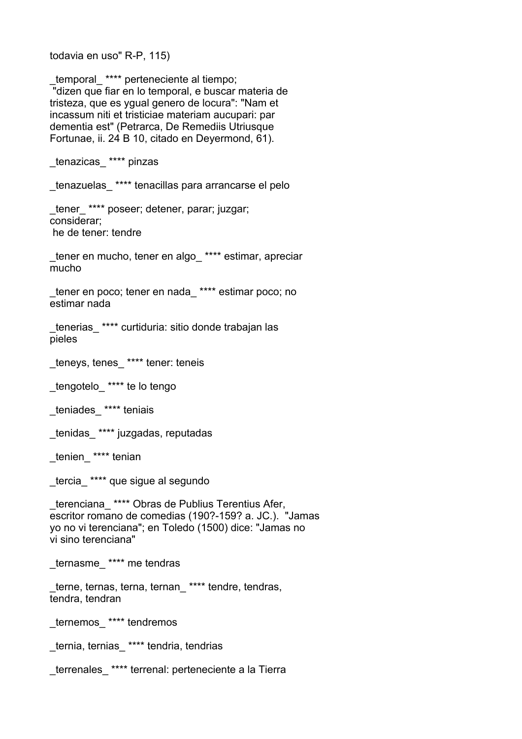todavia en uso" R-P, 115)

temporal \*\*\*\* perteneciente al tiempo; "dizen que fiar en lo temporal, e buscar materia de tristeza, que es ygual genero de locura": "Nam et incassum niti et tristiciae materiam aucupari: par dementia est" (Petrarca, De Remediis Utriusque Fortunae, ii. 24 B 10, citado en Deyermond, 61).

\_tenazicas\_ \*\*\*\* pinzas

tenazuelas \*\*\*\* tenacillas para arrancarse el pelo

\_tener\_ \*\*\*\* poseer; detener, parar; juzgar; considerar; he de tener: tendre

\_tener en mucho, tener en algo\_ \*\*\*\* estimar, apreciar mucho

tener en poco; tener en nada<sup>+\*\*\*</sup> estimar poco; no estimar nada

tenerias \*\*\*\* curtiduria: sitio donde trabajan las pieles

teneys, tenes \*\*\*\* tener: teneis

\_tengotelo\_ \*\*\*\* te lo tengo

teniades \*\*\*\* teniais

tenidas\_ \*\*\*\* juzgadas, reputadas

tenien \*\*\*\* tenian

tercia \*\*\*\* que sigue al segundo

terenciana \*\*\*\* Obras de Publius Terentius Afer, escritor romano de comedias (190?-159? a. JC.). "Jamas yo no vi terenciana"; en Toledo (1500) dice: "Jamas no vi sino terenciana"

ternasme \*\*\*\* me tendras

\_terne, ternas, terna, ternan\_ \*\*\*\* tendre, tendras, tendra, tendran

ternemos \*\*\*\* tendremos

\_ternia, ternias\_ \*\*\*\* tendria, tendrias

\_terrenales\_ \*\*\*\* terrenal: perteneciente a la Tierra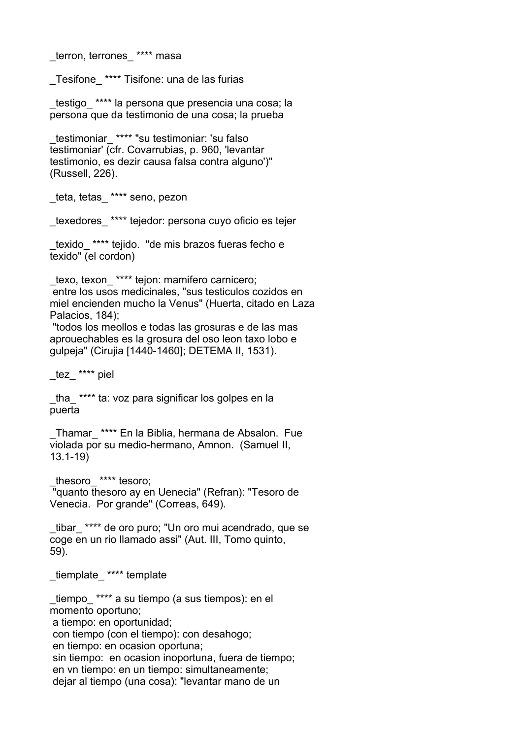terron, terrones \*\*\*\* masa

Tesifone \*\*\*\* Tisifone: una de las furias

testigo \*\*\*\* la persona que presencia una cosa; la persona que da testimonio de una cosa; la prueba

\_testimoniar\_ \*\*\*\* "su testimoniar: 'su falso testimoniar' (cfr. Covarrubias, p. 960, 'levantar testimonio, es dezir causa falsa contra alguno')" (Russell, 226).

teta, tetas \*\*\*\* seno, pezon

\_texedores\_ \*\*\*\* tejedor: persona cuyo oficio es tejer

texido \*\*\*\* tejido. "de mis brazos fueras fecho e texido" (el cordon)

\_texo, texon\_ \*\*\*\* tejon: mamifero carnicero; entre los usos medicinales, "sus testiculos cozidos en miel encienden mucho la Venus" (Huerta, citado en Laza Palacios, 184);

"todos los meollos e todas las grosuras e de las mas aprouechables es la grosura del oso leon taxo lobo e gulpeja" (Cirujia [1440-1460]; DETEMA II, 1531).

\_tez\_ \*\*\*\* piel

tha \*\*\*\* ta: voz para significar los golpes en la puerta

Thamar \*\*\*\* En la Biblia, hermana de Absalon. Fue violada por su medio-hermano, Amnon. (Samuel II, 13.1-19)

thesoro \*\*\*\* tesoro;

"quanto thesoro ay en Uenecia" (Refran): "Tesoro de Venecia. Por grande" (Correas, 649).

tibar \*\*\*\* de oro puro; "Un oro mui acendrado, que se coge en un rio llamado assi" (Aut. III, Tomo quinto, 59).

tiemplate \*\*\*\* template

tiempo \*\*\*\* a su tiempo (a sus tiempos): en el momento oportuno; a tiempo: en oportunidad; con tiempo (con el tiempo): con desahogo; en tiempo: en ocasion oportuna; sin tiempo: en ocasion inoportuna, fuera de tiempo; en vn tiempo: en un tiempo: simultaneamente;

dejar al tiempo (una cosa): "levantar mano de un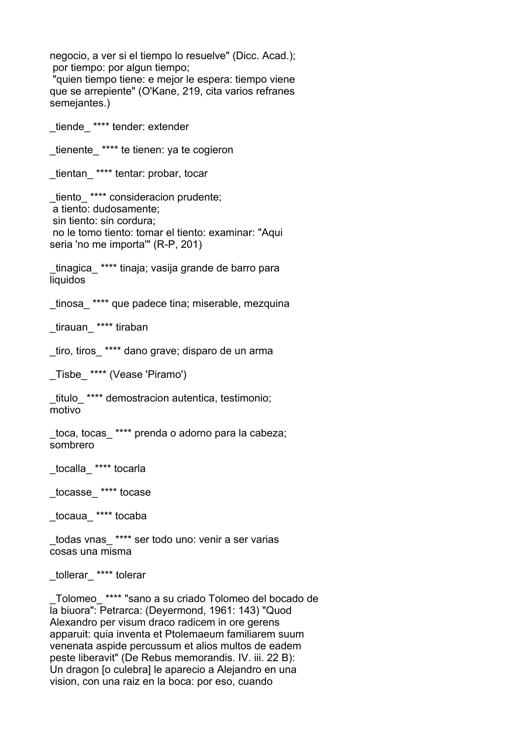negocio, a ver si el tiempo lo resuelve" (Dicc. Acad.); por tiempo: por algun tiempo;

"quien tiempo tiene: e mejor le espera: tiempo viene que se arrepiente" (O'Kane, 219, cita varios refranes semejantes.)

tiende \*\*\*\* tender: extender

tienente \*\*\*\* te tienen: ya te cogieron

tientan \*\*\*\* tentar: probar, tocar

tiento \*\*\*\* consideracion prudente; a tiento: dudosamente; sin tiento: sin cordura; no le tomo tiento: tomar el tiento: examinar: "Aqui seria 'no me importa'" (R-P, 201)

tinagica \*\*\*\* tinaja; vasija grande de barro para liquidos

tinosa \*\*\*\* que padece tina; miserable, mezquina

tirauan \*\*\*\* tiraban

tiro, tiros \*\*\*\* dano grave; disparo de un arma

Tisbe \*\*\*\* (Vease 'Piramo')

titulo \*\*\*\* demostracion autentica, testimonio; motivo

toca, tocas\_\*\*\*\* prenda o adorno para la cabeza; sombrero

\_tocalla\_ \*\*\*\* tocarla

\_tocasse\_ \*\*\*\* tocase

\_tocaua\_ \*\*\*\* tocaba

todas vnas \*\*\*\* ser todo uno: venir a ser varias cosas una misma

\_tollerar\_ \*\*\*\* tolerar

\_Tolomeo\_ \*\*\*\* "sano a su criado Tolomeo del bocado de la biuora": Petrarca: (Deyermond, 1961: 143) "Quod Alexandro per visum draco radicem in ore gerens apparuit: quia inventa et Ptolemaeum familiarem suum venenata aspide percussum et alios multos de eadem peste liberavit" (De Rebus memorandis. IV. iii. 22 B): Un dragon [o culebra] le aparecio a Alejandro en una vision, con una raiz en la boca: por eso, cuando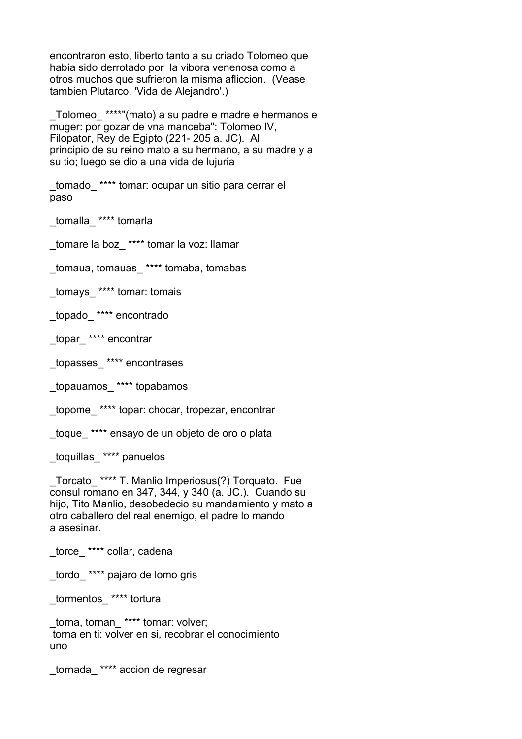encontraron esto, liberto tanto a su criado Tolomeo que habia sido derrotado por la vibora venenosa como a otros muchos que sufrieron la misma afliccion. (Vease tambien Plutarco, 'Vida de Alejandro'.)

\_Tolomeo\_ \*\*\*\*"(mato) a su padre e madre e hermanos e muger: por gozar de vna manceba": Tolomeo IV, Filopator, Rey de Egipto (221- 205 a. JC). Al principio de su reino mato a su hermano, a su madre y a su tio; luego se dio a una vida de lujuria

tomado \*\*\*\* tomar: ocupar un sitio para cerrar el paso

\_tomalla\_ \*\*\*\* tomarla

\_tomare la boz\_ \*\*\*\* tomar la voz: llamar

\_tomaua, tomauas\_ \*\*\*\* tomaba, tomabas

tomays \*\*\*\* tomar: tomais

\_topado\_ \*\*\*\* encontrado

\_topar\_ \*\*\*\* encontrar

\_topasses\_ \*\*\*\* encontrases

\_topauamos\_ \*\*\*\* topabamos

\_topome\_ \*\*\*\* topar: chocar, tropezar, encontrar

\_toque\_ \*\*\*\* ensayo de un objeto de oro o plata

toquillas \*\*\*\* panuelos

Torcato \*\*\*\* T. Manlio Imperiosus(?) Torquato. Fue consul romano en 347, 344, y 340 (a. JC.). Cuando su hijo, Tito Manlio, desobedecio su mandamiento y mato a otro caballero del real enemigo, el padre lo mando a asesinar.

\_torce\_ \*\*\*\* collar, cadena

tordo \*\*\*\* pajaro de lomo gris

tormentos \*\*\*\* tortura

torna, tornan \*\*\*\* tornar: volver; torna en ti: volver en si, recobrar el conocimiento uno

\_tornada\_ \*\*\*\* accion de regresar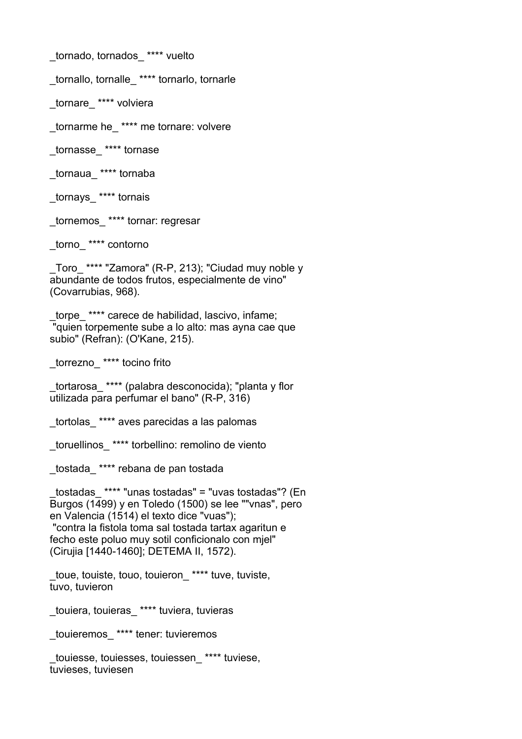\_tornado, tornados\_ \*\*\*\* vuelto

\_tornallo, tornalle\_ \*\*\*\* tornarlo, tornarle

tornare \*\*\*\* volviera

tornarme he \*\*\*\* me tornare: volvere

\_tornasse\_ \*\*\*\* tornase

\_tornaua\_ \*\*\*\* tornaba

tornays \*\*\*\* tornais

\_tornemos\_ \*\*\*\* tornar: regresar

\_torno\_ \*\*\*\* contorno

\_Toro\_ \*\*\*\* "Zamora" (R-P, 213); "Ciudad muy noble y abundante de todos frutos, especialmente de vino" (Covarrubias, 968).

torpe \*\*\*\* carece de habilidad, lascivo, infame; "quien torpemente sube a lo alto: mas ayna cae que subio" (Refran): (O'Kane, 215).

\_torrezno\_ \*\*\*\* tocino frito

\_tortarosa\_ \*\*\*\* (palabra desconocida); "planta y flor utilizada para perfumar el bano" (R-P, 316)

\_tortolas\_ \*\*\*\* aves parecidas a las palomas

\_toruellinos\_ \*\*\*\* torbellino: remolino de viento

\_tostada\_ \*\*\*\* rebana de pan tostada

\_tostadas\_ \*\*\*\* "unas tostadas" = "uvas tostadas"? (En Burgos (1499) y en Toledo (1500) se lee ""vnas", pero en Valencia (1514) el texto dice "vuas"); "contra la fistola toma sal tostada tartax agaritun e fecho este poluo muy sotil conficionalo con mjel" (Cirujia [1440-1460]; DETEMA II, 1572).

toue, touiste, touo, touieron \*\*\*\* tuve, tuviste, tuvo, tuvieron

\_touiera, touieras\_ \*\*\*\* tuviera, tuvieras

touieremos \*\*\*\* tener: tuvieremos

\_touiesse, touiesses, touiessen\_ \*\*\*\* tuviese, tuvieses, tuviesen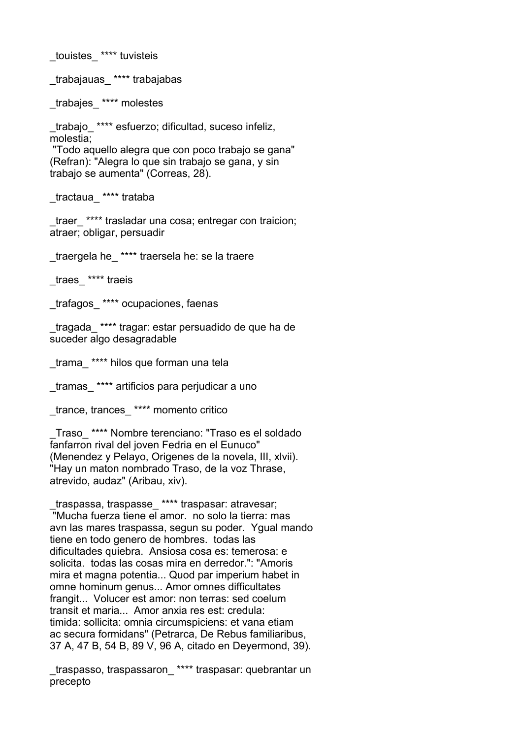touistes \*\*\*\* tuvisteis

\_trabajauas\_ \*\*\*\* trabajabas

\_trabajes\_ \*\*\*\* molestes

trabajo \*\*\*\* esfuerzo; dificultad, suceso infeliz, molestia;

"Todo aquello alegra que con poco trabajo se gana" (Refran): "Alegra lo que sin trabajo se gana, y sin trabajo se aumenta" (Correas, 28).

\_tractaua\_ \*\*\*\* trataba

\_traer\_ \*\*\*\* trasladar una cosa; entregar con traicion; atraer; obligar, persuadir

\_traergela he\_ \*\*\*\* traersela he: se la traere

traes \*\*\*\* traeis

trafagos \*\*\*\* ocupaciones, faenas

\_tragada\_ \*\*\*\* tragar: estar persuadido de que ha de suceder algo desagradable

\_trama\_ \*\*\*\* hilos que forman una tela

\_tramas\_ \*\*\*\* artificios para perjudicar a uno

\_trance, trances\_ \*\*\*\* momento critico

\_Traso\_ \*\*\*\* Nombre terenciano: "Traso es el soldado fanfarron rival del joven Fedria en el Eunuco" (Menendez y Pelayo, Origenes de la novela, III, xlvii). "Hay un maton nombrado Traso, de la voz Thrase, atrevido, audaz" (Aribau, xiv).

\_traspassa, traspasse\_ \*\*\*\* traspasar: atravesar; "Mucha fuerza tiene el amor. no solo la tierra: mas avn las mares traspassa, segun su poder. Ygual mando tiene en todo genero de hombres. todas las dificultades quiebra. Ansiosa cosa es: temerosa: e solicita. todas las cosas mira en derredor.": "Amoris mira et magna potentia... Quod par imperium habet in omne hominum genus... Amor omnes difficultates frangit... Volucer est amor: non terras: sed coelum transit et maria... Amor anxia res est: credula: timida: sollicita: omnia circumspiciens: et vana etiam ac secura formidans" (Petrarca, De Rebus familiaribus, 37 A, 47 B, 54 B, 89 V, 96 A, citado en Deyermond, 39).

\_traspasso, traspassaron\_ \*\*\*\* traspasar: quebrantar un precepto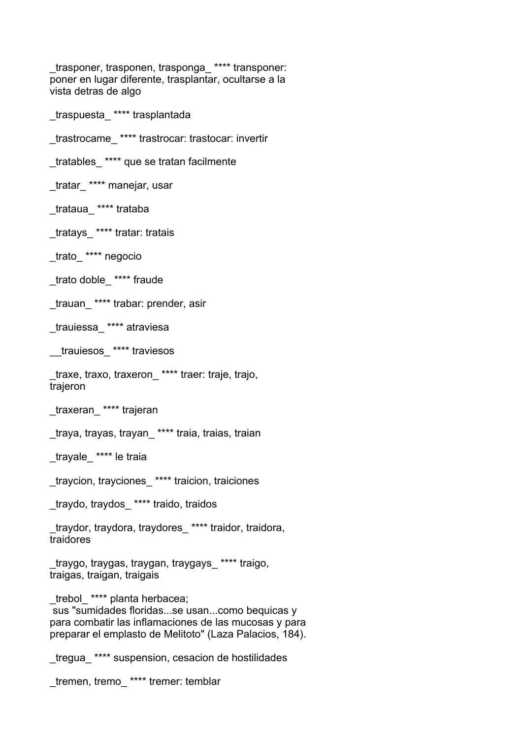trasponer, trasponen, trasponga \*\*\*\* transponer: poner en lugar diferente, trasplantar, ocultarse a la vista detras de algo \_traspuesta\_ \*\*\*\* trasplantada \_trastrocame\_ \*\*\*\* trastrocar: trastocar: invertir tratables \*\*\*\* que se tratan facilmente tratar \*\*\*\* manejar, usar \_trataua\_ \*\*\*\* trataba \_tratays\_ \*\*\*\* tratar: tratais \_trato\_ \*\*\*\* negocio trato doble\_\*\*\*\* fraude trauan \*\*\*\* trabar: prender, asir \_trauiessa\_ \*\*\*\* atraviesa trauiesos \*\*\*\* traviesos \_traxe, traxo, traxeron\_ \*\*\*\* traer: traje, trajo, trajeron traxeran \*\*\*\* trajeran \_traya, trayas, trayan\_ \*\*\*\* traia, traias, traian trayale \*\*\*\* le traia \_traycion, trayciones\_ \*\*\*\* traicion, traiciones \_traydo, traydos\_ \*\*\*\* traido, traidos \_traydor, traydora, traydores\_ \*\*\*\* traidor, traidora, traidores \_traygo, traygas, traygan, traygays\_ \*\*\*\* traigo, traigas, traigan, traigais \_trebol\_ \*\*\*\* planta herbacea; sus "sumidades floridas...se usan...como bequicas y para combatir las inflamaciones de las mucosas y para preparar el emplasto de Melitoto" (Laza Palacios, 184).

\_tregua\_ \*\*\*\* suspension, cesacion de hostilidades

\_tremen, tremo\_ \*\*\*\* tremer: temblar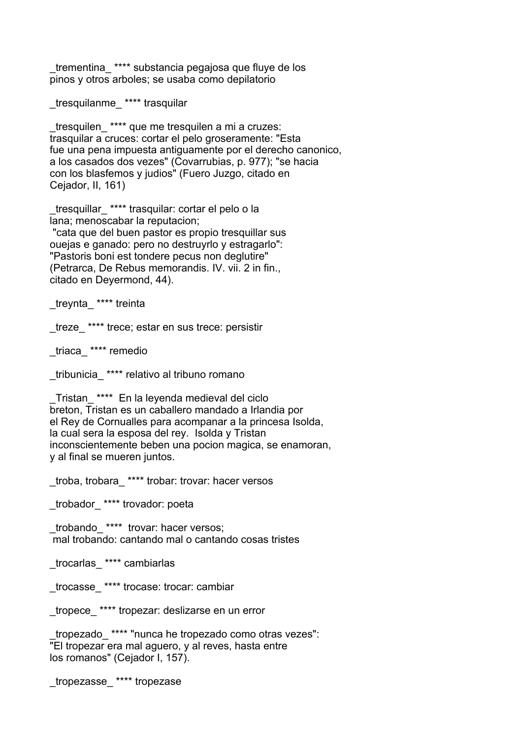trementina \*\*\*\* substancia pegajosa que fluye de los pinos y otros arboles; se usaba como depilatorio

\_tresquilanme\_ \*\*\*\* trasquilar

tresquilen \*\*\*\* que me tresquilen a mi a cruzes: trasquilar a cruces: cortar el pelo groseramente: "Esta fue una pena impuesta antiguamente por el derecho canonico, a los casados dos vezes" (Covarrubias, p. 977); "se hacia con los blasfemos y judios" (Fuero Juzgo, citado en Cejador, II, 161)

\_tresquillar\_ \*\*\*\* trasquilar: cortar el pelo o la lana; menoscabar la reputacion;

"cata que del buen pastor es propio tresquillar sus ouejas e ganado: pero no destruyrlo y estragarlo": "Pastoris boni est tondere pecus non deglutire" (Petrarca, De Rebus memorandis. IV. vii. 2 in fin., citado en Deyermond, 44).

\_treynta\_ \*\*\*\* treinta

\_treze\_ \*\*\*\* trece; estar en sus trece: persistir

\_triaca\_ \*\*\*\* remedio

\_tribunicia\_ \*\*\*\* relativo al tribuno romano

Tristan \*\*\*\* En la leyenda medieval del ciclo breton, Tristan es un caballero mandado a Irlandia por el Rey de Cornualles para acompanar a la princesa Isolda, la cual sera la esposa del rey. Isolda y Tristan inconscientemente beben una pocion magica, se enamoran, y al final se mueren juntos.

\_troba, trobara\_ \*\*\*\* trobar: trovar: hacer versos

\_trobador\_ \*\*\*\* trovador: poeta

trobando \*\*\*\* trovar: hacer versos; mal trobando: cantando mal o cantando cosas tristes

\_trocarlas\_ \*\*\*\* cambiarlas

\_trocasse\_ \*\*\*\* trocase: trocar: cambiar

\_tropece\_ \*\*\*\* tropezar: deslizarse en un error

\_tropezado\_ \*\*\*\* "nunca he tropezado como otras vezes": "El tropezar era mal aguero, y al reves, hasta entre los romanos" (Cejador I, 157).

\_tropezasse\_ \*\*\*\* tropezase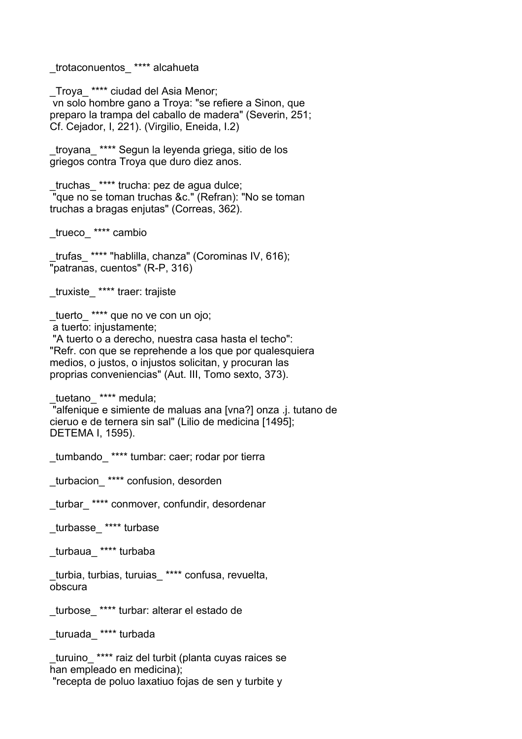\_trotaconuentos\_ \*\*\*\* alcahueta

Troya \*\*\*\* ciudad del Asia Menor; vn solo hombre gano a Troya: "se refiere a Sinon, que preparo la trampa del caballo de madera" (Severin, 251; Cf. Cejador, I, 221). (Virgilio, Eneida, I.2)

\_troyana\_ \*\*\*\* Segun la leyenda griega, sitio de los griegos contra Troya que duro diez anos.

truchas \*\*\*\* trucha: pez de agua dulce; "que no se toman truchas &c." (Refran): "No se toman truchas a bragas enjutas" (Correas, 362).

trueco \*\*\*\* cambio

trufas \*\*\*\* "hablilla, chanza" (Corominas IV, 616); "patranas, cuentos" (R-P, 316)

\_truxiste\_ \*\*\*\* traer: trajiste

tuerto \*\*\*\* que no ve con un ojo;

a tuerto: injustamente;

"A tuerto o a derecho, nuestra casa hasta el techo": "Refr. con que se reprehende a los que por qualesquiera medios, o justos, o injustos solicitan, y procuran las proprias conveniencias" (Aut. III, Tomo sexto, 373).

tuetano \*\*\*\* medula;

"alfenique e simiente de maluas ana [vna?] onza .j. tutano de cieruo e de ternera sin sal" (Lilio de medicina [1495]; DETEMA I, 1595).

\_tumbando\_ \*\*\*\* tumbar: caer; rodar por tierra

turbacion \*\*\*\* confusion, desorden

\_turbar\_ \*\*\*\* conmover, confundir, desordenar

turbasse \*\*\*\* turbase

turbaua \*\*\*\* turbaba

\_turbia, turbias, turuias\_ \*\*\*\* confusa, revuelta, obscura

\_turbose\_ \*\*\*\* turbar: alterar el estado de

\_turuada\_ \*\*\*\* turbada

\_turuino\_ \*\*\*\* raiz del turbit (planta cuyas raices se han empleado en medicina);

"recepta de poluo laxatiuo fojas de sen y turbite y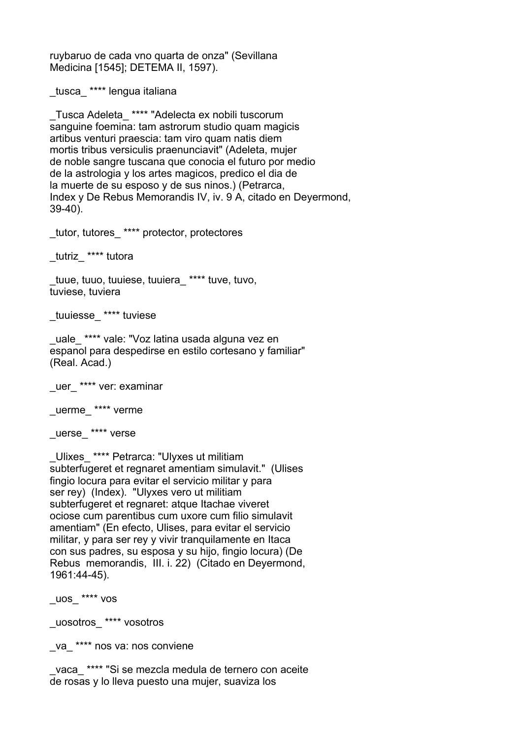ruybaruo de cada vno quarta de onza" (Sevillana Medicina [1545]; DETEMA II, 1597).

\_tusca\_ \*\*\*\* lengua italiana

Tusca Adeleta \*\*\*\* "Adelecta ex nobili tuscorum sanguine foemina: tam astrorum studio quam magicis artibus venturi praescia: tam viro quam natis diem mortis tribus versiculis praenunciavit" (Adeleta, mujer de noble sangre tuscana que conocia el futuro por medio de la astrologia y los artes magicos, predico el dia de la muerte de su esposo y de sus ninos.) (Petrarca, Index y De Rebus Memorandis IV, iv. 9 A, citado en Deyermond, 39-40).

tutor, tutores \*\*\*\* protector, protectores

tutriz \*\*\*\* tutora

\_tuue, tuuo, tuuiese, tuuiera\_ \*\*\*\* tuve, tuvo, tuviese, tuviera

tuuiesse \*\*\*\* tuviese

\_uale\_ \*\*\*\* vale: "Voz latina usada alguna vez en espanol para despedirse en estilo cortesano y familiar" (Real. Acad.)

uer \*\*\*\* ver: examinar

uerme \*\*\*\* verme

\_uerse\_ \*\*\*\* verse

\_Ulixes\_ \*\*\*\* Petrarca: "Ulyxes ut militiam subterfugeret et regnaret amentiam simulavit." (Ulises fingio locura para evitar el servicio militar y para ser rey) (Index). "Ulyxes vero ut militiam subterfugeret et regnaret: atque Itachae viveret ociose cum parentibus cum uxore cum filio simulavit amentiam" (En efecto, Ulises, para evitar el servicio militar, y para ser rey y vivir tranquilamente en Itaca con sus padres, su esposa y su hijo, fingio locura) (De Rebus memorandis, III. i. 22) (Citado en Deyermond, 1961:44-45).

\_uos\_ \*\*\*\* vos

\_uosotros\_ \*\*\*\* vosotros

va \*\*\*\* nos va: nos conviene

vaca \*\*\*\* "Si se mezcla medula de ternero con aceite de rosas y lo lleva puesto una mujer, suaviza los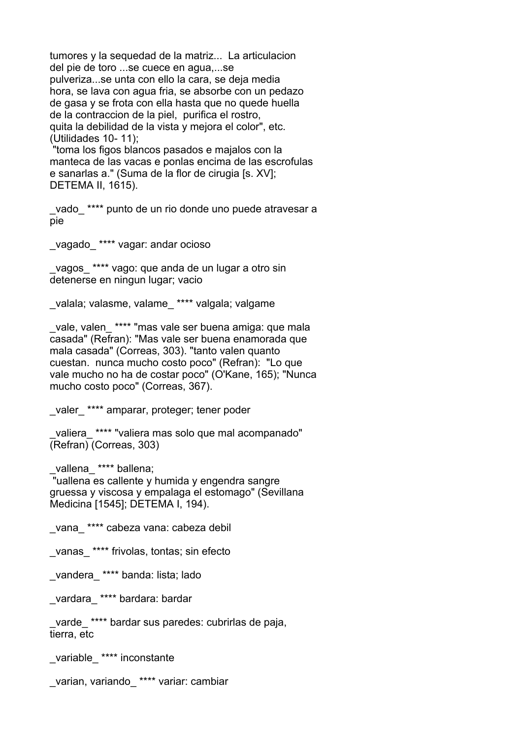tumores y la sequedad de la matriz... La articulacion del pie de toro ...se cuece en agua,...se pulveriza...se unta con ello la cara, se deja media hora, se lava con agua fria, se absorbe con un pedazo de gasa y se frota con ella hasta que no quede huella de la contraccion de la piel, purifica el rostro, quita la debilidad de la vista y mejora el color", etc. (Utilidades 10- 11);

"toma los figos blancos pasados e majalos con la manteca de las vacas e ponlas encima de las escrofulas e sanarlas a." (Suma de la flor de cirugia [s. XV]; DETEMA II, 1615).

vado \*\*\*\* punto de un rio donde uno puede atravesar a pie

vagado \*\*\*\* vagar: andar ocioso

vagos \*\*\*\* vago: que anda de un lugar a otro sin detenerse en ningun lugar; vacio

valala; valasme, valame \*\*\*\* valgala; valgame

vale, valen \*\*\*\* "mas vale ser buena amiga: que mala casada" (Refran): "Mas vale ser buena enamorada que mala casada" (Correas, 303). "tanto valen quanto cuestan. nunca mucho costo poco" (Refran): "Lo que vale mucho no ha de costar poco" (O'Kane, 165); "Nunca mucho costo poco" (Correas, 367).

valer \*\*\*\* amparar, proteger; tener poder

valiera \*\*\*\* "valiera mas solo que mal acompanado" (Refran) (Correas, 303)

vallena \*\*\*\* ballena;

"uallena es callente y humida y engendra sangre gruessa y viscosa y empalaga el estomago" (Sevillana Medicina [1545]; DETEMA I, 194).

vana \*\*\*\* cabeza vana: cabeza debil

vanas \*\*\*\* frivolas, tontas; sin efecto

vandera \*\*\*\* banda: lista; lado

vardara \*\*\*\* bardara: bardar

varde \*\*\*\* bardar sus paredes: cubrirlas de paja, tierra, etc

variable \*\*\*\* inconstante

varian, variando \*\*\*\* variar: cambiar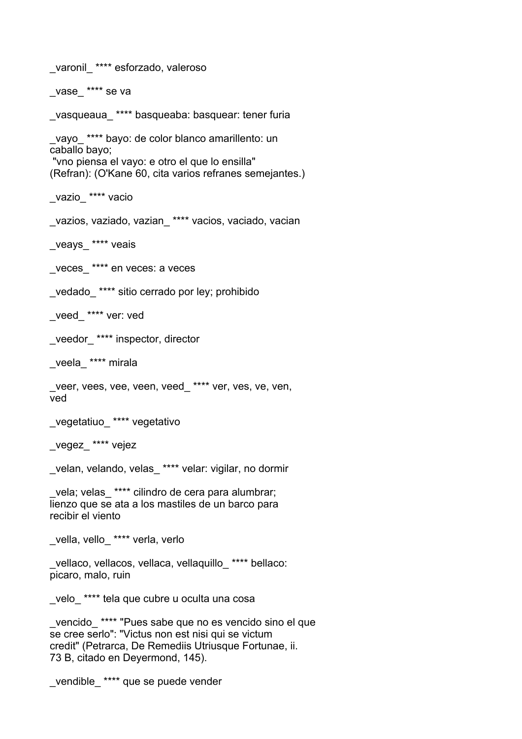\_varonil\_ \*\*\*\* esforzado, valeroso vase \*\*\*\* se va \_vasqueaua\_ \*\*\*\* basqueaba: basquear: tener furia \_vayo\_ \*\*\*\* bayo: de color blanco amarillento: un caballo bayo; "vno piensa el vayo: e otro el que lo ensilla" (Refran): (O'Kane 60, cita varios refranes semejantes.) vazio \*\*\*\* vacio \_vazios, vaziado, vazian\_ \*\*\*\* vacios, vaciado, vacian \_veays \*\*\*\* veais \_veces\_ \*\*\*\* en veces: a veces \_vedado\_ \*\*\*\* sitio cerrado por ley; prohibido veed \*\*\*\* ver: ved \_veedor\_ \*\*\*\* inspector, director veela \*\*\*\* mirala \_veer, vees, vee, veen, veed\_ \*\*\*\* ver, ves, ve, ven, ved \_vegetatiuo\_ \*\*\*\* vegetativo vegez \*\*\*\* vejez \_velan, velando, velas\_ \*\*\*\* velar: vigilar, no dormir \_vela; velas\_ \*\*\*\* cilindro de cera para alumbrar; lienzo que se ata a los mastiles de un barco para recibir el viento vella, vello \*\*\*\* verla, verlo vellaco, vellacos, vellaca, vellaquillo\_ \*\*\*\* bellaco: picaro, malo, ruin \_velo\_ \*\*\*\* tela que cubre u oculta una cosa vencido \*\*\*\* "Pues sabe que no es vencido sino el que se cree serlo": "Victus non est nisi qui se victum

credit" (Petrarca, De Remediis Utriusque Fortunae, ii. 73 B, citado en Deyermond, 145).

\_vendible\_ \*\*\*\* que se puede vender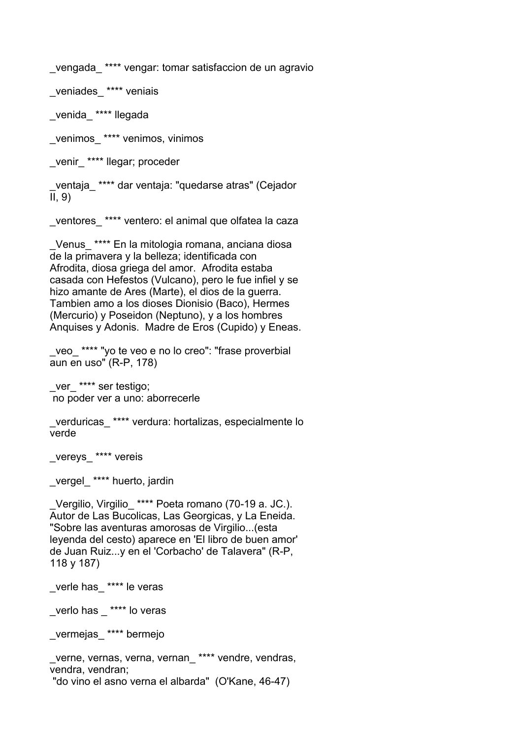vengada \*\*\*\* vengar: tomar satisfaccion de un agravio

veniades \*\*\*\* veniais

venida \*\*\*\* llegada

\_venimos\_ \*\*\*\* venimos, vinimos

venir \*\*\*\* llegar; proceder

ventaja \*\*\*\* dar ventaja: "quedarse atras" (Cejador  $II.9$ 

ventores \*\*\*\* ventero: el animal que olfatea la caza

Venus \*\*\*\* En la mitologia romana, anciana diosa de la primavera y la belleza; identificada con Afrodita, diosa griega del amor. Afrodita estaba casada con Hefestos (Vulcano), pero le fue infiel y se hizo amante de Ares (Marte), el dios de la guerra. Tambien amo a los dioses Dionisio (Baco), Hermes (Mercurio) y Poseidon (Neptuno), y a los hombres Anquises y Adonis. Madre de Eros (Cupido) y Eneas.

veo \*\*\*\* "yo te veo e no lo creo": "frase proverbial aun en uso" (R-P, 178)

ver \*\*\*\* ser testigo; no poder ver a uno: aborrecerle

\_verduricas\_ \*\*\*\* verdura: hortalizas, especialmente lo verde

vereys \*\*\*\* vereis

vergel \*\*\*\* huerto, jardin

Vergilio, Virgilio \*\*\*\* Poeta romano (70-19 a. JC.). Autor de Las Bucolicas, Las Georgicas, y La Eneida. "Sobre las aventuras amorosas de Virgilio...(esta leyenda del cesto) aparece en 'El libro de buen amor' de Juan Ruiz...y en el 'Corbacho' de Talavera" (R-P, 118 y 187)

\_verle has\_ \*\*\*\* le veras

verlo has \*\*\*\* lo veras

vermejas \*\*\*\* bermejo

verne, vernas, verna, vernan \*\*\*\* vendre, vendras, vendra, vendran;

"do vino el asno verna el albarda" (O'Kane, 46-47)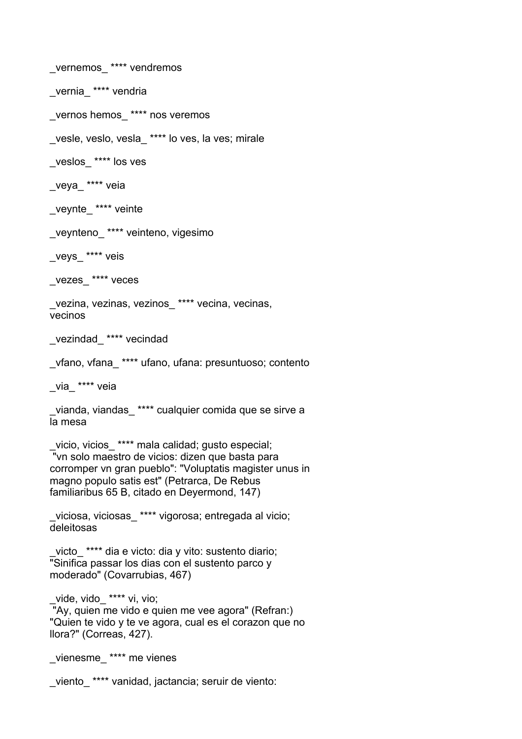vernemos \*\*\*\* vendremos

vernia \*\*\*\* vendria

vernos hemos \*\*\*\* nos veremos

\_vesle, veslo, vesla\_ \*\*\*\* lo ves, la ves; mirale

\_veslos\_ \*\*\*\* los ves

\_veya\_ \*\*\*\* veia

veynte \*\*\*\* veinte

\_veynteno\_ \*\*\*\* veinteno, vigesimo

veys \*\*\*\* veis

vezes \*\*\*\* veces

vezina, vezinas, vezinos \*\*\*\* vecina, vecinas, vecinos

\_vezindad\_ \*\*\*\* vecindad

\_vfano, vfana\_ \*\*\*\* ufano, ufana: presuntuoso; contento

via \*\*\*\* veia

vianda, viandas \*\*\*\* cualquier comida que se sirve a la mesa

vicio, vicios \*\*\*\* mala calidad; gusto especial; "vn solo maestro de vicios: dizen que basta para corromper vn gran pueblo": "Voluptatis magister unus in magno populo satis est" (Petrarca, De Rebus familiaribus 65 B, citado en Deyermond, 147)

\_viciosa, viciosas\_ \*\*\*\* vigorosa; entregada al vicio; deleitosas

victo \*\*\*\* dia e victo: dia y vito: sustento diario; "Sinifica passar los dias con el sustento parco y moderado" (Covarrubias, 467)

vide, vido \*\*\*\* vi, vio; "Ay, quien me vido e quien me vee agora" (Refran:) "Quien te vido y te ve agora, cual es el corazon que no llora?" (Correas, 427).

vienesme \*\*\*\* me vienes

viento \*\*\*\* vanidad, jactancia; seruir de viento: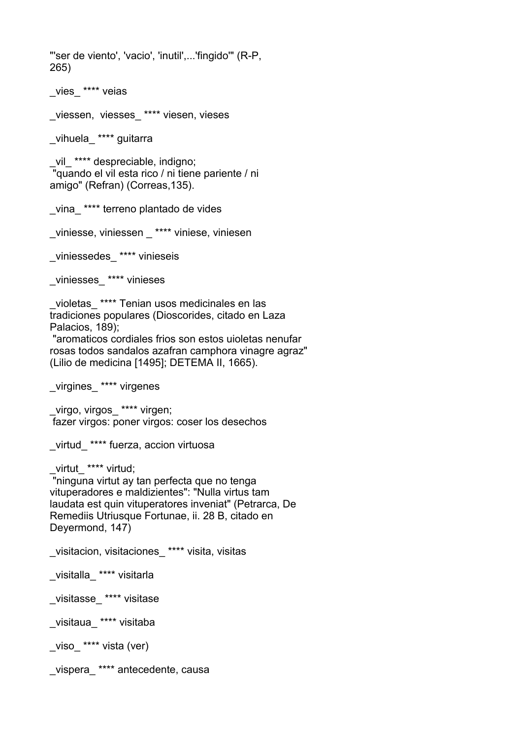"'ser de viento', 'vacio', 'inutil',...'fingido'" (R-P, 265)

```
vies **** veias
```
viessen, viesses \*\*\*\* viesen, vieses

\_vihuela\_ \*\*\*\* guitarra

vil \*\*\*\* despreciable, indigno; "quando el vil esta rico / ni tiene pariente / ni amigo" (Refran) (Correas,135).

vina \*\*\*\* terreno plantado de vides

viniesse, viniessen \*\*\*\* viniese, viniesen

\_viniessedes\_ \*\*\*\* vinieseis

viniesses \*\*\*\* vinieses

violetas \*\*\*\* Tenian usos medicinales en las tradiciones populares (Dioscorides, citado en Laza Palacios, 189);

"aromaticos cordiales frios son estos uioletas nenufar rosas todos sandalos azafran camphora vinagre agraz" (Lilio de medicina [1495]; DETEMA II, 1665).

\_virgines\_ \*\*\*\* virgenes

virgo, virgos \*\*\*\* virgen; fazer virgos: poner virgos: coser los desechos

\_virtud\_ \*\*\*\* fuerza, accion virtuosa

virtut \*\*\*\* virtud;

"ninguna virtut ay tan perfecta que no tenga vituperadores e maldizientes": "Nulla virtus tam laudata est quin vituperatores inveniat" (Petrarca, De Remediis Utriusque Fortunae, ii. 28 B, citado en Deyermond, 147)

visitacion, visitaciones \*\*\*\* visita, visitas

visitalla \*\*\*\* visitarla

visitasse \*\*\*\* visitase

visitaua \*\*\*\* visitaba

viso\_ \*\*\*\* vista (ver)

vispera \*\*\*\* antecedente, causa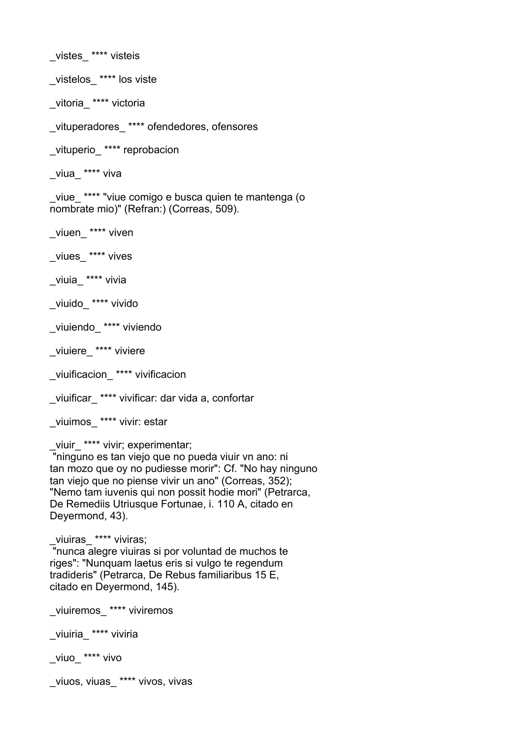vistes \*\*\*\* visteis

\_vistelos\_ \*\*\*\* los viste

vitoria \*\*\*\* victoria

\_vituperadores\_ \*\*\*\* ofendedores, ofensores

vituperio \*\*\*\* reprobacion

viua \*\*\*\* viva

viue \*\*\*\* "viue comigo e busca quien te mantenga (o nombrate mio)" (Refran:) (Correas, 509).

viuen \*\*\*\* viven

\_viues\_ \*\*\*\* vives

\_viuia\_ \*\*\*\* vivia

viuido \*\*\*\* vivido

\_viuiendo\_ \*\*\*\* viviendo

viuiere \*\*\*\* viviere

viuificacion \*\*\*\* vivificacion

viuificar \*\*\*\* vivificar: dar vida a, confortar

viuimos \*\*\*\* vivir: estar

viuir \*\*\*\* vivir; experimentar;

"ninguno es tan viejo que no pueda viuir vn ano: ni tan mozo que oy no pudiesse morir": Cf. "No hay ninguno tan viejo que no piense vivir un ano" (Correas, 352); "Nemo tam iuvenis qui non possit hodie mori" (Petrarca, De Remediis Utriusque Fortunae, i. 110 A, citado en Deyermond, 43).

viuiras \*\*\*\* viviras; "nunca alegre viuiras si por voluntad de muchos te riges": "Nunquam laetus eris si vulgo te regendum tradideris" (Petrarca, De Rebus familiaribus 15 E, citado en Deyermond, 145).

\_viuiremos\_ \*\*\*\* viviremos viuiria \*\*\*\* viviria viuo \*\*\*\* vivo

\_viuos, viuas\_ \*\*\*\* vivos, vivas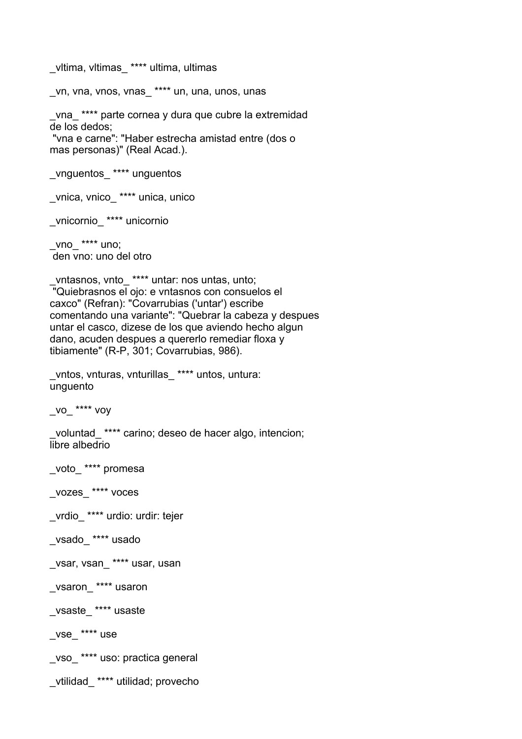vltima, vltimas\_ \*\*\*\* ultima, ultimas

vn, vna, vnos, vnas \*\*\*\* un, una, unos, unas

\_vna\_ \*\*\*\* parte cornea y dura que cubre la extremidad de los dedos; "vna e carne": "Haber estrecha amistad entre (dos o mas personas)" (Real Acad.).

vnguentos \*\*\*\* unguentos

vnica, vnico \*\*\*\* unica, unico

vnicornio \*\*\*\* unicornio

vno \*\*\*\* uno; den vno: uno del otro

vntasnos, vnto \*\*\*\* untar: nos untas, unto; "Quiebrasnos el ojo: e vntasnos con consuelos el caxco" (Refran): "Covarrubias ('untar') escribe comentando una variante": "Quebrar la cabeza y despues untar el casco, dizese de los que aviendo hecho algun dano, acuden despues a quererlo remediar floxa y tibiamente" (R-P, 301; Covarrubias, 986).

```
_vntos, vnturas, vnturillas_ **** untos, untura:
unguento
```
 $\sqrt{2}$ vo $\sqrt{2}$ \*\*\*\* voy

voluntad \*\*\*\* carino; deseo de hacer algo, intencion; libre albedrio

\_voto\_ \*\*\*\* promesa

\_vozes\_ \*\*\*\* voces

vrdio \*\*\*\* urdio: urdir: tejer

vsado \*\*\*\* usado

vsar, vsan \*\*\*\* usar, usan

\_vsaron\_ \*\*\*\* usaron

\_vsaste\_ \*\*\*\* usaste

vse \*\*\*\* use

\_vso\_ \*\*\*\* uso: practica general

\_vtilidad\_ \*\*\*\* utilidad; provecho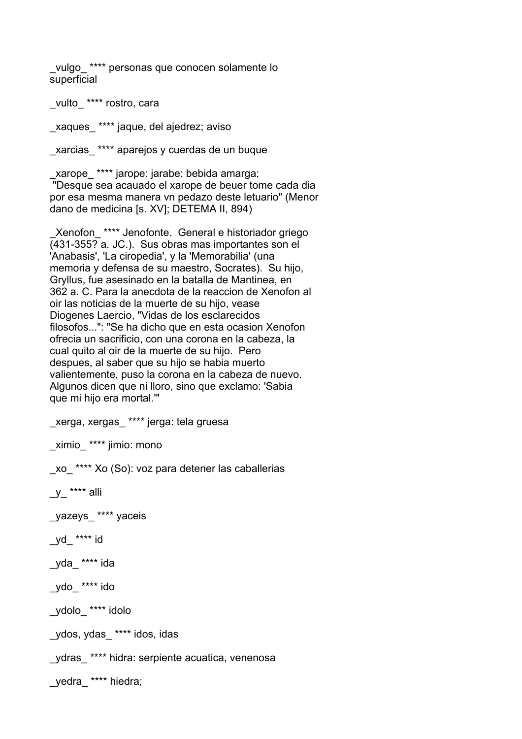\_vulgo\_ \*\*\*\* personas que conocen solamente lo superficial

vulto \*\*\*\* rostro, cara

\_xaques\_ \*\*\*\* jaque, del ajedrez; aviso

xarcias \*\*\*\* aparejos y cuerdas de un buque

xarope \*\*\*\* jarope: jarabe: bebida amarga; "Desque sea acauado el xarope de beuer tome cada dia por esa mesma manera vn pedazo deste letuario" (Menor dano de medicina [s. XV]; DETEMA II, 894)

Xenofon \*\*\*\* Jenofonte. General e historiador griego (431-355? a. JC.). Sus obras mas importantes son el 'Anabasis', 'La ciropedia', y la 'Memorabilia' (una memoria y defensa de su maestro, Socrates). Su hijo, Gryllus, fue asesinado en la batalla de Mantinea, en 362 a. C. Para la anecdota de la reaccion de Xenofon al oir las noticias de la muerte de su hijo, vease Diogenes Laercio, "Vidas de los esclarecidos filosofos...": "Se ha dicho que en esta ocasion Xenofon ofrecia un sacrificio, con una corona en la cabeza, la cual quito al oir de la muerte de su hijo. Pero despues, al saber que su hijo se habia muerto valientemente, puso la corona en la cabeza de nuevo. Algunos dicen que ni lloro, sino que exclamo: 'Sabia que mi hijo era mortal.'"

\_xerga, xergas\_ \*\*\*\* jerga: tela gruesa

\_ximio\_ \*\*\*\* jimio: mono

\_xo\_ \*\*\*\* Xo (So): voz para detener las caballerias

 $y_$  \*\*\*\* alli

\_yazeys\_ \*\*\*\* yaceis

 $yd$  \*\*\*\* id

\_yda\_ \*\*\*\* ida

\_ydo\_ \*\*\*\* ido

\_ydolo\_ \*\*\*\* idolo

ydos, ydas \*\*\*\* idos, idas

vdras \*\*\*\* hidra: serpiente acuatica, venenosa

yedra \*\*\*\* hiedra;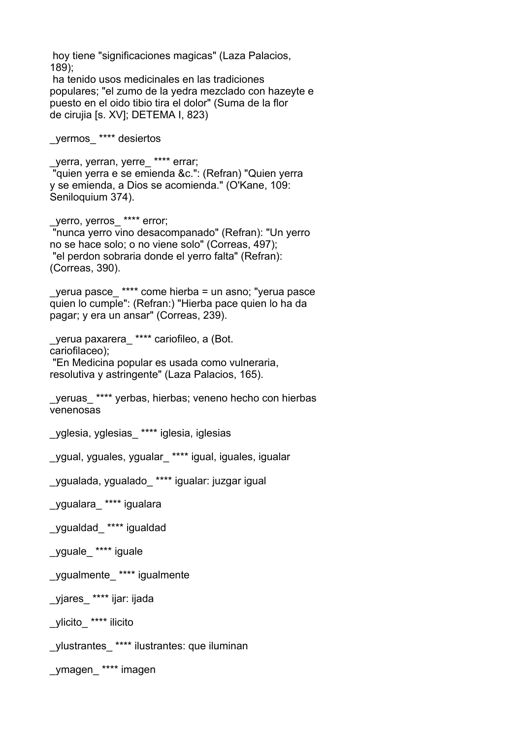hoy tiene "significaciones magicas" (Laza Palacios, 189); ha tenido usos medicinales en las tradiciones populares; "el zumo de la yedra mezclado con hazeyte e puesto en el oido tibio tira el dolor" (Suma de la flor de cirujia [s. XV]; DETEMA I, 823) \_yermos\_ \*\*\*\* desiertos \_yerra, yerran, yerre\_ \*\*\*\* errar; "quien yerra e se emienda &c.": (Refran) "Quien yerra y se emienda, a Dios se acomienda." (O'Kane, 109: Seniloquium 374). \_yerro, yerros\_ \*\*\*\* error; "nunca yerro vino desacompanado" (Refran): "Un yerro no se hace solo; o no viene solo" (Correas, 497); "el perdon sobraria donde el yerro falta" (Refran): (Correas, 390). \_yerua pasce\_ \*\*\*\* come hierba = un asno; "yerua pasce quien lo cumple": (Refran:) "Hierba pace quien lo ha da pagar; y era un ansar" (Correas, 239). \_yerua paxarera\_ \*\*\*\* cariofileo, a (Bot. cariofilaceo); "En Medicina popular es usada como vulneraria, resolutiva y astringente" (Laza Palacios, 165). yeruas \*\*\*\* yerbas, hierbas; veneno hecho con hierbas venenosas \_yglesia, yglesias\_ \*\*\*\* iglesia, iglesias \_ygual, yguales, ygualar\_ \*\*\*\* igual, iguales, igualar \_ygualada, ygualado\_ \*\*\*\* igualar: juzgar igual ygualara \*\*\*\* igualara ygualdad \*\*\*\* igualdad \_yguale\_ \*\*\*\* iguale ygualmente \*\*\*\* igualmente \_yjares\_ \*\*\*\* ijar: ijada \_ylicito\_ \*\*\*\* ilicito \_ylustrantes\_ \*\*\*\* ilustrantes: que iluminan \_ymagen\_ \*\*\*\* imagen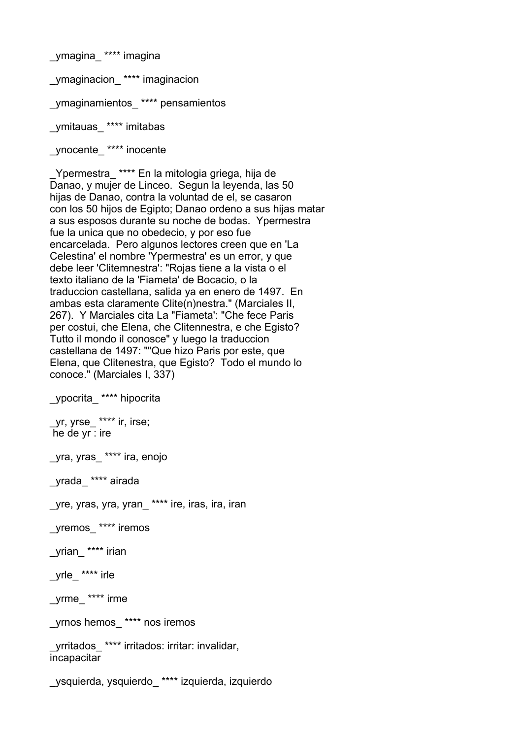ymagina \*\*\*\* imagina

\_ymaginacion\_ \*\*\*\* imaginacion

ymaginamientos \*\*\*\* pensamientos

\_ymitauas\_ \*\*\*\* imitabas

ynocente \*\*\*\* inocente

Ypermestra \*\*\*\* En la mitologia griega, hija de Danao, y mujer de Linceo. Segun la leyenda, las 50 hijas de Danao, contra la voluntad de el, se casaron con los 50 hijos de Egipto; Danao ordeno a sus hijas matar a sus esposos durante su noche de bodas. Ypermestra fue la unica que no obedecio, y por eso fue encarcelada. Pero algunos lectores creen que en 'La Celestina' el nombre 'Ypermestra' es un error, y que debe leer 'Clitemnestra': "Rojas tiene a la vista o el texto italiano de la 'Fiameta' de Bocacio, o la traduccion castellana, salida ya en enero de 1497. En ambas esta claramente Clite(n)nestra." (Marciales II, 267). Y Marciales cita La "Fiameta': "Che fece Paris per costui, che Elena, che Clitennestra, e che Egisto? Tutto il mondo il conosce" y luego la traduccion castellana de 1497: ""Que hizo Paris por este, que Elena, que Clitenestra, que Egisto? Todo el mundo lo conoce." (Marciales I, 337)

\_ypocrita\_ \*\*\*\* hipocrita yr, yrse \*\*\*\* ir, irse; he de yr : ire \_yra, yras\_ \*\*\*\* ira, enojo \_yrada\_ \*\*\*\* airada yre, yras, yra, yran \*\*\*\* ire, iras, ira, iran yremos \*\*\*\* iremos yrian \*\*\*\* irian yrle \*\*\*\* irle yrme \*\*\*\* irme \_yrnos hemos\_ \*\*\*\* nos iremos \_yrritados\_ \*\*\*\* irritados: irritar: invalidar, incapacitar \_ysquierda, ysquierdo\_ \*\*\*\* izquierda, izquierdo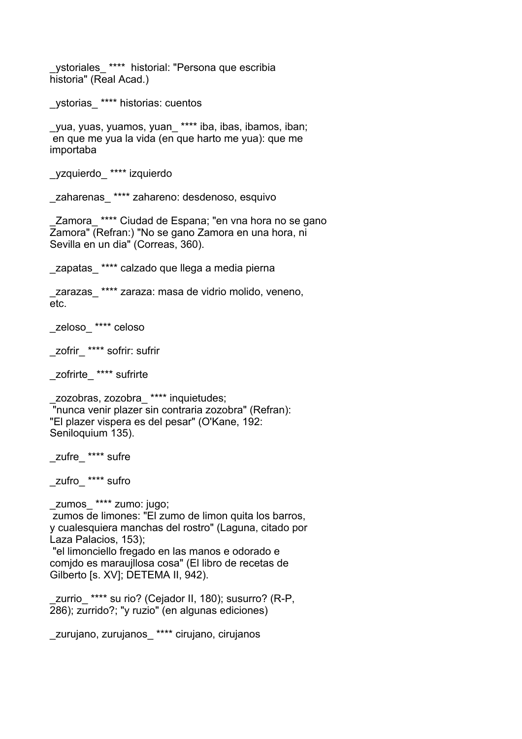ystoriales \*\*\*\* historial: "Persona que escribia historia" (Real Acad.)

ystorias \*\*\*\* historias: cuentos

yua, yuas, yuamos, yuan \*\*\*\* iba, ibas, ibamos, iban; en que me yua la vida (en que harto me yua): que me importaba

yzquierdo \*\*\*\* izquierdo

zaharenas \*\*\*\* zahareno: desdenoso, esquivo

Zamora \*\*\*\* Ciudad de Espana; "en vna hora no se gano Zamora" (Refran:) "No se gano Zamora en una hora, ni Sevilla en un dia" (Correas, 360).

\_zapatas\_ \*\*\*\* calzado que llega a media pierna

zarazas \*\*\*\* zaraza: masa de vidrio molido, veneno, etc.

\_zeloso\_ \*\*\*\* celoso

zofrir \*\*\*\* sofrir: sufrir

zofrirte \*\*\*\* sufrirte

zozobras, zozobra \*\*\*\* inquietudes; "nunca venir plazer sin contraria zozobra" (Refran): "El plazer vispera es del pesar" (O'Kane, 192: Seniloquium 135).

zufre \*\*\*\* sufre

zufro \*\*\*\* sufro

zumos \*\*\*\* zumo: jugo; zumos de limones: "El zumo de limon quita los barros, y cualesquiera manchas del rostro" (Laguna, citado por Laza Palacios, 153);

"el limonciello fregado en las manos e odorado e comjdo es maraujllosa cosa" (El libro de recetas de Gilberto [s. XV]; DETEMA II, 942).

zurrio \*\*\*\* su rio? (Cejador II, 180); susurro? (R-P, 286); zurrido?; "y ruzio" (en algunas ediciones)

zurujano, zurujanos \*\*\*\* cirujano, cirujanos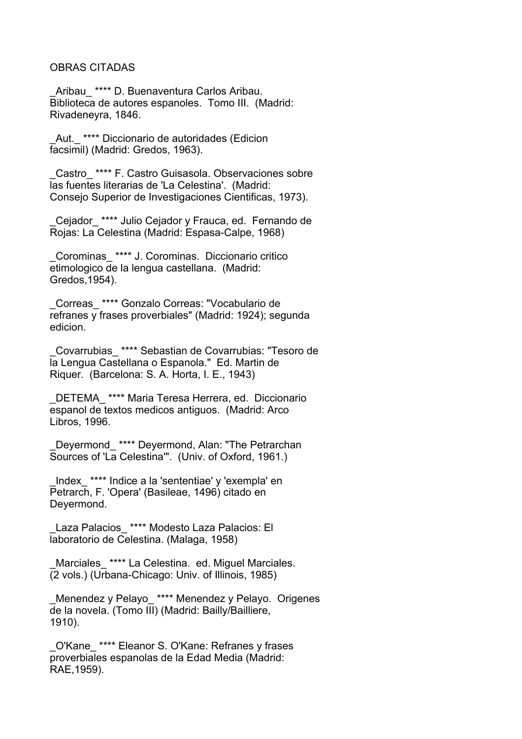## OBRAS CITADAS

Aribau \*\*\*\* D. Buenaventura Carlos Aribau. Biblioteca de autores espanoles. Tomo III. (Madrid: Rivadeneyra, 1846.

\_Aut.\_ \*\*\*\* Diccionario de autoridades (Edicion facsimil) (Madrid: Gredos, 1963).

Castro \*\*\*\* F. Castro Guisasola. Observaciones sobre las fuentes literarias de 'La Celestina'. (Madrid: Consejo Superior de Investigaciones Cientificas, 1973).

\_Cejador\_ \*\*\*\* Julio Cejador y Frauca, ed. Fernando de Rojas: La Celestina (Madrid: Espasa-Calpe, 1968)

\_Corominas\_ \*\*\*\* J. Corominas. Diccionario critico etimologico de la lengua castellana. (Madrid: Gredos,1954).

\_Correas\_ \*\*\*\* Gonzalo Correas: "Vocabulario de refranes y frases proverbiales" (Madrid: 1924); segunda edicion.

\_Covarrubias\_ \*\*\*\* Sebastian de Covarrubias: "Tesoro de la Lengua Castellana o Espanola." Ed. Martin de Riquer. (Barcelona: S. A. Horta, I. E., 1943)

DETEMA \*\*\*\* Maria Teresa Herrera, ed. Diccionario espanol de textos medicos antiguos. (Madrid: Arco Libros, 1996.

Deyermond \*\*\*\* Deyermond, Alan: "The Petrarchan Sources of 'La Celestina'". (Univ. of Oxford, 1961.)

\_Index\_ \*\*\*\* Indice a la 'sententiae' y 'exempla' en Petrarch, F. 'Opera' (Basileae, 1496) citado en Deyermond.

Laza Palacios \*\*\*\* Modesto Laza Palacios: El laboratorio de Celestina. (Malaga, 1958)

Marciales \*\*\*\* La Celestina. ed. Miguel Marciales. (2 vols.) (Urbana-Chicago: Univ. of Illinois, 1985)

Menendez y Pelayo \*\*\*\* Menendez y Pelayo. Origenes de la novela. (Tomo III) (Madrid: Bailly/Bailliere, 1910).

O'Kane \*\*\*\* Eleanor S. O'Kane: Refranes y frases proverbiales espanolas de la Edad Media (Madrid: RAE,1959).